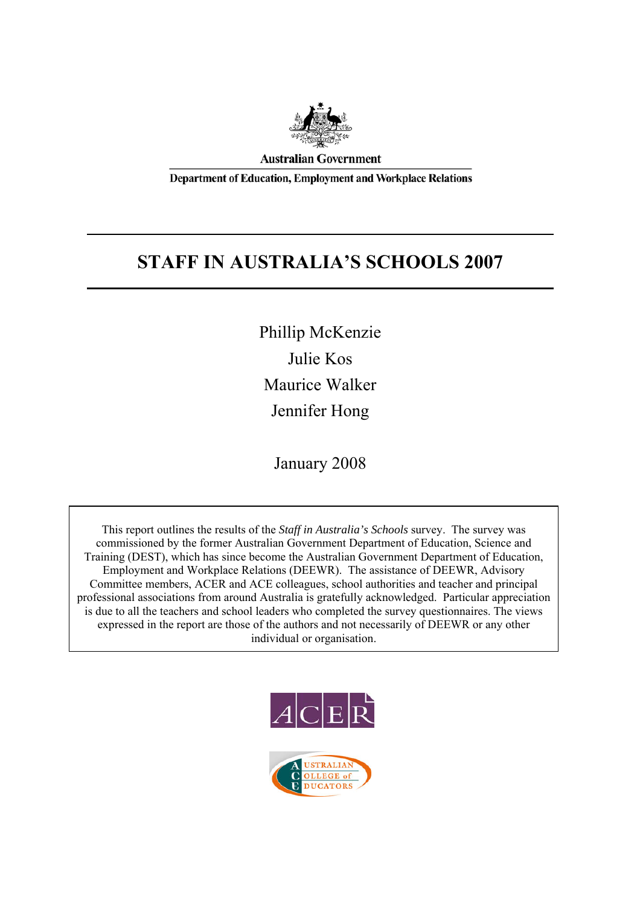

**Australian Government** 

**Department of Education, Employment and Workplace Relations** 

# **STAFF IN AUSTRALIA'S SCHOOLS 2007**

Phillip McKenzie Julie Kos Maurice Walker Jennifer Hong

January 2008

This report outlines the results of the *Staff in Australia's Schools* survey. The survey was commissioned by the former Australian Government Department of Education, Science and Training (DEST), which has since become the Australian Government Department of Education, Employment and Workplace Relations (DEEWR). The assistance of DEEWR, Advisory Committee members, ACER and ACE colleagues, school authorities and teacher and principal professional associations from around Australia is gratefully acknowledged. Particular appreciation is due to all the teachers and school leaders who completed the survey questionnaires. The views expressed in the report are those of the authors and not necessarily of DEEWR or any other individual or organisation.



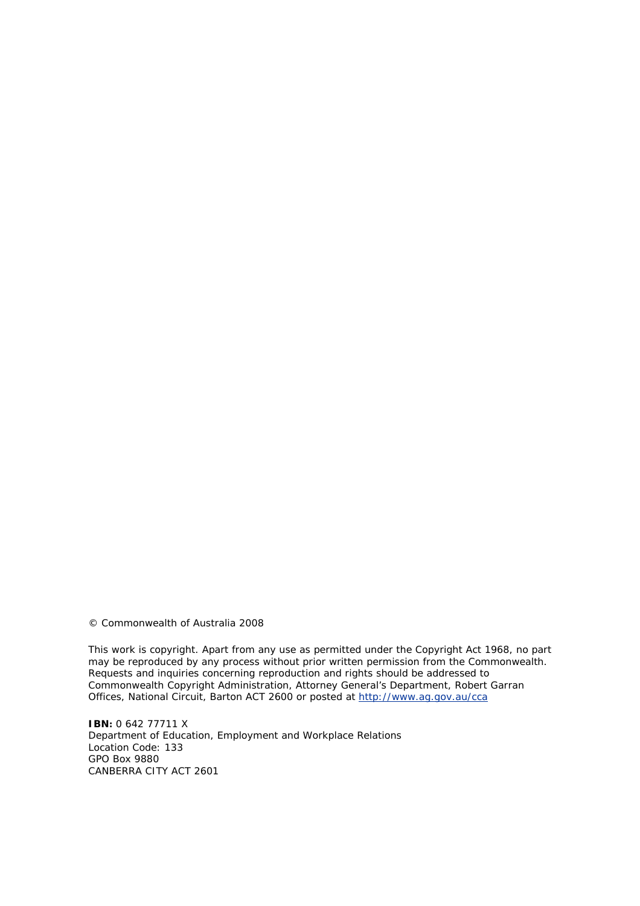© Commonwealth of Australia 2008

This work is copyright. Apart from any use as permitted under the *Copyright Act 1968*, no part may be reproduced by any process without prior written permission from the Commonwealth. Requests and inquiries concerning reproduction and rights should be addressed to Commonwealth Copyright Administration, Attorney General's Department, Robert Garran Offices, National Circuit, Barton ACT 2600 or posted at http://www.ag.gov.au/cca

**IBN:** 0 642 77711 X Department of Education, Employment and Workplace Relations Location Code: 133 GPO Box 9880 CANBERRA CITY ACT 2601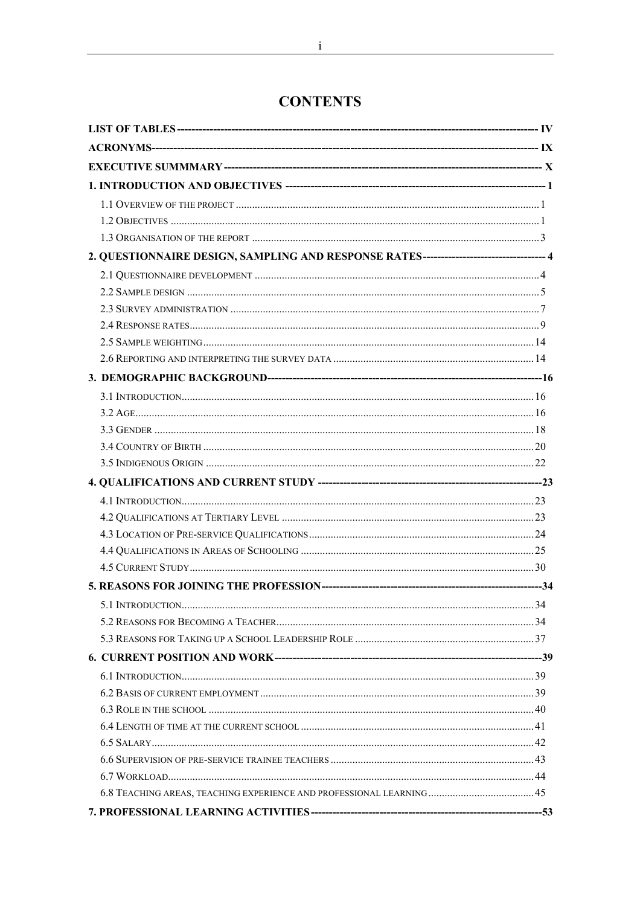# **CONTENTS**

| 2. QUESTIONNAIRE DESIGN, SAMPLING AND RESPONSE RATES-------------------------------- 4 |  |
|----------------------------------------------------------------------------------------|--|
|                                                                                        |  |
|                                                                                        |  |
|                                                                                        |  |
|                                                                                        |  |
|                                                                                        |  |
|                                                                                        |  |
|                                                                                        |  |
|                                                                                        |  |
|                                                                                        |  |
|                                                                                        |  |
|                                                                                        |  |
|                                                                                        |  |
|                                                                                        |  |
|                                                                                        |  |
|                                                                                        |  |
|                                                                                        |  |
|                                                                                        |  |
|                                                                                        |  |
|                                                                                        |  |
|                                                                                        |  |
|                                                                                        |  |
|                                                                                        |  |
|                                                                                        |  |
|                                                                                        |  |
|                                                                                        |  |
|                                                                                        |  |
|                                                                                        |  |
|                                                                                        |  |
|                                                                                        |  |
|                                                                                        |  |
|                                                                                        |  |
|                                                                                        |  |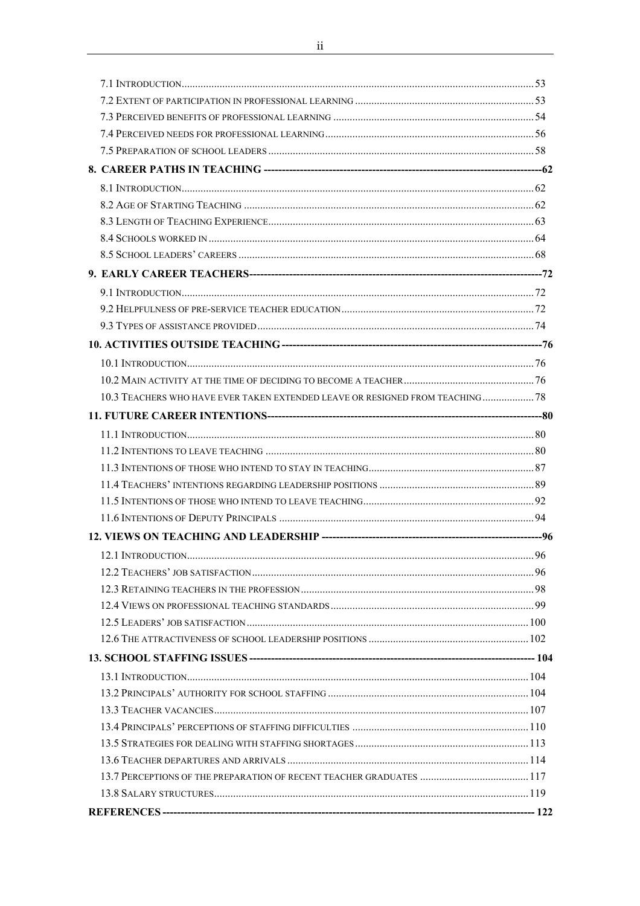<u> 1980 - Jan Samuel Barbara, martin d</u>

 $\overline{\phantom{a}}$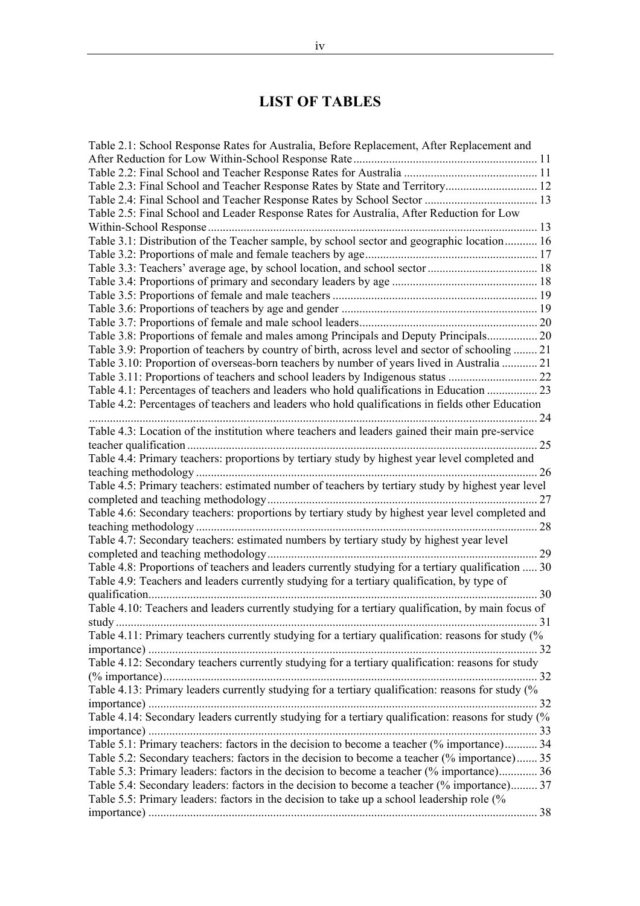# **LIST OF TABLES**

| Table 2.1: School Response Rates for Australia, Before Replacement, After Replacement and           |      |
|-----------------------------------------------------------------------------------------------------|------|
|                                                                                                     |      |
|                                                                                                     |      |
|                                                                                                     |      |
|                                                                                                     |      |
| Table 2.5: Final School and Leader Response Rates for Australia, After Reduction for Low            |      |
|                                                                                                     |      |
| Table 3.1: Distribution of the Teacher sample, by school sector and geographic location 16          |      |
|                                                                                                     |      |
|                                                                                                     |      |
|                                                                                                     |      |
|                                                                                                     |      |
|                                                                                                     |      |
|                                                                                                     |      |
| Table 3.8: Proportions of female and males among Principals and Deputy Principals 20                |      |
| Table 3.9: Proportion of teachers by country of birth, across level and sector of schooling  21     |      |
| Table 3.10: Proportion of overseas-born teachers by number of years lived in Australia  21          |      |
|                                                                                                     |      |
|                                                                                                     |      |
| Table 4.2: Percentages of teachers and leaders who hold qualifications in fields other Education    |      |
|                                                                                                     | . 24 |
| Table 4.3: Location of the institution where teachers and leaders gained their main pre-service     |      |
|                                                                                                     | . 25 |
| Table 4.4: Primary teachers: proportions by tertiary study by highest year level completed and      |      |
|                                                                                                     | 26   |
| Table 4.5: Primary teachers: estimated number of teachers by tertiary study by highest year level   |      |
|                                                                                                     |      |
| Table 4.6: Secondary teachers: proportions by tertiary study by highest year level completed and    |      |
|                                                                                                     |      |
| Table 4.7: Secondary teachers: estimated numbers by tertiary study by highest year level            |      |
|                                                                                                     |      |
| Table 4.8: Proportions of teachers and leaders currently studying for a tertiary qualification  30  |      |
| Table 4.9: Teachers and leaders currently studying for a tertiary qualification, by type of         |      |
|                                                                                                     | .30  |
| Table 4.10: Teachers and leaders currently studying for a tertiary qualification, by main focus of  |      |
|                                                                                                     | 31   |
| Table 4.11: Primary teachers currently studying for a tertiary qualification: reasons for study (%  |      |
|                                                                                                     |      |
| Table 4.12: Secondary teachers currently studying for a tertiary qualification: reasons for study   |      |
|                                                                                                     |      |
| Table 4.13: Primary leaders currently studying for a tertiary qualification: reasons for study (%   |      |
|                                                                                                     |      |
| Table 4.14: Secondary leaders currently studying for a tertiary qualification: reasons for study (% |      |
|                                                                                                     |      |
| Table 5.1: Primary teachers: factors in the decision to become a teacher (% importance) 34          |      |
| Table 5.2: Secondary teachers: factors in the decision to become a teacher (% importance) 35        |      |
| Table 5.3: Primary leaders: factors in the decision to become a teacher (% importance) 36           |      |
| Table 5.4: Secondary leaders: factors in the decision to become a teacher (% importance) 37         |      |
| Table 5.5: Primary leaders: factors in the decision to take up a school leadership role (%          |      |
|                                                                                                     |      |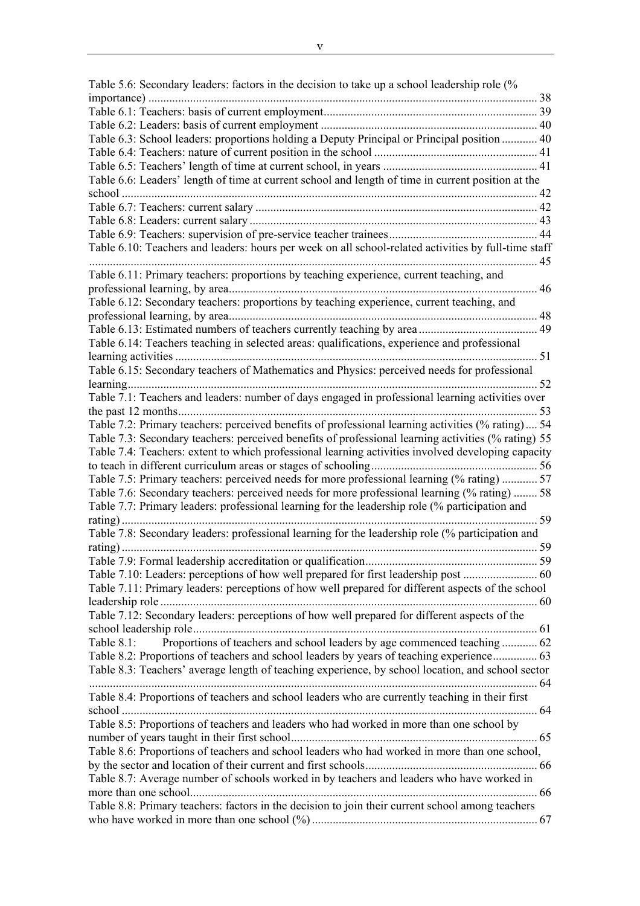Table 5.6: Secondary leaders: factors in the decision to take up a school leadership role (% importance) ................................................................................................................................... 38 Table 6.1: Teachers: basis of current employment........................................................................ 39 Table 6.2: Leaders: basis of current employment ......................................................................... 40 Table 6.3: School leaders: proportions holding a Deputy Principal or Principal position ............ 40 Table 6.4: Teachers: nature of current position in the school ....................................................... 41 Table 6.5: Teachers' length of time at current school, in years .................................................... 41 Table 6.6: Leaders' length of time at current school and length of time in current position at the school ............................................................................................................................................ 42 Table 6.7: Teachers: current salary ............................................................................................... 42 Table 6.8: Leaders: current salary ................................................................................................. 43 Table 6.9: Teachers: supervision of pre-service teacher trainees.................................................. 44 Table 6.10: Teachers and leaders: hours per week on all school-related activities by full-time staff ....................................................................................................................................................... 45 Table 6.11: Primary teachers: proportions by teaching experience, current teaching, and professional learning, by area........................................................................................................ 46 Table 6.12: Secondary teachers: proportions by teaching experience, current teaching, and professional learning, by area........................................................................................................ 48 Table 6.13: Estimated numbers of teachers currently teaching by area ........................................ 49 Table 6.14: Teachers teaching in selected areas: qualifications, experience and professional learning activities .......................................................................................................................... 51 Table 6.15: Secondary teachers of Mathematics and Physics: perceived needs for professional learning.......................................................................................................................................... 52 Table 7.1: Teachers and leaders: number of days engaged in professional learning activities over the past 12 months......................................................................................................................... 53 Table 7.2: Primary teachers: perceived benefits of professional learning activities (% rating) .... 54 Table 7.3: Secondary teachers: perceived benefits of professional learning activities (% rating) 55 Table 7.4: Teachers: extent to which professional learning activities involved developing capacity to teach in different curriculum areas or stages of schooling........................................................ 56 Table 7.5: Primary teachers: perceived needs for more professional learning (% rating) ............ 57 Table 7.6: Secondary teachers: perceived needs for more professional learning (% rating) ........ 58 Table 7.7: Primary leaders: professional learning for the leadership role (% participation and rating) ............................................................................................................................................ 59 Table 7.8: Secondary leaders: professional learning for the leadership role (% participation and rating) ............................................................................................................................................ 59 Table 7.9: Formal leadership accreditation or qualification.......................................................... 59 Table 7.10: Leaders: perceptions of how well prepared for first leadership post ......................... 60 Table 7.11: Primary leaders: perceptions of how well prepared for different aspects of the school leadership role ............................................................................................................................... 60 Table 7.12: Secondary leaders: perceptions of how well prepared for different aspects of the school leadership role.................................................................................................................... 61 Table 8.1: Proportions of teachers and school leaders by age commenced teaching .............. 62 Table 8.2: Proportions of teachers and school leaders by years of teaching experience............... 63 Table 8.3: Teachers' average length of teaching experience, by school location, and school sector ....................................................................................................................................................... 64 Table 8.4: Proportions of teachers and school leaders who are currently teaching in their first school ............................................................................................................................................ 64 Table 8.5: Proportions of teachers and leaders who had worked in more than one school by number of years taught in their first school................................................................................... 65 Table 8.6: Proportions of teachers and school leaders who had worked in more than one school, by the sector and location of their current and first schools.......................................................... 66 Table 8.7: Average number of schools worked in by teachers and leaders who have worked in more than one school..................................................................................................................... 66 Table 8.8: Primary teachers: factors in the decision to join their current school among teachers who have worked in more than one school (%) ............................................................................ 67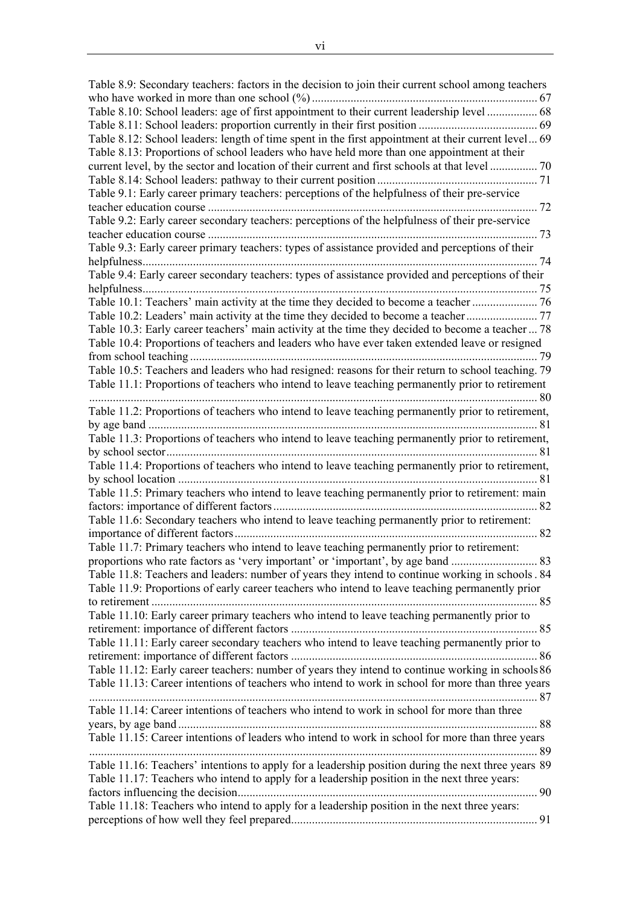Table 8.9: Secondary teachers: factors in the decision to join their current school among teachers who have worked in more than one school (%) ............................................................................ 67 Table 8.10: School leaders: age of first appointment to their current leadership level ................. 68 Table 8.11: School leaders: proportion currently in their first position ........................................ 69 Table 8.12: School leaders: length of time spent in the first appointment at their current level... 69 Table 8.13: Proportions of school leaders who have held more than one appointment at their current level, by the sector and location of their current and first schools at that level ................ 70 Table 8.14: School leaders: pathway to their current position ...................................................... 71 Table 9.1: Early career primary teachers: perceptions of the helpfulness of their pre-service teacher education course ............................................................................................................... 72 Table 9.2: Early career secondary teachers: perceptions of the helpfulness of their pre-service teacher education course ............................................................................................................... 73 Table 9.3: Early career primary teachers: types of assistance provided and perceptions of their helpfulness..................................................................................................................................... 74 Table 9.4: Early career secondary teachers: types of assistance provided and perceptions of their helpfulness..................................................................................................................................... 75 Table 10.1: Teachers' main activity at the time they decided to become a teacher ...................... 76 Table 10.2: Leaders' main activity at the time they decided to become a teacher........................ 77 Table 10.3: Early career teachers' main activity at the time they decided to become a teacher ... 78 Table 10.4: Proportions of teachers and leaders who have ever taken extended leave or resigned from school teaching ..................................................................................................................... 79 Table 10.5: Teachers and leaders who had resigned: reasons for their return to school teaching. 79 Table 11.1: Proportions of teachers who intend to leave teaching permanently prior to retirement ....................................................................................................................................................... 80 Table 11.2: Proportions of teachers who intend to leave teaching permanently prior to retirement, by age band ................................................................................................................................... 81 Table 11.3: Proportions of teachers who intend to leave teaching permanently prior to retirement, by school sector............................................................................................................................. 81 Table 11.4: Proportions of teachers who intend to leave teaching permanently prior to retirement, by school location ......................................................................................................................... 81 Table 11.5: Primary teachers who intend to leave teaching permanently prior to retirement: main factors: importance of different factors......................................................................................... 82 Table 11.6: Secondary teachers who intend to leave teaching permanently prior to retirement: importance of different factors...................................................................................................... 82 Table 11.7: Primary teachers who intend to leave teaching permanently prior to retirement: proportions who rate factors as 'very important' or 'important', by age band ............................. 83 Table 11.8: Teachers and leaders: number of years they intend to continue working in schools . 84 Table 11.9: Proportions of early career teachers who intend to leave teaching permanently prior to retirement .................................................................................................................................. 85 Table 11.10: Early career primary teachers who intend to leave teaching permanently prior to retirement: importance of different factors ................................................................................... 85 Table 11.11: Early career secondary teachers who intend to leave teaching permanently prior to retirement: importance of different factors ................................................................................... 86 Table 11.12: Early career teachers: number of years they intend to continue working in schools86 Table 11.13: Career intentions of teachers who intend to work in school for more than three years ....................................................................................................................................................... 87 Table 11.14: Career intentions of teachers who intend to work in school for more than three years, by age band ......................................................................................................................... 88 Table 11.15: Career intentions of leaders who intend to work in school for more than three years ....................................................................................................................................................... 89 Table 11.16: Teachers' intentions to apply for a leadership position during the next three years 89 Table 11.17: Teachers who intend to apply for a leadership position in the next three years: factors influencing the decision..................................................................................................... 90 Table 11.18: Teachers who intend to apply for a leadership position in the next three years: perceptions of how well they feel prepared................................................................................... 91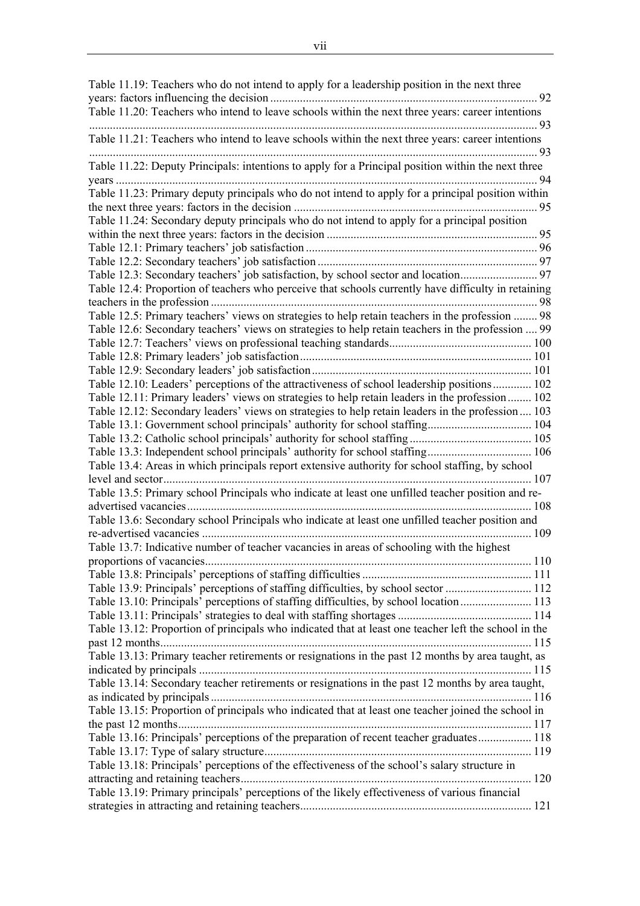Table 11.19: Teachers who do not intend to apply for a leadership position in the next three years: factors influencing the decision .......................................................................................... 92 Table 11.20: Teachers who intend to leave schools within the next three years: career intentions ....................................................................................................................................................... 93 Table 11.21: Teachers who intend to leave schools within the next three years: career intentions ....................................................................................................................................................... 93 Table 11.22: Deputy Principals: intentions to apply for a Principal position within the next three years .............................................................................................................................................. 94 Table 11.23: Primary deputy principals who do not intend to apply for a principal position within the next three years: factors in the decision .................................................................................. 95 Table 11.24: Secondary deputy principals who do not intend to apply for a principal position within the next three years: factors in the decision ....................................................................... 95 Table 12.1: Primary teachers' job satisfaction .............................................................................. 96 Table 12.2: Secondary teachers' job satisfaction .......................................................................... 97 Table 12.3: Secondary teachers' job satisfaction, by school sector and location.......................... 97 Table 12.4: Proportion of teachers who perceive that schools currently have difficulty in retaining teachers in the profession .............................................................................................................. 98 Table 12.5: Primary teachers' views on strategies to help retain teachers in the profession ........ 98 Table 12.6: Secondary teachers' views on strategies to help retain teachers in the profession .... 99 Table 12.7: Teachers' views on professional teaching standards................................................ 100 Table 12.8: Primary leaders' job satisfaction.............................................................................. 101 Table 12.9: Secondary leaders' job satisfaction.......................................................................... 101 Table 12.10: Leaders' perceptions of the attractiveness of school leadership positions............. 102 Table 12.11: Primary leaders' views on strategies to help retain leaders in the profession........ 102 Table 12.12: Secondary leaders' views on strategies to help retain leaders in the profession.... 103 Table 13.1: Government school principals' authority for school staffing................................... 104 Table 13.2: Catholic school principals' authority for school staffing ......................................... 105 Table 13.3: Independent school principals' authority for school staffing................................... 106 Table 13.4: Areas in which principals report extensive authority for school staffing, by school level and sector............................................................................................................................ 107 Table 13.5: Primary school Principals who indicate at least one unfilled teacher position and readvertised vacancies.................................................................................................................... 108 Table 13.6: Secondary school Principals who indicate at least one unfilled teacher position and re-advertised vacancies ............................................................................................................... 109 Table 13.7: Indicative number of teacher vacancies in areas of schooling with the highest proportions of vacancies.............................................................................................................. 110 Table 13.8: Principals' perceptions of staffing difficulties ......................................................... 111 Table 13.9: Principals' perceptions of staffing difficulties, by school sector ............................. 112 Table 13.10: Principals' perceptions of staffing difficulties, by school location........................ 113 Table 13.11: Principals' strategies to deal with staffing shortages ............................................. 114 Table 13.12: Proportion of principals who indicated that at least one teacher left the school in the past 12 months............................................................................................................................. 115 Table 13.13: Primary teacher retirements or resignations in the past 12 months by area taught, as indicated by principals ................................................................................................................ 115 Table 13.14: Secondary teacher retirements or resignations in the past 12 months by area taught, as indicated by principals ............................................................................................................ 116 Table 13.15: Proportion of principals who indicated that at least one teacher joined the school in the past 12 months....................................................................................................................... 117 Table 13.16: Principals' perceptions of the preparation of recent teacher graduates.................. 118 Table 13.17: Type of salary structure.......................................................................................... 119 Table 13.18: Principals' perceptions of the effectiveness of the school's salary structure in attracting and retaining teachers.................................................................................................. 120 Table 13.19: Primary principals' perceptions of the likely effectiveness of various financial strategies in attracting and retaining teachers.............................................................................. 121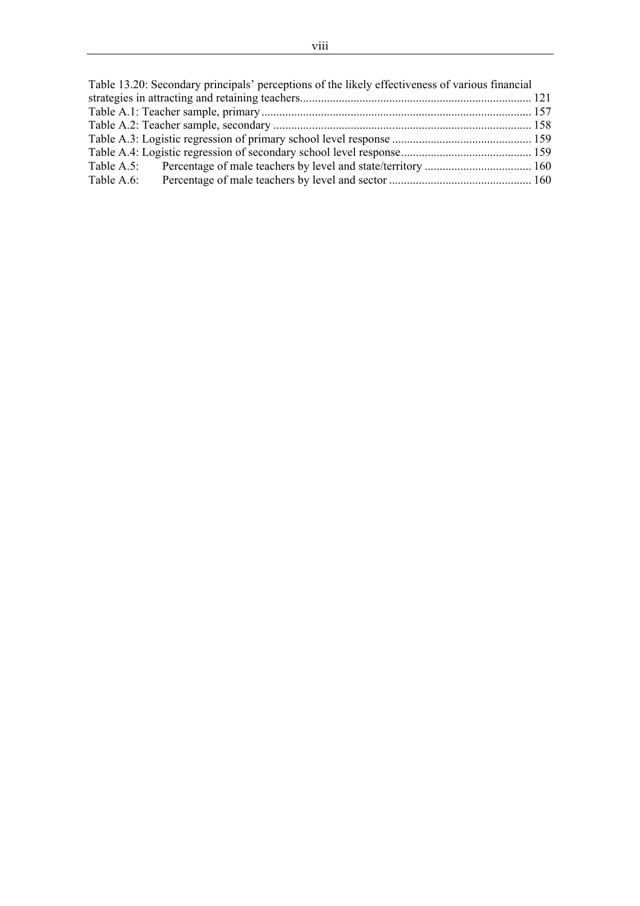| Table 13.20: Secondary principals' perceptions of the likely effectiveness of various financial |  |
|-------------------------------------------------------------------------------------------------|--|
|                                                                                                 |  |
|                                                                                                 |  |
|                                                                                                 |  |
|                                                                                                 |  |
|                                                                                                 |  |
|                                                                                                 |  |
| Table A.6:                                                                                      |  |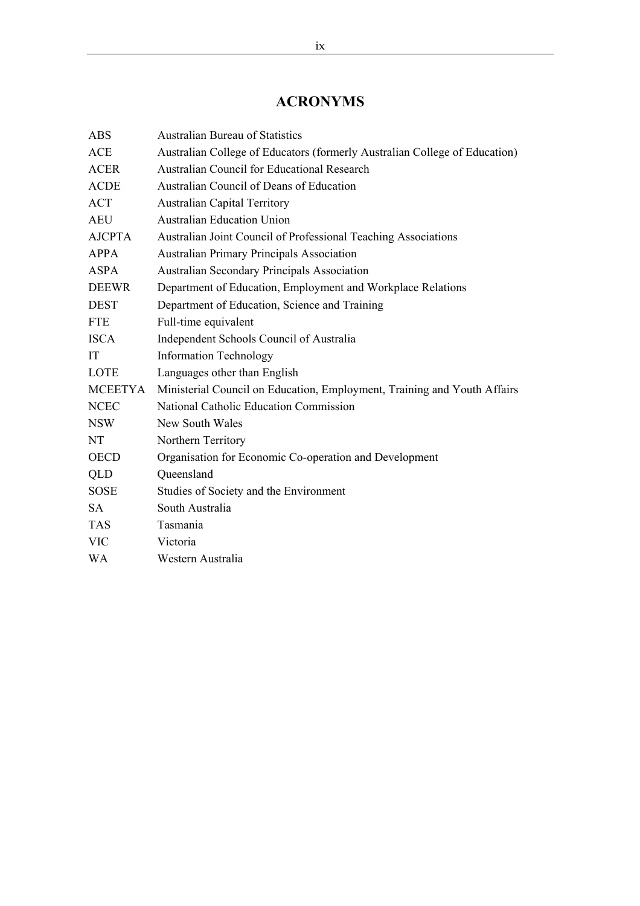# **ACRONYMS**

| <b>ABS</b>     | <b>Australian Bureau of Statistics</b>                                     |
|----------------|----------------------------------------------------------------------------|
| <b>ACE</b>     | Australian College of Educators (formerly Australian College of Education) |
| <b>ACER</b>    | Australian Council for Educational Research                                |
| <b>ACDE</b>    | Australian Council of Deans of Education                                   |
| <b>ACT</b>     | <b>Australian Capital Territory</b>                                        |
| <b>AEU</b>     | <b>Australian Education Union</b>                                          |
| <b>AJCPTA</b>  | Australian Joint Council of Professional Teaching Associations             |
| <b>APPA</b>    | <b>Australian Primary Principals Association</b>                           |
| <b>ASPA</b>    | <b>Australian Secondary Principals Association</b>                         |
| <b>DEEWR</b>   | Department of Education, Employment and Workplace Relations                |
| <b>DEST</b>    | Department of Education, Science and Training                              |
| <b>FTE</b>     | Full-time equivalent                                                       |
| <b>ISCA</b>    | Independent Schools Council of Australia                                   |
| IT             | <b>Information Technology</b>                                              |
| LOTE           | Languages other than English                                               |
| <b>MCEETYA</b> | Ministerial Council on Education, Employment, Training and Youth Affairs   |
| <b>NCEC</b>    | National Catholic Education Commission                                     |
| <b>NSW</b>     | New South Wales                                                            |
| NT             | Northern Territory                                                         |
| <b>OECD</b>    | Organisation for Economic Co-operation and Development                     |
| QLD            | Queensland                                                                 |
| <b>SOSE</b>    | Studies of Society and the Environment                                     |
| <b>SA</b>      | South Australia                                                            |
| <b>TAS</b>     | Tasmania                                                                   |
| <b>VIC</b>     | Victoria                                                                   |
| <b>WA</b>      | Western Australia                                                          |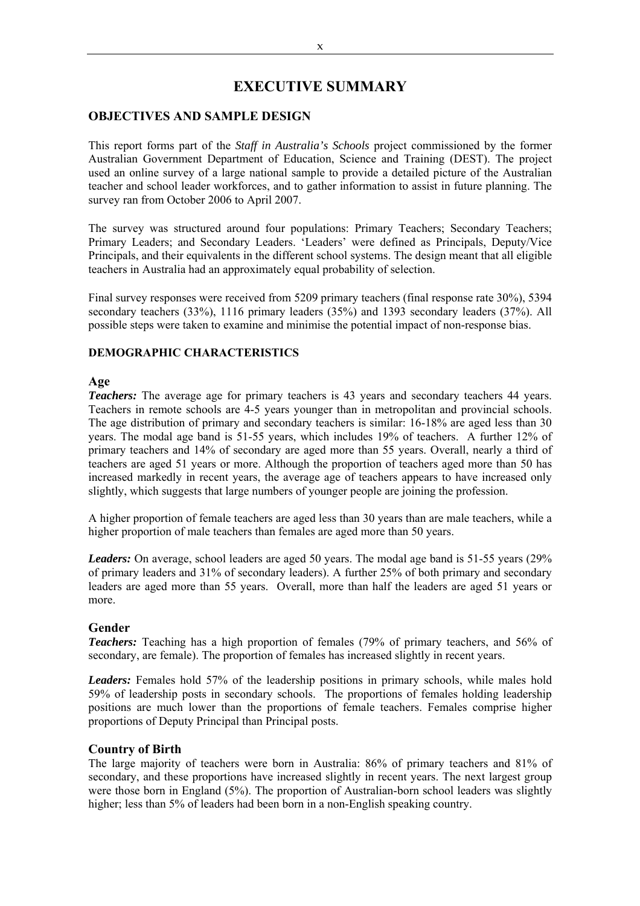## **EXECUTIVE SUMMARY**

## **OBJECTIVES AND SAMPLE DESIGN**

This report forms part of the *Staff in Australia's Schools* project commissioned by the former Australian Government Department of Education, Science and Training (DEST). The project used an online survey of a large national sample to provide a detailed picture of the Australian teacher and school leader workforces, and to gather information to assist in future planning. The survey ran from October 2006 to April 2007.

The survey was structured around four populations: Primary Teachers; Secondary Teachers; Primary Leaders; and Secondary Leaders. 'Leaders' were defined as Principals, Deputy/Vice Principals, and their equivalents in the different school systems. The design meant that all eligible teachers in Australia had an approximately equal probability of selection.

Final survey responses were received from 5209 primary teachers (final response rate 30%), 5394 secondary teachers (33%), 1116 primary leaders (35%) and 1393 secondary leaders (37%). All possible steps were taken to examine and minimise the potential impact of non-response bias.

## **DEMOGRAPHIC CHARACTERISTICS**

#### **Age**

*Teachers:* The average age for primary teachers is 43 years and secondary teachers 44 years. Teachers in remote schools are 4-5 years younger than in metropolitan and provincial schools. The age distribution of primary and secondary teachers is similar: 16-18% are aged less than 30 years. The modal age band is 51-55 years, which includes 19% of teachers. A further 12% of primary teachers and 14% of secondary are aged more than 55 years. Overall, nearly a third of teachers are aged 51 years or more. Although the proportion of teachers aged more than 50 has increased markedly in recent years, the average age of teachers appears to have increased only slightly, which suggests that large numbers of younger people are joining the profession.

A higher proportion of female teachers are aged less than 30 years than are male teachers, while a higher proportion of male teachers than females are aged more than 50 years.

*Leaders:* On average, school leaders are aged 50 years. The modal age band is 51-55 years (29% of primary leaders and 31% of secondary leaders). A further 25% of both primary and secondary leaders are aged more than 55 years. Overall, more than half the leaders are aged 51 years or more.

#### **Gender**

*Teachers:* Teaching has a high proportion of females (79% of primary teachers, and 56% of secondary, are female). The proportion of females has increased slightly in recent years.

*Leaders:* Females hold 57% of the leadership positions in primary schools, while males hold 59% of leadership posts in secondary schools. The proportions of females holding leadership positions are much lower than the proportions of female teachers. Females comprise higher proportions of Deputy Principal than Principal posts.

#### **Country of Birth**

The large majority of teachers were born in Australia: 86% of primary teachers and 81% of secondary, and these proportions have increased slightly in recent years. The next largest group were those born in England (5%). The proportion of Australian-born school leaders was slightly higher; less than 5% of leaders had been born in a non-English speaking country.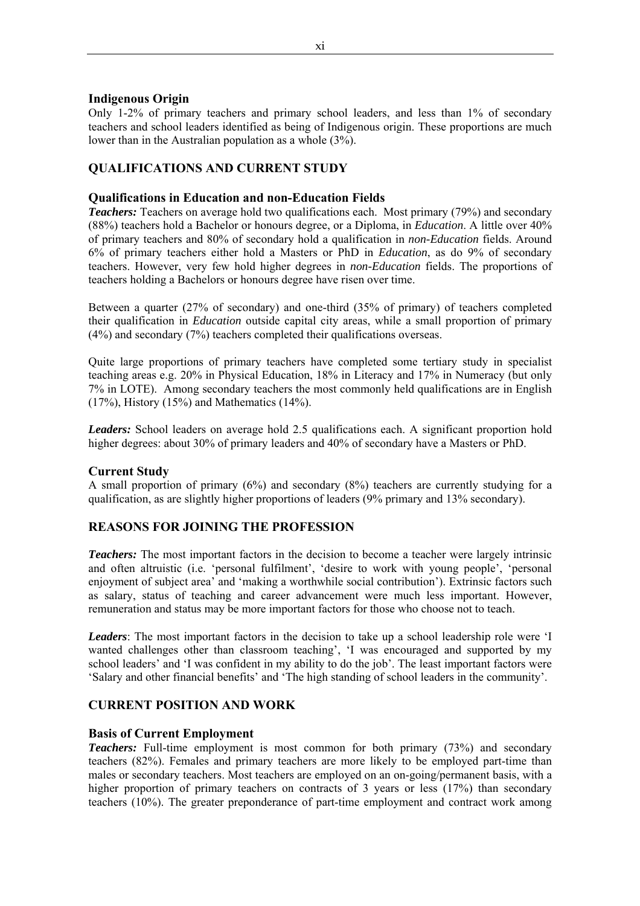## **Indigenous Origin**

Only 1-2% of primary teachers and primary school leaders, and less than 1% of secondary teachers and school leaders identified as being of Indigenous origin. These proportions are much lower than in the Australian population as a whole (3%).

## **QUALIFICATIONS AND CURRENT STUDY**

## **Qualifications in Education and non-Education Fields**

**Teachers:** Teachers on average hold two qualifications each. Most primary (79%) and secondary (88%) teachers hold a Bachelor or honours degree, or a Diploma, in *Education*. A little over 40% of primary teachers and 80% of secondary hold a qualification in *non-Education* fields. Around 6% of primary teachers either hold a Masters or PhD in *Education*, as do 9% of secondary teachers. However, very few hold higher degrees in *non-Education* fields. The proportions of teachers holding a Bachelors or honours degree have risen over time.

Between a quarter (27% of secondary) and one-third (35% of primary) of teachers completed their qualification in *Education* outside capital city areas, while a small proportion of primary (4%) and secondary (7%) teachers completed their qualifications overseas.

Quite large proportions of primary teachers have completed some tertiary study in specialist teaching areas e.g. 20% in Physical Education, 18% in Literacy and 17% in Numeracy (but only 7% in LOTE). Among secondary teachers the most commonly held qualifications are in English  $(17%)$ , History  $(15%)$  and Mathematics  $(14%)$ .

*Leaders:* School leaders on average hold 2.5 qualifications each. A significant proportion hold higher degrees: about 30% of primary leaders and 40% of secondary have a Masters or PhD.

#### **Current Study**

A small proportion of primary (6%) and secondary (8%) teachers are currently studying for a qualification, as are slightly higher proportions of leaders (9% primary and 13% secondary).

## **REASONS FOR JOINING THE PROFESSION**

*Teachers:* The most important factors in the decision to become a teacher were largely intrinsic and often altruistic (i.e. 'personal fulfilment', 'desire to work with young people', 'personal enjoyment of subject area' and 'making a worthwhile social contribution'). Extrinsic factors such as salary, status of teaching and career advancement were much less important. However, remuneration and status may be more important factors for those who choose not to teach.

*Leaders*: The most important factors in the decision to take up a school leadership role were 'I wanted challenges other than classroom teaching', 'I was encouraged and supported by my school leaders' and 'I was confident in my ability to do the job'. The least important factors were 'Salary and other financial benefits' and 'The high standing of school leaders in the community'.

## **CURRENT POSITION AND WORK**

#### **Basis of Current Employment**

*Teachers:* Full-time employment is most common for both primary (73%) and secondary teachers (82%). Females and primary teachers are more likely to be employed part-time than males or secondary teachers. Most teachers are employed on an on-going/permanent basis, with a higher proportion of primary teachers on contracts of 3 years or less (17%) than secondary teachers (10%). The greater preponderance of part-time employment and contract work among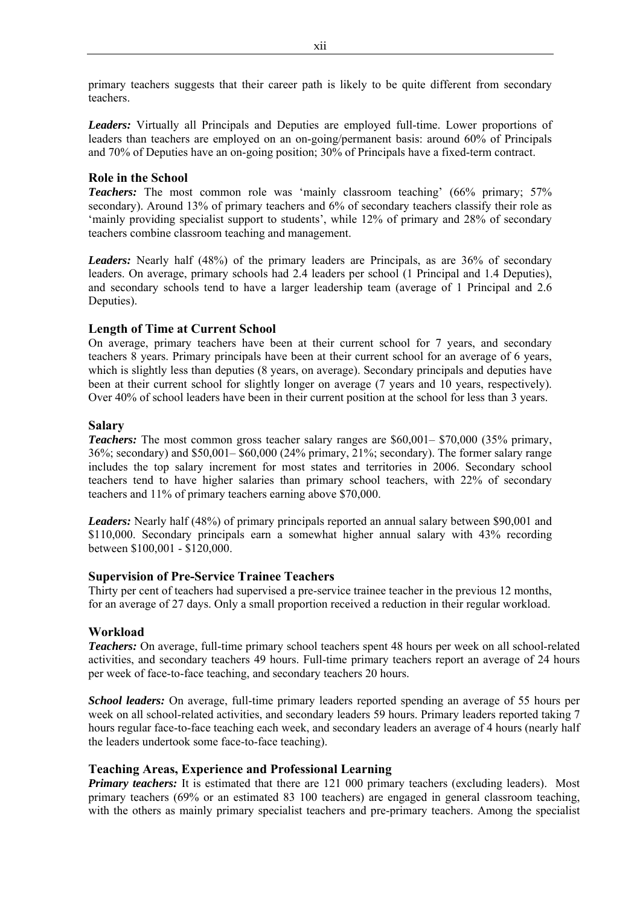primary teachers suggests that their career path is likely to be quite different from secondary teachers.

*Leaders:* Virtually all Principals and Deputies are employed full-time. Lower proportions of leaders than teachers are employed on an on-going/permanent basis: around 60% of Principals and 70% of Deputies have an on-going position; 30% of Principals have a fixed-term contract.

#### **Role in the School**

**Teachers:** The most common role was 'mainly classroom teaching' (66% primary; 57%) secondary). Around 13% of primary teachers and 6% of secondary teachers classify their role as 'mainly providing specialist support to students', while 12% of primary and 28% of secondary teachers combine classroom teaching and management.

*Leaders:* Nearly half (48%) of the primary leaders are Principals, as are 36% of secondary leaders. On average, primary schools had 2.4 leaders per school (1 Principal and 1.4 Deputies), and secondary schools tend to have a larger leadership team (average of 1 Principal and 2.6 Deputies).

## **Length of Time at Current School**

On average, primary teachers have been at their current school for 7 years, and secondary teachers 8 years. Primary principals have been at their current school for an average of 6 years, which is slightly less than deputies (8 years, on average). Secondary principals and deputies have been at their current school for slightly longer on average (7 years and 10 years, respectively). Over 40% of school leaders have been in their current position at the school for less than 3 years.

#### **Salary**

*Teachers:* The most common gross teacher salary ranges are \$60,001– \$70,000 (35% primary, 36%; secondary) and \$50,001– \$60,000 (24% primary, 21%; secondary). The former salary range includes the top salary increment for most states and territories in 2006. Secondary school teachers tend to have higher salaries than primary school teachers, with 22% of secondary teachers and 11% of primary teachers earning above \$70,000.

*Leaders:* Nearly half (48%) of primary principals reported an annual salary between \$90,001 and \$110,000. Secondary principals earn a somewhat higher annual salary with 43% recording between \$100,001 - \$120,000.

#### **Supervision of Pre-Service Trainee Teachers**

Thirty per cent of teachers had supervised a pre-service trainee teacher in the previous 12 months, for an average of 27 days. Only a small proportion received a reduction in their regular workload.

## **Workload**

*Teachers:* On average, full-time primary school teachers spent 48 hours per week on all school-related activities, and secondary teachers 49 hours. Full-time primary teachers report an average of 24 hours per week of face-to-face teaching, and secondary teachers 20 hours.

*School leaders:* On average, full-time primary leaders reported spending an average of 55 hours per week on all school-related activities, and secondary leaders 59 hours. Primary leaders reported taking 7 hours regular face-to-face teaching each week, and secondary leaders an average of 4 hours (nearly half the leaders undertook some face-to-face teaching).

#### **Teaching Areas, Experience and Professional Learning**

*Primary teachers:* It is estimated that there are 121 000 primary teachers (excluding leaders). Most primary teachers (69% or an estimated 83 100 teachers) are engaged in general classroom teaching, with the others as mainly primary specialist teachers and pre-primary teachers. Among the specialist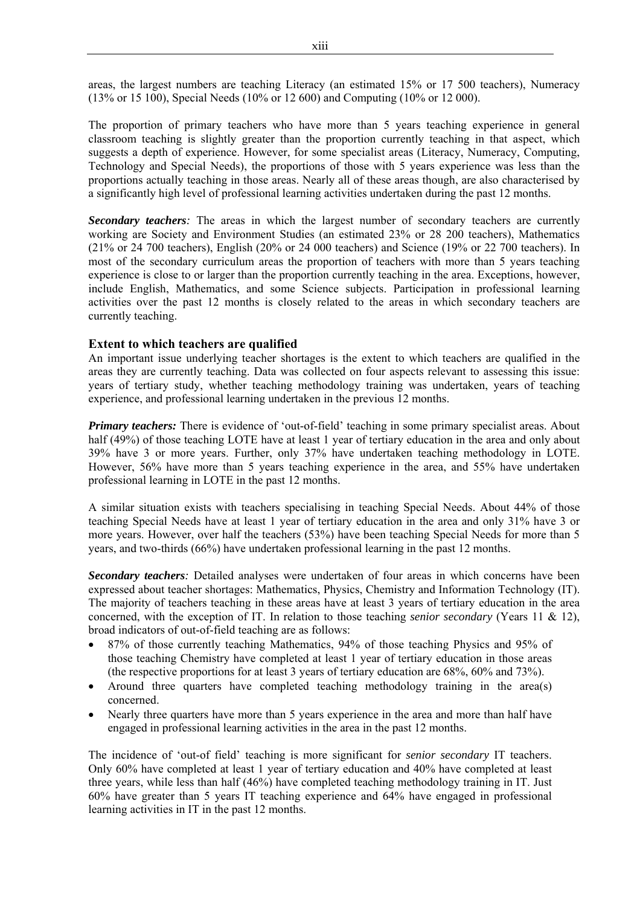areas, the largest numbers are teaching Literacy (an estimated 15% or 17 500 teachers), Numeracy (13% or 15 100), Special Needs (10% or 12 600) and Computing (10% or 12 000).

The proportion of primary teachers who have more than 5 years teaching experience in general classroom teaching is slightly greater than the proportion currently teaching in that aspect, which suggests a depth of experience. However, for some specialist areas (Literacy, Numeracy, Computing, Technology and Special Needs), the proportions of those with 5 years experience was less than the proportions actually teaching in those areas. Nearly all of these areas though, are also characterised by a significantly high level of professional learning activities undertaken during the past 12 months.

*Secondary teachers:* The areas in which the largest number of secondary teachers are currently working are Society and Environment Studies (an estimated 23% or 28 200 teachers), Mathematics (21% or 24 700 teachers), English (20% or 24 000 teachers) and Science (19% or 22 700 teachers). In most of the secondary curriculum areas the proportion of teachers with more than 5 years teaching experience is close to or larger than the proportion currently teaching in the area. Exceptions, however, include English, Mathematics, and some Science subjects. Participation in professional learning activities over the past 12 months is closely related to the areas in which secondary teachers are currently teaching.

#### **Extent to which teachers are qualified**

An important issue underlying teacher shortages is the extent to which teachers are qualified in the areas they are currently teaching. Data was collected on four aspects relevant to assessing this issue: years of tertiary study, whether teaching methodology training was undertaken, years of teaching experience, and professional learning undertaken in the previous 12 months.

*Primary teachers:* There is evidence of 'out-of-field' teaching in some primary specialist areas. About half (49%) of those teaching LOTE have at least 1 year of tertiary education in the area and only about 39% have 3 or more years. Further, only 37% have undertaken teaching methodology in LOTE. However, 56% have more than 5 years teaching experience in the area, and 55% have undertaken professional learning in LOTE in the past 12 months.

A similar situation exists with teachers specialising in teaching Special Needs. About 44% of those teaching Special Needs have at least 1 year of tertiary education in the area and only 31% have 3 or more years. However, over half the teachers (53%) have been teaching Special Needs for more than 5 years, and two-thirds (66%) have undertaken professional learning in the past 12 months.

*Secondary teachers:* Detailed analyses were undertaken of four areas in which concerns have been expressed about teacher shortages: Mathematics, Physics, Chemistry and Information Technology (IT). The majority of teachers teaching in these areas have at least 3 years of tertiary education in the area concerned, with the exception of IT. In relation to those teaching *senior secondary* (Years 11 & 12), broad indicators of out-of-field teaching are as follows:

- 87% of those currently teaching Mathematics, 94% of those teaching Physics and 95% of those teaching Chemistry have completed at least 1 year of tertiary education in those areas (the respective proportions for at least 3 years of tertiary education are 68%, 60% and 73%).
- Around three quarters have completed teaching methodology training in the area(s) concerned.
- Nearly three quarters have more than 5 years experience in the area and more than half have engaged in professional learning activities in the area in the past 12 months.

The incidence of 'out-of field' teaching is more significant for *senior secondary* IT teachers. Only 60% have completed at least 1 year of tertiary education and 40% have completed at least three years, while less than half (46%) have completed teaching methodology training in IT. Just 60% have greater than 5 years IT teaching experience and 64% have engaged in professional learning activities in IT in the past 12 months.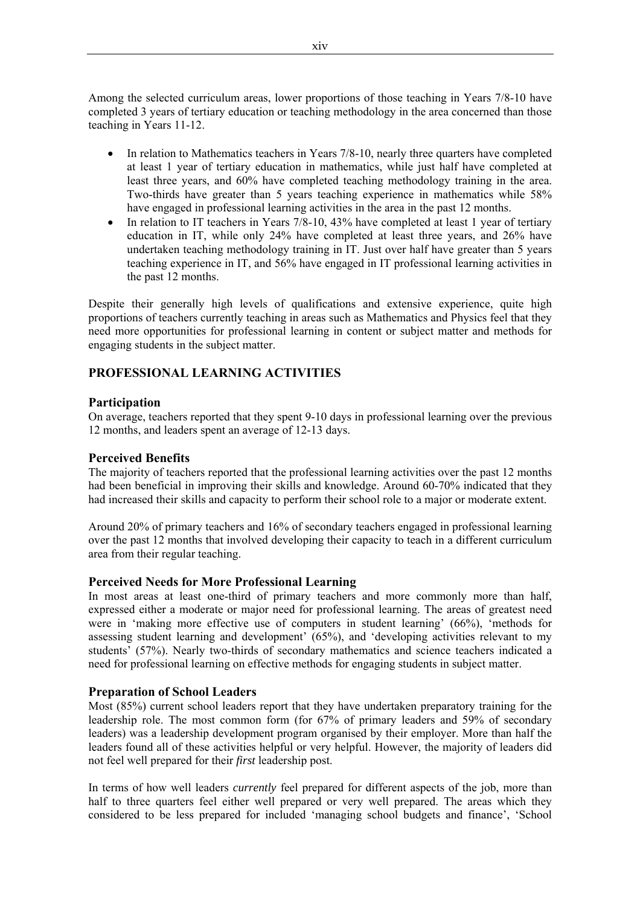Among the selected curriculum areas, lower proportions of those teaching in Years 7/8-10 have completed 3 years of tertiary education or teaching methodology in the area concerned than those teaching in Years 11-12.

- In relation to Mathematics teachers in Years 7/8-10, nearly three quarters have completed at least 1 year of tertiary education in mathematics, while just half have completed at least three years, and 60% have completed teaching methodology training in the area. Two-thirds have greater than 5 years teaching experience in mathematics while 58% have engaged in professional learning activities in the area in the past 12 months.
- In relation to IT teachers in Years 7/8-10, 43% have completed at least 1 year of tertiary education in IT, while only 24% have completed at least three years, and 26% have undertaken teaching methodology training in IT. Just over half have greater than 5 years teaching experience in IT, and 56% have engaged in IT professional learning activities in the past 12 months.

Despite their generally high levels of qualifications and extensive experience, quite high proportions of teachers currently teaching in areas such as Mathematics and Physics feel that they need more opportunities for professional learning in content or subject matter and methods for engaging students in the subject matter.

## **PROFESSIONAL LEARNING ACTIVITIES**

## **Participation**

On average, teachers reported that they spent 9-10 days in professional learning over the previous 12 months, and leaders spent an average of 12-13 days.

## **Perceived Benefits**

The majority of teachers reported that the professional learning activities over the past 12 months had been beneficial in improving their skills and knowledge. Around 60-70% indicated that they had increased their skills and capacity to perform their school role to a major or moderate extent.

Around 20% of primary teachers and 16% of secondary teachers engaged in professional learning over the past 12 months that involved developing their capacity to teach in a different curriculum area from their regular teaching.

#### **Perceived Needs for More Professional Learning**

In most areas at least one-third of primary teachers and more commonly more than half, expressed either a moderate or major need for professional learning. The areas of greatest need were in 'making more effective use of computers in student learning' (66%), 'methods for assessing student learning and development' (65%), and 'developing activities relevant to my students' (57%). Nearly two-thirds of secondary mathematics and science teachers indicated a need for professional learning on effective methods for engaging students in subject matter.

#### **Preparation of School Leaders**

Most (85%) current school leaders report that they have undertaken preparatory training for the leadership role. The most common form (for 67% of primary leaders and 59% of secondary leaders) was a leadership development program organised by their employer. More than half the leaders found all of these activities helpful or very helpful. However, the majority of leaders did not feel well prepared for their *first* leadership post.

In terms of how well leaders *currently* feel prepared for different aspects of the job, more than half to three quarters feel either well prepared or very well prepared. The areas which they considered to be less prepared for included 'managing school budgets and finance', 'School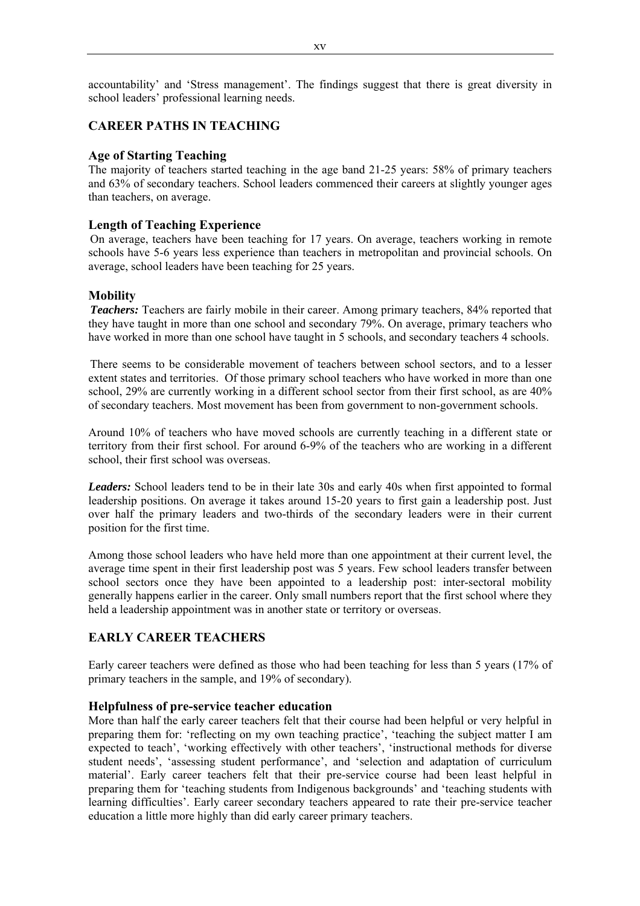accountability' and 'Stress management'. The findings suggest that there is great diversity in school leaders' professional learning needs.

## **CAREER PATHS IN TEACHING**

#### **Age of Starting Teaching**

The majority of teachers started teaching in the age band 21-25 years: 58% of primary teachers and 63% of secondary teachers. School leaders commenced their careers at slightly younger ages than teachers, on average.

## **Length of Teaching Experience**

On average, teachers have been teaching for 17 years. On average, teachers working in remote schools have 5-6 years less experience than teachers in metropolitan and provincial schools. On average, school leaders have been teaching for 25 years.

## **Mobility**

**Teachers:** Teachers are fairly mobile in their career. Among primary teachers, 84% reported that they have taught in more than one school and secondary 79%. On average, primary teachers who have worked in more than one school have taught in 5 schools, and secondary teachers 4 schools.

There seems to be considerable movement of teachers between school sectors, and to a lesser extent states and territories. Of those primary school teachers who have worked in more than one school, 29% are currently working in a different school sector from their first school, as are 40% of secondary teachers. Most movement has been from government to non-government schools.

Around 10% of teachers who have moved schools are currently teaching in a different state or territory from their first school. For around 6-9% of the teachers who are working in a different school, their first school was overseas.

*Leaders:* School leaders tend to be in their late 30s and early 40s when first appointed to formal leadership positions. On average it takes around 15-20 years to first gain a leadership post. Just over half the primary leaders and two-thirds of the secondary leaders were in their current position for the first time.

Among those school leaders who have held more than one appointment at their current level, the average time spent in their first leadership post was 5 years. Few school leaders transfer between school sectors once they have been appointed to a leadership post: inter-sectoral mobility generally happens earlier in the career. Only small numbers report that the first school where they held a leadership appointment was in another state or territory or overseas.

## **EARLY CAREER TEACHERS**

Early career teachers were defined as those who had been teaching for less than 5 years (17% of primary teachers in the sample, and 19% of secondary).

#### **Helpfulness of pre-service teacher education**

More than half the early career teachers felt that their course had been helpful or very helpful in preparing them for: 'reflecting on my own teaching practice', 'teaching the subject matter I am expected to teach', 'working effectively with other teachers', 'instructional methods for diverse student needs', 'assessing student performance', and 'selection and adaptation of curriculum material'. Early career teachers felt that their pre-service course had been least helpful in preparing them for 'teaching students from Indigenous backgrounds' and 'teaching students with learning difficulties'. Early career secondary teachers appeared to rate their pre-service teacher education a little more highly than did early career primary teachers.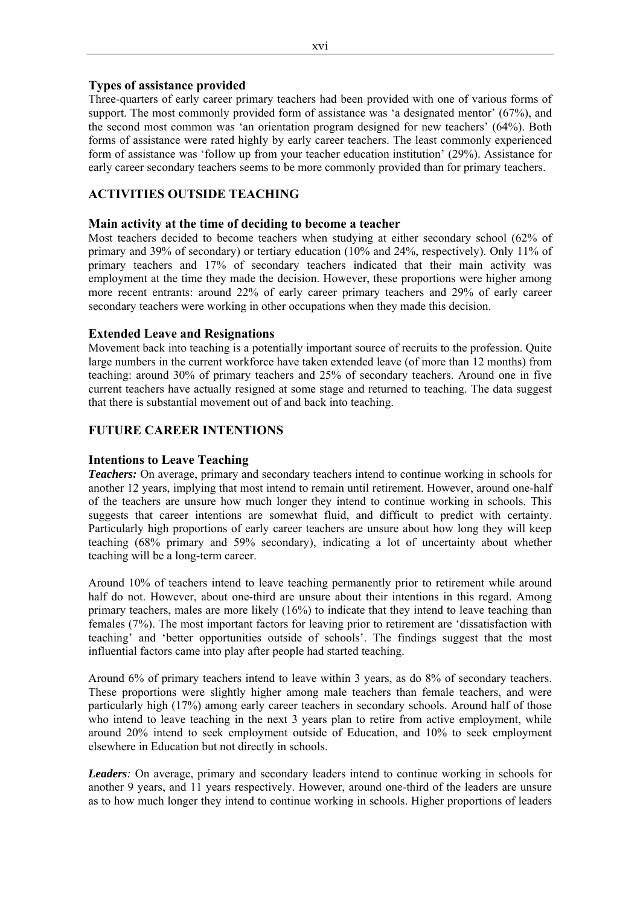## **Types of assistance provided**

Three-quarters of early career primary teachers had been provided with one of various forms of support. The most commonly provided form of assistance was 'a designated mentor' (67%), and the second most common was 'an orientation program designed for new teachers' (64%). Both forms of assistance were rated highly by early career teachers. The least commonly experienced form of assistance was 'follow up from your teacher education institution' (29%). Assistance for early career secondary teachers seems to be more commonly provided than for primary teachers.

## **ACTIVITIES OUTSIDE TEACHING**

## **Main activity at the time of deciding to become a teacher**

Most teachers decided to become teachers when studying at either secondary school (62% of primary and 39% of secondary) or tertiary education (10% and 24%, respectively). Only 11% of primary teachers and 17% of secondary teachers indicated that their main activity was employment at the time they made the decision. However, these proportions were higher among more recent entrants: around 22% of early career primary teachers and 29% of early career secondary teachers were working in other occupations when they made this decision.

## **Extended Leave and Resignations**

Movement back into teaching is a potentially important source of recruits to the profession. Quite large numbers in the current workforce have taken extended leave (of more than 12 months) from teaching: around 30% of primary teachers and 25% of secondary teachers. Around one in five current teachers have actually resigned at some stage and returned to teaching. The data suggest that there is substantial movement out of and back into teaching.

## **FUTURE CAREER INTENTIONS**

## **Intentions to Leave Teaching**

*Teachers:* On average, primary and secondary teachers intend to continue working in schools for another 12 years, implying that most intend to remain until retirement. However, around one-half of the teachers are unsure how much longer they intend to continue working in schools. This suggests that career intentions are somewhat fluid, and difficult to predict with certainty. Particularly high proportions of early career teachers are unsure about how long they will keep teaching (68% primary and 59% secondary), indicating a lot of uncertainty about whether teaching will be a long-term career.

Around 10% of teachers intend to leave teaching permanently prior to retirement while around half do not. However, about one-third are unsure about their intentions in this regard. Among primary teachers, males are more likely (16%) to indicate that they intend to leave teaching than females (7%). The most important factors for leaving prior to retirement are 'dissatisfaction with teaching' and 'better opportunities outside of schools'. The findings suggest that the most influential factors came into play after people had started teaching.

Around 6% of primary teachers intend to leave within 3 years, as do 8% of secondary teachers. These proportions were slightly higher among male teachers than female teachers, and were particularly high (17%) among early career teachers in secondary schools. Around half of those who intend to leave teaching in the next 3 years plan to retire from active employment, while around 20% intend to seek employment outside of Education, and 10% to seek employment elsewhere in Education but not directly in schools.

*Leaders:* On average, primary and secondary leaders intend to continue working in schools for another 9 years, and 11 years respectively. However, around one-third of the leaders are unsure as to how much longer they intend to continue working in schools. Higher proportions of leaders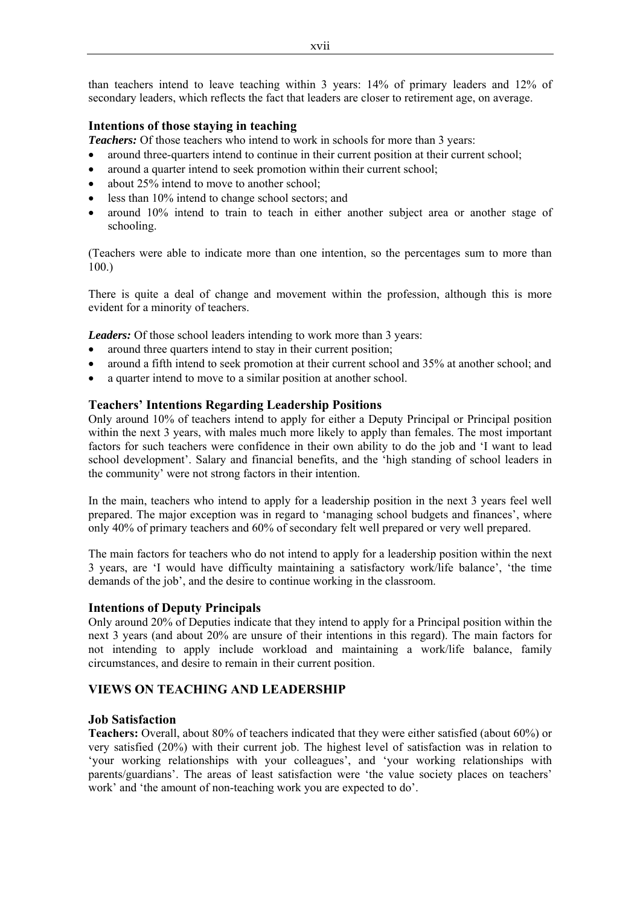than teachers intend to leave teaching within 3 years: 14% of primary leaders and 12% of secondary leaders, which reflects the fact that leaders are closer to retirement age, on average.

## **Intentions of those staying in teaching**

*Teachers:* Of those teachers who intend to work in schools for more than 3 years:

- around three-quarters intend to continue in their current position at their current school;
- around a quarter intend to seek promotion within their current school;
- about 25% intend to move to another school:
- less than 10% intend to change school sectors; and
- around 10% intend to train to teach in either another subject area or another stage of schooling.

(Teachers were able to indicate more than one intention, so the percentages sum to more than 100.)

There is quite a deal of change and movement within the profession, although this is more evident for a minority of teachers.

*Leaders:* Of those school leaders intending to work more than 3 years:

- around three quarters intend to stay in their current position;
- around a fifth intend to seek promotion at their current school and 35% at another school; and
- a quarter intend to move to a similar position at another school.

## **Teachers' Intentions Regarding Leadership Positions**

Only around 10% of teachers intend to apply for either a Deputy Principal or Principal position within the next 3 years, with males much more likely to apply than females. The most important factors for such teachers were confidence in their own ability to do the job and 'I want to lead school development'. Salary and financial benefits, and the 'high standing of school leaders in the community' were not strong factors in their intention.

In the main, teachers who intend to apply for a leadership position in the next 3 years feel well prepared. The major exception was in regard to 'managing school budgets and finances', where only 40% of primary teachers and 60% of secondary felt well prepared or very well prepared.

The main factors for teachers who do not intend to apply for a leadership position within the next 3 years, are 'I would have difficulty maintaining a satisfactory work/life balance', 'the time demands of the job', and the desire to continue working in the classroom.

#### **Intentions of Deputy Principals**

Only around 20% of Deputies indicate that they intend to apply for a Principal position within the next 3 years (and about 20% are unsure of their intentions in this regard). The main factors for not intending to apply include workload and maintaining a work/life balance, family circumstances, and desire to remain in their current position.

## **VIEWS ON TEACHING AND LEADERSHIP**

#### **Job Satisfaction**

**Teachers:** Overall, about 80% of teachers indicated that they were either satisfied (about 60%) or very satisfied (20%) with their current job. The highest level of satisfaction was in relation to 'your working relationships with your colleagues', and 'your working relationships with parents/guardians'. The areas of least satisfaction were 'the value society places on teachers' work' and 'the amount of non-teaching work you are expected to do'.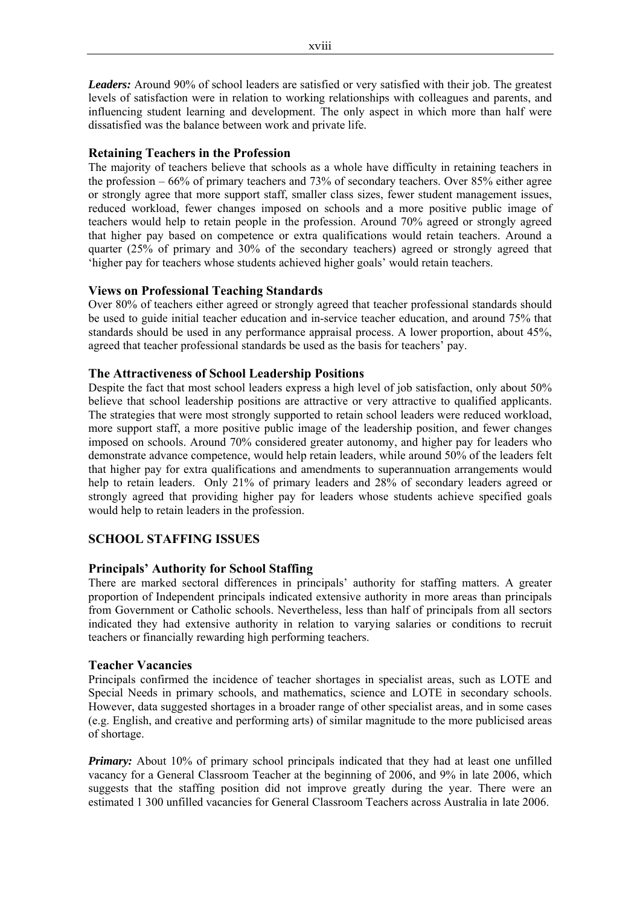*Leaders:* Around 90% of school leaders are satisfied or very satisfied with their job. The greatest levels of satisfaction were in relation to working relationships with colleagues and parents, and influencing student learning and development. The only aspect in which more than half were dissatisfied was the balance between work and private life.

## **Retaining Teachers in the Profession**

The majority of teachers believe that schools as a whole have difficulty in retaining teachers in the profession – 66% of primary teachers and 73% of secondary teachers. Over 85% either agree or strongly agree that more support staff, smaller class sizes, fewer student management issues, reduced workload, fewer changes imposed on schools and a more positive public image of teachers would help to retain people in the profession. Around 70% agreed or strongly agreed that higher pay based on competence or extra qualifications would retain teachers. Around a quarter (25% of primary and 30% of the secondary teachers) agreed or strongly agreed that 'higher pay for teachers whose students achieved higher goals' would retain teachers.

## **Views on Professional Teaching Standards**

Over 80% of teachers either agreed or strongly agreed that teacher professional standards should be used to guide initial teacher education and in-service teacher education, and around 75% that standards should be used in any performance appraisal process. A lower proportion, about 45%, agreed that teacher professional standards be used as the basis for teachers' pay.

## **The Attractiveness of School Leadership Positions**

Despite the fact that most school leaders express a high level of job satisfaction, only about 50% believe that school leadership positions are attractive or very attractive to qualified applicants. The strategies that were most strongly supported to retain school leaders were reduced workload, more support staff, a more positive public image of the leadership position, and fewer changes imposed on schools. Around 70% considered greater autonomy, and higher pay for leaders who demonstrate advance competence, would help retain leaders, while around 50% of the leaders felt that higher pay for extra qualifications and amendments to superannuation arrangements would help to retain leaders. Only 21% of primary leaders and 28% of secondary leaders agreed or strongly agreed that providing higher pay for leaders whose students achieve specified goals would help to retain leaders in the profession.

## **SCHOOL STAFFING ISSUES**

## **Principals' Authority for School Staffing**

There are marked sectoral differences in principals' authority for staffing matters. A greater proportion of Independent principals indicated extensive authority in more areas than principals from Government or Catholic schools. Nevertheless, less than half of principals from all sectors indicated they had extensive authority in relation to varying salaries or conditions to recruit teachers or financially rewarding high performing teachers.

#### **Teacher Vacancies**

Principals confirmed the incidence of teacher shortages in specialist areas, such as LOTE and Special Needs in primary schools, and mathematics, science and LOTE in secondary schools. However, data suggested shortages in a broader range of other specialist areas, and in some cases (e.g. English, and creative and performing arts) of similar magnitude to the more publicised areas of shortage.

*Primary:* About 10% of primary school principals indicated that they had at least one unfilled vacancy for a General Classroom Teacher at the beginning of 2006, and 9% in late 2006, which suggests that the staffing position did not improve greatly during the year. There were an estimated 1 300 unfilled vacancies for General Classroom Teachers across Australia in late 2006.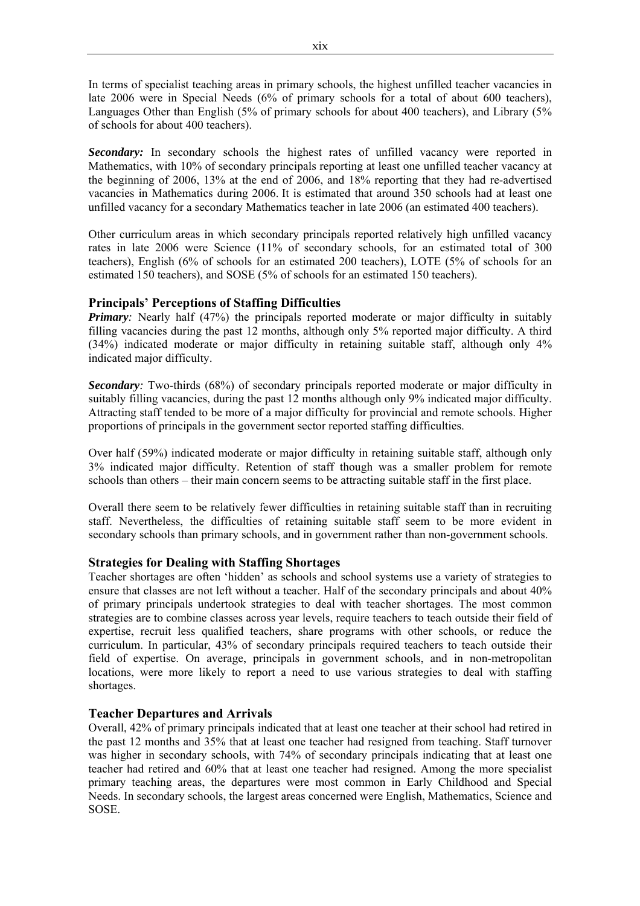In terms of specialist teaching areas in primary schools, the highest unfilled teacher vacancies in late 2006 were in Special Needs (6% of primary schools for a total of about 600 teachers), Languages Other than English (5% of primary schools for about 400 teachers), and Library (5% of schools for about 400 teachers).

Secondary: In secondary schools the highest rates of unfilled vacancy were reported in Mathematics, with 10% of secondary principals reporting at least one unfilled teacher vacancy at the beginning of 2006, 13% at the end of 2006, and 18% reporting that they had re-advertised vacancies in Mathematics during 2006. It is estimated that around 350 schools had at least one unfilled vacancy for a secondary Mathematics teacher in late 2006 (an estimated 400 teachers).

Other curriculum areas in which secondary principals reported relatively high unfilled vacancy rates in late 2006 were Science (11% of secondary schools, for an estimated total of 300 teachers), English (6% of schools for an estimated 200 teachers), LOTE (5% of schools for an estimated 150 teachers), and SOSE (5% of schools for an estimated 150 teachers).

## **Principals' Perceptions of Staffing Difficulties**

*Primary*: Nearly half (47%) the principals reported moderate or major difficulty in suitably filling vacancies during the past 12 months, although only 5% reported major difficulty. A third (34%) indicated moderate or major difficulty in retaining suitable staff, although only 4% indicated major difficulty.

*Secondary:* Two-thirds (68%) of secondary principals reported moderate or major difficulty in suitably filling vacancies, during the past 12 months although only 9% indicated major difficulty. Attracting staff tended to be more of a major difficulty for provincial and remote schools. Higher proportions of principals in the government sector reported staffing difficulties.

Over half (59%) indicated moderate or major difficulty in retaining suitable staff, although only 3% indicated major difficulty. Retention of staff though was a smaller problem for remote schools than others – their main concern seems to be attracting suitable staff in the first place.

Overall there seem to be relatively fewer difficulties in retaining suitable staff than in recruiting staff. Nevertheless, the difficulties of retaining suitable staff seem to be more evident in secondary schools than primary schools, and in government rather than non-government schools.

#### **Strategies for Dealing with Staffing Shortages**

Teacher shortages are often 'hidden' as schools and school systems use a variety of strategies to ensure that classes are not left without a teacher. Half of the secondary principals and about 40% of primary principals undertook strategies to deal with teacher shortages. The most common strategies are to combine classes across year levels, require teachers to teach outside their field of expertise, recruit less qualified teachers, share programs with other schools, or reduce the curriculum. In particular, 43% of secondary principals required teachers to teach outside their field of expertise. On average, principals in government schools, and in non-metropolitan locations, were more likely to report a need to use various strategies to deal with staffing shortages.

#### **Teacher Departures and Arrivals**

Overall, 42% of primary principals indicated that at least one teacher at their school had retired in the past 12 months and 35% that at least one teacher had resigned from teaching. Staff turnover was higher in secondary schools, with 74% of secondary principals indicating that at least one teacher had retired and 60% that at least one teacher had resigned. Among the more specialist primary teaching areas, the departures were most common in Early Childhood and Special Needs. In secondary schools, the largest areas concerned were English, Mathematics, Science and SOSE.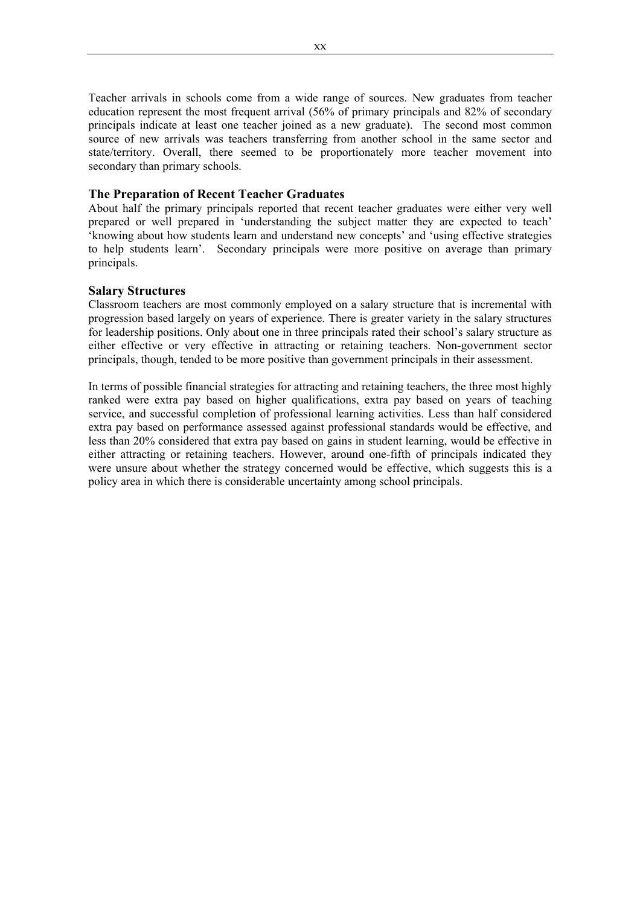Teacher arrivals in schools come from a wide range of sources. New graduates from teacher education represent the most frequent arrival (56% of primary principals and 82% of secondary principals indicate at least one teacher joined as a new graduate). The second most common source of new arrivals was teachers transferring from another school in the same sector and state/territory. Overall, there seemed to be proportionately more teacher movement into secondary than primary schools.

#### **The Preparation of Recent Teacher Graduates**

About half the primary principals reported that recent teacher graduates were either very well prepared or well prepared in 'understanding the subject matter they are expected to teach' 'knowing about how students learn and understand new concepts' and 'using effective strategies to help students learn'. Secondary principals were more positive on average than primary principals.

## **Salary Structures**

Classroom teachers are most commonly employed on a salary structure that is incremental with progression based largely on years of experience. There is greater variety in the salary structures for leadership positions. Only about one in three principals rated their school's salary structure as either effective or very effective in attracting or retaining teachers. Non-government sector principals, though, tended to be more positive than government principals in their assessment.

In terms of possible financial strategies for attracting and retaining teachers, the three most highly ranked were extra pay based on higher qualifications, extra pay based on years of teaching service, and successful completion of professional learning activities. Less than half considered extra pay based on performance assessed against professional standards would be effective, and less than 20% considered that extra pay based on gains in student learning, would be effective in either attracting or retaining teachers. However, around one-fifth of principals indicated they were unsure about whether the strategy concerned would be effective, which suggests this is a policy area in which there is considerable uncertainty among school principals.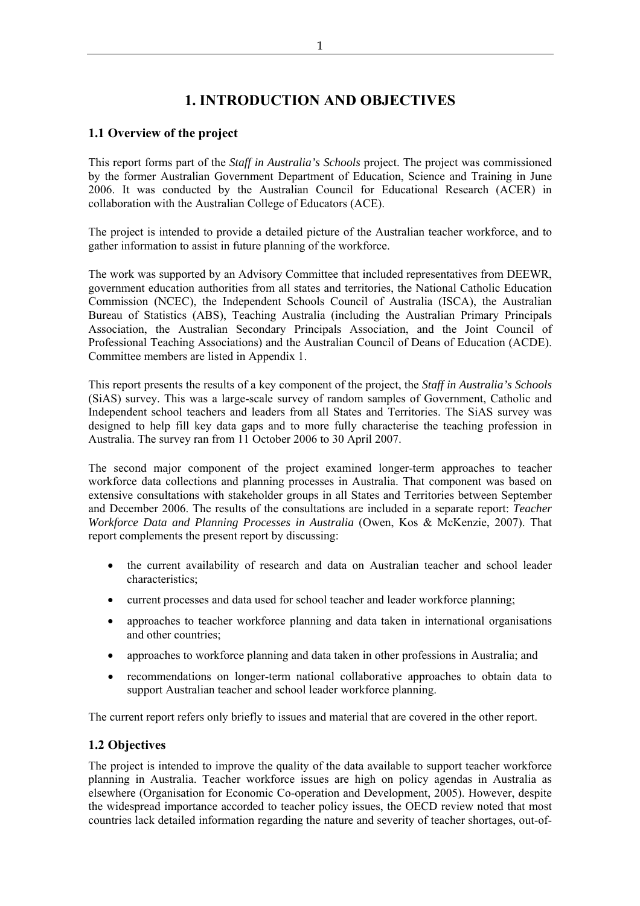## **1. INTRODUCTION AND OBJECTIVES**

## **1.1 Overview of the project**

This report forms part of the *Staff in Australia's Schools* project. The project was commissioned by the former Australian Government Department of Education, Science and Training in June 2006. It was conducted by the Australian Council for Educational Research (ACER) in collaboration with the Australian College of Educators (ACE).

The project is intended to provide a detailed picture of the Australian teacher workforce, and to gather information to assist in future planning of the workforce.

The work was supported by an Advisory Committee that included representatives from DEEWR, government education authorities from all states and territories, the National Catholic Education Commission (NCEC), the Independent Schools Council of Australia (ISCA), the Australian Bureau of Statistics (ABS), Teaching Australia (including the Australian Primary Principals Association, the Australian Secondary Principals Association, and the Joint Council of Professional Teaching Associations) and the Australian Council of Deans of Education (ACDE). Committee members are listed in Appendix 1.

This report presents the results of a key component of the project, the *Staff in Australia's Schools*  (SiAS) survey. This was a large-scale survey of random samples of Government, Catholic and Independent school teachers and leaders from all States and Territories. The SiAS survey was designed to help fill key data gaps and to more fully characterise the teaching profession in Australia. The survey ran from 11 October 2006 to 30 April 2007.

The second major component of the project examined longer-term approaches to teacher workforce data collections and planning processes in Australia. That component was based on extensive consultations with stakeholder groups in all States and Territories between September and December 2006. The results of the consultations are included in a separate report: *Teacher Workforce Data and Planning Processes in Australia* (Owen, Kos & McKenzie, 2007). That report complements the present report by discussing:

- the current availability of research and data on Australian teacher and school leader characteristics;
- current processes and data used for school teacher and leader workforce planning;
- approaches to teacher workforce planning and data taken in international organisations and other countries;
- approaches to workforce planning and data taken in other professions in Australia; and
- recommendations on longer-term national collaborative approaches to obtain data to support Australian teacher and school leader workforce planning.

The current report refers only briefly to issues and material that are covered in the other report.

## **1.2 Objectives**

The project is intended to improve the quality of the data available to support teacher workforce planning in Australia. Teacher workforce issues are high on policy agendas in Australia as elsewhere (Organisation for Economic Co-operation and Development, 2005). However, despite the widespread importance accorded to teacher policy issues, the OECD review noted that most countries lack detailed information regarding the nature and severity of teacher shortages, out-of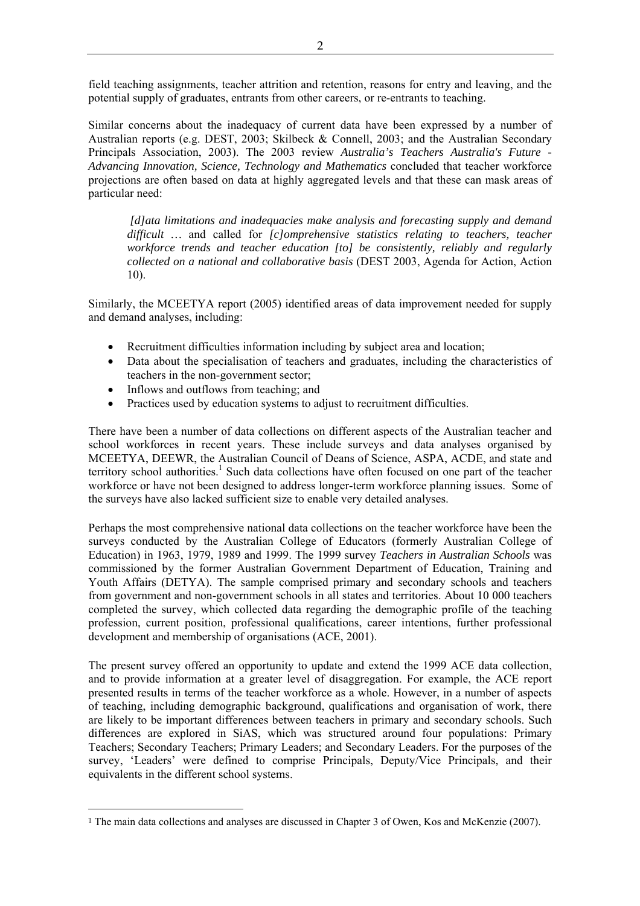field teaching assignments, teacher attrition and retention, reasons for entry and leaving, and the potential supply of graduates, entrants from other careers, or re-entrants to teaching.

Similar concerns about the inadequacy of current data have been expressed by a number of Australian reports (e.g. DEST, 2003; Skilbeck & Connell, 2003; and the Australian Secondary Principals Association, 2003). The 2003 review *Australia's Teachers Australia's Future - Advancing Innovation, Science, Technology and Mathematics* concluded that teacher workforce projections are often based on data at highly aggregated levels and that these can mask areas of particular need:

 *[d]ata limitations and inadequacies make analysis and forecasting supply and demand difficult …* and called for *[c]omprehensive statistics relating to teachers, teacher workforce trends and teacher education [to] be consistently, reliably and regularly collected on a national and collaborative basis* (DEST 2003, Agenda for Action, Action 10).

Similarly, the MCEETYA report (2005) identified areas of data improvement needed for supply and demand analyses, including:

- Recruitment difficulties information including by subject area and location;
- Data about the specialisation of teachers and graduates, including the characteristics of teachers in the non-government sector;
- Inflows and outflows from teaching; and

 $\overline{a}$ 

• Practices used by education systems to adjust to recruitment difficulties.

There have been a number of data collections on different aspects of the Australian teacher and school workforces in recent years. These include surveys and data analyses organised by MCEETYA, DEEWR, the Australian Council of Deans of Science, ASPA, ACDE, and state and territory school authorities.<sup>1</sup> Such data collections have often focused on one part of the teacher workforce or have not been designed to address longer-term workforce planning issues. Some of the surveys have also lacked sufficient size to enable very detailed analyses.

Perhaps the most comprehensive national data collections on the teacher workforce have been the surveys conducted by the Australian College of Educators (formerly Australian College of Education) in 1963, 1979, 1989 and 1999. The 1999 survey *Teachers in Australian Schools* was commissioned by the former Australian Government Department of Education, Training and Youth Affairs (DETYA). The sample comprised primary and secondary schools and teachers from government and non-government schools in all states and territories. About 10 000 teachers completed the survey, which collected data regarding the demographic profile of the teaching profession, current position, professional qualifications, career intentions, further professional development and membership of organisations (ACE, 2001).

The present survey offered an opportunity to update and extend the 1999 ACE data collection, and to provide information at a greater level of disaggregation. For example, the ACE report presented results in terms of the teacher workforce as a whole. However, in a number of aspects of teaching, including demographic background, qualifications and organisation of work, there are likely to be important differences between teachers in primary and secondary schools. Such differences are explored in SiAS, which was structured around four populations: Primary Teachers; Secondary Teachers; Primary Leaders; and Secondary Leaders. For the purposes of the survey, 'Leaders' were defined to comprise Principals, Deputy/Vice Principals, and their equivalents in the different school systems.

<sup>1</sup> The main data collections and analyses are discussed in Chapter 3 of Owen, Kos and McKenzie (2007).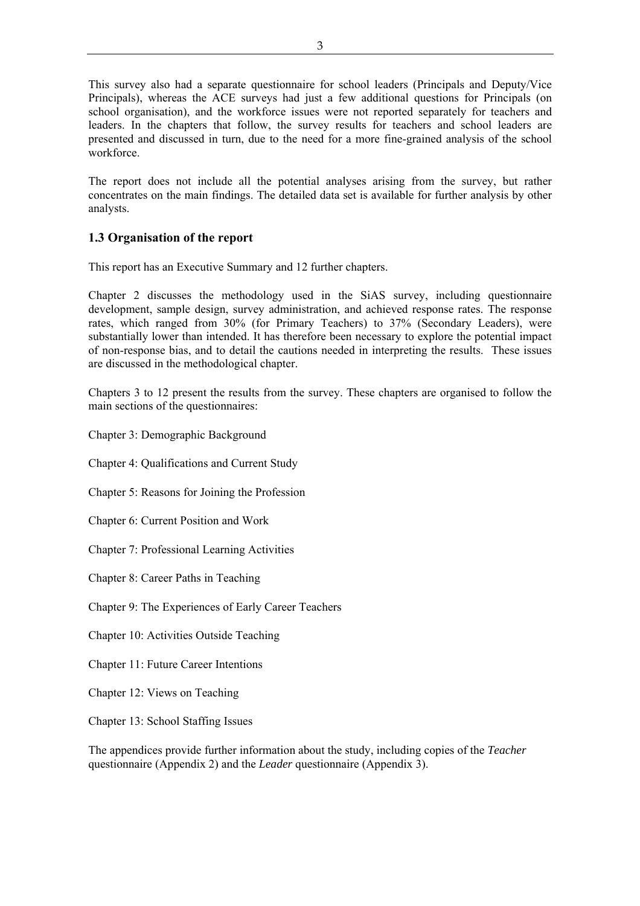This survey also had a separate questionnaire for school leaders (Principals and Deputy/Vice Principals), whereas the ACE surveys had just a few additional questions for Principals (on school organisation), and the workforce issues were not reported separately for teachers and leaders. In the chapters that follow, the survey results for teachers and school leaders are presented and discussed in turn, due to the need for a more fine-grained analysis of the school workforce.

The report does not include all the potential analyses arising from the survey, but rather concentrates on the main findings. The detailed data set is available for further analysis by other analysts.

## **1.3 Organisation of the report**

This report has an Executive Summary and 12 further chapters.

Chapter 2 discusses the methodology used in the SiAS survey, including questionnaire development, sample design, survey administration, and achieved response rates. The response rates, which ranged from 30% (for Primary Teachers) to 37% (Secondary Leaders), were substantially lower than intended. It has therefore been necessary to explore the potential impact of non-response bias, and to detail the cautions needed in interpreting the results. These issues are discussed in the methodological chapter.

Chapters 3 to 12 present the results from the survey. These chapters are organised to follow the main sections of the questionnaires:

- Chapter 3: Demographic Background
- Chapter 4: Qualifications and Current Study
- Chapter 5: Reasons for Joining the Profession
- Chapter 6: Current Position and Work
- Chapter 7: Professional Learning Activities
- Chapter 8: Career Paths in Teaching
- Chapter 9: The Experiences of Early Career Teachers
- Chapter 10: Activities Outside Teaching
- Chapter 11: Future Career Intentions
- Chapter 12: Views on Teaching
- Chapter 13: School Staffing Issues

The appendices provide further information about the study, including copies of the *Teacher* questionnaire (Appendix 2) and the *Leader* questionnaire (Appendix 3).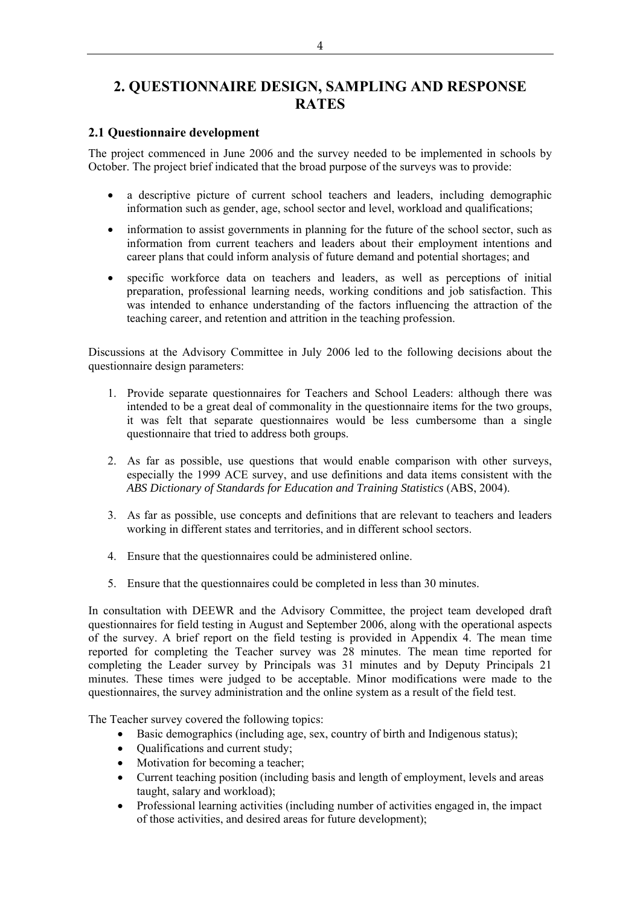## **2. QUESTIONNAIRE DESIGN, SAMPLING AND RESPONSE RATES**

## **2.1 Questionnaire development**

The project commenced in June 2006 and the survey needed to be implemented in schools by October. The project brief indicated that the broad purpose of the surveys was to provide:

- a descriptive picture of current school teachers and leaders, including demographic information such as gender, age, school sector and level, workload and qualifications;
- information to assist governments in planning for the future of the school sector, such as information from current teachers and leaders about their employment intentions and career plans that could inform analysis of future demand and potential shortages; and
- specific workforce data on teachers and leaders, as well as perceptions of initial preparation, professional learning needs, working conditions and job satisfaction. This was intended to enhance understanding of the factors influencing the attraction of the teaching career, and retention and attrition in the teaching profession.

Discussions at the Advisory Committee in July 2006 led to the following decisions about the questionnaire design parameters:

- 1. Provide separate questionnaires for Teachers and School Leaders: although there was intended to be a great deal of commonality in the questionnaire items for the two groups, it was felt that separate questionnaires would be less cumbersome than a single questionnaire that tried to address both groups.
- 2. As far as possible, use questions that would enable comparison with other surveys, especially the 1999 ACE survey, and use definitions and data items consistent with the *ABS Dictionary of Standards for Education and Training Statistics* (ABS, 2004).
- 3. As far as possible, use concepts and definitions that are relevant to teachers and leaders working in different states and territories, and in different school sectors.
- 4. Ensure that the questionnaires could be administered online.
- 5. Ensure that the questionnaires could be completed in less than 30 minutes.

In consultation with DEEWR and the Advisory Committee, the project team developed draft questionnaires for field testing in August and September 2006, along with the operational aspects of the survey. A brief report on the field testing is provided in Appendix 4. The mean time reported for completing the Teacher survey was 28 minutes. The mean time reported for completing the Leader survey by Principals was 31 minutes and by Deputy Principals 21 minutes. These times were judged to be acceptable. Minor modifications were made to the questionnaires, the survey administration and the online system as a result of the field test.

The Teacher survey covered the following topics:

- Basic demographics (including age, sex, country of birth and Indigenous status);
- Qualifications and current study;
- Motivation for becoming a teacher;
- Current teaching position (including basis and length of employment, levels and areas taught, salary and workload);
- Professional learning activities (including number of activities engaged in, the impact of those activities, and desired areas for future development);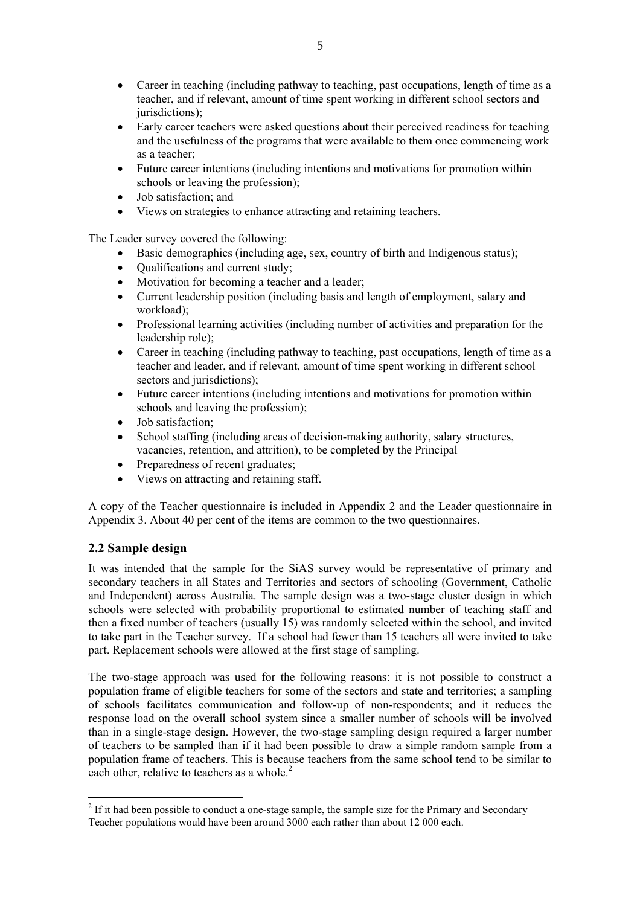- Career in teaching (including pathway to teaching, past occupations, length of time as a teacher, and if relevant, amount of time spent working in different school sectors and jurisdictions);
- Early career teachers were asked questions about their perceived readiness for teaching and the usefulness of the programs that were available to them once commencing work as a teacher;
- Future career intentions (including intentions and motivations for promotion within schools or leaving the profession);
- Job satisfaction; and
- Views on strategies to enhance attracting and retaining teachers.

The Leader survey covered the following:

- Basic demographics (including age, sex, country of birth and Indigenous status);
- Oualifications and current study;
- Motivation for becoming a teacher and a leader;
- Current leadership position (including basis and length of employment, salary and workload);
- Professional learning activities (including number of activities and preparation for the leadership role);
- Career in teaching (including pathway to teaching, past occupations, length of time as a teacher and leader, and if relevant, amount of time spent working in different school sectors and jurisdictions);
- Future career intentions (including intentions and motivations for promotion within schools and leaving the profession);
- Job satisfaction;
- School staffing (including areas of decision-making authority, salary structures, vacancies, retention, and attrition), to be completed by the Principal
- Preparedness of recent graduates;
- Views on attracting and retaining staff.

A copy of the Teacher questionnaire is included in Appendix 2 and the Leader questionnaire in Appendix 3. About 40 per cent of the items are common to the two questionnaires.

## **2.2 Sample design**

 $\overline{a}$ 

It was intended that the sample for the SiAS survey would be representative of primary and secondary teachers in all States and Territories and sectors of schooling (Government, Catholic and Independent) across Australia. The sample design was a two-stage cluster design in which schools were selected with probability proportional to estimated number of teaching staff and then a fixed number of teachers (usually 15) was randomly selected within the school, and invited to take part in the Teacher survey. If a school had fewer than 15 teachers all were invited to take part. Replacement schools were allowed at the first stage of sampling.

The two-stage approach was used for the following reasons: it is not possible to construct a population frame of eligible teachers for some of the sectors and state and territories; a sampling of schools facilitates communication and follow-up of non-respondents; and it reduces the response load on the overall school system since a smaller number of schools will be involved than in a single-stage design. However, the two-stage sampling design required a larger number of teachers to be sampled than if it had been possible to draw a simple random sample from a population frame of teachers. This is because teachers from the same school tend to be similar to each other, relative to teachers as a whole.<sup>2</sup>

 $2^2$  If it had been possible to conduct a one-stage sample, the sample size for the Primary and Secondary Teacher populations would have been around 3000 each rather than about 12 000 each.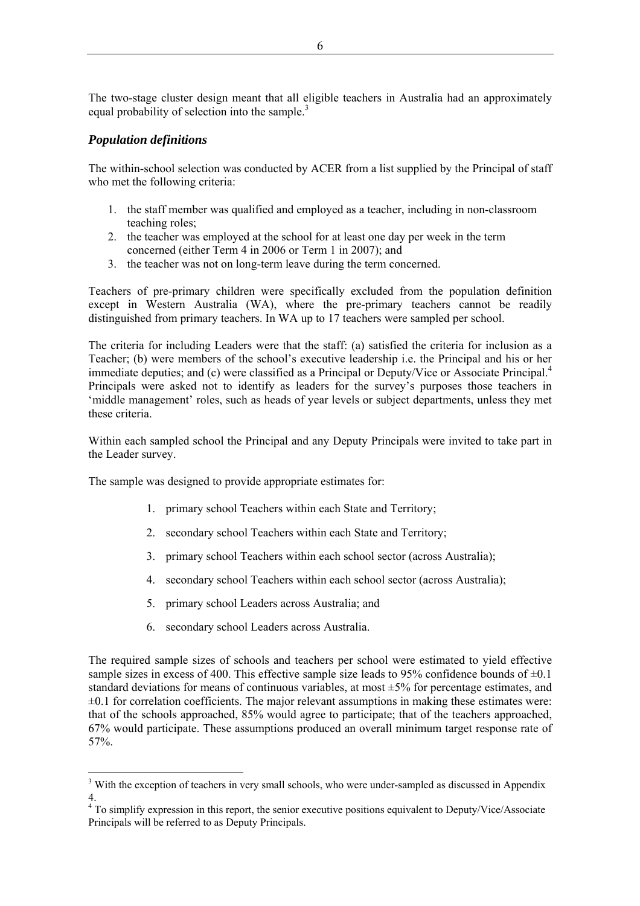The two-stage cluster design meant that all eligible teachers in Australia had an approximately equal probability of selection into the sample.<sup>3</sup>

## *Population definitions*

 $\overline{a}$ 

The within-school selection was conducted by ACER from a list supplied by the Principal of staff who met the following criteria:

- 1. the staff member was qualified and employed as a teacher, including in non-classroom teaching roles;
- 2. the teacher was employed at the school for at least one day per week in the term concerned (either Term 4 in 2006 or Term 1 in 2007); and
- 3. the teacher was not on long-term leave during the term concerned.

Teachers of pre-primary children were specifically excluded from the population definition except in Western Australia (WA), where the pre-primary teachers cannot be readily distinguished from primary teachers. In WA up to 17 teachers were sampled per school.

The criteria for including Leaders were that the staff: (a) satisfied the criteria for inclusion as a Teacher; (b) were members of the school's executive leadership i.e. the Principal and his or her immediate deputies; and (c) were classified as a Principal or Deputy/Vice or Associate Principal.<sup>4</sup> Principals were asked not to identify as leaders for the survey's purposes those teachers in 'middle management' roles, such as heads of year levels or subject departments, unless they met these criteria.

Within each sampled school the Principal and any Deputy Principals were invited to take part in the Leader survey.

The sample was designed to provide appropriate estimates for:

- 1. primary school Teachers within each State and Territory;
- 2. secondary school Teachers within each State and Territory;
- 3. primary school Teachers within each school sector (across Australia);
- 4. secondary school Teachers within each school sector (across Australia);
- 5. primary school Leaders across Australia; and
- 6. secondary school Leaders across Australia.

The required sample sizes of schools and teachers per school were estimated to yield effective sample sizes in excess of 400. This effective sample size leads to 95% confidence bounds of  $\pm 0.1$ standard deviations for means of continuous variables, at most  $\pm 5\%$  for percentage estimates, and  $\pm 0.1$  for correlation coefficients. The major relevant assumptions in making these estimates were: that of the schools approached, 85% would agree to participate; that of the teachers approached, 67% would participate. These assumptions produced an overall minimum target response rate of 57%.

<sup>&</sup>lt;sup>3</sup> With the exception of teachers in very small schools, who were under-sampled as discussed in Appendix

<sup>4.&</sup>lt;br><sup>4</sup> To simplify expression in this report, the senior executive positions equivalent to Deputy/Vice/Associate Principals will be referred to as Deputy Principals.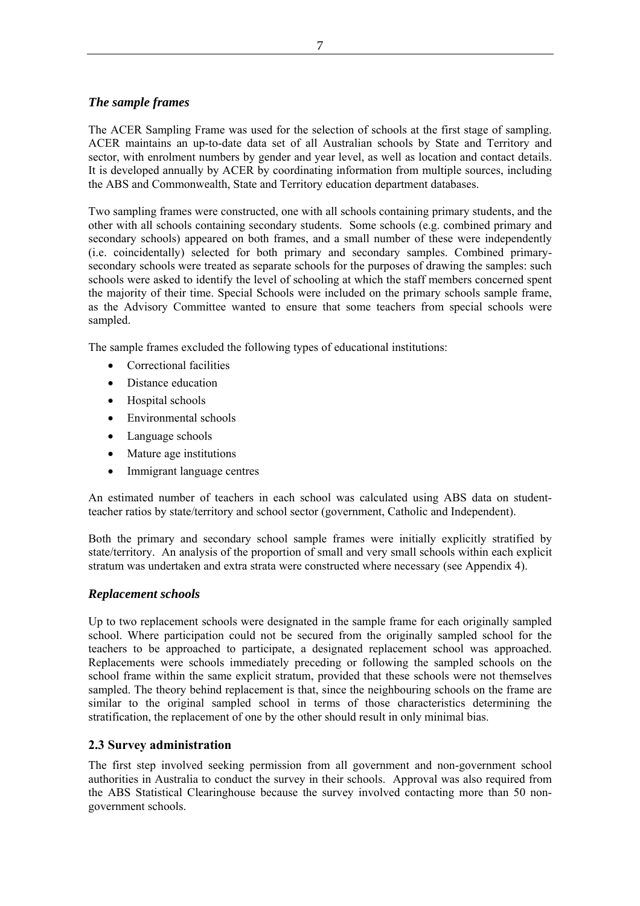## *The sample frames*

The ACER Sampling Frame was used for the selection of schools at the first stage of sampling. ACER maintains an up-to-date data set of all Australian schools by State and Territory and sector, with enrolment numbers by gender and year level, as well as location and contact details. It is developed annually by ACER by coordinating information from multiple sources, including the ABS and Commonwealth, State and Territory education department databases.

Two sampling frames were constructed, one with all schools containing primary students, and the other with all schools containing secondary students. Some schools (e.g. combined primary and secondary schools) appeared on both frames, and a small number of these were independently (i.e. coincidentally) selected for both primary and secondary samples. Combined primarysecondary schools were treated as separate schools for the purposes of drawing the samples: such schools were asked to identify the level of schooling at which the staff members concerned spent the majority of their time. Special Schools were included on the primary schools sample frame, as the Advisory Committee wanted to ensure that some teachers from special schools were sampled.

The sample frames excluded the following types of educational institutions:

- Correctional facilities
- Distance education
- Hospital schools
- Environmental schools
- Language schools
- Mature age institutions
- Immigrant language centres

An estimated number of teachers in each school was calculated using ABS data on studentteacher ratios by state/territory and school sector (government, Catholic and Independent).

Both the primary and secondary school sample frames were initially explicitly stratified by state/territory. An analysis of the proportion of small and very small schools within each explicit stratum was undertaken and extra strata were constructed where necessary (see Appendix 4).

## *Replacement schools*

Up to two replacement schools were designated in the sample frame for each originally sampled school. Where participation could not be secured from the originally sampled school for the teachers to be approached to participate, a designated replacement school was approached. Replacements were schools immediately preceding or following the sampled schools on the school frame within the same explicit stratum, provided that these schools were not themselves sampled. The theory behind replacement is that, since the neighbouring schools on the frame are similar to the original sampled school in terms of those characteristics determining the stratification, the replacement of one by the other should result in only minimal bias.

## **2.3 Survey administration**

The first step involved seeking permission from all government and non-government school authorities in Australia to conduct the survey in their schools. Approval was also required from the ABS Statistical Clearinghouse because the survey involved contacting more than 50 nongovernment schools.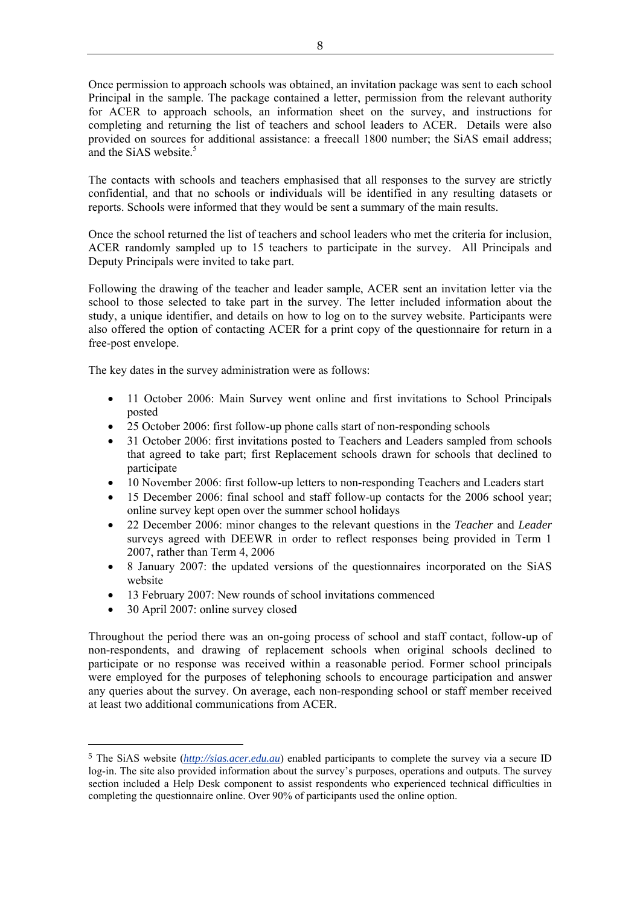Once permission to approach schools was obtained, an invitation package was sent to each school Principal in the sample. The package contained a letter, permission from the relevant authority for ACER to approach schools, an information sheet on the survey, and instructions for completing and returning the list of teachers and school leaders to ACER. Details were also provided on sources for additional assistance: a freecall 1800 number; the SiAS email address; and the SiAS website.<sup>5</sup>

The contacts with schools and teachers emphasised that all responses to the survey are strictly confidential, and that no schools or individuals will be identified in any resulting datasets or reports. Schools were informed that they would be sent a summary of the main results.

Once the school returned the list of teachers and school leaders who met the criteria for inclusion, ACER randomly sampled up to 15 teachers to participate in the survey. All Principals and Deputy Principals were invited to take part.

Following the drawing of the teacher and leader sample, ACER sent an invitation letter via the school to those selected to take part in the survey. The letter included information about the study, a unique identifier, and details on how to log on to the survey website. Participants were also offered the option of contacting ACER for a print copy of the questionnaire for return in a free-post envelope.

The key dates in the survey administration were as follows:

- 11 October 2006: Main Survey went online and first invitations to School Principals posted
- 25 October 2006: first follow-up phone calls start of non-responding schools
- 31 October 2006: first invitations posted to Teachers and Leaders sampled from schools that agreed to take part; first Replacement schools drawn for schools that declined to participate
- 10 November 2006: first follow-up letters to non-responding Teachers and Leaders start
- 15 December 2006: final school and staff follow-up contacts for the 2006 school year; online survey kept open over the summer school holidays
- 22 December 2006: minor changes to the relevant questions in the *Teacher* and *Leader*  surveys agreed with DEEWR in order to reflect responses being provided in Term 1 2007, rather than Term 4, 2006
- 8 January 2007: the updated versions of the questionnaires incorporated on the SiAS website
- 13 February 2007: New rounds of school invitations commenced
- 30 April 2007: online survey closed

 $\overline{a}$ 

Throughout the period there was an on-going process of school and staff contact, follow-up of non-respondents, and drawing of replacement schools when original schools declined to participate or no response was received within a reasonable period. Former school principals were employed for the purposes of telephoning schools to encourage participation and answer any queries about the survey. On average, each non-responding school or staff member received at least two additional communications from ACER.

<sup>5</sup> The SiAS website (*http://sias.acer.edu.au*) enabled participants to complete the survey via a secure ID log-in. The site also provided information about the survey's purposes, operations and outputs. The survey section included a Help Desk component to assist respondents who experienced technical difficulties in completing the questionnaire online. Over 90% of participants used the online option.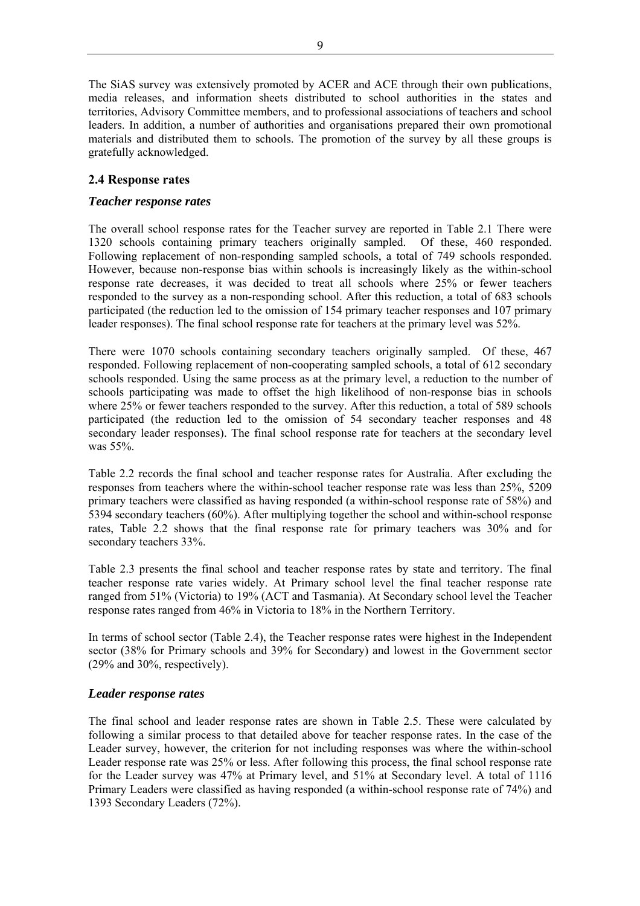The SiAS survey was extensively promoted by ACER and ACE through their own publications, media releases, and information sheets distributed to school authorities in the states and territories, Advisory Committee members, and to professional associations of teachers and school leaders. In addition, a number of authorities and organisations prepared their own promotional materials and distributed them to schools. The promotion of the survey by all these groups is gratefully acknowledged.

## **2.4 Response rates**

## *Teacher response rates*

The overall school response rates for the Teacher survey are reported in Table 2.1 There were 1320 schools containing primary teachers originally sampled. Of these, 460 responded. Following replacement of non-responding sampled schools, a total of 749 schools responded. However, because non-response bias within schools is increasingly likely as the within-school response rate decreases, it was decided to treat all schools where 25% or fewer teachers responded to the survey as a non-responding school. After this reduction, a total of 683 schools participated (the reduction led to the omission of 154 primary teacher responses and 107 primary leader responses). The final school response rate for teachers at the primary level was 52%.

There were 1070 schools containing secondary teachers originally sampled. Of these, 467 responded. Following replacement of non-cooperating sampled schools, a total of 612 secondary schools responded. Using the same process as at the primary level, a reduction to the number of schools participating was made to offset the high likelihood of non-response bias in schools where  $25\%$  or fewer teachers responded to the survey. After this reduction, a total of 589 schools participated (the reduction led to the omission of 54 secondary teacher responses and 48 secondary leader responses). The final school response rate for teachers at the secondary level was 55%.

Table 2.2 records the final school and teacher response rates for Australia. After excluding the responses from teachers where the within-school teacher response rate was less than 25%, 5209 primary teachers were classified as having responded (a within-school response rate of 58%) and 5394 secondary teachers (60%). After multiplying together the school and within-school response rates, Table 2.2 shows that the final response rate for primary teachers was 30% and for secondary teachers 33%.

Table 2.3 presents the final school and teacher response rates by state and territory. The final teacher response rate varies widely. At Primary school level the final teacher response rate ranged from 51% (Victoria) to 19% (ACT and Tasmania). At Secondary school level the Teacher response rates ranged from 46% in Victoria to 18% in the Northern Territory.

In terms of school sector (Table 2.4), the Teacher response rates were highest in the Independent sector (38% for Primary schools and 39% for Secondary) and lowest in the Government sector (29% and 30%, respectively).

#### *Leader response rates*

The final school and leader response rates are shown in Table 2.5. These were calculated by following a similar process to that detailed above for teacher response rates. In the case of the Leader survey, however, the criterion for not including responses was where the within-school Leader response rate was 25% or less. After following this process, the final school response rate for the Leader survey was 47% at Primary level, and 51% at Secondary level. A total of 1116 Primary Leaders were classified as having responded (a within-school response rate of 74%) and 1393 Secondary Leaders (72%).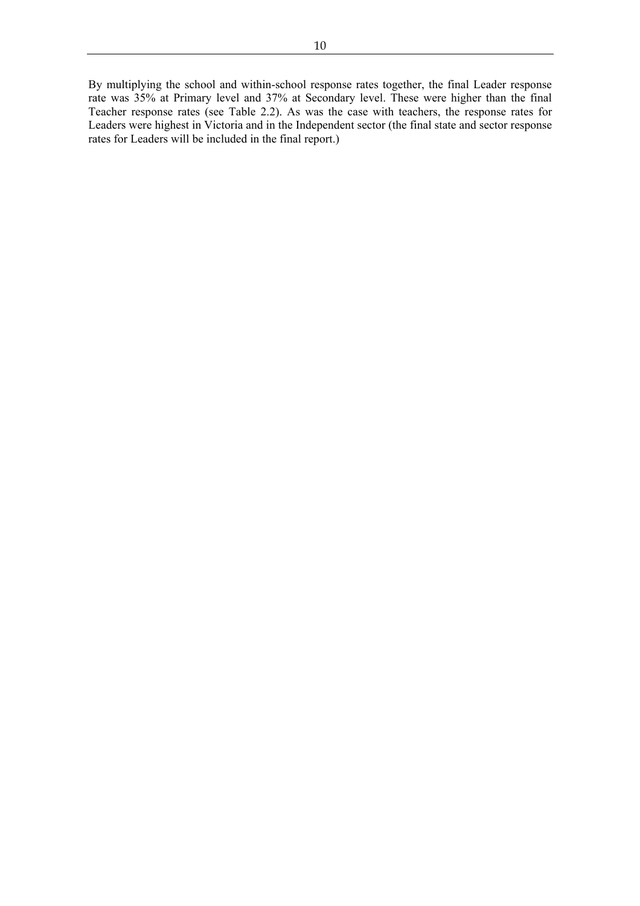By multiplying the school and within-school response rates together, the final Leader response rate was 35% at Primary level and 37% at Secondary level. These were higher than the final Teacher response rates (see Table 2.2). As was the case with teachers, the response rates for Leaders were highest in Victoria and in the Independent sector (the final state and sector response rates for Leaders will be included in the final report.)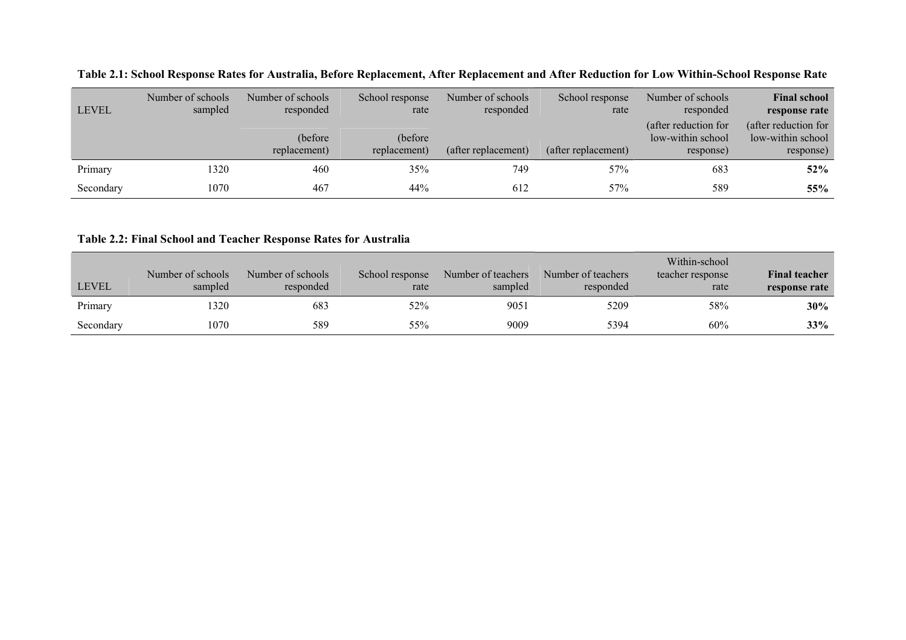| <b>LEVEL</b> | Number of schools<br>sampled | Number of schools<br>responded | School response<br>rate  | Number of schools<br>responded | School response<br>rate | Number of schools<br>responded                         | <b>Final school</b><br>response rate                   |
|--------------|------------------------------|--------------------------------|--------------------------|--------------------------------|-------------------------|--------------------------------------------------------|--------------------------------------------------------|
|              |                              | (before)<br>replacement)       | (before)<br>replacement) | (after replacement)            | (after replacement)     | (after reduction for<br>low-within school<br>response) | (after reduction for<br>low-within school<br>response) |
| Primary      | 1320                         | 460                            | 35%                      | 749                            | 57%                     | 683                                                    | 52%                                                    |
| Secondary    | 1070                         | 467                            | 44%                      | 612                            | 57%                     | 589                                                    | 55%                                                    |

**Table 2.1: School Response Rates for Australia, Before Replacement, After Replacement and After Reduction for Low Within-School Response Rate** 

**Table 2.2: Final School and Teacher Response Rates for Australia** 

| <b>LEVEL</b> | Number of schools<br>sampled | Number of schools<br>responded | School response<br>rate | Number of teachers<br>sampled | Number of teachers<br>responded | Within-school<br>teacher response<br>rate | <b>Final teacher</b><br>response rate |
|--------------|------------------------------|--------------------------------|-------------------------|-------------------------------|---------------------------------|-------------------------------------------|---------------------------------------|
| Primary      | 320                          | 683                            | 52%                     | 9051                          | 5209                            | 58%                                       | $30\%$                                |
| Secondary    | 1070                         | 589                            | 55%                     | 9009                          | 5394                            | 60%                                       | 33%                                   |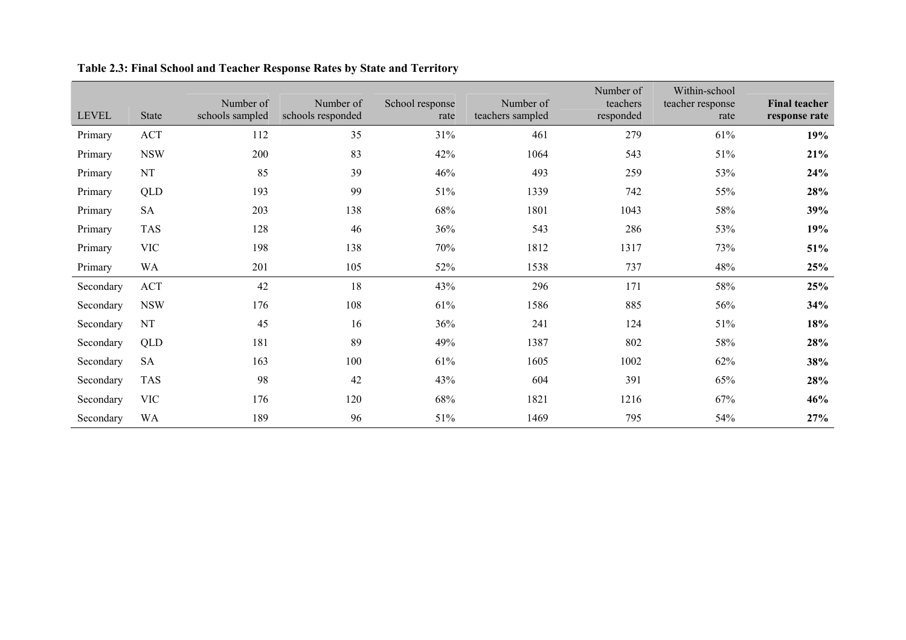| <b>LEVEL</b> | <b>State</b> | Number of<br>schools sampled | Number of<br>schools responded | School response<br>rate | Number of<br>teachers sampled | Number of<br>teachers<br>responded | Within-school<br>teacher response<br>rate | <b>Final teacher</b><br>response rate |
|--------------|--------------|------------------------------|--------------------------------|-------------------------|-------------------------------|------------------------------------|-------------------------------------------|---------------------------------------|
| Primary      | ACT          | 112                          | 35                             | 31%                     | 461                           | 279                                | 61%                                       | 19%                                   |
| Primary      | <b>NSW</b>   | 200                          | 83                             | 42%                     | 1064                          | 543                                | 51%                                       | 21%                                   |
| Primary      | NT           | 85                           | 39                             | 46%                     | 493                           | 259                                | 53%                                       | 24%                                   |
| Primary      | QLD          | 193                          | 99                             | 51%                     | 1339                          | 742                                | 55%                                       | 28%                                   |
| Primary      | <b>SA</b>    | 203                          | 138                            | 68%                     | 1801                          | 1043                               | 58%                                       | 39%                                   |
| Primary      | <b>TAS</b>   | 128                          | 46                             | 36%                     | 543                           | 286                                | 53%                                       | 19%                                   |
| Primary      | <b>VIC</b>   | 198                          | 138                            | 70%                     | 1812                          | 1317                               | 73%                                       | 51%                                   |
| Primary      | <b>WA</b>    | 201                          | 105                            | 52%                     | 1538                          | 737                                | 48%                                       | 25%                                   |
| Secondary    | <b>ACT</b>   | 42                           | 18                             | 43%                     | 296                           | 171                                | 58%                                       | 25%                                   |
| Secondary    | <b>NSW</b>   | 176                          | 108                            | 61%                     | 1586                          | 885                                | 56%                                       | 34%                                   |
| Secondary    | NT           | 45                           | 16                             | 36%                     | 241                           | 124                                | 51%                                       | 18%                                   |
| Secondary    | <b>QLD</b>   | 181                          | 89                             | 49%                     | 1387                          | 802                                | 58%                                       | 28%                                   |
| Secondary    | <b>SA</b>    | 163                          | 100                            | 61%                     | 1605                          | 1002                               | 62%                                       | 38%                                   |
| Secondary    | <b>TAS</b>   | 98                           | 42                             | 43%                     | 604                           | 391                                | 65%                                       | 28%                                   |
| Secondary    | <b>VIC</b>   | 176                          | 120                            | 68%                     | 1821                          | 1216                               | 67%                                       | 46%                                   |
| Secondary    | <b>WA</b>    | 189                          | 96                             | 51%                     | 1469                          | 795                                | 54%                                       | 27%                                   |

# **Table 2.3: Final School and Teacher Response Rates by State and Territory**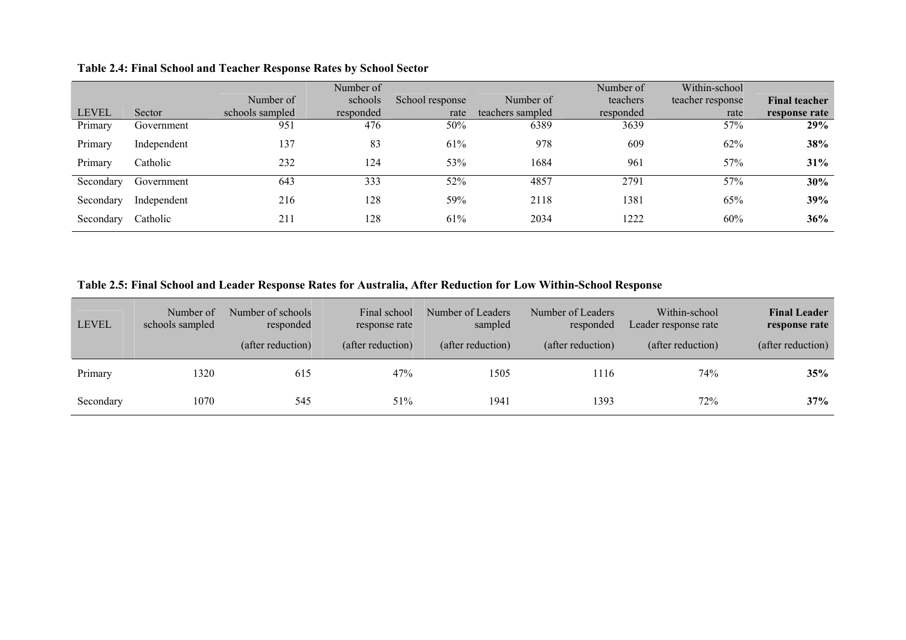| Table 2.4: Final School and Teacher Response Rates by School Sector |  |  |  |  |
|---------------------------------------------------------------------|--|--|--|--|
|---------------------------------------------------------------------|--|--|--|--|

|              |             |                 | Number of |                 |                  | Number of | Within-school    |                      |
|--------------|-------------|-----------------|-----------|-----------------|------------------|-----------|------------------|----------------------|
|              |             | Number of       | schools   | School response | Number of        | teachers  | teacher response | <b>Final teacher</b> |
| <b>LEVEL</b> | Sector      | schools sampled | responded | rate            | teachers sampled | responded | rate             | response rate        |
| Primary      | Government  | 951             | 476       | 50%             | 6389             | 3639      | 57%              | 29%                  |
| Primary      | Independent | 137             | 83        | 61%             | 978              | 609       | 62%              | 38%                  |
| Primary      | Catholic    | 232             | 124       | 53%             | 1684             | 961       | 57%              | 31%                  |
| Secondary    | Government  | 643             | 333       | 52%             | 4857             | 2791      | 57%              | 30%                  |
| Secondary    | Independent | 216             | 128       | 59%             | 2118             | 1381      | 65%              | 39%                  |
| Secondary    | Catholic    | 211             | 128       | 61%             | 2034             | 1222      | 60%              | 36%                  |

**Table 2.5: Final School and Leader Response Rates for Australia, After Reduction for Low Within-School Response** 

| <b>LEVEL</b> | Number of<br>schools sampled | Number of schools<br>responded<br>(after reduction) | Final school<br>response rate<br>(after reduction) | Number of Leaders<br>sampled<br>(after reduction) | Number of Leaders<br>responded<br>(after reduction) | Within-school<br>Leader response rate<br>(after reduction) | <b>Final Leader</b><br>response rate<br>(after reduction) |
|--------------|------------------------------|-----------------------------------------------------|----------------------------------------------------|---------------------------------------------------|-----------------------------------------------------|------------------------------------------------------------|-----------------------------------------------------------|
| Primary      | 1320                         | 615                                                 | 47%                                                | 1505                                              | 1116                                                | 74%                                                        | 35%                                                       |
| Secondary    | 1070                         | 545                                                 | 51%                                                | 1941                                              | 1393                                                | 72%                                                        | 37%                                                       |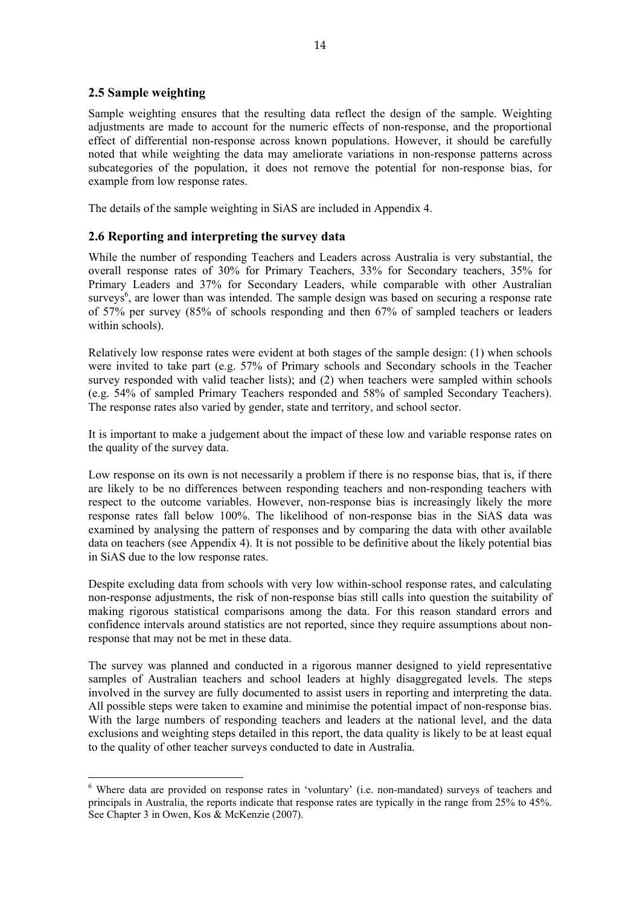## **2.5 Sample weighting**

 $\overline{a}$ 

Sample weighting ensures that the resulting data reflect the design of the sample. Weighting adjustments are made to account for the numeric effects of non-response, and the proportional effect of differential non-response across known populations. However, it should be carefully noted that while weighting the data may ameliorate variations in non-response patterns across subcategories of the population, it does not remove the potential for non-response bias, for example from low response rates.

The details of the sample weighting in SiAS are included in Appendix 4.

## **2.6 Reporting and interpreting the survey data**

While the number of responding Teachers and Leaders across Australia is very substantial, the overall response rates of 30% for Primary Teachers, 33% for Secondary teachers, 35% for Primary Leaders and 37% for Secondary Leaders, while comparable with other Australian surveys<sup>6</sup>, are lower than was intended. The sample design was based on securing a response rate of 57% per survey (85% of schools responding and then 67% of sampled teachers or leaders within schools).

Relatively low response rates were evident at both stages of the sample design: (1) when schools were invited to take part (e.g. 57% of Primary schools and Secondary schools in the Teacher survey responded with valid teacher lists); and (2) when teachers were sampled within schools (e.g. 54% of sampled Primary Teachers responded and 58% of sampled Secondary Teachers). The response rates also varied by gender, state and territory, and school sector.

It is important to make a judgement about the impact of these low and variable response rates on the quality of the survey data.

Low response on its own is not necessarily a problem if there is no response bias, that is, if there are likely to be no differences between responding teachers and non-responding teachers with respect to the outcome variables. However, non-response bias is increasingly likely the more response rates fall below 100%. The likelihood of non-response bias in the SiAS data was examined by analysing the pattern of responses and by comparing the data with other available data on teachers (see Appendix 4). It is not possible to be definitive about the likely potential bias in SiAS due to the low response rates.

Despite excluding data from schools with very low within-school response rates, and calculating non-response adjustments, the risk of non-response bias still calls into question the suitability of making rigorous statistical comparisons among the data. For this reason standard errors and confidence intervals around statistics are not reported, since they require assumptions about nonresponse that may not be met in these data.

The survey was planned and conducted in a rigorous manner designed to yield representative samples of Australian teachers and school leaders at highly disaggregated levels. The steps involved in the survey are fully documented to assist users in reporting and interpreting the data. All possible steps were taken to examine and minimise the potential impact of non-response bias. With the large numbers of responding teachers and leaders at the national level, and the data exclusions and weighting steps detailed in this report, the data quality is likely to be at least equal to the quality of other teacher surveys conducted to date in Australia.

<sup>&</sup>lt;sup>6</sup> Where data are provided on response rates in 'voluntary' (i.e. non-mandated) surveys of teachers and principals in Australia, the reports indicate that response rates are typically in the range from 25% to 45%. See Chapter 3 in Owen, Kos & McKenzie (2007).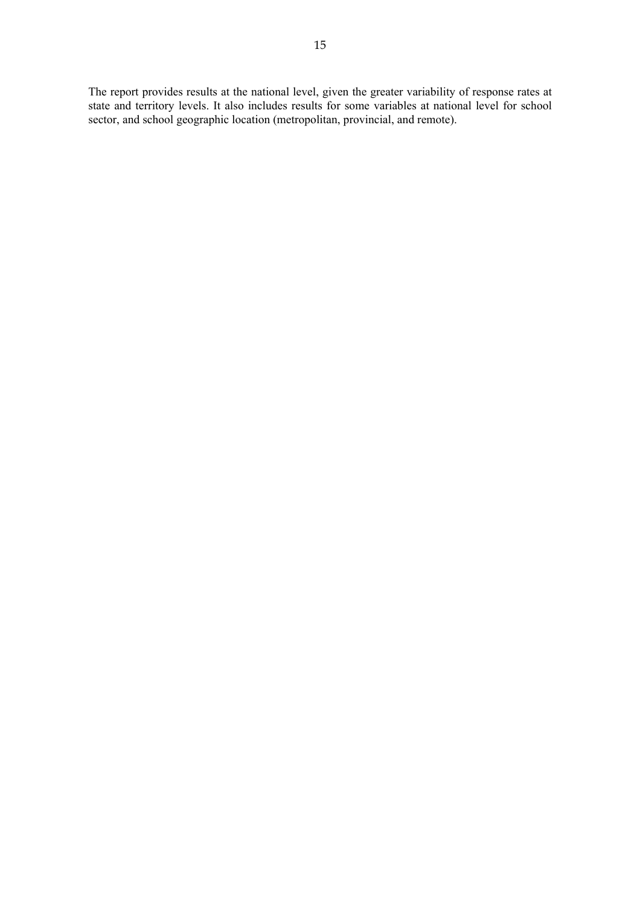The report provides results at the national level, given the greater variability of response rates at state and territory levels. It also includes results for some variables at national level for school sector, and school geographic location (metropolitan, provincial, and remote).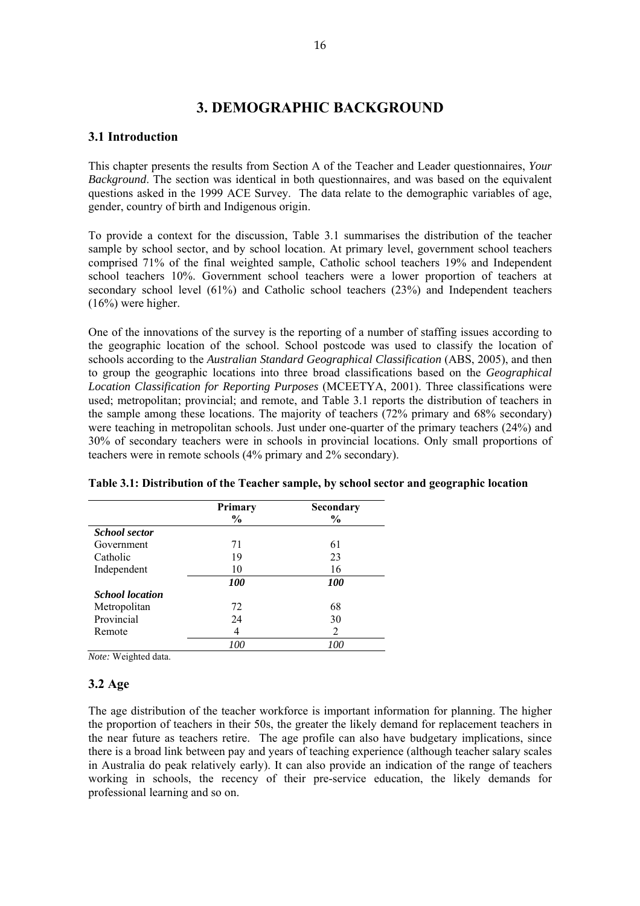# **3. DEMOGRAPHIC BACKGROUND**

# **3.1 Introduction**

This chapter presents the results from Section A of the Teacher and Leader questionnaires, *Your Background*. The section was identical in both questionnaires, and was based on the equivalent questions asked in the 1999 ACE Survey. The data relate to the demographic variables of age, gender, country of birth and Indigenous origin.

To provide a context for the discussion, Table 3.1 summarises the distribution of the teacher sample by school sector, and by school location. At primary level, government school teachers comprised 71% of the final weighted sample, Catholic school teachers 19% and Independent school teachers 10%. Government school teachers were a lower proportion of teachers at secondary school level (61%) and Catholic school teachers (23%) and Independent teachers  $(16%)$  were higher.

One of the innovations of the survey is the reporting of a number of staffing issues according to the geographic location of the school. School postcode was used to classify the location of schools according to the *Australian Standard Geographical Classification* (ABS, 2005), and then to group the geographic locations into three broad classifications based on the *Geographical Location Classification for Reporting Purposes* (MCEETYA, 2001). Three classifications were used; metropolitan; provincial; and remote, and Table 3.1 reports the distribution of teachers in the sample among these locations. The majority of teachers (72% primary and 68% secondary) were teaching in metropolitan schools. Just under one-quarter of the primary teachers (24%) and 30% of secondary teachers were in schools in provincial locations. Only small proportions of teachers were in remote schools (4% primary and 2% secondary).

|                        | <b>Primary</b><br>$\%$ | Secondary<br>$\frac{0}{0}$ |
|------------------------|------------------------|----------------------------|
| <b>School sector</b>   |                        |                            |
| Government             | 71                     | 61                         |
| Catholic               | 19                     | 23                         |
| Independent            | 10                     | 16                         |
|                        | <i><b>100</b></i>      | <i>100</i>                 |
| <b>School</b> location |                        |                            |
| Metropolitan           | 72                     | 68                         |
| Provincial             | 24                     | 30                         |
| Remote                 | 4                      | 2                          |
|                        | 100                    | 100                        |

**Table 3.1: Distribution of the Teacher sample, by school sector and geographic location** 

*Note:* Weighted data.

### **3.2 Age**

The age distribution of the teacher workforce is important information for planning. The higher the proportion of teachers in their 50s, the greater the likely demand for replacement teachers in the near future as teachers retire. The age profile can also have budgetary implications, since there is a broad link between pay and years of teaching experience (although teacher salary scales in Australia do peak relatively early). It can also provide an indication of the range of teachers working in schools, the recency of their pre-service education, the likely demands for professional learning and so on.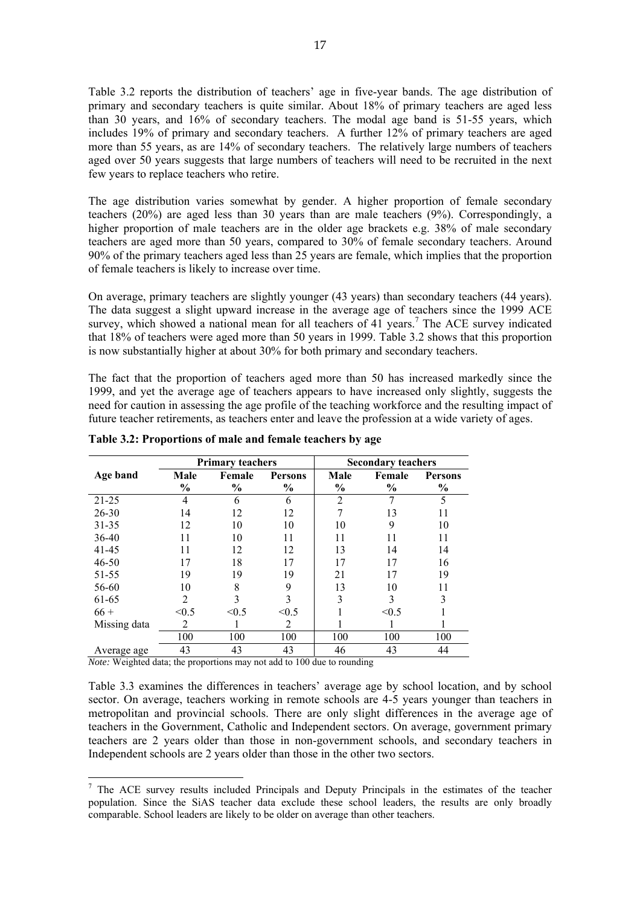Table 3.2 reports the distribution of teachers' age in five-year bands. The age distribution of primary and secondary teachers is quite similar. About 18% of primary teachers are aged less than 30 years, and 16% of secondary teachers. The modal age band is 51-55 years, which includes 19% of primary and secondary teachers. A further 12% of primary teachers are aged more than 55 years, as are 14% of secondary teachers. The relatively large numbers of teachers aged over 50 years suggests that large numbers of teachers will need to be recruited in the next few years to replace teachers who retire.

The age distribution varies somewhat by gender. A higher proportion of female secondary teachers (20%) are aged less than 30 years than are male teachers (9%). Correspondingly, a higher proportion of male teachers are in the older age brackets e.g. 38% of male secondary teachers are aged more than 50 years, compared to 30% of female secondary teachers. Around 90% of the primary teachers aged less than 25 years are female, which implies that the proportion of female teachers is likely to increase over time.

On average, primary teachers are slightly younger (43 years) than secondary teachers (44 years). The data suggest a slight upward increase in the average age of teachers since the 1999 ACE survey, which showed a national mean for all teachers of 41 years.<sup>7</sup> The ACE survey indicated that 18% of teachers were aged more than 50 years in 1999. Table 3.2 shows that this proportion is now substantially higher at about 30% for both primary and secondary teachers.

The fact that the proportion of teachers aged more than 50 has increased markedly since the 1999, and yet the average age of teachers appears to have increased only slightly, suggests the need for caution in assessing the age profile of the teaching workforce and the resulting impact of future teacher retirements, as teachers enter and leave the profession at a wide variety of ages.

|              | <b>Primary teachers</b> |        |                |      | <b>Secondary teachers</b> |                |
|--------------|-------------------------|--------|----------------|------|---------------------------|----------------|
| Age band     | Male                    | Female | <b>Persons</b> | Male | Female                    | <b>Persons</b> |
|              | $\frac{0}{0}$           | $\%$   | $\%$           | $\%$ | $\frac{0}{0}$             | $\%$           |
| $21 - 25$    | 4                       | 6      | 6              | 2    |                           | 5              |
| $26 - 30$    | 14                      | 12     | 12             |      | 13                        | 11             |
| 31-35        | 12                      | 10     | 10             | 10   | 9                         | 10             |
| 36-40        | 11                      | 10     | 11             | 11   | 11                        | 11             |
| 41-45        | 11                      | 12     | 12             | 13   | 14                        | 14             |
| $46 - 50$    | 17                      | 18     | 17             | 17   | 17                        | 16             |
| 51-55        | 19                      | 19     | 19             | 21   | 17                        | 19             |
| 56-60        | 10                      | 8      | 9              | 13   | 10                        | 11             |
| 61-65        | $\overline{2}$          | 3      |                | 3    | 3                         | 3              |
| $66 +$       | < 0.5                   | < 0.5  | < 0.5          |      | < 0.5                     |                |
| Missing data | 2                       |        | 2              |      |                           |                |
|              | 100                     | 100    | 100            | 100  | 100                       | 100            |
| Average age  | 43                      | 43     | 43             | 46   | 43                        | 44             |

**Table 3.2: Proportions of male and female teachers by age** 

*Note:* Weighted data; the proportions may not add to 100 due to rounding

 $\overline{a}$ 

Table 3.3 examines the differences in teachers' average age by school location, and by school sector. On average, teachers working in remote schools are 4-5 years younger than teachers in metropolitan and provincial schools. There are only slight differences in the average age of teachers in the Government, Catholic and Independent sectors. On average, government primary teachers are 2 years older than those in non-government schools, and secondary teachers in Independent schools are 2 years older than those in the other two sectors.

<sup>&</sup>lt;sup>7</sup> The ACE survey results included Principals and Deputy Principals in the estimates of the teacher population. Since the SiAS teacher data exclude these school leaders, the results are only broadly comparable. School leaders are likely to be older on average than other teachers.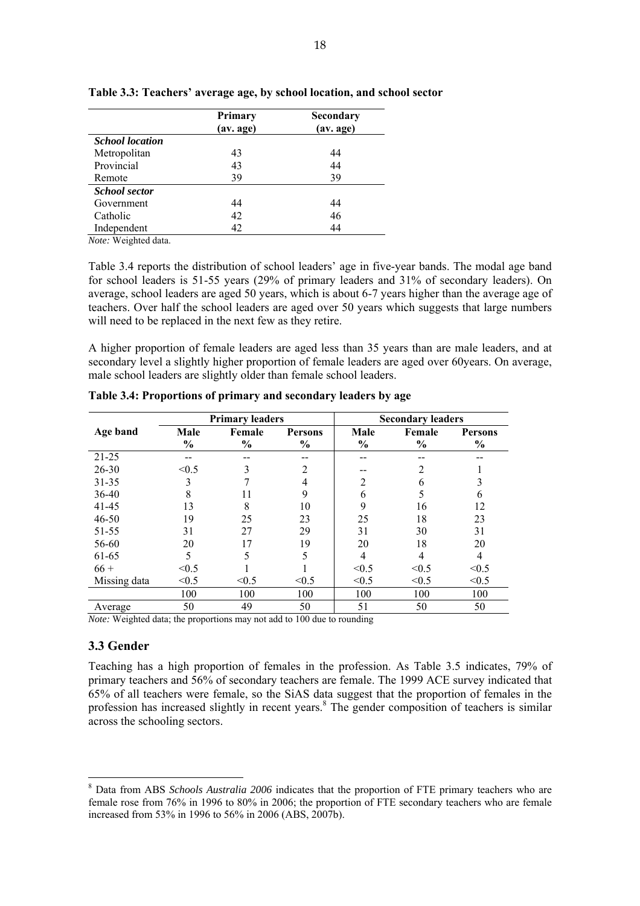|                        | Primary<br>(av. age) | Secondary<br>(av. age) |
|------------------------|----------------------|------------------------|
| <b>School location</b> |                      |                        |
| Metropolitan           | 43                   | 44                     |
| Provincial             | 43                   | 44                     |
| Remote                 | 39                   | 39                     |
| <b>School sector</b>   |                      |                        |
| Government             | 44                   | 44                     |
| Catholic               | 42                   | 46                     |
| Independent            | 42                   | 44                     |

#### **Table 3.3: Teachers' average age, by school location, and school sector**

*Note:* Weighted data.

Table 3.4 reports the distribution of school leaders' age in five-year bands. The modal age band for school leaders is 51-55 years (29% of primary leaders and 31% of secondary leaders). On average, school leaders are aged 50 years, which is about 6-7 years higher than the average age of teachers. Over half the school leaders are aged over 50 years which suggests that large numbers will need to be replaced in the next few as they retire.

A higher proportion of female leaders are aged less than 35 years than are male leaders, and at secondary level a slightly higher proportion of female leaders are aged over 60 years. On average, male school leaders are slightly older than female school leaders.

|              | <b>Primary leaders</b> |               |                |               | <b>Secondary leaders</b> |                |
|--------------|------------------------|---------------|----------------|---------------|--------------------------|----------------|
| Age band     | Male                   | Female        | <b>Persons</b> | Male          | Female                   | <b>Persons</b> |
|              | $\frac{6}{9}$          | $\frac{0}{0}$ | $\frac{0}{0}$  | $\frac{0}{0}$ | $\frac{6}{9}$            | $\frac{6}{6}$  |
| $21 - 25$    |                        |               |                |               | --                       |                |
| $26 - 30$    | < 0.5                  | 3             | $\overline{2}$ |               | 2                        |                |
| $31 - 35$    | 3                      | 7             | 4              | 2             | 6                        |                |
| 36-40        | 8                      | 11            | 9              | 6             |                          | 6              |
| 41-45        | 13                     | 8             | 10             | 9             | 16                       | 12             |
| 46-50        | 19                     | 25            | 23             | 25            | 18                       | 23             |
| 51-55        | 31                     | 27            | 29             | 31            | 30                       | 31             |
| 56-60        | 20                     | 17            | 19             | 20            | 18                       | 20             |
| 61-65        | 5                      | 5             | 5              | 4             | 4                        | $\overline{4}$ |
| $66 +$       | < 0.5                  |               |                | < 0.5         | < 0.5                    | < 0.5          |
| Missing data | < 0.5                  | < 0.5         | < 0.5          | < 0.5         | < 0.5                    | < 0.5          |
|              | 100                    | 100           | 100            | 100           | 100                      | 100            |
| Average      | 50                     | 49            | 50             | 51            | 50                       | 50             |

**Table 3.4: Proportions of primary and secondary leaders by age** 

*Note:* Weighted data; the proportions may not add to 100 due to rounding

### **3.3 Gender**

Teaching has a high proportion of females in the profession. As Table 3.5 indicates, 79% of primary teachers and 56% of secondary teachers are female. The 1999 ACE survey indicated that 65% of all teachers were female, so the SiAS data suggest that the proportion of females in the profession has increased slightly in recent years.<sup>8</sup> The gender composition of teachers is similar across the schooling sectors.

<sup>&</sup>lt;sup>8</sup> Data from ABS *Schools Australia 2006* indicates that the proportion of FTE primary teachers who are female rose from 76% in 1996 to 80% in 2006; the proportion of FTE secondary teachers who are female increased from 53% in 1996 to 56% in 2006 (ABS, 2007b).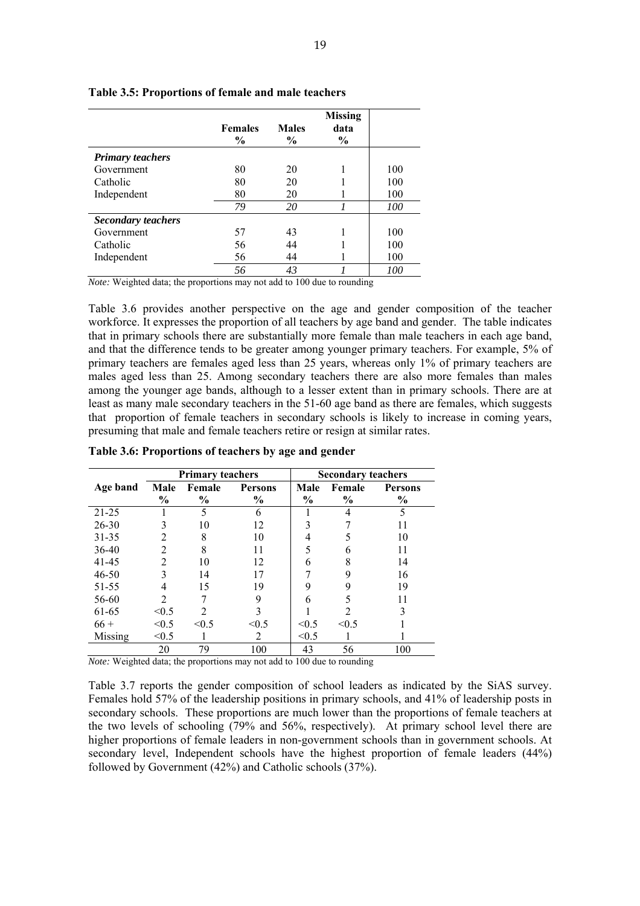|                           | <b>Females</b><br>$\frac{0}{0}$ | <b>Males</b><br>$\frac{0}{0}$ | <b>Missing</b><br>data<br>$\%$ |     |
|---------------------------|---------------------------------|-------------------------------|--------------------------------|-----|
| <b>Primary teachers</b>   |                                 |                               |                                |     |
| Government                | 80                              | 20                            |                                | 100 |
| Catholic                  | 80                              | 20                            |                                | 100 |
| Independent               | 80                              | 20                            |                                | 100 |
|                           | 79                              | 20                            |                                | 100 |
| <b>Secondary teachers</b> |                                 |                               |                                |     |
| Government                | 57                              | 43                            |                                | 100 |
| Catholic                  | 56                              | 44                            |                                | 100 |
| Independent               | 56                              | 44                            |                                | 100 |
|                           | 56                              | 43                            |                                | 100 |

**Table 3.5: Proportions of female and male teachers** 

Table 3.6 provides another perspective on the age and gender composition of the teacher workforce. It expresses the proportion of all teachers by age band and gender. The table indicates that in primary schools there are substantially more female than male teachers in each age band, and that the difference tends to be greater among younger primary teachers. For example, 5% of primary teachers are females aged less than 25 years, whereas only 1% of primary teachers are males aged less than 25. Among secondary teachers there are also more females than males among the younger age bands, although to a lesser extent than in primary schools. There are at least as many male secondary teachers in the 51-60 age band as there are females, which suggests that proportion of female teachers in secondary schools is likely to increase in coming years, presuming that male and female teachers retire or resign at similar rates.

|           | <b>Primary teachers</b>     |                             |                | <b>Secondary teachers</b> |               |                |
|-----------|-----------------------------|-----------------------------|----------------|---------------------------|---------------|----------------|
| Age band  | Male                        | Female                      | <b>Persons</b> | Male                      | Female        | <b>Persons</b> |
|           | $\frac{0}{0}$               | $\frac{0}{0}$               | $\frac{0}{0}$  | $\frac{0}{0}$             | $\frac{6}{9}$ | $\frac{0}{0}$  |
| $21 - 25$ |                             | 5                           | 6              |                           | 4             | 5              |
| $26 - 30$ | 3                           | 10                          | 12             |                           |               |                |
| $31 - 35$ | 2                           | 8                           | 10             | 4                         |               | 10             |
| 36-40     | 2                           | 8                           | 11             | 5                         |               |                |
| 41-45     | 2                           | 10                          | 12             | 6                         | 8             | 14             |
| $46 - 50$ | 3                           | 14                          | 17             |                           | 9             | 16             |
| 51-55     | 4                           | 15                          | 19             | 9                         |               | 19             |
| 56-60     | $\mathcal{D}_{\mathcal{A}}$ |                             | 9              | 6                         |               |                |
| 61-65     | < 0.5                       | $\mathcal{D}_{\mathcal{L}}$ | 3              |                           |               |                |
| $66 +$    | < 0.5                       | < 0.5                       | < 0.5          | < 0.5                     | < 0.5         |                |
| Missing   | < 0.5                       |                             | 2              | < 0.5                     |               |                |
|           | 20                          | 79                          | 100            | 43                        | 56            | 100            |

**Table 3.6: Proportions of teachers by age and gender** 

*Note:* Weighted data; the proportions may not add to 100 due to rounding

Table 3.7 reports the gender composition of school leaders as indicated by the SiAS survey. Females hold 57% of the leadership positions in primary schools, and 41% of leadership posts in secondary schools. These proportions are much lower than the proportions of female teachers at the two levels of schooling (79% and 56%, respectively). At primary school level there are higher proportions of female leaders in non-government schools than in government schools. At secondary level, Independent schools have the highest proportion of female leaders (44%) followed by Government (42%) and Catholic schools (37%).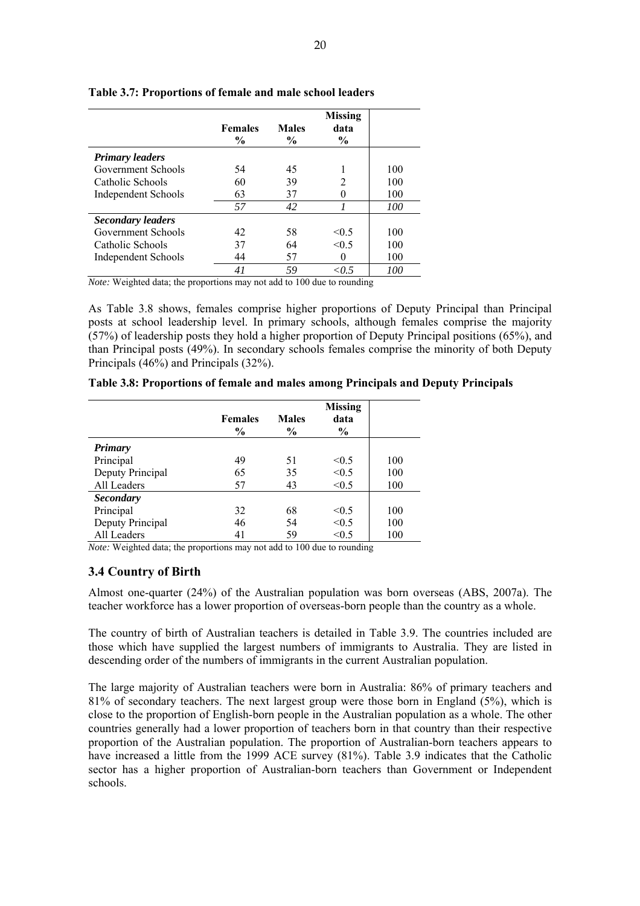|                            | <b>Females</b><br>$\frac{0}{0}$ | <b>Males</b><br>$\frac{6}{9}$ | <b>Missing</b><br>data<br>$\%$ |     |
|----------------------------|---------------------------------|-------------------------------|--------------------------------|-----|
| <b>Primary leaders</b>     |                                 |                               |                                |     |
| Government Schools         | 54                              | 45                            |                                | 100 |
| Catholic Schools           | 60                              | 39                            | 2                              | 100 |
| Independent Schools        | 63                              | 37                            |                                | 100 |
|                            | 57                              | 42                            |                                | 100 |
| <b>Secondary leaders</b>   |                                 |                               |                                |     |
| Government Schools         | 42                              | 58                            | $\leq 0.5$                     | 100 |
| Catholic Schools           | 37                              | 64                            | < 0.5                          | 100 |
| <b>Independent Schools</b> | 44                              | 57                            |                                | 100 |
|                            | 41                              | 59                            | ${<}0.5$                       | 100 |

**Table 3.7: Proportions of female and male school leaders** 

As Table 3.8 shows, females comprise higher proportions of Deputy Principal than Principal posts at school leadership level. In primary schools, although females comprise the majority (57%) of leadership posts they hold a higher proportion of Deputy Principal positions (65%), and than Principal posts (49%). In secondary schools females comprise the minority of both Deputy Principals (46%) and Principals (32%).

|                  | <b>Females</b><br>$\frac{6}{9}$ | <b>Males</b><br>$\frac{6}{6}$ | <b>Missing</b><br>data<br>$\frac{6}{9}$ |     |
|------------------|---------------------------------|-------------------------------|-----------------------------------------|-----|
| <b>Primary</b>   |                                 |                               |                                         |     |
| Principal        | 49                              | 51                            | < 0.5                                   | 100 |
| Deputy Principal | 65                              | 35                            | < 0.5                                   | 100 |
| All Leaders      | 57                              | 43                            | < 0.5                                   | 100 |
| <b>Secondary</b> |                                 |                               |                                         |     |
| Principal        | 32                              | 68                            | < 0.5                                   | 100 |
| Deputy Principal | 46                              | 54                            | < 0.5                                   | 100 |
| All Leaders      | 41                              | 59                            | < 0.5                                   | 100 |

**Table 3.8: Proportions of female and males among Principals and Deputy Principals** 

*Note:* Weighted data; the proportions may not add to 100 due to rounding

# **3.4 Country of Birth**

Almost one-quarter (24%) of the Australian population was born overseas (ABS, 2007a). The teacher workforce has a lower proportion of overseas-born people than the country as a whole.

The country of birth of Australian teachers is detailed in Table 3.9. The countries included are those which have supplied the largest numbers of immigrants to Australia. They are listed in descending order of the numbers of immigrants in the current Australian population.

The large majority of Australian teachers were born in Australia: 86% of primary teachers and 81% of secondary teachers. The next largest group were those born in England (5%), which is close to the proportion of English-born people in the Australian population as a whole. The other countries generally had a lower proportion of teachers born in that country than their respective proportion of the Australian population. The proportion of Australian-born teachers appears to have increased a little from the 1999 ACE survey (81%). Table 3.9 indicates that the Catholic sector has a higher proportion of Australian-born teachers than Government or Independent schools.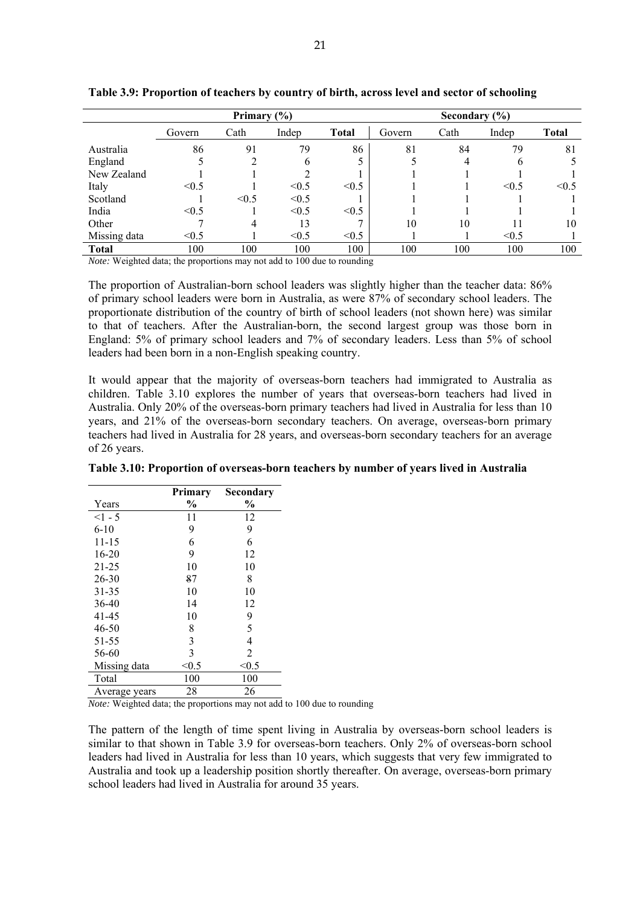|              | Primary $(\% )$ |       |       |              |        | Secondary $(\% )$ |              |              |
|--------------|-----------------|-------|-------|--------------|--------|-------------------|--------------|--------------|
|              | Govern          | Cath  | Indep | <b>Total</b> | Govern | Cath              | Indep        | <b>Total</b> |
| Australia    | 86              | 91    | 79    | 86           | 81     | 84                | 79           | 81           |
| England      |                 | ↑     | h     |              |        |                   | <sub>(</sub> |              |
| New Zealand  |                 |       |       |              |        |                   |              |              |
| Italy        | < 0.5           |       | < 0.5 | < 0.5        |        |                   | $\leq 0.5$   | < 0.5        |
| Scotland     |                 | < 0.5 | < 0.5 |              |        |                   |              |              |
| India        | < 0.5           |       | < 0.5 | < 0.5        |        |                   |              |              |
| Other        |                 | 4     | 13    | $\mathbf{r}$ | 10     | 10                |              | 10           |
| Missing data | < 0.5           |       | < 0.5 | < 0.5        |        |                   | < 0.5        |              |
| <b>Total</b> | 100             | 100   | 100   | 100          | 100    | 100               | 100          | 100          |

**Table 3.9: Proportion of teachers by country of birth, across level and sector of schooling** 

The proportion of Australian-born school leaders was slightly higher than the teacher data: 86% of primary school leaders were born in Australia, as were 87% of secondary school leaders. The proportionate distribution of the country of birth of school leaders (not shown here) was similar to that of teachers. After the Australian-born, the second largest group was those born in England: 5% of primary school leaders and 7% of secondary leaders. Less than 5% of school leaders had been born in a non-English speaking country.

It would appear that the majority of overseas-born teachers had immigrated to Australia as children. Table 3.10 explores the number of years that overseas-born teachers had lived in Australia. Only 20% of the overseas-born primary teachers had lived in Australia for less than 10 years, and 21% of the overseas-born secondary teachers. On average, overseas-born primary teachers had lived in Australia for 28 years, and overseas-born secondary teachers for an average of 26 years.

|               | <b>Primary</b> | Secondary     |
|---------------|----------------|---------------|
| Years         | $\frac{0}{0}$  | $\frac{0}{0}$ |
| $<1-5$        | 11             | 12            |
| $6-10$        | 9              | 9             |
| 11-15         | 6              | 6             |
| $16 - 20$     | 9              | 12            |
| 21-25         | 10             | 10            |
| 26-30         | 87             | 8             |
| 31-35         | 10             | 10            |
| 36-40         | 14             | 12            |
| 41-45         | 10             | 9             |
| 46-50         | 8              | 5             |
| 51-55         | 3              | 4             |
| 56-60         | 3              | 2             |
| Missing data  | < 0.5          | < 0.5         |
| Total         | 100            | 100           |
| Average years | 28             | 26            |

**Table 3.10: Proportion of overseas-born teachers by number of years lived in Australia** 

*Note:* Weighted data; the proportions may not add to 100 due to rounding

The pattern of the length of time spent living in Australia by overseas-born school leaders is similar to that shown in Table 3.9 for overseas-born teachers. Only 2% of overseas-born school leaders had lived in Australia for less than 10 years, which suggests that very few immigrated to Australia and took up a leadership position shortly thereafter. On average, overseas-born primary school leaders had lived in Australia for around 35 years.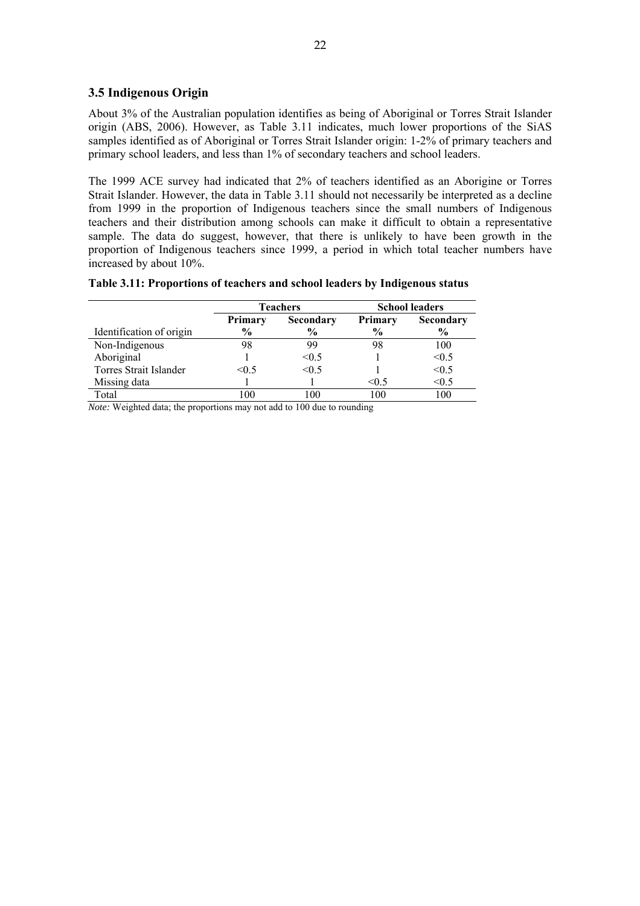# **3.5 Indigenous Origin**

About 3% of the Australian population identifies as being of Aboriginal or Torres Strait Islander origin (ABS, 2006). However, as Table 3.11 indicates, much lower proportions of the SiAS samples identified as of Aboriginal or Torres Strait Islander origin: 1-2% of primary teachers and primary school leaders, and less than 1% of secondary teachers and school leaders.

The 1999 ACE survey had indicated that 2% of teachers identified as an Aborigine or Torres Strait Islander. However, the data in Table 3.11 should not necessarily be interpreted as a decline from 1999 in the proportion of Indigenous teachers since the small numbers of Indigenous teachers and their distribution among schools can make it difficult to obtain a representative sample. The data do suggest, however, that there is unlikely to have been growth in the proportion of Indigenous teachers since 1999, a period in which total teacher numbers have increased by about 10%.

| Table 3.11: Proportions of teachers and school leaders by Indigenous status |  |  |
|-----------------------------------------------------------------------------|--|--|
|-----------------------------------------------------------------------------|--|--|

|                          | <b>Teachers</b> |                  | <b>School leaders</b> |                  |  |
|--------------------------|-----------------|------------------|-----------------------|------------------|--|
|                          | <b>Primary</b>  | <b>Secondary</b> | <b>Primary</b>        | <b>Secondary</b> |  |
| Identification of origin | $\frac{6}{9}$   | $\frac{6}{9}$    | $\frac{6}{9}$         | $\frac{6}{9}$    |  |
| Non-Indigenous           | 98              | 99               | 98                    | 100              |  |
| Aboriginal               |                 | < 0.5            |                       | < 0.5            |  |
| Torres Strait Islander   | $\leq 0.5$      | < 0.5            |                       | < 0.5            |  |
| Missing data             |                 |                  | $\leq 0.5$            | < 0.5            |  |
| Total                    | 0 <sup>0</sup>  |                  | 100                   | 100              |  |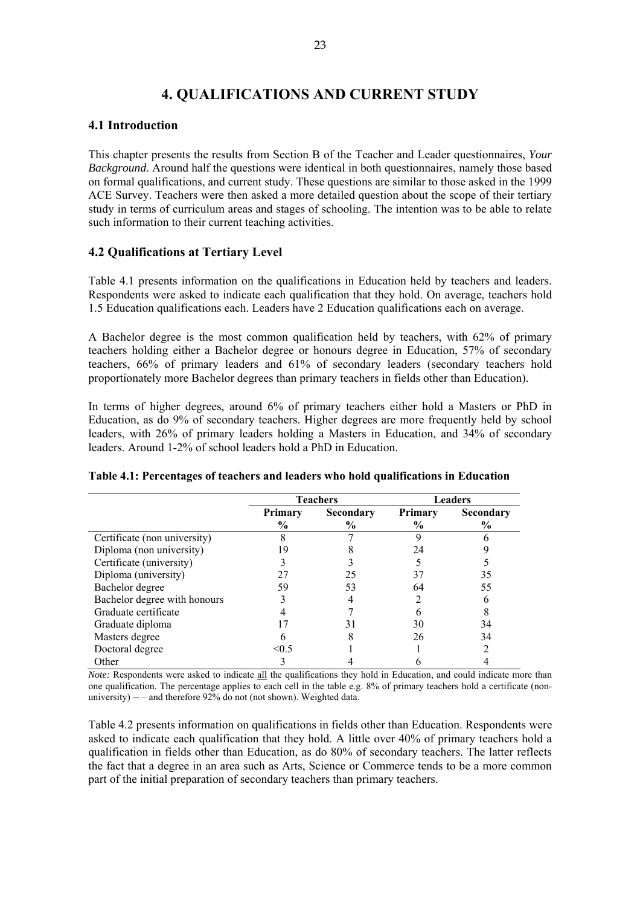# **4. QUALIFICATIONS AND CURRENT STUDY**

# **4.1 Introduction**

This chapter presents the results from Section B of the Teacher and Leader questionnaires, *Your Background*. Around half the questions were identical in both questionnaires, namely those based on formal qualifications, and current study. These questions are similar to those asked in the 1999 ACE Survey. Teachers were then asked a more detailed question about the scope of their tertiary study in terms of curriculum areas and stages of schooling. The intention was to be able to relate such information to their current teaching activities.

# **4.2 Qualifications at Tertiary Level**

Table 4.1 presents information on the qualifications in Education held by teachers and leaders. Respondents were asked to indicate each qualification that they hold. On average, teachers hold 1.5 Education qualifications each. Leaders have 2 Education qualifications each on average.

A Bachelor degree is the most common qualification held by teachers, with 62% of primary teachers holding either a Bachelor degree or honours degree in Education, 57% of secondary teachers, 66% of primary leaders and 61% of secondary leaders (secondary teachers hold proportionately more Bachelor degrees than primary teachers in fields other than Education).

In terms of higher degrees, around 6% of primary teachers either hold a Masters or PhD in Education, as do 9% of secondary teachers. Higher degrees are more frequently held by school leaders, with 26% of primary leaders holding a Masters in Education, and 34% of secondary leaders. Around 1-2% of school leaders hold a PhD in Education.

|                              |                             | <b>Teachers</b> |                | <b>Leaders</b> |
|------------------------------|-----------------------------|-----------------|----------------|----------------|
|                              | <b>Secondary</b><br>Primary |                 | <b>Primary</b> | Secondary      |
|                              | $\frac{6}{9}$               | $\%$            | $\frac{6}{9}$  | $\%$           |
| Certificate (non university) |                             |                 |                |                |
| Diploma (non university)     |                             |                 | 24             |                |
| Certificate (university)     |                             |                 |                |                |
| Diploma (university)         |                             | 25              |                | 35             |
| Bachelor degree              | 59                          | 53              | 64             | 55             |
| Bachelor degree with honours |                             |                 |                |                |
| Graduate certificate         |                             |                 |                |                |
| Graduate diploma             |                             | 31              | 30             | 34             |
| Masters degree               |                             |                 | 26             | 34             |
| Doctoral degree              | $\leq 0.5$                  |                 |                |                |
| Other                        |                             |                 |                |                |

#### **Table 4.1: Percentages of teachers and leaders who hold qualifications in Education**

*Note:* Respondents were asked to indicate all the qualifications they hold in Education, and could indicate more than one qualification. The percentage applies to each cell in the table e.g. 8% of primary teachers hold a certificate (nonuniversity) -- – and therefore 92% do not (not shown). Weighted data.

Table 4.2 presents information on qualifications in fields other than Education. Respondents were asked to indicate each qualification that they hold. A little over 40% of primary teachers hold a qualification in fields other than Education, as do 80% of secondary teachers. The latter reflects the fact that a degree in an area such as Arts, Science or Commerce tends to be a more common part of the initial preparation of secondary teachers than primary teachers.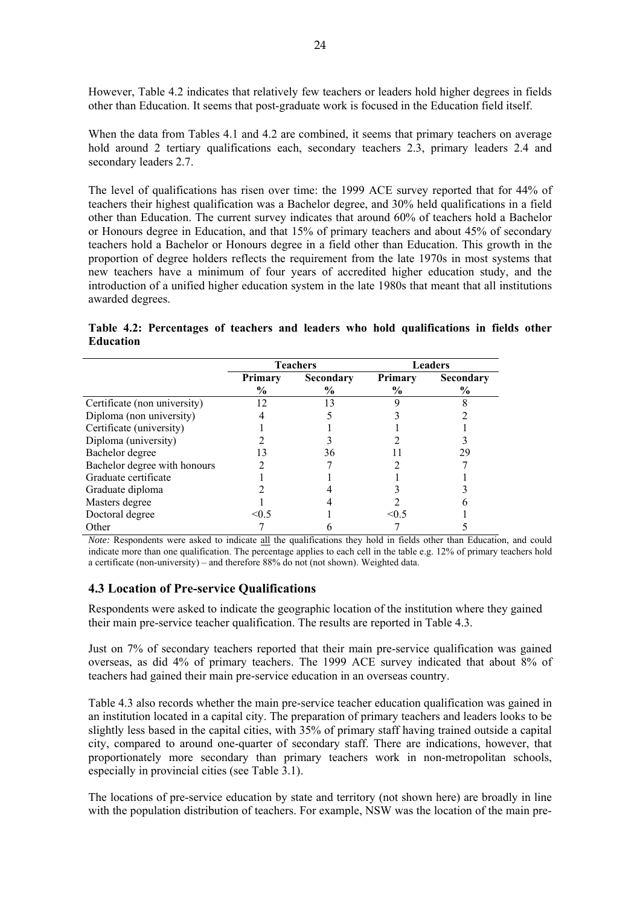However, Table 4.2 indicates that relatively few teachers or leaders hold higher degrees in fields other than Education. It seems that post-graduate work is focused in the Education field itself.

When the data from Tables 4.1 and 4.2 are combined, it seems that primary teachers on average hold around 2 tertiary qualifications each, secondary teachers 2.3, primary leaders 2.4 and secondary leaders 2.7.

The level of qualifications has risen over time: the 1999 ACE survey reported that for 44% of teachers their highest qualification was a Bachelor degree, and 30% held qualifications in a field other than Education. The current survey indicates that around 60% of teachers hold a Bachelor or Honours degree in Education, and that 15% of primary teachers and about 45% of secondary teachers hold a Bachelor or Honours degree in a field other than Education. This growth in the proportion of degree holders reflects the requirement from the late 1970s in most systems that new teachers have a minimum of four years of accredited higher education study, and the introduction of a unified higher education system in the late 1980s that meant that all institutions awarded degrees.

**Table 4.2: Percentages of teachers and leaders who hold qualifications in fields other Education** 

|                              |               | <b>Teachers</b>  |                | <b>Leaders</b> |
|------------------------------|---------------|------------------|----------------|----------------|
|                              | Primary       | <b>Secondary</b> | <b>Primary</b> | Secondary      |
|                              | $\frac{6}{9}$ | $\%$             | $\frac{6}{10}$ | $\%$           |
| Certificate (non university) | 12            | 13               |                |                |
| Diploma (non university)     |               |                  |                |                |
| Certificate (university)     |               |                  |                |                |
| Diploma (university)         |               |                  |                |                |
| Bachelor degree              |               | 36               |                | 29             |
| Bachelor degree with honours |               |                  |                |                |
| Graduate certificate         |               |                  |                |                |
| Graduate diploma             |               |                  |                |                |
| Masters degree               |               |                  |                |                |
| Doctoral degree              | $\leq 0.5$    |                  | $\leq$ () 5    |                |
| Other                        |               |                  |                |                |

*Note:* Respondents were asked to indicate all the qualifications they hold in fields other than Education, and could indicate more than one qualification. The percentage applies to each cell in the table e.g. 12% of primary teachers hold a certificate (non-university) – and therefore 88% do not (not shown). Weighted data.

### **4.3 Location of Pre-service Qualifications**

Respondents were asked to indicate the geographic location of the institution where they gained their main pre-service teacher qualification. The results are reported in Table 4.3.

Just on 7% of secondary teachers reported that their main pre-service qualification was gained overseas, as did 4% of primary teachers. The 1999 ACE survey indicated that about 8% of teachers had gained their main pre-service education in an overseas country.

Table 4.3 also records whether the main pre-service teacher education qualification was gained in an institution located in a capital city. The preparation of primary teachers and leaders looks to be slightly less based in the capital cities, with 35% of primary staff having trained outside a capital city, compared to around one-quarter of secondary staff. There are indications, however, that proportionately more secondary than primary teachers work in non-metropolitan schools, especially in provincial cities (see Table 3.1).

The locations of pre-service education by state and territory (not shown here) are broadly in line with the population distribution of teachers. For example, NSW was the location of the main pre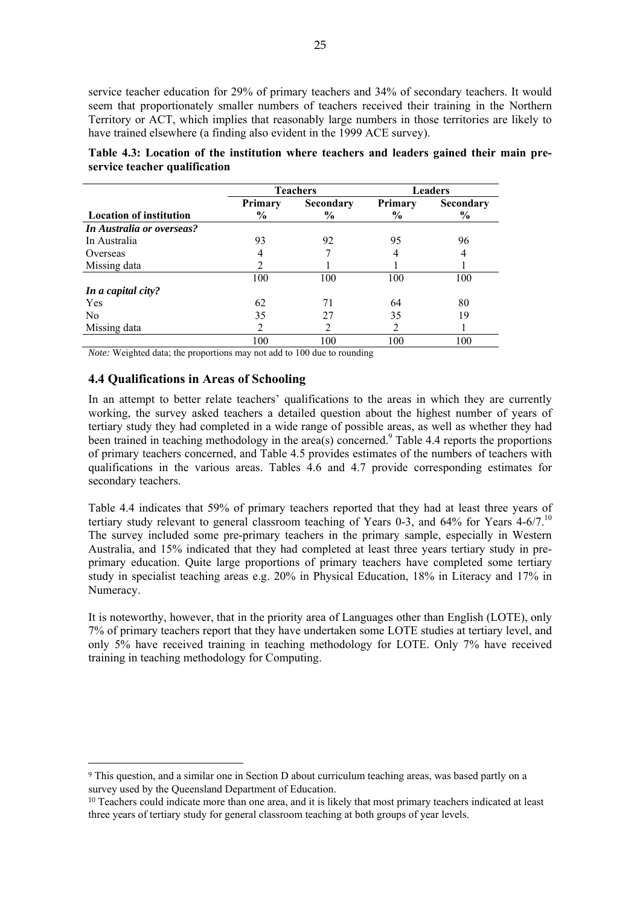service teacher education for 29% of primary teachers and 34% of secondary teachers. It would seem that proportionately smaller numbers of teachers received their training in the Northern Territory or ACT, which implies that reasonably large numbers in those territories are likely to have trained elsewhere (a finding also evident in the 1999 ACE survey).

|                                |         | <b>Teachers</b>  |               | <b>Leaders</b> |  |
|--------------------------------|---------|------------------|---------------|----------------|--|
|                                | Primary | <b>Secondary</b> | Primary       | Secondary      |  |
| <b>Location of institution</b> | $\%$    | $\frac{6}{9}$    | $\frac{6}{9}$ | $\frac{0}{0}$  |  |
| In Australia or overseas?      |         |                  |               |                |  |
| In Australia                   | 93      | 92               | 95            | 96             |  |
| Overseas                       |         |                  | 4             | 4              |  |
| Missing data                   | 2       |                  |               |                |  |
|                                | 100     | 100              | 100           | 100            |  |
| In a capital city?             |         |                  |               |                |  |
| Yes                            | 62      | 71               | 64            | 80             |  |
| N <sub>0</sub>                 | 35      | 27               | 35            | 19             |  |
| Missing data                   | 2       | 2                | 2             |                |  |
|                                | 100     | 100              | 100           | 100            |  |

**Table 4.3: Location of the institution where teachers and leaders gained their main preservice teacher qualification** 

*Note:* Weighted data; the proportions may not add to 100 due to rounding

# **4.4 Qualifications in Areas of Schooling**

 $\overline{a}$ 

In an attempt to better relate teachers' qualifications to the areas in which they are currently working, the survey asked teachers a detailed question about the highest number of years of tertiary study they had completed in a wide range of possible areas, as well as whether they had been trained in teaching methodology in the area(s) concerned.<sup>9</sup> Table 4.4 reports the proportions of primary teachers concerned, and Table 4.5 provides estimates of the numbers of teachers with qualifications in the various areas. Tables  $\overline{4.6}$  and  $\overline{4.7}$  provide corresponding estimates for secondary teachers.

Table 4.4 indicates that 59% of primary teachers reported that they had at least three years of tertiary study relevant to general classroom teaching of Years  $0-3$ , and  $64\%$  for Years  $4-6/7$ .<sup>10</sup> The survey included some pre-primary teachers in the primary sample, especially in Western Australia, and 15% indicated that they had completed at least three years tertiary study in preprimary education. Quite large proportions of primary teachers have completed some tertiary study in specialist teaching areas e.g. 20% in Physical Education, 18% in Literacy and 17% in Numeracy.

It is noteworthy, however, that in the priority area of Languages other than English (LOTE), only 7% of primary teachers report that they have undertaken some LOTE studies at tertiary level, and only 5% have received training in teaching methodology for LOTE. Only 7% have received training in teaching methodology for Computing.

<sup>9</sup> This question, and a similar one in Section D about curriculum teaching areas, was based partly on a survey used by the Queensland Department of Education.

<sup>10</sup> Teachers could indicate more than one area, and it is likely that most primary teachers indicated at least three years of tertiary study for general classroom teaching at both groups of year levels.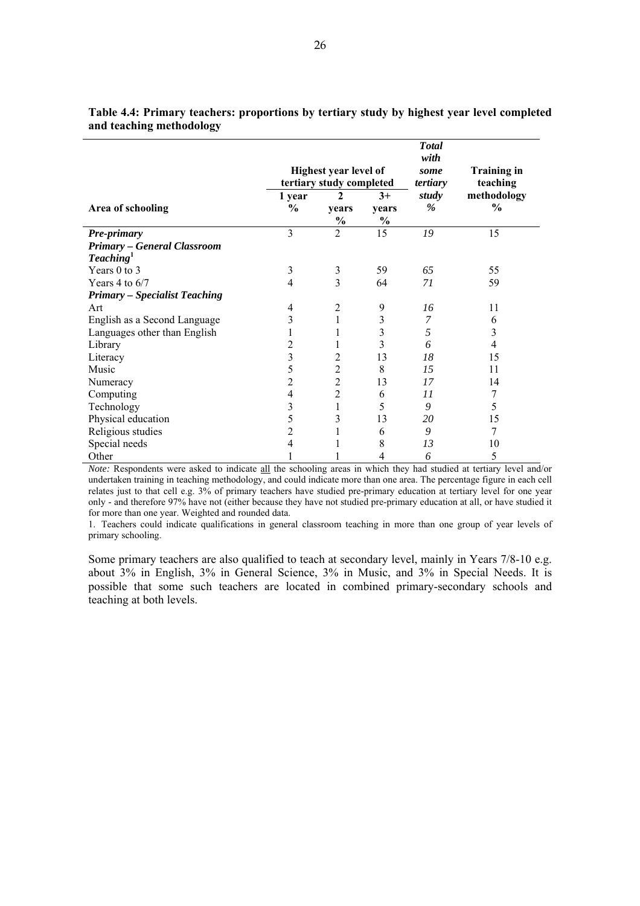|                                      | <b>Total</b><br>with<br>some<br>tertiary | <b>Training in</b><br>teaching         |                         |               |                              |
|--------------------------------------|------------------------------------------|----------------------------------------|-------------------------|---------------|------------------------------|
| Area of schooling                    | 1 year<br>$\frac{0}{0}$                  | tertiary study completed<br>2<br>vears | $3+$<br>vears           | study<br>$\%$ | methodology<br>$\frac{0}{0}$ |
|                                      |                                          | $\frac{0}{0}$                          | $\frac{0}{0}$           |               |                              |
| Pre-primary                          | $\overline{3}$                           | $\overline{2}$                         | 15                      | 19            | 15                           |
| <b>Primary - General Classroom</b>   |                                          |                                        |                         |               |                              |
| Teaching <sup>1</sup>                |                                          |                                        |                         |               |                              |
| Years 0 to 3                         | 3                                        | 3                                      | 59                      | 65            | 55                           |
| Years 4 to $6/7$                     | 4                                        | 3                                      | 64                      | 71            | 59                           |
| <b>Primary - Specialist Teaching</b> |                                          |                                        |                         |               |                              |
| Art                                  | 4                                        | $\overline{2}$                         | 9                       | 16            | 11                           |
| English as a Second Language         | 3                                        | 1                                      | 3                       | 7             | 6                            |
| Languages other than English         |                                          |                                        | 3                       | 5             | 3                            |
| Library                              | 2                                        | 1                                      | $\overline{\mathbf{3}}$ | 6             | 4                            |
| Literacy                             | 3                                        | 2                                      | 13                      | 18            | 15                           |
| Music                                | 5                                        | $\overline{2}$                         | 8                       | 15            | 11                           |
| Numeracy                             | $\overline{c}$                           | $\overline{2}$                         | 13                      | 17            | 14                           |
| Computing                            | 4                                        | $\overline{2}$                         | 6                       | 11            | 7                            |
| Technology                           | 3                                        | 1                                      | 5                       | 9             | 5                            |
| Physical education                   | 5                                        | 3                                      | 13                      | 20            | 15                           |
| Religious studies                    | $\overline{c}$                           |                                        | 6                       | 9             | 7                            |
| Special needs                        | 4                                        |                                        | 8                       | 13            | 10                           |
| Other                                |                                          |                                        | $\overline{4}$          | 6             | 5                            |

### **Table 4.4: Primary teachers: proportions by tertiary study by highest year level completed and teaching methodology**

*Note:* Respondents were asked to indicate all the schooling areas in which they had studied at tertiary level and/or undertaken training in teaching methodology, and could indicate more than one area. The percentage figure in each cell relates just to that cell e.g. 3% of primary teachers have studied pre-primary education at tertiary level for one year only - and therefore 97% have not (either because they have not studied pre-primary education at all, or have studied it for more than one year. Weighted and rounded data.

1. Teachers could indicate qualifications in general classroom teaching in more than one group of year levels of primary schooling.

Some primary teachers are also qualified to teach at secondary level, mainly in Years 7/8-10 e.g. about 3% in English, 3% in General Science, 3% in Music, and 3% in Special Needs. It is possible that some such teachers are located in combined primary-secondary schools and teaching at both levels.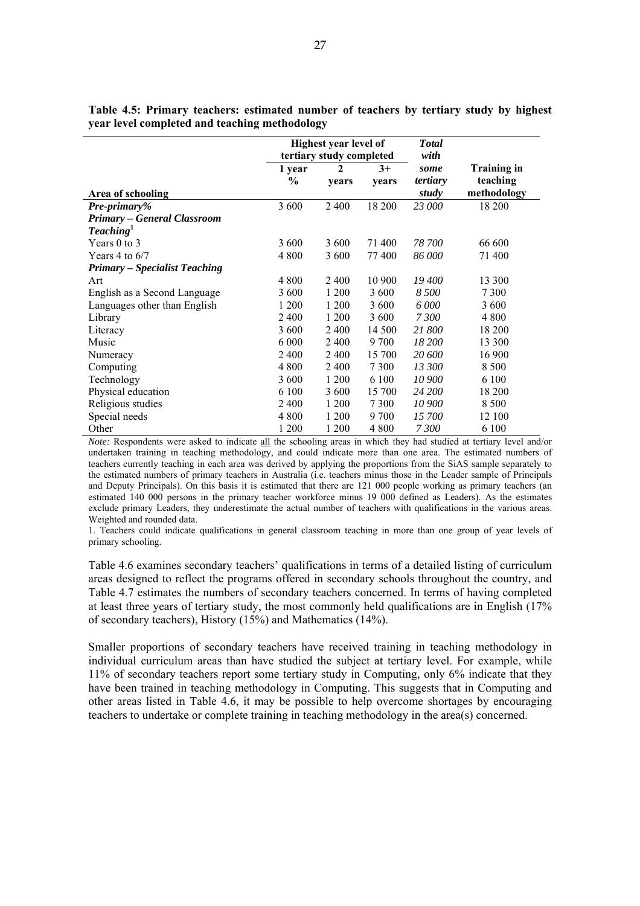|                                      |                         | Highest year level of<br>tertiary study completed | <b>Total</b><br>with |                  |                         |
|--------------------------------------|-------------------------|---------------------------------------------------|----------------------|------------------|-------------------------|
|                                      | 1 year<br>$\frac{6}{9}$ | $\mathbf{2}$<br>years                             | $3+$<br>years        | some<br>tertiary | Training in<br>teaching |
| Area of schooling                    |                         |                                                   |                      | study            | methodology             |
| <b>Pre-primary%</b>                  | 3 600                   | 2400                                              | 18 200               | 23 000           | 18 200                  |
| <b>Primary - General Classroom</b>   |                         |                                                   |                      |                  |                         |
| Teaching <sup>1</sup>                |                         |                                                   |                      |                  |                         |
| Years 0 to 3                         | 3 600                   | 3 600                                             | 71 400               | 78 700           | 66 600                  |
| Years 4 to $6/7$                     | 4 800                   | 3 600                                             | 77400                | 86 000           | 71 400                  |
| <b>Primary - Specialist Teaching</b> |                         |                                                   |                      |                  |                         |
| Art                                  | 4 8 0 0                 | 2400                                              | 10 900               | 19 400           | 13 300                  |
| English as a Second Language         | 3 600                   | 1 200                                             | 3 600                | 8 500            | 7 3 0 0                 |
| Languages other than English         | 1 200                   | 1 200                                             | 3 600                | 6 000            | 3 600                   |
| Library                              | 2400                    | 1 200                                             | 3 600                | 7300             | 4 800                   |
| Literacy                             | 3 600                   | 2400                                              | 14 500               | 21 800           | 18 200                  |
| Music                                | 6 0 0 0                 | 2400                                              | 9 700                | 18 200           | 13 300                  |
| Numeracy                             | 2400                    | 2400                                              | 15 700               | 20 600           | 16 900                  |
| Computing                            | 4 800                   | 2 4 0 0                                           | 7 3 0 0              | 13 300           | 8 5 0 0                 |
| Technology                           | 3 600                   | 1 200                                             | 6 100                | 10 900           | 6 100                   |
| Physical education                   | 6 100                   | 3 600                                             | 15 700               | 24 200           | 18 200                  |
| Religious studies                    | 2 4 0 0                 | 1 200                                             | 7 3 0 0              | 10 900           | 8 5 0 0                 |
| Special needs                        | 4 800                   | 1 200                                             | 9 700                | 15 700           | 12 100                  |
| Other                                | 1 200                   | 1 200                                             | 4 8 0 0              | 7300             | 6 100                   |

**Table 4.5: Primary teachers: estimated number of teachers by tertiary study by highest year level completed and teaching methodology** 

*Note:* Respondents were asked to indicate all the schooling areas in which they had studied at tertiary level and/or undertaken training in teaching methodology, and could indicate more than one area. The estimated numbers of teachers currently teaching in each area was derived by applying the proportions from the SiAS sample separately to the estimated numbers of primary teachers in Australia (i.e. teachers minus those in the Leader sample of Principals and Deputy Principals). On this basis it is estimated that there are 121 000 people working as primary teachers (an estimated 140 000 persons in the primary teacher workforce minus 19 000 defined as Leaders). As the estimates exclude primary Leaders, they underestimate the actual number of teachers with qualifications in the various areas. Weighted and rounded data.

1. Teachers could indicate qualifications in general classroom teaching in more than one group of year levels of primary schooling.

Table 4.6 examines secondary teachers' qualifications in terms of a detailed listing of curriculum areas designed to reflect the programs offered in secondary schools throughout the country, and Table 4.7 estimates the numbers of secondary teachers concerned. In terms of having completed at least three years of tertiary study, the most commonly held qualifications are in English (17% of secondary teachers), History (15%) and Mathematics (14%).

Smaller proportions of secondary teachers have received training in teaching methodology in individual curriculum areas than have studied the subject at tertiary level. For example, while 11% of secondary teachers report some tertiary study in Computing, only 6% indicate that they have been trained in teaching methodology in Computing. This suggests that in Computing and other areas listed in Table 4.6, it may be possible to help overcome shortages by encouraging teachers to undertake or complete training in teaching methodology in the area(s) concerned.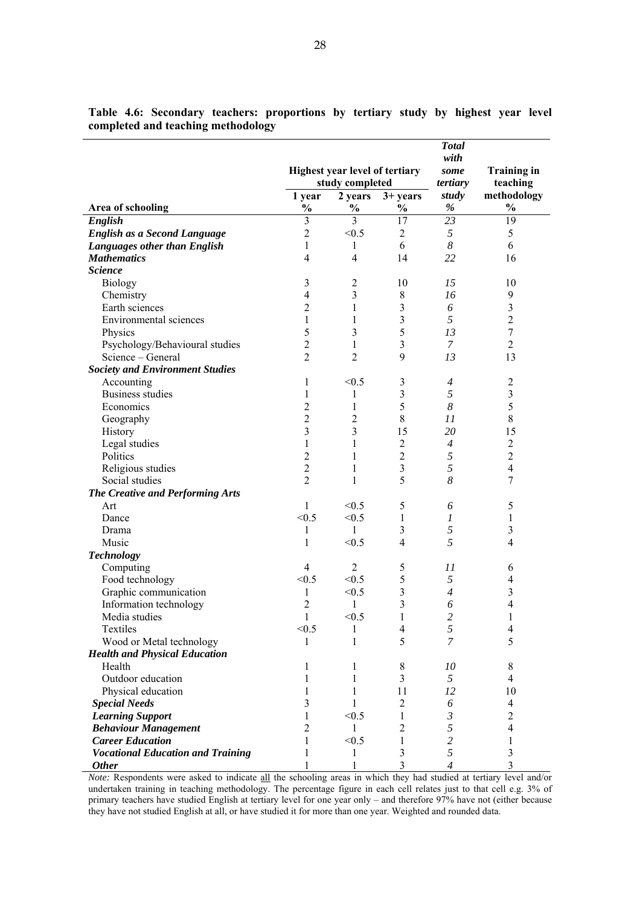|                                                        |                     |                                |                     | <b>Total</b>            |                     |
|--------------------------------------------------------|---------------------|--------------------------------|---------------------|-------------------------|---------------------|
|                                                        |                     |                                |                     | with                    |                     |
|                                                        |                     | Highest year level of tertiary |                     | some                    | <b>Training in</b>  |
|                                                        |                     | study completed                |                     | tertiary                | teaching            |
|                                                        | 1 year              | 2 years                        | $3+ years$          | study                   | methodology         |
| Area of schooling                                      | $\frac{0}{0}$       | $\%$                           | $\frac{0}{0}$       | $\%$                    | $\frac{1}{2}$       |
| English                                                | $\overline{3}$      | $\overline{3}$                 | 17                  | 23                      | 19                  |
| English as a Second Language                           | $\overline{2}$      | < 0.5                          | $\overline{2}$      | 5                       | 5                   |
| <b>Languages other than English</b>                    | 1                   | 1                              | 6                   | 8                       | 6                   |
| <b>Mathematics</b>                                     | 4                   | 4                              | 14                  | 22                      | 16                  |
| <b>Science</b>                                         |                     |                                |                     |                         |                     |
| <b>Biology</b>                                         | 3                   | $\overline{2}$                 | 10                  | 15                      | 10                  |
| Chemistry                                              | 4                   | 3                              | $8\,$               | 16                      | 9                   |
| Earth sciences                                         | $\overline{2}$      | 1                              | 3                   | 6                       | 3                   |
| Environmental sciences                                 | $\mathbf{1}$        | 1                              | $\mathfrak{Z}$      | 5                       | $\overline{c}$      |
| Physics                                                | 5                   | 3                              | 5                   | 13                      | $\boldsymbol{7}$    |
| Psychology/Behavioural studies                         | $\overline{c}$      | 1                              | $\overline{3}$      | $\overline{7}$          | $\overline{c}$      |
| Science – General                                      | $\overline{2}$      | $\overline{2}$                 | 9                   | 13                      | 13                  |
| <b>Society and Environment Studies</b>                 |                     |                                |                     |                         |                     |
| Accounting                                             | 1                   | < 0.5                          | $\mathfrak{Z}$      | 4                       | $\sqrt{2}$          |
| <b>Business studies</b>                                | 1                   | 1                              | $\mathfrak{Z}$      | 5                       | 3                   |
| Economics                                              | $\overline{2}$      | 1                              | 5                   | $\boldsymbol{8}$        | 5                   |
| Geography                                              | $\overline{2}$      | 2                              | $8\,$               | 11                      | $8\,$               |
| History                                                | 3                   | 3                              | 15                  | 20                      | 15                  |
| Legal studies                                          | 1                   | 1                              | $\overline{2}$      | $\overline{4}$          | $\overline{2}$      |
| Politics                                               | $\overline{2}$      | 1                              | $\overline{2}$      | 5                       | $\overline{c}$      |
| Religious studies                                      | $\overline{2}$      | 1                              | 3                   | 5                       | $\overline{4}$      |
| Social studies                                         | $\overline{2}$      | 1                              | 5                   | 8                       | 7                   |
| The Creative and Performing Arts                       |                     |                                |                     |                         |                     |
| Art                                                    | $\mathbf{1}$        | < 0.5                          | 5                   | 6                       | 5                   |
| Dance                                                  | < 0.5               | < 0.5                          | $\mathbf{1}$        | $\boldsymbol{l}$        | $\mathbf{1}$        |
| Drama                                                  | 1                   | $\mathbf{1}$                   | 3                   | 5                       | 3                   |
| Music                                                  | 1                   | < 0.5                          | 4                   | 5                       | 4                   |
| <b>Technology</b>                                      |                     |                                |                     |                         |                     |
| Computing                                              | $\overline{4}$      | $\overline{2}$                 | 5                   | 11                      | 6                   |
| Food technology                                        | < 0.5               | < 0.5                          | 5                   | 5                       | 4                   |
| Graphic communication                                  | 1                   | < 0.5                          | $\mathfrak{Z}$      | $\overline{4}$          | 3                   |
| Information technology                                 | $\overline{2}$      | 1                              | $\mathfrak{Z}$      | 6                       | 4                   |
| Media studies                                          | 1                   | < 0.5                          | 1                   | $\overline{\mathbf{c}}$ | 1                   |
| Textiles                                               | < 0.5               | 1                              | $\overline{4}$      | 5                       | $\overline{4}$      |
| Wood or Metal technology                               | 1                   | 1                              | 5                   | 7                       | 5                   |
| <b>Health and Physical Education</b>                   |                     |                                |                     |                         |                     |
| Health                                                 | 1                   | 1                              | $8\,$               | 10                      | $8\,$               |
| Outdoor education                                      | 1<br>1              | 1<br>1                         | 3                   | 5                       | $\overline{4}$      |
| Physical education                                     |                     |                                | 11                  | 12                      | 10                  |
| <b>Special Needs</b>                                   | 3                   | 1                              | 2                   | 6                       | 4                   |
| <b>Learning Support</b>                                | 1<br>$\overline{2}$ | < 0.5<br>$\mathbf{1}$          | 1<br>$\overline{2}$ | 3<br>5                  | $\overline{c}$<br>4 |
| <b>Behaviour Management</b><br><b>Career Education</b> | 1                   | < 0.5                          | 1                   | $\overline{c}$          | 1                   |
| <b>Vocational Education and Training</b>               | 1                   |                                | 3                   | 5                       | $\mathfrak{Z}$      |
| <b>Other</b>                                           | 1                   | 1<br>1                         | 3                   | $\overline{4}$          | 3                   |
|                                                        |                     |                                |                     |                         |                     |

**Table 4.6: Secondary teachers: proportions by tertiary study by highest year level completed and teaching methodology** 

*Note:* Respondents were asked to indicate all the schooling areas in which they had studied at tertiary level and/or undertaken training in teaching methodology. The percentage figure in each cell relates just to that cell e.g. 3% of primary teachers have studied English at tertiary level for one year only – and therefore 97% have not (either because they have not studied English at all, or have studied it for more than one year. Weighted and rounded data.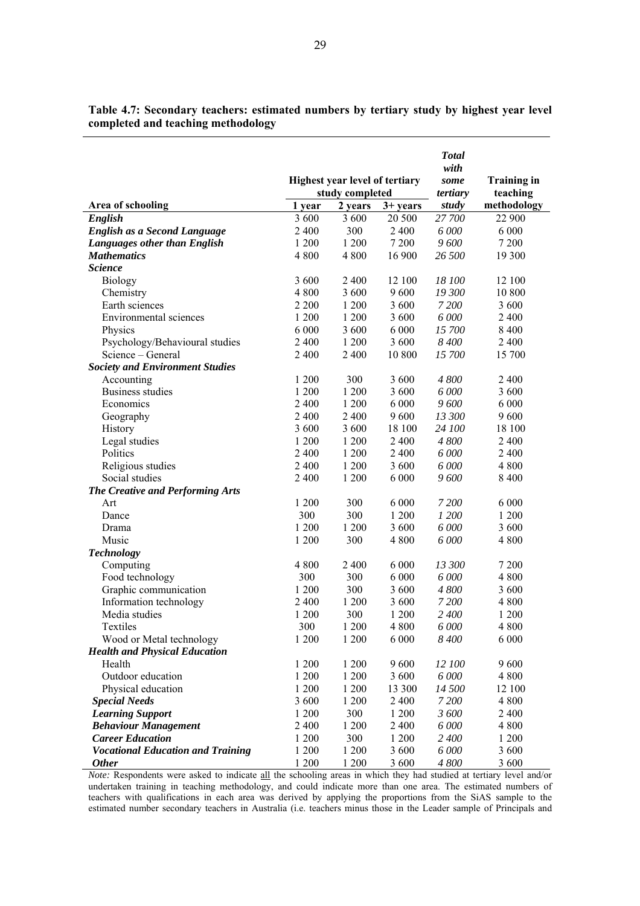|                                          | <b>T</b> otal<br>with<br>some<br>tertiary | <b>Training in</b><br>teaching |            |        |             |
|------------------------------------------|-------------------------------------------|--------------------------------|------------|--------|-------------|
| Area of schooling                        | 1 year                                    | 2 years                        | $3+$ years | study  | methodology |
| English                                  | 3 600                                     | 3 600                          | 20 500     | 27 700 | 22 900      |
| <b>English as a Second Language</b>      | 2 400                                     | 300                            | 2 4 0 0    | 6 000  | 6 0 0 0     |
| Languages other than English             | 1 200                                     | 1 200                          | 7 200      | 9600   | 7 200       |
| <b>Mathematics</b>                       | 4 800                                     | 4 8 0 0                        | 16 900     | 26 500 | 19 300      |
| <b>Science</b>                           |                                           |                                |            |        |             |
| <b>Biology</b>                           | 3 600                                     | 2 4 0 0                        | 12 100     | 18 100 | 12 100      |
| Chemistry                                | 4 800                                     | 3 600                          | 9600       | 19 300 | 10 800      |
| Earth sciences                           | 2 2 0 0                                   | 1 200                          | 3 600      | 7 200  | 3 600       |
| Environmental sciences                   | 1 200                                     | 1 200                          | 3 600      | 6 000  | 2400        |
| Physics                                  | 6 0 0 0                                   | 3 600                          | 6 0 0 0    | 15 700 | 8 4 0 0     |
| Psychology/Behavioural studies           | 2 4 0 0                                   | 1 200                          | 3 600      | 8 400  | 2400        |
| Science – General                        | 2 400                                     | 2 4 0 0                        | 10 800     | 15 700 | 15 700      |
| <b>Society and Environment Studies</b>   |                                           |                                |            |        |             |
| Accounting                               | 1 200                                     | 300                            | 3 600      | 4800   | 2400        |
| Business studies                         | 1 200                                     | 1 200                          | 3 600      | 6 000  | 3 600       |
| Economics                                | 2 4 0 0                                   | 1 200                          | 6 0 0 0    | 9600   | 6 0 0 0     |
| Geography                                | 2 4 0 0                                   | 2 4 0 0                        | 9600       | 13 300 | 9600        |
| History                                  | 3 600                                     | 3 600                          | 18 100     | 24 100 | 18 100      |
| Legal studies                            | 1 200                                     | 1 200                          | 2 4 0 0    | 4 800  | 2400        |
| Politics                                 | 2 4 0 0                                   | 1 200                          | 2 400      | 6 000  | 2400        |
| Religious studies                        | 2 4 0 0                                   | 1 200                          | 3 600      | 6 000  | 4 8 0 0     |
| Social studies                           | 2400                                      | 1 200                          | 6 000      | 9600   | 8 4 0 0     |
| <b>The Creative and Performing Arts</b>  |                                           |                                |            |        |             |
| Art                                      | 1 200                                     | 300                            | 6 0 0 0    | 7 200  | 6 0 0 0     |
| Dance                                    | 300                                       | 300                            | 1 200      | 1 200  | 1 200       |
| Drama                                    | 1 200                                     | 1 200                          | 3 600      | 6 000  | 3 600       |
| Music                                    | 1 200                                     | 300                            | 4 8 0 0    | 6 000  | 4 800       |
| <b>Technology</b>                        |                                           |                                |            |        |             |
| Computing                                | 4 800                                     | 2 4 0 0                        | 6 0 0 0    | 13 300 | 7 200       |
| Food technology                          | 300                                       | 300                            | 6 0 0 0    | 6 000  | 4 8 0 0     |
| Graphic communication                    | 1 200                                     | 300                            | 3 600      | 4800   | 3 600       |
| Information technology                   | 2 4 0 0                                   | 1 200                          | 3 600      | 7 200  | 4 800       |
| Media studies                            | 1 200                                     | 300                            | 1 200      | 2400   | 1 200       |
| Textiles                                 | 300                                       | 1 200                          | 4 800      | 6 000  | 4 800       |
| Wood or Metal technology                 | 1 200                                     | 1 200                          | 6 000      | 8400   | 6 000       |
| <b>Health and Physical Education</b>     |                                           |                                |            |        |             |
| Health                                   | 1 200                                     | 1 200                          | 9600       | 12 100 | 9600        |
| Outdoor education                        | 1 200                                     | 1 200                          | 3 600      | 6 000  | 4 800       |
| Physical education                       | 1 200                                     | 1 200                          | 13 300     | 14 500 | 12 100      |
| <b>Special Needs</b>                     | 3 600                                     | 1 200                          | 2 4 0 0    | 7 200  | 4 8 0 0     |
| <b>Learning Support</b>                  | 1 200                                     | 300                            | 1 200      | 3 600  | 2400        |
| <b>Behaviour Management</b>              | 2 400                                     | 1 200                          | 2 4 0 0    | 6 000  | 4 8 0 0     |
| <b>Career Education</b>                  | 1 200                                     | 300                            | $1\ 200$   | 2 400  | 1 200       |
| <b>Vocational Education and Training</b> | 1 200                                     | 1 200                          | 3 600      | 6 000  | 3 600       |
| <b>Other</b>                             | 1 200                                     | 1 200                          | 3 600      | 4800   | 3 600       |

**Table 4.7: Secondary teachers: estimated numbers by tertiary study by highest year level completed and teaching methodology** 

*Note:* Respondents were asked to indicate all the schooling areas in which they had studied at tertiary level and/or undertaken training in teaching methodology, and could indicate more than one area. The estimated numbers of teachers with qualifications in each area was derived by applying the proportions from the SiAS sample to the estimated number secondary teachers in Australia (i.e. teachers minus those in the Leader sample of Principals and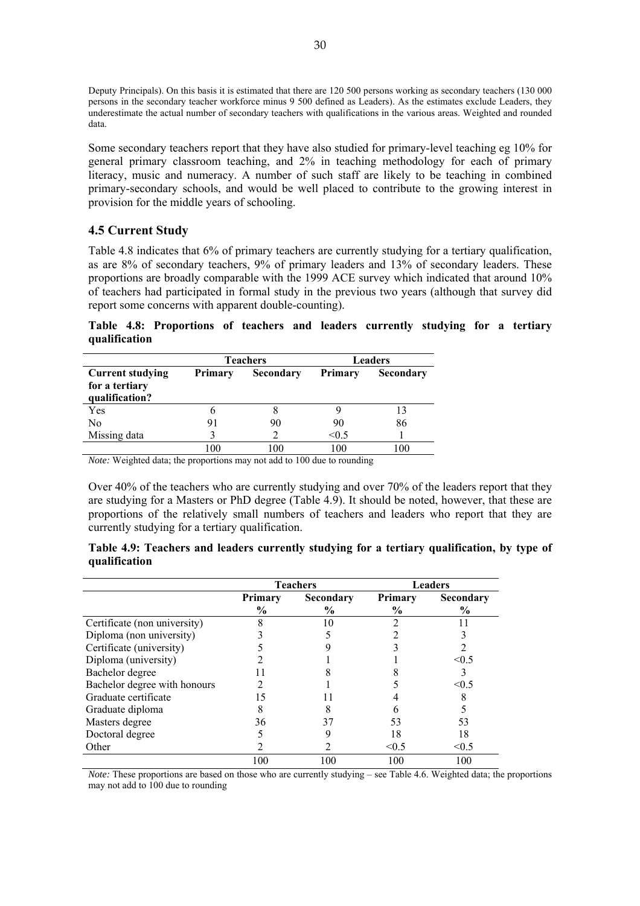Deputy Principals). On this basis it is estimated that there are 120 500 persons working as secondary teachers (130 000 persons in the secondary teacher workforce minus 9 500 defined as Leaders). As the estimates exclude Leaders, they underestimate the actual number of secondary teachers with qualifications in the various areas. Weighted and rounded data.

Some secondary teachers report that they have also studied for primary-level teaching eg 10% for general primary classroom teaching, and 2% in teaching methodology for each of primary literacy, music and numeracy. A number of such staff are likely to be teaching in combined primary-secondary schools, and would be well placed to contribute to the growing interest in provision for the middle years of schooling.

# **4.5 Current Study**

Table 4.8 indicates that 6% of primary teachers are currently studying for a tertiary qualification, as are 8% of secondary teachers, 9% of primary leaders and 13% of secondary leaders. These proportions are broadly comparable with the 1999 ACE survey which indicated that around 10% of teachers had participated in formal study in the previous two years (although that survey did report some concerns with apparent double-counting).

**Table 4.8: Proportions of teachers and leaders currently studying for a tertiary qualification** 

|                                                             |         | <b>Teachers</b>  |         | <b>Leaders</b>   |  |  |  |
|-------------------------------------------------------------|---------|------------------|---------|------------------|--|--|--|
| <b>Current studying</b><br>for a tertiary<br>qualification? | Primary | <b>Secondary</b> | Primary | <b>Secondary</b> |  |  |  |
| Yes                                                         |         |                  |         |                  |  |  |  |
| N <sub>0</sub>                                              |         | 90               | 90      | 86               |  |  |  |
| Missing data                                                |         |                  | < 0.5   |                  |  |  |  |
|                                                             | 00      | 100              | 100     | 00               |  |  |  |

*Note:* Weighted data; the proportions may not add to 100 due to rounding

Over 40% of the teachers who are currently studying and over 70% of the leaders report that they are studying for a Masters or PhD degree (Table 4.9). It should be noted, however, that these are proportions of the relatively small numbers of teachers and leaders who report that they are currently studying for a tertiary qualification.

|               |  |  |  | Table 4.9: Teachers and leaders currently studying for a tertiary qualification, by type of |  |
|---------------|--|--|--|---------------------------------------------------------------------------------------------|--|
| qualification |  |  |  |                                                                                             |  |

|                              |                          | <b>Teachers</b>   | <b>Leaders</b>         |                   |  |
|------------------------------|--------------------------|-------------------|------------------------|-------------------|--|
|                              | Primary<br>$\frac{6}{9}$ | Secondary<br>$\%$ | <b>Primary</b><br>$\%$ | Secondary<br>$\%$ |  |
| Certificate (non university) |                          | 10                |                        |                   |  |
| Diploma (non university)     |                          |                   |                        |                   |  |
| Certificate (university)     |                          |                   |                        |                   |  |
| Diploma (university)         |                          |                   |                        | $\leq 0.5$        |  |
| Bachelor degree              |                          |                   |                        |                   |  |
| Bachelor degree with honours |                          |                   |                        | < 0.5             |  |
| Graduate certificate         |                          |                   |                        |                   |  |
| Graduate diploma             |                          |                   |                        |                   |  |
| Masters degree               | 36                       | 37                | 53                     | 53                |  |
| Doctoral degree              |                          |                   | 18                     | 18                |  |
| Other                        |                          |                   | < 0.5                  | $\leq 0.5$        |  |
|                              | 100                      | 100               | 100                    | 100               |  |

*Note:* These proportions are based on those who are currently studying – see Table 4.6. Weighted data; the proportions may not add to 100 due to rounding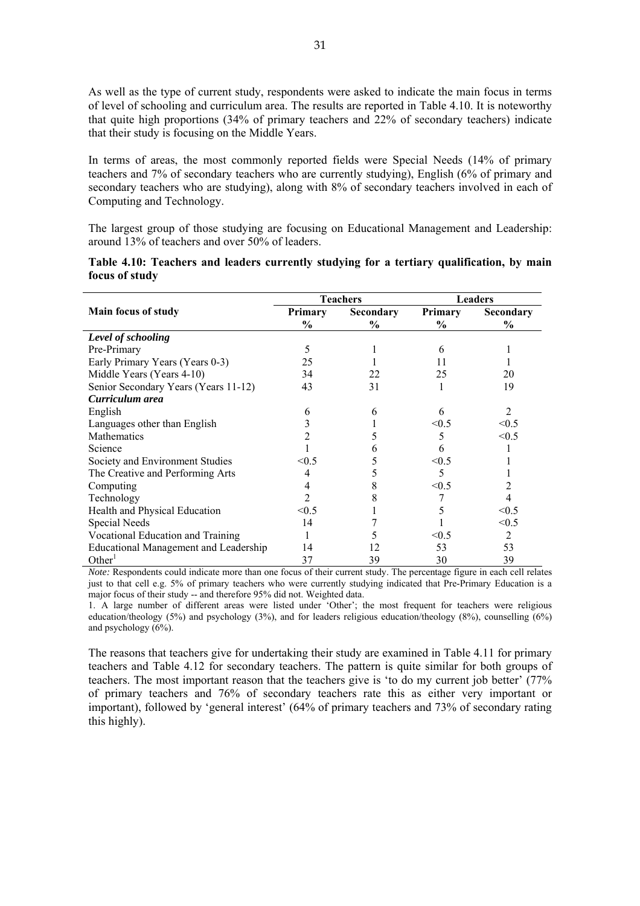As well as the type of current study, respondents were asked to indicate the main focus in terms of level of schooling and curriculum area. The results are reported in Table 4.10. It is noteworthy that quite high proportions (34% of primary teachers and 22% of secondary teachers) indicate that their study is focusing on the Middle Years.

In terms of areas, the most commonly reported fields were Special Needs (14% of primary teachers and 7% of secondary teachers who are currently studying), English (6% of primary and secondary teachers who are studying), along with 8% of secondary teachers involved in each of Computing and Technology.

The largest group of those studying are focusing on Educational Management and Leadership: around 13% of teachers and over 50% of leaders.

|                                              |               | <b>Teachers</b> | <b>Leaders</b> |                             |  |
|----------------------------------------------|---------------|-----------------|----------------|-----------------------------|--|
| Main focus of study                          | Primary       | Secondary       | <b>Primary</b> | Secondary                   |  |
|                                              | $\frac{6}{9}$ | $\frac{6}{9}$   | $\frac{6}{9}$  | $\%$                        |  |
| Level of schooling                           |               |                 |                |                             |  |
| Pre-Primary                                  | 5             |                 | 6              |                             |  |
| Early Primary Years (Years 0-3)              | 25            |                 | 11             |                             |  |
| Middle Years (Years 4-10)                    | 34            | 22              | 25             | 20                          |  |
| Senior Secondary Years (Years 11-12)         | 43            | 31              |                | 19                          |  |
| Curriculum area                              |               |                 |                |                             |  |
| English                                      | 6             | h               | 6              | $\mathcal{D}_{\mathcal{L}}$ |  |
| Languages other than English                 | 3             |                 | < 0.5          | < 0.5                       |  |
| Mathematics                                  |               |                 | 5              | < 0.5                       |  |
| Science                                      |               |                 | 6              |                             |  |
| Society and Environment Studies              | < 0.5         |                 | < 0.5          |                             |  |
| The Creative and Performing Arts             | 4             |                 | 5              |                             |  |
| Computing                                    | 4             |                 | < 0.5          | 2                           |  |
| Technology                                   | 2             |                 |                | 4                           |  |
| Health and Physical Education                | < 0.5         |                 | 5              | < 0.5                       |  |
| Special Needs                                | 14            |                 |                | < 0.5                       |  |
| Vocational Education and Training            |               |                 | < 0.5          | 2                           |  |
| <b>Educational Management and Leadership</b> | 14            |                 | 53             | 53                          |  |
| Other <sup>1</sup>                           | 37            | 39              | 30             | 39                          |  |

| Table 4.10: Teachers and leaders currently studying for a tertiary qualification, by main |  |  |  |  |
|-------------------------------------------------------------------------------------------|--|--|--|--|
| focus of study                                                                            |  |  |  |  |

*Note:* Respondents could indicate more than one focus of their current study. The percentage figure in each cell relates just to that cell e.g. 5% of primary teachers who were currently studying indicated that Pre-Primary Education is a major focus of their study -- and therefore 95% did not. Weighted data.

1. A large number of different areas were listed under 'Other'; the most frequent for teachers were religious education/theology (5%) and psychology (3%), and for leaders religious education/theology (8%), counselling (6%) and psychology (6%).

The reasons that teachers give for undertaking their study are examined in Table 4.11 for primary teachers and Table 4.12 for secondary teachers. The pattern is quite similar for both groups of teachers. The most important reason that the teachers give is 'to do my current job better' (77% of primary teachers and 76% of secondary teachers rate this as either very important or important), followed by 'general interest' (64% of primary teachers and 73% of secondary rating this highly).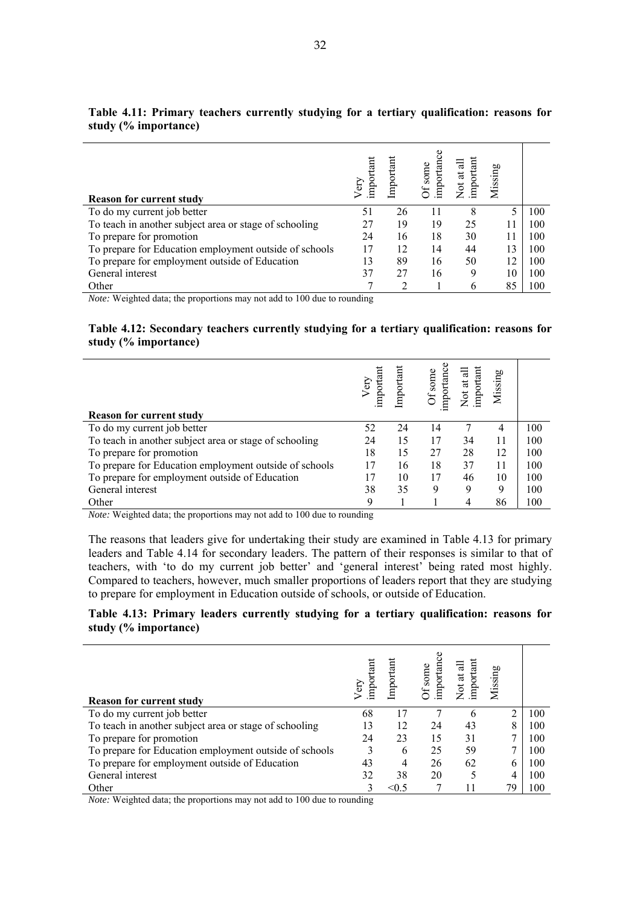| important<br>Not at all<br>importano<br>Of some<br>Missing<br>Import<br>impor<br>Very<br><b>Reason for current study</b>                                                                                                                                                                                                                                                  |  |
|---------------------------------------------------------------------------------------------------------------------------------------------------------------------------------------------------------------------------------------------------------------------------------------------------------------------------------------------------------------------------|--|
| To do my current job better<br>26<br>100<br>8<br>51<br>11                                                                                                                                                                                                                                                                                                                 |  |
| To teach in another subject area or stage of schooling<br>25<br>19<br>100<br>19<br>27<br>11                                                                                                                                                                                                                                                                               |  |
| To prepare for promotion<br>18<br>24<br>30<br>100<br>16<br>11                                                                                                                                                                                                                                                                                                             |  |
| To prepare for Education employment outside of schools<br>12<br>44<br>13<br>100<br>17<br>14                                                                                                                                                                                                                                                                               |  |
| To prepare for employment outside of Education<br>89<br>50<br>12<br>100<br>13<br>16                                                                                                                                                                                                                                                                                       |  |
| General interest<br>37<br>27<br>16<br>10<br>100<br>9                                                                                                                                                                                                                                                                                                                      |  |
| 85<br>Other<br>100<br>$\mathfrak b$<br>$\mathbf{M}$ $\mathbf{M}$ $\mathbf{M}$ $\mathbf{M}$ $\mathbf{M}$ $\mathbf{M}$ $\mathbf{M}$ $\mathbf{M}$ $\mathbf{M}$ $\mathbf{M}$ $\mathbf{M}$ $\mathbf{M}$ $\mathbf{M}$ $\mathbf{M}$ $\mathbf{M}$ $\mathbf{M}$ $\mathbf{M}$ $\mathbf{M}$ $\mathbf{M}$ $\mathbf{M}$ $\mathbf{M}$ $\mathbf{M}$ $\mathbf{M}$ $\mathbf{M}$ $\mathbf{$ |  |

## **Table 4.11: Primary teachers currently studying for a tertiary qualification: reasons for study (% importance)**

*Note:* Weighted data; the proportions may not add to 100 due to rounding

### **Table 4.12: Secondary teachers currently studying for a tertiary qualification: reasons for study (% importance)**

| <b>Reason for current study</b>                        | important<br>Very | Important | 8<br>Of some<br>importano | important<br>ಸ<br>Not at | Missing |     |
|--------------------------------------------------------|-------------------|-----------|---------------------------|--------------------------|---------|-----|
| To do my current job better                            | 52                | 24        | 14                        |                          | 4       | 100 |
| To teach in another subject area or stage of schooling | 24                | 15        | 17                        | 34                       | 11      | 100 |
| To prepare for promotion                               | 18                | 15        | 27                        | 28                       | 12      | 100 |
| To prepare for Education employment outside of schools | 17                | 16        | 18                        | 37                       | 11      | 100 |
| To prepare for employment outside of Education         |                   | 10        | 17                        | 46                       | 10      | 100 |
| General interest                                       | 38                | 35        | 9                         | 9                        | 9       | 100 |
| Other                                                  | 9                 |           |                           |                          | 86      | 100 |

*Note:* Weighted data; the proportions may not add to 100 due to rounding

The reasons that leaders give for undertaking their study are examined in Table 4.13 for primary leaders and Table 4.14 for secondary leaders. The pattern of their responses is similar to that of teachers, with 'to do my current job better' and 'general interest' being rated most highly. Compared to teachers, however, much smaller proportions of leaders report that they are studying to prepare for employment in Education outside of schools, or outside of Education.

## **Table 4.13: Primary leaders currently studying for a tertiary qualification: reasons for study (% importance)**

| <b>Reason for current study</b>                        | Very<br>important | Important | importance<br>Of some | Not at all<br>important | Missing |     |
|--------------------------------------------------------|-------------------|-----------|-----------------------|-------------------------|---------|-----|
| To do my current job better                            | 68                | 17        |                       | 6                       |         | 100 |
| To teach in another subject area or stage of schooling | 13                | 12        | 24                    | 43                      | 8       | 100 |
| To prepare for promotion                               | 24                | 23        | 15                    | 31                      |         | 100 |
| To prepare for Education employment outside of schools | 3                 | 6         | 25                    | 59                      |         | 100 |
| To prepare for employment outside of Education         | 43                | 4         | 26                    | 62                      | 6       | 100 |
| General interest                                       | 32                | 38        | 20                    |                         | 4       | 100 |
| Other                                                  |                   | < 0.5     |                       |                         | 79      | 100 |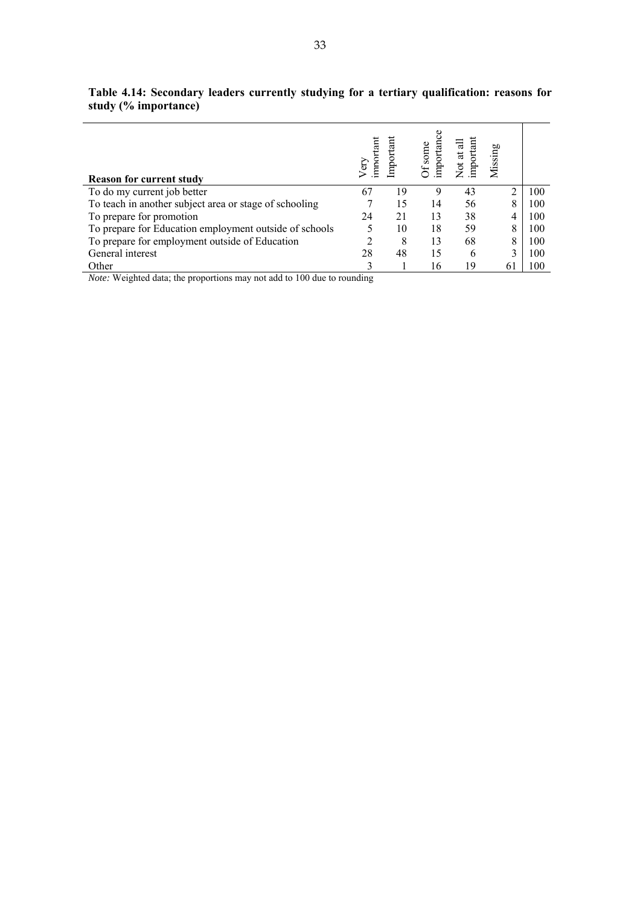| <b>Reason for current study</b>                        | importan<br>G<br>C | mportan | importanc<br>Of some | important<br>Not at al | Missing |     |
|--------------------------------------------------------|--------------------|---------|----------------------|------------------------|---------|-----|
| To do my current job better                            | 67                 | 19      | Q                    | 43                     |         | 100 |
| To teach in another subject area or stage of schooling |                    | 15      | 14                   | 56                     | 8       | 100 |
| To prepare for promotion                               | 24                 | 21      | 13                   | 38                     |         | 100 |
| To prepare for Education employment outside of schools |                    | 10      | 18                   | 59                     | 8       | 100 |
| To prepare for employment outside of Education         |                    | 8       | 13                   | 68                     | 8       | 100 |
| General interest                                       | 28                 | 48      | 15                   | 6                      |         | 100 |
| Other                                                  |                    |         | 16                   | 19                     | 61      | 100 |

**Table 4.14: Secondary leaders currently studying for a tertiary qualification: reasons for study (% importance)**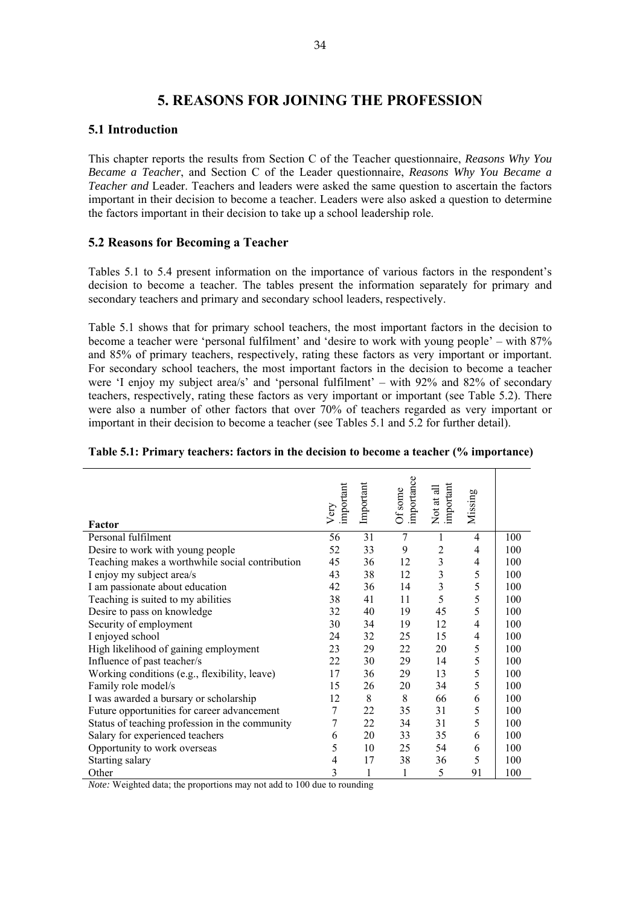# **5. REASONS FOR JOINING THE PROFESSION**

# **5.1 Introduction**

This chapter reports the results from Section C of the Teacher questionnaire, *Reasons Why You Became a Teacher*, and Section C of the Leader questionnaire, *Reasons Why You Became a Teacher and* Leader. Teachers and leaders were asked the same question to ascertain the factors important in their decision to become a teacher. Leaders were also asked a question to determine the factors important in their decision to take up a school leadership role.

# **5.2 Reasons for Becoming a Teacher**

Tables 5.1 to 5.4 present information on the importance of various factors in the respondent's decision to become a teacher. The tables present the information separately for primary and secondary teachers and primary and secondary school leaders, respectively.

Table 5.1 shows that for primary school teachers, the most important factors in the decision to become a teacher were 'personal fulfilment' and 'desire to work with young people' – with 87% and 85% of primary teachers, respectively, rating these factors as very important or important. For secondary school teachers, the most important factors in the decision to become a teacher were 'I enjoy my subject area/s' and 'personal fulfilment' – with 92% and 82% of secondary teachers, respectively, rating these factors as very important or important (see Table 5.2). There were also a number of other factors that over 70% of teachers regarded as very important or important in their decision to become a teacher (see Tables 5.1 and 5.2 for further detail).

| Factor                                          | important<br>Very | Important | importance<br>Of some | Not at all<br>important | Missing |     |
|-------------------------------------------------|-------------------|-----------|-----------------------|-------------------------|---------|-----|
| Personal fulfilment                             | 56                | 31        | $\overline{7}$        | 1                       | 4       | 100 |
| Desire to work with young people                | 52                | 33        | 9                     | $\overline{2}$          | 4       | 100 |
| Teaching makes a worthwhile social contribution | 45                | 36        | 12                    | 3                       | 4       | 100 |
| I enjoy my subject area/s                       | 43                | 38        | 12                    | 3                       | 5       | 100 |
| I am passionate about education                 | 42                | 36        | 14                    | 3                       | 5       | 100 |
| Teaching is suited to my abilities              | 38                | 41        | 11                    | 5                       | 5       | 100 |
| Desire to pass on knowledge                     | 32                | 40        | 19                    | 45                      | 5       | 100 |
| Security of employment                          | 30                | 34        | 19                    | 12                      | 4       | 100 |
| I enjoyed school                                | 24                | 32        | 25                    | 15                      | 4       | 100 |
| High likelihood of gaining employment           | 23                | 29        | 22                    | 20                      | 5       | 100 |
| Influence of past teacher/s                     | 22                | 30        | 29                    | 14                      | 5       | 100 |
| Working conditions (e.g., flexibility, leave)   | 17                | 36        | 29                    | 13                      | 5       | 100 |
| Family role model/s                             | 15                | 26        | 20                    | 34                      | 5       | 100 |
| I was awarded a bursary or scholarship          | 12                | 8         | 8                     | 66                      | 6       | 100 |
| Future opportunities for career advancement     | 7                 | 22        | 35                    | 31                      | 5       | 100 |
| Status of teaching profession in the community  | $\boldsymbol{7}$  | 22        | 34                    | 31                      | 5       | 100 |
| Salary for experienced teachers                 | 6                 | 20        | 33                    | 35                      | 6       | 100 |
| Opportunity to work overseas                    | 5                 | 10        | 25                    | 54                      | 6       | 100 |
| Starting salary                                 | $\overline{4}$    | 17        | 38                    | 36                      | 5       | 100 |
| Other                                           | 3                 | 1         | 1                     | 5                       | 91      | 100 |

#### **Table 5.1: Primary teachers: factors in the decision to become a teacher (% importance)**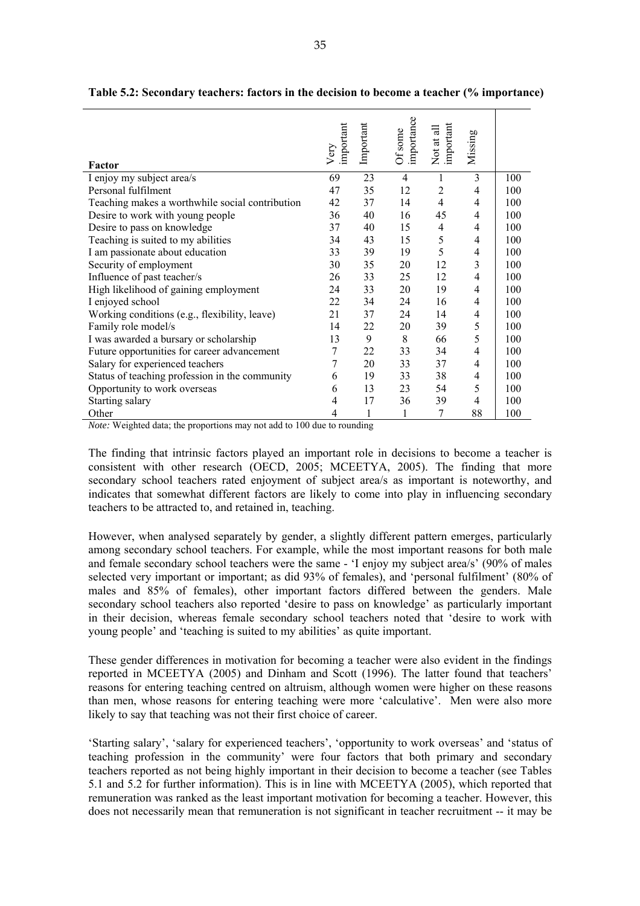| Factor                                          | important<br>Very | Important | importance<br>Of some | Not at all<br>important | Missing        |     |
|-------------------------------------------------|-------------------|-----------|-----------------------|-------------------------|----------------|-----|
| I enjoy my subject area/s                       | 69                | 23        | $\overline{4}$        | 1                       | 3              | 100 |
| Personal fulfilment                             | 47                | 35        | 12                    | $\overline{2}$          | 4              | 100 |
| Teaching makes a worthwhile social contribution | 42                | 37        | 14                    | $\overline{4}$          | 4              | 100 |
| Desire to work with young people                | 36                | 40        | 16                    | 45                      | 4              | 100 |
| Desire to pass on knowledge                     | 37                | 40        | 15                    | $\overline{4}$          | 4              | 100 |
| Teaching is suited to my abilities              | 34                | 43        | 15                    | 5                       | 4              | 100 |
| I am passionate about education                 | 33                | 39        | 19                    | 5                       | 4              | 100 |
| Security of employment                          | 30                | 35        | 20                    | 12                      | 3              | 100 |
| Influence of past teacher/s                     | 26                | 33        | 25                    | 12                      | $\overline{4}$ | 100 |
| High likelihood of gaining employment           | 24                | 33        | 20                    | 19                      | $\overline{4}$ | 100 |
| I enjoyed school                                | 22                | 34        | 24                    | 16                      | 4              | 100 |
| Working conditions (e.g., flexibility, leave)   | 21                | 37        | 24                    | 14                      | 4              | 100 |
| Family role model/s                             | 14                | 22        | 20                    | 39                      | 5              | 100 |
| I was awarded a bursary or scholarship          | 13                | 9         | 8                     | 66                      | 5              | 100 |
| Future opportunities for career advancement     | 7                 | 22        | 33                    | 34                      | 4              | 100 |
| Salary for experienced teachers                 | 7                 | 20        | 33                    | 37                      | 4              | 100 |
| Status of teaching profession in the community  | 6                 | 19        | 33                    | 38                      | 4              | 100 |
| Opportunity to work overseas                    | 6                 | 13        | 23                    | 54                      | 5              | 100 |
| Starting salary                                 | 4                 | 17        | 36                    | 39                      | 4              | 100 |
| Other                                           | 4                 | 1         | 1                     | 7                       | 88             | 100 |

**Table 5.2: Secondary teachers: factors in the decision to become a teacher (% importance)** 

The finding that intrinsic factors played an important role in decisions to become a teacher is consistent with other research (OECD, 2005; MCEETYA, 2005). The finding that more secondary school teachers rated enjoyment of subject area/s as important is noteworthy, and indicates that somewhat different factors are likely to come into play in influencing secondary teachers to be attracted to, and retained in, teaching.

However, when analysed separately by gender, a slightly different pattern emerges, particularly among secondary school teachers. For example, while the most important reasons for both male and female secondary school teachers were the same - 'I enjoy my subject area/s' (90% of males selected very important or important; as did 93% of females), and 'personal fulfilment' (80% of males and 85% of females), other important factors differed between the genders. Male secondary school teachers also reported 'desire to pass on knowledge' as particularly important in their decision, whereas female secondary school teachers noted that 'desire to work with young people' and 'teaching is suited to my abilities' as quite important.

These gender differences in motivation for becoming a teacher were also evident in the findings reported in MCEETYA (2005) and Dinham and Scott (1996). The latter found that teachers' reasons for entering teaching centred on altruism, although women were higher on these reasons than men, whose reasons for entering teaching were more 'calculative'. Men were also more likely to say that teaching was not their first choice of career.

'Starting salary', 'salary for experienced teachers', 'opportunity to work overseas' and 'status of teaching profession in the community' were four factors that both primary and secondary teachers reported as not being highly important in their decision to become a teacher (see Tables 5.1 and 5.2 for further information). This is in line with MCEETYA (2005), which reported that remuneration was ranked as the least important motivation for becoming a teacher. However, this does not necessarily mean that remuneration is not significant in teacher recruitment -- it may be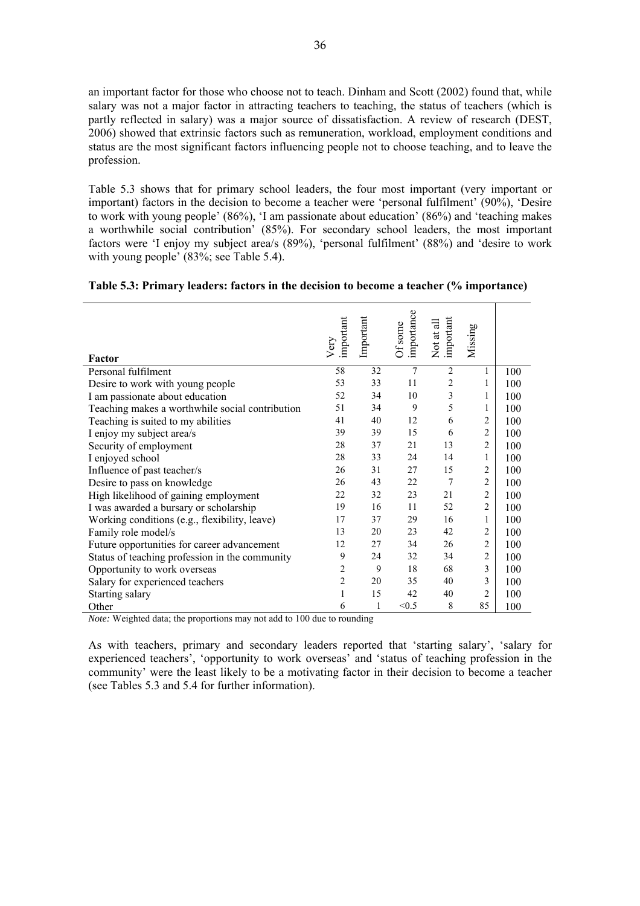an important factor for those who choose not to teach. Dinham and Scott (2002) found that, while salary was not a major factor in attracting teachers to teaching, the status of teachers (which is partly reflected in salary) was a major source of dissatisfaction. A review of research (DEST, 2006) showed that extrinsic factors such as remuneration, workload, employment conditions and status are the most significant factors influencing people not to choose teaching, and to leave the profession.

Table 5.3 shows that for primary school leaders, the four most important (very important or important) factors in the decision to become a teacher were 'personal fulfilment' (90%), 'Desire to work with young people' (86%), 'I am passionate about education' (86%) and 'teaching makes a worthwhile social contribution' (85%). For secondary school leaders, the most important factors were 'I enjoy my subject area/s (89%), 'personal fulfilment' (88%) and 'desire to work with young people' (83%; see Table 5.4).

| Factor                                          | important<br>Very | Important | importance<br>Of some | important<br>Not at all | Missing        |     |
|-------------------------------------------------|-------------------|-----------|-----------------------|-------------------------|----------------|-----|
| Personal fulfilment                             | 58                | 32        | 7                     | $\overline{2}$          | 1              | 100 |
| Desire to work with young people                | 53                | 33        | 11                    | 2                       | 1              | 100 |
| I am passionate about education                 | 52                | 34        | 10                    | 3                       | 1              | 100 |
| Teaching makes a worthwhile social contribution | 51                | 34        | 9                     | 5                       | 1              | 100 |
| Teaching is suited to my abilities              | 41                | 40        | 12                    | 6                       | 2              | 100 |
| I enjoy my subject area/s                       | 39                | 39        | 15                    | 6                       | $\overline{2}$ | 100 |
| Security of employment                          | 28                | 37        | 21                    | 13                      | $\overline{2}$ | 100 |
| I enjoyed school                                | 28                | 33        | 24                    | 14                      | 1              | 100 |
| Influence of past teacher/s                     | 26                | 31        | 27                    | 15                      | $\overline{2}$ | 100 |
| Desire to pass on knowledge                     | 26                | 43        | 22                    | 7                       | $\overline{2}$ | 100 |
| High likelihood of gaining employment           | 22                | 32        | 23                    | 21                      | $\overline{2}$ | 100 |
| I was awarded a bursary or scholarship          | 19                | 16        | 11                    | 52                      | $\overline{2}$ | 100 |
| Working conditions (e.g., flexibility, leave)   | 17                | 37        | 29                    | 16                      | 1              | 100 |
| Family role model/s                             | 13                | 20        | 23                    | 42                      | 2              | 100 |
| Future opportunities for career advancement     | 12                | 27        | 34                    | 26                      | $\overline{2}$ | 100 |
| Status of teaching profession in the community  | 9                 | 24        | 32                    | 34                      | $\overline{2}$ | 100 |
| Opportunity to work overseas                    | 2                 | 9         | 18                    | 68                      | 3              | 100 |
| Salary for experienced teachers                 | $\overline{c}$    | 20        | 35                    | 40                      | 3              | 100 |
| Starting salary                                 | 1                 | 15        | 42                    | 40                      | $\overline{2}$ | 100 |
| Other                                           | 6                 | 1         | < 0.5                 | 8                       | 85             | 100 |

| Table 5.3: Primary leaders: factors in the decision to become a teacher (% importance) |
|----------------------------------------------------------------------------------------|
|----------------------------------------------------------------------------------------|

*Note:* Weighted data; the proportions may not add to 100 due to rounding

As with teachers, primary and secondary leaders reported that 'starting salary', 'salary for experienced teachers', 'opportunity to work overseas' and 'status of teaching profession in the community' were the least likely to be a motivating factor in their decision to become a teacher (see Tables 5.3 and 5.4 for further information).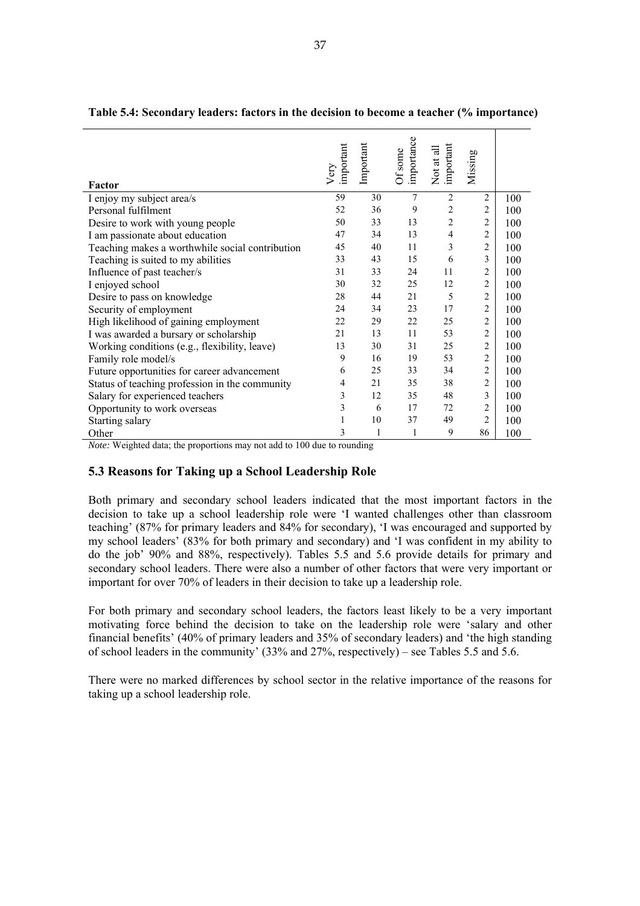| Factor                                          | important<br>Very | Important | importance<br>Of some | important<br>Not at all | Missing        |     |
|-------------------------------------------------|-------------------|-----------|-----------------------|-------------------------|----------------|-----|
| I enjoy my subject area/s                       | 59                | 30        | 7                     | $\overline{c}$          | $\overline{2}$ | 100 |
| Personal fulfilment                             | 52                | 36        | 9                     | $\overline{2}$          | $\overline{c}$ | 100 |
| Desire to work with young people                | 50                | 33        | 13                    | $\overline{c}$          | $\overline{c}$ | 100 |
| I am passionate about education                 | 47                | 34        | 13                    | $\overline{4}$          | 2              | 100 |
| Teaching makes a worthwhile social contribution | 45                | 40        | 11                    | 3                       | $\overline{c}$ | 100 |
| Teaching is suited to my abilities              | 33                | 43        | 15                    | 6                       | 3              | 100 |
| Influence of past teacher/s                     | 31                | 33        | 24                    | 11                      | $\overline{c}$ | 100 |
| I enjoyed school                                | 30                | 32        | 25                    | 12                      | $\overline{2}$ | 100 |
| Desire to pass on knowledge                     | 28                | 44        | 21                    | 5                       | $\overline{2}$ | 100 |
| Security of employment                          | 24                | 34        | 23                    | 17                      | $\overline{2}$ | 100 |
| High likelihood of gaining employment           | 22                | 29        | 22                    | 25                      | $\overline{2}$ | 100 |
| I was awarded a bursary or scholarship          | 21                | 13        | 11                    | 53                      | $\overline{2}$ | 100 |
| Working conditions (e.g., flexibility, leave)   | 13                | 30        | 31                    | 25                      | $\overline{c}$ | 100 |
| Family role model/s                             | 9                 | 16        | 19                    | 53                      | $\overline{2}$ | 100 |
| Future opportunities for career advancement     | 6                 | 25        | 33                    | 34                      | $\overline{c}$ | 100 |
| Status of teaching profession in the community  | 4                 | 21        | 35                    | 38                      | $\overline{c}$ | 100 |
| Salary for experienced teachers                 | 3                 | 12        | 35                    | 48                      | 3              | 100 |
| Opportunity to work overseas                    | 3                 | 6         | 17                    | 72                      | $\overline{c}$ | 100 |
| Starting salary                                 | 1                 | 10        | 37                    | 49                      | $\overline{2}$ | 100 |
| Other                                           | 3                 |           | 1                     | 9                       | 86             | 100 |

| Table 5.4: Secondary leaders: factors in the decision to become a teacher (% importance) |  |  |
|------------------------------------------------------------------------------------------|--|--|
|                                                                                          |  |  |

### **5.3 Reasons for Taking up a School Leadership Role**

Both primary and secondary school leaders indicated that the most important factors in the decision to take up a school leadership role were 'I wanted challenges other than classroom teaching' (87% for primary leaders and 84% for secondary), 'I was encouraged and supported by my school leaders' (83% for both primary and secondary) and 'I was confident in my ability to do the job' 90% and 88%, respectively). Tables 5.5 and 5.6 provide details for primary and secondary school leaders. There were also a number of other factors that were very important or important for over 70% of leaders in their decision to take up a leadership role.

For both primary and secondary school leaders, the factors least likely to be a very important motivating force behind the decision to take on the leadership role were 'salary and other financial benefits' (40% of primary leaders and 35% of secondary leaders) and 'the high standing of school leaders in the community' (33% and 27%, respectively) – see Tables 5.5 and 5.6.

There were no marked differences by school sector in the relative importance of the reasons for taking up a school leadership role.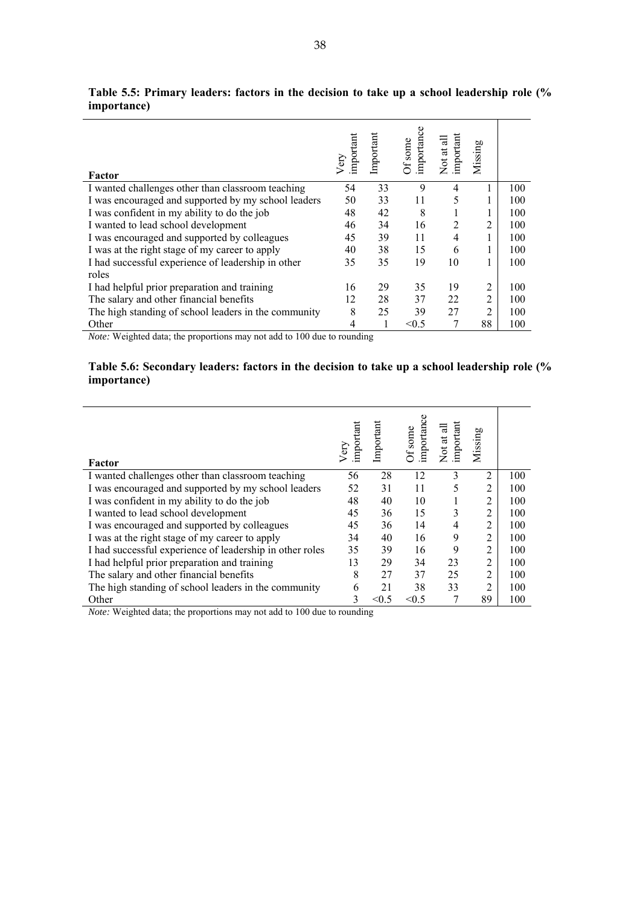| Factor                                               | important<br>Very | Important | importance<br>Of some | Not at all<br>important | Missing        |     |
|------------------------------------------------------|-------------------|-----------|-----------------------|-------------------------|----------------|-----|
| I wanted challenges other than classroom teaching    | 54                | 33        | 9                     | 4                       |                | 100 |
| I was encouraged and supported by my school leaders  | 50                | 33        | 11                    | 5                       | 1              | 100 |
| I was confident in my ability to do the job          | 48                | 42        | 8                     |                         |                | 100 |
| I wanted to lead school development                  | 46                | 34        | 16                    | 2                       | $\overline{c}$ | 100 |
| I was encouraged and supported by colleagues         | 45                | 39        | 11                    | 4                       |                | 100 |
| I was at the right stage of my career to apply       | 40                | 38        | 15                    | 6                       |                | 100 |
| I had successful experience of leadership in other   | 35                | 35        | 19                    | 10                      | 1              | 100 |
| roles                                                |                   |           |                       |                         |                |     |
| I had helpful prior preparation and training         | 16                | 29        | 35                    | 19                      | 2              | 100 |
| The salary and other financial benefits              | 12                | 28        | 37                    | 22                      | $\overline{2}$ | 100 |
| The high standing of school leaders in the community | 8                 | 25        | 39                    | 27                      | $\overline{c}$ | 100 |
| Other                                                |                   |           | < 0.5                 |                         | 88             | 100 |

**Table 5.5: Primary leaders: factors in the decision to take up a school leadership role (% importance)** 

# **Table 5.6: Secondary leaders: factors in the decision to take up a school leadership role (% importance)**

| Factor                                                   | important<br>Very | Important | importance<br>Of some | Not at all<br>important | Missing        |     |
|----------------------------------------------------------|-------------------|-----------|-----------------------|-------------------------|----------------|-----|
| I wanted challenges other than classroom teaching        | 56                | 28        | 12                    | 3                       | $\overline{2}$ | 100 |
| I was encouraged and supported by my school leaders      | 52                | 31        | 11                    | 5                       | 2              | 100 |
| I was confident in my ability to do the job              | 48                | 40        | 10                    |                         | 2              | 100 |
| I wanted to lead school development                      | 45                | 36        | 15                    | 3                       | 2              | 100 |
| I was encouraged and supported by colleagues             | 45                | 36        | 14                    | 4                       | 2              | 100 |
| I was at the right stage of my career to apply           | 34                | 40        | 16                    | 9                       | 2              | 100 |
| I had successful experience of leadership in other roles | 35                | 39        | 16                    | 9                       | 2              | 100 |
| I had helpful prior preparation and training             | 13                | 29        | 34                    | 23                      | 2              | 100 |
| The salary and other financial benefits                  | 8                 | 27        | 37                    | 25                      | 2              | 100 |
| The high standing of school leaders in the community     | 6                 | 21        | 38                    | 33                      | 2              | 100 |
| Other                                                    | 3                 | < 0.5     | < 0.5                 |                         | 89             | 100 |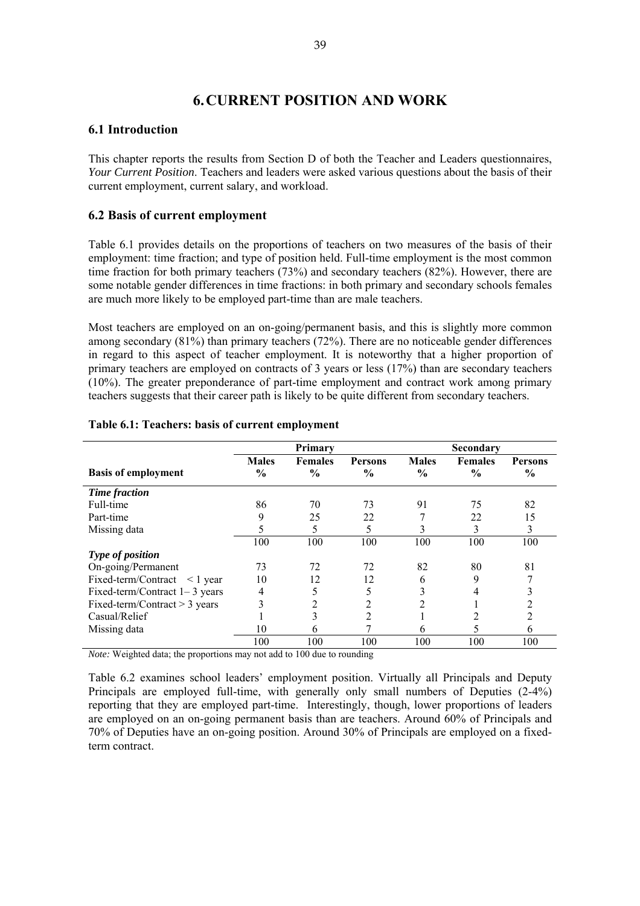# **6. CURRENT POSITION AND WORK**

# **6.1 Introduction**

This chapter reports the results from Section D of both the Teacher and Leaders questionnaires, *Your Current Position*. Teachers and leaders were asked various questions about the basis of their current employment, current salary, and workload.

# **6.2 Basis of current employment**

Table 6.1 provides details on the proportions of teachers on two measures of the basis of their employment: time fraction; and type of position held. Full-time employment is the most common time fraction for both primary teachers (73%) and secondary teachers (82%). However, there are some notable gender differences in time fractions: in both primary and secondary schools females are much more likely to be employed part-time than are male teachers.

Most teachers are employed on an on-going/permanent basis, and this is slightly more common among secondary (81%) than primary teachers (72%). There are no noticeable gender differences in regard to this aspect of teacher employment. It is noteworthy that a higher proportion of primary teachers are employed on contracts of 3 years or less (17%) than are secondary teachers (10%). The greater preponderance of part-time employment and contract work among primary teachers suggests that their career path is likely to be quite different from secondary teachers.

|                                      |                               | Primary                         |                                 |                               | <b>Secondary</b>                |                                 |
|--------------------------------------|-------------------------------|---------------------------------|---------------------------------|-------------------------------|---------------------------------|---------------------------------|
| <b>Basis of employment</b>           | <b>Males</b><br>$\frac{6}{9}$ | <b>Females</b><br>$\frac{0}{0}$ | <b>Persons</b><br>$\frac{0}{0}$ | <b>Males</b><br>$\frac{0}{0}$ | <b>Females</b><br>$\frac{0}{0}$ | <b>Persons</b><br>$\frac{0}{0}$ |
| Time fraction                        |                               |                                 |                                 |                               |                                 |                                 |
| Full-time                            | 86                            | 70                              | 73                              | 91                            | 75                              | 82                              |
| Part-time                            | 9                             | 25                              | 22                              |                               | 22                              | 15                              |
| Missing data                         | 5                             | 5                               | 5                               | 3                             | 3                               | 3                               |
|                                      | 100                           | 100                             | 100                             | 100                           | 100                             | 100                             |
| Type of position                     |                               |                                 |                                 |                               |                                 |                                 |
| On-going/Permanent                   | 73                            | 72                              | 72                              | 82                            | 80                              | 81                              |
| Fixed-term/Contract<br>$\leq$ 1 year | 10                            | 12                              | 12                              | 6                             | 9                               |                                 |
| Fixed-term/Contract $1-3$ years      | 4                             | 5                               | 5                               | 3                             | 4                               | 3                               |
| Fixed-term/Contract $>$ 3 years      | 3                             | 2                               | 2                               |                               |                                 |                                 |
| Casual/Relief                        |                               | 3                               | 2                               |                               | 2                               | $\overline{c}$                  |
| Missing data                         | 10                            | 6                               |                                 | 6                             | 5                               | 6                               |
|                                      | 100                           | 100                             | 100                             | 100                           | 100                             | 100                             |

### **Table 6.1: Teachers: basis of current employment**

*Note:* Weighted data; the proportions may not add to 100 due to rounding

Table 6.2 examines school leaders' employment position. Virtually all Principals and Deputy Principals are employed full-time, with generally only small numbers of Deputies (2-4%) reporting that they are employed part-time. Interestingly, though, lower proportions of leaders are employed on an on-going permanent basis than are teachers. Around 60% of Principals and 70% of Deputies have an on-going position. Around 30% of Principals are employed on a fixedterm contract.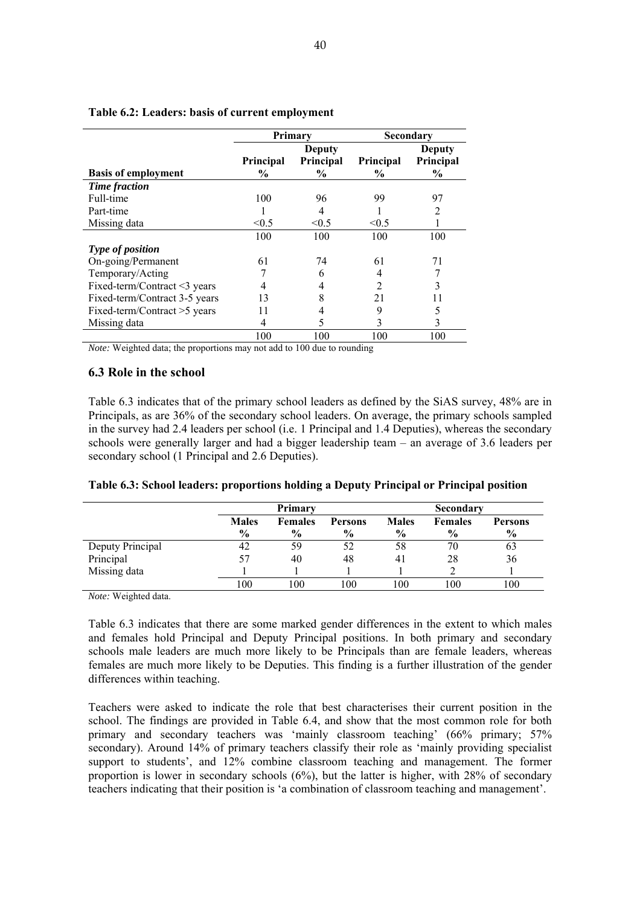|                               | Primary          |                  |                  | Secondary |
|-------------------------------|------------------|------------------|------------------|-----------|
|                               |                  | <b>Deputy</b>    |                  | Deputy    |
|                               | <b>Principal</b> | <b>Principal</b> | <b>Principal</b> | Principal |
| <b>Basis of employment</b>    | $\frac{0}{0}$    | $\frac{0}{0}$    | $\frac{6}{10}$   | $\%$      |
| <b>Time fraction</b>          |                  |                  |                  |           |
| Full-time                     | 100              | 96               | 99               | 97        |
| Part-time                     |                  | 4                |                  | 2         |
| Missing data                  | < 0.5            | < 0.5            | < 0.5            |           |
|                               | 100              | 100              | 100              | 100       |
| Type of position              |                  |                  |                  |           |
| On-going/Permanent            | 61               | 74               | 61               | 71        |
| Temporary/Acting              |                  | 6                | 4                |           |
| Fixed-term/Contract <3 years  |                  | 4                | $\overline{2}$   | 3         |
| Fixed-term/Contract 3-5 years | 13               | 8                | 21               | 11        |
| Fixed-term/Contract >5 years  |                  | 4                | 9                | 5         |
| Missing data                  | 4                | 5                | 3                | 3         |
|                               | 100              | 100              | 100              | 100       |

### **Table 6.2: Leaders: basis of current employment**

*Note:* Weighted data; the proportions may not add to 100 due to rounding

### **6.3 Role in the school**

Table 6.3 indicates that of the primary school leaders as defined by the SiAS survey, 48% are in Principals, as are 36% of the secondary school leaders. On average, the primary schools sampled in the survey had 2.4 leaders per school (i.e. 1 Principal and 1.4 Deputies), whereas the secondary schools were generally larger and had a bigger leadership team – an average of 3.6 leaders per secondary school (1 Principal and 2.6 Deputies).

|                  |                               | Primary                         |                                 |                               | <b>Secondary</b>                |                                 |
|------------------|-------------------------------|---------------------------------|---------------------------------|-------------------------------|---------------------------------|---------------------------------|
|                  | <b>Males</b><br>$\frac{0}{0}$ | <b>Females</b><br>$\frac{0}{0}$ | <b>Persons</b><br>$\frac{6}{9}$ | <b>Males</b><br>$\frac{6}{9}$ | <b>Females</b><br>$\frac{6}{9}$ | <b>Persons</b><br>$\frac{6}{9}$ |
| Deputy Principal | 42                            | 59                              |                                 | 58                            | 70                              | 63                              |
| Principal        |                               | 40                              | 48                              | 41                            | 28                              | 36                              |
| Missing data     |                               |                                 |                                 |                               |                                 |                                 |

100 100 100 100 100 100

#### **Table 6.3: School leaders: proportions holding a Deputy Principal or Principal position**

*Note:* Weighted data.

Table 6.3 indicates that there are some marked gender differences in the extent to which males and females hold Principal and Deputy Principal positions. In both primary and secondary schools male leaders are much more likely to be Principals than are female leaders, whereas females are much more likely to be Deputies. This finding is a further illustration of the gender differences within teaching.

Teachers were asked to indicate the role that best characterises their current position in the school. The findings are provided in Table 6.4, and show that the most common role for both primary and secondary teachers was 'mainly classroom teaching' (66% primary; 57% secondary). Around 14% of primary teachers classify their role as 'mainly providing specialist support to students', and 12% combine classroom teaching and management. The former proportion is lower in secondary schools  $(6\%)$ , but the latter is higher, with 28% of secondary teachers indicating that their position is 'a combination of classroom teaching and management'.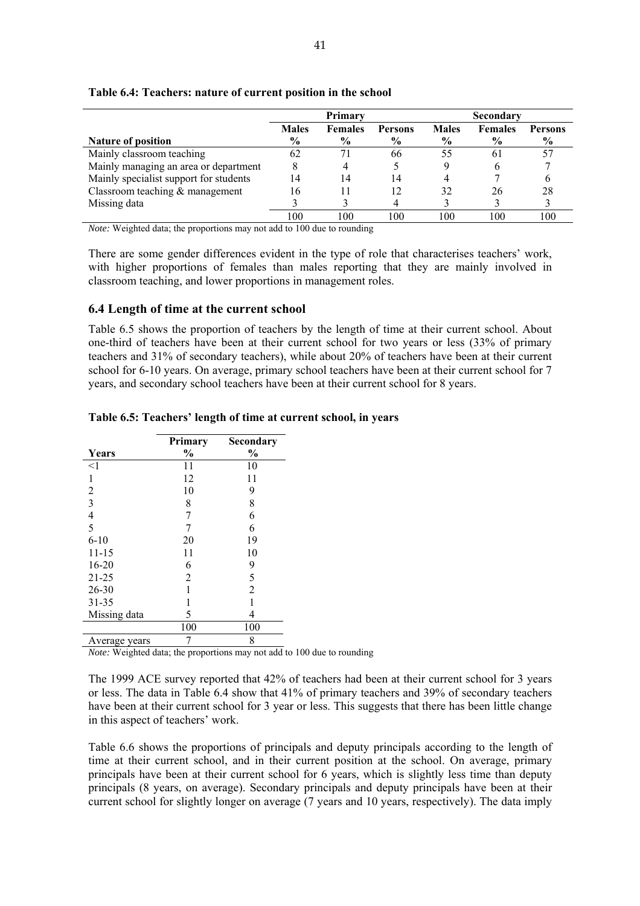|--|

|                                        | Primary      |                |                |              | <b>Secondary</b> |                |  |
|----------------------------------------|--------------|----------------|----------------|--------------|------------------|----------------|--|
|                                        | <b>Males</b> | <b>Females</b> | <b>Persons</b> | <b>Males</b> | <b>Females</b>   | <b>Persons</b> |  |
| <b>Nature of position</b>              | $\%$         | $\frac{6}{10}$ | $\frac{6}{10}$ | $\%$         | $\frac{6}{9}$    | $\%$           |  |
| Mainly classroom teaching              | 62           | 71             | 66             | 55           | 6 I              |                |  |
| Mainly managing an area or department  | 8            |                |                |              |                  |                |  |
| Mainly specialist support for students | 14           | 14             | 14             |              |                  |                |  |
| Classroom teaching $&$ management      | 16           |                | 12             | 32           | 26               | 28             |  |
| Missing data                           |              |                |                |              |                  |                |  |
|                                        | 100          | 100            | 100            | 100          | 100              | 100            |  |

### **Table 6.4: Teachers: nature of current position in the school**

*Note:* Weighted data; the proportions may not add to 100 due to rounding

There are some gender differences evident in the type of role that characterises teachers' work, with higher proportions of females than males reporting that they are mainly involved in classroom teaching, and lower proportions in management roles.

### **6.4 Length of time at the current school**

Table 6.5 shows the proportion of teachers by the length of time at their current school. About one-third of teachers have been at their current school for two years or less (33% of primary teachers and 31% of secondary teachers), while about 20% of teachers have been at their current school for 6-10 years. On average, primary school teachers have been at their current school for 7 years, and secondary school teachers have been at their current school for 8 years.

|                | Primary       | Secondary      |
|----------------|---------------|----------------|
| Years          | $\frac{0}{0}$ | $\frac{0}{0}$  |
| $<$ 1          | 11            | 10             |
| 1              | 12            | 11             |
| 2              | 10            | 9              |
| 3              | 8             | 8              |
| $\overline{4}$ | 7             | 6              |
| 5              |               | 6              |
| $6 - 10$       | 20            | 19             |
| $11 - 15$      | 11            | 10             |
| $16 - 20$      | 6             | 9              |
| $21 - 25$      | 2             | 5              |
| $26 - 30$      |               | $\overline{2}$ |
| 31-35          |               |                |
| Missing data   | 5             | 4              |
|                | 100           | 100            |
| Average years  |               | 8              |

### **Table 6.5: Teachers' length of time at current school, in years**

*Note:* Weighted data; the proportions may not add to 100 due to rounding

The 1999 ACE survey reported that 42% of teachers had been at their current school for 3 years or less. The data in Table 6.4 show that 41% of primary teachers and 39% of secondary teachers have been at their current school for 3 year or less. This suggests that there has been little change in this aspect of teachers' work.

Table 6.6 shows the proportions of principals and deputy principals according to the length of time at their current school, and in their current position at the school. On average, primary principals have been at their current school for 6 years, which is slightly less time than deputy principals (8 years, on average). Secondary principals and deputy principals have been at their current school for slightly longer on average (7 years and 10 years, respectively). The data imply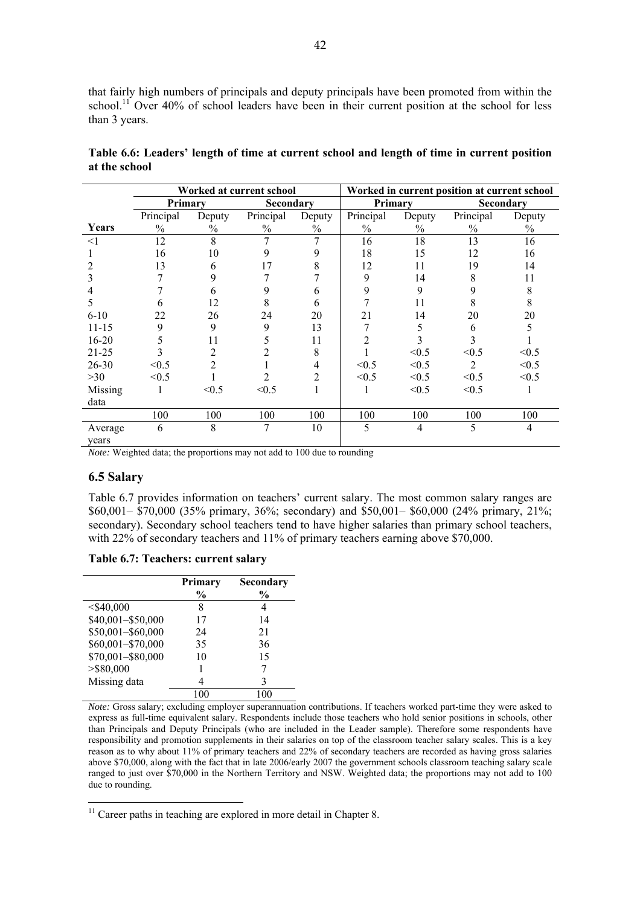that fairly high numbers of principals and deputy principals have been promoted from within the school.<sup>11</sup> Over 40% of school leaders have been in their current position at the school for less than 3 years.

|                  |               | Worked at current school |                  |               |               | Worked in current position at current school |           |                |  |
|------------------|---------------|--------------------------|------------------|---------------|---------------|----------------------------------------------|-----------|----------------|--|
|                  | Primary       |                          | <b>Secondary</b> |               | Primary       |                                              |           | Secondary      |  |
|                  | Principal     | Deputy                   | Principal        | Deputy        | Principal     | Deputy                                       | Principal | Deputy         |  |
| Years            | $\frac{0}{0}$ | $\frac{0}{0}$            | $\frac{0}{0}$    | $\frac{0}{0}$ | $\frac{0}{0}$ | $\%$                                         | $\%$      | $\%$           |  |
| $\leq$ 1         | 12            | 8                        | 7                | 7             | 16            | 18                                           | 13        | 16             |  |
|                  | 16            | 10                       | 9                | 9             | 18            | 15                                           | 12        | 16             |  |
|                  | 13            | 6                        | 17               | 8             | 12            | 11                                           | 19        | 14             |  |
|                  | 7             | 9                        |                  |               | 9             | 14                                           | 8         | 11             |  |
|                  |               | 6                        | 9                | 6             | 9             | 9                                            | 9         | 8              |  |
| 5                | 6             | 12                       | 8                | 6             |               | 11                                           | 8         | 8              |  |
| $6 - 10$         | 22            | 26                       | 24               | 20            | 21            | 14                                           | 20        | 20             |  |
| $11 - 15$        | 9             | 9                        | 9                | 13            |               | 5                                            | 6         | 5              |  |
| $16 - 20$        | 5             | 11                       | 5                | 11            | 2             | 3                                            | 3         |                |  |
| $21 - 25$        | 3             | 2                        | 2                | 8             |               | < 0.5                                        | < 0.5     | < 0.5          |  |
| $26 - 30$        | < 0.5         | 2                        |                  | 4             | < 0.5         | < 0.5                                        | 2         | < 0.5          |  |
| $>30$            | < 0.5         |                          | 2                | 2             | < 0.5         | < 0.5                                        | < 0.5     | < 0.5          |  |
| Missing          |               | < 0.5                    | < 0.5            |               |               | < 0.5                                        | < 0.5     |                |  |
| data             |               |                          |                  |               |               |                                              |           |                |  |
|                  | 100           | 100                      | 100              | 100           | 100           | 100                                          | 100       | 100            |  |
| Average<br>years | 6             | 8                        | 7                | 10            | 5             | $\overline{4}$                               | 5         | $\overline{4}$ |  |

**Table 6.6: Leaders' length of time at current school and length of time in current position at the school** 

*Note:* Weighted data; the proportions may not add to 100 due to rounding

# **6.5 Salary**

 $\overline{a}$ 

Table 6.7 provides information on teachers' current salary. The most common salary ranges are \$60,001– \$70,000 (35% primary, 36%; secondary) and \$50,001– \$60,000 (24% primary, 21%; secondary). Secondary school teachers tend to have higher salaries than primary school teachers, with 22% of secondary teachers and 11% of primary teachers earning above \$70,000.

| Table 6.7: Teachers: current salary |
|-------------------------------------|
|-------------------------------------|

|                   | Primary<br>$\frac{0}{0}$ | Secondary<br>$\frac{0}{0}$ |
|-------------------|--------------------------|----------------------------|
| $<$ \$40,000      | 8                        | 4                          |
| \$40,001-\$50,000 | 17                       | 14                         |
| \$50,001-\$60,000 | 24                       | 21                         |
| \$60,001-\$70,000 | 35                       | 36                         |
| \$70,001-\$80,000 | 10                       | 15                         |
| $>$ \$80,000      |                          |                            |
| Missing data      | 4                        | 3                          |
|                   | 100                      | 100                        |

*Note:* Gross salary; excluding employer superannuation contributions. If teachers worked part-time they were asked to express as full-time equivalent salary. Respondents include those teachers who hold senior positions in schools, other than Principals and Deputy Principals (who are included in the Leader sample). Therefore some respondents have responsibility and promotion supplements in their salaries on top of the classroom teacher salary scales. This is a key reason as to why about 11% of primary teachers and 22% of secondary teachers are recorded as having gross salaries above \$70,000, along with the fact that in late 2006/early 2007 the government schools classroom teaching salary scale ranged to just over \$70,000 in the Northern Territory and NSW. Weighted data; the proportions may not add to 100 due to rounding.

 $11$  Career paths in teaching are explored in more detail in Chapter 8.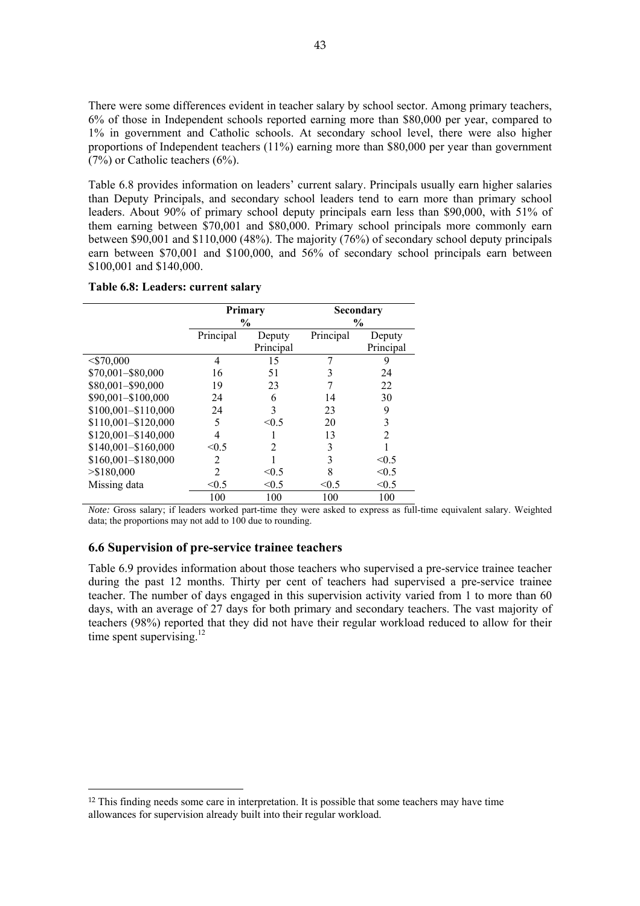There were some differences evident in teacher salary by school sector. Among primary teachers, 6% of those in Independent schools reported earning more than \$80,000 per year, compared to 1% in government and Catholic schools. At secondary school level, there were also higher proportions of Independent teachers (11%) earning more than \$80,000 per year than government (7%) or Catholic teachers (6%).

Table 6.8 provides information on leaders' current salary. Principals usually earn higher salaries than Deputy Principals, and secondary school leaders tend to earn more than primary school leaders. About 90% of primary school deputy principals earn less than \$90,000, with 51% of them earning between \$70,001 and \$80,000. Primary school principals more commonly earn between \$90,001 and \$110,000 (48%). The majority (76%) of secondary school deputy principals earn between \$70,001 and \$100,000, and 56% of secondary school principals earn between \$100,001 and \$140,000.

#### **Table 6.8: Leaders: current salary**

|                       | Primary        |                | <b>Secondary</b> |                |  |
|-----------------------|----------------|----------------|------------------|----------------|--|
|                       | $\frac{0}{0}$  |                | $\frac{6}{9}$    |                |  |
|                       | Principal      | Deputy         | Principal        | Deputy         |  |
|                       |                | Principal      |                  | Principal      |  |
| $<$ \$70,000          | 4              | 15             |                  | 9              |  |
| \$70,001-\$80,000     | 16             | 51             | 3                | 24             |  |
| \$80,001-\$90,000     | 19             | 23             | 7                | 22             |  |
| \$90,001-\$100,000    | 24             | 6              | 14               | 30             |  |
| \$100,001-\$110,000   | 24             | 3              | 23               | 9              |  |
| \$110,001-\$120,000   | 5              | < 0.5          | 20               | 3              |  |
| $$120,001 - $140,000$ | 4              |                | 13               | $\overline{2}$ |  |
| \$140,001-\$160,000   | < 0.5          | $\mathfrak{D}$ | 3                |                |  |
| \$160,001-\$180,000   | 2              |                | 3                | < 0.5          |  |
| > \$180,000           | $\overline{c}$ | < 0.5          | 8                | < 0.5          |  |
| Missing data          | < 0.5          | < 0.5          | < 0.5            | < 0.5          |  |
|                       | 100            | 100            | 100              | 100            |  |

*Note:* Gross salary; if leaders worked part-time they were asked to express as full-time equivalent salary. Weighted data; the proportions may not add to 100 due to rounding.

### **6.6 Supervision of pre-service trainee teachers**

 $\overline{a}$ 

Table 6.9 provides information about those teachers who supervised a pre-service trainee teacher during the past 12 months. Thirty per cent of teachers had supervised a pre-service trainee teacher. The number of days engaged in this supervision activity varied from 1 to more than 60 days, with an average of 27 days for both primary and secondary teachers. The vast majority of teachers (98%) reported that they did not have their regular workload reduced to allow for their time spent supervising. $^{12}$ 

<sup>&</sup>lt;sup>12</sup> This finding needs some care in interpretation. It is possible that some teachers may have time allowances for supervision already built into their regular workload.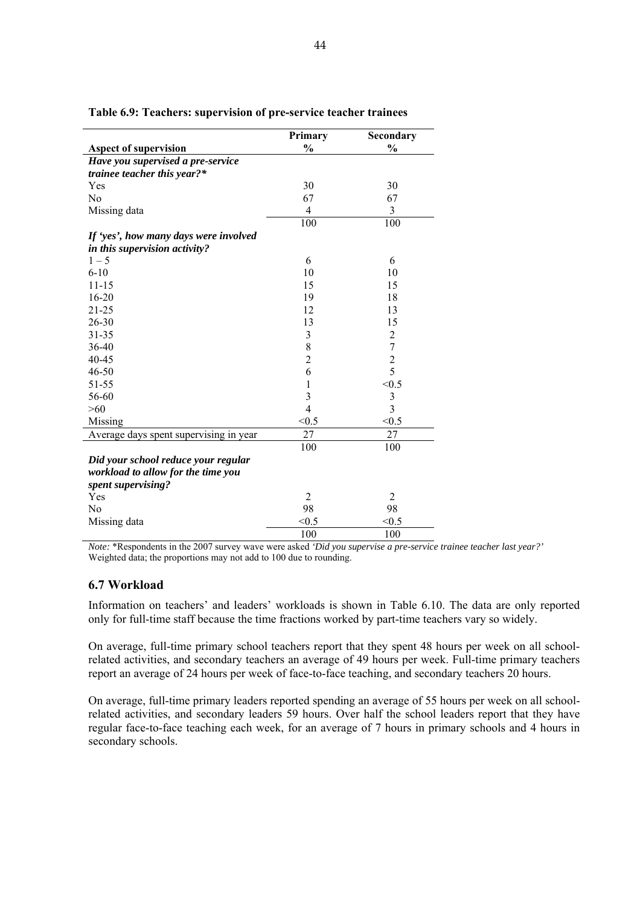|                                        | Primary        | Secondary      |
|----------------------------------------|----------------|----------------|
| <b>Aspect of supervision</b>           | $\frac{0}{0}$  | $\frac{0}{0}$  |
| Have you supervised a pre-service      |                |                |
| trainee teacher this year?*            |                |                |
| Yes                                    | 30             | 30             |
| N <sub>0</sub>                         | 67             | 67             |
| Missing data                           | $\overline{4}$ | 3              |
|                                        | 100            | 100            |
| If 'yes', how many days were involved  |                |                |
| in this supervision activity?          |                |                |
| $1 - 5$                                | 6              | 6              |
| $6 - 10$                               | 10             | 10             |
| $11 - 15$                              | 15             | 15             |
| $16 - 20$                              | 19             | 18             |
| 21-25                                  | 12             | 13             |
| 26-30                                  | 13             | 15             |
| $31 - 35$                              | 3              | $\sqrt{2}$     |
| 36-40                                  | 8              | $\overline{7}$ |
| 40-45                                  | $\overline{2}$ | $\overline{c}$ |
| 46-50                                  | 6              | 5              |
| 51-55                                  | $\mathbf 1$    | < 0.5          |
| 56-60                                  | 3              | $\mathfrak{Z}$ |
| >60                                    | $\overline{4}$ | $\overline{3}$ |
| Missing                                | < 0.5          | < 0.5          |
| Average days spent supervising in year | 27             | 27             |
|                                        | 100            | 100            |
| Did your school reduce your regular    |                |                |
| workload to allow for the time you     |                |                |
| spent supervising?                     |                |                |
| Yes                                    | $\overline{2}$ | $\overline{2}$ |
| No                                     | 98             | 98             |
| Missing data                           | < 0.5          | < 0.5          |
|                                        | 100            | 100            |

**Table 6.9: Teachers: supervision of pre-service teacher trainees** 

*Note:* \*Respondents in the 2007 survey wave were asked *'Did you supervise a pre-service trainee teacher last year?'* Weighted data; the proportions may not add to 100 due to rounding.

# **6.7 Workload**

Information on teachers' and leaders' workloads is shown in Table 6.10. The data are only reported only for full-time staff because the time fractions worked by part-time teachers vary so widely.

On average, full-time primary school teachers report that they spent 48 hours per week on all schoolrelated activities, and secondary teachers an average of 49 hours per week. Full-time primary teachers report an average of 24 hours per week of face-to-face teaching, and secondary teachers 20 hours.

On average, full-time primary leaders reported spending an average of 55 hours per week on all schoolrelated activities, and secondary leaders 59 hours. Over half the school leaders report that they have regular face-to-face teaching each week, for an average of 7 hours in primary schools and 4 hours in secondary schools.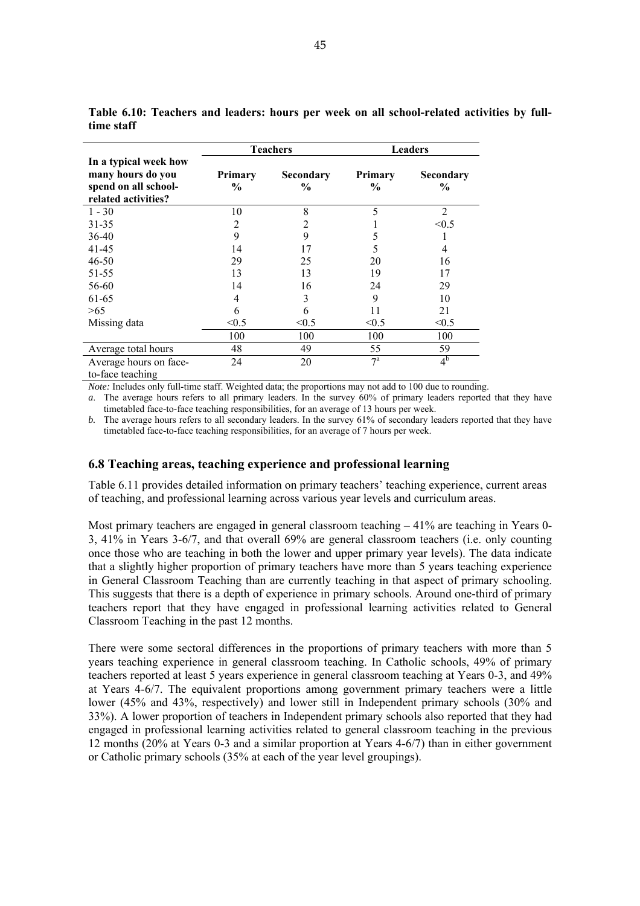|                                                                                           |                 | <b>Teachers</b>            | <b>Leaders</b>                  |                   |  |
|-------------------------------------------------------------------------------------------|-----------------|----------------------------|---------------------------------|-------------------|--|
| In a typical week how<br>many hours do you<br>spend on all school-<br>related activities? | Primary<br>$\%$ | Secondary<br>$\frac{6}{9}$ | <b>Primary</b><br>$\frac{6}{9}$ | Secondary<br>$\%$ |  |
| $1 - 30$                                                                                  | 10              | 8                          | 5                               | $\overline{2}$    |  |
| 31-35                                                                                     | 2               | 2                          |                                 | < 0.5             |  |
| 36-40                                                                                     | 9               | 9                          | 5                               |                   |  |
| 41-45                                                                                     | 14              | 17                         | 5                               | 4                 |  |
| 46-50                                                                                     | 29              | 25                         | 20                              | 16                |  |
| 51-55                                                                                     | 13              | 13                         | 19                              | 17                |  |
| 56-60                                                                                     | 14              | 16                         | 24                              | 29                |  |
| 61-65                                                                                     | 4               | 3                          | 9                               | 10                |  |
| >65                                                                                       | 6               | 6                          | 11                              | 21                |  |
| Missing data                                                                              | < 0.5           | < 0.5                      | < 0.5                           | < 0.5             |  |
|                                                                                           | 100             | 100                        | 100                             | 100               |  |
| Average total hours                                                                       | 48              | 49                         | 55                              | 59                |  |
| Average hours on face-<br>to-face teaching                                                | 24              | 20                         | $7^{\mathrm{a}}$                | 4 <sup>b</sup>    |  |

**Table 6.10: Teachers and leaders: hours per week on all school-related activities by fulltime staff** 

*Note:* Includes only full-time staff. Weighted data; the proportions may not add to 100 due to rounding.

*a*. The average hours refers to all primary leaders. In the survey 60% of primary leaders reported that they have timetabled face-to-face teaching responsibilities, for an average of 13 hours per week.

*b.* The average hours refers to all secondary leaders. In the survey 61% of secondary leaders reported that they have timetabled face-to-face teaching responsibilities, for an average of 7 hours per week.

### **6.8 Teaching areas, teaching experience and professional learning**

Table 6.11 provides detailed information on primary teachers' teaching experience, current areas of teaching, and professional learning across various year levels and curriculum areas.

Most primary teachers are engaged in general classroom teaching  $-41\%$  are teaching in Years 0-3, 41% in Years 3-6/7, and that overall 69% are general classroom teachers (i.e. only counting once those who are teaching in both the lower and upper primary year levels). The data indicate that a slightly higher proportion of primary teachers have more than 5 years teaching experience in General Classroom Teaching than are currently teaching in that aspect of primary schooling. This suggests that there is a depth of experience in primary schools. Around one-third of primary teachers report that they have engaged in professional learning activities related to General Classroom Teaching in the past 12 months.

There were some sectoral differences in the proportions of primary teachers with more than 5 years teaching experience in general classroom teaching. In Catholic schools, 49% of primary teachers reported at least 5 years experience in general classroom teaching at Years 0-3, and 49% at Years 4-6/7. The equivalent proportions among government primary teachers were a little lower (45% and 43%, respectively) and lower still in Independent primary schools (30% and 33%). A lower proportion of teachers in Independent primary schools also reported that they had engaged in professional learning activities related to general classroom teaching in the previous 12 months (20% at Years 0-3 and a similar proportion at Years 4-6/7) than in either government or Catholic primary schools (35% at each of the year level groupings).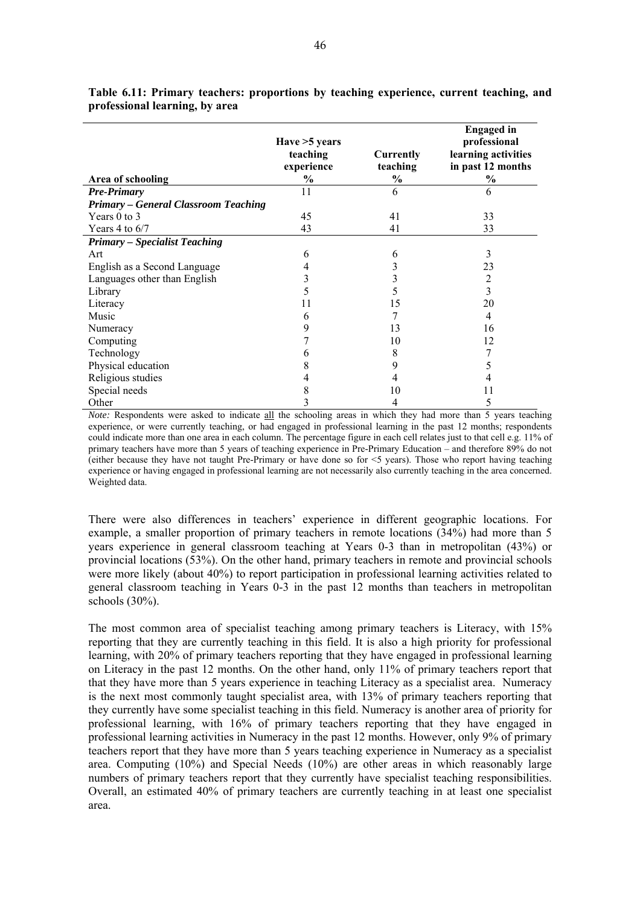|                                             | Have > 5 years<br>teaching<br>experience | Currently<br>teaching | <b>Engaged</b> in<br>professional<br>learning activities<br>in past 12 months |
|---------------------------------------------|------------------------------------------|-----------------------|-------------------------------------------------------------------------------|
| Area of schooling                           | $\frac{6}{9}$                            | $\%$                  | $\frac{6}{9}$                                                                 |
| <b>Pre-Primary</b>                          | 11                                       | 6                     | 6                                                                             |
| <b>Primary - General Classroom Teaching</b> |                                          |                       |                                                                               |
| Years $0$ to $3$                            | 45                                       | 41                    | 33                                                                            |
| Years 4 to $6/7$                            | 43                                       | 41                    | 33                                                                            |
| <b>Primary - Specialist Teaching</b>        |                                          |                       |                                                                               |
| Art                                         | 6                                        | 6                     | 3                                                                             |
| English as a Second Language                | 4                                        | 3                     | 23                                                                            |
| Languages other than English                | 3                                        | 3                     | $\overline{c}$                                                                |
| Library                                     | 5                                        | 5                     | 3                                                                             |
| Literacy                                    | 11                                       | 15                    | 20                                                                            |
| Music                                       | 6                                        |                       | 4                                                                             |
| Numeracy                                    | 9                                        | 13                    | 16                                                                            |
| Computing                                   |                                          | 10                    | 12                                                                            |
| Technology                                  | 6                                        | 8                     | 7                                                                             |
| Physical education                          | 8                                        | 9                     | 5                                                                             |
| Religious studies                           | 4                                        | 4                     |                                                                               |
| Special needs                               | 8                                        | 10                    | 11                                                                            |
| Other                                       | 3                                        | 4                     | 5                                                                             |

**Table 6.11: Primary teachers: proportions by teaching experience, current teaching, and professional learning, by area** 

*Note:* Respondents were asked to indicate all the schooling areas in which they had more than 5 years teaching experience, or were currently teaching, or had engaged in professional learning in the past 12 months; respondents could indicate more than one area in each column. The percentage figure in each cell relates just to that cell e.g. 11% of primary teachers have more than 5 years of teaching experience in Pre-Primary Education – and therefore 89% do not (either because they have not taught Pre-Primary or have done so for <5 years). Those who report having teaching experience or having engaged in professional learning are not necessarily also currently teaching in the area concerned. Weighted data.

There were also differences in teachers' experience in different geographic locations. For example, a smaller proportion of primary teachers in remote locations (34%) had more than 5 years experience in general classroom teaching at Years 0-3 than in metropolitan (43%) or provincial locations (53%). On the other hand, primary teachers in remote and provincial schools were more likely (about 40%) to report participation in professional learning activities related to general classroom teaching in Years 0-3 in the past 12 months than teachers in metropolitan schools (30%).

The most common area of specialist teaching among primary teachers is Literacy, with 15% reporting that they are currently teaching in this field. It is also a high priority for professional learning, with 20% of primary teachers reporting that they have engaged in professional learning on Literacy in the past 12 months. On the other hand, only 11% of primary teachers report that that they have more than 5 years experience in teaching Literacy as a specialist area. Numeracy is the next most commonly taught specialist area, with 13% of primary teachers reporting that they currently have some specialist teaching in this field. Numeracy is another area of priority for professional learning, with 16% of primary teachers reporting that they have engaged in professional learning activities in Numeracy in the past 12 months. However, only 9% of primary teachers report that they have more than 5 years teaching experience in Numeracy as a specialist area. Computing (10%) and Special Needs (10%) are other areas in which reasonably large numbers of primary teachers report that they currently have specialist teaching responsibilities. Overall, an estimated 40% of primary teachers are currently teaching in at least one specialist area.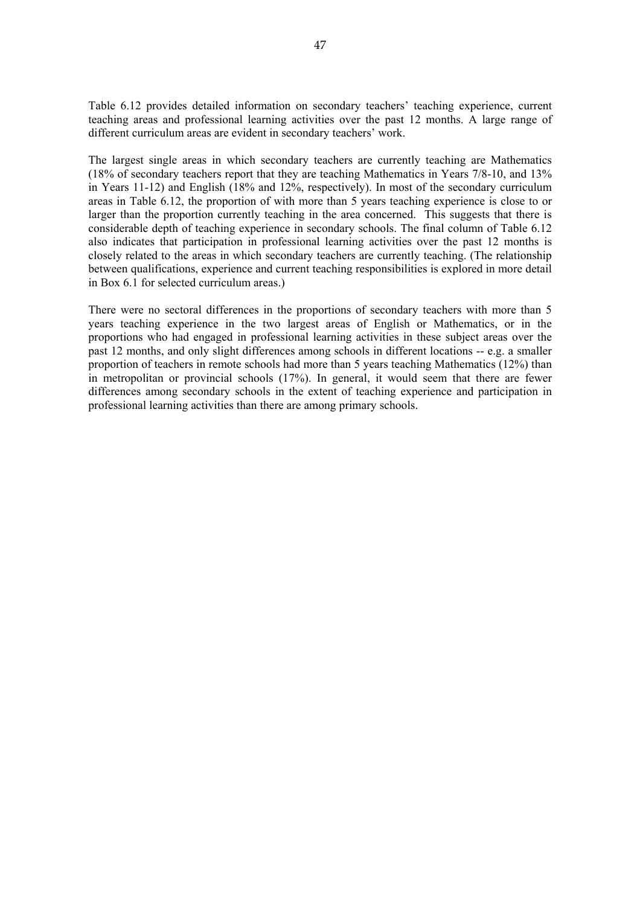Table 6.12 provides detailed information on secondary teachers' teaching experience, current teaching areas and professional learning activities over the past 12 months. A large range of different curriculum areas are evident in secondary teachers' work.

The largest single areas in which secondary teachers are currently teaching are Mathematics (18% of secondary teachers report that they are teaching Mathematics in Years 7/8-10, and 13% in Years 11-12) and English (18% and 12%, respectively). In most of the secondary curriculum areas in Table 6.12, the proportion of with more than 5 years teaching experience is close to or larger than the proportion currently teaching in the area concerned. This suggests that there is considerable depth of teaching experience in secondary schools. The final column of Table 6.12 also indicates that participation in professional learning activities over the past 12 months is closely related to the areas in which secondary teachers are currently teaching. (The relationship between qualifications, experience and current teaching responsibilities is explored in more detail in Box 6.1 for selected curriculum areas.)

There were no sectoral differences in the proportions of secondary teachers with more than 5 years teaching experience in the two largest areas of English or Mathematics, or in the proportions who had engaged in professional learning activities in these subject areas over the past 12 months, and only slight differences among schools in different locations -- e.g. a smaller proportion of teachers in remote schools had more than 5 years teaching Mathematics (12%) than in metropolitan or provincial schools (17%). In general, it would seem that there are fewer differences among secondary schools in the extent of teaching experience and participation in professional learning activities than there are among primary schools.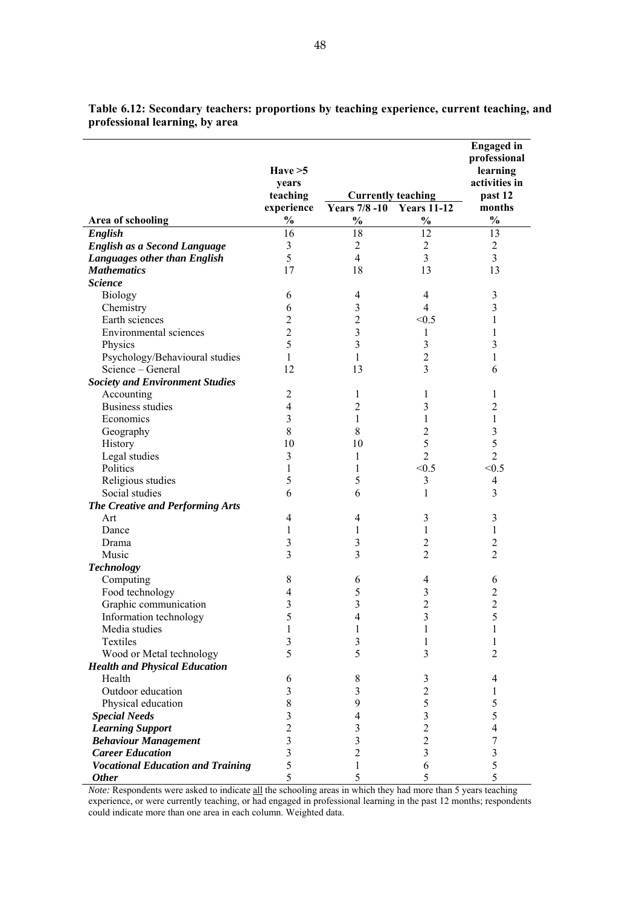|                                          | Have $>5$      |                           |                           | <b>Engaged</b> in<br>professional<br>learning |
|------------------------------------------|----------------|---------------------------|---------------------------|-----------------------------------------------|
|                                          | years          |                           |                           | activities in                                 |
|                                          | teaching       |                           | <b>Currently teaching</b> | past 12                                       |
|                                          | experience     | Years 7/8 -10 Years 11-12 |                           | months                                        |
| Area of schooling                        | $\%$           | $\frac{0}{0}$             | $\frac{0}{0}$             | $\frac{0}{0}$                                 |
| English                                  | 16             | 18                        | 12                        | 13                                            |
| English as a Second Language             | 3              | $\overline{2}$            | $\overline{2}$            | $\overline{2}$                                |
| Languages other than English             | 5              | $\overline{4}$            | 3                         | 3                                             |
| <b>Mathematics</b>                       | 17             | 18                        | 13                        | 13                                            |
| <b>Science</b>                           |                |                           |                           |                                               |
| <b>Biology</b>                           | 6              | 4                         | $\overline{4}$            | $\mathfrak{Z}$                                |
| Chemistry                                | 6              | 3                         | $\overline{4}$            | 3                                             |
| Earth sciences                           | $\overline{2}$ | $\overline{c}$            | < 0.5                     | 1                                             |
| Environmental sciences                   | $\overline{2}$ | 3                         | 1                         | 1                                             |
| Physics                                  | 5              | 3                         | 3                         | 3                                             |
| Psychology/Behavioural studies           | 1              | 1                         | $\overline{2}$            | 1                                             |
| Science - General                        | 12             | 13                        | 3                         | 6                                             |
| <b>Society and Environment Studies</b>   |                |                           |                           |                                               |
| Accounting                               | $\overline{2}$ | 1                         | 1                         | 1                                             |
| <b>Business studies</b>                  | $\overline{4}$ | 2                         | 3                         | 2                                             |
| Economics                                | 3              | 1                         | 1                         | $\mathbf{1}$                                  |
| Geography                                | 8              | 8                         | $\overline{c}$            | 3                                             |
| History                                  | 10             | 10                        | 5                         | 5                                             |
| Legal studies                            | 3              | 1                         | $\overline{2}$            | $\overline{2}$                                |
| Politics                                 | 1              | 1                         | < 0.5                     | < 0.5                                         |
| Religious studies                        | 5              | 5                         | 3                         | 4                                             |
| Social studies                           | 6              | 6                         | 1                         | 3                                             |
| The Creative and Performing Arts         |                |                           |                           |                                               |
| Art                                      | 4              | 4                         | 3                         | $\mathfrak{Z}$                                |
| Dance                                    | 1              | 1                         | 1                         | 1                                             |
| Drama                                    | 3              | 3                         | $\overline{c}$            | 2                                             |
| Music                                    | 3              | 3                         | $\overline{2}$            | $\overline{2}$                                |
| <b>Technology</b>                        |                |                           |                           |                                               |
| Computing                                | 8              | 6                         | 4                         | 6                                             |
| Food technology                          | 4              | 5                         | 3                         | $\overline{c}$                                |
| Graphic communication                    | 3              | 3                         | $\overline{2}$            | $\overline{c}$                                |
| Information technology                   | 5              | 4                         | 3                         | 5                                             |
| Media studies                            | 1              | 1                         | 1                         | 1                                             |
| Textiles                                 | 3              | 3                         | 1                         | 1                                             |
| Wood or Metal technology                 | 5              | 5                         | 3                         | $\overline{2}$                                |
| <b>Health and Physical Education</b>     |                |                           |                           |                                               |
| Health                                   | 6              | $8\,$                     | 3                         | 4                                             |
| Outdoor education                        | 3              | 3                         | $\overline{c}$            | 1                                             |
| Physical education                       | 8              | 9                         | 5                         | 5                                             |
| <b>Special Needs</b>                     | 3              | 4                         | $\overline{\mathbf{3}}$   | 5                                             |
| <b>Learning Support</b>                  | $\overline{2}$ | 3                         | $\overline{2}$            | 4                                             |
| <b>Behaviour Management</b>              | 3              | 3                         | $\overline{2}$            | 7                                             |
| <b>Career Education</b>                  | 3              | $\overline{2}$            | $\overline{\mathbf{3}}$   | 3                                             |
| <b>Vocational Education and Training</b> | 5              | 1                         | 6                         | 5                                             |
| <b>Other</b>                             | 5              | 5                         | 5                         | 5                                             |

**Table 6.12: Secondary teachers: proportions by teaching experience, current teaching, and professional learning, by area** 

*Note:* Respondents were asked to indicate all the schooling areas in which they had more than 5 years teaching experience, or were currently teaching, or had engaged in professional learning in the past 12 months; respondents could indicate more than one area in each column. Weighted data.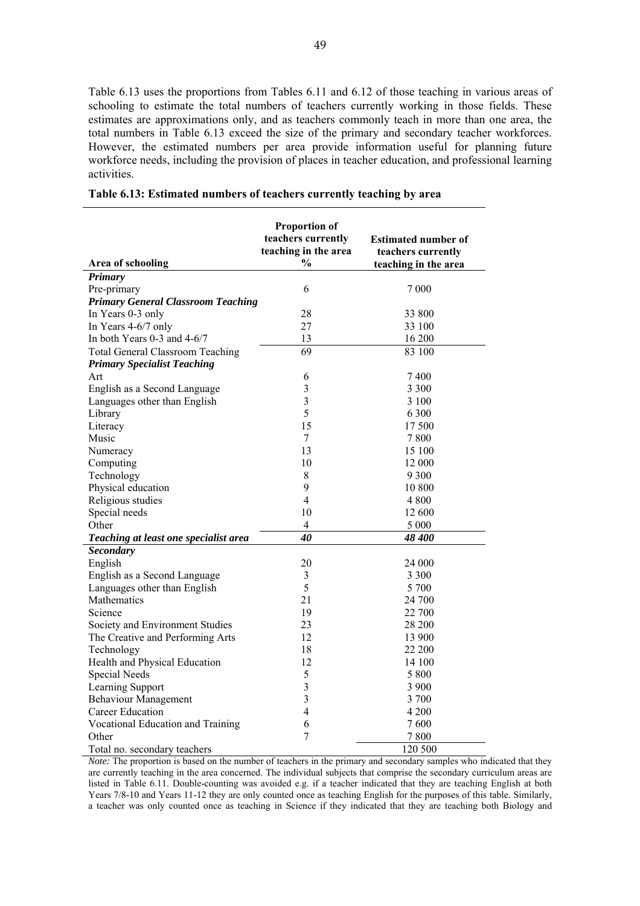Table 6.13 uses the proportions from Tables 6.11 and 6.12 of those teaching in various areas of schooling to estimate the total numbers of teachers currently working in those fields. These estimates are approximations only, and as teachers commonly teach in more than one area, the total numbers in Table 6.13 exceed the size of the primary and secondary teacher workforces. However, the estimated numbers per area provide information useful for planning future workforce needs, including the provision of places in teacher education, and professional learning activities.

|                                           | <b>Proportion of</b><br>teachers currently<br>teaching in the area | <b>Estimated number of</b><br>teachers currently |
|-------------------------------------------|--------------------------------------------------------------------|--------------------------------------------------|
| Area of schooling                         | $\%$                                                               | teaching in the area                             |
| Primary                                   |                                                                    |                                                  |
| Pre-primary                               | 6                                                                  | 7 0 0 0                                          |
| <b>Primary General Classroom Teaching</b> |                                                                    |                                                  |
| In Years 0-3 only                         | 28                                                                 | 33 800                                           |
| In Years 4-6/7 only                       | 27                                                                 | 33 100                                           |
| In both Years 0-3 and 4-6/7               | 13                                                                 | 16 200                                           |
| <b>Total General Classroom Teaching</b>   | $\overline{69}$                                                    | 83 100                                           |
| <b>Primary Specialist Teaching</b>        |                                                                    |                                                  |
| Art                                       | 6                                                                  | 7400                                             |
| English as a Second Language              | 3                                                                  | 3 3 0 0                                          |
| Languages other than English              | 3                                                                  | 3 1 0 0                                          |
| Library                                   | 5                                                                  | 6 300                                            |
| Literacy                                  | 15                                                                 | 17 500                                           |
| Music                                     | $\overline{7}$                                                     | 7800                                             |
| Numeracy                                  | 13                                                                 | 15 100                                           |
| Computing                                 | 10                                                                 | 12 000                                           |
| Technology                                | 8                                                                  | 9 3 0 0                                          |
| Physical education                        | 9                                                                  | 10 800                                           |
| Religious studies                         | 4                                                                  | 4 8 0 0                                          |
| Special needs                             | 10                                                                 | 12 600                                           |
| Other                                     | $\overline{4}$                                                     | 5 0 0 0                                          |
| Teaching at least one specialist area     | 40                                                                 | 48 400                                           |
| <b>Secondary</b>                          |                                                                    |                                                  |
| English                                   | 20                                                                 | 24 000                                           |
| English as a Second Language              | 3                                                                  | 3 3 0 0                                          |
| Languages other than English              | 5                                                                  | 5 700                                            |
| Mathematics                               | 21                                                                 | 24 700                                           |
| Science                                   | 19                                                                 | 22 700                                           |
| Society and Environment Studies           | 23                                                                 | 28 200                                           |
| The Creative and Performing Arts          | 12                                                                 | 13 900                                           |
| Technology                                | 18                                                                 | 22 200                                           |
| Health and Physical Education             | 12                                                                 | 14 100                                           |
| Special Needs                             | 5                                                                  | 5 800                                            |
| Learning Support                          | 3                                                                  | 3 900                                            |
| <b>Behaviour Management</b>               | $\overline{3}$                                                     | 3700                                             |
| Career Education                          | 4                                                                  | 4 200                                            |
| Vocational Education and Training         | 6                                                                  | 7600                                             |
| Other                                     | 7                                                                  | 7800                                             |
| Total no. secondary teachers              |                                                                    | 120 500                                          |

| Table 6.13: Estimated numbers of teachers currently teaching by area |  |  |  |  |  |  |  |
|----------------------------------------------------------------------|--|--|--|--|--|--|--|
|----------------------------------------------------------------------|--|--|--|--|--|--|--|

*Note:* The proportion is based on the number of teachers in the primary and secondary samples who indicated that they are currently teaching in the area concerned. The individual subjects that comprise the secondary curriculum areas are listed in Table 6.11. Double-counting was avoided e.g. if a teacher indicated that they are teaching English at both Years 7/8-10 and Years 11-12 they are only counted once as teaching English for the purposes of this table. Similarly, a teacher was only counted once as teaching in Science if they indicated that they are teaching both Biology and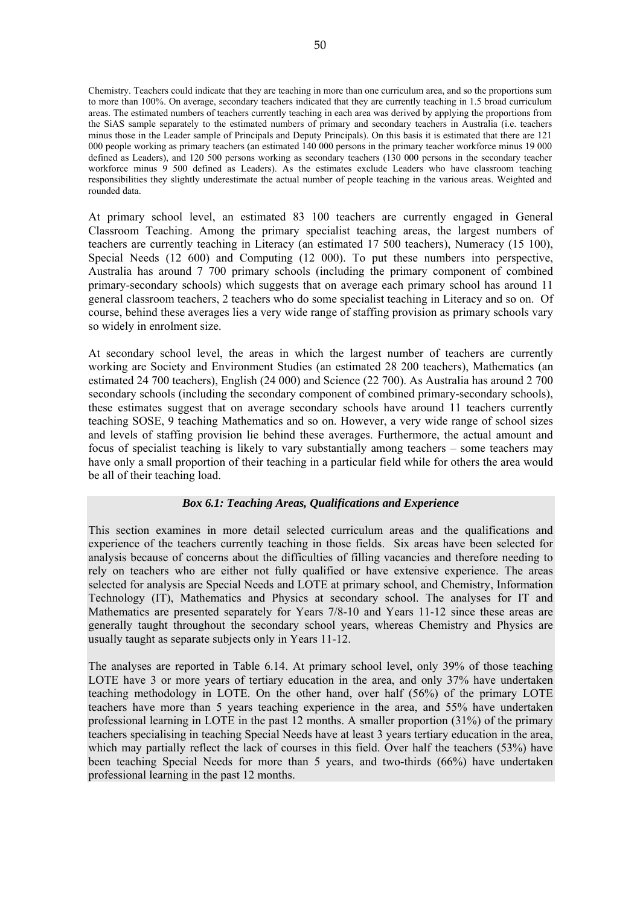Chemistry. Teachers could indicate that they are teaching in more than one curriculum area, and so the proportions sum to more than 100%. On average, secondary teachers indicated that they are currently teaching in 1.5 broad curriculum areas. The estimated numbers of teachers currently teaching in each area was derived by applying the proportions from the SiAS sample separately to the estimated numbers of primary and secondary teachers in Australia (i.e. teachers minus those in the Leader sample of Principals and Deputy Principals). On this basis it is estimated that there are 121 000 people working as primary teachers (an estimated 140 000 persons in the primary teacher workforce minus 19 000 defined as Leaders), and 120 500 persons working as secondary teachers (130 000 persons in the secondary teacher workforce minus 9 500 defined as Leaders). As the estimates exclude Leaders who have classroom teaching responsibilities they slightly underestimate the actual number of people teaching in the various areas. Weighted and rounded data.

At primary school level, an estimated 83 100 teachers are currently engaged in General Classroom Teaching. Among the primary specialist teaching areas, the largest numbers of teachers are currently teaching in Literacy (an estimated 17 500 teachers), Numeracy (15 100), Special Needs (12 600) and Computing (12 000). To put these numbers into perspective, Australia has around 7 700 primary schools (including the primary component of combined primary-secondary schools) which suggests that on average each primary school has around 11 general classroom teachers, 2 teachers who do some specialist teaching in Literacy and so on. Of course, behind these averages lies a very wide range of staffing provision as primary schools vary so widely in enrolment size.

At secondary school level, the areas in which the largest number of teachers are currently working are Society and Environment Studies (an estimated 28 200 teachers), Mathematics (an estimated 24 700 teachers), English (24 000) and Science (22 700). As Australia has around 2 700 secondary schools (including the secondary component of combined primary-secondary schools), these estimates suggest that on average secondary schools have around 11 teachers currently teaching SOSE, 9 teaching Mathematics and so on. However, a very wide range of school sizes and levels of staffing provision lie behind these averages. Furthermore, the actual amount and focus of specialist teaching is likely to vary substantially among teachers – some teachers may have only a small proportion of their teaching in a particular field while for others the area would be all of their teaching load.

### *Box 6.1: Teaching Areas, Qualifications and Experience*

This section examines in more detail selected curriculum areas and the qualifications and experience of the teachers currently teaching in those fields. Six areas have been selected for analysis because of concerns about the difficulties of filling vacancies and therefore needing to rely on teachers who are either not fully qualified or have extensive experience. The areas selected for analysis are Special Needs and LOTE at primary school, and Chemistry, Information Technology (IT), Mathematics and Physics at secondary school. The analyses for IT and Mathematics are presented separately for Years 7/8-10 and Years 11-12 since these areas are generally taught throughout the secondary school years, whereas Chemistry and Physics are usually taught as separate subjects only in Years 11-12.

The analyses are reported in Table 6.14. At primary school level, only 39% of those teaching LOTE have 3 or more years of tertiary education in the area, and only 37% have undertaken teaching methodology in LOTE. On the other hand, over half (56%) of the primary LOTE teachers have more than 5 years teaching experience in the area, and 55% have undertaken professional learning in LOTE in the past 12 months. A smaller proportion (31%) of the primary teachers specialising in teaching Special Needs have at least 3 years tertiary education in the area, which may partially reflect the lack of courses in this field. Over half the teachers (53%) have been teaching Special Needs for more than 5 years, and two-thirds (66%) have undertaken professional learning in the past 12 months.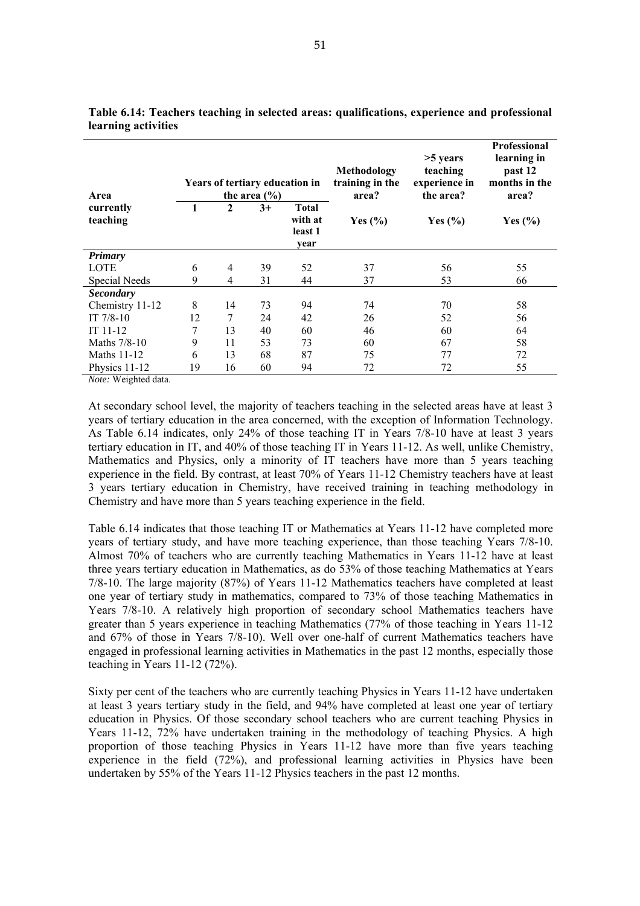| Area                  |    |              | the area $(\% )$ | Years of tertiary education in             | Methodology<br>training in the<br>area? | $>5$ years<br>teaching<br>experience in<br>the area? | <b>Professional</b><br>learning in<br>past 12<br>months in the<br>area? |
|-----------------------|----|--------------|------------------|--------------------------------------------|-----------------------------------------|------------------------------------------------------|-------------------------------------------------------------------------|
| currently<br>teaching | 1  | $\mathbf{2}$ | $3+$             | <b>Total</b><br>with at<br>least 1<br>year | Yes $(\% )$                             | Yes $(\% )$                                          | Yes $(\% )$                                                             |
| <b>Primary</b>        |    |              |                  |                                            |                                         |                                                      |                                                                         |
| LOTE                  | 6  | 4            | 39               | 52                                         | 37                                      | 56                                                   | 55                                                                      |
| Special Needs         | 9  | 4            | 31               | 44                                         | 37                                      | 53                                                   | 66                                                                      |
| <b>Secondary</b>      |    |              |                  |                                            |                                         |                                                      |                                                                         |
| Chemistry 11-12       | 8  | 14           | 73               | 94                                         | 74                                      | 70                                                   | 58                                                                      |
| IT $7/8-10$           | 12 | 7            | 24               | 42                                         | 26                                      | 52                                                   | 56                                                                      |
| $IT 11-12$            | 7  | 13           | 40               | 60                                         | 46                                      | 60                                                   | 64                                                                      |
| Maths 7/8-10          | 9  | 11           | 53               | 73                                         | 60                                      | 67                                                   | 58                                                                      |
| <b>Maths 11-12</b>    | 6  | 13           | 68               | 87                                         | 75                                      | 77                                                   | 72                                                                      |
| Physics 11-12         | 19 | 16           | 60               | 94                                         | 72                                      | 72                                                   | 55                                                                      |

**Table 6.14: Teachers teaching in selected areas: qualifications, experience and professional learning activities** 

*Note:* Weighted data.

At secondary school level, the majority of teachers teaching in the selected areas have at least 3 years of tertiary education in the area concerned, with the exception of Information Technology. As Table 6.14 indicates, only 24% of those teaching IT in Years 7/8-10 have at least 3 years tertiary education in IT, and 40% of those teaching IT in Years 11-12. As well, unlike Chemistry, Mathematics and Physics, only a minority of IT teachers have more than 5 years teaching experience in the field. By contrast, at least 70% of Years 11-12 Chemistry teachers have at least 3 years tertiary education in Chemistry, have received training in teaching methodology in Chemistry and have more than 5 years teaching experience in the field.

Table 6.14 indicates that those teaching IT or Mathematics at Years 11-12 have completed more years of tertiary study, and have more teaching experience, than those teaching Years 7/8-10. Almost 70% of teachers who are currently teaching Mathematics in Years 11-12 have at least three years tertiary education in Mathematics, as do 53% of those teaching Mathematics at Years 7/8-10. The large majority (87%) of Years 11-12 Mathematics teachers have completed at least one year of tertiary study in mathematics, compared to 73% of those teaching Mathematics in Years 7/8-10. A relatively high proportion of secondary school Mathematics teachers have greater than 5 years experience in teaching Mathematics (77% of those teaching in Years 11-12 and 67% of those in Years 7/8-10). Well over one-half of current Mathematics teachers have engaged in professional learning activities in Mathematics in the past 12 months, especially those teaching in Years 11-12 (72%).

Sixty per cent of the teachers who are currently teaching Physics in Years 11-12 have undertaken at least 3 years tertiary study in the field, and 94% have completed at least one year of tertiary education in Physics. Of those secondary school teachers who are current teaching Physics in Years 11-12, 72% have undertaken training in the methodology of teaching Physics. A high proportion of those teaching Physics in Years 11-12 have more than five years teaching experience in the field (72%), and professional learning activities in Physics have been undertaken by 55% of the Years 11-12 Physics teachers in the past 12 months.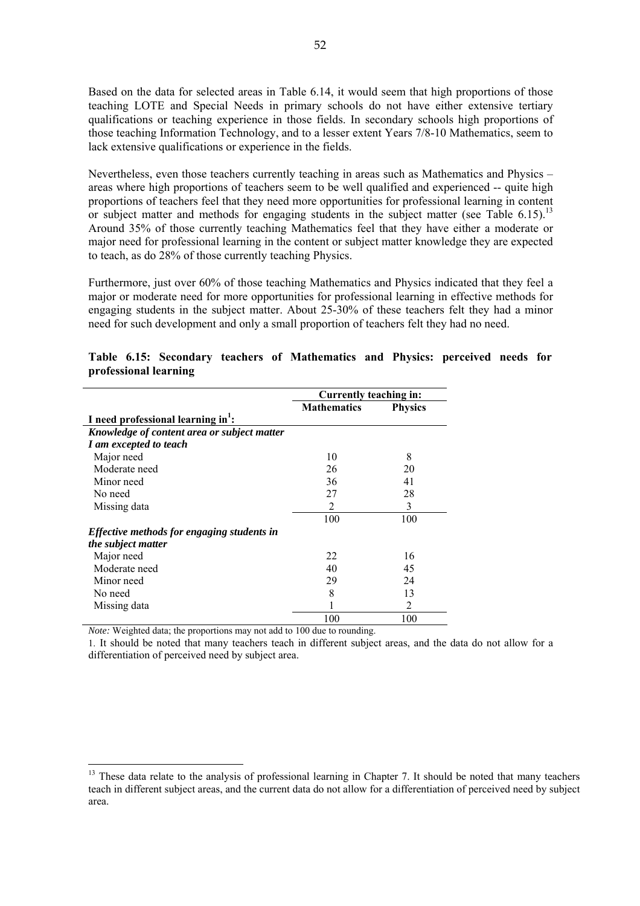Based on the data for selected areas in Table 6.14, it would seem that high proportions of those teaching LOTE and Special Needs in primary schools do not have either extensive tertiary qualifications or teaching experience in those fields. In secondary schools high proportions of those teaching Information Technology, and to a lesser extent Years 7/8-10 Mathematics, seem to lack extensive qualifications or experience in the fields.

Nevertheless, even those teachers currently teaching in areas such as Mathematics and Physics – areas where high proportions of teachers seem to be well qualified and experienced -- quite high proportions of teachers feel that they need more opportunities for professional learning in content or subject matter and methods for engaging students in the subject matter (see Table 6.15).<sup>13</sup> Around 35% of those currently teaching Mathematics feel that they have either a moderate or major need for professional learning in the content or subject matter knowledge they are expected to teach, as do 28% of those currently teaching Physics.

Furthermore, just over 60% of those teaching Mathematics and Physics indicated that they feel a major or moderate need for more opportunities for professional learning in effective methods for engaging students in the subject matter. About 25-30% of these teachers felt they had a minor need for such development and only a small proportion of teachers felt they had no need.

|                                                   | Currently teaching in: |                |
|---------------------------------------------------|------------------------|----------------|
|                                                   | <b>Mathematics</b>     | <b>Physics</b> |
| I need professional learning in <sup>1</sup> :    |                        |                |
| Knowledge of content area or subject matter       |                        |                |
| I am excepted to teach                            |                        |                |
| Major need                                        | 10                     | 8              |
| Moderate need                                     | 26                     | 20             |
| Minor need                                        | 36                     | 41             |
| No need                                           | 27                     | 28             |
| Missing data                                      | 2                      | 3              |
|                                                   | 100                    | 100            |
| <i>Effective methods for engaging students in</i> |                        |                |
| the subject matter                                |                        |                |
| Major need                                        | 22                     | 16             |
| Moderate need                                     | 40                     | 45             |
| Minor need                                        | 29                     | 24             |
| No need                                           | 8                      | 13             |
| Missing data                                      |                        | $\overline{2}$ |
|                                                   | 100                    | 100            |

|  |                       |  | Table 6.15: Secondary teachers of Mathematics and Physics: perceived needs for |  |  |  |
|--|-----------------------|--|--------------------------------------------------------------------------------|--|--|--|
|  | professional learning |  |                                                                                |  |  |  |

*Note:* Weighted data; the proportions may not add to 100 due to rounding.

 $\overline{a}$ 

1. It should be noted that many teachers teach in different subject areas, and the data do not allow for a differentiation of perceived need by subject area.

 $13$  These data relate to the analysis of professional learning in Chapter 7. It should be noted that many teachers teach in different subject areas, and the current data do not allow for a differentiation of perceived need by subject area.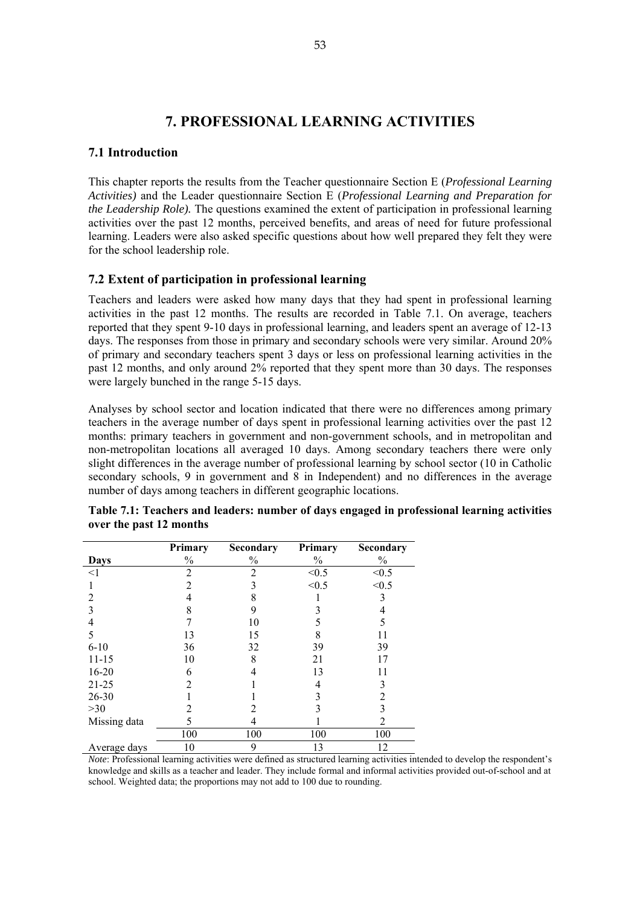# **7. PROFESSIONAL LEARNING ACTIVITIES**

# **7.1 Introduction**

This chapter reports the results from the Teacher questionnaire Section E (*Professional Learning Activities)* and the Leader questionnaire Section E (*Professional Learning and Preparation for the Leadership Role).* The questions examined the extent of participation in professional learning activities over the past 12 months, perceived benefits, and areas of need for future professional learning. Leaders were also asked specific questions about how well prepared they felt they were for the school leadership role.

# **7.2 Extent of participation in professional learning**

Teachers and leaders were asked how many days that they had spent in professional learning activities in the past 12 months. The results are recorded in Table 7.1. On average, teachers reported that they spent 9-10 days in professional learning, and leaders spent an average of 12-13 days. The responses from those in primary and secondary schools were very similar. Around 20% of primary and secondary teachers spent 3 days or less on professional learning activities in the past 12 months, and only around 2% reported that they spent more than 30 days. The responses were largely bunched in the range 5-15 days.

Analyses by school sector and location indicated that there were no differences among primary teachers in the average number of days spent in professional learning activities over the past 12 months: primary teachers in government and non-government schools, and in metropolitan and non-metropolitan locations all averaged 10 days. Among secondary teachers there were only slight differences in the average number of professional learning by school sector (10 in Catholic secondary schools, 9 in government and 8 in Independent) and no differences in the average number of days among teachers in different geographic locations.

|              | Primary        | Secondary      | Primary | <b>Secondary</b> |
|--------------|----------------|----------------|---------|------------------|
| Days         | $\%$           | $\%$           | $\%$    | $\%$             |
| $\leq$ 1     | $\overline{2}$ | $\overline{c}$ | < 0.5   | < 0.5            |
|              | 2              | 3              | < 0.5   | < 0.5            |
| 2            |                | 8              |         | 3                |
|              | 8              | 9              |         | 4                |
|              |                | 10             | 5       | 5                |
| 5            | 13             | 15             |         | 11               |
| $6-10$       | 36             | 32             | 39      | 39               |
| $11 - 15$    | 10             | 8              | 21      | 17               |
| $16 - 20$    | 6              |                | 13      | 11               |
| $21 - 25$    | າ              |                | 4       | 3                |
| 26-30        |                |                | 3       | 2                |
| $>30$        | 2              |                |         |                  |
| Missing data | 5              |                |         | 2                |
|              | 100            | 100            | 100     | 100              |
| Average days | 10             | 9              | 13      | 12               |

| Table 7.1: Teachers and leaders: number of days engaged in professional learning activities |  |  |  |
|---------------------------------------------------------------------------------------------|--|--|--|
| over the past 12 months                                                                     |  |  |  |

*Note*: Professional learning activities were defined as structured learning activities intended to develop the respondent's knowledge and skills as a teacher and leader. They include formal and informal activities provided out-of-school and at school. Weighted data; the proportions may not add to 100 due to rounding.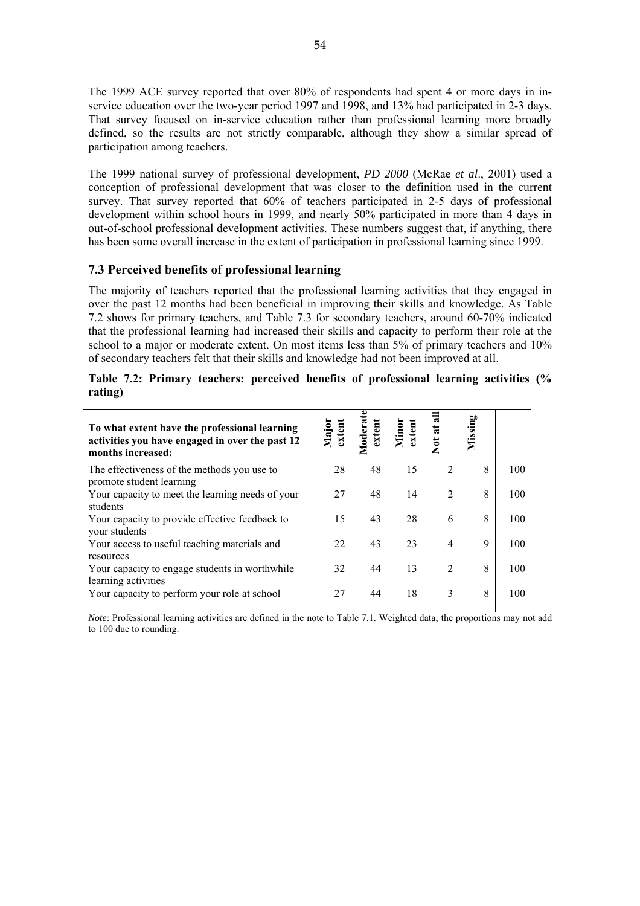The 1999 ACE survey reported that over 80% of respondents had spent 4 or more days in inservice education over the two-year period 1997 and 1998, and 13% had participated in 2-3 days. That survey focused on in-service education rather than professional learning more broadly defined, so the results are not strictly comparable, although they show a similar spread of participation among teachers.

The 1999 national survey of professional development, *PD 2000* (McRae *et al*., 2001) used a conception of professional development that was closer to the definition used in the current survey. That survey reported that 60% of teachers participated in 2-5 days of professional development within school hours in 1999, and nearly 50% participated in more than 4 days in out-of-school professional development activities. These numbers suggest that, if anything, there has been some overall increase in the extent of participation in professional learning since 1999.

# **7.3 Perceived benefits of professional learning**

The majority of teachers reported that the professional learning activities that they engaged in over the past 12 months had been beneficial in improving their skills and knowledge. As Table 7.2 shows for primary teachers, and Table 7.3 for secondary teachers, around 60-70% indicated that the professional learning had increased their skills and capacity to perform their role at the school to a major or moderate extent. On most items less than 5% of primary teachers and 10% of secondary teachers felt that their skills and knowledge had not been improved at all.

| To what extent have the professional learning<br>activities you have engaged in over the past 12<br>months increased: | Major<br>extent | Moderat<br>extent | Minor<br>extent | Not at all     | Missing |     |
|-----------------------------------------------------------------------------------------------------------------------|-----------------|-------------------|-----------------|----------------|---------|-----|
| The effectiveness of the methods you use to<br>promote student learning                                               | 28              | 48                | 15              | $\overline{2}$ | 8       | 100 |
| Your capacity to meet the learning needs of your<br>students                                                          | 27              | 48                | 14              | 2              | 8       | 100 |
| Your capacity to provide effective feedback to<br>your students                                                       | 15              | 43                | 28              | 6              | 8       | 100 |
| Your access to useful teaching materials and<br>resources                                                             | 22              | 43                | 23              | $\overline{4}$ | 9       | 100 |
| Your capacity to engage students in worthwhile<br>learning activities                                                 | 32              | 44                | 13              | 2              | 8       | 100 |
| Your capacity to perform your role at school                                                                          | 27              | 44                | 18              | 3              | 8       | 100 |

**Table 7.2: Primary teachers: perceived benefits of professional learning activities (% rating)** 

*Note*: Professional learning activities are defined in the note to Table 7.1. Weighted data; the proportions may not add to 100 due to rounding.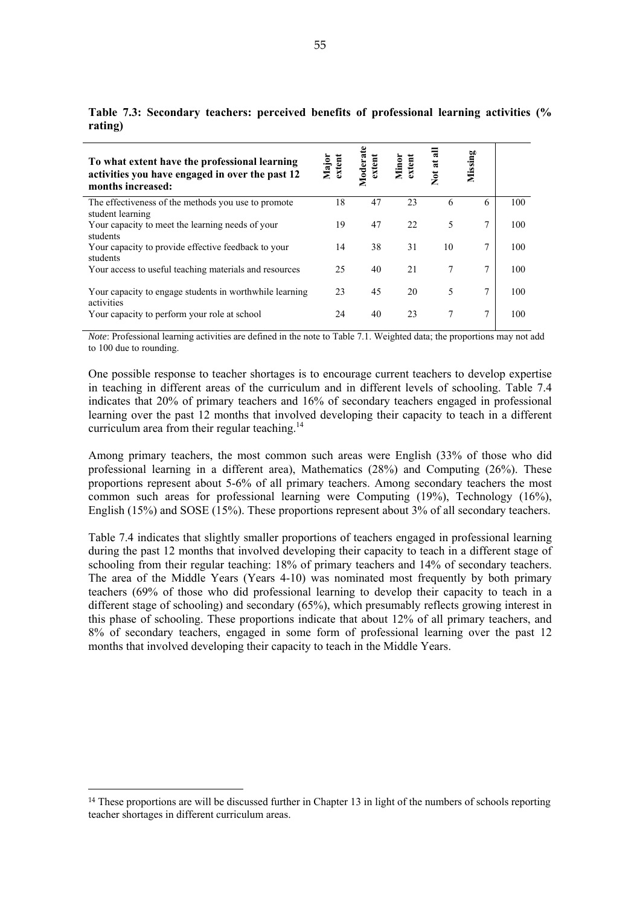| To what extent have the professional learning<br>activities you have engaged in over the past 12<br>months increased: | Major<br>extent | Moderate<br>extent | Minor<br>extent | Not at all | Missing |     |
|-----------------------------------------------------------------------------------------------------------------------|-----------------|--------------------|-----------------|------------|---------|-----|
| The effectiveness of the methods you use to promote<br>student learning                                               | 18              | 47                 | 23              | 6          | 6       | 100 |
| Your capacity to meet the learning needs of your<br>students                                                          | 19              | 47                 | 22              | 5          | 7       | 100 |
| Your capacity to provide effective feedback to your<br>students                                                       | 14              | 38                 | 31              | 10         | 7       | 100 |
| Your access to useful teaching materials and resources                                                                | 25              | 40                 | 21              |            | 7       | 100 |
| Your capacity to engage students in worthwhile learning<br>activities                                                 | 23              | 45                 | 20              | 5          | 7       | 100 |
| Your capacity to perform your role at school                                                                          | 24              | 40                 | 23              |            | 7       | 100 |

**Table 7.3: Secondary teachers: perceived benefits of professional learning activities (% rating)** 

*Note*: Professional learning activities are defined in the note to Table 7.1. Weighted data; the proportions may not add to 100 due to rounding.

One possible response to teacher shortages is to encourage current teachers to develop expertise in teaching in different areas of the curriculum and in different levels of schooling. Table 7.4 indicates that 20% of primary teachers and 16% of secondary teachers engaged in professional learning over the past 12 months that involved developing their capacity to teach in a different curriculum area from their regular teaching.<sup>14</sup>

Among primary teachers, the most common such areas were English (33% of those who did professional learning in a different area), Mathematics (28%) and Computing (26%). These proportions represent about 5-6% of all primary teachers. Among secondary teachers the most common such areas for professional learning were Computing (19%), Technology (16%), English (15%) and SOSE (15%). These proportions represent about 3% of all secondary teachers.

Table 7.4 indicates that slightly smaller proportions of teachers engaged in professional learning during the past 12 months that involved developing their capacity to teach in a different stage of schooling from their regular teaching: 18% of primary teachers and 14% of secondary teachers. The area of the Middle Years (Years 4-10) was nominated most frequently by both primary teachers (69% of those who did professional learning to develop their capacity to teach in a different stage of schooling) and secondary (65%), which presumably reflects growing interest in this phase of schooling. These proportions indicate that about 12% of all primary teachers, and 8% of secondary teachers, engaged in some form of professional learning over the past 12 months that involved developing their capacity to teach in the Middle Years.

 $\overline{a}$ 

<sup>&</sup>lt;sup>14</sup> These proportions are will be discussed further in Chapter 13 in light of the numbers of schools reporting teacher shortages in different curriculum areas.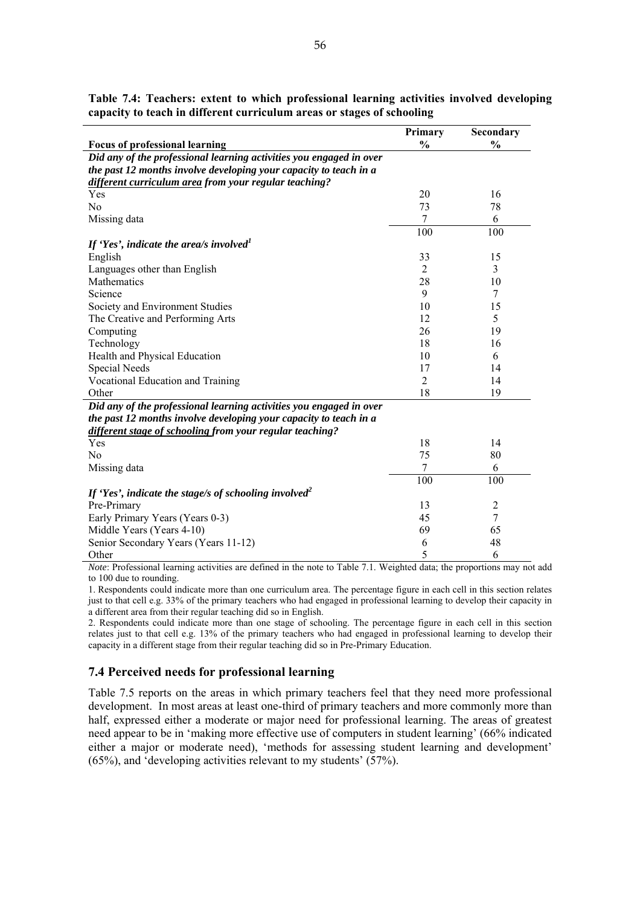| <b>Focus of professional learning</b><br>Did any of the professional learning activities you engaged in over<br>the past 12 months involve developing your capacity to teach in a | $\frac{0}{0}$  | $\frac{0}{0}$  |
|-----------------------------------------------------------------------------------------------------------------------------------------------------------------------------------|----------------|----------------|
|                                                                                                                                                                                   |                |                |
|                                                                                                                                                                                   |                |                |
|                                                                                                                                                                                   |                |                |
| different curriculum area from your regular teaching?                                                                                                                             |                |                |
| Yes                                                                                                                                                                               | 20             | 16             |
| No                                                                                                                                                                                | 73             | 78             |
| Missing data                                                                                                                                                                      | 7              | 6              |
|                                                                                                                                                                                   | 100            | 100            |
| If 'Yes', indicate the area/s involved <sup>1</sup>                                                                                                                               |                |                |
| English                                                                                                                                                                           | 33             | 15             |
| Languages other than English                                                                                                                                                      | 2              | 3              |
| Mathematics                                                                                                                                                                       | 28             | 10             |
| Science                                                                                                                                                                           | 9              | 7              |
| Society and Environment Studies                                                                                                                                                   | 10             | 15             |
| The Creative and Performing Arts                                                                                                                                                  | 12             | 5              |
| Computing                                                                                                                                                                         | 26             | 19             |
| Technology                                                                                                                                                                        | 18             | 16             |
| Health and Physical Education                                                                                                                                                     | 10             | 6              |
| <b>Special Needs</b>                                                                                                                                                              | 17             | 14             |
| Vocational Education and Training                                                                                                                                                 | $\overline{2}$ | 14             |
| Other                                                                                                                                                                             | 18             | 19             |
| Did any of the professional learning activities you engaged in over                                                                                                               |                |                |
| the past 12 months involve developing your capacity to teach in a                                                                                                                 |                |                |
| different stage of schooling from your regular teaching?                                                                                                                          |                |                |
| Yes                                                                                                                                                                               | 18             | 14             |
| N <sub>0</sub>                                                                                                                                                                    | 75             | 80             |
| Missing data                                                                                                                                                                      | 7              | 6              |
|                                                                                                                                                                                   | 100            | 100            |
| If 'Yes', indicate the stage/s of schooling involved <sup>2</sup>                                                                                                                 |                |                |
| Pre-Primary                                                                                                                                                                       | 13             | $\overline{2}$ |
| Early Primary Years (Years 0-3)                                                                                                                                                   | 45             | $\tau$         |
| Middle Years (Years 4-10)                                                                                                                                                         | 69             | 65             |
| Senior Secondary Years (Years 11-12)                                                                                                                                              | 6              | 48             |
| Other                                                                                                                                                                             | 5              | 6              |

**Table 7.4: Teachers: extent to which professional learning activities involved developing capacity to teach in different curriculum areas or stages of schooling** 

*Note*: Professional learning activities are defined in the note to Table 7.1. Weighted data; the proportions may not add to 100 due to rounding.

1. Respondents could indicate more than one curriculum area. The percentage figure in each cell in this section relates just to that cell e.g. 33% of the primary teachers who had engaged in professional learning to develop their capacity in a different area from their regular teaching did so in English.

2. Respondents could indicate more than one stage of schooling. The percentage figure in each cell in this section relates just to that cell e.g. 13% of the primary teachers who had engaged in professional learning to develop their capacity in a different stage from their regular teaching did so in Pre-Primary Education.

# **7.4 Perceived needs for professional learning**

Table 7.5 reports on the areas in which primary teachers feel that they need more professional development. In most areas at least one-third of primary teachers and more commonly more than half, expressed either a moderate or major need for professional learning. The areas of greatest need appear to be in 'making more effective use of computers in student learning' (66% indicated either a major or moderate need), 'methods for assessing student learning and development' (65%), and 'developing activities relevant to my students' (57%).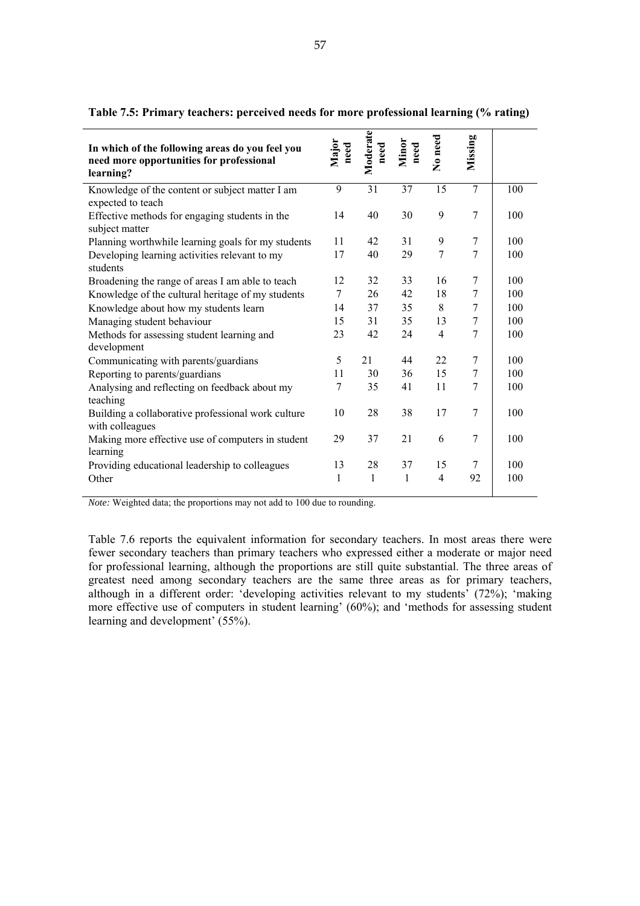| In which of the following areas do you feel you<br>need more opportunities for professional<br>learning? | Major<br>need | Moderate<br>need | Minor<br>need | No need        | Missing        |     |
|----------------------------------------------------------------------------------------------------------|---------------|------------------|---------------|----------------|----------------|-----|
| Knowledge of the content or subject matter I am<br>expected to teach                                     | 9             | 31               | 37            | 15             | $\overline{7}$ | 100 |
| Effective methods for engaging students in the<br>subject matter                                         | 14            | 40               | 30            | 9              | 7              | 100 |
| Planning worthwhile learning goals for my students                                                       | 11            | 42               | 31            | 9              | 7              | 100 |
| Developing learning activities relevant to my<br>students                                                | 17            | 40               | 29            | 7              | 7              | 100 |
| Broadening the range of areas I am able to teach                                                         | 12            | 32               | 33            | 16             | 7              | 100 |
| Knowledge of the cultural heritage of my students                                                        | 7             | 26               | 42            | 18             | 7              | 100 |
| Knowledge about how my students learn                                                                    | 14            | 37               | 35            | 8              | $\overline{7}$ | 100 |
| Managing student behaviour                                                                               | 15            | 31               | 35            | 13             | 7              | 100 |
| Methods for assessing student learning and<br>development                                                | 23            | 42               | 24            | $\overline{4}$ | 7              | 100 |
| Communicating with parents/guardians                                                                     | 5             | 21               | 44            | 22             | 7              | 100 |
| Reporting to parents/guardians                                                                           | 11            | 30               | 36            | 15             | 7              | 100 |
| Analysing and reflecting on feedback about my<br>teaching                                                | 7             | 35               | 41            | 11             | 7              | 100 |
| Building a collaborative professional work culture<br>with colleagues                                    | 10            | 28               | 38            | 17             | 7              | 100 |
| Making more effective use of computers in student<br>learning                                            | 29            | 37               | 21            | 6              | 7              | 100 |
| Providing educational leadership to colleagues                                                           | 13            | 28               | 37            | 15             | 7              | 100 |
| Other                                                                                                    | 1             | 1                | 1             | $\overline{4}$ | 92             | 100 |

**Table 7.5: Primary teachers: perceived needs for more professional learning (% rating)** 

*Note:* Weighted data; the proportions may not add to 100 due to rounding.

Table 7.6 reports the equivalent information for secondary teachers. In most areas there were fewer secondary teachers than primary teachers who expressed either a moderate or major need for professional learning, although the proportions are still quite substantial. The three areas of greatest need among secondary teachers are the same three areas as for primary teachers, although in a different order: 'developing activities relevant to my students' (72%); 'making more effective use of computers in student learning' (60%); and 'methods for assessing student learning and development' (55%).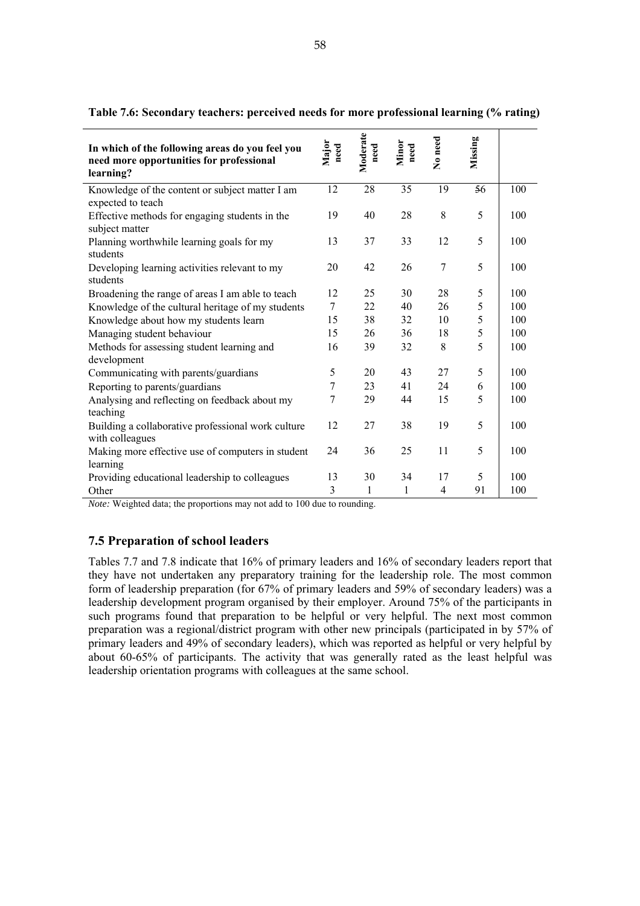| In which of the following areas do you feel you<br>need more opportunities for professional<br>learning? | Major<br>need | Moderate<br>need | Minor<br>$_{\rm need}$ | No need        | Missing |     |
|----------------------------------------------------------------------------------------------------------|---------------|------------------|------------------------|----------------|---------|-----|
| Knowledge of the content or subject matter I am<br>expected to teach                                     | 12            | 28               | 35                     | 19             | 56      | 100 |
| Effective methods for engaging students in the<br>subject matter                                         | 19            | 40               | 28                     | 8              | 5       | 100 |
| Planning worthwhile learning goals for my<br>students                                                    | 13            | 37               | 33                     | 12             | 5       | 100 |
| Developing learning activities relevant to my<br>students                                                | 20            | 42               | 26                     | $\overline{7}$ | 5       | 100 |
| Broadening the range of areas I am able to teach                                                         | 12            | 25               | 30                     | 28             | 5       | 100 |
| Knowledge of the cultural heritage of my students                                                        | 7             | 22               | 40                     | 26             | 5       | 100 |
| Knowledge about how my students learn                                                                    | 15            | 38               | 32                     | 10             | 5       | 100 |
| Managing student behaviour                                                                               | 15            | 26               | 36                     | 18             | 5       | 100 |
| Methods for assessing student learning and<br>development                                                | 16            | 39               | 32                     | 8              | 5       | 100 |
| Communicating with parents/guardians                                                                     | 5             | 20               | 43                     | 27             | 5       | 100 |
| Reporting to parents/guardians                                                                           | 7             | 23               | 41                     | 24             | 6       | 100 |
| Analysing and reflecting on feedback about my<br>teaching                                                | 7             | 29               | 44                     | 15             | 5       | 100 |
| Building a collaborative professional work culture<br>with colleagues                                    | 12            | 27               | 38                     | 19             | 5       | 100 |
| Making more effective use of computers in student<br>learning                                            | 24            | 36               | 25                     | 11             | 5       | 100 |
| Providing educational leadership to colleagues                                                           | 13            | 30               | 34                     | 17             | 5       | 100 |
| Other                                                                                                    | 3             | 1                | 1                      | 4              | 91      | 100 |

**Table 7.6: Secondary teachers: perceived needs for more professional learning (% rating)** 

*Note:* Weighted data; the proportions may not add to 100 due to rounding.

# **7.5 Preparation of school leaders**

Tables 7.7 and 7.8 indicate that 16% of primary leaders and 16% of secondary leaders report that they have not undertaken any preparatory training for the leadership role. The most common form of leadership preparation (for 67% of primary leaders and 59% of secondary leaders) was a leadership development program organised by their employer. Around 75% of the participants in such programs found that preparation to be helpful or very helpful. The next most common preparation was a regional/district program with other new principals (participated in by 57% of primary leaders and 49% of secondary leaders), which was reported as helpful or very helpful by about 60-65% of participants. The activity that was generally rated as the least helpful was leadership orientation programs with colleagues at the same school.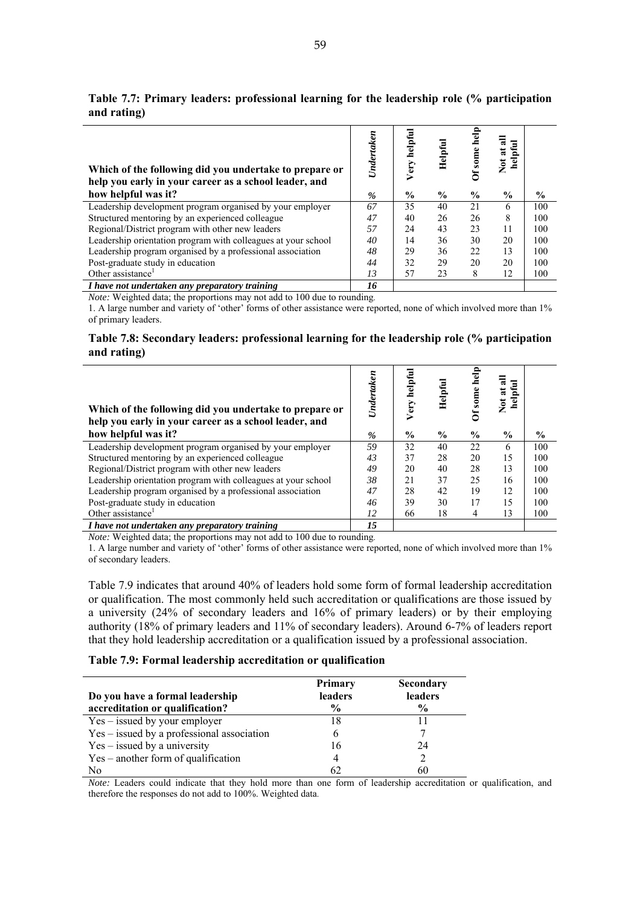| Which of the following did you undertake to prepare or<br>help you early in your career as a school leader, and | Undertaken    | helpful<br>Very | Helpful       | help<br>some  | ₹<br>Ξ<br>Not at<br>helpfi |               |
|-----------------------------------------------------------------------------------------------------------------|---------------|-----------------|---------------|---------------|----------------------------|---------------|
| how helpful was it?                                                                                             | $\frac{9}{6}$ | $\frac{0}{0}$   | $\frac{0}{0}$ | $\frac{0}{0}$ | $\frac{0}{0}$              | $\frac{1}{2}$ |
| Leadership development program organised by your employer                                                       | 67            | 35              | 40            | 21            | 6                          | 100           |
| Structured mentoring by an experienced colleague                                                                | 47            | 40              | 26            | 26            | 8                          | 100           |
| Regional/District program with other new leaders                                                                | 57            | 24              | 43            | 23            | 11                         | 100           |
| Leadership orientation program with colleagues at your school                                                   | 40            | 14              | 36            | 30            | 20                         | 100           |
| Leadership program organised by a professional association                                                      | 48            | 29              | 36            | 22            | 13                         | 100           |
| Post-graduate study in education                                                                                | 44            | 32              | 29            | 20            | 20                         | 100           |
| Other assistance <sup>1</sup>                                                                                   | 13            | 57              | 23            | 8             | 12                         | 100           |
| I have not undertaken any preparatory training                                                                  | 16            |                 |               |               |                            |               |

**Table 7.7: Primary leaders: professional learning for the leadership role (% participation and rating)** 

*I have not undertaken any preparatory training 16* 

*Note:* Weighted data; the proportions may not add to 100 due to rounding.

1. A large number and variety of 'other' forms of other assistance were reported, none of which involved more than 1% of primary leaders.

#### **Table 7.8: Secondary leaders: professional learning for the leadership role (% participation and rating)**

| Which of the following did you undertake to prepare or<br>help you early in your career as a school leader, and | Undertaken | helpful<br>Very | Helpful       | help<br>some  | Ξ<br>ā<br>ಷ<br><u>fel</u><br>$\sum_{i=1}^{n}$ |               |
|-----------------------------------------------------------------------------------------------------------------|------------|-----------------|---------------|---------------|-----------------------------------------------|---------------|
| how helpful was it?                                                                                             | $\%$       | $\frac{0}{0}$   | $\frac{0}{0}$ | $\frac{6}{9}$ | $\frac{0}{0}$                                 | $\frac{6}{9}$ |
| Leadership development program organised by your employer                                                       | 59         | 32              | 40            | 22            | 6                                             | 100           |
| Structured mentoring by an experienced colleague                                                                | 43         | 37              | 28            | 20            | 15                                            | 100           |
| Regional/District program with other new leaders                                                                | 49         | 20              | 40            | 28            | 13                                            | 100           |
| Leadership orientation program with colleagues at your school                                                   | 38         | 2.1             | 37            | 25            | 16                                            | 100           |
| Leadership program organised by a professional association                                                      | 47         | 28              | 42            | 19            | 12                                            | 100           |
| Post-graduate study in education                                                                                | 46         | 39              | 30            | 17            | 15                                            | 100           |
| Other assistance <sup>1</sup>                                                                                   | 12         | 66              | 18            | 4             | 13                                            | 100           |
| I have not undertaken any preparatory training                                                                  | 15         |                 |               |               |                                               |               |

*Note:* Weighted data; the proportions may not add to 100 due to rounding.

1. A large number and variety of 'other' forms of other assistance were reported, none of which involved more than 1% of secondary leaders.

Table 7.9 indicates that around 40% of leaders hold some form of formal leadership accreditation or qualification. The most commonly held such accreditation or qualifications are those issued by a university (24% of secondary leaders and 16% of primary leaders) or by their employing authority (18% of primary leaders and 11% of secondary leaders). Around 6-7% of leaders report that they hold leadership accreditation or a qualification issued by a professional association.

#### **Table 7.9: Formal leadership accreditation or qualification**

| Do you have a formal leadership<br>accreditation or qualification? | <b>Primary</b><br>leaders<br>$\frac{0}{0}$ | <b>Secondary</b><br>leaders<br>$\frac{6}{9}$ |
|--------------------------------------------------------------------|--------------------------------------------|----------------------------------------------|
| $Yes - issued by your employer$                                    | 18                                         | 11                                           |
| Yes – issued by a professional association                         | 6                                          |                                              |
| $Yes - issued by a university$                                     | 16                                         | 24                                           |
| Yes – another form of qualification                                |                                            |                                              |
| N <sub>0</sub>                                                     |                                            | 60                                           |

*Note:* Leaders could indicate that they hold more than one form of leadership accreditation or qualification, and therefore the responses do not add to 100%. Weighted data.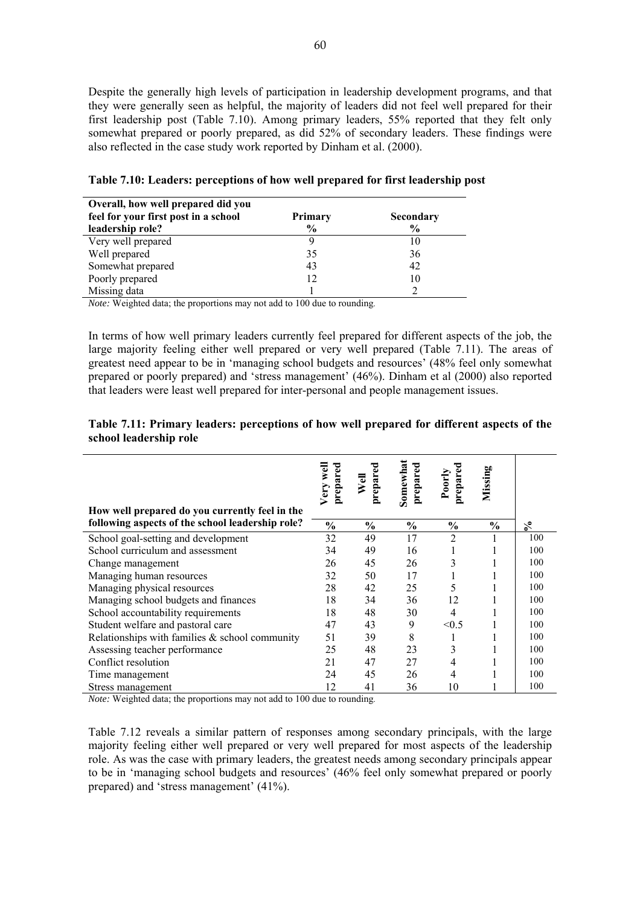Despite the generally high levels of participation in leadership development programs, and that they were generally seen as helpful, the majority of leaders did not feel well prepared for their first leadership post (Table 7.10). Among primary leaders, 55% reported that they felt only somewhat prepared or poorly prepared, as did 52% of secondary leaders. These findings were also reflected in the case study work reported by Dinham et al. (2000).

| Overall, how well prepared did you<br>feel for your first post in a school<br><b>Primary</b><br>Secondary |               |      |  |  |  |  |  |
|-----------------------------------------------------------------------------------------------------------|---------------|------|--|--|--|--|--|
| leadership role?                                                                                          | $\frac{0}{0}$ | $\%$ |  |  |  |  |  |
| Very well prepared                                                                                        | g             | 10   |  |  |  |  |  |
| Well prepared                                                                                             | 35            | 36   |  |  |  |  |  |
| Somewhat prepared                                                                                         | 43            | 42   |  |  |  |  |  |
| Poorly prepared                                                                                           | 12            | 10   |  |  |  |  |  |
| Missing data                                                                                              |               |      |  |  |  |  |  |

**Table 7.10: Leaders: perceptions of how well prepared for first leadership post** 

*Note:* Weighted data; the proportions may not add to 100 due to rounding.

In terms of how well primary leaders currently feel prepared for different aspects of the job, the large majority feeling either well prepared or very well prepared (Table 7.11). The areas of greatest need appear to be in 'managing school budgets and resources' (48% feel only somewhat prepared or poorly prepared) and 'stress management' (46%). Dinham et al (2000) also reported that leaders were least well prepared for inter-personal and people management issues.

# **Table 7.11: Primary leaders: perceptions of how well prepared for different aspects of the school leadership role**

| How well prepared do you currently feel in the    | prepared<br>Very wel | prepared<br>Well | Somewhat<br>prepared | repared<br>Poorly | Missing       |     |
|---------------------------------------------------|----------------------|------------------|----------------------|-------------------|---------------|-----|
| following aspects of the school leadership role?  | $\frac{0}{0}$        | $\frac{6}{9}$    | $\frac{6}{6}$        | $\frac{0}{0}$     | $\frac{0}{0}$ | వి  |
| School goal-setting and development               | 32                   | 49               | 17                   | $\overline{2}$    |               | 100 |
| School curriculum and assessment                  | 34                   | 49               | 16                   |                   |               | 100 |
| Change management                                 | 26                   | 45               | 26                   | 3                 |               | 100 |
| Managing human resources                          | 32                   | 50               | 17                   |                   |               | 100 |
| Managing physical resources                       | 28                   | 42               | 25                   | 5                 |               | 100 |
| Managing school budgets and finances              | 18                   | 34               | 36                   | 12                |               | 100 |
| School accountability requirements                | 18                   | 48               | 30                   | 4                 |               | 100 |
| Student welfare and pastoral care                 | 47                   | 43               | 9                    | < 0.5             |               | 100 |
| Relationships with families $\&$ school community | 51                   | 39               | 8                    |                   |               | 100 |
| Assessing teacher performance                     | 25                   | 48               | 23                   | 3                 |               | 100 |
| Conflict resolution                               | 21                   | 47               | 27                   | 4                 |               | 100 |
| Time management                                   | 24                   | 45               | 26                   | 4                 |               | 100 |
| Stress management                                 | 12                   | 41               | 36                   | 10                |               | 100 |

*Note:* Weighted data; the proportions may not add to 100 due to rounding.

Table 7.12 reveals a similar pattern of responses among secondary principals, with the large majority feeling either well prepared or very well prepared for most aspects of the leadership role. As was the case with primary leaders, the greatest needs among secondary principals appear to be in 'managing school budgets and resources' (46% feel only somewhat prepared or poorly prepared) and 'stress management' (41%).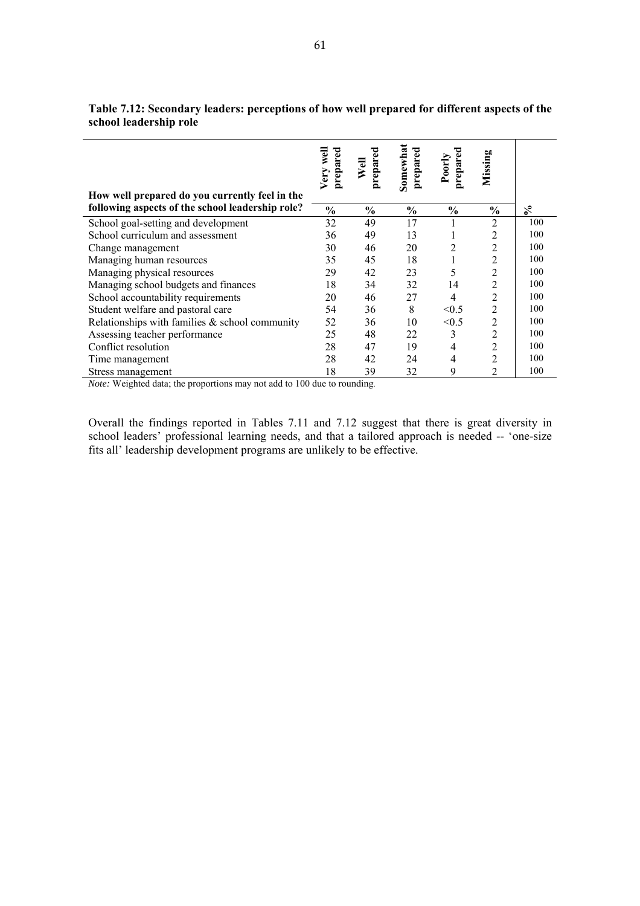|                                                                                                    | Very well<br>prepared | prepared<br>Well | Somewhat<br>prepared | prepared<br>Poorly | Missing        |     |
|----------------------------------------------------------------------------------------------------|-----------------------|------------------|----------------------|--------------------|----------------|-----|
| How well prepared do you currently feel in the<br>following aspects of the school leadership role? | $\frac{6}{6}$         | $\frac{6}{6}$    | $\frac{0}{0}$        | $\frac{6}{6}$      | $\frac{0}{0}$  | న   |
| School goal-setting and development                                                                | 32                    | 49               | 17                   |                    | 2              | 100 |
| School curriculum and assessment                                                                   | 36                    | 49               | 13                   |                    | 2              | 100 |
| Change management                                                                                  | 30                    | 46               | 20                   | $\overline{c}$     | $\overline{2}$ | 100 |
| Managing human resources                                                                           | 35                    | 45               | 18                   | 1                  | $\overline{2}$ | 100 |
| Managing physical resources                                                                        | 29                    | 42               | 23                   | 5                  | 2              | 100 |
| Managing school budgets and finances                                                               | 18                    | 34               | 32                   | 14                 | 2              | 100 |
| School accountability requirements                                                                 | 20                    | 46               | 27                   | 4                  | $\overline{2}$ | 100 |
| Student welfare and pastoral care                                                                  | 54                    | 36               | 8                    | < 0.5              | $\overline{2}$ | 100 |
| Relationships with families $\&$ school community                                                  | 52                    | 36               | 10                   | < 0.5              | $\overline{2}$ | 100 |
| Assessing teacher performance                                                                      | 25                    | 48               | 22                   | 3                  | $\overline{2}$ | 100 |
| Conflict resolution                                                                                | 28                    | 47               | 19                   | 4                  | $\overline{2}$ | 100 |
| Time management                                                                                    | 28                    | 42               | 24                   | 4                  | $\overline{c}$ | 100 |
| Stress management                                                                                  | 18                    | 39               | 32                   | 9                  | $\overline{c}$ | 100 |

**Table 7.12: Secondary leaders: perceptions of how well prepared for different aspects of the school leadership role** 

*Note:* Weighted data; the proportions may not add to 100 due to rounding.

Overall the findings reported in Tables 7.11 and 7.12 suggest that there is great diversity in school leaders' professional learning needs, and that a tailored approach is needed -- 'one-size fits all' leadership development programs are unlikely to be effective.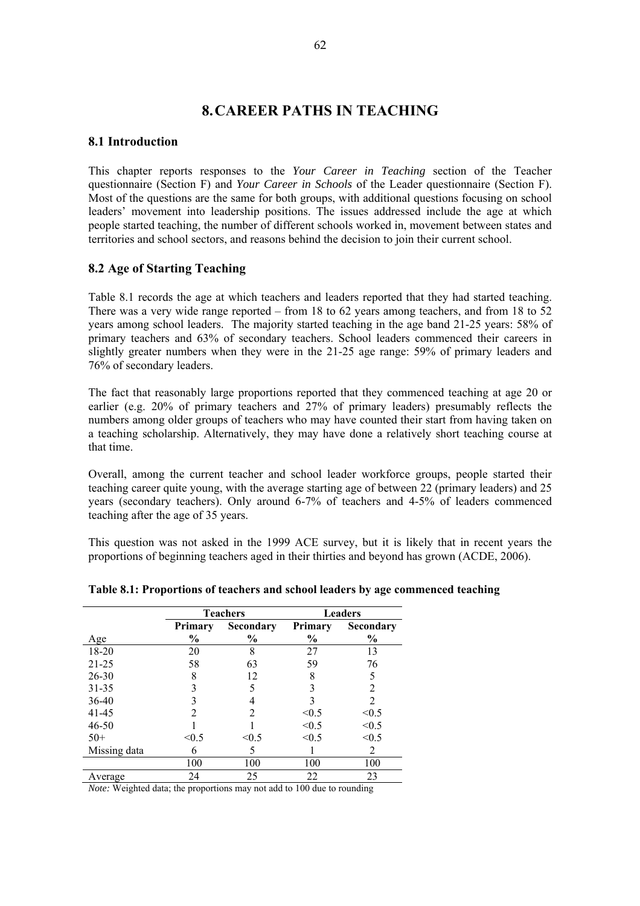# **8.CAREER PATHS IN TEACHING**

# **8.1 Introduction**

This chapter reports responses to the *Your Career in Teaching* section of the Teacher questionnaire (Section F) and *Your Career in Schools* of the Leader questionnaire (Section F). Most of the questions are the same for both groups, with additional questions focusing on school leaders' movement into leadership positions. The issues addressed include the age at which people started teaching, the number of different schools worked in, movement between states and territories and school sectors, and reasons behind the decision to join their current school.

# **8.2 Age of Starting Teaching**

Table 8.1 records the age at which teachers and leaders reported that they had started teaching. There was a very wide range reported – from 18 to 62 years among teachers, and from 18 to 52 years among school leaders. The majority started teaching in the age band 21-25 years: 58% of primary teachers and 63% of secondary teachers. School leaders commenced their careers in slightly greater numbers when they were in the 21-25 age range: 59% of primary leaders and 76% of secondary leaders.

The fact that reasonably large proportions reported that they commenced teaching at age 20 or earlier (e.g. 20% of primary teachers and 27% of primary leaders) presumably reflects the numbers among older groups of teachers who may have counted their start from having taken on a teaching scholarship. Alternatively, they may have done a relatively short teaching course at that time.

Overall, among the current teacher and school leader workforce groups, people started their teaching career quite young, with the average starting age of between 22 (primary leaders) and 25 years (secondary teachers). Only around 6-7% of teachers and 4-5% of leaders commenced teaching after the age of 35 years.

This question was not asked in the 1999 ACE survey, but it is likely that in recent years the proportions of beginning teachers aged in their thirties and beyond has grown (ACDE, 2006).

|              | <b>Teachers</b> |               |               | <b>Leaders</b> |
|--------------|-----------------|---------------|---------------|----------------|
|              | Primary         | Secondary     | Primary       | Secondary      |
| Age          | $\frac{6}{9}$   | $\frac{0}{0}$ | $\frac{6}{9}$ | $\frac{6}{9}$  |
| 18-20        | 20              | 8             | 27            | 13             |
| $21 - 25$    | 58              | 63            | 59            | 76             |
| 26-30        | 8               | 12            | 8             |                |
| $31 - 35$    |                 |               |               | 2              |
| 36-40        |                 |               |               | 2              |
| 41-45        | 2               | 2             | < 0.5         | < 0.5          |
| $46 - 50$    |                 |               | < 0.5         | < 0.5          |
| $50+$        | < 0.5           | < 0.5         | < 0.5         | < 0.5          |
| Missing data | 6               | 5             |               | 2              |
|              | 100             | 100           | 100           | 100            |
| Average      | 24              | 25            | 22            | 23             |

**Table 8.1: Proportions of teachers and school leaders by age commenced teaching** 

*Note:* Weighted data; the proportions may not add to 100 due to rounding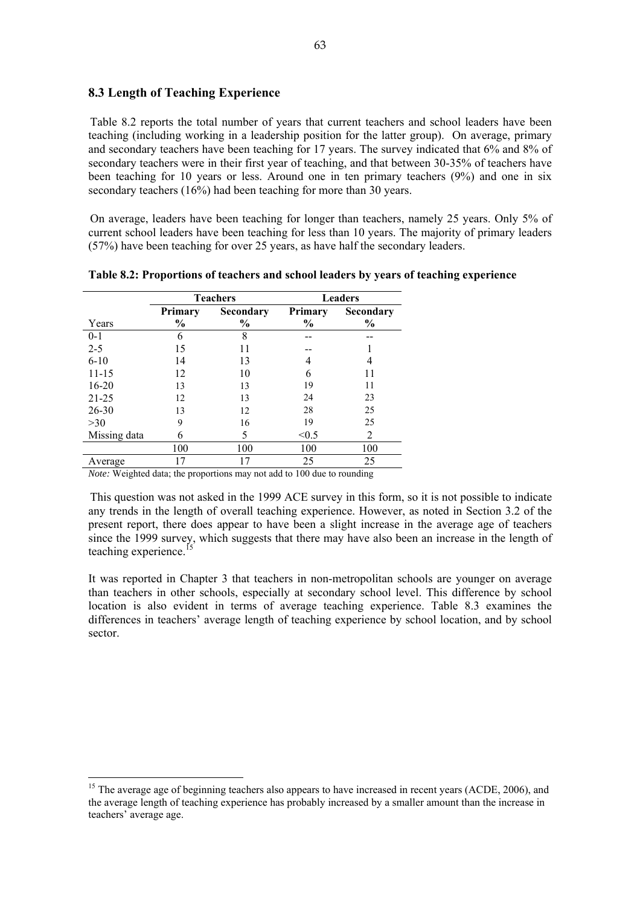# **8.3 Length of Teaching Experience**

Table 8.2 reports the total number of years that current teachers and school leaders have been teaching (including working in a leadership position for the latter group). On average, primary and secondary teachers have been teaching for 17 years. The survey indicated that 6% and 8% of secondary teachers were in their first year of teaching, and that between 30-35% of teachers have been teaching for 10 years or less. Around one in ten primary teachers (9%) and one in six secondary teachers (16%) had been teaching for more than 30 years.

On average, leaders have been teaching for longer than teachers, namely 25 years. Only 5% of current school leaders have been teaching for less than 10 years. The majority of primary leaders (57%) have been teaching for over 25 years, as have half the secondary leaders.

|              | <b>Teachers</b> |               |               | <b>Leaders</b> |
|--------------|-----------------|---------------|---------------|----------------|
|              | Primary         | Secondary     | Primary       | Secondary      |
| Years        | $\frac{6}{9}$   | $\frac{0}{0}$ | $\frac{6}{9}$ | $\%$           |
| $0-1$        | 6               | 8             |               |                |
| $2 - 5$      | 15              |               |               |                |
| $6 - 10$     | 14              | 13            |               |                |
| $11 - 15$    | 12              | 10            | 6             |                |
| $16 - 20$    | 13              | 13            | 19            | 11             |
| $21 - 25$    | 12              | 13            | 24            | 23             |
| 26-30        | 13              | 12            | 28            | 25             |
| $>30$        | 9               | 16            | 19            | 25             |
| Missing data | 6               | 5             | < 0.5         | 2              |
|              | 100             | 100           | 100           | 100            |
| Average      | 17              | 17            | 25            | 25             |

**Table 8.2: Proportions of teachers and school leaders by years of teaching experience** 

*Note:* Weighted data; the proportions may not add to 100 due to rounding

 $\overline{a}$ 

This question was not asked in the 1999 ACE survey in this form, so it is not possible to indicate any trends in the length of overall teaching experience. However, as noted in Section 3.2 of the present report, there does appear to have been a slight increase in the average age of teachers since the 1999 survey, which suggests that there may have also been an increase in the length of teaching experience. $<sup>1</sup>$ </sup>

It was reported in Chapter 3 that teachers in non-metropolitan schools are younger on average than teachers in other schools, especially at secondary school level. This difference by school location is also evident in terms of average teaching experience. Table 8.3 examines the differences in teachers' average length of teaching experience by school location, and by school sector.

<sup>&</sup>lt;sup>15</sup> The average age of beginning teachers also appears to have increased in recent years (ACDE, 2006), and the average length of teaching experience has probably increased by a smaller amount than the increase in teachers' average age.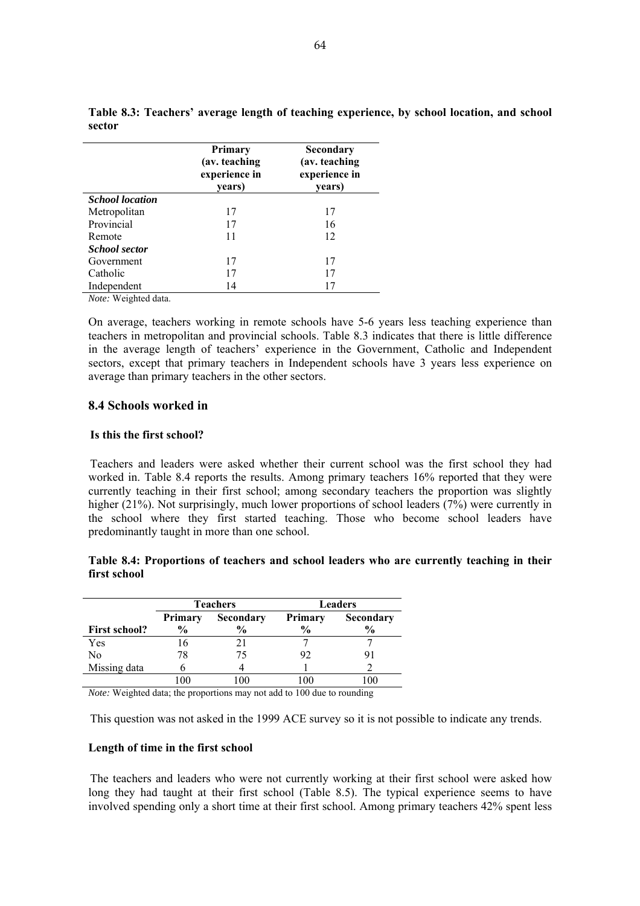|                        | <b>Primary</b><br>(av. teaching<br>experience in<br>years) | Secondary<br>(av. teaching)<br>experience in<br>years) |
|------------------------|------------------------------------------------------------|--------------------------------------------------------|
| <b>School</b> location |                                                            |                                                        |
| Metropolitan           | 17                                                         | 17                                                     |
| Provincial             | 17                                                         | 16                                                     |
| Remote                 | 11                                                         | 12                                                     |
| <b>School sector</b>   |                                                            |                                                        |
| Government             | 17                                                         | 17                                                     |
| Catholic               | 17                                                         | 17                                                     |
| Independent            | 14                                                         | 17                                                     |
| Note: Weighted data.   |                                                            |                                                        |

**Table 8.3: Teachers' average length of teaching experience, by school location, and school sector** 

On average, teachers working in remote schools have 5-6 years less teaching experience than teachers in metropolitan and provincial schools. Table 8.3 indicates that there is little difference in the average length of teachers' experience in the Government, Catholic and Independent sectors, except that primary teachers in Independent schools have 3 years less experience on average than primary teachers in the other sectors.

# **8.4 Schools worked in**

#### **Is this the first school?**

Teachers and leaders were asked whether their current school was the first school they had worked in. Table 8.4 reports the results. Among primary teachers 16% reported that they were currently teaching in their first school; among secondary teachers the proportion was slightly higher (21%). Not surprisingly, much lower proportions of school leaders (7%) were currently in the school where they first started teaching. Those who become school leaders have predominantly taught in more than one school.

# **Table 8.4: Proportions of teachers and school leaders who are currently teaching in their first school**

|                      | <b>Teachers</b><br>Primary<br>Secondary<br>$\frac{6}{9}$<br>$\frac{0}{0}$ |    | <b>Leaders</b>                  |                            |  |
|----------------------|---------------------------------------------------------------------------|----|---------------------------------|----------------------------|--|
| <b>First school?</b> |                                                                           |    | <b>Primary</b><br>$\frac{6}{9}$ | Secondary<br>$\frac{0}{0}$ |  |
| Yes                  | 16                                                                        | 21 |                                 |                            |  |
| No                   | 78                                                                        | 75 | 92                              |                            |  |
| Missing data         |                                                                           |    |                                 |                            |  |
|                      |                                                                           |    |                                 |                            |  |

*Note:* Weighted data; the proportions may not add to 100 due to rounding

This question was not asked in the 1999 ACE survey so it is not possible to indicate any trends.

# **Length of time in the first school**

The teachers and leaders who were not currently working at their first school were asked how long they had taught at their first school (Table 8.5). The typical experience seems to have involved spending only a short time at their first school. Among primary teachers 42% spent less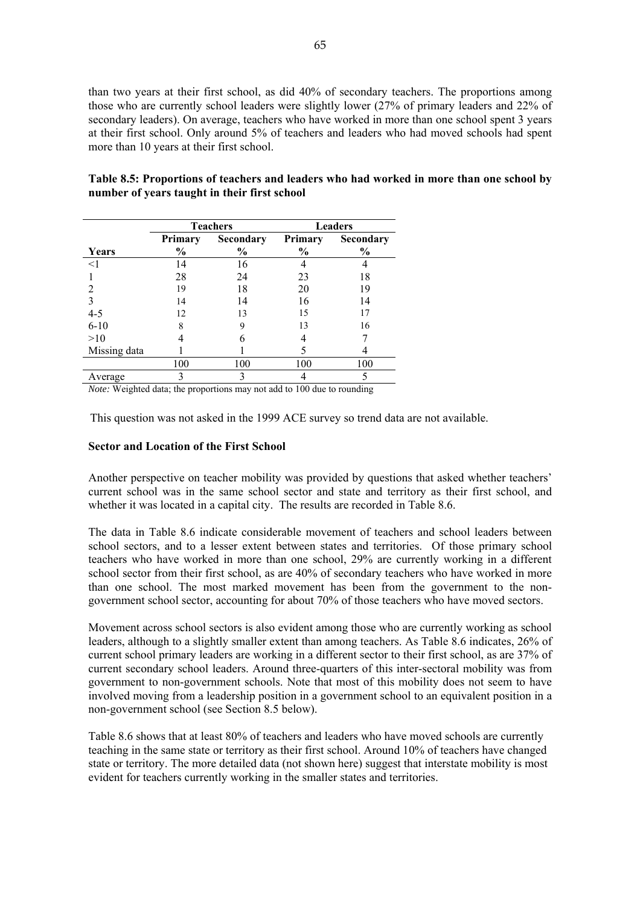than two years at their first school, as did 40% of secondary teachers. The proportions among those who are currently school leaders were slightly lower (27% of primary leaders and 22% of secondary leaders). On average, teachers who have worked in more than one school spent 3 years at their first school. Only around 5% of teachers and leaders who had moved schools had spent more than 10 years at their first school.

|              |               | <b>Teachers</b> | <b>Leaders</b> |               |  |
|--------------|---------------|-----------------|----------------|---------------|--|
|              | Primary       | Secondary       | Primary        | Secondary     |  |
| Years        | $\frac{0}{0}$ | $\frac{0}{0}$   | $\frac{6}{9}$  | $\frac{1}{2}$ |  |
| $<$ 1        | 14            | 16              |                |               |  |
|              | 28            | 24              | 23             | 18            |  |
|              | 19            | 18              | 20             | 19            |  |
|              | 14            | 14              | 16             |               |  |
| $4 - 5$      | 12            | 13              | 15             |               |  |
| $6 - 10$     | 8             | 9               | 13             | 16            |  |
| >10          |               | h               |                |               |  |
| Missing data |               |                 |                |               |  |
|              | 100           | 100             | 100            | 100           |  |
| Average      | 3             |                 |                |               |  |

**Table 8.5: Proportions of teachers and leaders who had worked in more than one school by number of years taught in their first school** 

*Note:* Weighted data; the proportions may not add to 100 due to rounding

This question was not asked in the 1999 ACE survey so trend data are not available.

#### **Sector and Location of the First School**

Another perspective on teacher mobility was provided by questions that asked whether teachers' current school was in the same school sector and state and territory as their first school, and whether it was located in a capital city. The results are recorded in Table 8.6.

The data in Table 8.6 indicate considerable movement of teachers and school leaders between school sectors, and to a lesser extent between states and territories. Of those primary school teachers who have worked in more than one school, 29% are currently working in a different school sector from their first school, as are 40% of secondary teachers who have worked in more than one school. The most marked movement has been from the government to the nongovernment school sector, accounting for about 70% of those teachers who have moved sectors.

Movement across school sectors is also evident among those who are currently working as school leaders, although to a slightly smaller extent than among teachers. As Table 8.6 indicates, 26% of current school primary leaders are working in a different sector to their first school, as are 37% of current secondary school leaders. Around three-quarters of this inter-sectoral mobility was from government to non-government schools. Note that most of this mobility does not seem to have involved moving from a leadership position in a government school to an equivalent position in a non-government school (see Section 8.5 below).

Table 8.6 shows that at least 80% of teachers and leaders who have moved schools are currently teaching in the same state or territory as their first school. Around 10% of teachers have changed state or territory. The more detailed data (not shown here) suggest that interstate mobility is most evident for teachers currently working in the smaller states and territories.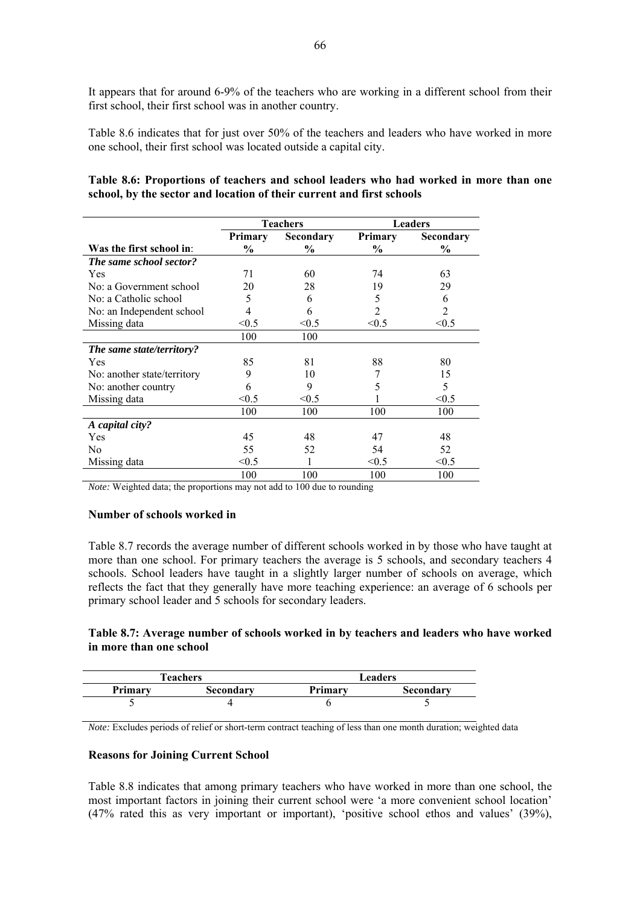It appears that for around 6-9% of the teachers who are working in a different school from their first school, their first school was in another country.

Table 8.6 indicates that for just over 50% of the teachers and leaders who have worked in more one school, their first school was located outside a capital city.

| Table 8.6: Proportions of teachers and school leaders who had worked in more than one |  |  |  |  |  |  |  |
|---------------------------------------------------------------------------------------|--|--|--|--|--|--|--|
| school, by the sector and location of their current and first schools                 |  |  |  |  |  |  |  |

|                             | <b>Teachers</b> |           |         | <b>Leaders</b> |
|-----------------------------|-----------------|-----------|---------|----------------|
|                             | Primary         | Secondary | Primary | Secondary      |
| Was the first school in:    | $\%$            | $\%$      | $\%$    | $\frac{6}{9}$  |
| The same school sector?     |                 |           |         |                |
| Yes                         | 71              | 60        | 74      | 63             |
| No: a Government school     | 20              | 28        | 19      | 29             |
| No: a Catholic school       | 5               | 6         | 5       | 6              |
| No: an Independent school   | 4               | 6         | 2       | $\overline{c}$ |
| Missing data                | < 0.5           | < 0.5     | < 0.5   | < 0.5          |
|                             | 100             | 100       |         |                |
| The same state/territory?   |                 |           |         |                |
| <b>Yes</b>                  | 85              | 81        | 88      | 80             |
| No: another state/territory | 9               | 10        |         | 15             |
| No: another country         | 6               | 9         | 5       | 5              |
| Missing data                | < 0.5           | < 0.5     |         | < 0.5          |
|                             | 100             | 100       | 100     | 100            |
| A capital city?             |                 |           |         |                |
| Yes                         | 45              | 48        | 47      | 48             |
| N <sub>0</sub>              | 55              | 52        | 54      | 52             |
| Missing data                | < 0.5           |           | < 0.5   | < 0.5          |
|                             | 100             | 100       | 100     | 100            |

*Note:* Weighted data; the proportions may not add to 100 due to rounding

#### **Number of schools worked in**

Table 8.7 records the average number of different schools worked in by those who have taught at more than one school. For primary teachers the average is 5 schools, and secondary teachers 4 schools. School leaders have taught in a slightly larger number of schools on average, which reflects the fact that they generally have more teaching experience: an average of 6 schools per primary school leader and 5 schools for secondary leaders.

#### **Table 8.7: Average number of schools worked in by teachers and leaders who have worked in more than one school**

|         | <b>Teachers</b> |         | Leaders   |
|---------|-----------------|---------|-----------|
| Primary | Secondary       | Primarv | Secondary |
|         |                 |         |           |

*Note:* Excludes periods of relief or short-term contract teaching of less than one month duration; weighted data

#### **Reasons for Joining Current School**

Table 8.8 indicates that among primary teachers who have worked in more than one school, the most important factors in joining their current school were 'a more convenient school location' (47% rated this as very important or important), 'positive school ethos and values' (39%),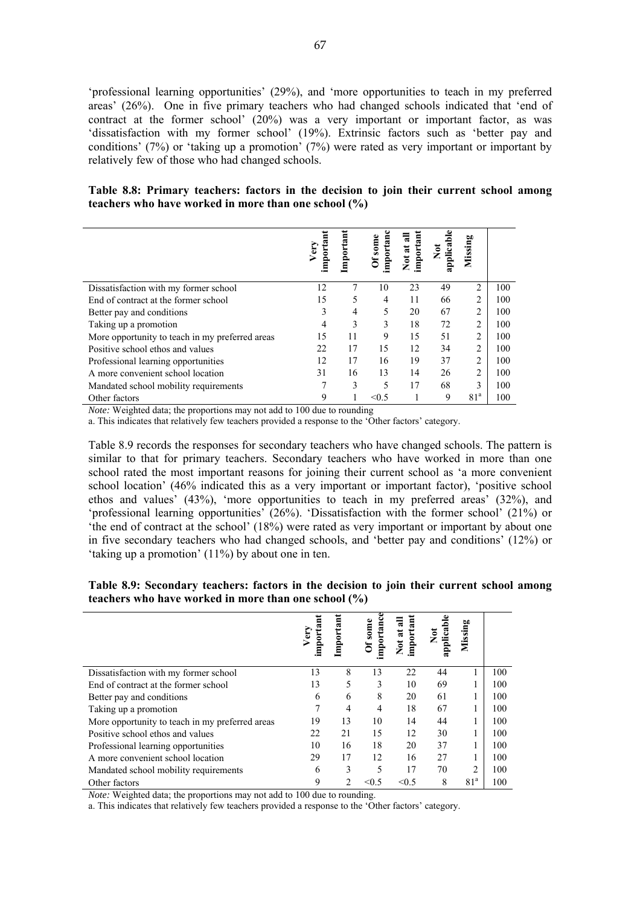'professional learning opportunities' (29%), and 'more opportunities to teach in my preferred areas' (26%). One in five primary teachers who had changed schools indicated that 'end of contract at the former school' (20%) was a very important or important factor, as was 'dissatisfaction with my former school' (19%). Extrinsic factors such as 'better pay and conditions' (7%) or 'taking up a promotion' (7%) were rated as very important or important by relatively few of those who had changed schools.

#### **Table 8.8: Primary teachers: factors in the decision to join their current school among teachers who have worked in more than one school (%)**

|                                                 |      | mportant | Of some        | ನ        |                  | Missing         |     |
|-------------------------------------------------|------|----------|----------------|----------|------------------|-----------------|-----|
|                                                 | Very |          | mportan        | mpor     | $\sum_{i=1}^{n}$ |                 |     |
|                                                 |      |          |                | Not at : | applicab         |                 |     |
|                                                 |      |          |                |          |                  |                 |     |
| Dissatisfaction with my former school           | 12   |          | 10             | 23       | 49               | $\overline{2}$  | 100 |
| End of contract at the former school            | 15   | 5        | $\overline{4}$ | 11       | 66               | $\overline{c}$  | 100 |
| Better pay and conditions                       | 3    | 4        | 5              | 20       | 67               | $\overline{2}$  | 100 |
| Taking up a promotion                           |      | 3        | 3              | 18       | 72               | 2               | 100 |
| More opportunity to teach in my preferred areas | 15   | 11       | 9              | 15       | 51               | $\overline{2}$  | 100 |
| Positive school ethos and values                | 22   | 17       | 15             | 12       | 34               | $\overline{2}$  | 100 |
| Professional learning opportunities             | 12   | 17       | 16             | 19       | 37               | $\mathfrak{D}$  | 100 |
| A more convenient school location               | 31   | 16       | 13             | 14       | 26               | $\overline{2}$  | 100 |
| Mandated school mobility requirements           |      | 3        | 5              | 17       | 68               | 3               | 100 |
| Other factors                                   | 9    |          | < 0.5          |          | 9                | 81 <sup>a</sup> | 100 |

*Note:* Weighted data; the proportions may not add to 100 due to rounding

a. This indicates that relatively few teachers provided a response to the 'Other factors' category.

Table 8.9 records the responses for secondary teachers who have changed schools. The pattern is similar to that for primary teachers. Secondary teachers who have worked in more than one school rated the most important reasons for joining their current school as 'a more convenient school location' (46% indicated this as a very important or important factor), 'positive school ethos and values' (43%), 'more opportunities to teach in my preferred areas' (32%), and 'professional learning opportunities' (26%). 'Dissatisfaction with the former school' (21%) or 'the end of contract at the school' (18%) were rated as very important or important by about one in five secondary teachers who had changed schools, and 'better pay and conditions' (12%) or 'taking up a promotion' (11%) by about one in ten.

| Table 8.9: Secondary teachers: factors in the decision to join their current school among |  |  |  |  |  |
|-------------------------------------------------------------------------------------------|--|--|--|--|--|
| teachers who have worked in more than one school (%)                                      |  |  |  |  |  |

|                                                 | mporta<br>$V$ ery |    | Of some<br>mportan | importan<br>ಷ<br>Not at | applicabl<br>š | Missing         |     |
|-------------------------------------------------|-------------------|----|--------------------|-------------------------|----------------|-----------------|-----|
| Dissatisfaction with my former school           | 13                | 8  | 13                 | 22                      | 44             |                 | 100 |
| End of contract at the former school            | 13                | 5  | 3                  | 10                      | 69             |                 | 100 |
| Better pay and conditions                       | 6                 | 6  | 8                  | 20                      | 61             |                 | 100 |
| Taking up a promotion                           | 7                 | 4  | 4                  | 18                      | 67             | 1               | 100 |
| More opportunity to teach in my preferred areas | 19                | 13 | 10                 | 14                      | 44             |                 | 100 |
| Positive school ethos and values                | 22                | 21 | 15                 | 12                      | 30             |                 | 100 |
| Professional learning opportunities             | 10                | 16 | 18                 | 20                      | 37             | 1               | 100 |
| A more convenient school location               | 29                | 17 | 12                 | 16                      | 27             |                 | 100 |
| Mandated school mobility requirements           | 6                 | 3  | 5                  | 17                      | 70             | $\mathfrak{D}$  | 100 |
| Other factors                                   | 9                 | 2  | < 0.5              | < 0.5                   | 8              | 81 <sup>a</sup> | 100 |

*Note:* Weighted data; the proportions may not add to 100 due to rounding.

a. This indicates that relatively few teachers provided a response to the 'Other factors' category.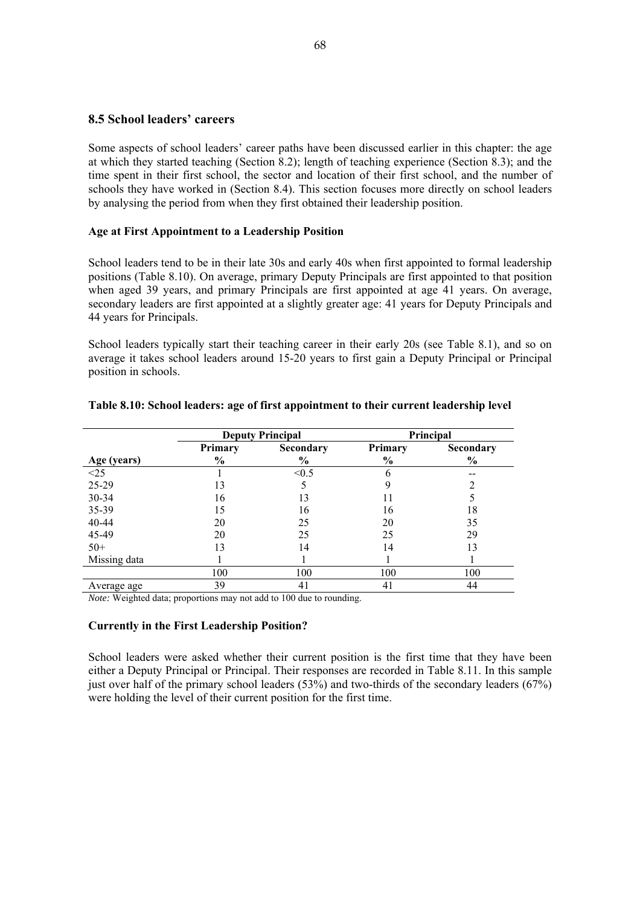# **8.5 School leaders' careers**

Some aspects of school leaders' career paths have been discussed earlier in this chapter: the age at which they started teaching (Section 8.2); length of teaching experience (Section 8.3); and the time spent in their first school, the sector and location of their first school, and the number of schools they have worked in (Section 8.4). This section focuses more directly on school leaders by analysing the period from when they first obtained their leadership position.

#### **Age at First Appointment to a Leadership Position**

School leaders tend to be in their late 30s and early 40s when first appointed to formal leadership positions (Table 8.10). On average, primary Deputy Principals are first appointed to that position when aged 39 years, and primary Principals are first appointed at age 41 years. On average, secondary leaders are first appointed at a slightly greater age: 41 years for Deputy Principals and 44 years for Principals.

School leaders typically start their teaching career in their early 20s (see Table 8.1), and so on average it takes school leaders around 15-20 years to first gain a Deputy Principal or Principal position in schools.

|                                |         | <b>Deputy Principal</b> | Principal     |               |  |  |
|--------------------------------|---------|-------------------------|---------------|---------------|--|--|
|                                | Primary | Secondary               | Primary       | Secondary     |  |  |
|                                | $\%$    | $\frac{6}{6}$           | $\frac{0}{0}$ | $\frac{0}{0}$ |  |  |
| $\frac{\text{Age (years)}}{1}$ |         | < 0.5                   |               |               |  |  |
| 25-29                          | 13      |                         |               |               |  |  |
| 30-34                          | 16      | 13                      |               |               |  |  |
| 35-39                          | 15      | 16                      | 16            | 18            |  |  |
| 40-44                          | 20      | 25                      | 20            | 35            |  |  |
| 45-49                          | 20      | 25                      | 25            | 29            |  |  |
| $50+$                          | 13      | 14                      | 14            | 13            |  |  |
| Missing data                   |         |                         |               |               |  |  |
|                                | 100     | 100                     | 100           | 100           |  |  |
| Average age                    | 39      | 41                      | 41            | 44            |  |  |

#### **Table 8.10: School leaders: age of first appointment to their current leadership level**

*Note:* Weighted data; proportions may not add to 100 due to rounding.

#### **Currently in the First Leadership Position?**

School leaders were asked whether their current position is the first time that they have been either a Deputy Principal or Principal. Their responses are recorded in Table 8.11. In this sample just over half of the primary school leaders (53%) and two-thirds of the secondary leaders (67%) were holding the level of their current position for the first time.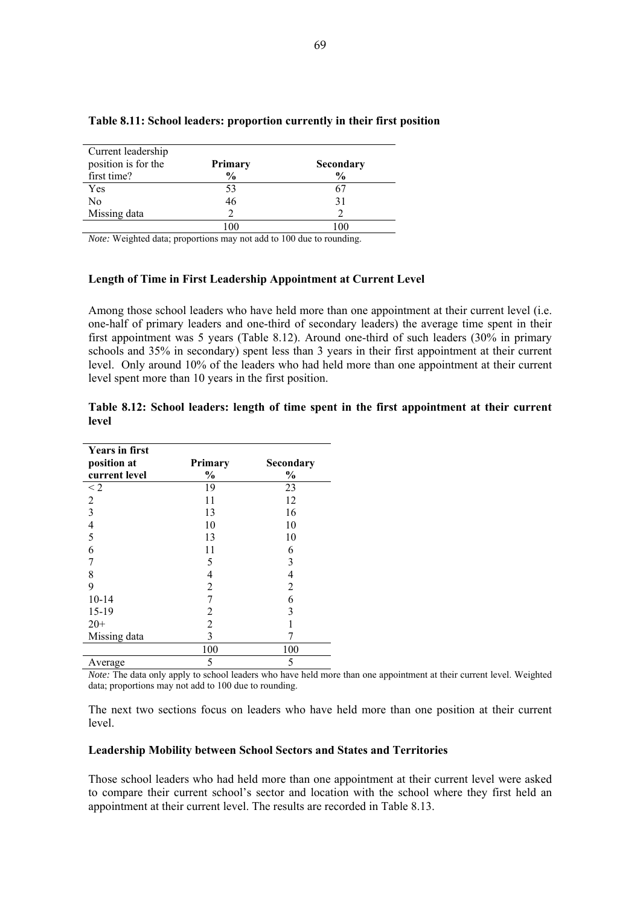| Current leadership  |               |               |
|---------------------|---------------|---------------|
| position is for the | Primary       | Secondary     |
| first time?         | $\frac{6}{9}$ | $\frac{0}{0}$ |
| Yes                 | 53            | 67            |
| No                  | 46            | 31            |
| Missing data        |               |               |
|                     |               |               |

#### **Table 8.11: School leaders: proportion currently in their first position**

*Note:* Weighted data; proportions may not add to 100 due to rounding.

#### **Length of Time in First Leadership Appointment at Current Level**

Among those school leaders who have held more than one appointment at their current level (i.e. one-half of primary leaders and one-third of secondary leaders) the average time spent in their first appointment was 5 years (Table 8.12). Around one-third of such leaders (30% in primary schools and 35% in secondary) spent less than 3 years in their first appointment at their current level. Only around 10% of the leaders who had held more than one appointment at their current level spent more than 10 years in the first position.

|       |  |  |  |  |  | Table 8.12: School leaders: length of time spent in the first appointment at their current |  |  |
|-------|--|--|--|--|--|--------------------------------------------------------------------------------------------|--|--|
| level |  |  |  |  |  |                                                                                            |  |  |

| <b>Years in first</b> |                |                          |
|-----------------------|----------------|--------------------------|
| position at           | Primary        | Secondary                |
| current level         | $\frac{1}{2}$  | $\frac{1}{2}$            |
| $\leq$ 2              | 19             | 23                       |
| $\overline{2}$        | 11             | 12                       |
| $\overline{3}$        | 13             | 16                       |
| $\frac{4}{5}$         | 10             | 10                       |
|                       | 13             | 10                       |
| 6                     | 11             | 6                        |
|                       | 5              | 3                        |
| 8                     | 4              | $\overline{\mathcal{L}}$ |
| 9                     | $\overline{2}$ | $\overline{2}$           |
| $10 - 14$             | 7              | 6                        |
| 15-19                 | 2              | 3                        |
| $20+$                 | $\overline{2}$ |                          |
| Missing data          | 3              |                          |
|                       | 100            | 100                      |
| Average               | 5              | 5                        |

*Note:* The data only apply to school leaders who have held more than one appointment at their current level. Weighted data; proportions may not add to 100 due to rounding.

The next two sections focus on leaders who have held more than one position at their current level.

#### **Leadership Mobility between School Sectors and States and Territories**

Those school leaders who had held more than one appointment at their current level were asked to compare their current school's sector and location with the school where they first held an appointment at their current level. The results are recorded in Table 8.13.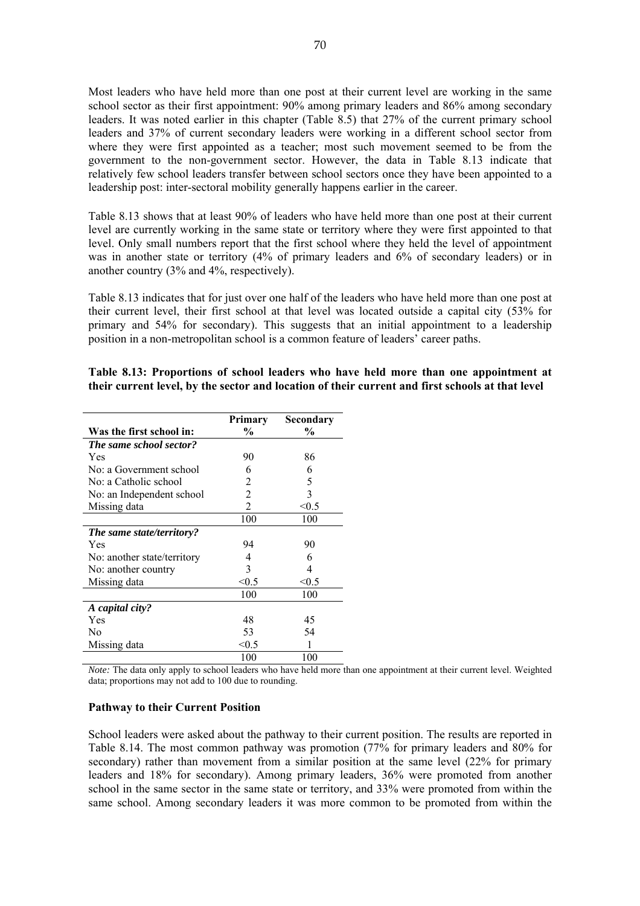Most leaders who have held more than one post at their current level are working in the same school sector as their first appointment: 90% among primary leaders and 86% among secondary leaders. It was noted earlier in this chapter (Table 8.5) that 27% of the current primary school leaders and 37% of current secondary leaders were working in a different school sector from where they were first appointed as a teacher; most such movement seemed to be from the government to the non-government sector. However, the data in Table 8.13 indicate that relatively few school leaders transfer between school sectors once they have been appointed to a leadership post: inter-sectoral mobility generally happens earlier in the career.

Table 8.13 shows that at least 90% of leaders who have held more than one post at their current level are currently working in the same state or territory where they were first appointed to that level. Only small numbers report that the first school where they held the level of appointment was in another state or territory (4% of primary leaders and 6% of secondary leaders) or in another country (3% and 4%, respectively).

Table 8.13 indicates that for just over one half of the leaders who have held more than one post at their current level, their first school at that level was located outside a capital city (53% for primary and 54% for secondary). This suggests that an initial appointment to a leadership position in a non-metropolitan school is a common feature of leaders' career paths.

|                             | <b>Primary</b> | Secondary |
|-----------------------------|----------------|-----------|
| Was the first school in:    | $\frac{6}{9}$  | $\%$      |
| The same school sector?     |                |           |
| Yes                         | 90             | 86        |
| No: a Government school     | 6              | 6         |
| No: a Catholic school       | 2              | 5         |
| No: an Independent school   | 2              | 3         |
| Missing data                | 2              | < 0.5     |
|                             | 100            | 100       |
| The same state/territory?   |                |           |
| Yes                         | 94             | 90        |
| No: another state/territory | 4              | 6         |
| No: another country         | 3              | 4         |
| Missing data                | < 0.5          | < 0.5     |
|                             | 100            | 100       |
| A capital city?             |                |           |
| Yes                         | 48             | 45        |
| No                          | 53             | 54        |
| Missing data                | < 0.5          |           |
|                             | 100            | 100       |

# **Table 8.13: Proportions of school leaders who have held more than one appointment at their current level, by the sector and location of their current and first schools at that level**

*Note:* The data only apply to school leaders who have held more than one appointment at their current level. Weighted data; proportions may not add to 100 due to rounding.

#### **Pathway to their Current Position**

School leaders were asked about the pathway to their current position. The results are reported in Table 8.14. The most common pathway was promotion (77% for primary leaders and 80% for secondary) rather than movement from a similar position at the same level (22% for primary leaders and 18% for secondary). Among primary leaders, 36% were promoted from another school in the same sector in the same state or territory, and 33% were promoted from within the same school. Among secondary leaders it was more common to be promoted from within the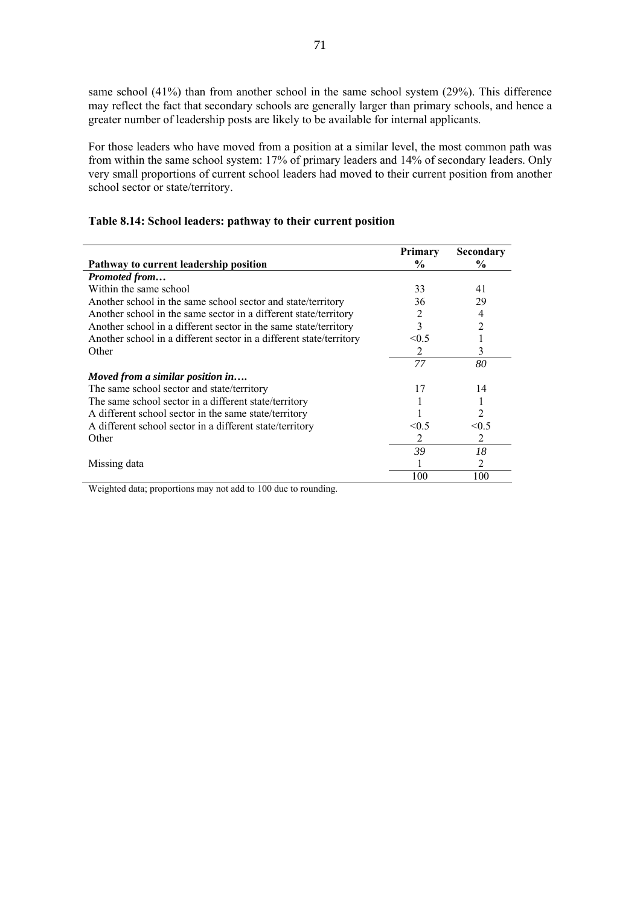same school (41%) than from another school in the same school system (29%). This difference may reflect the fact that secondary schools are generally larger than primary schools, and hence a greater number of leadership posts are likely to be available for internal applicants.

For those leaders who have moved from a position at a similar level, the most common path was from within the same school system: 17% of primary leaders and 14% of secondary leaders. Only very small proportions of current school leaders had moved to their current position from another school sector or state/territory.

|                                                                     | <b>Primary</b> | Secondary |
|---------------------------------------------------------------------|----------------|-----------|
| Pathway to current leadership position                              | $\%$           | $\%$      |
| Promoted from                                                       |                |           |
| Within the same school                                              | 33             | 41        |
| Another school in the same school sector and state/territory        | 36             | 29        |
| Another school in the same sector in a different state/territory    | 2              | 4         |
| Another school in a different sector in the same state/territory    | 3              | 2         |
| Another school in a different sector in a different state/territory | < 0.5          |           |
| Other                                                               | 2              | 3         |
|                                                                     | 77             | 80        |
| Moved from a similar position in                                    |                |           |
| The same school sector and state/territory                          | 17             | 14        |
| The same school sector in a different state/territory               |                |           |
| A different school sector in the same state/territory               |                | 2         |
| A different school sector in a different state/territory            | < 0.5          | < 0.5     |
| Other                                                               | 2              | 2         |
|                                                                     | 39             | 18        |
| Missing data                                                        |                | 2         |
|                                                                     | 100            | 100       |

# **Table 8.14: School leaders: pathway to their current position**

Weighted data; proportions may not add to 100 due to rounding.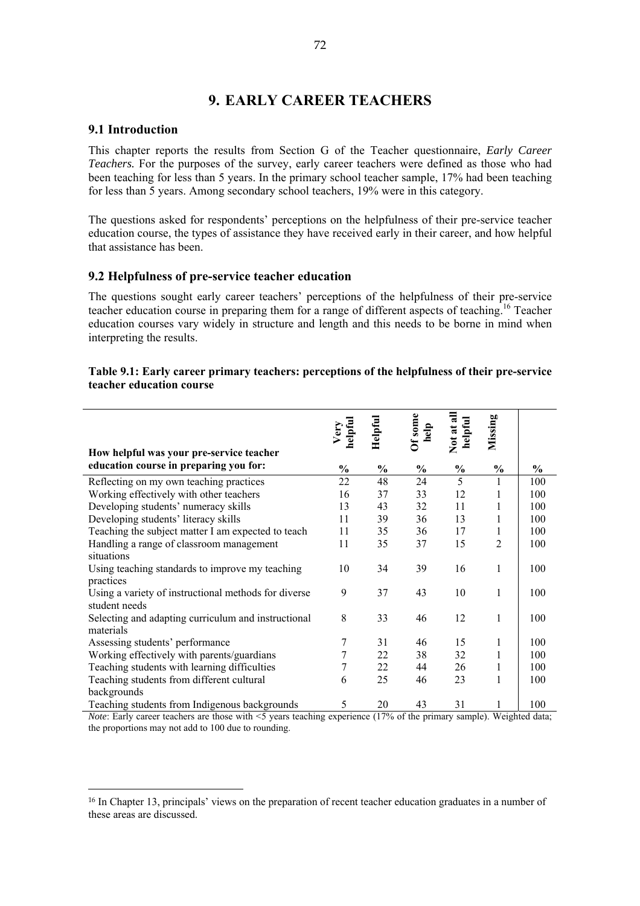# **9. EARLY CAREER TEACHERS**

# **9.1 Introduction**

 $\overline{a}$ 

This chapter reports the results from Section G of the Teacher questionnaire, *Early Career Teachers.* For the purposes of the survey, early career teachers were defined as those who had been teaching for less than 5 years. In the primary school teacher sample, 17% had been teaching for less than 5 years. Among secondary school teachers, 19% were in this category.

The questions asked for respondents' perceptions on the helpfulness of their pre-service teacher education course, the types of assistance they have received early in their career, and how helpful that assistance has been.

# **9.2 Helpfulness of pre-service teacher education**

The questions sought early career teachers' perceptions of the helpfulness of their pre-service teacher education course in preparing them for a range of different aspects of teaching.16 Teacher education courses vary widely in structure and length and this needs to be borne in mind when interpreting the results.

# **Table 9.1: Early career primary teachers: perceptions of the helpfulness of their pre-service teacher education course**

|                                                      | helpful<br>Very | Helpful       | Of some<br>help | Not at all<br>helpful | Missing       |               |
|------------------------------------------------------|-----------------|---------------|-----------------|-----------------------|---------------|---------------|
| How helpful was your pre-service teacher             |                 |               |                 |                       |               |               |
| education course in preparing you for:               | $\frac{0}{0}$   | $\frac{0}{0}$ | $\frac{0}{0}$   | $\frac{0}{0}$         | $\frac{0}{0}$ | $\frac{0}{0}$ |
| Reflecting on my own teaching practices              | 22              | 48            | 24              | 5                     | 1             | 100           |
| Working effectively with other teachers              | 16              | 37            | 33              | 12                    | 1             | 100           |
| Developing students' numeracy skills                 | 13              | 43            | 32              | 11                    | 1             | 100           |
| Developing students' literacy skills                 | 11              | 39            | 36              | 13                    | 1             | 100           |
| Teaching the subject matter I am expected to teach   | 11              | 35            | 36              | 17                    | 1             | 100           |
| Handling a range of classroom management             | 11              | 35            | 37              | 15                    | 2             | 100           |
| situations                                           |                 |               |                 |                       |               |               |
| Using teaching standards to improve my teaching      | 10              | 34            | 39              | 16                    | 1             | 100           |
| practices                                            |                 |               |                 |                       |               |               |
| Using a variety of instructional methods for diverse | 9               | 37            | 43              | 10                    | 1             | 100           |
| student needs                                        |                 |               |                 |                       |               |               |
| Selecting and adapting curriculum and instructional  | 8               | 33            | 46              | 12                    | 1             | 100           |
| materials                                            |                 |               |                 |                       |               |               |
| Assessing students' performance                      | 7               | 31            | 46              | 15                    | 1             | 100           |
| Working effectively with parents/guardians           | 7               | 22            | 38              | 32                    | 1             | 100           |
| Teaching students with learning difficulties         | 7               | 22            | 44              | 26                    | 1             | 100           |
| Teaching students from different cultural            | 6               | 25            | 46              | 23                    | 1             | 100           |
| backgrounds                                          |                 |               |                 |                       |               |               |
| Teaching students from Indigenous backgrounds        | 5               | 20            | 43              | 31                    | 1             | 100           |

*Note*: Early career teachers are those with  $\leq$  years teaching experience (17% of the primary sample). Weighted data: the proportions may not add to 100 due to rounding.

<sup>16</sup> In Chapter 13, principals' views on the preparation of recent teacher education graduates in a number of these areas are discussed.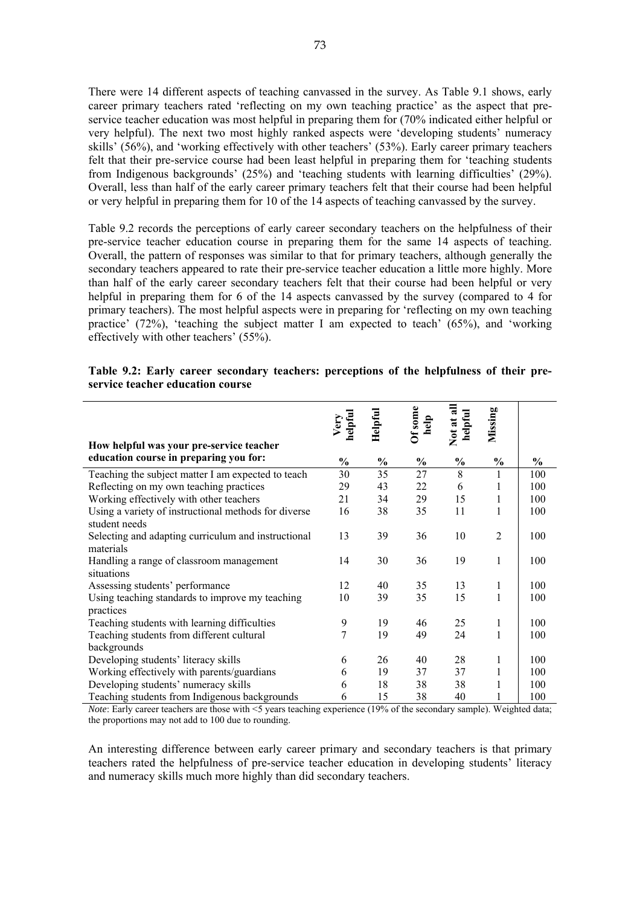There were 14 different aspects of teaching canvassed in the survey. As Table 9.1 shows, early career primary teachers rated 'reflecting on my own teaching practice' as the aspect that preservice teacher education was most helpful in preparing them for (70% indicated either helpful or very helpful). The next two most highly ranked aspects were 'developing students' numeracy skills' (56%), and 'working effectively with other teachers' (53%). Early career primary teachers felt that their pre-service course had been least helpful in preparing them for 'teaching students from Indigenous backgrounds' (25%) and 'teaching students with learning difficulties' (29%). Overall, less than half of the early career primary teachers felt that their course had been helpful or very helpful in preparing them for 10 of the 14 aspects of teaching canvassed by the survey.

Table 9.2 records the perceptions of early career secondary teachers on the helpfulness of their pre-service teacher education course in preparing them for the same 14 aspects of teaching. Overall, the pattern of responses was similar to that for primary teachers, although generally the secondary teachers appeared to rate their pre-service teacher education a little more highly. More than half of the early career secondary teachers felt that their course had been helpful or very helpful in preparing them for 6 of the 14 aspects canvassed by the survey (compared to 4 for primary teachers). The most helpful aspects were in preparing for 'reflecting on my own teaching practice' (72%), 'teaching the subject matter I am expected to teach' (65%), and 'working effectively with other teachers' (55%).

| Table 9.2: Early career secondary teachers: perceptions of the helpfulness of their pre- |  |  |  |  |
|------------------------------------------------------------------------------------------|--|--|--|--|
| service teacher education course                                                         |  |  |  |  |

|                                                                       | helpful<br>Very | Helpful | Of some<br>help | Not at all<br>helpful | Missing        |               |
|-----------------------------------------------------------------------|-----------------|---------|-----------------|-----------------------|----------------|---------------|
| How helpful was your pre-service teacher                              |                 |         |                 |                       |                |               |
| education course in preparing you for:                                | $\frac{0}{0}$   | $\%$    | $\%$            | $\frac{1}{2}$         | $\frac{0}{0}$  | $\frac{6}{9}$ |
| Teaching the subject matter I am expected to teach                    | 30              | 35      | 27              | 8                     | $\mathbf{1}$   | 100           |
| Reflecting on my own teaching practices                               | 29              | 43      | 22              | 6                     | 1              | 100           |
| Working effectively with other teachers                               | 21              | 34      | 29              | 15                    | 1              | 100           |
| Using a variety of instructional methods for diverse<br>student needs | 16              | 38      | 35              | 11                    | 1              | 100           |
| Selecting and adapting curriculum and instructional<br>materials      | 13              | 39      | 36              | 10                    | $\overline{2}$ | 100           |
| Handling a range of classroom management<br>situations                | 14              | 30      | 36              | 19                    | 1              | 100           |
| Assessing students' performance                                       | 12              | 40      | 35              | 13                    | 1              | 100           |
| Using teaching standards to improve my teaching<br>practices          | 10              | 39      | 35              | 15                    | 1              | 100           |
| Teaching students with learning difficulties                          | 9               | 19      | 46              | 25                    | $\mathbf{1}$   | 100           |
| Teaching students from different cultural                             | 7               | 19      | 49              | 24                    | $\mathbf{1}$   | 100           |
| backgrounds                                                           |                 |         |                 |                       |                |               |
| Developing students' literacy skills                                  | 6               | 26      | 40              | 28                    | 1              | 100           |
| Working effectively with parents/guardians                            | 6               | 19      | 37              | 37                    | 1              | 100           |
| Developing students' numeracy skills                                  | 6               | 18      | 38              | 38                    | 1              | 100           |
| Teaching students from Indigenous backgrounds                         | 6               | 15      | 38              | 40                    |                | 100           |

*Note*: Early career teachers are those with <5 years teaching experience (19% of the secondary sample). Weighted data; the proportions may not add to 100 due to rounding.

An interesting difference between early career primary and secondary teachers is that primary teachers rated the helpfulness of pre-service teacher education in developing students' literacy and numeracy skills much more highly than did secondary teachers.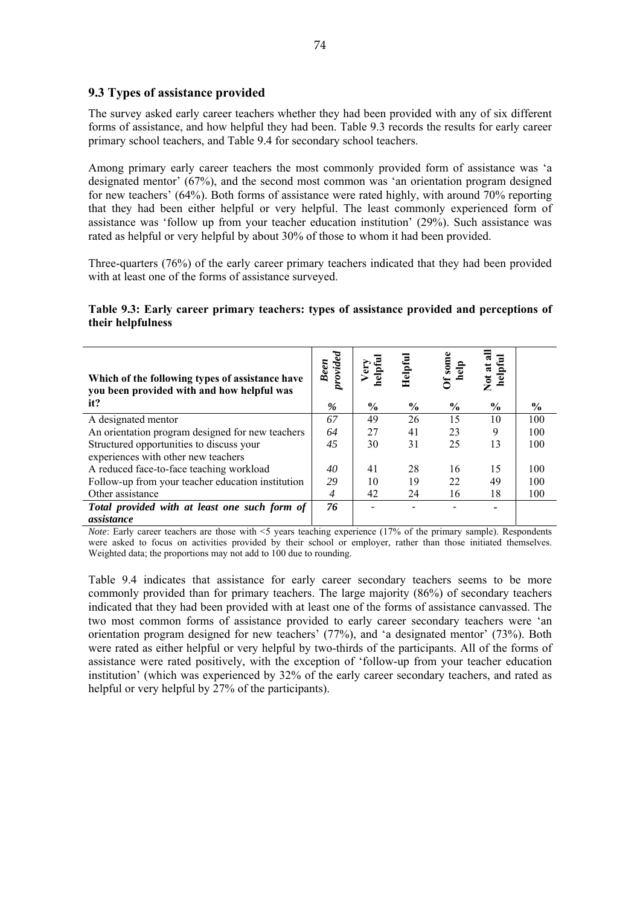# **9.3 Types of assistance provided**

The survey asked early career teachers whether they had been provided with any of six different forms of assistance, and how helpful they had been. Table 9.3 records the results for early career primary school teachers, and Table 9.4 for secondary school teachers.

Among primary early career teachers the most commonly provided form of assistance was 'a designated mentor' (67%), and the second most common was 'an orientation program designed for new teachers' (64%). Both forms of assistance were rated highly, with around 70% reporting that they had been either helpful or very helpful. The least commonly experienced form of assistance was 'follow up from your teacher education institution' (29%). Such assistance was rated as helpful or very helpful by about 30% of those to whom it had been provided.

Three-quarters (76%) of the early career primary teachers indicated that they had been provided with at least one of the forms of assistance surveyed.

# **Table 9.3: Early career primary teachers: types of assistance provided and perceptions of their helpfulness**

| Which of the following types of assistance have<br>you been provided with and how helpful was | Been<br>provided | Very<br>helpful | Helpful       | Of some<br>help | 뒴<br>Not at<br>helpfi |               |
|-----------------------------------------------------------------------------------------------|------------------|-----------------|---------------|-----------------|-----------------------|---------------|
| it?                                                                                           | %                | $\%$            | $\frac{6}{9}$ | $\frac{6}{9}$   | $\frac{0}{0}$         | $\frac{6}{9}$ |
| A designated mentor                                                                           | 67               | 49              | 26            | 15              | 10                    | 100           |
| An orientation program designed for new teachers                                              | 64               | 27              | 41            | 23              | 9                     | 100           |
| Structured opportunities to discuss your<br>experiences with other new teachers               | 45               | 30              | 31            | 25              | 13                    | 100           |
| A reduced face-to-face teaching workload                                                      | 40               | 41              | 28            | 16              | 15                    | 100           |
| Follow-up from your teacher education institution                                             | 29               | 10              | 19            | 22              | 49                    | 100           |
| Other assistance                                                                              | $\overline{4}$   | 42              | 24            | 16              | 18                    | 100           |
| Total provided with at least one such form of                                                 | 76               |                 |               |                 |                       |               |
| assistance                                                                                    |                  |                 |               |                 |                       |               |

*Note*: Early career teachers are those with <5 years teaching experience (17% of the primary sample). Respondents were asked to focus on activities provided by their school or employer, rather than those initiated themselves. Weighted data; the proportions may not add to 100 due to rounding.

Table 9.4 indicates that assistance for early career secondary teachers seems to be more commonly provided than for primary teachers. The large majority (86%) of secondary teachers indicated that they had been provided with at least one of the forms of assistance canvassed. The two most common forms of assistance provided to early career secondary teachers were 'an orientation program designed for new teachers' (77%), and 'a designated mentor' (73%). Both were rated as either helpful or very helpful by two-thirds of the participants. All of the forms of assistance were rated positively, with the exception of 'follow-up from your teacher education institution' (which was experienced by 32% of the early career secondary teachers, and rated as helpful or very helpful by 27% of the participants).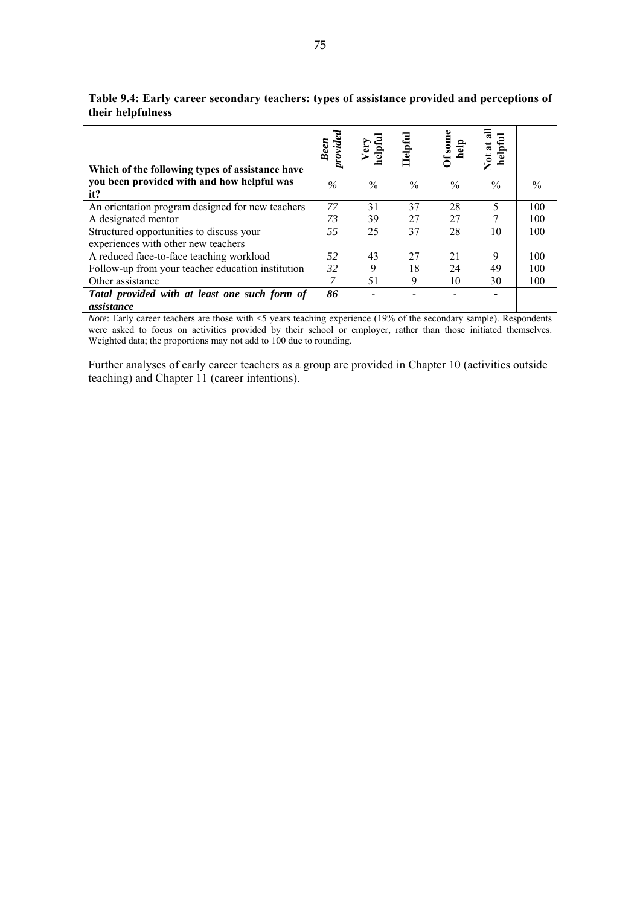|                                                                                               | provided<br><b>Been</b> |               | Helpful       | $Of$ some<br>dp | $\overline{e}$<br>$\overline{\mathbf{z}}$ |               |
|-----------------------------------------------------------------------------------------------|-------------------------|---------------|---------------|-----------------|-------------------------------------------|---------------|
| Which of the following types of assistance have<br>you been provided with and how helpful was |                         |               |               |                 |                                           |               |
| it?                                                                                           | $\%$                    | $\frac{0}{0}$ | $\frac{0}{0}$ | $\%$            | $\frac{0}{0}$                             | $\frac{0}{0}$ |
| An orientation program designed for new teachers                                              | 77                      | 31            | 37            | 28              | 5                                         | 100           |
| A designated mentor                                                                           | 73                      | 39            | 27            | 27              | 7                                         | 100           |
| Structured opportunities to discuss your<br>experiences with other new teachers               | 55                      | 25            | 37            | 28              | 10                                        | 100           |
| A reduced face-to-face teaching workload                                                      | 52                      | 43            | 27            | 21              | 9                                         | 100           |
|                                                                                               |                         |               |               |                 |                                           |               |
| Follow-up from your teacher education institution                                             | 32                      | 9             | 18            | 24              | 49                                        | 100           |
| Other assistance                                                                              |                         | 51            | 9             | 10              | 30                                        | 100           |
| Total provided with at least one such form of                                                 | 86                      |               |               |                 |                                           |               |
| assistance                                                                                    |                         |               |               |                 |                                           |               |

**Table 9.4: Early career secondary teachers: types of assistance provided and perceptions of their helpfulness** 

*Note*: Early career teachers are those with <5 years teaching experience (19% of the secondary sample). Respondents were asked to focus on activities provided by their school or employer, rather than those initiated themselves. Weighted data; the proportions may not add to 100 due to rounding.

Further analyses of early career teachers as a group are provided in Chapter 10 (activities outside teaching) and Chapter 11 (career intentions).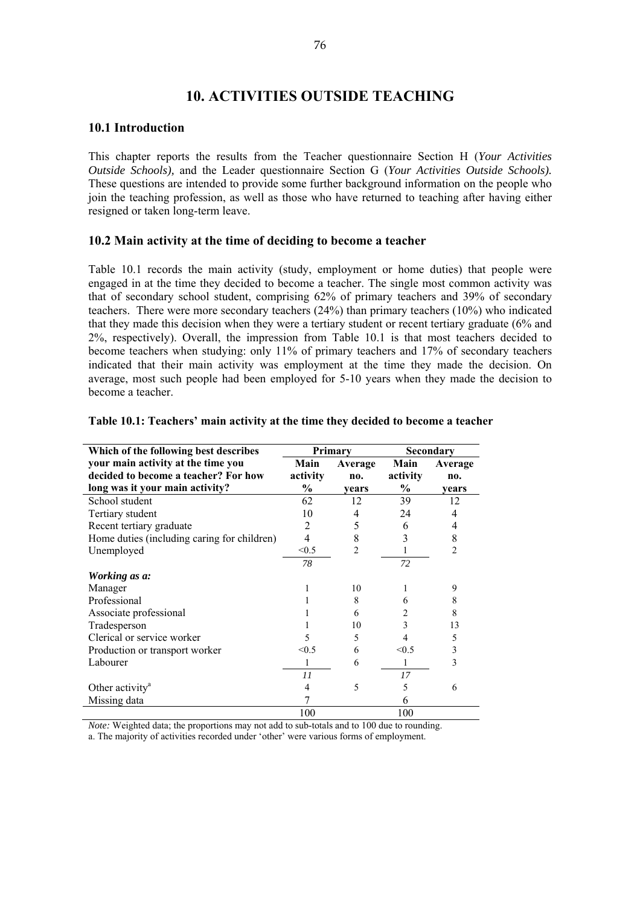# **10. ACTIVITIES OUTSIDE TEACHING**

#### **10.1 Introduction**

This chapter reports the results from the Teacher questionnaire Section H (*Your Activities Outside Schools),* and the Leader questionnaire Section G (*Your Activities Outside Schools).*  These questions are intended to provide some further background information on the people who join the teaching profession, as well as those who have returned to teaching after having either resigned or taken long-term leave.

# **10.2 Main activity at the time of deciding to become a teacher**

Table 10.1 records the main activity (study, employment or home duties) that people were engaged in at the time they decided to become a teacher. The single most common activity was that of secondary school student, comprising 62% of primary teachers and 39% of secondary teachers. There were more secondary teachers (24%) than primary teachers (10%) who indicated that they made this decision when they were a tertiary student or recent tertiary graduate (6% and 2%, respectively). Overall, the impression from Table 10.1 is that most teachers decided to become teachers when studying: only 11% of primary teachers and 17% of secondary teachers indicated that their main activity was employment at the time they made the decision. On average, most such people had been employed for 5-10 years when they made the decision to become a teacher.

| Which of the following best describes       |          | Primary        | Secondary |                |  |
|---------------------------------------------|----------|----------------|-----------|----------------|--|
| your main activity at the time you          | Main     | Average        | Main      | Average        |  |
| decided to become a teacher? For how        | activity | no.            | activity  | no.            |  |
| long was it your main activity?             | $\%$     | vears          | $\%$      | vears          |  |
| School student                              | 62       | 12             | 39        | 12             |  |
| Tertiary student                            | 10       | 4              | 24        | 4              |  |
| Recent tertiary graduate                    | 2        | 5              | 6         |                |  |
| Home duties (including caring for children) | 4        | 8              | 3         | 8              |  |
| Unemployed                                  | < 0.5    | $\overline{c}$ |           | $\mathfrak{D}$ |  |
|                                             | 78       |                | 72        |                |  |
| Working as a:                               |          |                |           |                |  |
| Manager                                     |          | 10             |           | 9              |  |
| Professional                                |          | 8              | 6         | 8              |  |
| Associate professional                      |          | 6              | 2         | 8              |  |
| Tradesperson                                |          | 10             | 3         | 13             |  |
| Clerical or service worker                  |          | 5              | 4         | 5              |  |
| Production or transport worker              | < 0.5    | 6              | < 0.5     | 3              |  |
| Labourer                                    | 1        | 6              | 1         | 3              |  |
|                                             | 11       |                | 17        |                |  |
| Other activity <sup>a</sup>                 | 4        | 5              | 5         | 6              |  |
| Missing data                                |          |                | 6         |                |  |
|                                             | 100      |                | 100       |                |  |

#### **Table 10.1: Teachers' main activity at the time they decided to become a teacher**

*Note:* Weighted data; the proportions may not add to sub-totals and to 100 due to rounding.

a. The majority of activities recorded under 'other' were various forms of employment.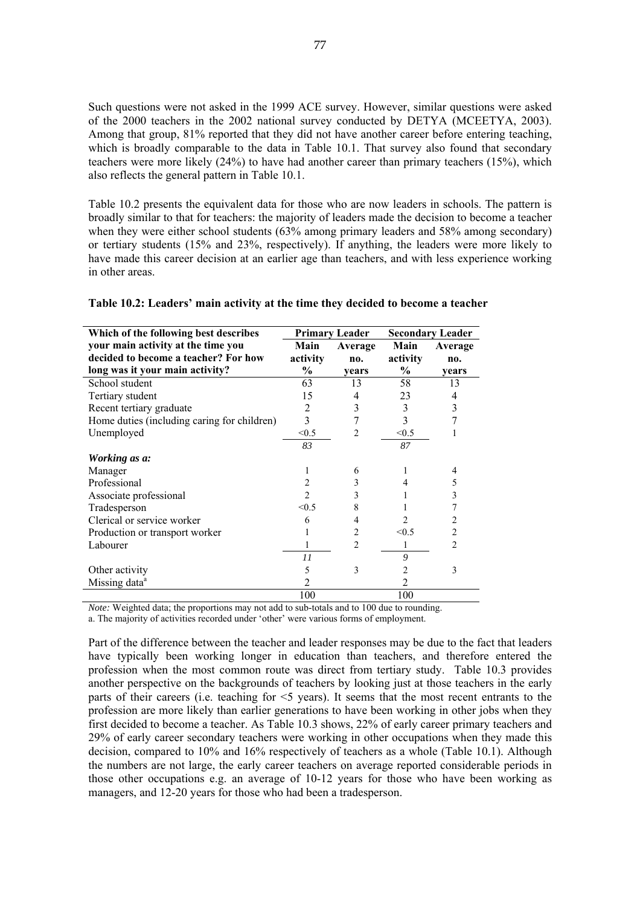Such questions were not asked in the 1999 ACE survey. However, similar questions were asked of the 2000 teachers in the 2002 national survey conducted by DETYA (MCEETYA, 2003). Among that group, 81% reported that they did not have another career before entering teaching, which is broadly comparable to the data in Table 10.1. That survey also found that secondary teachers were more likely (24%) to have had another career than primary teachers (15%), which also reflects the general pattern in Table 10.1.

Table 10.2 presents the equivalent data for those who are now leaders in schools. The pattern is broadly similar to that for teachers: the majority of leaders made the decision to become a teacher when they were either school students (63% among primary leaders and 58% among secondary) or tertiary students (15% and 23%, respectively). If anything, the leaders were more likely to have made this career decision at an earlier age than teachers, and with less experience working in other areas.

|  | Table 10.2: Leaders' main activity at the time they decided to become a teacher |
|--|---------------------------------------------------------------------------------|
|  |                                                                                 |

| Which of the following best describes       |                | <b>Primary Leader</b> | <b>Secondary Leader</b> |                |  |
|---------------------------------------------|----------------|-----------------------|-------------------------|----------------|--|
| your main activity at the time you          | Main           | Average               | Main                    | Average        |  |
| decided to become a teacher? For how        | activity       | no.                   | activity                | no.            |  |
| long was it your main activity?             | $\frac{1}{2}$  | vears                 | $\%$                    | vears          |  |
| School student                              | 63             | 13                    | 58                      | 13             |  |
| Tertiary student                            | 15             | 4                     | 23                      | 4              |  |
| Recent tertiary graduate                    | 2              | 3                     | 3                       | 3              |  |
| Home duties (including caring for children) | 3              | 7                     | 3                       |                |  |
| Unemployed                                  | < 0.5          | $\overline{2}$        | < 0.5                   |                |  |
|                                             | 83             |                       | 87                      |                |  |
| Working as a:                               |                |                       |                         |                |  |
| Manager                                     |                | 6                     |                         | 4              |  |
| Professional                                | $\overline{c}$ | 3                     |                         | 5              |  |
| Associate professional                      | $\mathfrak{D}$ | 3                     |                         | 3              |  |
| Tradesperson                                | < 0.5          | 8                     |                         |                |  |
| Clerical or service worker                  | 6              | 4                     |                         | 2              |  |
| Production or transport worker              |                | 2                     | < 0.5                   | $\overline{c}$ |  |
| Labourer                                    |                | $\mathfrak{D}$        |                         | $\mathfrak{D}$ |  |
|                                             | 11             |                       | 9                       |                |  |
| Other activity                              | 5              | 3                     | 2                       | 3              |  |
| Missing data <sup>a</sup>                   | 2              |                       | 2                       |                |  |
|                                             | 100            |                       | 100                     |                |  |

*Note:* Weighted data; the proportions may not add to sub-totals and to 100 due to rounding.

a. The majority of activities recorded under 'other' were various forms of employment.

Part of the difference between the teacher and leader responses may be due to the fact that leaders have typically been working longer in education than teachers, and therefore entered the profession when the most common route was direct from tertiary study. Table 10.3 provides another perspective on the backgrounds of teachers by looking just at those teachers in the early parts of their careers (i.e. teaching for <5 years). It seems that the most recent entrants to the profession are more likely than earlier generations to have been working in other jobs when they first decided to become a teacher. As Table 10.3 shows, 22% of early career primary teachers and 29% of early career secondary teachers were working in other occupations when they made this decision, compared to 10% and 16% respectively of teachers as a whole (Table 10.1). Although the numbers are not large, the early career teachers on average reported considerable periods in those other occupations e.g. an average of 10-12 years for those who have been working as managers, and 12-20 years for those who had been a tradesperson.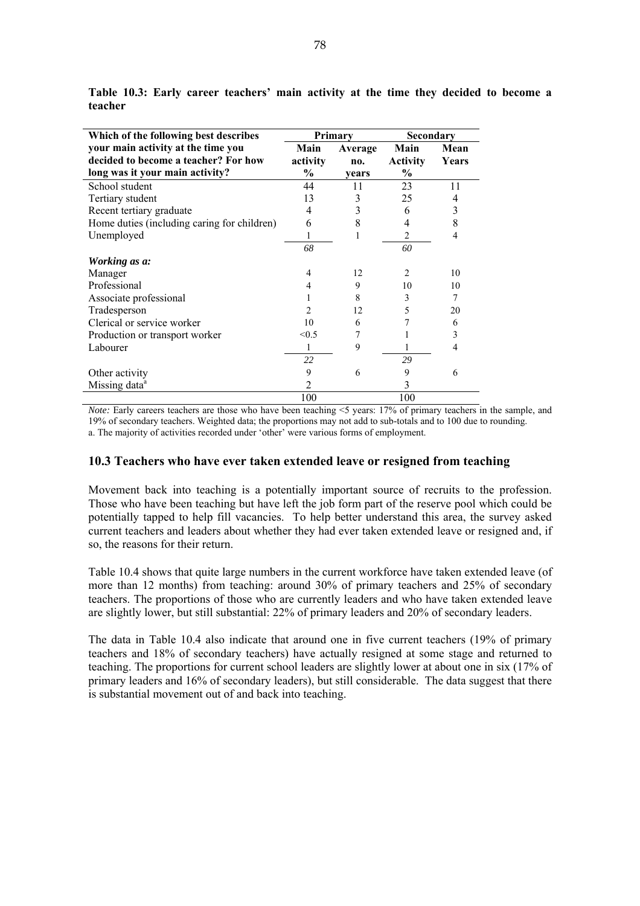| Which of the following best describes       |          | <b>Primary</b> | Secondary       |       |  |
|---------------------------------------------|----------|----------------|-----------------|-------|--|
| your main activity at the time you          | Main     | Average        | Main            | Mean  |  |
| decided to become a teacher? For how        | activity | no.            | <b>Activity</b> | Years |  |
| long was it your main activity?             | $\%$     | vears          | $\frac{6}{9}$   |       |  |
| School student                              | 44       | 11             | 23              | 11    |  |
| Tertiary student                            | 13       | 3              | 25              |       |  |
| Recent tertiary graduate                    | 4        | 3              | 6               | 3     |  |
| Home duties (including caring for children) | 6        | 8              | 4               | 8     |  |
| Unemployed                                  | 1        |                | 2               | 4     |  |
|                                             | 68       |                | 60              |       |  |
| Working as a:                               |          |                |                 |       |  |
| Manager                                     | 4        | 12             | $\mathfrak{D}$  | 10    |  |
| Professional                                | 4        | 9              | 10              | 10    |  |
| Associate professional                      |          | 8              | 3               | 7     |  |
| Tradesperson                                | 2        | 12.            | 5               | 20    |  |
| Clerical or service worker                  | 10       | 6              |                 | 6     |  |
| Production or transport worker              | < 0.5    | 7              |                 | 3     |  |
| Labourer                                    | 1        | 9              |                 | 4     |  |
|                                             | 22       |                | 29              |       |  |
| Other activity                              | 9        | 6              | 9               | 6     |  |
| Missing data <sup>a</sup>                   | 2        |                | 3               |       |  |
|                                             | 100      |                | 100             |       |  |

**Table 10.3: Early career teachers' main activity at the time they decided to become a teacher** 

*Note:* Early careers teachers are those who have been teaching <5 years: 17% of primary teachers in the sample, and 19% of secondary teachers. Weighted data; the proportions may not add to sub-totals and to 100 due to rounding. a. The majority of activities recorded under 'other' were various forms of employment.

# **10.3 Teachers who have ever taken extended leave or resigned from teaching**

Movement back into teaching is a potentially important source of recruits to the profession. Those who have been teaching but have left the job form part of the reserve pool which could be potentially tapped to help fill vacancies. To help better understand this area, the survey asked current teachers and leaders about whether they had ever taken extended leave or resigned and, if so, the reasons for their return.

Table 10.4 shows that quite large numbers in the current workforce have taken extended leave (of more than 12 months) from teaching: around 30% of primary teachers and 25% of secondary teachers. The proportions of those who are currently leaders and who have taken extended leave are slightly lower, but still substantial: 22% of primary leaders and 20% of secondary leaders.

The data in Table 10.4 also indicate that around one in five current teachers (19% of primary teachers and 18% of secondary teachers) have actually resigned at some stage and returned to teaching. The proportions for current school leaders are slightly lower at about one in six (17% of primary leaders and 16% of secondary leaders), but still considerable. The data suggest that there is substantial movement out of and back into teaching.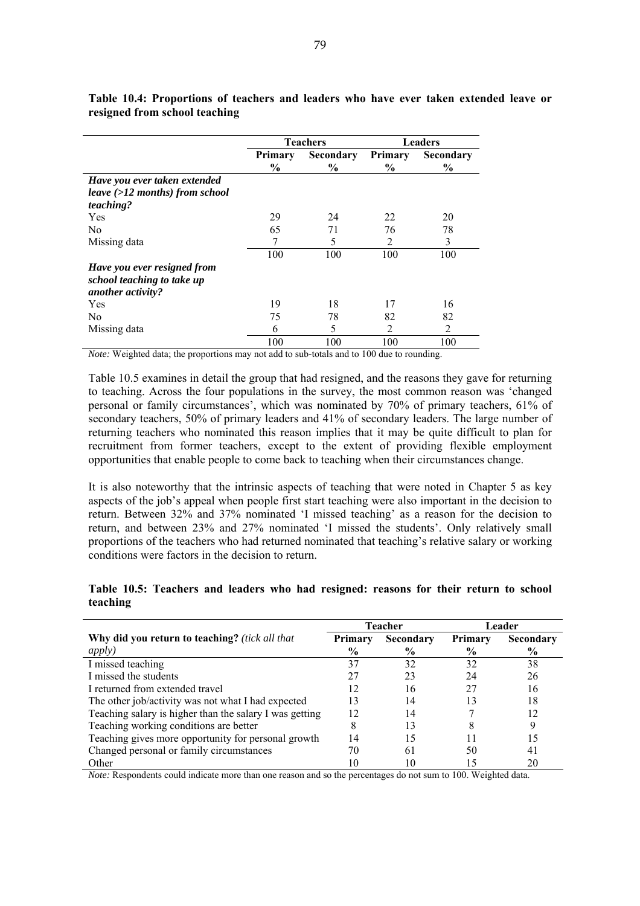|                                                                                |                                 | <b>Teachers</b>                   |                          | <b>Leaders</b>                    |
|--------------------------------------------------------------------------------|---------------------------------|-----------------------------------|--------------------------|-----------------------------------|
|                                                                                | <b>Primary</b><br>$\frac{6}{9}$ | <b>Secondary</b><br>$\frac{6}{9}$ | Primary<br>$\frac{6}{9}$ | <b>Secondary</b><br>$\frac{6}{9}$ |
| Have you ever taken extended                                                   |                                 |                                   |                          |                                   |
| leave $(>12$ months) from school<br>teaching?                                  |                                 |                                   |                          |                                   |
| Yes                                                                            | 29                              | 24                                | 22                       | 20                                |
| N <sub>0</sub>                                                                 | 65                              | 71                                | 76                       | 78                                |
| Missing data                                                                   |                                 | 5                                 | $\overline{2}$           | 3                                 |
|                                                                                | 100                             | 100                               | 100                      | 100                               |
| Have you ever resigned from<br>school teaching to take up<br>another activity? |                                 |                                   |                          |                                   |
| Yes                                                                            | 19                              | 18                                | 17                       | 16                                |
| N <sub>0</sub>                                                                 | 75                              | 78                                | 82                       | 82                                |
| Missing data                                                                   | 6                               | 5                                 | 2                        | $\overline{2}$                    |
|                                                                                | 100                             | 100                               | 100                      | 100                               |

**Table 10.4: Proportions of teachers and leaders who have ever taken extended leave or resigned from school teaching** 

*Note:* Weighted data; the proportions may not add to sub-totals and to 100 due to rounding.

Table 10.5 examines in detail the group that had resigned, and the reasons they gave for returning to teaching. Across the four populations in the survey, the most common reason was 'changed personal or family circumstances', which was nominated by 70% of primary teachers, 61% of secondary teachers, 50% of primary leaders and 41% of secondary leaders. The large number of returning teachers who nominated this reason implies that it may be quite difficult to plan for recruitment from former teachers, except to the extent of providing flexible employment opportunities that enable people to come back to teaching when their circumstances change.

It is also noteworthy that the intrinsic aspects of teaching that were noted in Chapter 5 as key aspects of the job's appeal when people first start teaching were also important in the decision to return. Between 32% and 37% nominated 'I missed teaching' as a reason for the decision to return, and between 23% and 27% nominated 'I missed the students'. Only relatively small proportions of the teachers who had returned nominated that teaching's relative salary or working conditions were factors in the decision to return.

#### **Table 10.5: Teachers and leaders who had resigned: reasons for their return to school teaching**

|                                                         | Teacher |                  | Leader        |           |
|---------------------------------------------------------|---------|------------------|---------------|-----------|
| Why did you return to teaching? (tick all that          | Primary | <b>Secondary</b> | Primary       | Secondary |
| <i>apply</i> )                                          | $\%$    | $\frac{0}{0}$    | $\frac{6}{9}$ | $\%$      |
| I missed teaching                                       | 37      | 32               | 32            | 38        |
| I missed the students                                   | 27      | 23               | 24            | 26        |
| I returned from extended travel                         | 12      | 16               | 27            | 16        |
| The other job/activity was not what I had expected      | 13      | 14               | 13            | 18        |
| Teaching salary is higher than the salary I was getting | 12      | 14               |               | 12        |
| Teaching working conditions are better                  | 8       | 13               | 8             | 9         |
| Teaching gives more opportunity for personal growth     | 14      | 15               |               | 15        |
| Changed personal or family circumstances                | 70      | 61               | 50            | 41        |
| Other                                                   | 10      | 10               | 15            | 20        |

*Note:* Respondents could indicate more than one reason and so the percentages do not sum to 100. Weighted data.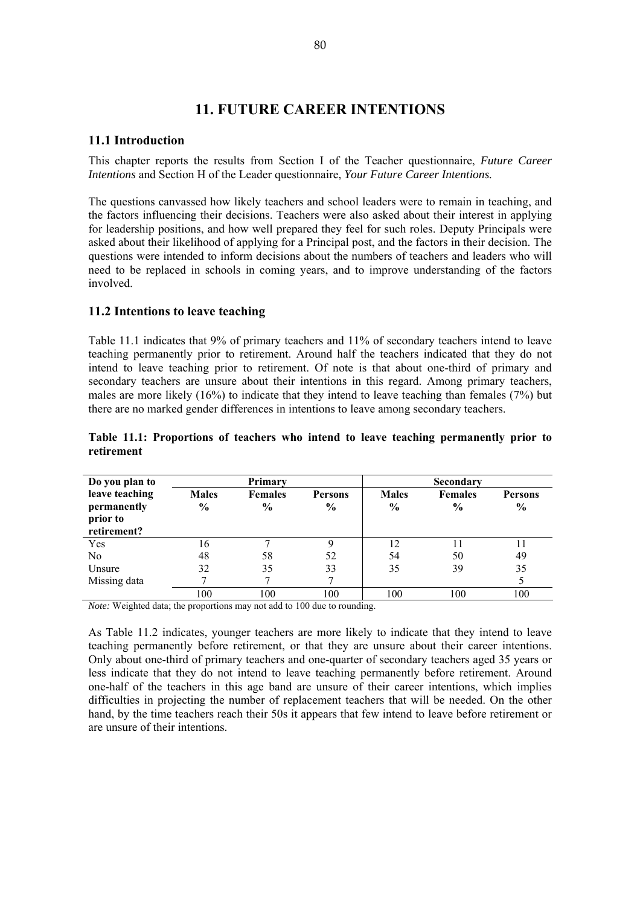# **11. FUTURE CAREER INTENTIONS**

# **11.1 Introduction**

This chapter reports the results from Section I of the Teacher questionnaire, *Future Career Intentions* and Section H of the Leader questionnaire, *Your Future Career Intentions.* 

The questions canvassed how likely teachers and school leaders were to remain in teaching, and the factors influencing their decisions. Teachers were also asked about their interest in applying for leadership positions, and how well prepared they feel for such roles. Deputy Principals were asked about their likelihood of applying for a Principal post, and the factors in their decision. The questions were intended to inform decisions about the numbers of teachers and leaders who will need to be replaced in schools in coming years, and to improve understanding of the factors involved.

# **11.2 Intentions to leave teaching**

Table 11.1 indicates that 9% of primary teachers and 11% of secondary teachers intend to leave teaching permanently prior to retirement. Around half the teachers indicated that they do not intend to leave teaching prior to retirement. Of note is that about one-third of primary and secondary teachers are unsure about their intentions in this regard. Among primary teachers, males are more likely (16%) to indicate that they intend to leave teaching than females (7%) but there are no marked gender differences in intentions to leave among secondary teachers.

| Do you plan to                                           | Primary                       |                                 |                        | <b>Secondary</b>              |                                 |                                 |  |  |
|----------------------------------------------------------|-------------------------------|---------------------------------|------------------------|-------------------------------|---------------------------------|---------------------------------|--|--|
| leave teaching<br>permanently<br>prior to<br>retirement? | <b>Males</b><br>$\frac{6}{9}$ | <b>Females</b><br>$\frac{6}{9}$ | <b>Persons</b><br>$\%$ | <b>Males</b><br>$\frac{6}{9}$ | <b>Females</b><br>$\frac{0}{0}$ | <b>Persons</b><br>$\frac{6}{9}$ |  |  |
| Yes                                                      | 16                            |                                 |                        | 12                            | 11                              |                                 |  |  |
| No                                                       | 48                            | 58                              | 52                     | 54                            | 50                              | 49                              |  |  |
| Unsure                                                   | 32                            | 35                              | 33                     | 35                            | 39                              | 35                              |  |  |
| Missing data                                             |                               |                                 |                        |                               |                                 |                                 |  |  |
|                                                          | 100                           | 100                             | 100                    | 100                           | 100                             | 100                             |  |  |

#### **Table 11.1: Proportions of teachers who intend to leave teaching permanently prior to retirement**

*Note:* Weighted data; the proportions may not add to 100 due to rounding.

As Table 11.2 indicates, younger teachers are more likely to indicate that they intend to leave teaching permanently before retirement, or that they are unsure about their career intentions. Only about one-third of primary teachers and one-quarter of secondary teachers aged 35 years or less indicate that they do not intend to leave teaching permanently before retirement. Around one-half of the teachers in this age band are unsure of their career intentions, which implies difficulties in projecting the number of replacement teachers that will be needed. On the other hand, by the time teachers reach their 50s it appears that few intend to leave before retirement or are unsure of their intentions.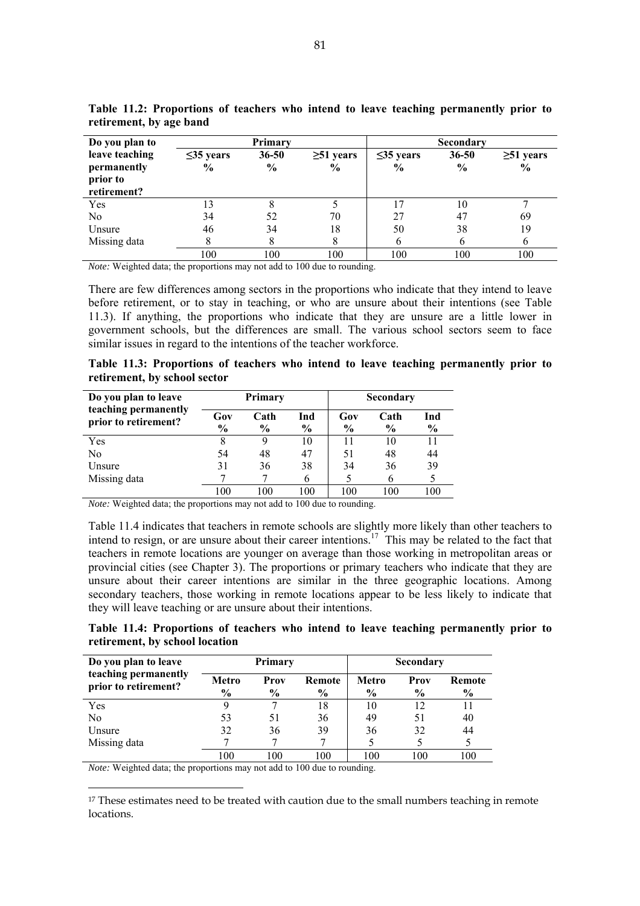| Do you plan to |                 | Primary       |                 |                 | Secondary     |                 |
|----------------|-----------------|---------------|-----------------|-----------------|---------------|-----------------|
| leave teaching | $\leq$ 35 years | $36 - 50$     | $\geq 51$ years | $\leq$ 35 years | 36-50         | $\geq 51$ years |
| permanently    | $\frac{6}{9}$   | $\frac{6}{9}$ | $\frac{6}{9}$   | $\%$            | $\frac{6}{9}$ | $\frac{6}{9}$   |
| prior to       |                 |               |                 |                 |               |                 |
| retirement?    |                 |               |                 |                 |               |                 |
| Yes            |                 |               |                 | 17              | 10            |                 |
| No             | 34              | 52            | 70              | 27              | 47            | 69              |
| Unsure         | 46              | 34            | 18              | 50              | 38            | 19              |
| Missing data   |                 |               | 8               | b               | 6             | 6               |
|                | 100             | 100           | 100             | 100             | 100           | 100             |

**Table 11.2: Proportions of teachers who intend to leave teaching permanently prior to retirement, by age band** 

*Note:* Weighted data; the proportions may not add to 100 due to rounding.

There are few differences among sectors in the proportions who indicate that they intend to leave before retirement, or to stay in teaching, or who are unsure about their intentions (see Table 11.3). If anything, the proportions who indicate that they are unsure are a little lower in government schools, but the differences are small. The various school sectors seem to face similar issues in regard to the intentions of the teacher workforce.

| Table 11.3: Proportions of teachers who intend to leave teaching permanently prior to |  |  |  |  |
|---------------------------------------------------------------------------------------|--|--|--|--|
| retirement, by school sector                                                          |  |  |  |  |

| Do you plan to leave                         | Primary              |                       |                      | <b>Secondary</b>     |              |                      |  |
|----------------------------------------------|----------------------|-----------------------|----------------------|----------------------|--------------|----------------------|--|
| teaching permanently<br>prior to retirement? | Gov<br>$\frac{6}{6}$ | Cath<br>$\frac{6}{9}$ | Ind<br>$\frac{6}{9}$ | Gov<br>$\frac{6}{9}$ | Cath<br>$\%$ | Ind<br>$\frac{6}{6}$ |  |
| Yes                                          | 8                    | 9                     | 10                   |                      | 10           |                      |  |
| No                                           | 54                   | 48                    | 47                   | 51                   | 48           | 44                   |  |
| Unsure                                       | 31                   | 36                    | 38                   | 34                   | 36           | 39                   |  |
| Missing data                                 |                      |                       |                      |                      | 6            |                      |  |
|                                              | 100                  | 100                   | 100                  | 100                  | 100          | 100                  |  |

*Note:* Weighted data; the proportions may not add to 100 due to rounding.

Table 11.4 indicates that teachers in remote schools are slightly more likely than other teachers to intend to resign, or are unsure about their career intentions.<sup>17</sup> This may be related to the fact that teachers in remote locations are younger on average than those working in metropolitan areas or provincial cities (see Chapter 3). The proportions or primary teachers who indicate that they are unsure about their career intentions are similar in the three geographic locations. Among secondary teachers, those working in remote locations appear to be less likely to indicate that they will leave teaching or are unsure about their intentions.

**Table 11.4: Proportions of teachers who intend to leave teaching permanently prior to retirement, by school location** 

| Do you plan to leave                         |                               | Primary               |                         |     | <b>Secondary</b> |                |
|----------------------------------------------|-------------------------------|-----------------------|-------------------------|-----|------------------|----------------|
| teaching permanently<br>prior to retirement? | <b>Metro</b><br>$\frac{6}{9}$ | Prov<br>$\frac{6}{6}$ | Remote<br>$\frac{6}{6}$ |     | Prov<br>$\%$     | Remote<br>$\%$ |
| Yes                                          |                               |                       | 18                      | 10  | 12               |                |
| N <sub>0</sub>                               | 53                            | 51                    | 36                      | 49  | 51               | 40             |
| Unsure                                       | 32                            | 36                    | 39                      | 36  | 32               | 44             |
| Missing data                                 |                               |                       |                         |     |                  |                |
|                                              | 100                           | 100                   | 100                     | 100 | 100              | 100            |

*Note:* Weighted data; the proportions may not add to 100 due to rounding.

 $\overline{a}$ 

<sup>17</sup> These estimates need to be treated with caution due to the small numbers teaching in remote locations.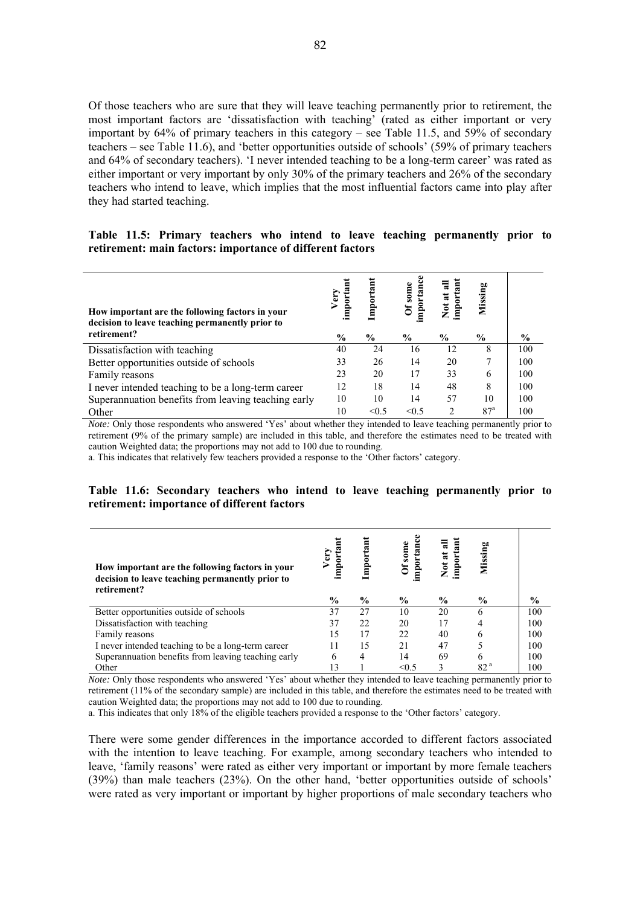Of those teachers who are sure that they will leave teaching permanently prior to retirement, the most important factors are 'dissatisfaction with teaching' (rated as either important or very important by 64% of primary teachers in this category – see Table 11.5, and 59% of secondary teachers – see Table 11.6), and 'better opportunities outside of schools' (59% of primary teachers and 64% of secondary teachers). 'I never intended teaching to be a long-term career' was rated as either important or very important by only 30% of the primary teachers and 26% of the secondary teachers who intend to leave, which implies that the most influential factors came into play after they had started teaching.

#### **Table 11.5: Primary teachers who intend to leave teaching permanently prior to retirement: main factors: importance of different factors**

| How important are the following factors in your<br>decision to leave teaching permanently prior to | Very<br>important | Important | importance<br>Of some | important<br>듾<br>Not at | Missing         |               |
|----------------------------------------------------------------------------------------------------|-------------------|-----------|-----------------------|--------------------------|-----------------|---------------|
| retirement?                                                                                        | $\frac{6}{9}$     | $\%$      | $\frac{6}{9}$         | $\%$                     | $\frac{1}{2}$   | $\frac{6}{6}$ |
| Dissatisfaction with teaching                                                                      | 40                | 24        | 16                    | 12                       | 8               | 100           |
| Better opportunities outside of schools                                                            | 33                | 26        | 14                    | 20                       | 7               | 100           |
| Family reasons                                                                                     | 23                | 20        | 17                    | 33                       | 6               | 100           |
| I never intended teaching to be a long-term career                                                 | 12                | 18        | 14                    | 48                       | 8               | 100           |
| Superannuation benefits from leaving teaching early                                                | 10                | 10        | 14                    | 57                       | 10              | 100           |
| Other                                                                                              | 10                | < 0.5     | < 0.5                 |                          | 87 <sup>a</sup> | 100           |

*Note:* Only those respondents who answered 'Yes' about whether they intended to leave teaching permanently prior to retirement (9% of the primary sample) are included in this table, and therefore the estimates need to be treated with caution Weighted data; the proportions may not add to 100 due to rounding.

a. This indicates that relatively few teachers provided a response to the 'Other factors' category.

#### **Table 11.6: Secondary teachers who intend to leave teaching permanently prior to retirement: importance of different factors**

| How important are the following factors in your<br>decision to leave teaching permanently prior to<br>retirement? | Very<br>$_{\rm{app}}^{\rm o}$ | Importan      | mportanc<br>Of some | Not at all<br>$\overline{\mathbf{a}}$<br>import | Missing         |               |
|-------------------------------------------------------------------------------------------------------------------|-------------------------------|---------------|---------------------|-------------------------------------------------|-----------------|---------------|
|                                                                                                                   | $\frac{6}{9}$                 | $\frac{6}{9}$ | $\frac{6}{9}$       | $\frac{6}{9}$                                   | $\frac{6}{9}$   | $\frac{0}{0}$ |
| Better opportunities outside of schools                                                                           | 37                            | 27            | 10                  | 20                                              | 6               | 100           |
| Dissatisfaction with teaching                                                                                     | 37                            | 22            | 20                  |                                                 | 4               | 100           |
| Family reasons                                                                                                    | 15                            | 17            | 22                  | 40                                              | O               | 100           |
| I never intended teaching to be a long-term career                                                                | 11                            | 15            | 21                  | 47                                              |                 | 100           |
| Superannuation benefits from leaving teaching early                                                               | 6                             | 4             | 14                  | 69                                              | 6               | 100           |
| Other                                                                                                             |                               |               | $\leq 0.5$          |                                                 | 82 <sup>a</sup> | 100           |

*Note:* Only those respondents who answered 'Yes' about whether they intended to leave teaching permanently prior to retirement (11% of the secondary sample) are included in this table, and therefore the estimates need to be treated with caution Weighted data; the proportions may not add to 100 due to rounding.

a. This indicates that only 18% of the eligible teachers provided a response to the 'Other factors' category.

There were some gender differences in the importance accorded to different factors associated with the intention to leave teaching. For example, among secondary teachers who intended to leave, 'family reasons' were rated as either very important or important by more female teachers (39%) than male teachers (23%). On the other hand, 'better opportunities outside of schools' were rated as very important or important by higher proportions of male secondary teachers who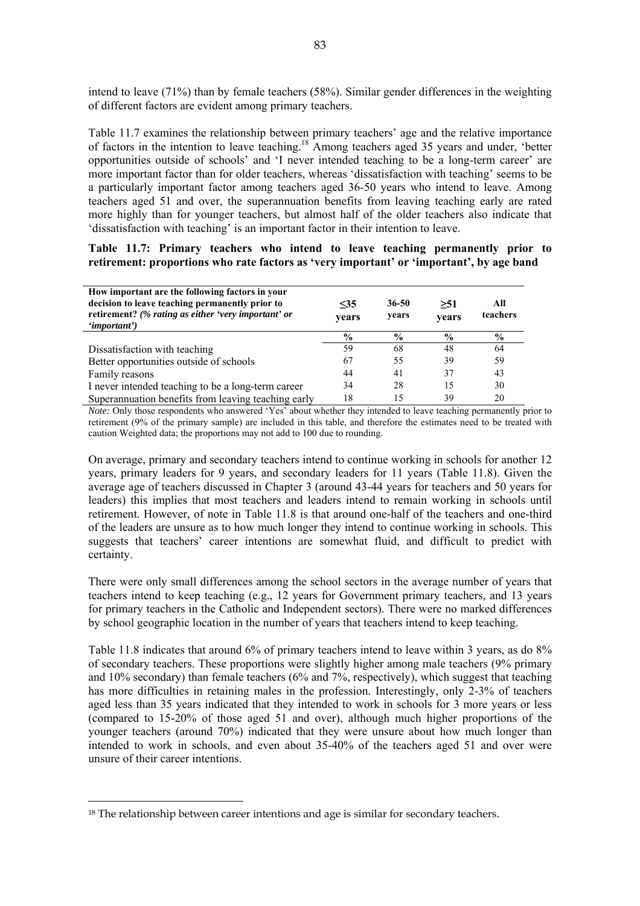intend to leave (71%) than by female teachers (58%). Similar gender differences in the weighting of different factors are evident among primary teachers.

Table 11.7 examines the relationship between primary teachers' age and the relative importance of factors in the intention to leave teaching.<sup>18</sup> Among teachers aged 35 years and under, 'better opportunities outside of schools' and 'I never intended teaching to be a long-term career' are more important factor than for older teachers, whereas 'dissatisfaction with teaching' seems to be a particularly important factor among teachers aged 36-50 years who intend to leave. Among teachers aged 51 and over, the superannuation benefits from leaving teaching early are rated more highly than for younger teachers, but almost half of the older teachers also indicate that 'dissatisfaction with teaching' is an important factor in their intention to leave.

**Table 11.7: Primary teachers who intend to leave teaching permanently prior to retirement: proportions who rate factors as 'very important' or 'important', by age band** 

| How important are the following factors in your<br>decision to leave teaching permanently prior to<br>retirement? (% rating as either 'very important' or<br>' <i>important</i> ') | $\leq$ 35<br>vears | 36-50<br>years | >51<br>years  | All<br>teachers |
|------------------------------------------------------------------------------------------------------------------------------------------------------------------------------------|--------------------|----------------|---------------|-----------------|
|                                                                                                                                                                                    | $\frac{0}{0}$      | $\frac{0}{0}$  | $\frac{6}{9}$ | $\frac{6}{9}$   |
| Dissatisfaction with teaching                                                                                                                                                      | 59                 | 68             | 48            | 64              |
| Better opportunities outside of schools                                                                                                                                            | 67                 | 55             | 39            | 59              |
| Family reasons                                                                                                                                                                     | 44                 | 41             | 37            | 43              |
| I never intended teaching to be a long-term career                                                                                                                                 | 34                 | 28             | 15            | 30              |
| Superannuation benefits from leaving teaching early                                                                                                                                | 18                 | 15             | 39            | 20              |

*Note:* Only those respondents who answered 'Yes' about whether they intended to leave teaching permanently prior to retirement (9% of the primary sample) are included in this table, and therefore the estimates need to be treated with caution Weighted data; the proportions may not add to 100 due to rounding.

On average, primary and secondary teachers intend to continue working in schools for another 12 years, primary leaders for 9 years, and secondary leaders for 11 years (Table 11.8). Given the average age of teachers discussed in Chapter 3 (around 43-44 years for teachers and 50 years for leaders) this implies that most teachers and leaders intend to remain working in schools until retirement. However, of note in Table 11.8 is that around one-half of the teachers and one-third of the leaders are unsure as to how much longer they intend to continue working in schools. This suggests that teachers' career intentions are somewhat fluid, and difficult to predict with certainty.

There were only small differences among the school sectors in the average number of years that teachers intend to keep teaching (e.g., 12 years for Government primary teachers, and 13 years for primary teachers in the Catholic and Independent sectors). There were no marked differences by school geographic location in the number of years that teachers intend to keep teaching.

Table 11.8 indicates that around 6% of primary teachers intend to leave within 3 years, as do 8% of secondary teachers. These proportions were slightly higher among male teachers (9% primary and 10% secondary) than female teachers (6% and 7%, respectively), which suggest that teaching has more difficulties in retaining males in the profession. Interestingly, only 2-3% of teachers aged less than 35 years indicated that they intended to work in schools for 3 more years or less (compared to 15-20% of those aged 51 and over), although much higher proportions of the younger teachers (around 70%) indicated that they were unsure about how much longer than intended to work in schools, and even about 35-40% of the teachers aged 51 and over were unsure of their career intentions.

 $\ddot{\phantom{a}}$ 

<sup>&</sup>lt;sup>18</sup> The relationship between career intentions and age is similar for secondary teachers.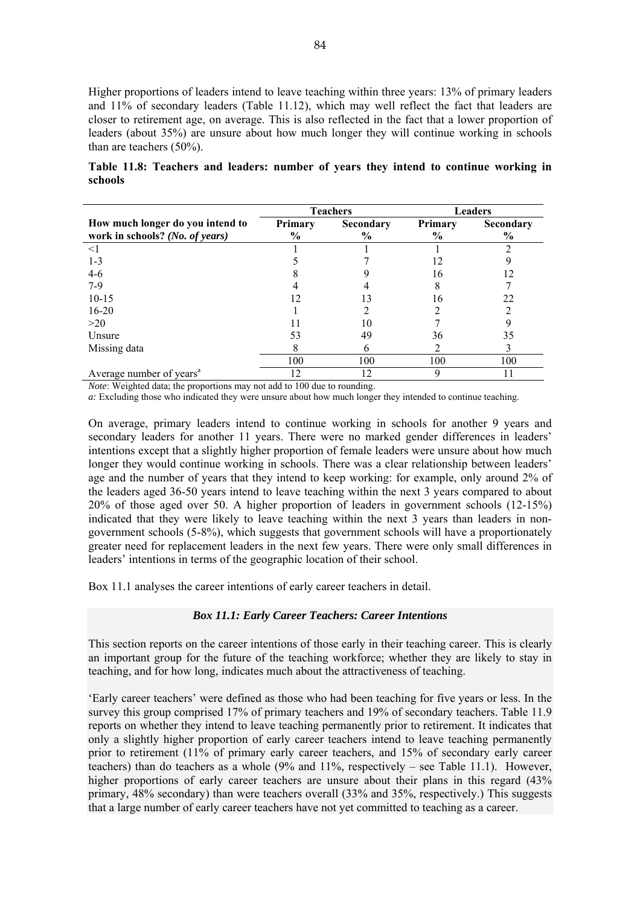Higher proportions of leaders intend to leave teaching within three years: 13% of primary leaders and 11% of secondary leaders (Table 11.12), which may well reflect the fact that leaders are closer to retirement age, on average. This is also reflected in the fact that a lower proportion of leaders (about 35%) are unsure about how much longer they will continue working in schools than are teachers (50%).

**Table 11.8: Teachers and leaders: number of years they intend to continue working in schools** 

|                                                                     |                                 | <b>Teachers</b>   | <b>Leaders</b>                  |                                   |  |
|---------------------------------------------------------------------|---------------------------------|-------------------|---------------------------------|-----------------------------------|--|
| How much longer do you intend to<br>work in schools? (No. of years) | <b>Primary</b><br>$\frac{6}{9}$ | Secondary<br>$\%$ | <b>Primary</b><br>$\frac{6}{9}$ | <b>Secondary</b><br>$\frac{0}{0}$ |  |
| $\leq$ 1                                                            |                                 |                   |                                 |                                   |  |
| $1 - 3$                                                             |                                 |                   |                                 |                                   |  |
| $4-6$                                                               |                                 |                   | 16                              |                                   |  |
| $7-9$                                                               |                                 |                   |                                 |                                   |  |
| $10-15$                                                             | 12                              |                   | 16                              | 22                                |  |
| $16 - 20$                                                           |                                 |                   |                                 |                                   |  |
| >20                                                                 |                                 | 10                |                                 |                                   |  |
| Unsure                                                              | 53                              | 49                | 36                              | 35                                |  |
| Missing data                                                        | 8                               | n                 |                                 |                                   |  |
|                                                                     | 100                             | 100               | 100                             | 100                               |  |
| Average number of years <sup>a</sup>                                | 12                              | 12                |                                 |                                   |  |

*Note*: Weighted data; the proportions may not add to 100 due to rounding.

*a:* Excluding those who indicated they were unsure about how much longer they intended to continue teaching.

On average, primary leaders intend to continue working in schools for another 9 years and secondary leaders for another 11 years. There were no marked gender differences in leaders' intentions except that a slightly higher proportion of female leaders were unsure about how much longer they would continue working in schools. There was a clear relationship between leaders' age and the number of years that they intend to keep working: for example, only around 2% of the leaders aged 36-50 years intend to leave teaching within the next 3 years compared to about 20% of those aged over 50. A higher proportion of leaders in government schools (12-15%) indicated that they were likely to leave teaching within the next 3 years than leaders in nongovernment schools (5-8%), which suggests that government schools will have a proportionately greater need for replacement leaders in the next few years. There were only small differences in leaders' intentions in terms of the geographic location of their school.

Box 11.1 analyses the career intentions of early career teachers in detail.

#### *Box 11.1: Early Career Teachers: Career Intentions*

This section reports on the career intentions of those early in their teaching career. This is clearly an important group for the future of the teaching workforce; whether they are likely to stay in teaching, and for how long, indicates much about the attractiveness of teaching.

'Early career teachers' were defined as those who had been teaching for five years or less. In the survey this group comprised 17% of primary teachers and 19% of secondary teachers. Table 11.9 reports on whether they intend to leave teaching permanently prior to retirement. It indicates that only a slightly higher proportion of early career teachers intend to leave teaching permanently prior to retirement (11% of primary early career teachers, and 15% of secondary early career teachers) than do teachers as a whole (9% and 11%, respectively – see Table 11.1). However, higher proportions of early career teachers are unsure about their plans in this regard  $(43\%$ primary, 48% secondary) than were teachers overall (33% and 35%, respectively.) This suggests that a large number of early career teachers have not yet committed to teaching as a career.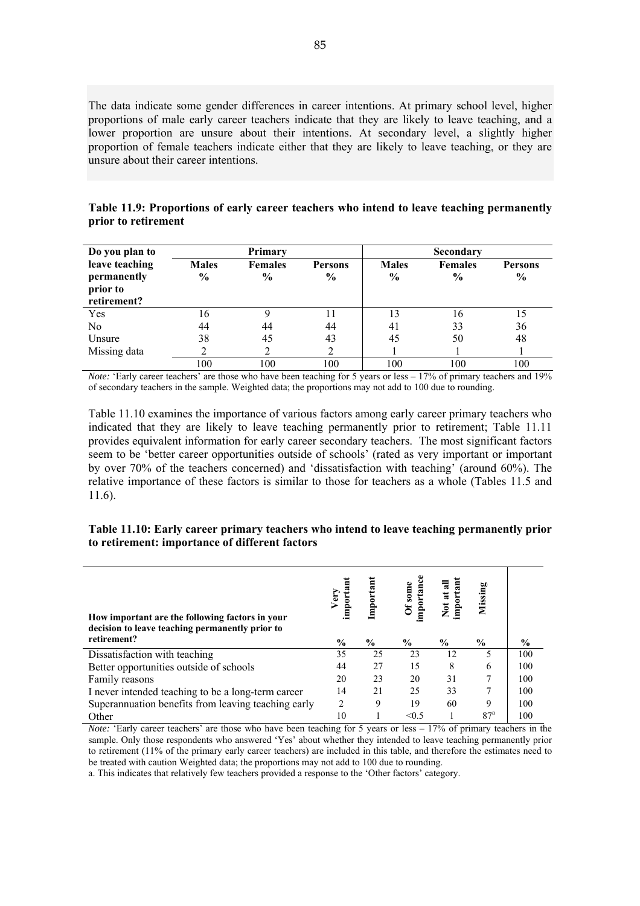The data indicate some gender differences in career intentions. At primary school level, higher proportions of male early career teachers indicate that they are likely to leave teaching, and a lower proportion are unsure about their intentions. At secondary level, a slightly higher proportion of female teachers indicate either that they are likely to leave teaching, or they are unsure about their career intentions.

| Table 11.9: Proportions of early career teachers who intend to leave teaching permanently |  |  |
|-------------------------------------------------------------------------------------------|--|--|
| prior to retirement                                                                       |  |  |

| Do you plan to                                           |                               | Primary                         |                                 |                               | <b>Secondary</b>                |                                 |
|----------------------------------------------------------|-------------------------------|---------------------------------|---------------------------------|-------------------------------|---------------------------------|---------------------------------|
| leave teaching<br>permanently<br>prior to<br>retirement? | <b>Males</b><br>$\frac{6}{9}$ | <b>Females</b><br>$\frac{6}{9}$ | <b>Persons</b><br>$\frac{6}{9}$ | <b>Males</b><br>$\frac{6}{9}$ | <b>Females</b><br>$\frac{0}{0}$ | <b>Persons</b><br>$\frac{6}{9}$ |
| Yes                                                      | 16                            |                                 |                                 | 13                            | 16                              | 15                              |
| No                                                       | 44                            | 44                              | 44                              | 41                            | 33                              | 36                              |
| Unsure                                                   | 38                            | 45                              | 43                              | 45                            | 50                              | 48                              |
| Missing data                                             |                               |                                 |                                 |                               |                                 |                                 |
|                                                          | 100                           | 100                             | 100                             | 100                           | 100                             | 100                             |

*Note:* 'Early career teachers' are those who have been teaching for 5 years or less – 17% of primary teachers and 19% of secondary teachers in the sample. Weighted data; the proportions may not add to 100 due to rounding.

Table 11.10 examines the importance of various factors among early career primary teachers who indicated that they are likely to leave teaching permanently prior to retirement; Table 11.11 provides equivalent information for early career secondary teachers. The most significant factors seem to be 'better career opportunities outside of schools' (rated as very important or important by over 70% of the teachers concerned) and 'dissatisfaction with teaching' (around 60%). The relative importance of these factors is similar to those for teachers as a whole (Tables 11.5 and 11.6).

#### **Table 11.10: Early career primary teachers who intend to leave teaching permanently prior to retirement: importance of different factors**

| How important are the following factors in your<br>decision to leave teaching permanently prior to | Very<br>importanı | Important      | importance<br>Of some | Not at all<br>important | Missing         |      |
|----------------------------------------------------------------------------------------------------|-------------------|----------------|-----------------------|-------------------------|-----------------|------|
| retirement?                                                                                        | $\frac{6}{9}$     | $\frac{6}{10}$ | $\frac{6}{9}$         | $\frac{6}{9}$           | $\frac{6}{9}$   | $\%$ |
| Dissatisfaction with teaching                                                                      | 35                | 25             | 23                    | 12                      | 5               | 100  |
| Better opportunities outside of schools                                                            | 44                | 27             | 15                    | 8                       | 6               | 100  |
| Family reasons                                                                                     | 20                | 23             | 20                    | 31                      | 7               | 100  |
| I never intended teaching to be a long-term career                                                 | 14                | 21             | 25                    | 33                      | 7               | 100  |
| Superannuation benefits from leaving teaching early                                                | $\overline{c}$    | 9              | 19                    | 60                      | 9               | 100  |
| Other                                                                                              | 10                |                | $\leq 0.5$            |                         | 87 <sup>a</sup> | 100  |

*Note:* 'Early career teachers' are those who have been teaching for 5 years or less – 17% of primary teachers in the sample. Only those respondents who answered 'Yes' about whether they intended to leave teaching permanently prior to retirement (11% of the primary early career teachers) are included in this table, and therefore the estimates need to be treated with caution Weighted data; the proportions may not add to 100 due to rounding.

a. This indicates that relatively few teachers provided a response to the 'Other factors' category.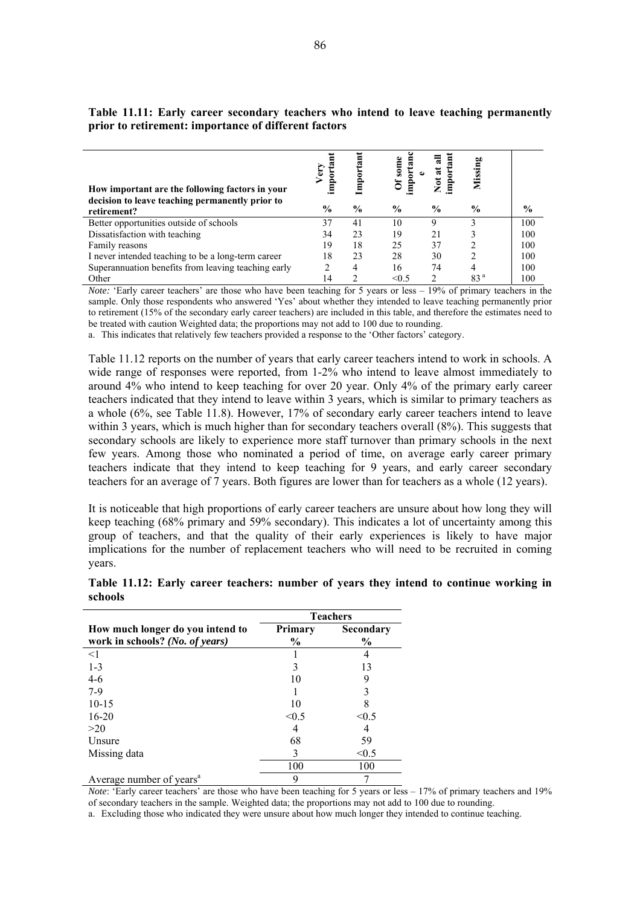| How important are the following factors in your                | <b>Ery</b><br>impo; | Import        | tan<br>some<br>mpor | 픦<br>Not at   | Missing         |               |
|----------------------------------------------------------------|---------------------|---------------|---------------------|---------------|-----------------|---------------|
| decision to leave teaching permanently prior to<br>retirement? | $\%$                | $\frac{6}{9}$ | $\frac{6}{9}$       | $\frac{6}{9}$ | $\frac{6}{9}$   | $\frac{6}{9}$ |
| Better opportunities outside of schools                        | 37                  | 41            | 10                  |               |                 | 100           |
| Dissatisfaction with teaching                                  | 34                  | 23            | 19                  | 21            |                 | 100           |
| Family reasons                                                 | 19                  | 18            | 25                  | 37            |                 | 100           |
| I never intended teaching to be a long-term career             | 18                  | 23            | 28                  | 30            |                 | 100           |
| Superannuation benefits from leaving teaching early            |                     | 4             | 16                  | 74            |                 | 100           |
| Other                                                          | 14                  |               | $\leq 0.5$          |               | 83 <sup>a</sup> | 100           |

**Table 11.11: Early career secondary teachers who intend to leave teaching permanently prior to retirement: importance of different factors** 

*Note:* 'Early career teachers' are those who have been teaching for 5 years or less – 19% of primary teachers in the sample. Only those respondents who answered 'Yes' about whether they intended to leave teaching permanently prior to retirement (15% of the secondary early career teachers) are included in this table, and therefore the estimates need to be treated with caution Weighted data; the proportions may not add to 100 due to rounding.

a. This indicates that relatively few teachers provided a response to the 'Other factors' category.

Table 11.12 reports on the number of years that early career teachers intend to work in schools. A wide range of responses were reported, from 1-2% who intend to leave almost immediately to around 4% who intend to keep teaching for over 20 year. Only 4% of the primary early career teachers indicated that they intend to leave within 3 years, which is similar to primary teachers as a whole (6%, see Table 11.8). However, 17% of secondary early career teachers intend to leave within 3 years, which is much higher than for secondary teachers overall (8%). This suggests that secondary schools are likely to experience more staff turnover than primary schools in the next few years. Among those who nominated a period of time, on average early career primary teachers indicate that they intend to keep teaching for 9 years, and early career secondary teachers for an average of 7 years. Both figures are lower than for teachers as a whole (12 years).

It is noticeable that high proportions of early career teachers are unsure about how long they will keep teaching (68% primary and 59% secondary). This indicates a lot of uncertainty among this group of teachers, and that the quality of their early experiences is likely to have major implications for the number of replacement teachers who will need to be recruited in coming years.

| Table 11.12: Early career teachers: number of years they intend to continue working in |  |  |  |  |  |  |
|----------------------------------------------------------------------------------------|--|--|--|--|--|--|
| schools                                                                                |  |  |  |  |  |  |

|                                                                     |                          | <b>Teachers</b>            |
|---------------------------------------------------------------------|--------------------------|----------------------------|
| How much longer do you intend to<br>work in schools? (No. of years) | Primary<br>$\frac{6}{9}$ | Secondary<br>$\frac{6}{9}$ |
| <1                                                                  |                          |                            |
| $1 - 3$                                                             |                          | 13                         |
| $4 - 6$                                                             | 10                       | 9                          |
| $7-9$                                                               |                          |                            |
| $10-15$                                                             | 10                       | 8                          |
| $16 - 20$                                                           | < 0.5                    | < 0.5                      |
| >20                                                                 |                          |                            |
| Unsure                                                              | 68                       | 59                         |
| Missing data                                                        | 3                        | < 0.5                      |
|                                                                     | 100                      | 100                        |
| Average number of years <sup>a</sup>                                |                          |                            |

*Note*: 'Early career teachers' are those who have been teaching for 5 years or less – 17% of primary teachers and 19% of secondary teachers in the sample. Weighted data; the proportions may not add to 100 due to rounding.

a. Excluding those who indicated they were unsure about how much longer they intended to continue teaching.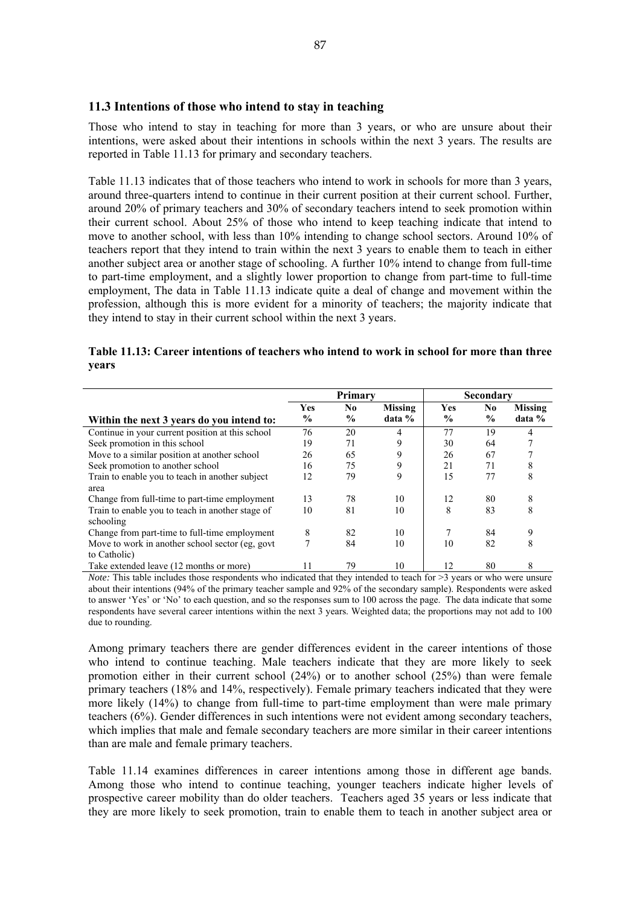#### **11.3 Intentions of those who intend to stay in teaching**

Those who intend to stay in teaching for more than 3 years, or who are unsure about their intentions, were asked about their intentions in schools within the next 3 years. The results are reported in Table 11.13 for primary and secondary teachers.

Table 11.13 indicates that of those teachers who intend to work in schools for more than 3 years, around three-quarters intend to continue in their current position at their current school. Further, around 20% of primary teachers and 30% of secondary teachers intend to seek promotion within their current school. About 25% of those who intend to keep teaching indicate that intend to move to another school, with less than 10% intending to change school sectors. Around 10% of teachers report that they intend to train within the next 3 years to enable them to teach in either another subject area or another stage of schooling. A further 10% intend to change from full-time to part-time employment, and a slightly lower proportion to change from part-time to full-time employment, The data in Table 11.13 indicate quite a deal of change and movement within the profession, although this is more evident for a minority of teachers; the majority indicate that they intend to stay in their current school within the next 3 years.

| Table 11.13: Career intentions of teachers who intend to work in school for more than three |  |
|---------------------------------------------------------------------------------------------|--|
| vears                                                                                       |  |

|                                                  | Primary       |                |                |               | <b>Secondary</b> |                |
|--------------------------------------------------|---------------|----------------|----------------|---------------|------------------|----------------|
|                                                  | <b>Yes</b>    | N <sub>0</sub> | <b>Missing</b> | Yes           | No               | <b>Missing</b> |
| Within the next 3 years do you intend to:        | $\frac{6}{9}$ | $\%$           | data %         | $\frac{6}{9}$ | $\frac{6}{9}$    | data %         |
| Continue in your current position at this school | 76            | 20             | 4              | 77            | 19               |                |
| Seek promotion in this school                    | 19            | 71             | 9              | 30            | 64               |                |
| Move to a similar position at another school     | 26            | 65             | 9              | 26            | 67               |                |
| Seek promotion to another school                 | 16            | 75             | 9              | 21            | 71               | 8              |
| Train to enable you to teach in another subject  | 12            | 79             | 9              | 15            | 77               | 8              |
| area                                             |               |                |                |               |                  |                |
| Change from full-time to part-time employment    | 13            | 78             | 10             | 12            | 80               | 8              |
| Train to enable you to teach in another stage of | 10            | 81             | 10             | 8             | 83               | 8              |
| schooling                                        |               |                |                |               |                  |                |
| Change from part-time to full-time employment    | 8             | 82             | 10             |               | 84               |                |
| Move to work in another school sector (eg. govt) |               | 84             | 10             | 10            | 82               | 8              |
| to Catholic)                                     |               |                |                |               |                  |                |
| Take extended leave (12 months or more)          |               | 79             | 10             | 12            | 80               | 8              |

*Note:* This table includes those respondents who indicated that they intended to teach for >3 years or who were unsure about their intentions (94% of the primary teacher sample and 92% of the secondary sample). Respondents were asked to answer 'Yes' or 'No' to each question, and so the responses sum to 100 across the page. The data indicate that some respondents have several career intentions within the next 3 years. Weighted data; the proportions may not add to 100 due to rounding.

Among primary teachers there are gender differences evident in the career intentions of those who intend to continue teaching. Male teachers indicate that they are more likely to seek promotion either in their current school (24%) or to another school (25%) than were female primary teachers (18% and 14%, respectively). Female primary teachers indicated that they were more likely (14%) to change from full-time to part-time employment than were male primary teachers (6%). Gender differences in such intentions were not evident among secondary teachers, which implies that male and female secondary teachers are more similar in their career intentions than are male and female primary teachers.

Table 11.14 examines differences in career intentions among those in different age bands. Among those who intend to continue teaching, younger teachers indicate higher levels of prospective career mobility than do older teachers. Teachers aged 35 years or less indicate that they are more likely to seek promotion, train to enable them to teach in another subject area or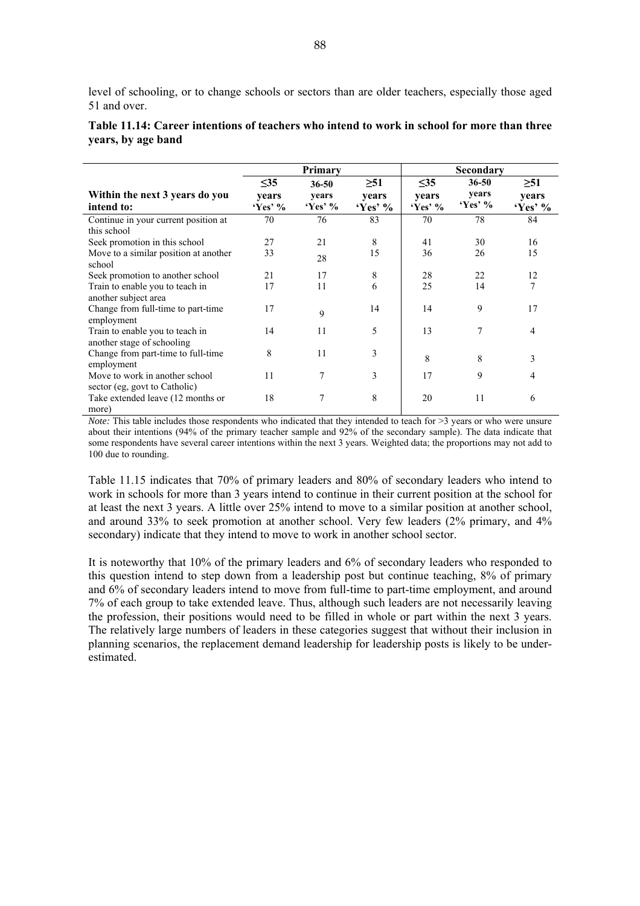level of schooling, or to change schools or sectors than are older teachers, especially those aged 51 and over.

|                                       |           | Primary   |           |           | Secondary      |                |
|---------------------------------------|-----------|-----------|-----------|-----------|----------------|----------------|
|                                       | $\leq$ 35 | $36 - 50$ | $\geq 51$ | $\leq$ 35 | $36 - 50$      | $\geq 51$      |
| Within the next 3 years do you        | vears     | years     | years     | vears     | years          | years          |
| intend to:                            | $Yes'$ %  | $Yes'$ %  | $Yes'$ %  | $Yes'$ %  | $Yes'$ %       | $Yes'$ %       |
| Continue in your current position at  | 70        | 76        | 83        | 70        | 78             | 84             |
| this school                           |           |           |           |           |                |                |
| Seek promotion in this school         | 27        | 21        | 8         | 41        | 30             | 16             |
| Move to a similar position at another | 33        | 28        | 15        | 36        | 26             | 15             |
| school                                |           |           |           |           |                |                |
| Seek promotion to another school      | 21        | 17        | 8         | 28        | 22             | 12             |
| Train to enable you to teach in       | 17        | 11        | 6         | 25        | 14             | 7              |
| another subject area                  |           |           |           |           |                |                |
| Change from full-time to part-time    | 17        | 9         | 14        | 14        | 9              | 17             |
| employment                            |           |           |           |           |                |                |
| Train to enable you to teach in       | 14        | 11        | 5         | 13        | $\overline{7}$ | $\overline{4}$ |
| another stage of schooling            |           |           |           |           |                |                |
| Change from part-time to full-time    | 8         | 11        | 3         | 8         | 8              | 3              |
| employment                            |           |           |           |           |                |                |
| Move to work in another school        | 11        | 7         | 3         | 17        | 9              | 4              |
| sector (eg, govt to Catholic)         |           |           |           |           |                |                |
| Take extended leave (12 months or     | 18        | 7         | 8         | 20        | 11             | 6              |
| more)                                 |           |           |           |           |                |                |

| Table 11.14: Career intentions of teachers who intend to work in school for more than three |  |  |  |
|---------------------------------------------------------------------------------------------|--|--|--|
| years, by age band                                                                          |  |  |  |

*Note:* This table includes those respondents who indicated that they intended to teach for  $\geq$ 3 years or who were unsure about their intentions (94% of the primary teacher sample and 92% of the secondary sample). The data indicate that some respondents have several career intentions within the next 3 years. Weighted data; the proportions may not add to 100 due to rounding.

Table 11.15 indicates that 70% of primary leaders and 80% of secondary leaders who intend to work in schools for more than 3 years intend to continue in their current position at the school for at least the next 3 years. A little over 25% intend to move to a similar position at another school, and around 33% to seek promotion at another school. Very few leaders (2% primary, and 4% secondary) indicate that they intend to move to work in another school sector.

It is noteworthy that 10% of the primary leaders and 6% of secondary leaders who responded to this question intend to step down from a leadership post but continue teaching, 8% of primary and 6% of secondary leaders intend to move from full-time to part-time employment, and around 7% of each group to take extended leave. Thus, although such leaders are not necessarily leaving the profession, their positions would need to be filled in whole or part within the next 3 years. The relatively large numbers of leaders in these categories suggest that without their inclusion in planning scenarios, the replacement demand leadership for leadership posts is likely to be underestimated.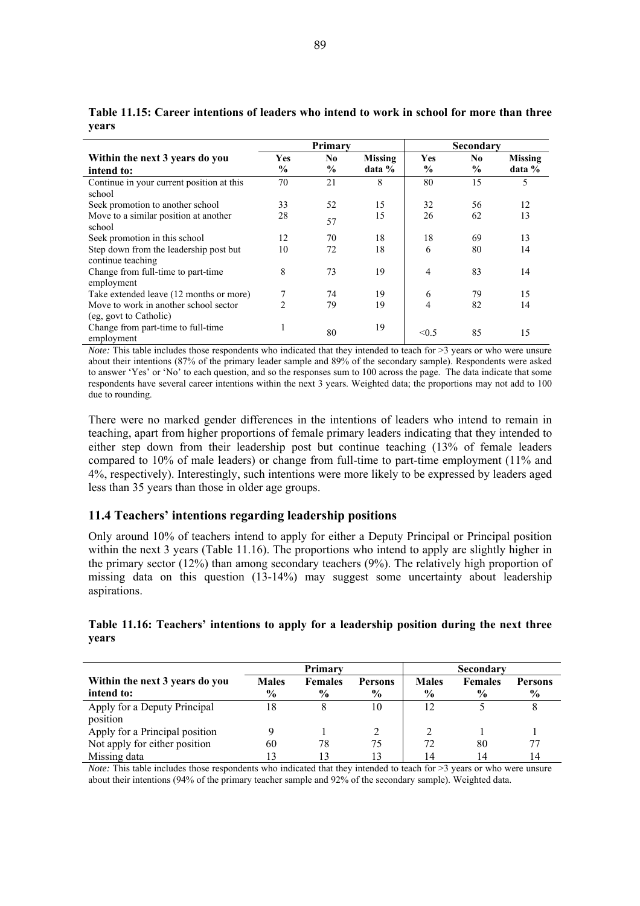|                                                                 | Primary        |               |                |               | Secondary     |                |
|-----------------------------------------------------------------|----------------|---------------|----------------|---------------|---------------|----------------|
| Within the next 3 years do you                                  | <b>Yes</b>     | No.           | <b>Missing</b> | <b>Yes</b>    | No.           | <b>Missing</b> |
| intend to:                                                      | $\frac{0}{0}$  | $\frac{0}{0}$ | data %         | $\frac{0}{0}$ | $\frac{6}{9}$ | data %         |
| Continue in your current position at this<br>school             | 70             | 21            | 8              | 80            | 15            | 5              |
| Seek promotion to another school                                | 33             | 52            | 15             | 32            | 56            | 12             |
| Move to a similar position at another<br>school                 | 28             | 57            | 15             | 26            | 62            | 13             |
| Seek promotion in this school                                   | 12             | 70            | 18             | 18            | 69            | 13             |
| Step down from the leadership post but<br>continue teaching     | 10             | 72            | 18             | 6             | 80            | 14             |
| Change from full-time to part-time<br>employment                | 8              | 73            | 19             | 4             | 83            | 14             |
| Take extended leave (12 months or more)                         |                | 74            | 19             | 6             | 79            | 15             |
| Move to work in another school sector<br>(eg. govt to Catholic) | $\mathfrak{D}$ | 79            | 19             | 4             | 82            | 14             |
| Change from part-time to full-time<br>employment                |                | 80            | 19             | < 0.5         | 85            | 15             |

**Table 11.15: Career intentions of leaders who intend to work in school for more than three years** 

*Note:* This table includes those respondents who indicated that they intended to teach for >3 years or who were unsure about their intentions (87% of the primary leader sample and 89% of the secondary sample). Respondents were asked to answer 'Yes' or 'No' to each question, and so the responses sum to 100 across the page. The data indicate that some respondents have several career intentions within the next 3 years. Weighted data; the proportions may not add to 100 due to rounding.

There were no marked gender differences in the intentions of leaders who intend to remain in teaching, apart from higher proportions of female primary leaders indicating that they intended to either step down from their leadership post but continue teaching (13% of female leaders compared to 10% of male leaders) or change from full-time to part-time employment (11% and 4%, respectively). Interestingly, such intentions were more likely to be expressed by leaders aged less than 35 years than those in older age groups.

#### **11.4 Teachers' intentions regarding leadership positions**

Only around 10% of teachers intend to apply for either a Deputy Principal or Principal position within the next 3 years (Table 11.16). The proportions who intend to apply are slightly higher in the primary sector (12%) than among secondary teachers (9%). The relatively high proportion of missing data on this question (13-14%) may suggest some uncertainty about leadership aspirations.

#### **Table 11.16: Teachers' intentions to apply for a leadership position during the next three years**

|                                |               | Primary        |                | <b>Secondary</b> |                |                |  |
|--------------------------------|---------------|----------------|----------------|------------------|----------------|----------------|--|
| Within the next 3 years do you | <b>Males</b>  | <b>Females</b> | <b>Persons</b> | <b>Males</b>     | <b>Females</b> | <b>Persons</b> |  |
| intend to:                     | $\frac{6}{9}$ | $\frac{6}{6}$  | $\frac{6}{9}$  | $\frac{6}{9}$    | $\frac{6}{9}$  | $\frac{6}{9}$  |  |
| Apply for a Deputy Principal   | 18            |                | 10             | 12               |                |                |  |
| position                       |               |                |                |                  |                |                |  |
| Apply for a Principal position |               |                |                |                  |                |                |  |
| Not apply for either position  | 60            | 78             | 75             | 72               | 80             |                |  |
| Missing data                   |               |                | 13             | 14               | 14             | 14             |  |

*Note:* This table includes those respondents who indicated that they intended to teach for >3 years or who were unsure about their intentions (94% of the primary teacher sample and 92% of the secondary sample). Weighted data.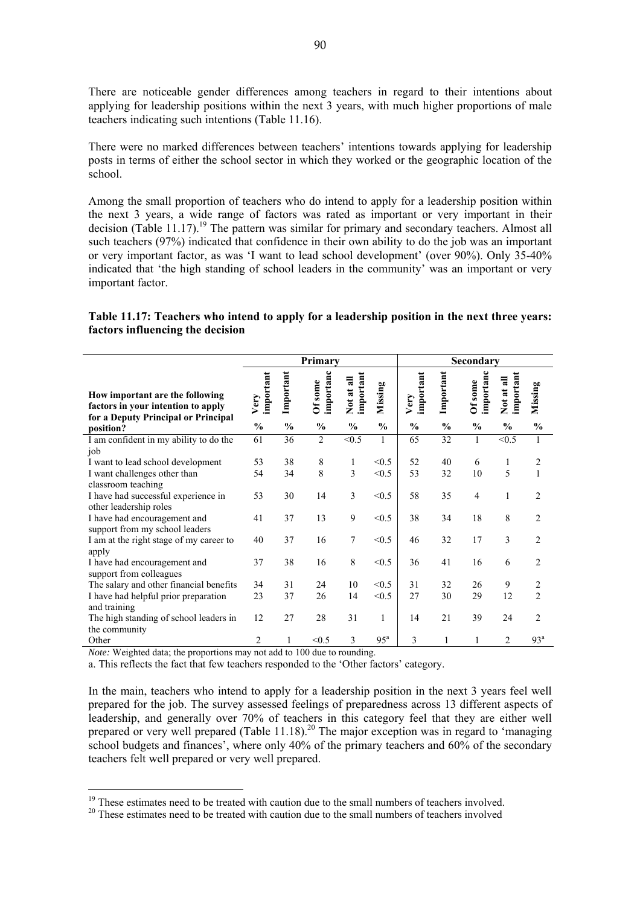There are noticeable gender differences among teachers in regard to their intentions about applying for leadership positions within the next 3 years, with much higher proportions of male teachers indicating such intentions (Table 11.16).

There were no marked differences between teachers' intentions towards applying for leadership posts in terms of either the school sector in which they worked or the geographic location of the school.

Among the small proportion of teachers who do intend to apply for a leadership position within the next 3 years, a wide range of factors was rated as important or very important in their decision (Table 11.17).<sup>19</sup> The pattern was similar for primary and secondary teachers. Almost all such teachers (97%) indicated that confidence in their own ability to do the job was an important or very important factor, as was 'I want to lead school development' (over 90%). Only 35-40% indicated that 'the high standing of school leaders in the community' was an important or very important factor.

**Table 11.17: Teachers who intend to apply for a leadership position in the next three years: factors influencing the decision** 

|                                                                                                              | Primary           |               |                      |                         |                 |                   |               | Secondary           |                         |                     |
|--------------------------------------------------------------------------------------------------------------|-------------------|---------------|----------------------|-------------------------|-----------------|-------------------|---------------|---------------------|-------------------------|---------------------|
| How important are the following<br>factors in your intention to apply<br>for a Deputy Principal or Principal | important<br>Very | Important     | importanc<br>Of some | important<br>Not at all | Missing         | important<br>Very | Important     | importan<br>Of some | important<br>Not at all | <b>b</b><br>Missing |
| position?                                                                                                    | $\frac{0}{0}$     | $\frac{0}{0}$ | $\frac{0}{0}$        | $\frac{0}{0}$           | $\frac{0}{0}$   | $\frac{0}{0}$     | $\frac{6}{6}$ | $\frac{0}{0}$       | $\frac{0}{0}$           | $\frac{0}{0}$       |
| I am confident in my ability to do the<br>job                                                                | 61                | 36            | $\overline{2}$       | < 0.5                   | $\mathbf{1}$    | 65                | 32            | $\mathbf{1}$        | < 0.5                   | $\mathbf{1}$        |
| I want to lead school development                                                                            | 53                | 38            | 8                    | 1                       | < 0.5           | 52                | 40            | 6                   | 1                       | 2                   |
| I want challenges other than<br>classroom teaching                                                           | 54                | 34            | 8                    | 3                       | < 0.5           | 53                | 32            | 10                  | 5                       | $\mathbf{1}$        |
| I have had successful experience in<br>other leadership roles                                                | 53                | 30            | 14                   | 3                       | < 0.5           | 58                | 35            | $\overline{4}$      | $\mathbf{1}$            | $\overline{2}$      |
| I have had encouragement and<br>support from my school leaders                                               | 41                | 37            | 13                   | 9                       | < 0.5           | 38                | 34            | 18                  | 8                       | $\overline{c}$      |
| I am at the right stage of my career to<br>apply                                                             | 40                | 37            | 16                   | 7                       | < 0.5           | 46                | 32            | 17                  | 3                       | $\overline{2}$      |
| I have had encouragement and<br>support from colleagues                                                      | 37                | 38            | 16                   | 8                       | < 0.5           | 36                | 41            | 16                  | 6                       | $\overline{2}$      |
| The salary and other financial benefits                                                                      | 34                | 31            | 24                   | 10                      | < 0.5           | 31                | 32            | 26                  | 9                       | 2                   |
| I have had helpful prior preparation                                                                         | 23                | 37            | 26                   | 14                      | < 0.5           | 27                | 30            | 29                  | 12                      | $\overline{2}$      |
| and training                                                                                                 |                   |               |                      |                         |                 |                   |               |                     |                         |                     |
| The high standing of school leaders in<br>the community                                                      | 12                | 27            | 28                   | 31                      | $\mathbf{1}$    | 14                | 21            | 39                  | 24                      | $\overline{2}$      |
| Other                                                                                                        | 2                 | 1             | < 0.5                | 3                       | 95 <sup>a</sup> | 3                 |               |                     | $\mathfrak{D}$          | 93 <sup>a</sup>     |

*Note:* Weighted data; the proportions may not add to 100 due to rounding.

 $\overline{a}$ 

a. This reflects the fact that few teachers responded to the 'Other factors' category.

In the main, teachers who intend to apply for a leadership position in the next 3 years feel well prepared for the job. The survey assessed feelings of preparedness across 13 different aspects of leadership, and generally over 70% of teachers in this category feel that they are either well prepared or very well prepared (Table 11.18).20 The major exception was in regard to 'managing school budgets and finances', where only 40% of the primary teachers and 60% of the secondary teachers felt well prepared or very well prepared.

<sup>&</sup>lt;sup>19</sup> These estimates need to be treated with caution due to the small numbers of teachers involved.<br><sup>20</sup> These estimates need to be treated with caution due to the small numbers of teachers involved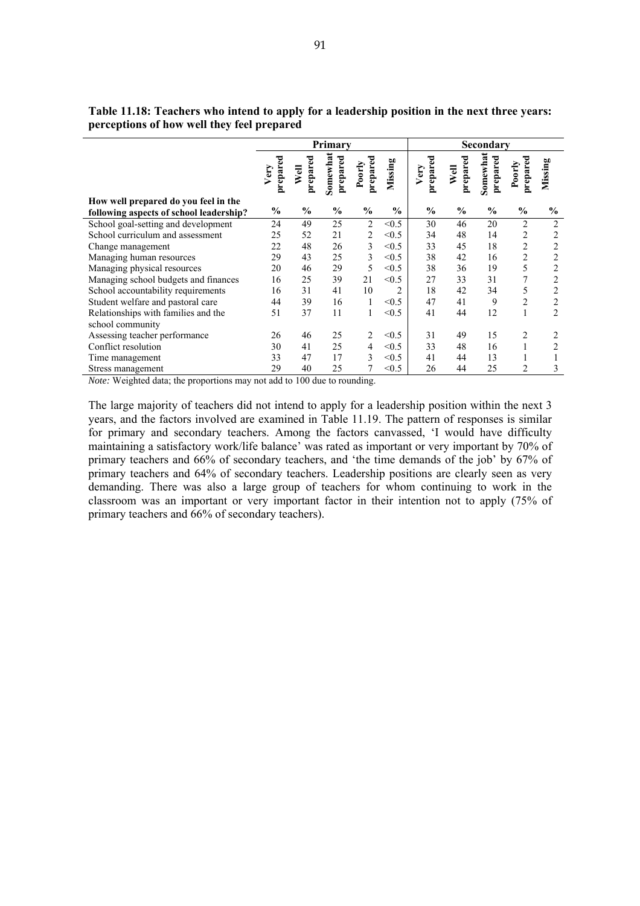|                                         |                  |                  | Primary              |                    |               |                  |                  | Secondary            |                    |                |
|-----------------------------------------|------------------|------------------|----------------------|--------------------|---------------|------------------|------------------|----------------------|--------------------|----------------|
|                                         |                  |                  |                      |                    |               |                  |                  |                      |                    |                |
|                                         | prepared<br>Very | prepared<br>Well | Somewhat<br>prepared | prepared<br>Poorly | Missing       | prepared<br>Very | prepared<br>Well | Somewhat<br>prepared | prepared<br>Poorly | Missing        |
| How well prepared do you feel in the    |                  |                  |                      |                    |               |                  |                  |                      |                    |                |
| following aspects of school leadership? | $\%$             | $\frac{0}{0}$    | $\frac{0}{0}$        | $\frac{0}{0}$      | $\frac{0}{0}$ | $\frac{0}{0}$    | $\frac{0}{0}$    | $\frac{0}{0}$        | $\frac{0}{0}$      | $\frac{0}{0}$  |
| School goal-setting and development     | 24               | 49               | 25                   | $\overline{2}$     | < 0.5         | 30               | 46               | 20                   | $\overline{c}$     | $\overline{2}$ |
| School curriculum and assessment        | 25               | 52               | 21                   | $\overline{c}$     | < 0.5         | 34               | 48               | 14                   | 2                  | $\overline{2}$ |
| Change management                       | 22               | 48               | 26                   | 3                  | < 0.5         | 33               | 45               | 18                   | $\overline{c}$     | $\overline{2}$ |
| Managing human resources                | 29               | 43               | 25                   | 3                  | < 0.5         | 38               | 42               | 16                   | 2                  | $\overline{c}$ |
| Managing physical resources             | 20               | 46               | 29                   | 5                  | < 0.5         | 38               | 36               | 19                   | 5                  | $\overline{2}$ |
| Managing school budgets and finances    | 16               | 25               | 39                   | 21                 | < 0.5         | 27               | 33               | 31                   | $\overline{7}$     | $\overline{2}$ |
| School accountability requirements      | 16               | 31               | 41                   | 10                 | 2             | 18               | 42               | 34                   | 5                  | $\overline{2}$ |
| Student welfare and pastoral care       | 44               | 39               | 16                   | 1                  | < 0.5         | 47               | 41               | 9                    | $\overline{c}$     | $\overline{c}$ |
| Relationships with families and the     | 51               | 37               | 11                   | 1                  | < 0.5         | 41               | 44               | 12                   | $\mathbf{1}$       | $\overline{2}$ |
| school community                        |                  |                  |                      |                    |               |                  |                  |                      |                    |                |
| Assessing teacher performance           | 26               | 46               | 25                   | 2                  | < 0.5         | 31               | 49               | 15                   | 2                  | 2              |
| Conflict resolution                     | 30               | 41               | 25                   | 4                  | < 0.5         | 33               | 48               | 16                   | $\mathbf{1}$       | $\overline{2}$ |
| Time management                         | 33               | 47               | 17                   | 3                  | < 0.5         | 41               | 44               | 13                   |                    |                |
| Stress management                       | 29               | 40               | 25                   | 7                  | < 0.5         | 26               | 44               | 25                   | $\overline{2}$     | 3              |

**Table 11.18: Teachers who intend to apply for a leadership position in the next three years: perceptions of how well they feel prepared**

*Note:* Weighted data; the proportions may not add to 100 due to rounding.

The large majority of teachers did not intend to apply for a leadership position within the next 3 years, and the factors involved are examined in Table 11.19. The pattern of responses is similar for primary and secondary teachers. Among the factors canvassed, 'I would have difficulty maintaining a satisfactory work/life balance' was rated as important or very important by 70% of primary teachers and 66% of secondary teachers, and 'the time demands of the job' by 67% of primary teachers and 64% of secondary teachers. Leadership positions are clearly seen as very demanding. There was also a large group of teachers for whom continuing to work in the classroom was an important or very important factor in their intention not to apply (75% of primary teachers and 66% of secondary teachers).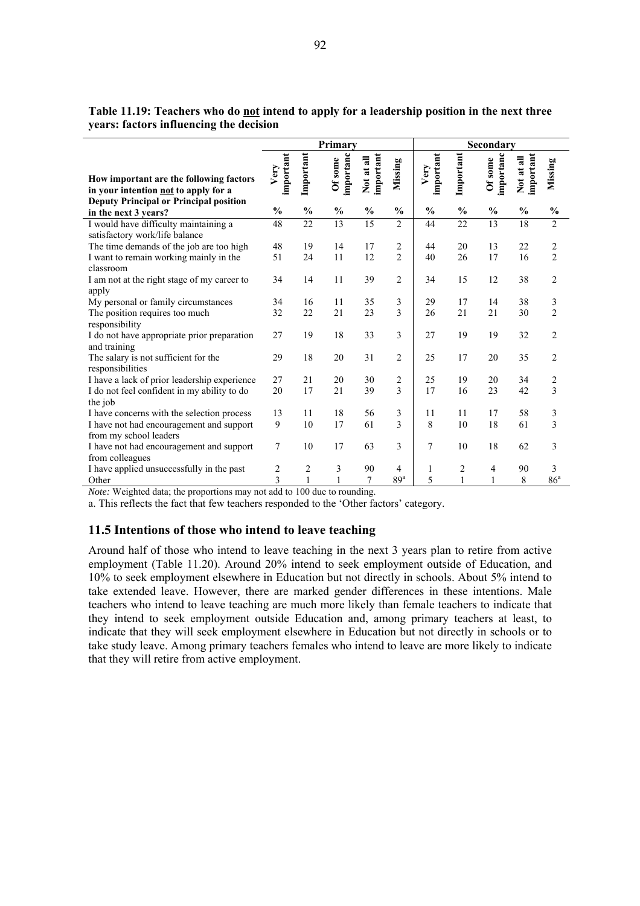|                                                                                 |                   |                 | Primary              |                         |                 |                   |                 | Secondary            |                         |                         |
|---------------------------------------------------------------------------------|-------------------|-----------------|----------------------|-------------------------|-----------------|-------------------|-----------------|----------------------|-------------------------|-------------------------|
| How important are the following factors<br>in your intention not to apply for a | important<br>Very | Important       | importanc<br>Of some | important<br>Not at all | Missing         | important<br>Very | Important       | importanc<br>Of some | important<br>Not at all | Missing                 |
| <b>Deputy Principal or Principal position</b><br>in the next 3 years?           | $\frac{0}{0}$     | $\frac{0}{0}$   | $\frac{0}{0}$        | $\frac{0}{0}$           | $\frac{0}{0}$   | $\frac{0}{0}$     | $\frac{0}{0}$   | $\frac{0}{0}$        | $\frac{0}{0}$           | $\frac{0}{0}$           |
| I would have difficulty maintaining a<br>satisfactory work/life balance         | 48                | $\overline{22}$ | 13                   | 15                      | $\overline{2}$  | 44                | $\overline{22}$ | 13                   | 18                      | $\overline{2}$          |
| The time demands of the job are too high                                        | 48                | 19              | 14                   | 17                      | $\overline{2}$  | 44                | 20              | 13                   | 22                      | $\overline{c}$          |
| I want to remain working mainly in the<br>classroom                             | 51                | 24              | 11                   | 12                      | $\overline{2}$  | 40                | 26              | 17                   | 16                      | $\overline{c}$          |
| I am not at the right stage of my career to<br>apply                            | 34                | 14              | 11                   | 39                      | $\overline{2}$  | 34                | 15              | 12                   | 38                      | $\overline{2}$          |
| My personal or family circumstances                                             | 34                | 16              | 11                   | 35                      | 3               | 29                | 17              | 14                   | 38                      | $\mathfrak z$           |
| The position requires too much<br>responsibility                                | 32                | 22              | 21                   | 23                      | 3               | 26                | 21              | 21                   | 30                      | $\overline{2}$          |
| I do not have appropriate prior preparation<br>and training                     | 27                | 19              | 18                   | 33                      | 3               | 27                | 19              | 19                   | 32                      | $\overline{2}$          |
| The salary is not sufficient for the<br>responsibilities                        | 29                | 18              | 20                   | 31                      | $\overline{2}$  | 25                | 17              | 20                   | 35                      | $\overline{2}$          |
| I have a lack of prior leadership experience                                    | 27                | 21              | 20                   | 30                      | $\overline{c}$  | 25                | 19              | 20                   | 34                      | $\overline{\mathbf{c}}$ |
| I do not feel confident in my ability to do<br>the job                          | 20                | 17              | 21                   | 39                      | 3               | 17                | 16              | 23                   | 42                      | $\overline{3}$          |
| I have concerns with the selection process                                      | 13                | 11              | 18                   | 56                      | 3               | 11                | 11              | 17                   | 58                      | 3                       |
| I have not had encouragement and support<br>from my school leaders              | 9                 | 10              | 17                   | 61                      | 3               | 8                 | 10              | 18                   | 61                      | 3                       |
| I have not had encouragement and support<br>from colleagues                     | 7                 | 10              | 17                   | 63                      | 3               | 7                 | 10              | 18                   | 62                      | 3                       |
| I have applied unsuccessfully in the past                                       | 2                 | $\overline{c}$  | 3                    | 90                      | 4               | 1                 | 2               | $\overline{4}$       | 90                      | 3                       |
| Other                                                                           | $\overline{3}$    | $\mathbf{1}$    | $\mathbf{1}$         | 7                       | 89 <sup>a</sup> | 5                 | $\mathbf{1}$    | 1                    | 8                       | 86 <sup>a</sup>         |

**Table 11.19: Teachers who do not intend to apply for a leadership position in the next three years: factors influencing the decision**

*Note:* Weighted data; the proportions may not add to 100 due to rounding.

a. This reflects the fact that few teachers responded to the 'Other factors' category.

#### **11.5 Intentions of those who intend to leave teaching**

Around half of those who intend to leave teaching in the next 3 years plan to retire from active employment (Table 11.20). Around 20% intend to seek employment outside of Education, and 10% to seek employment elsewhere in Education but not directly in schools. About 5% intend to take extended leave. However, there are marked gender differences in these intentions. Male teachers who intend to leave teaching are much more likely than female teachers to indicate that they intend to seek employment outside Education and, among primary teachers at least, to indicate that they will seek employment elsewhere in Education but not directly in schools or to take study leave. Among primary teachers females who intend to leave are more likely to indicate that they will retire from active employment.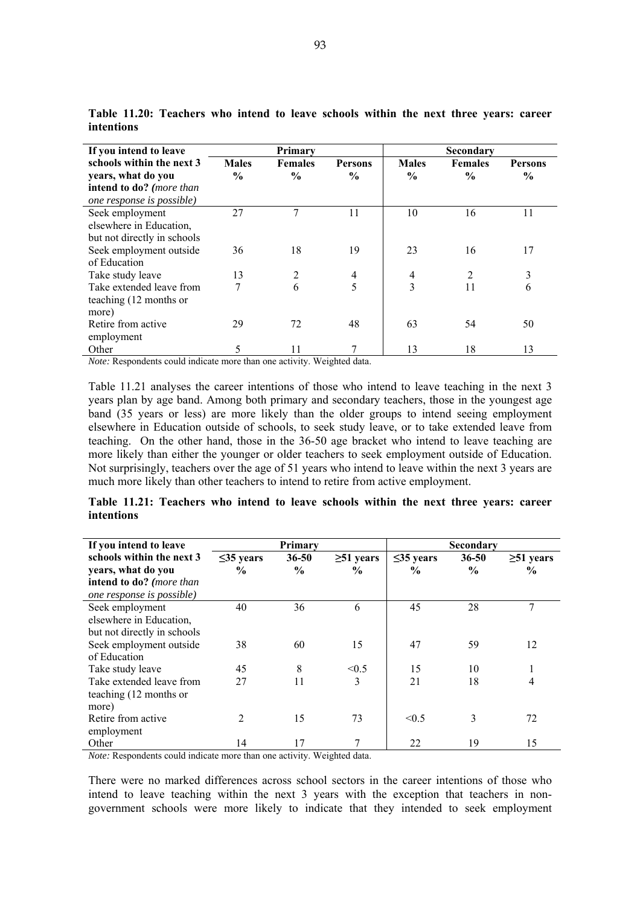| If you intend to leave                                                                                   |                               | Primary                         |                                 |                               | Secondary              |                                 |  |  |  |
|----------------------------------------------------------------------------------------------------------|-------------------------------|---------------------------------|---------------------------------|-------------------------------|------------------------|---------------------------------|--|--|--|
| schools within the next 3<br>years, what do you<br>intend to do? (more than<br>one response is possible) | <b>Males</b><br>$\frac{0}{0}$ | <b>Females</b><br>$\frac{6}{9}$ | <b>Persons</b><br>$\frac{6}{9}$ | <b>Males</b><br>$\frac{6}{9}$ | <b>Females</b><br>$\%$ | <b>Persons</b><br>$\frac{6}{9}$ |  |  |  |
| Seek employment<br>elsewhere in Education,<br>but not directly in schools                                | 27                            | 7                               | 11                              | 10                            | 16                     | 11                              |  |  |  |
| Seek employment outside<br>of Education                                                                  | 36                            | 18                              | 19                              | 23                            | 16                     | 17                              |  |  |  |
| Take study leave                                                                                         | 13                            | 2                               | $\overline{4}$                  | 4                             | 2                      | 3                               |  |  |  |
| Take extended leave from<br>teaching (12 months or<br>more)                                              | 7                             | 6                               | 5                               | 3                             | 11                     | 6                               |  |  |  |
| Retire from active<br>employment                                                                         | 29                            | 72                              | 48                              | 63                            | 54                     | 50                              |  |  |  |
| Other                                                                                                    | 5                             | 11                              |                                 | 13                            | 18                     | 13                              |  |  |  |

**Table 11.20: Teachers who intend to leave schools within the next three years: career intentions** 

*Note:* Respondents could indicate more than one activity. Weighted data.

Table 11.21 analyses the career intentions of those who intend to leave teaching in the next 3 years plan by age band. Among both primary and secondary teachers, those in the youngest age band (35 years or less) are more likely than the older groups to intend seeing employment elsewhere in Education outside of schools, to seek study leave, or to take extended leave from teaching. On the other hand, those in the 36-50 age bracket who intend to leave teaching are more likely than either the younger or older teachers to seek employment outside of Education. Not surprisingly, teachers over the age of 51 years who intend to leave within the next 3 years are much more likely than other teachers to intend to retire from active employment.

|            | Table 11.21: Teachers who intend to leave schools within the next three years: career |  |  |  |  |  |  |
|------------|---------------------------------------------------------------------------------------|--|--|--|--|--|--|
| intentions |                                                                                       |  |  |  |  |  |  |

| If you intend to leave      |                 | Primary       |                 | Secondary       |               |                 |  |
|-----------------------------|-----------------|---------------|-----------------|-----------------|---------------|-----------------|--|
| schools within the next 3   | $\leq$ 35 years | $36 - 50$     | $\geq 51$ years | $\leq$ 35 years | $36 - 50$     | $\geq 51$ years |  |
| years, what do you          | $\frac{6}{9}$   | $\frac{6}{9}$ | $\frac{6}{9}$   | $\frac{6}{9}$   | $\frac{0}{0}$ | $\frac{6}{9}$   |  |
| intend to do? (more than    |                 |               |                 |                 |               |                 |  |
| one response is possible)   |                 |               |                 |                 |               |                 |  |
| Seek employment             | 40              | 36            | 6               | 45              | 28            | 7               |  |
| elsewhere in Education,     |                 |               |                 |                 |               |                 |  |
| but not directly in schools |                 |               |                 |                 |               |                 |  |
| Seek employment outside     | 38              | 60            | 15              | 47              | 59            | 12              |  |
| of Education                |                 |               |                 |                 |               |                 |  |
| Take study leave            | 45              | 8             | < 0.5           | 15              | 10            |                 |  |
| Take extended leave from    | 27              | 11            | 3               | 21              | 18            | 4               |  |
| teaching (12 months or      |                 |               |                 |                 |               |                 |  |
| more)                       |                 |               |                 |                 |               |                 |  |
| Retire from active          | $\overline{2}$  | 15            | 73              | < 0.5           | 3             | 72              |  |
| employment                  |                 |               |                 |                 |               |                 |  |
| Other                       | 14              | 17            |                 | 22              | 19            | 15              |  |

*Note:* Respondents could indicate more than one activity. Weighted data.

There were no marked differences across school sectors in the career intentions of those who intend to leave teaching within the next 3 years with the exception that teachers in nongovernment schools were more likely to indicate that they intended to seek employment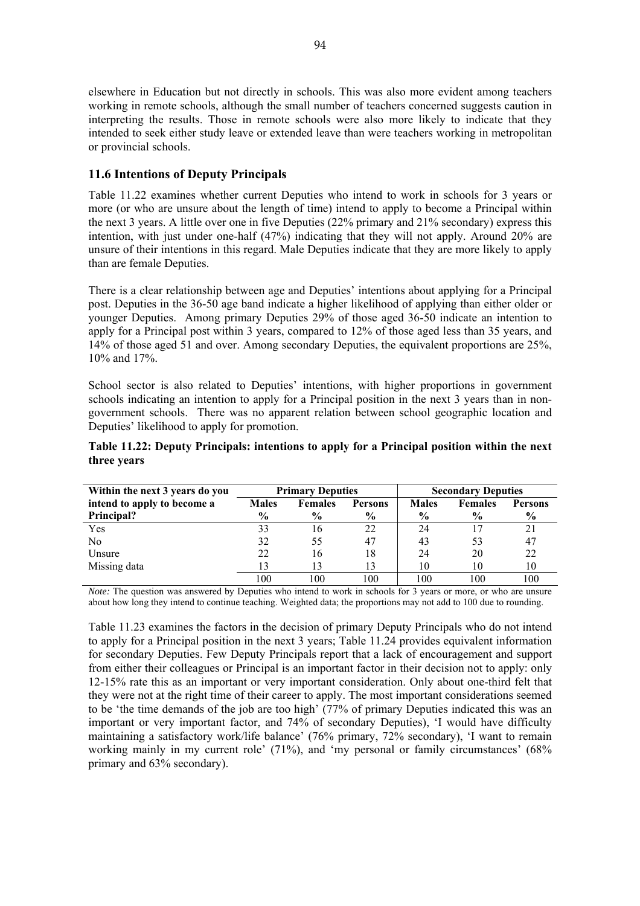elsewhere in Education but not directly in schools. This was also more evident among teachers working in remote schools, although the small number of teachers concerned suggests caution in interpreting the results. Those in remote schools were also more likely to indicate that they intended to seek either study leave or extended leave than were teachers working in metropolitan or provincial schools.

# **11.6 Intentions of Deputy Principals**

Table 11.22 examines whether current Deputies who intend to work in schools for 3 years or more (or who are unsure about the length of time) intend to apply to become a Principal within the next 3 years. A little over one in five Deputies (22% primary and 21% secondary) express this intention, with just under one-half (47%) indicating that they will not apply. Around 20% are unsure of their intentions in this regard. Male Deputies indicate that they are more likely to apply than are female Deputies.

There is a clear relationship between age and Deputies' intentions about applying for a Principal post. Deputies in the 36-50 age band indicate a higher likelihood of applying than either older or younger Deputies. Among primary Deputies 29% of those aged 36-50 indicate an intention to apply for a Principal post within 3 years, compared to 12% of those aged less than 35 years, and 14% of those aged 51 and over. Among secondary Deputies, the equivalent proportions are 25%, 10% and 17%.

School sector is also related to Deputies' intentions, with higher proportions in government schools indicating an intention to apply for a Principal position in the next 3 years than in nongovernment schools. There was no apparent relation between school geographic location and Deputies' likelihood to apply for promotion.

| Table 11.22: Deputy Principals: intentions to apply for a Principal position within the next |  |  |  |  |
|----------------------------------------------------------------------------------------------|--|--|--|--|
| three years                                                                                  |  |  |  |  |

| Within the next 3 years do you |               | <b>Primary Deputies</b> |                |               | <b>Secondary Deputies</b> |                |
|--------------------------------|---------------|-------------------------|----------------|---------------|---------------------------|----------------|
| intend to apply to become a    | <b>Males</b>  | <b>Females</b>          | <b>Persons</b> | <b>Males</b>  | <b>Females</b>            | <b>Persons</b> |
| Principal?                     | $\frac{6}{9}$ | $\frac{6}{9}$           | $\frac{6}{9}$  | $\frac{6}{9}$ | $\frac{0}{0}$             | $\frac{6}{9}$  |
| Yes                            | 33            | 16                      | 22             | 24            |                           | 21             |
| N <sub>0</sub>                 | 32            | 55                      | 47             | 43            | 53                        | 47             |
| Unsure                         | 22            | 16                      | 18             | 24            | 20                        | 22             |
| Missing data                   | 13            | 13                      | 13             | 10            | 10                        | 10             |
|                                | 100           | 100                     | 100            | 100           | 100                       | 100            |

*Note:* The question was answered by Deputies who intend to work in schools for 3 years or more, or who are unsure about how long they intend to continue teaching. Weighted data; the proportions may not add to 100 due to rounding.

Table 11.23 examines the factors in the decision of primary Deputy Principals who do not intend to apply for a Principal position in the next 3 years; Table 11.24 provides equivalent information for secondary Deputies. Few Deputy Principals report that a lack of encouragement and support from either their colleagues or Principal is an important factor in their decision not to apply: only 12-15% rate this as an important or very important consideration. Only about one-third felt that they were not at the right time of their career to apply. The most important considerations seemed to be 'the time demands of the job are too high' (77% of primary Deputies indicated this was an important or very important factor, and 74% of secondary Deputies), 'I would have difficulty maintaining a satisfactory work/life balance' (76% primary, 72% secondary), 'I want to remain working mainly in my current role' (71%), and 'my personal or family circumstances' (68%) primary and 63% secondary).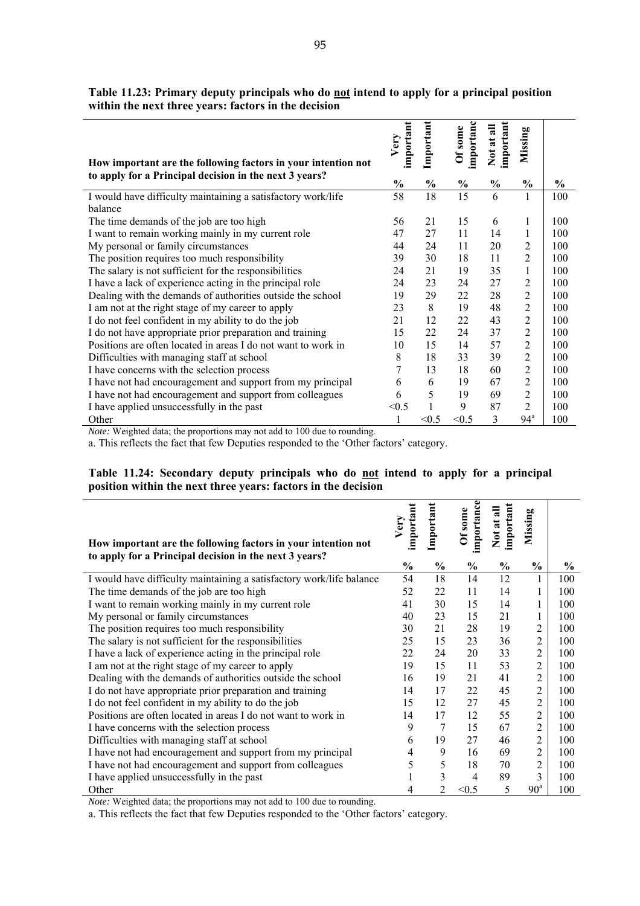| How important are the following factors in your intention not | important<br>Very | Important     | importanc<br>Of some | important<br>Not at all | Missing         |               |
|---------------------------------------------------------------|-------------------|---------------|----------------------|-------------------------|-----------------|---------------|
| to apply for a Principal decision in the next 3 years?        | $\frac{0}{0}$     | $\frac{0}{0}$ | $\frac{0}{0}$        | $\frac{0}{0}$           | $\frac{0}{0}$   | $\frac{1}{2}$ |
| I would have difficulty maintaining a satisfactory work/life  | 58                | 18            | 15                   | 6                       | 1               | 100           |
| balance                                                       |                   |               |                      |                         |                 |               |
| The time demands of the job are too high                      | 56                | 21            | 15                   | 6                       | 1               | 100           |
| I want to remain working mainly in my current role            | 47                | 27            | 11                   | 14                      | 1               | 100           |
| My personal or family circumstances                           | 44                | 24            | 11                   | 20                      | $\overline{2}$  | 100           |
| The position requires too much responsibility                 | 39                | 30            | 18                   | 11                      | $\overline{2}$  | 100           |
| The salary is not sufficient for the responsibilities         | 24                | 21            | 19                   | 35                      | 1               | 100           |
| I have a lack of experience acting in the principal role      | 24                | 23            | 24                   | 27                      | 2               | 100           |
| Dealing with the demands of authorities outside the school    | 19                | 29            | 22                   | 28                      | $\overline{2}$  | 100           |
| I am not at the right stage of my career to apply             | 23                | 8             | 19                   | 48                      | $\overline{2}$  | 100           |
| I do not feel confident in my ability to do the job           | 21                | 12            | 22                   | 43                      | $\overline{2}$  | 100           |
| I do not have appropriate prior preparation and training      | 15                | 22            | 24                   | 37                      | $\overline{2}$  | 100           |
| Positions are often located in areas I do not want to work in | 10                | 15            | 14                   | 57                      | $\overline{2}$  | 100           |
| Difficulties with managing staff at school                    | 8                 | 18            | 33                   | 39                      | $\overline{2}$  | 100           |
| I have concerns with the selection process                    | 7                 | 13            | 18                   | 60                      | $\overline{2}$  | 100           |
| I have not had encouragement and support from my principal    | 6                 | 6             | 19                   | 67                      | $\overline{2}$  | 100           |
| I have not had encouragement and support from colleagues      | 6                 | 5             | 19                   | 69                      | $\overline{2}$  | 100           |
| I have applied unsuccessfully in the past                     | < 0.5             |               | 9                    | 87                      | $\overline{2}$  | 100           |
| Other                                                         |                   | < 0.5         | < 0.5                | 3                       | 94 <sup>a</sup> | 100           |

Table 11.23: Primary deputy principals who do **not** intend to apply for a principal position **within the next three years: factors in the decision** 

*Note:* Weighted data; the proportions may not add to 100 due to rounding.

a. This reflects the fact that few Deputies responded to the 'Other factors' category.

#### **Table 11.24: Secondary deputy principals who do not intend to apply for a principal position within the next three years: factors in the decision**

| How important are the following factors in your intention not<br>to apply for a Principal decision in the next 3 years? | important<br>Very | Important     | importance<br>Of some | important<br>Not at all | Missing         |               |
|-------------------------------------------------------------------------------------------------------------------------|-------------------|---------------|-----------------------|-------------------------|-----------------|---------------|
|                                                                                                                         | $\frac{0}{0}$     | $\frac{0}{0}$ | $\frac{0}{0}$         | $\frac{0}{0}$           | $\frac{0}{0}$   | $\frac{0}{0}$ |
| I would have difficulty maintaining a satisfactory work/life balance                                                    | 54                | 18            | 14                    | 12                      | $\mathbf{1}$    | 100           |
| The time demands of the job are too high                                                                                | 52                | 22            | 11                    | 14                      | 1               | 100           |
| I want to remain working mainly in my current role                                                                      | 41                | 30            | 15                    | 14                      | 1               | 100           |
| My personal or family circumstances                                                                                     | 40                | 23            | 15                    | 21                      | 1               | 100           |
| The position requires too much responsibility                                                                           | 30                | 21            | 28                    | 19                      | $\overline{c}$  | 100           |
| The salary is not sufficient for the responsibilities                                                                   | 25                | 15            | 23                    | 36                      | $\overline{c}$  | 100           |
| I have a lack of experience acting in the principal role                                                                | 22                | 24            | 20                    | 33                      | 2               | 100           |
| I am not at the right stage of my career to apply                                                                       | 19                | 15            | 11                    | 53                      | $\overline{2}$  | 100           |
| Dealing with the demands of authorities outside the school                                                              | 16                | 19            | 21                    | 41                      | $\overline{c}$  | 100           |
| I do not have appropriate prior preparation and training                                                                | 14                | 17            | 22                    | 45                      | $\overline{c}$  | 100           |
| I do not feel confident in my ability to do the job                                                                     | 15                | 12            | 27                    | 45                      | $\overline{2}$  | 100           |
| Positions are often located in areas I do not want to work in                                                           | 14                | 17            | 12                    | 55                      | $\overline{c}$  | 100           |
| I have concerns with the selection process                                                                              | 9                 | 7             | 15                    | 67                      | $\overline{c}$  | 100           |
| Difficulties with managing staff at school                                                                              | 6                 | 19            | 27                    | 46                      | $\overline{c}$  | 100           |
| I have not had encouragement and support from my principal                                                              | 4                 | 9             | 16                    | 69                      | $\overline{c}$  | 100           |
| I have not had encouragement and support from colleagues                                                                | 5                 | 5             | 18                    | 70                      | $\overline{c}$  | 100           |
| I have applied unsuccessfully in the past                                                                               |                   | 3             | 4                     | 89                      | 3               | 100           |
| Other                                                                                                                   | 4                 | 2             | < 0.5                 | 5                       | 90 <sup>a</sup> | 100           |

*Note:* Weighted data; the proportions may not add to 100 due to rounding.

a. This reflects the fact that few Deputies responded to the 'Other factors' category.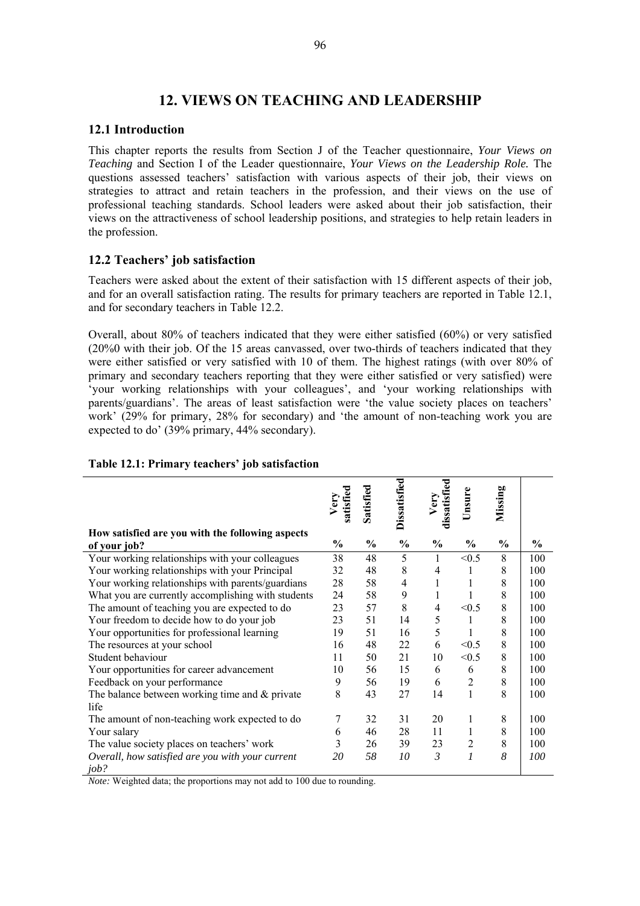# **12. VIEWS ON TEACHING AND LEADERSHIP**

#### **12.1 Introduction**

This chapter reports the results from Section J of the Teacher questionnaire, *Your Views on Teaching* and Section I of the Leader questionnaire, *Your Views on the Leadership Role.* The questions assessed teachers' satisfaction with various aspects of their job, their views on strategies to attract and retain teachers in the profession, and their views on the use of professional teaching standards. School leaders were asked about their job satisfaction, their views on the attractiveness of school leadership positions, and strategies to help retain leaders in the profession.

# **12.2 Teachers' job satisfaction**

Teachers were asked about the extent of their satisfaction with 15 different aspects of their job, and for an overall satisfaction rating. The results for primary teachers are reported in Table 12.1, and for secondary teachers in Table 12.2.

Overall, about 80% of teachers indicated that they were either satisfied (60%) or very satisfied (20%0 with their job. Of the 15 areas canvassed, over two-thirds of teachers indicated that they were either satisfied or very satisfied with 10 of them. The highest ratings (with over 80% of primary and secondary teachers reporting that they were either satisfied or very satisfied) were 'your working relationships with your colleagues', and 'your working relationships with parents/guardians'. The areas of least satisfaction were 'the value society places on teachers' work' (29% for primary, 28% for secondary) and 'the amount of non-teaching work you are expected to do' (39% primary, 44% secondary).

|                                                                  | atisfie<br>Very | Satisfied     | Dissatisfied   | dissatisfied<br>Very | Unsure         | Missing       |               |
|------------------------------------------------------------------|-----------------|---------------|----------------|----------------------|----------------|---------------|---------------|
|                                                                  |                 |               |                |                      |                |               |               |
| How satisfied are you with the following aspects<br>of your job? | $\frac{6}{9}$   | $\frac{0}{0}$ | $\frac{6}{6}$  | $\frac{6}{9}$        | $\frac{0}{0}$  | $\frac{6}{6}$ | $\frac{0}{0}$ |
| Your working relationships with your colleagues                  | 38              | 48            | 5              | 1                    | < 0.5          | 8             | 100           |
| Your working relationships with your Principal                   | 32              | 48            | $\,$ 8 $\,$    | 4                    | 1              | 8             | 100           |
| Your working relationships with parents/guardians                | 28              | 58            | $\overline{4}$ | 1                    |                | 8             | 100           |
| What you are currently accomplishing with students               | 24              | 58            | 9              | 1                    |                | 8             | 100           |
| The amount of teaching you are expected to do                    | 23              | 57            | 8              | 4                    | < 0.5          | 8             | 100           |
| Your freedom to decide how to do your job                        | 23              | 51            | 14             | 5                    | 1              | 8             | 100           |
| Your opportunities for professional learning                     | 19              | 51            | 16             | 5                    |                | 8             | 100           |
| The resources at your school                                     | 16              | 48            | 22             | 6                    | < 0.5          | 8             | 100           |
| Student behaviour                                                | 11              | 50            | 21             | 10                   | < 0.5          | 8             | 100           |
| Your opportunities for career advancement                        | 10              | 56            | 15             | 6                    | 6              | 8             | 100           |
| Feedback on your performance                                     | 9               | 56            | 19             | 6                    | $\overline{2}$ | 8             | 100           |
| The balance between working time and $&$ private                 | 8               | 43            | 27             | 14                   | 1              | 8             | 100           |
| life                                                             |                 |               |                |                      |                |               |               |
| The amount of non-teaching work expected to do                   | 7               | 32            | 31             | 20                   | 1              | 8             | 100           |
| Your salary                                                      | 6               | 46            | 28             | 11                   | 1              | 8             | 100           |
| The value society places on teachers' work                       | 3               | 26            | 39             | 23                   | $\overline{2}$ | 8             | 100           |
| Overall, how satisfied are you with your current<br>job?         | 20              | 58            | 10             | 3                    | $\mathcal{I}$  | 8             | 100           |

#### **Table 12.1: Primary teachers' job satisfaction**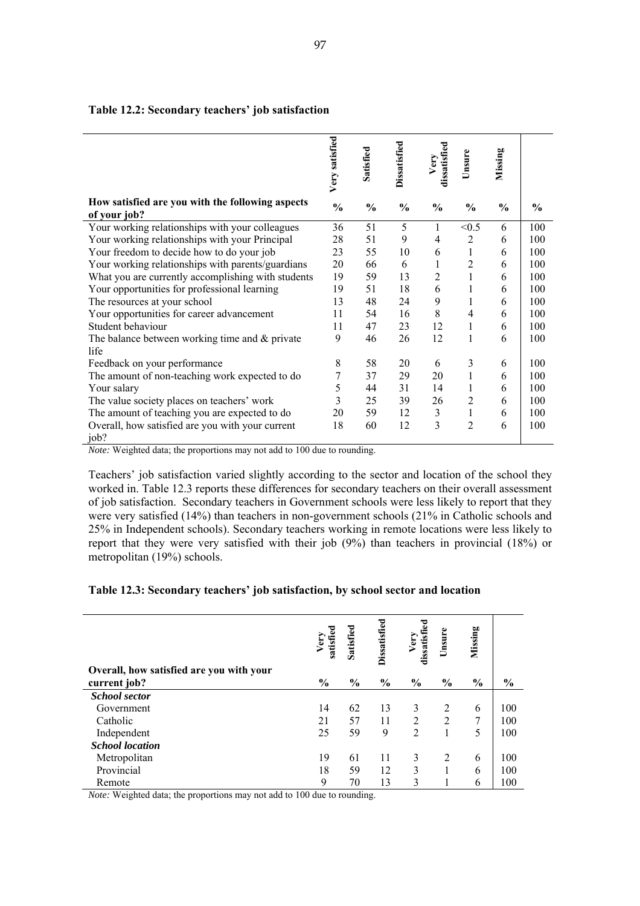|                                                                                                                                      | Very satisfied | Satisfied     | <b>Dissatisfied</b> | dissatisfied<br>Very | Unsure         | Missing       |               |
|--------------------------------------------------------------------------------------------------------------------------------------|----------------|---------------|---------------------|----------------------|----------------|---------------|---------------|
| How satisfied are you with the following aspects<br>of your job?                                                                     | $\frac{0}{0}$  | $\frac{0}{0}$ | $\frac{0}{0}$       | $\frac{6}{9}$        | $\frac{0}{0}$  | $\frac{6}{6}$ | $\frac{0}{0}$ |
| Your working relationships with your colleagues                                                                                      | 36             | 51            | 5                   | $\mathbf{1}$         | < 0.5          | 6             | 100           |
| Your working relationships with your Principal                                                                                       | 28             | 51            | 9                   | 4                    | $\overline{2}$ | 6             | 100           |
| Your freedom to decide how to do your job                                                                                            | 23             | 55            | 10                  | 6                    | 1              | 6             | 100           |
| Your working relationships with parents/guardians                                                                                    | 20             | 66            | 6                   | 1                    | $\overline{2}$ | 6             | 100           |
| What you are currently accomplishing with students                                                                                   | 19             | 59            | 13                  | 2                    |                | 6             | 100           |
| Your opportunities for professional learning                                                                                         | 19             | 51            | 18                  | 6                    |                | 6             | 100           |
| The resources at your school                                                                                                         | 13             | 48            | 24                  | 9                    |                | 6             | 100           |
| Your opportunities for career advancement                                                                                            | 11             | 54            | 16                  | 8                    | 4              | 6             | 100           |
| Student behaviour                                                                                                                    | 11             | 47            | 23                  | 12                   | 1              | 6             | 100           |
| The balance between working time and $\&$ private<br>life                                                                            | 9              | 46            | 26                  | 12                   | 1              | 6             | 100           |
| Feedback on your performance                                                                                                         | 8              | 58            | 20                  | 6                    | 3              | 6             | 100           |
| The amount of non-teaching work expected to do                                                                                       | 7              | 37            | 29                  | 20                   | 1              | 6             | 100           |
| Your salary                                                                                                                          | 5              | 44            | 31                  | 14                   | 1              | 6             | 100           |
| The value society places on teachers' work                                                                                           | 3              | 25            | 39                  | 26                   | 2              | 6             | 100           |
| The amount of teaching you are expected to do                                                                                        | 20             | 59            | 12                  | $\mathfrak{Z}$       |                | 6             | 100           |
| Overall, how satisfied are you with your current<br>job?<br>Mater Waighted data; the proportional may not add to 100 due to reunding | 18             | 60            | 12                  | 3                    | 2              | 6             | 100           |

#### **Table 12.2: Secondary teachers' job satisfaction**

*Note:* Weighted data; the proportions may not add to 100 due to rounding.

Teachers' job satisfaction varied slightly according to the sector and location of the school they worked in. Table 12.3 reports these differences for secondary teachers on their overall assessment of job satisfaction. Secondary teachers in Government schools were less likely to report that they were very satisfied (14%) than teachers in non-government schools (21% in Catholic schools and 25% in Independent schools). Secondary teachers working in remote locations were less likely to report that they were very satisfied with their job (9%) than teachers in provincial (18%) or metropolitan (19%) schools.

#### **Table 12.3: Secondary teachers' job satisfaction, by school sector and location**

|                                          | satisfi<br>$V$ er | Satisfied     | <b>Dissatisfied</b> | dissatisfied<br>Very | Unsure        | Missing       |                |
|------------------------------------------|-------------------|---------------|---------------------|----------------------|---------------|---------------|----------------|
| Overall, how satisfied are you with your |                   |               |                     |                      |               |               |                |
| current job?                             | $\frac{0}{0}$     | $\frac{0}{0}$ | $\frac{0}{0}$       | $\frac{0}{0}$        | $\frac{0}{0}$ | $\frac{0}{0}$ | $\frac{6}{10}$ |
| <b>School sector</b>                     |                   |               |                     |                      |               |               |                |
| Government                               | 14                | 62            | 13                  | 3                    | 2             | 6             | 100            |
| Catholic                                 | 21                | 57            | 11                  | 2                    | 2             | 7             | 100            |
| Independent                              | 25                | 59            | 9                   | $\overline{2}$       |               | 5             | 100            |
| <b>School location</b>                   |                   |               |                     |                      |               |               |                |
| Metropolitan                             | 19                | 61            | 11                  | 3                    | 2             | 6             | 100            |
| Provincial                               | 18                | 59            | 12                  | 3                    |               | 6             | 100            |
| Remote                                   | 9                 | 70            | 13                  | 3                    |               | 6             | 100            |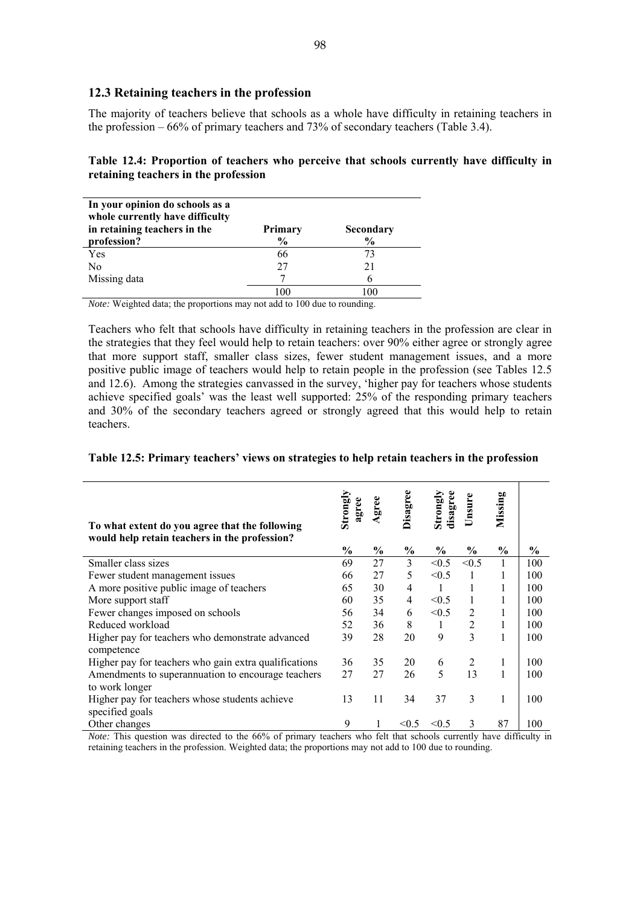### **12.3 Retaining teachers in the profession**

The majority of teachers believe that schools as a whole have difficulty in retaining teachers in the profession – 66% of primary teachers and 73% of secondary teachers (Table 3.4).

| Table 12.4: Proportion of teachers who perceive that schools currently have difficulty in |  |  |  |
|-------------------------------------------------------------------------------------------|--|--|--|
| retaining teachers in the profession                                                      |  |  |  |

| In your opinion do schools as a<br>whole currently have difficulty<br>in retaining teachers in the<br>profession? | <b>Primary</b><br>$\frac{6}{9}$ | Secondary<br>$\frac{0}{0}$ |
|-------------------------------------------------------------------------------------------------------------------|---------------------------------|----------------------------|
| Yes                                                                                                               | 66                              | 73                         |
| No                                                                                                                | 27                              | 21                         |
| Missing data                                                                                                      |                                 |                            |
|                                                                                                                   | 100                             |                            |

*Note:* Weighted data; the proportions may not add to 100 due to rounding.

Teachers who felt that schools have difficulty in retaining teachers in the profession are clear in the strategies that they feel would help to retain teachers: over 90% either agree or strongly agree that more support staff, smaller class sizes, fewer student management issues, and a more positive public image of teachers would help to retain people in the profession (see Tables 12.5 and 12.6). Among the strategies canvassed in the survey, 'higher pay for teachers whose students achieve specified goals' was the least well supported: 25% of the responding primary teachers and 30% of the secondary teachers agreed or strongly agreed that this would help to retain teachers.

| Table 12.5: Primary teachers' views on strategies to help retain teachers in the profession |  |
|---------------------------------------------------------------------------------------------|--|
|                                                                                             |  |

| To what extent do you agree that the following<br>would help retain teachers in the profession? | Strong<br>agree | gree          | Disagree      | disagree<br>Strong | Unsure         | Missing       |               |
|-------------------------------------------------------------------------------------------------|-----------------|---------------|---------------|--------------------|----------------|---------------|---------------|
|                                                                                                 | $\frac{0}{0}$   | $\frac{6}{9}$ | $\frac{0}{0}$ | $\frac{0}{0}$      | $\frac{0}{0}$  | $\frac{0}{0}$ | $\frac{6}{9}$ |
| Smaller class sizes                                                                             | 69              | 27            | 3             | < 0.5              | < 0.5          | 1             | 100           |
| Fewer student management issues                                                                 | 66              | 27            | 5             | < 0.5              | 1              | 1             | 100           |
| A more positive public image of teachers                                                        | 65              | 30            | 4             | 1                  | 1              | 1             | 100           |
| More support staff                                                                              | 60              | 35            | 4             | < 0.5              | 1              | 1             | 100           |
| Fewer changes imposed on schools                                                                | 56              | 34            | 6             | < 0.5              | 2              | 1             | 100           |
| Reduced workload                                                                                | 52              | 36            | 8             | 1                  | $\overline{2}$ | 1             | 100           |
| Higher pay for teachers who demonstrate advanced<br>competence                                  | 39              | 28            | 20            | 9                  | 3              | $\mathbf{1}$  | 100           |
| Higher pay for teachers who gain extra qualifications                                           | 36              | 35            | 20            | 6                  | 2              | $\mathbf{1}$  | 100           |
| Amendments to superannuation to encourage teachers<br>to work longer                            | 27              | 27            | 26            | 5                  | 13             | 1             | 100           |
| Higher pay for teachers whose students achieve<br>specified goals                               | 13              | 11            | 34            | 37                 | 3              | 1             | 100           |
| Other changes                                                                                   | 9               |               | < 0.5         | < 0.5              | 3              | 87            | 100           |

*Note:* This question was directed to the 66% of primary teachers who felt that schools currently have difficulty in retaining teachers in the profession. Weighted data; the proportions may not add to 100 due to rounding.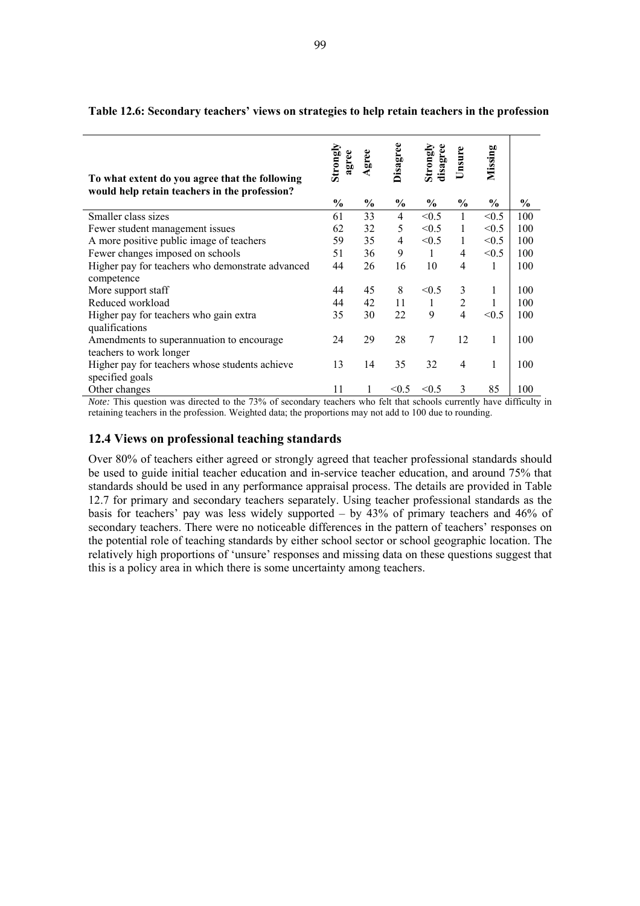| To what extent do you agree that the following<br>would help retain teachers in the profession? | Strongly<br>agree | gree          | Disagree       | disagree<br>Strongly | Jnsure         | Missing       |      |
|-------------------------------------------------------------------------------------------------|-------------------|---------------|----------------|----------------------|----------------|---------------|------|
|                                                                                                 | $\frac{6}{9}$     | $\frac{0}{0}$ | $\frac{0}{0}$  | $\frac{6}{6}$        | $\frac{0}{0}$  | $\frac{6}{9}$ | $\%$ |
| Smaller class sizes                                                                             | 61                | 33            | $\overline{4}$ | < 0.5                | 1              | < 0.5         | 100  |
| Fewer student management issues                                                                 | 62                | 32            | 5              | < 0.5                | 1              | < 0.5         | 100  |
| A more positive public image of teachers                                                        | 59                | 35            | 4              | < 0.5                | 1              | < 0.5         | 100  |
| Fewer changes imposed on schools                                                                | 51                | 36            | 9              | 1                    | 4              | < 0.5         | 100  |
| Higher pay for teachers who demonstrate advanced<br>competence                                  | 44                | 26            | 16             | 10                   | $\overline{4}$ | 1             | 100  |
| More support staff                                                                              | 44                | 45            | 8              | < 0.5                | 3              | 1             | 100  |
| Reduced workload                                                                                | 44                | 42            | 11             | $\mathbf{1}$         | 2              |               | 100  |
| Higher pay for teachers who gain extra                                                          | 35                | 30            | 22             | 9                    | $\overline{4}$ | < 0.5         | 100  |
| qualifications<br>Amendments to superannuation to encourage<br>teachers to work longer          | 24                | 29            | 28             | 7                    | 12             | 1             | 100  |
| Higher pay for teachers whose students achieve<br>specified goals                               | 13                | 14            | 35             | 32                   | $\overline{4}$ | 1             | 100  |
| Other changes                                                                                   | 11                |               | < 0.5          | < 0.5                | 3              | 85            | 100  |

**Table 12.6: Secondary teachers' views on strategies to help retain teachers in the profession** 

*Note:* This question was directed to the 73% of secondary teachers who felt that schools currently have difficulty in retaining teachers in the profession. Weighted data; the proportions may not add to 100 due to rounding.

## **12.4 Views on professional teaching standards**

l.

Over 80% of teachers either agreed or strongly agreed that teacher professional standards should be used to guide initial teacher education and in-service teacher education, and around 75% that standards should be used in any performance appraisal process. The details are provided in Table 12.7 for primary and secondary teachers separately. Using teacher professional standards as the basis for teachers' pay was less widely supported – by 43% of primary teachers and 46% of secondary teachers. There were no noticeable differences in the pattern of teachers' responses on the potential role of teaching standards by either school sector or school geographic location. The relatively high proportions of 'unsure' responses and missing data on these questions suggest that this is a policy area in which there is some uncertainty among teachers.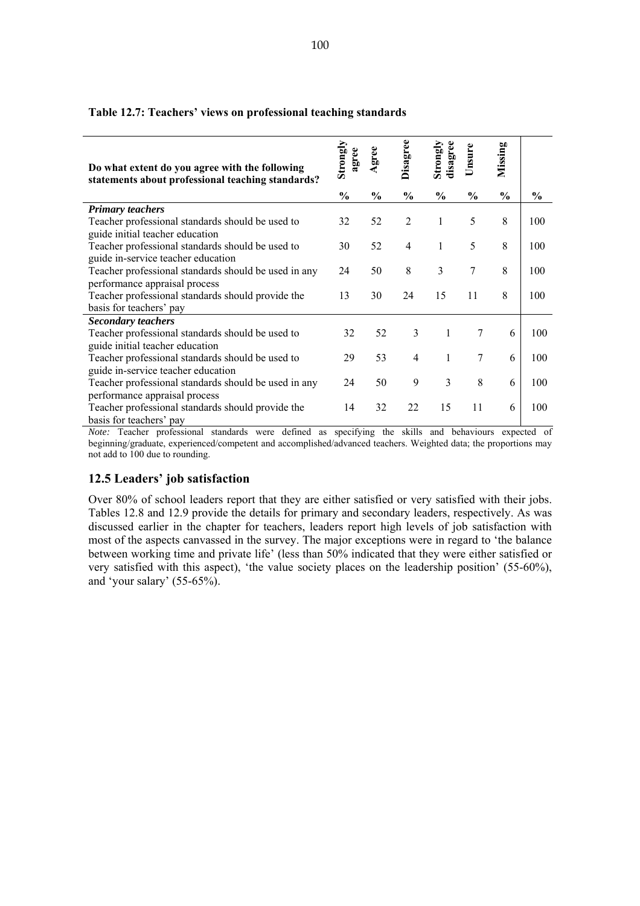#### **Table 12.7: Teachers' views on professional teaching standards**

| Do what extent do you agree with the following<br>statements about professional teaching standards? | Strongly<br>agree | Agree         | Disagree       | disagree<br>Strongly | Unsure        | Missing       |               |
|-----------------------------------------------------------------------------------------------------|-------------------|---------------|----------------|----------------------|---------------|---------------|---------------|
|                                                                                                     | $\frac{0}{0}$     | $\frac{0}{0}$ | $\frac{0}{0}$  | $\frac{0}{0}$        | $\frac{0}{0}$ | $\frac{6}{9}$ | $\frac{0}{0}$ |
| <b>Primary teachers</b>                                                                             |                   |               |                |                      |               |               |               |
| Teacher professional standards should be used to<br>guide initial teacher education                 | 32                | 52            | $\overline{2}$ | 1                    | 5             | 8             | 100           |
| Teacher professional standards should be used to<br>guide in-service teacher education              | 30                | 52            | 4              | 1                    | 5             | 8             | 100           |
| Teacher professional standards should be used in any<br>performance appraisal process               | 24                | 50            | 8              | 3                    | 7             | 8             | 100           |
| Teacher professional standards should provide the<br>basis for teachers' pay                        | 13                | 30            | 24             | 15                   | 11            | 8             | 100           |
| <b>Secondary teachers</b>                                                                           |                   |               |                |                      |               |               |               |
| Teacher professional standards should be used to<br>guide initial teacher education                 | 32                | 52            | 3              | $\mathbf{1}$         | 7             | 6             | 100           |
| Teacher professional standards should be used to<br>guide in-service teacher education              | 29                | 53            | $\overline{4}$ | 1                    | 7             | 6             | 100           |
| Teacher professional standards should be used in any<br>performance appraisal process               | 24                | 50            | 9              | 3                    | 8             | 6             | 100           |
| Teacher professional standards should provide the<br>basis for teachers' pay                        | 14                | 32            | 22             | 15                   | 11            | 6             | 100           |

*Note:* Teacher professional standards were defined as specifying the skills and behaviours expected of beginning/graduate, experienced/competent and accomplished/advanced teachers. Weighted data; the proportions may not add to 100 due to rounding.

# **12.5 Leaders' job satisfaction**

Over 80% of school leaders report that they are either satisfied or very satisfied with their jobs. Tables 12.8 and 12.9 provide the details for primary and secondary leaders, respectively. As was discussed earlier in the chapter for teachers, leaders report high levels of job satisfaction with most of the aspects canvassed in the survey. The major exceptions were in regard to 'the balance between working time and private life' (less than 50% indicated that they were either satisfied or very satisfied with this aspect), 'the value society places on the leadership position' (55-60%), and 'your salary' (55-65%).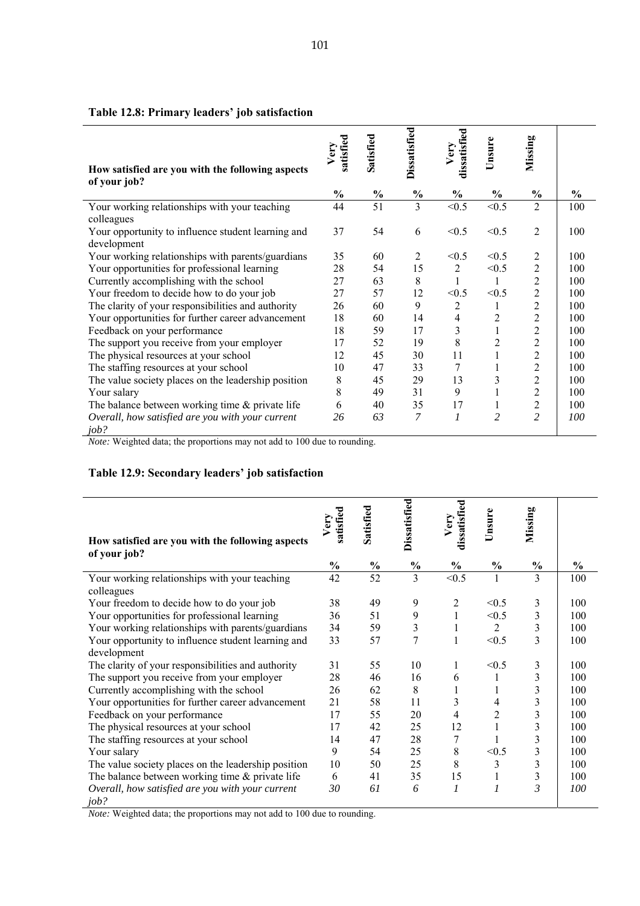| How satisfied are you with the following aspects                  | satisfied<br>Ver | Satisfied     | Dissatisfied   | dissatisfied<br>Very | Unsure         | Missing        |      |
|-------------------------------------------------------------------|------------------|---------------|----------------|----------------------|----------------|----------------|------|
| of your job?                                                      |                  |               |                |                      |                |                |      |
|                                                                   | $\frac{0}{0}$    | $\frac{0}{0}$ | $\frac{0}{0}$  | $\frac{0}{0}$        | $\frac{0}{0}$  | $\frac{0}{0}$  | $\%$ |
| Your working relationships with your teaching<br>colleagues       | 44               | 51            | 3              | < 0.5                | < 0.5          | $\overline{2}$ | 100  |
| Your opportunity to influence student learning and<br>development | 37               | 54            | 6              | < 0.5                | < 0.5          | $\overline{2}$ | 100  |
| Your working relationships with parents/guardians                 | 35               | 60            | $\overline{2}$ | < 0.5                | < 0.5          | $\overline{c}$ | 100  |
| Your opportunities for professional learning                      | 28               | 54            | 15             | 2                    | < 0.5          | $\overline{c}$ | 100  |
| Currently accomplishing with the school                           | 27               | 63            | 8              | 1                    | 1              | $\overline{c}$ | 100  |
| Your freedom to decide how to do your job                         | 27               | 57            | 12             | < 0.5                | < 0.5          | $\overline{c}$ | 100  |
| The clarity of your responsibilities and authority                | 26               | 60            | 9              | $\overline{c}$       | 1              | $\overline{c}$ | 100  |
| Your opportunities for further career advancement                 | 18               | 60            | 14             | $\overline{4}$       | 2              | $\overline{c}$ | 100  |
| Feedback on your performance                                      | 18               | 59            | 17             | 3                    | 1              | $\overline{c}$ | 100  |
| The support you receive from your employer                        | 17               | 52            | 19             | 8                    | 2              | $\overline{2}$ | 100  |
| The physical resources at your school                             | 12               | 45            | 30             | 11                   | 1              | $\overline{c}$ | 100  |
| The staffing resources at your school                             | 10               | 47            | 33             | 7                    |                | $\overline{2}$ | 100  |
| The value society places on the leadership position               | 8                | 45            | 29             | 13                   | 3              | $\overline{c}$ | 100  |
| Your salary                                                       | 8                | 49            | 31             | 9                    |                | $\overline{c}$ | 100  |
| The balance between working time $\&$ private life                | 6                | 40            | 35             | 17                   | 1              | $\overline{c}$ | 100  |
| Overall, how satisfied are you with your current<br>job?          | 26               | 63            | 7              | $\mathcal{I}$        | $\overline{c}$ | $\overline{2}$ | 100  |

# **Table 12.8: Primary leaders' job satisfaction**

*Note:* Weighted data; the proportions may not add to 100 due to rounding.

# **Table 12.9: Secondary leaders' job satisfaction**

| How satisfied are you with the following aspects         | satisfied<br>Very | Satisfied     | Dissatisfied  | dissatisfied<br>Very | Unsure         | Missing                 |               |
|----------------------------------------------------------|-------------------|---------------|---------------|----------------------|----------------|-------------------------|---------------|
| of your job?                                             | $\frac{0}{0}$     | $\frac{0}{0}$ | $\frac{0}{0}$ | $\frac{0}{0}$        | $\frac{0}{0}$  | $\frac{0}{0}$           | $\frac{6}{9}$ |
| Your working relationships with your teaching            | 42                | 52            | 3             | < 0.5                |                | 3                       | 100           |
| colleagues<br>Your freedom to decide how to do your job  | 38                | 49            | 9             | $\overline{2}$       | < 0.5          | 3                       | 100           |
| Your opportunities for professional learning             | 36                | 51            | 9             | $\mathbf{1}$         | < 0.5          | 3                       | 100           |
| Your working relationships with parents/guardians        | 34                | 59            | 3             | 1                    | $\overline{2}$ | 3                       | 100           |
| Your opportunity to influence student learning and       | 33                | 57            | 7             | 1                    | < 0.5          | $\overline{3}$          | 100           |
| development                                              |                   |               |               |                      |                |                         |               |
| The clarity of your responsibilities and authority       | 31                | 55            | 10            | 1                    | < 0.5          | 3                       | 100           |
| The support you receive from your employer               | 28                | 46            | 16            | 6                    | 1              | $\mathfrak{Z}$          | 100           |
| Currently accomplishing with the school                  | 26                | 62            | 8             | 1                    |                | 3                       | 100           |
| Your opportunities for further career advancement        | 21                | 58            | 11            | 3                    | 4              | 3                       | 100           |
| Feedback on your performance                             | 17                | 55            | 20            | $\overline{4}$       | 2              | 3                       | 100           |
| The physical resources at your school                    | 17                | 42            | 25            | 12                   | $\mathbf{1}$   | 3                       | 100           |
| The staffing resources at your school                    | 14                | 47            | 28            | 7                    |                | 3                       | 100           |
| Your salary                                              | 9                 | 54            | 25            | 8                    | < 0.5          | 3                       | 100           |
| The value society places on the leadership position      | 10                | 50            | 25            | 8                    | 3              | $\overline{\mathbf{3}}$ | 100           |
| The balance between working time $\&$ private life       | 6                 | 41            | 35            | 15                   | 1              | 3                       | 100           |
| Overall, how satisfied are you with your current<br>job? | 30                | 61            | 6             | 1                    | $\mathcal{I}$  | 3                       | 100           |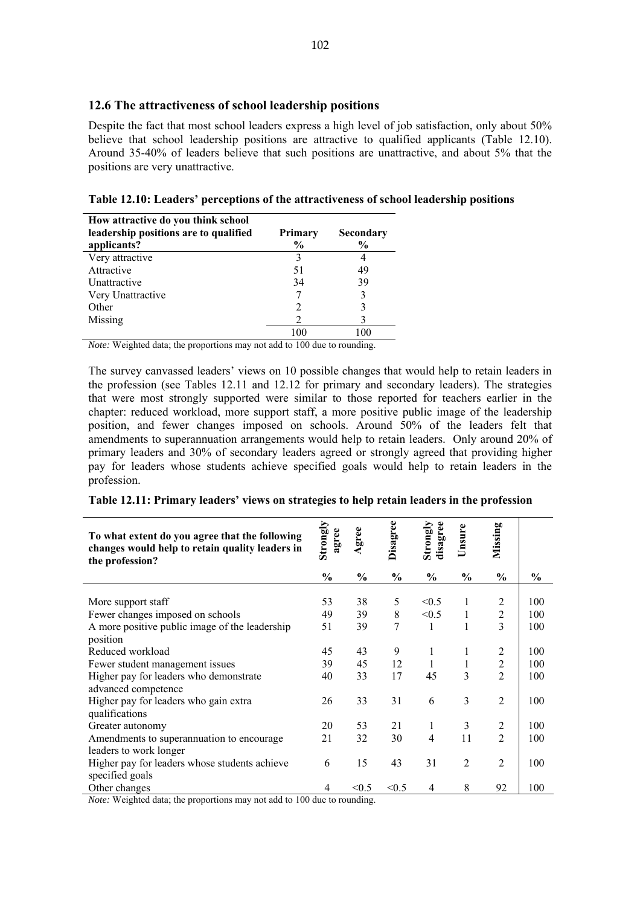#### **12.6 The attractiveness of school leadership positions**

Despite the fact that most school leaders express a high level of job satisfaction, only about 50% believe that school leadership positions are attractive to qualified applicants (Table 12.10). Around 35-40% of leaders believe that such positions are unattractive, and about 5% that the positions are very unattractive.

| Table 12.10: Leaders' perceptions of the attractiveness of school leadership positions |
|----------------------------------------------------------------------------------------|
|----------------------------------------------------------------------------------------|

| How attractive do you think school    |                |               |
|---------------------------------------|----------------|---------------|
| leadership positions are to qualified | <b>Primary</b> | Secondary     |
| applicants?                           | $\frac{6}{9}$  | $\frac{6}{9}$ |
| Very attractive                       |                | 4             |
| Attractive                            | 51             | 49            |
| Unattractive                          | 34             | 39            |
| Very Unattractive                     |                | 3             |
| Other                                 |                | 3             |
| Missing                               |                |               |
|                                       | 100            |               |

*Note:* Weighted data; the proportions may not add to 100 due to rounding.

The survey canvassed leaders' views on 10 possible changes that would help to retain leaders in the profession (see Tables 12.11 and 12.12 for primary and secondary leaders). The strategies that were most strongly supported were similar to those reported for teachers earlier in the chapter: reduced workload, more support staff, a more positive public image of the leadership position, and fewer changes imposed on schools. Around 50% of the leaders felt that amendments to superannuation arrangements would help to retain leaders. Only around 20% of primary leaders and 30% of secondary leaders agreed or strongly agreed that providing higher pay for leaders whose students achieve specified goals would help to retain leaders in the profession.

|  | Table 12.11: Primary leaders' views on strategies to help retain leaders in the profession |  |
|--|--------------------------------------------------------------------------------------------|--|
|  |                                                                                            |  |

| To what extent do you agree that the following<br>changes would help to retain quality leaders in<br>the profession? | Strongly<br>agree | gree<br>ď.    | Disagree       | disagree<br>Strongly | Unsure         | Missing        |               |
|----------------------------------------------------------------------------------------------------------------------|-------------------|---------------|----------------|----------------------|----------------|----------------|---------------|
|                                                                                                                      | $\frac{0}{0}$     | $\frac{0}{0}$ | $\frac{0}{0}$  | $\frac{0}{0}$        | $\frac{0}{0}$  | $\frac{0}{0}$  | $\frac{0}{0}$ |
| More support staff                                                                                                   | 53                | 38            | 5              | < 0.5                | 1              | 2              | 100           |
| Fewer changes imposed on schools                                                                                     | 49                | 39            | 8              | < 0.5                | $\mathbf{1}$   | $\overline{c}$ | 100           |
| A more positive public image of the leadership<br>position                                                           | 51                | 39            | $\overline{7}$ |                      | 1              | $\overline{3}$ | 100           |
| Reduced workload                                                                                                     | 45                | 43            | 9              | 1                    | 1              | $\overline{2}$ | 100           |
| Fewer student management issues                                                                                      | 39                | 45            | 12             | $\mathbf{1}$         | $\mathbf{1}$   | $\overline{2}$ | 100           |
| Higher pay for leaders who demonstrate<br>advanced competence                                                        | 40                | 33            | 17             | 45                   | 3              | $\overline{2}$ | 100           |
| Higher pay for leaders who gain extra<br>qualifications                                                              | 26                | 33            | 31             | 6                    | 3              | $\overline{2}$ | 100           |
| Greater autonomy                                                                                                     | 20                | 53            | 21             | 1                    | 3              | $\overline{c}$ | 100           |
| Amendments to superannuation to encourage<br>leaders to work longer                                                  | 21                | 32            | 30             | 4                    | 11             | $\overline{2}$ | 100           |
| Higher pay for leaders whose students achieve<br>specified goals                                                     | 6                 | 15            | 43             | 31                   | $\overline{2}$ | $\overline{2}$ | 100           |
| Other changes                                                                                                        | 4                 | < 0.5         | < 0.5          | 4                    | 8              | 92             | 100           |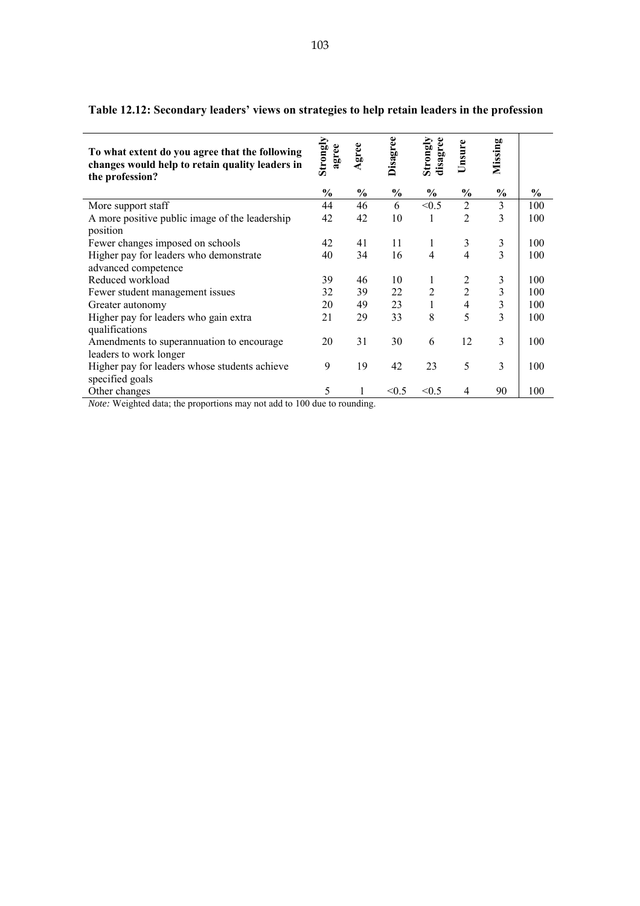| To what extent do you agree that the following<br>changes would help to retain quality leaders in<br>the profession? | Strongly<br>agree | Agree         | Disagree | disagree<br>Strong | Unsure                   | Missing       |               |
|----------------------------------------------------------------------------------------------------------------------|-------------------|---------------|----------|--------------------|--------------------------|---------------|---------------|
|                                                                                                                      | $\frac{0}{0}$     | $\frac{0}{0}$ | $\%$     | $\frac{0}{0}$      | $\frac{0}{0}$            | $\frac{0}{0}$ | $\frac{0}{0}$ |
| More support staff                                                                                                   | 44                | 46            | 6        | < 0.5              | 2                        | 3             | 100           |
| A more positive public image of the leadership                                                                       | 42                | 42            | 10       | 1                  | $\overline{2}$           | 3             | 100           |
| position                                                                                                             |                   |               |          |                    |                          |               |               |
| Fewer changes imposed on schools                                                                                     | 42                | 41            | 11       | 1                  | 3                        | 3             | 100           |
| Higher pay for leaders who demonstrate                                                                               | 40                | 34            | 16       | $\overline{4}$     | $\overline{4}$           | 3             | 100           |
| advanced competence                                                                                                  |                   |               |          |                    |                          |               |               |
| Reduced workload                                                                                                     | 39                | 46            | 10       | 1                  | 2                        | 3             | 100           |
| Fewer student management issues                                                                                      | 32                | 39            | 22       | $\overline{2}$     | $\overline{2}$           | 3             | 100           |
| Greater autonomy                                                                                                     | 20                | 49            | 23       | $\mathbf{1}$       | $\overline{\mathcal{A}}$ | 3             | 100           |
| Higher pay for leaders who gain extra                                                                                | 21                | 29            | 33       | 8                  | 5                        | 3             | 100           |
| qualifications                                                                                                       |                   |               |          |                    |                          |               |               |
| Amendments to superannuation to encourage                                                                            | 20                | 31            | 30       | 6                  | 12                       | 3             | 100           |
| leaders to work longer                                                                                               |                   |               |          |                    |                          |               |               |
| Higher pay for leaders whose students achieve                                                                        | 9                 | 19            | 42       | 23                 | 5                        | 3             | 100           |
| specified goals                                                                                                      |                   |               |          |                    |                          |               |               |
| Other changes                                                                                                        | 5                 |               | < 0.5    | < 0.5              | 4                        | 90            | 100           |
| $\cdot$<br>(11/1001)<br>37.777771711777<br>$\cdot$ 1                                                                 |                   | $1^{\circ}$   |          |                    |                          |               |               |

# **Table 12.12: Secondary leaders' views on strategies to help retain leaders in the profession**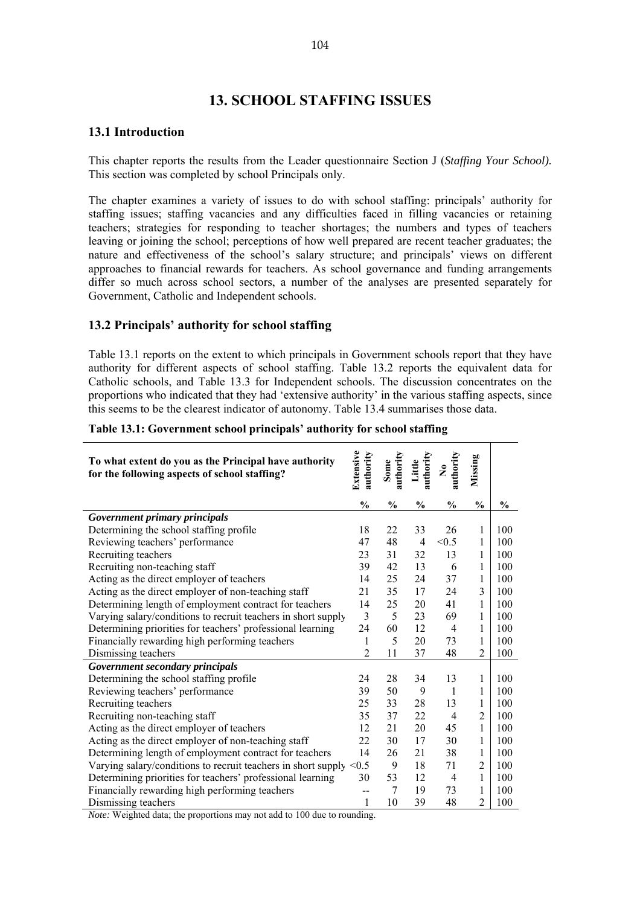# **13. SCHOOL STAFFING ISSUES**

#### **13.1 Introduction**

This chapter reports the results from the Leader questionnaire Section J (*Staffing Your School).*  This section was completed by school Principals only.

The chapter examines a variety of issues to do with school staffing: principals' authority for staffing issues; staffing vacancies and any difficulties faced in filling vacancies or retaining teachers; strategies for responding to teacher shortages; the numbers and types of teachers leaving or joining the school; perceptions of how well prepared are recent teacher graduates; the nature and effectiveness of the school's salary structure; and principals' views on different approaches to financial rewards for teachers. As school governance and funding arrangements differ so much across school sectors, a number of the analyses are presented separately for Government, Catholic and Independent schools.

## **13.2 Principals' authority for school staffing**

Table 13.1 reports on the extent to which principals in Government schools report that they have authority for different aspects of school staffing. Table 13.2 reports the equivalent data for Catholic schools, and Table 13.3 for Independent schools. The discussion concentrates on the proportions who indicated that they had 'extensive authority' in the various staffing aspects, since this seems to be the clearest indicator of autonomy. Table 13.4 summarises those data.

| To what extent do you as the Principal have authority<br>for the following aspects of school staffing? | Extensive<br>authority | authority<br>Some | authority<br>Little | authority<br>$\mathbf{\hat{z}}$ | Missing        |               |
|--------------------------------------------------------------------------------------------------------|------------------------|-------------------|---------------------|---------------------------------|----------------|---------------|
|                                                                                                        | $\frac{0}{0}$          | $\frac{0}{0}$     | $\frac{0}{0}$       | $\frac{0}{0}$                   | $\frac{0}{0}$  | $\frac{0}{0}$ |
| Government primary principals                                                                          |                        |                   |                     |                                 |                |               |
| Determining the school staffing profile                                                                | 18                     | 22                | 33                  | 26                              | 1              | 100           |
| Reviewing teachers' performance                                                                        | 47                     | 48                | 4                   | < 0.5                           | 1              | 100           |
| Recruiting teachers                                                                                    | 23                     | 31                | 32                  | 13                              | $\mathbf{1}$   | 100           |
| Recruiting non-teaching staff                                                                          | 39                     | 42                | 13                  | 6                               | $\mathbf{1}$   | 100           |
| Acting as the direct employer of teachers                                                              | 14                     | 25                | 24                  | 37                              | $\mathbf{1}$   | 100           |
| Acting as the direct employer of non-teaching staff                                                    | 21                     | 35                | 17                  | 24                              | 3              | 100           |
| Determining length of employment contract for teachers                                                 | 14                     | 25                | 20                  | 41                              | $\mathbf{1}$   | 100           |
| Varying salary/conditions to recruit teachers in short supply                                          | 3                      | 5                 | 23                  | 69                              | $\mathbf{1}$   | 100           |
| Determining priorities for teachers' professional learning                                             | 24                     | 60                | 12                  | $\overline{4}$                  | $\mathbf{1}$   | 100           |
| Financially rewarding high performing teachers                                                         | 1                      | 5                 | 20                  | 73                              | 1              | 100           |
| Dismissing teachers                                                                                    | $\overline{2}$         | 11                | 37                  | 48                              | $\overline{2}$ | 100           |
| Government secondary principals                                                                        |                        |                   |                     |                                 |                |               |
| Determining the school staffing profile                                                                | 24                     | 28                | 34                  | 13                              | 1              | 100           |
| Reviewing teachers' performance                                                                        | 39                     | 50                | 9                   | $\mathbf{1}$                    | 1              | 100           |
| Recruiting teachers                                                                                    | 25                     | 33                | 28                  | 13                              | 1              | 100           |
| Recruiting non-teaching staff                                                                          | 35                     | 37                | 22                  | $\overline{4}$                  | 2              | 100           |
| Acting as the direct employer of teachers                                                              | 12                     | 21                | 20                  | 45                              | $\mathbf{1}$   | 100           |
| Acting as the direct employer of non-teaching staff                                                    | 22                     | 30                | 17                  | 30                              | $\mathbf{1}$   | 100           |
| Determining length of employment contract for teachers                                                 | 14                     | 26                | 21                  | 38                              | $\mathbf{1}$   | 100           |
| Varying salary/conditions to recruit teachers in short supply                                          | < 0.5                  | 9                 | 18                  | 71                              | 2              | 100           |
| Determining priorities for teachers' professional learning                                             | 30                     | 53                | 12                  | $\overline{4}$                  | $\mathbf{1}$   | 100           |
| Financially rewarding high performing teachers                                                         |                        | 7                 | 19                  | 73                              | 1              | 100           |
| Dismissing teachers                                                                                    | 1                      | 10                | 39                  | 48                              | $\overline{c}$ | 100           |

#### **Table 13.1: Government school principals' authority for school staffing**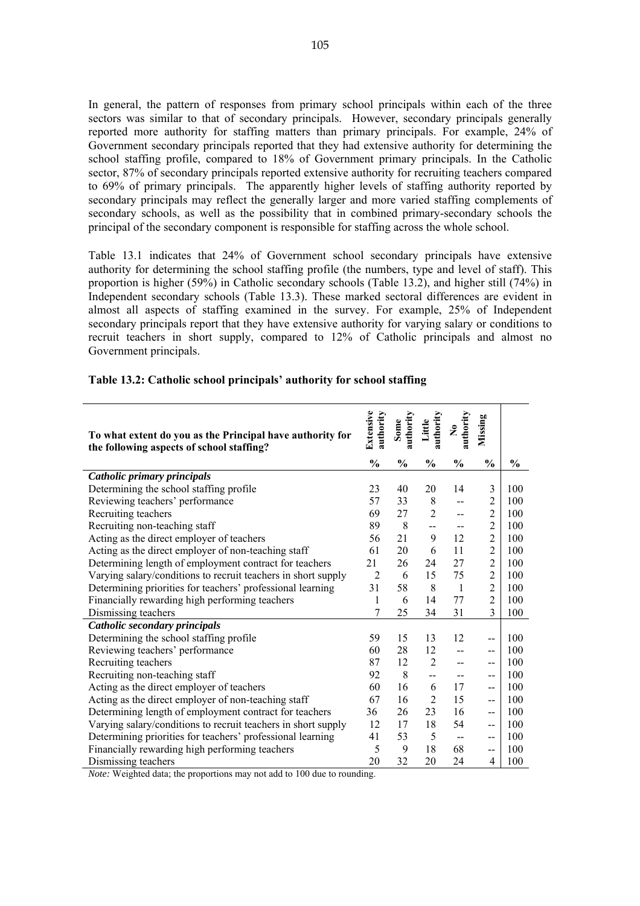In general, the pattern of responses from primary school principals within each of the three sectors was similar to that of secondary principals. However, secondary principals generally reported more authority for staffing matters than primary principals. For example, 24% of Government secondary principals reported that they had extensive authority for determining the school staffing profile, compared to 18% of Government primary principals. In the Catholic sector, 87% of secondary principals reported extensive authority for recruiting teachers compared to 69% of primary principals. The apparently higher levels of staffing authority reported by secondary principals may reflect the generally larger and more varied staffing complements of secondary schools, as well as the possibility that in combined primary-secondary schools the principal of the secondary component is responsible for staffing across the whole school.

Table 13.1 indicates that 24% of Government school secondary principals have extensive authority for determining the school staffing profile (the numbers, type and level of staff). This proportion is higher (59%) in Catholic secondary schools (Table 13.2), and higher still (74%) in Independent secondary schools (Table 13.3). These marked sectoral differences are evident in almost all aspects of staffing examined in the survey. For example, 25% of Independent secondary principals report that they have extensive authority for varying salary or conditions to recruit teachers in short supply, compared to 12% of Catholic principals and almost no Government principals.

| To what extent do you as the Principal have authority for<br>the following aspects of school staffing? | Extensive<br>authority | authority<br>Some | authority<br>Little      | authority<br>$\tilde{\mathbf{z}}$ | Missing        |               |
|--------------------------------------------------------------------------------------------------------|------------------------|-------------------|--------------------------|-----------------------------------|----------------|---------------|
|                                                                                                        | $\frac{0}{0}$          | $\%$              | $\%$                     | $\frac{0}{0}$                     | $\frac{0}{0}$  | $\frac{0}{0}$ |
| Catholic primary principals                                                                            |                        |                   |                          |                                   |                |               |
| Determining the school staffing profile                                                                | 23                     | 40                | 20                       | 14                                | 3              | 100           |
| Reviewing teachers' performance                                                                        | 57                     | 33                | 8                        | $\overline{a}$                    | $\overline{2}$ | 100           |
| Recruiting teachers                                                                                    | 69                     | 27                | $\overline{2}$           | --                                | $\overline{2}$ | 100           |
| Recruiting non-teaching staff                                                                          | 89                     | 8                 | $-$                      | $\overline{a}$                    | $\overline{2}$ | 100           |
| Acting as the direct employer of teachers                                                              | 56                     | 21                | 9                        | 12                                | $\overline{2}$ | 100           |
| Acting as the direct employer of non-teaching staff                                                    | 61                     | 20                | 6                        | 11                                | $\overline{2}$ | 100           |
| Determining length of employment contract for teachers                                                 | 21                     | 26                | 24                       | 27                                | $\overline{2}$ | 100           |
| Varying salary/conditions to recruit teachers in short supply                                          | $\overline{2}$         | 6                 | 15                       | 75                                | $\overline{2}$ | 100           |
| Determining priorities for teachers' professional learning                                             | 31                     | 58                | 8                        | $\overline{1}$                    | $\overline{2}$ | 100           |
| Financially rewarding high performing teachers                                                         | 1                      | 6                 | 14                       | 77                                | $\overline{2}$ | 100           |
| Dismissing teachers                                                                                    | 7                      | 25                | 34                       | 31                                | 3              | 100           |
| Catholic secondary principals                                                                          |                        |                   |                          |                                   |                |               |
| Determining the school staffing profile                                                                | 59                     | 15                | 13                       | 12                                | $-$            | 100           |
| Reviewing teachers' performance                                                                        | 60                     | 28                | 12                       | $-$                               | $-$            | 100           |
| Recruiting teachers                                                                                    | 87                     | 12                | $\overline{2}$           | --                                | $- -$          | 100           |
| Recruiting non-teaching staff                                                                          | 92                     | 8                 | $\overline{\phantom{a}}$ | $-$                               | --             | 100           |
| Acting as the direct employer of teachers                                                              | 60                     | 16                | 6                        | 17                                | --             | 100           |
| Acting as the direct employer of non-teaching staff                                                    | 67                     | 16                | $\overline{2}$           | 15                                | $-$            | 100           |
| Determining length of employment contract for teachers                                                 | 36                     | 26                | 23                       | 16                                | --             | 100           |
| Varying salary/conditions to recruit teachers in short supply                                          | 12                     | 17                | 18                       | 54                                | $\overline{a}$ | 100           |
| Determining priorities for teachers' professional learning                                             | 41                     | 53                | 5                        | $\overline{\phantom{a}}$          | --             | 100           |
| Financially rewarding high performing teachers                                                         | 5                      | 9                 | 18                       | 68                                | $-$            | 100           |
| Dismissing teachers                                                                                    | 20                     | 32                | 20                       | 24                                | 4              | 100           |

#### **Table 13.2: Catholic school principals' authority for school staffing**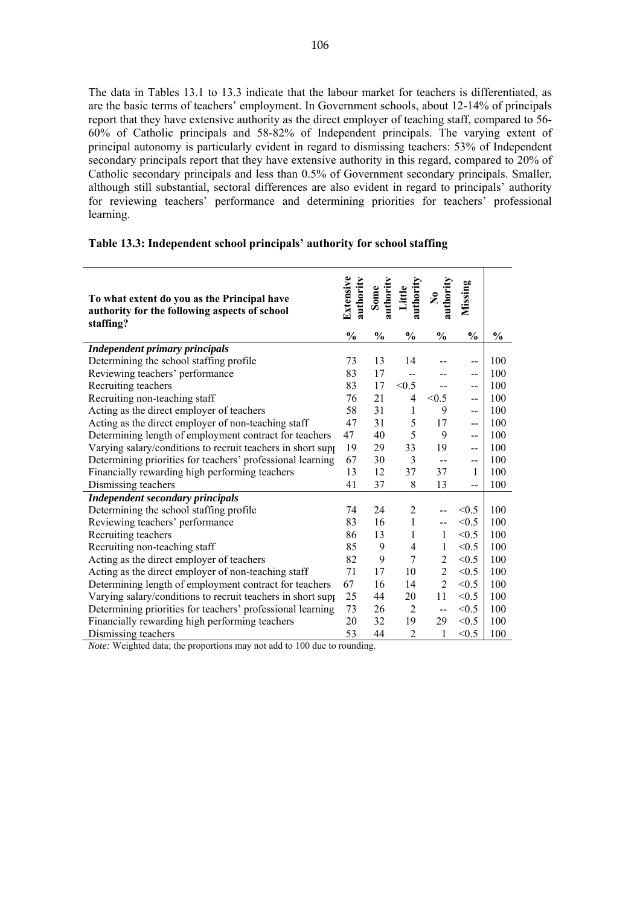The data in Tables 13.1 to 13.3 indicate that the labour market for teachers is differentiated, as are the basic terms of teachers' employment. In Government schools, about 12-14% of principals report that they have extensive authority as the direct employer of teaching staff, compared to 56- 60% of Catholic principals and 58-82% of Independent principals. The varying extent of principal autonomy is particularly evident in regard to dismissing teachers: 53% of Independent secondary principals report that they have extensive authority in this regard, compared to 20% of Catholic secondary principals and less than 0.5% of Government secondary principals. Smaller, although still substantial, sectoral differences are also evident in regard to principals' authority for reviewing teachers' performance and determining priorities for teachers' professional learning.

# **Table 13.3: Independent school principals' authority for school staffing**

| To what extent do you as the Principal have<br>authority for the following aspects of school | Extensive<br>authority | authority<br>Some | authority<br>Little | authority<br>$\tilde{\mathbf{z}}$ | Missing        |               |
|----------------------------------------------------------------------------------------------|------------------------|-------------------|---------------------|-----------------------------------|----------------|---------------|
| staffing?                                                                                    |                        |                   |                     |                                   |                |               |
|                                                                                              | $\frac{0}{0}$          | $\frac{0}{0}$     | $\frac{0}{0}$       | $\frac{0}{0}$                     | $\frac{0}{0}$  | $\frac{0}{0}$ |
| <b>Independent primary principals</b><br>Determining the school staffing profile             | 73                     | 13                | 14                  |                                   |                | 100           |
| Reviewing teachers' performance                                                              | 83                     | 17                |                     |                                   | $-$            | 100           |
| Recruiting teachers                                                                          | 83                     | 17                | --<br>< 0.5         |                                   | $-$            | 100           |
| Recruiting non-teaching staff                                                                | 76                     | 21                | 4                   | < 0.5                             | --<br>$-$      | 100           |
| Acting as the direct employer of teachers                                                    | 58                     | 31                | $\mathbf{1}$        | 9                                 | $\overline{a}$ | 100           |
| Acting as the direct employer of non-teaching staff                                          | 47                     | 31                | 5                   | 17                                | $-$            | 100           |
| Determining length of employment contract for teachers                                       | 47                     | 40                | 5                   | 9                                 | $-$            | 100           |
| Varying salary/conditions to recruit teachers in short supp                                  | 19                     | 29                | 33                  | 19                                | $-$            | 100           |
| Determining priorities for teachers' professional learning                                   | 67                     | 30                | 3                   | $-$                               | $-$            | 100           |
| Financially rewarding high performing teachers                                               | 13                     | 12                | 37                  | 37                                | 1              | 100           |
| Dismissing teachers                                                                          | 41                     | 37                | 8                   | 13                                | --             | 100           |
| <b>Independent secondary principals</b>                                                      |                        |                   |                     |                                   |                |               |
| Determining the school staffing profile                                                      | 74                     | 24                | $\overline{2}$      |                                   | < 0.5          | 100           |
| Reviewing teachers' performance                                                              | 83                     | 16                | $\mathbf{1}$        | --                                | < 0.5          | 100           |
| Recruiting teachers                                                                          | 86                     | 13                | 1                   | $\mathbf{1}$                      | < 0.5          | 100           |
| Recruiting non-teaching staff                                                                | 85                     | 9                 | $\overline{4}$      | $\mathbf{1}$                      | < 0.5          | 100           |
| Acting as the direct employer of teachers                                                    | 82                     | 9                 | $\overline{7}$      | $\overline{2}$                    | < 0.5          | 100           |
| Acting as the direct employer of non-teaching staff                                          | 71                     | 17                | 10                  | $\overline{2}$                    | < 0.5          | 100           |
| Determining length of employment contract for teachers                                       | 67                     | 16                | 14                  | $\overline{2}$                    | < 0.5          | 100           |
| Varying salary/conditions to recruit teachers in short supp                                  | 25                     | 44                | 20                  | 11                                | < 0.5          | 100           |
| Determining priorities for teachers' professional learning                                   | 73                     | 26                | 2                   | --                                | < 0.5          | 100           |
| Financially rewarding high performing teachers                                               | 20                     | 32                | 19                  | 29                                | < 0.5          | 100           |
| Dismissing teachers                                                                          | 53                     | 44                | $\overline{2}$      | 1                                 | < 0.5          | 100           |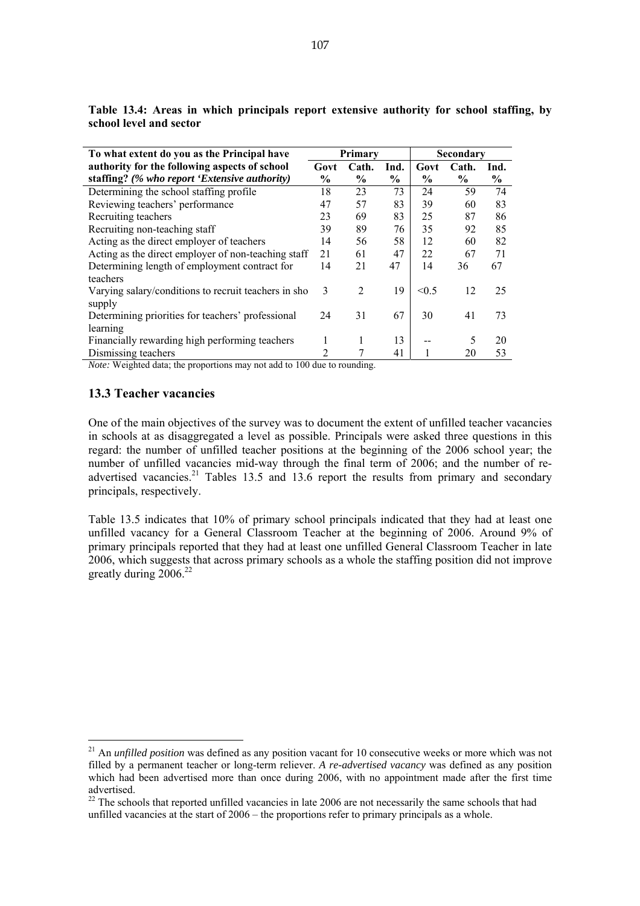| To what extent do you as the Principal have          |               | Primarv       |               | <b>Secondary</b> |       |      |  |
|------------------------------------------------------|---------------|---------------|---------------|------------------|-------|------|--|
| authority for the following aspects of school        | Govt          | Cath.         | Ind.          | Govt             | Cath. | Ind. |  |
| staffing? (% who report 'Extensive authority)        | $\frac{6}{9}$ | $\frac{6}{9}$ | $\frac{0}{0}$ | $\frac{6}{9}$    | $\%$  | $\%$ |  |
| Determining the school staffing profile              | 18            | 23            | 73            | 24               | 59    | 74   |  |
| Reviewing teachers' performance                      | 47            | 57            | 83            | 39               | 60    | 83   |  |
| Recruiting teachers                                  | 23            | 69            | 83            | 25               | 87    | 86   |  |
| Recruiting non-teaching staff                        | 39            | 89            | 76            | 35               | 92    | 85   |  |
| Acting as the direct employer of teachers            | 14            | 56            | 58            | 12               | 60    | 82   |  |
| Acting as the direct employer of non-teaching staff  | 21            | 61            | 47            | 22               | 67    | 71   |  |
| Determining length of employment contract for        | 14            | 21            | 47            | 14               | 36    | 67   |  |
| teachers                                             |               |               |               |                  |       |      |  |
| Varying salary/conditions to recruit teachers in sho | 3             | 2             | 19            | < 0.5            | 12    | 25   |  |
| supply                                               |               |               |               |                  |       |      |  |
| Determining priorities for teachers' professional    | 24            | 31            | 67            | 30               | 41    | 73   |  |
| learning                                             |               |               |               |                  |       |      |  |
| Financially rewarding high performing teachers       |               |               | 13            |                  | 5     | 20   |  |
| Dismissing teachers                                  | 2             |               | 41            |                  | 20    | 53   |  |
| 11.1001                                              |               | $\cdot$       |               |                  |       |      |  |

**Table 13.4: Areas in which principals report extensive authority for school staffing, by school level and sector** 

*Note:* Weighted data; the proportions may not add to 100 due to rounding.

#### **13.3 Teacher vacancies**

 $\overline{a}$ 

One of the main objectives of the survey was to document the extent of unfilled teacher vacancies in schools at as disaggregated a level as possible. Principals were asked three questions in this regard: the number of unfilled teacher positions at the beginning of the 2006 school year; the number of unfilled vacancies mid-way through the final term of 2006; and the number of readvertised vacancies.<sup>21</sup> Tables 13.5 and 13.6 report the results from primary and secondary principals, respectively.

Table 13.5 indicates that 10% of primary school principals indicated that they had at least one unfilled vacancy for a General Classroom Teacher at the beginning of 2006. Around 9% of primary principals reported that they had at least one unfilled General Classroom Teacher in late 2006, which suggests that across primary schools as a whole the staffing position did not improve greatly during  $2006^{22}$ 

<sup>&</sup>lt;sup>21</sup> An *unfilled position* was defined as any position vacant for 10 consecutive weeks or more which was not filled by a permanent teacher or long-term reliever. *A re-advertised vacancy* was defined as any position which had been advertised more than once during 2006, with no appointment made after the first time advertised.

 $22$  The schools that reported unfilled vacancies in late 2006 are not necessarily the same schools that had unfilled vacancies at the start of 2006 – the proportions refer to primary principals as a whole.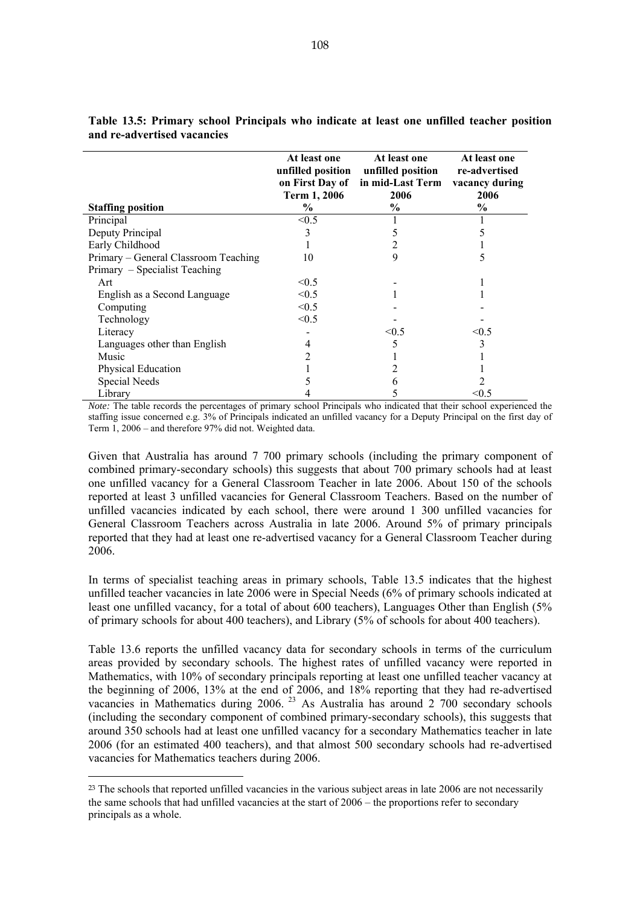|                                      | At least one<br>Term 1, 2006 | At least one<br>unfilled position unfilled position<br>on First Day of in mid-Last Term<br>2006 | At least one<br>re-advertised<br>vacancy during<br>2006 |
|--------------------------------------|------------------------------|-------------------------------------------------------------------------------------------------|---------------------------------------------------------|
| <b>Staffing position</b>             | $\%$                         | $\%$                                                                                            | $\%$                                                    |
| Principal                            | < 0.5                        |                                                                                                 |                                                         |
| Deputy Principal                     |                              |                                                                                                 |                                                         |
| Early Childhood                      |                              |                                                                                                 |                                                         |
| Primary – General Classroom Teaching | 10                           | 9                                                                                               | 5                                                       |
| Primary – Specialist Teaching        |                              |                                                                                                 |                                                         |
| Art                                  | < 0.5                        |                                                                                                 |                                                         |
| English as a Second Language         | < 0.5                        |                                                                                                 |                                                         |
| Computing                            | < 0.5                        |                                                                                                 |                                                         |
| Technology                           | < 0.5                        |                                                                                                 |                                                         |
| Literacy                             |                              | < 0.5                                                                                           | < 0.5                                                   |
| Languages other than English         | 4                            | 5                                                                                               | 3                                                       |
| Music                                |                              |                                                                                                 |                                                         |
| Physical Education                   |                              |                                                                                                 |                                                         |
| Special Needs                        |                              |                                                                                                 |                                                         |
| Library                              |                              |                                                                                                 | < 0.5                                                   |

**Table 13.5: Primary school Principals who indicate at least one unfilled teacher position and re-advertised vacancies** 

*Note:* The table records the percentages of primary school Principals who indicated that their school experienced the staffing issue concerned e.g. 3% of Principals indicated an unfilled vacancy for a Deputy Principal on the first day of Term 1, 2006 – and therefore 97% did not. Weighted data.

Given that Australia has around 7 700 primary schools (including the primary component of combined primary-secondary schools) this suggests that about 700 primary schools had at least one unfilled vacancy for a General Classroom Teacher in late 2006. About 150 of the schools reported at least 3 unfilled vacancies for General Classroom Teachers. Based on the number of unfilled vacancies indicated by each school, there were around 1 300 unfilled vacancies for General Classroom Teachers across Australia in late 2006. Around 5% of primary principals reported that they had at least one re-advertised vacancy for a General Classroom Teacher during 2006.

In terms of specialist teaching areas in primary schools, Table 13.5 indicates that the highest unfilled teacher vacancies in late 2006 were in Special Needs (6% of primary schools indicated at least one unfilled vacancy, for a total of about 600 teachers), Languages Other than English (5% of primary schools for about 400 teachers), and Library (5% of schools for about 400 teachers).

Table 13.6 reports the unfilled vacancy data for secondary schools in terms of the curriculum areas provided by secondary schools. The highest rates of unfilled vacancy were reported in Mathematics, with 10% of secondary principals reporting at least one unfilled teacher vacancy at the beginning of 2006, 13% at the end of 2006, and 18% reporting that they had re-advertised vacancies in Mathematics during 2006.<sup>23</sup> As Australia has around 2 700 secondary schools (including the secondary component of combined primary-secondary schools), this suggests that around 350 schools had at least one unfilled vacancy for a secondary Mathematics teacher in late 2006 (for an estimated 400 teachers), and that almost 500 secondary schools had re-advertised vacancies for Mathematics teachers during 2006.

 $\overline{a}$ 

<sup>&</sup>lt;sup>23</sup> The schools that reported unfilled vacancies in the various subject areas in late 2006 are not necessarily the same schools that had unfilled vacancies at the start of 2006 – the proportions refer to secondary principals as a whole.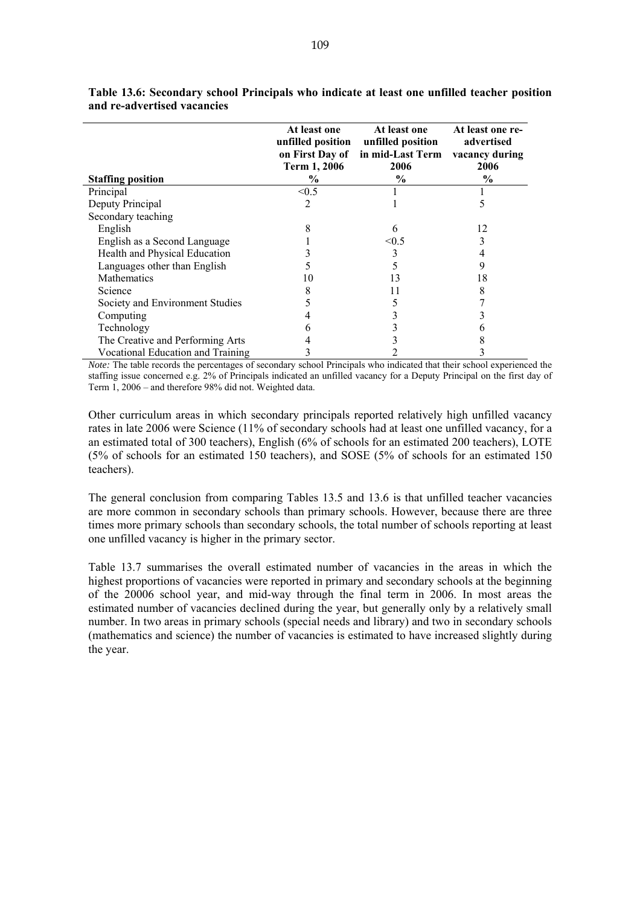|                                   | At least one<br>unfilled position<br>on First Day of<br>Term 1, 2006 | At least one<br>unfilled position<br>in mid-Last Term<br>2006 | At least one re-<br>advertised<br>vacancy during<br>2006 |
|-----------------------------------|----------------------------------------------------------------------|---------------------------------------------------------------|----------------------------------------------------------|
| <b>Staffing position</b>          | $\%$                                                                 | $\frac{6}{9}$                                                 | $\frac{6}{9}$                                            |
| Principal                         | < 0.5                                                                |                                                               |                                                          |
| Deputy Principal                  | 2                                                                    |                                                               | 5                                                        |
| Secondary teaching                |                                                                      |                                                               |                                                          |
| English                           | 8                                                                    | 6                                                             | 12                                                       |
| English as a Second Language      |                                                                      | < 0.5                                                         |                                                          |
| Health and Physical Education     |                                                                      |                                                               |                                                          |
| Languages other than English      |                                                                      |                                                               | 9                                                        |
| <b>Mathematics</b>                | 10                                                                   | 13                                                            | 18                                                       |
| Science                           |                                                                      |                                                               | 8                                                        |
| Society and Environment Studies   |                                                                      |                                                               |                                                          |
| Computing                         |                                                                      |                                                               |                                                          |
| Technology                        |                                                                      |                                                               | 6                                                        |
| The Creative and Performing Arts  |                                                                      |                                                               | 8                                                        |
| Vocational Education and Training |                                                                      |                                                               |                                                          |

**Table 13.6: Secondary school Principals who indicate at least one unfilled teacher position and re-advertised vacancies** 

*Note:* The table records the percentages of secondary school Principals who indicated that their school experienced the staffing issue concerned e.g. 2% of Principals indicated an unfilled vacancy for a Deputy Principal on the first day of Term 1, 2006 – and therefore 98% did not. Weighted data.

Other curriculum areas in which secondary principals reported relatively high unfilled vacancy rates in late 2006 were Science (11% of secondary schools had at least one unfilled vacancy, for a an estimated total of 300 teachers), English (6% of schools for an estimated 200 teachers), LOTE (5% of schools for an estimated 150 teachers), and SOSE (5% of schools for an estimated 150 teachers).

The general conclusion from comparing Tables 13.5 and 13.6 is that unfilled teacher vacancies are more common in secondary schools than primary schools. However, because there are three times more primary schools than secondary schools, the total number of schools reporting at least one unfilled vacancy is higher in the primary sector.

Table 13.7 summarises the overall estimated number of vacancies in the areas in which the highest proportions of vacancies were reported in primary and secondary schools at the beginning of the 20006 school year, and mid-way through the final term in 2006. In most areas the estimated number of vacancies declined during the year, but generally only by a relatively small number. In two areas in primary schools (special needs and library) and two in secondary schools (mathematics and science) the number of vacancies is estimated to have increased slightly during the year.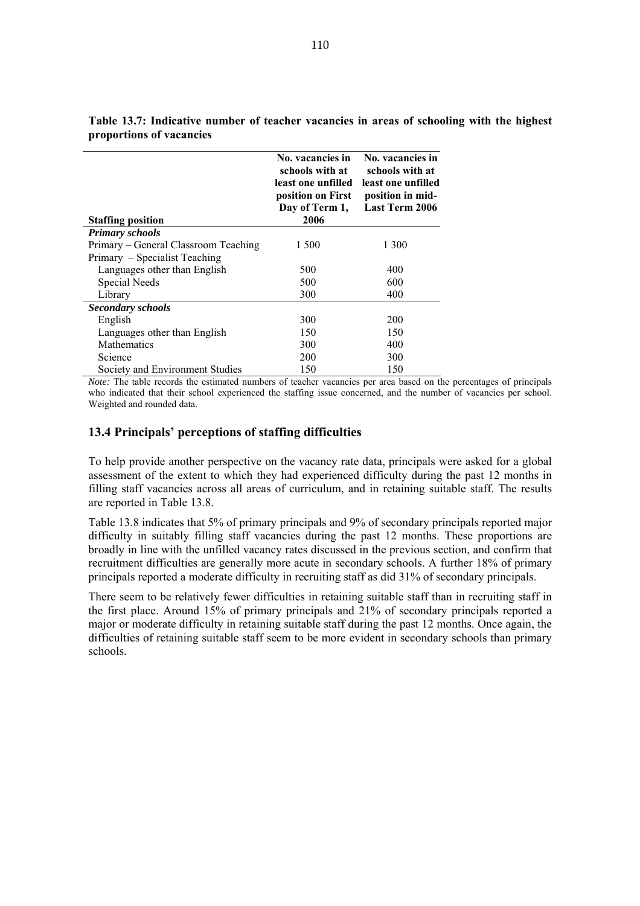|                                      | No. vacancies in<br>schools with at<br>least one unfilled<br>position on First<br>Day of Term 1, | No. vacancies in<br>schools with at<br>least one unfilled<br>position in mid-<br><b>Last Term 2006</b> |
|--------------------------------------|--------------------------------------------------------------------------------------------------|--------------------------------------------------------------------------------------------------------|
| <b>Staffing position</b>             | 2006                                                                                             |                                                                                                        |
| <b>Primary schools</b>               |                                                                                                  |                                                                                                        |
| Primary – General Classroom Teaching | 1 500                                                                                            | 1 300                                                                                                  |
| Primary – Specialist Teaching        |                                                                                                  |                                                                                                        |
| Languages other than English         | 500                                                                                              | 400                                                                                                    |
| Special Needs                        | 500                                                                                              | 600                                                                                                    |
| Library                              | 300                                                                                              | 400                                                                                                    |
| <b>Secondary schools</b>             |                                                                                                  |                                                                                                        |
| English                              | 300                                                                                              | 200                                                                                                    |
| Languages other than English         | 150                                                                                              | 150                                                                                                    |
| Mathematics                          | 300                                                                                              | 400                                                                                                    |
| Science                              | 200                                                                                              | 300                                                                                                    |
| Society and Environment Studies      | 150                                                                                              | 150                                                                                                    |

**Table 13.7: Indicative number of teacher vacancies in areas of schooling with the highest proportions of vacancies** 

*Note:* The table records the estimated numbers of teacher vacancies per area based on the percentages of principals who indicated that their school experienced the staffing issue concerned, and the number of vacancies per school. Weighted and rounded data.

# **13.4 Principals' perceptions of staffing difficulties**

To help provide another perspective on the vacancy rate data, principals were asked for a global assessment of the extent to which they had experienced difficulty during the past 12 months in filling staff vacancies across all areas of curriculum, and in retaining suitable staff. The results are reported in Table 13.8.

Table 13.8 indicates that 5% of primary principals and 9% of secondary principals reported major difficulty in suitably filling staff vacancies during the past 12 months. These proportions are broadly in line with the unfilled vacancy rates discussed in the previous section, and confirm that recruitment difficulties are generally more acute in secondary schools. A further 18% of primary principals reported a moderate difficulty in recruiting staff as did 31% of secondary principals.

There seem to be relatively fewer difficulties in retaining suitable staff than in recruiting staff in the first place. Around 15% of primary principals and 21% of secondary principals reported a major or moderate difficulty in retaining suitable staff during the past 12 months. Once again, the difficulties of retaining suitable staff seem to be more evident in secondary schools than primary schools.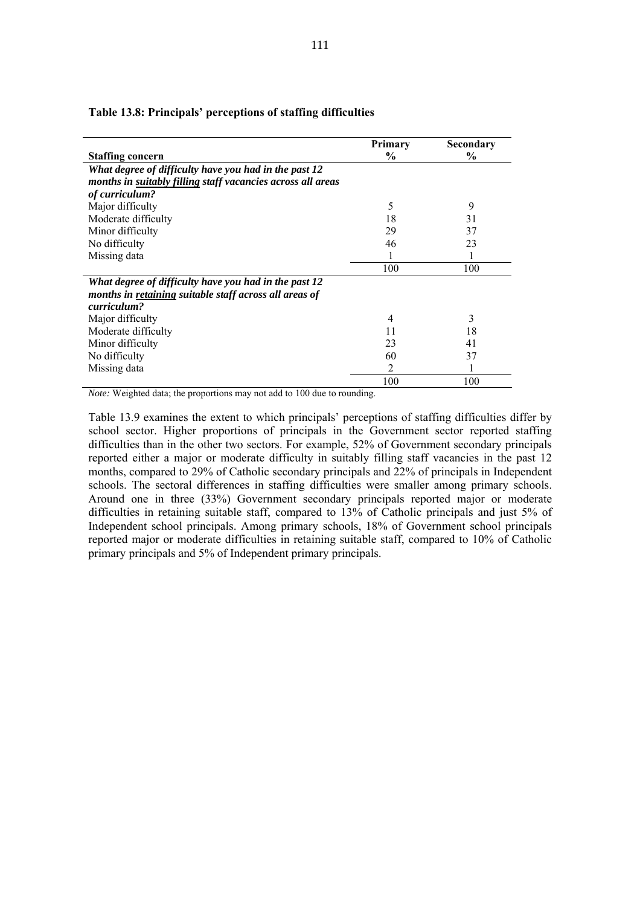|                                                             | Primary        | Secondary     |
|-------------------------------------------------------------|----------------|---------------|
| <b>Staffing concern</b>                                     | $\frac{0}{0}$  | $\frac{6}{9}$ |
| What degree of difficulty have you had in the past 12       |                |               |
| months in suitably filling staff vacancies across all areas |                |               |
| of curriculum?                                              |                |               |
| Major difficulty                                            | 5              | 9             |
| Moderate difficulty                                         | 18             | 31            |
| Minor difficulty                                            | 29             | 37            |
| No difficulty                                               | 46             | 23            |
| Missing data                                                |                |               |
|                                                             | 100            | 100           |
| What degree of difficulty have you had in the past 12       |                |               |
| months in retaining suitable staff across all areas of      |                |               |
| curriculum?                                                 |                |               |
| Major difficulty                                            | $\overline{4}$ | 3             |
| Moderate difficulty                                         | 11             | 18            |
| Minor difficulty                                            | 23             | 41            |
| No difficulty                                               | 60             | 37            |
| Missing data                                                | 2              |               |
|                                                             | 100            | 100           |

#### **Table 13.8: Principals' perceptions of staffing difficulties**

*Note:* Weighted data; the proportions may not add to 100 due to rounding.

Table 13.9 examines the extent to which principals' perceptions of staffing difficulties differ by school sector. Higher proportions of principals in the Government sector reported staffing difficulties than in the other two sectors. For example, 52% of Government secondary principals reported either a major or moderate difficulty in suitably filling staff vacancies in the past 12 months, compared to 29% of Catholic secondary principals and 22% of principals in Independent schools. The sectoral differences in staffing difficulties were smaller among primary schools. Around one in three (33%) Government secondary principals reported major or moderate difficulties in retaining suitable staff, compared to 13% of Catholic principals and just 5% of Independent school principals. Among primary schools, 18% of Government school principals reported major or moderate difficulties in retaining suitable staff, compared to 10% of Catholic primary principals and 5% of Independent primary principals.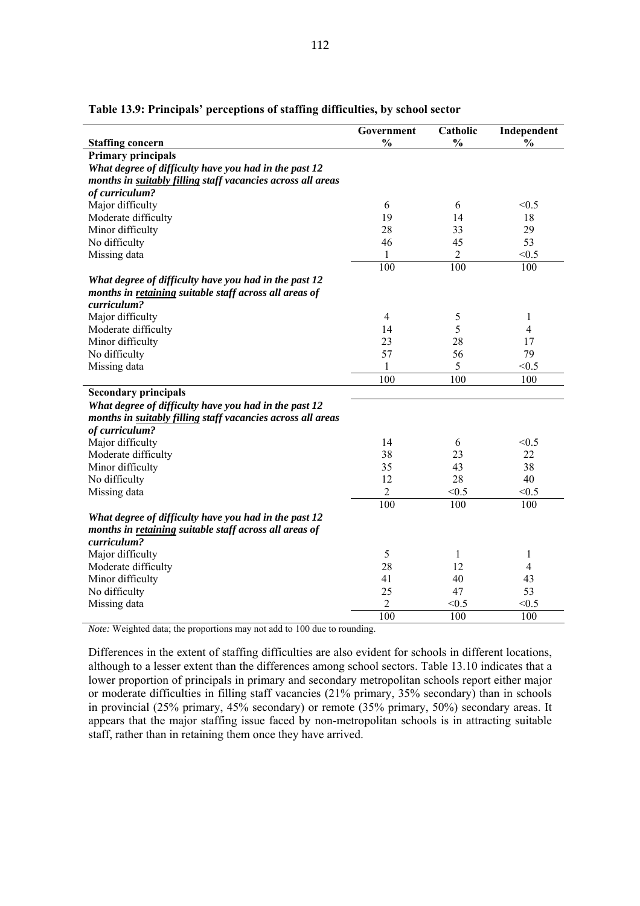|                                                             | Government     | Catholic      | Independent   |
|-------------------------------------------------------------|----------------|---------------|---------------|
| <b>Staffing concern</b>                                     | $\frac{0}{0}$  | $\frac{0}{0}$ | $\frac{0}{0}$ |
| <b>Primary principals</b>                                   |                |               |               |
| What degree of difficulty have you had in the past 12       |                |               |               |
| months in suitably filling staff vacancies across all areas |                |               |               |
| of curriculum?                                              |                |               |               |
| Major difficulty                                            | 6              | 6             | < 0.5         |
| Moderate difficulty                                         | 19             | 14            | 18            |
| Minor difficulty                                            | 28             | 33            | 29            |
| No difficulty                                               | 46             | 45            | 53            |
| Missing data                                                | 1              | 2             | < 0.5         |
|                                                             | 100            | 100           | 100           |
| What degree of difficulty have you had in the past 12       |                |               |               |
| months in retaining suitable staff across all areas of      |                |               |               |
| curriculum?                                                 |                |               |               |
| Major difficulty                                            | 4              | 5             | 1             |
| Moderate difficulty                                         | 14             | 5             | 4             |
| Minor difficulty                                            | 23             | 28            | 17            |
| No difficulty                                               | 57             | 56            | 79            |
| Missing data                                                | $\mathbf{1}$   | 5             | < 0.5         |
|                                                             | 100            | 100           | 100           |
| <b>Secondary principals</b>                                 |                |               |               |
| What degree of difficulty have you had in the past 12       |                |               |               |
| months in suitably filling staff vacancies across all areas |                |               |               |
| of curriculum?                                              |                |               |               |
| Major difficulty                                            | 14             | 6             | < 0.5         |
| Moderate difficulty                                         | 38             | 23            | 22            |
| Minor difficulty                                            | 35             | 43            | 38            |
| No difficulty                                               | 12             | 28            | 40            |
| Missing data                                                | $\overline{2}$ | < 0.5         | < 0.5         |
|                                                             | 100            | 100           | 100           |
| What degree of difficulty have you had in the past 12       |                |               |               |
| months in retaining suitable staff across all areas of      |                |               |               |
| curriculum?                                                 |                |               |               |
| Major difficulty                                            | 5              | 1             | 1             |
| Moderate difficulty                                         | 28             | 12            | 4             |
| Minor difficulty                                            | 41             | 40            | 43            |
| No difficulty                                               | 25             | 47            | 53            |
| Missing data                                                | $\overline{2}$ | < 0.5         | < 0.5         |
|                                                             | 100            | 100           | 100           |

## **Table 13.9: Principals' perceptions of staffing difficulties, by school sector**

*Note:* Weighted data; the proportions may not add to 100 due to rounding.

Differences in the extent of staffing difficulties are also evident for schools in different locations, although to a lesser extent than the differences among school sectors. Table 13.10 indicates that a lower proportion of principals in primary and secondary metropolitan schools report either major or moderate difficulties in filling staff vacancies (21% primary, 35% secondary) than in schools in provincial (25% primary, 45% secondary) or remote (35% primary, 50%) secondary areas. It appears that the major staffing issue faced by non-metropolitan schools is in attracting suitable staff, rather than in retaining them once they have arrived.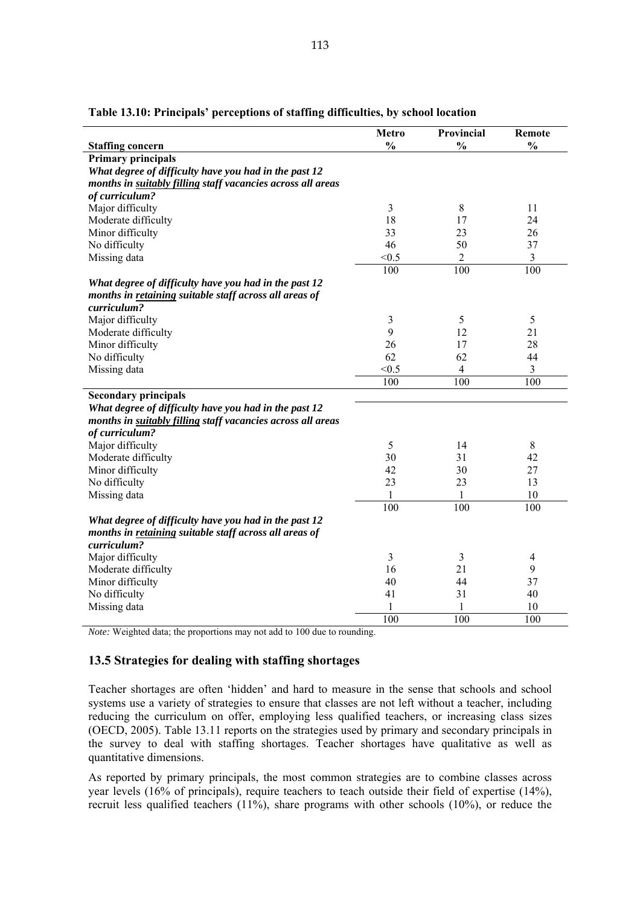| <b>Staffing concern</b>                                     | <b>Metro</b><br>$\frac{0}{0}$ | Provincial<br>$\frac{0}{0}$ | <b>Remote</b><br>$\frac{0}{0}$ |
|-------------------------------------------------------------|-------------------------------|-----------------------------|--------------------------------|
| <b>Primary principals</b>                                   |                               |                             |                                |
| What degree of difficulty have you had in the past 12       |                               |                             |                                |
| months in suitably filling staff vacancies across all areas |                               |                             |                                |
| of curriculum?                                              |                               |                             |                                |
| Major difficulty                                            | 3                             | 8                           | 11                             |
| Moderate difficulty                                         | 18                            | 17                          | 24                             |
| Minor difficulty                                            | 33                            | 23                          | 26                             |
| No difficulty                                               | 46                            | 50                          | 37                             |
| Missing data                                                | < 0.5                         | 2                           | $\mathfrak{Z}$                 |
|                                                             | 100                           | 100                         | 100                            |
|                                                             |                               |                             |                                |
| What degree of difficulty have you had in the past 12       |                               |                             |                                |
| months in retaining suitable staff across all areas of      |                               |                             |                                |
| curriculum?                                                 |                               |                             |                                |
| Major difficulty                                            | 3                             | 5                           | 5                              |
| Moderate difficulty                                         | 9                             | 12                          | 21                             |
| Minor difficulty                                            | 26                            | 17                          | 28                             |
| No difficulty                                               | 62                            | 62                          | 44                             |
| Missing data                                                | < 0.5                         | $\overline{4}$              | $\overline{3}$                 |
|                                                             | 100                           | 100                         | 100                            |
| <b>Secondary principals</b>                                 |                               |                             |                                |
| What degree of difficulty have you had in the past 12       |                               |                             |                                |
| months in suitably filling staff vacancies across all areas |                               |                             |                                |
| of curriculum?                                              |                               |                             |                                |
| Major difficulty                                            | 5                             | 14                          | $\,8\,$                        |
| Moderate difficulty                                         | 30                            | 31                          | 42                             |
| Minor difficulty                                            | 42                            | 30                          | 27                             |
| No difficulty                                               | 23                            | 23                          | 13                             |
| Missing data                                                | 1                             | 1                           | 10                             |
|                                                             | 100                           | 100                         | 100                            |
| What degree of difficulty have you had in the past 12       |                               |                             |                                |
| months in retaining suitable staff across all areas of      |                               |                             |                                |
| curriculum?                                                 |                               |                             |                                |
| Major difficulty                                            | 3                             | 3                           | 4                              |
| Moderate difficulty                                         | 16                            | 21                          | 9                              |
| Minor difficulty                                            | 40                            | 44                          | 37                             |
| No difficulty                                               | 41                            | 31                          | 40                             |
|                                                             | 1                             | 1                           | 10                             |
| Missing data                                                | $\overline{100}$              |                             |                                |
|                                                             |                               | 100                         | 100                            |

### **Table 13.10: Principals' perceptions of staffing difficulties, by school location**

*Note:* Weighted data; the proportions may not add to 100 due to rounding.

#### **13.5 Strategies for dealing with staffing shortages**

Teacher shortages are often 'hidden' and hard to measure in the sense that schools and school systems use a variety of strategies to ensure that classes are not left without a teacher, including reducing the curriculum on offer, employing less qualified teachers, or increasing class sizes (OECD, 2005). Table 13.11 reports on the strategies used by primary and secondary principals in the survey to deal with staffing shortages. Teacher shortages have qualitative as well as quantitative dimensions.

As reported by primary principals, the most common strategies are to combine classes across year levels (16% of principals), require teachers to teach outside their field of expertise (14%), recruit less qualified teachers (11%), share programs with other schools (10%), or reduce the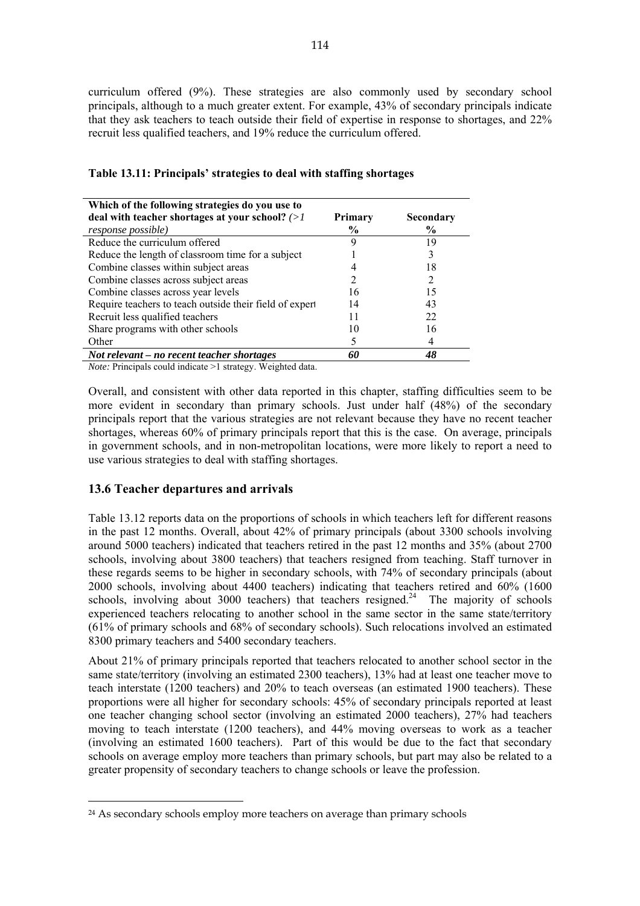curriculum offered (9%). These strategies are also commonly used by secondary school principals, although to a much greater extent. For example, 43% of secondary principals indicate that they ask teachers to teach outside their field of expertise in response to shortages, and 22% recruit less qualified teachers, and 19% reduce the curriculum offered.

| Which of the following strategies do you use to                                                                         |         |               |
|-------------------------------------------------------------------------------------------------------------------------|---------|---------------|
| deal with teacher shortages at your school? $(>l)$                                                                      | Primary | Secondary     |
| <i>response possible</i> )                                                                                              | $\%$    | $\frac{6}{9}$ |
| Reduce the curriculum offered                                                                                           | Q       | 19            |
| Reduce the length of classroom time for a subject                                                                       |         |               |
| Combine classes within subject areas                                                                                    |         | 18            |
| Combine classes across subject areas                                                                                    |         | 2             |
| Combine classes across year levels                                                                                      | 16      | 15            |
| Require teachers to teach outside their field of expert                                                                 | 14      | 43            |
| Recruit less qualified teachers                                                                                         | 11      | 22            |
| Share programs with other schools                                                                                       | 10      | 16            |
| Other                                                                                                                   |         |               |
| Not relevant – no recent teacher shortages                                                                              | 60      | 48            |
| $\mathbf{v}$ and $\mathbf{v}$ and $\mathbf{v}$ are the set of $\mathbf{v}$ and $\mathbf{v}$ are the set of $\mathbf{v}$ |         |               |

#### **Table 13.11: Principals' strategies to deal with staffing shortages**

*Note:* Principals could indicate >1 strategy. Weighted data.

Overall, and consistent with other data reported in this chapter, staffing difficulties seem to be more evident in secondary than primary schools. Just under half (48%) of the secondary principals report that the various strategies are not relevant because they have no recent teacher shortages, whereas 60% of primary principals report that this is the case. On average, principals in government schools, and in non-metropolitan locations, were more likely to report a need to use various strategies to deal with staffing shortages.

#### **13.6 Teacher departures and arrivals**

 $\overline{a}$ 

Table 13.12 reports data on the proportions of schools in which teachers left for different reasons in the past 12 months. Overall, about 42% of primary principals (about 3300 schools involving around 5000 teachers) indicated that teachers retired in the past 12 months and 35% (about 2700 schools, involving about 3800 teachers) that teachers resigned from teaching. Staff turnover in these regards seems to be higher in secondary schools, with 74% of secondary principals (about 2000 schools, involving about 4400 teachers) indicating that teachers retired and 60% (1600 schools, involving about 3000 teachers) that teachers resigned.<sup>24</sup> The majority of schools experienced teachers relocating to another school in the same sector in the same state/territory (61% of primary schools and 68% of secondary schools). Such relocations involved an estimated 8300 primary teachers and 5400 secondary teachers.

About 21% of primary principals reported that teachers relocated to another school sector in the same state/territory (involving an estimated 2300 teachers), 13% had at least one teacher move to teach interstate (1200 teachers) and 20% to teach overseas (an estimated 1900 teachers). These proportions were all higher for secondary schools: 45% of secondary principals reported at least one teacher changing school sector (involving an estimated 2000 teachers), 27% had teachers moving to teach interstate (1200 teachers), and 44% moving overseas to work as a teacher (involving an estimated 1600 teachers). Part of this would be due to the fact that secondary schools on average employ more teachers than primary schools, but part may also be related to a greater propensity of secondary teachers to change schools or leave the profession.

<sup>&</sup>lt;sup>24</sup> As secondary schools employ more teachers on average than primary schools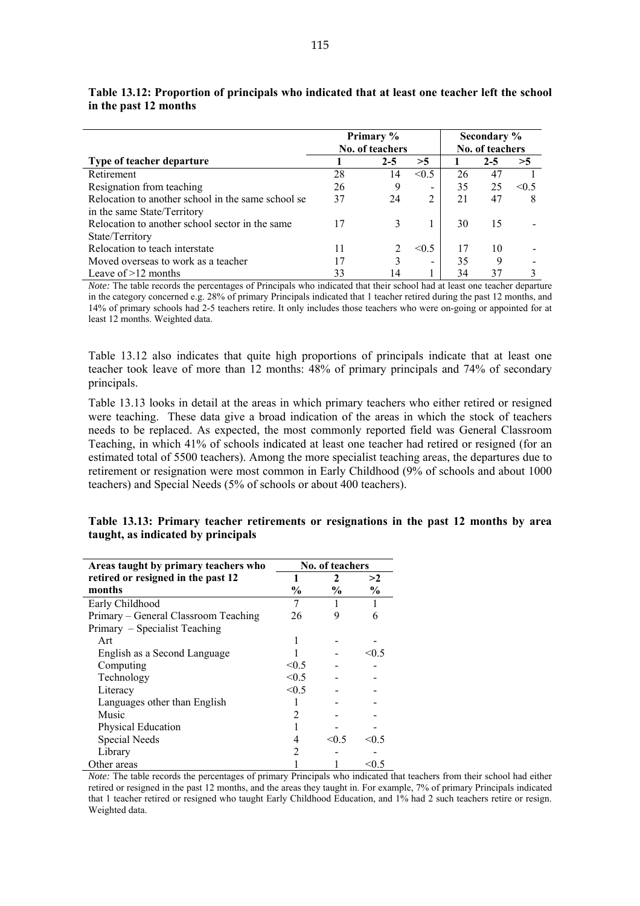|                                                    | Primary %       |         |                          | Secondary %     |         |            |
|----------------------------------------------------|-----------------|---------|--------------------------|-----------------|---------|------------|
|                                                    | No. of teachers |         |                          | No. of teachers |         |            |
| Type of teacher departure                          |                 | $2 - 5$ | >5                       |                 | $2 - 5$ | >5         |
| Retirement                                         | 28              | 14      | < 0.5                    | 26              | 47      |            |
| Resignation from teaching                          | 26              | 9       | $\overline{\phantom{a}}$ | 35              | 25      | $\leq 0.5$ |
| Relocation to another school in the same school se | 37              | 24      | 2                        | 21              | 47      | 8          |
| in the same State/Territory                        |                 |         |                          |                 |         |            |
| Relocation to another school sector in the same    | 17              |         |                          | 30              | 15      |            |
| State/Territory                                    |                 |         |                          |                 |         |            |
| Relocation to teach interstate                     | 11              |         | < 0.5                    |                 | 10      |            |
| Moved overseas to work as a teacher                | 17              |         | $\overline{\phantom{0}}$ | 35              | 9       |            |
| Leave of $>12$ months                              | 33              | 14      |                          | 34              | 37      |            |

**Table 13.12: Proportion of principals who indicated that at least one teacher left the school in the past 12 months** 

*Note:* The table records the percentages of Principals who indicated that their school had at least one teacher departure in the category concerned e.g. 28% of primary Principals indicated that 1 teacher retired during the past 12 months, and 14% of primary schools had 2-5 teachers retire. It only includes those teachers who were on-going or appointed for at least 12 months. Weighted data.

Table 13.12 also indicates that quite high proportions of principals indicate that at least one teacher took leave of more than 12 months: 48% of primary principals and 74% of secondary principals.

Table 13.13 looks in detail at the areas in which primary teachers who either retired or resigned were teaching. These data give a broad indication of the areas in which the stock of teachers needs to be replaced. As expected, the most commonly reported field was General Classroom Teaching, in which 41% of schools indicated at least one teacher had retired or resigned (for an estimated total of 5500 teachers). Among the more specialist teaching areas, the departures due to retirement or resignation were most common in Early Childhood (9% of schools and about 1000 teachers) and Special Needs (5% of schools or about 400 teachers).

| Areas taught by primary teachers who | <b>No. of teachers</b> |               |               |
|--------------------------------------|------------------------|---------------|---------------|
| retired or resigned in the past 12   |                        | 2             | >2            |
| months                               | $\frac{6}{9}$          | $\frac{6}{9}$ | $\frac{6}{9}$ |
| Early Childhood                      | 7                      |               |               |
| Primary - General Classroom Teaching | 26                     | 9             | 6             |
| Primary – Specialist Teaching        |                        |               |               |
| Art                                  |                        |               |               |
| English as a Second Language         |                        |               | < 0.5         |
| Computing                            | < 0.5                  |               |               |
| Technology                           | < 0.5                  |               |               |
| Literacy                             | < 0.5                  |               |               |
| Languages other than English         |                        |               |               |
| Music                                | 2                      |               |               |
| Physical Education                   |                        |               |               |
| Special Needs                        | 4                      | < 0.5         | $\leq 0.5$    |
| Library                              | $\mathfrak{D}$         |               |               |
| Other areas                          |                        |               | < 0.5         |

**Table 13.13: Primary teacher retirements or resignations in the past 12 months by area taught, as indicated by principals** 

*Note:* The table records the percentages of primary Principals who indicated that teachers from their school had either retired or resigned in the past 12 months, and the areas they taught in. For example, 7% of primary Principals indicated that 1 teacher retired or resigned who taught Early Childhood Education, and 1% had 2 such teachers retire or resign. Weighted data.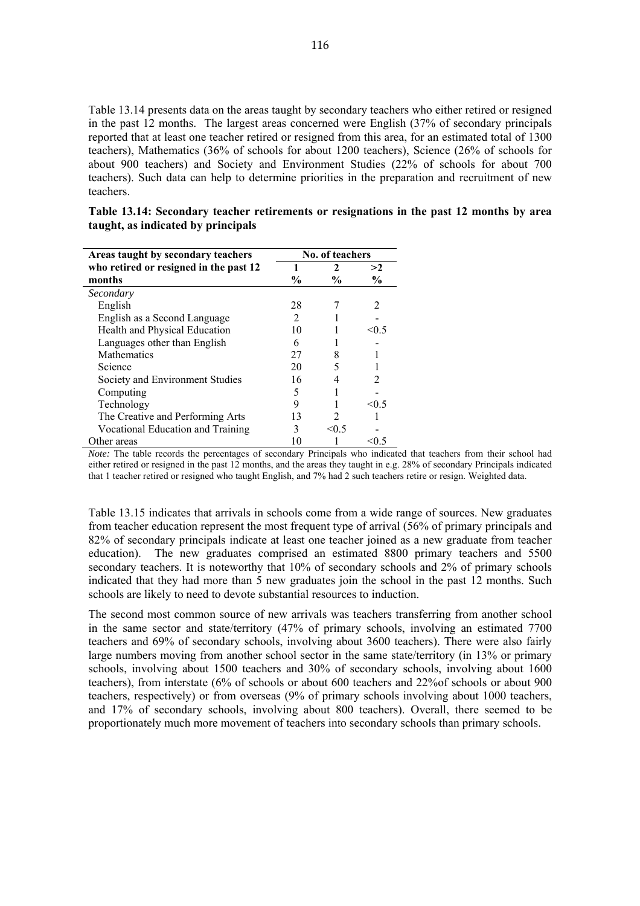Table 13.14 presents data on the areas taught by secondary teachers who either retired or resigned in the past 12 months. The largest areas concerned were English (37% of secondary principals reported that at least one teacher retired or resigned from this area, for an estimated total of 1300 teachers), Mathematics (36% of schools for about 1200 teachers), Science (26% of schools for about 900 teachers) and Society and Environment Studies (22% of schools for about 700 teachers). Such data can help to determine priorities in the preparation and recruitment of new teachers.

| Table 13.14: Secondary teacher retirements or resignations in the past 12 months by area |  |  |  |
|------------------------------------------------------------------------------------------|--|--|--|
| taught, as indicated by principals                                                       |  |  |  |

| Areas taught by secondary teachers     | No. of teachers |               |                |  |  |
|----------------------------------------|-----------------|---------------|----------------|--|--|
| who retired or resigned in the past 12 |                 | 2             | >2             |  |  |
| months                                 | $\frac{6}{9}$   | $\frac{0}{0}$ | $\frac{0}{0}$  |  |  |
| Secondary                              |                 |               |                |  |  |
| English                                | 28              |               | $\mathfrak{D}$ |  |  |
| English as a Second Language           | 2               |               |                |  |  |
| Health and Physical Education          | 10              |               | א ()>          |  |  |
| Languages other than English           | 6               |               |                |  |  |
| <b>Mathematics</b>                     | 27              | 8             |                |  |  |
| Science                                | 20              |               |                |  |  |
| Society and Environment Studies        | 16              |               | 2              |  |  |
| Computing                              | 5               |               |                |  |  |
| Technology                             | 9               |               | $\leq 0.5$     |  |  |
| The Creative and Performing Arts       | 13              |               |                |  |  |
| Vocational Education and Training      | 3               | < 0.5         |                |  |  |
| Other areas                            |                 |               |                |  |  |

*Note:* The table records the percentages of secondary Principals who indicated that teachers from their school had either retired or resigned in the past 12 months, and the areas they taught in e.g. 28% of secondary Principals indicated that 1 teacher retired or resigned who taught English, and 7% had 2 such teachers retire or resign. Weighted data.

Table 13.15 indicates that arrivals in schools come from a wide range of sources. New graduates from teacher education represent the most frequent type of arrival (56% of primary principals and 82% of secondary principals indicate at least one teacher joined as a new graduate from teacher education). The new graduates comprised an estimated 8800 primary teachers and 5500 secondary teachers. It is noteworthy that 10% of secondary schools and 2% of primary schools indicated that they had more than 5 new graduates join the school in the past 12 months. Such schools are likely to need to devote substantial resources to induction.

The second most common source of new arrivals was teachers transferring from another school in the same sector and state/territory (47% of primary schools, involving an estimated 7700 teachers and 69% of secondary schools, involving about 3600 teachers). There were also fairly large numbers moving from another school sector in the same state/territory (in 13% or primary schools, involving about 1500 teachers and 30% of secondary schools, involving about 1600 teachers), from interstate (6% of schools or about 600 teachers and 22%of schools or about 900 teachers, respectively) or from overseas (9% of primary schools involving about 1000 teachers, and 17% of secondary schools, involving about 800 teachers). Overall, there seemed to be proportionately much more movement of teachers into secondary schools than primary schools.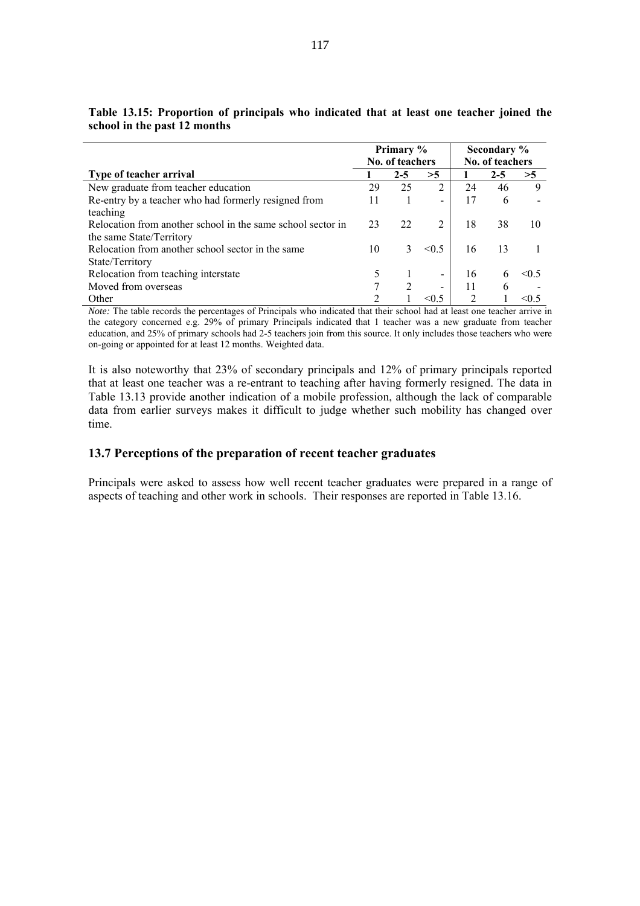|                                                             | Primary %       |         | Secondary %              |                             |         |            |
|-------------------------------------------------------------|-----------------|---------|--------------------------|-----------------------------|---------|------------|
|                                                             | No. of teachers |         |                          | No. of teachers             |         |            |
| Type of teacher arrival                                     |                 | $2 - 5$ | >5                       |                             | $2 - 5$ | >5         |
| New graduate from teacher education                         | 29              | 25      | 2                        | 24                          | 46      | 9          |
| Re-entry by a teacher who had formerly resigned from        | 11              |         | $\overline{\phantom{0}}$ | 17                          | 6       |            |
| teaching                                                    |                 |         |                          |                             |         |            |
| Relocation from another school in the same school sector in | 23              | 22      | 2                        | 18                          | 38      | 10         |
| the same State/Territory                                    |                 |         |                          |                             |         |            |
| Relocation from another school sector in the same           | 10              | 3       | $\leq 0.5$               | 16                          | 13      |            |
| State/Territory                                             |                 |         |                          |                             |         |            |
| Relocation from teaching interstate                         |                 |         | $\overline{\phantom{0}}$ | 16                          | 6       | $\leq$ 6.5 |
| Moved from overseas                                         |                 |         |                          | 11                          | 6       |            |
| Other                                                       | $\mathcal{D}$   |         | < 0.5                    | $\mathcal{D}_{\mathcal{L}}$ |         | <∩ 5       |

**Table 13.15: Proportion of principals who indicated that at least one teacher joined the school in the past 12 months** 

*Note:* The table records the percentages of Principals who indicated that their school had at least one teacher arrive in the category concerned e.g. 29% of primary Principals indicated that 1 teacher was a new graduate from teacher education, and 25% of primary schools had 2-5 teachers join from this source. It only includes those teachers who were on-going or appointed for at least 12 months. Weighted data.

It is also noteworthy that 23% of secondary principals and 12% of primary principals reported that at least one teacher was a re-entrant to teaching after having formerly resigned. The data in Table 13.13 provide another indication of a mobile profession, although the lack of comparable data from earlier surveys makes it difficult to judge whether such mobility has changed over time.

# **13.7 Perceptions of the preparation of recent teacher graduates**

Principals were asked to assess how well recent teacher graduates were prepared in a range of aspects of teaching and other work in schools. Their responses are reported in Table 13.16.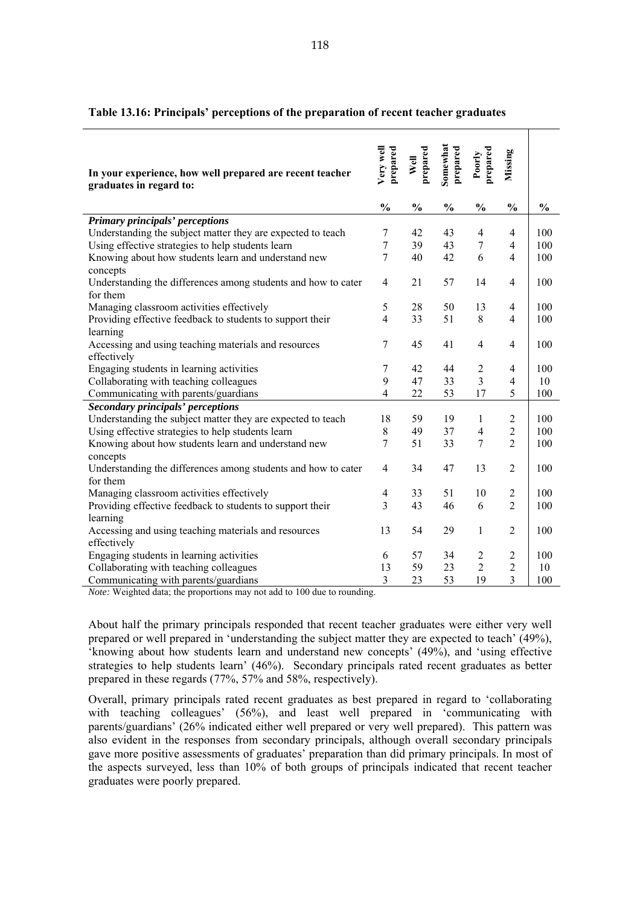| In your experience, how well prepared are recent teacher<br>graduates in regard to: | Very well<br>prepared | prepared<br>Well | Somewhat<br>prepared | prepared<br>Poorly | Missing        |               |
|-------------------------------------------------------------------------------------|-----------------------|------------------|----------------------|--------------------|----------------|---------------|
|                                                                                     | $\frac{0}{0}$         | $\frac{0}{0}$    | $\frac{0}{0}$        | $\frac{0}{0}$      | $\frac{0}{0}$  | $\frac{0}{0}$ |
| Primary principals' perceptions                                                     |                       |                  |                      |                    |                |               |
| Understanding the subject matter they are expected to teach                         | 7                     | 42               | 43                   | $\overline{4}$     | 4              | 100           |
| Using effective strategies to help students learn                                   | $\overline{7}$        | 39               | 43                   | $\tau$             | $\overline{4}$ | 100           |
| Knowing about how students learn and understand new<br>concepts                     | 7                     | 40               | 42                   | 6                  | $\overline{4}$ | 100           |
| Understanding the differences among students and how to cater<br>for them           | $\overline{4}$        | 21               | 57                   | 14                 | $\overline{4}$ | 100           |
| Managing classroom activities effectively                                           | 5                     | 28               | 50                   | 13                 | $\overline{4}$ | 100           |
| Providing effective feedback to students to support their                           | $\overline{4}$        | 33               | 51                   | 8                  | $\overline{4}$ | 100           |
| learning                                                                            |                       |                  |                      |                    |                |               |
| Accessing and using teaching materials and resources                                | 7                     | 45               | 41                   | $\overline{4}$     | $\overline{4}$ | 100           |
| effectively                                                                         |                       |                  |                      |                    |                |               |
| Engaging students in learning activities                                            | 7                     | 42               | 44                   | $\overline{c}$     | 4              | 100           |
| Collaborating with teaching colleagues                                              | 9                     | 47               | 33                   | 3                  | $\overline{4}$ | 10            |
| Communicating with parents/guardians                                                | 4                     | 22               | 53                   | 17                 | 5              | 100           |
| Secondary principals' perceptions                                                   |                       |                  |                      |                    |                |               |
| Understanding the subject matter they are expected to teach                         | 18                    | 59               | 19                   | 1                  | $\overline{c}$ | 100           |
| Using effective strategies to help students learn                                   | 8                     | 49               | 37                   | $\overline{4}$     | $\overline{c}$ | 100           |
| Knowing about how students learn and understand new                                 | $\overline{7}$        | 51               | 33                   | $\overline{7}$     | $\overline{2}$ | 100           |
| concepts                                                                            |                       |                  |                      |                    |                |               |
| Understanding the differences among students and how to cater                       | $\overline{4}$        | 34               | 47                   | 13                 | $\overline{2}$ | 100           |
| for them                                                                            |                       |                  |                      |                    |                |               |
| Managing classroom activities effectively                                           | $\overline{4}$        | 33               | 51                   | 10                 | $\overline{2}$ | 100           |
| Providing effective feedback to students to support their                           | 3                     | 43               | 46                   | 6                  | $\overline{2}$ | 100           |
| learning                                                                            |                       |                  |                      |                    |                |               |
| Accessing and using teaching materials and resources                                | 13                    | 54               | 29                   | 1                  | $\overline{2}$ | 100           |
| effectively                                                                         |                       |                  |                      |                    |                |               |
| Engaging students in learning activities                                            | 6                     | 57               | 34                   | $\overline{2}$     | $\overline{2}$ | 100           |
| Collaborating with teaching colleagues                                              | 13                    | 59               | 23                   | $\overline{2}$     | $\overline{2}$ | 10            |
| Communicating with parents/guardians                                                | 3                     | 23               | 53                   | 19                 | 3              | 100           |

#### **Table 13.16: Principals' perceptions of the preparation of recent teacher graduates**

*Note:* Weighted data; the proportions may not add to 100 due to rounding.

About half the primary principals responded that recent teacher graduates were either very well prepared or well prepared in 'understanding the subject matter they are expected to teach' (49%), 'knowing about how students learn and understand new concepts' (49%), and 'using effective strategies to help students learn' (46%). Secondary principals rated recent graduates as better prepared in these regards (77%, 57% and 58%, respectively).

Overall, primary principals rated recent graduates as best prepared in regard to 'collaborating with teaching colleagues' (56%), and least well prepared in 'communicating with parents/guardians' (26% indicated either well prepared or very well prepared). This pattern was also evident in the responses from secondary principals, although overall secondary principals gave more positive assessments of graduates' preparation than did primary principals. In most of the aspects surveyed, less than 10% of both groups of principals indicated that recent teacher graduates were poorly prepared.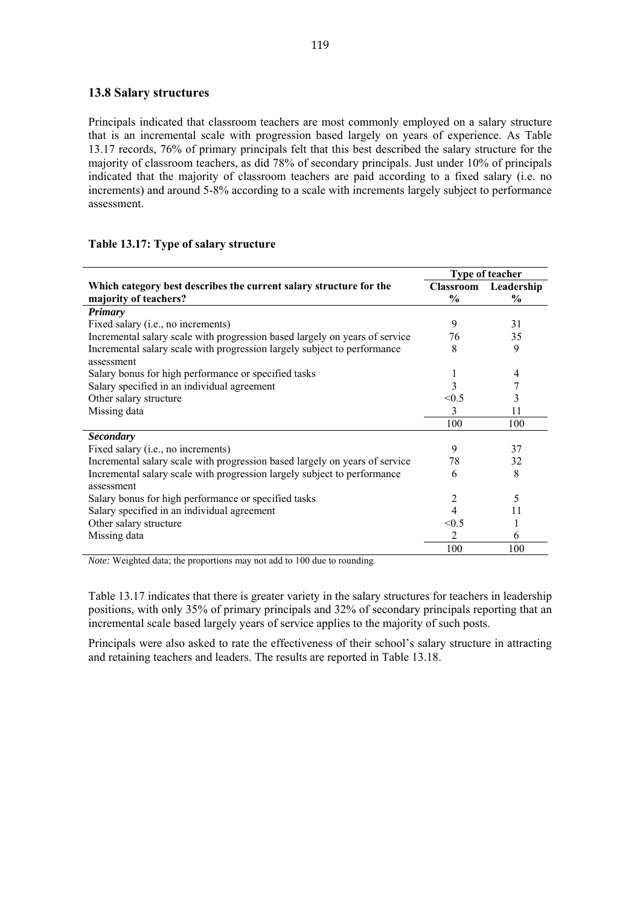#### **13.8 Salary structures**

Principals indicated that classroom teachers are most commonly employed on a salary structure that is an incremental scale with progression based largely on years of experience. As Table 13.17 records, 76% of primary principals felt that this best described the salary structure for the majority of classroom teachers, as did 78% of secondary principals. Just under 10% of principals indicated that the majority of classroom teachers are paid according to a fixed salary (i.e. no increments) and around 5-8% according to a scale with increments largely subject to performance assessment.

## **Table 13.17: Type of salary structure**

|                                                                             | Type of teacher  |               |  |
|-----------------------------------------------------------------------------|------------------|---------------|--|
| Which category best describes the current salary structure for the          | <b>Classroom</b> | Leadership    |  |
| majority of teachers?                                                       | $\frac{0}{0}$    | $\frac{6}{9}$ |  |
| <b>Primary</b>                                                              |                  |               |  |
| Fixed salary ( <i>i.e.</i> , no increments)                                 | 9                | 31            |  |
| Incremental salary scale with progression based largely on years of service | 76               | 35            |  |
| Incremental salary scale with progression largely subject to performance    | 8                | 9             |  |
| assessment                                                                  |                  |               |  |
| Salary bonus for high performance or specified tasks                        | 1                | 4             |  |
| Salary specified in an individual agreement                                 | 3                |               |  |
| Other salary structure                                                      | < 0.5            | 3             |  |
| Missing data                                                                | 3                | 11            |  |
|                                                                             | 100              | 100           |  |
| <b>Secondary</b>                                                            |                  |               |  |
| Fixed salary (i.e., no increments)                                          | 9                | 37            |  |
| Incremental salary scale with progression based largely on years of service | 78               | 32            |  |
| Incremental salary scale with progression largely subject to performance    | 6                | 8             |  |
| assessment                                                                  |                  |               |  |
| Salary bonus for high performance or specified tasks                        | 2                | 5             |  |
| Salary specified in an individual agreement                                 |                  | 11            |  |
| Other salary structure                                                      | < 0.5            |               |  |
| Missing data                                                                | 2                | 6             |  |
|                                                                             | 100              | 100           |  |

*Note:* Weighted data; the proportions may not add to 100 due to rounding.

Table 13.17 indicates that there is greater variety in the salary structures for teachers in leadership positions, with only 35% of primary principals and 32% of secondary principals reporting that an incremental scale based largely years of service applies to the majority of such posts.

Principals were also asked to rate the effectiveness of their school's salary structure in attracting and retaining teachers and leaders. The results are reported in Table 13.18.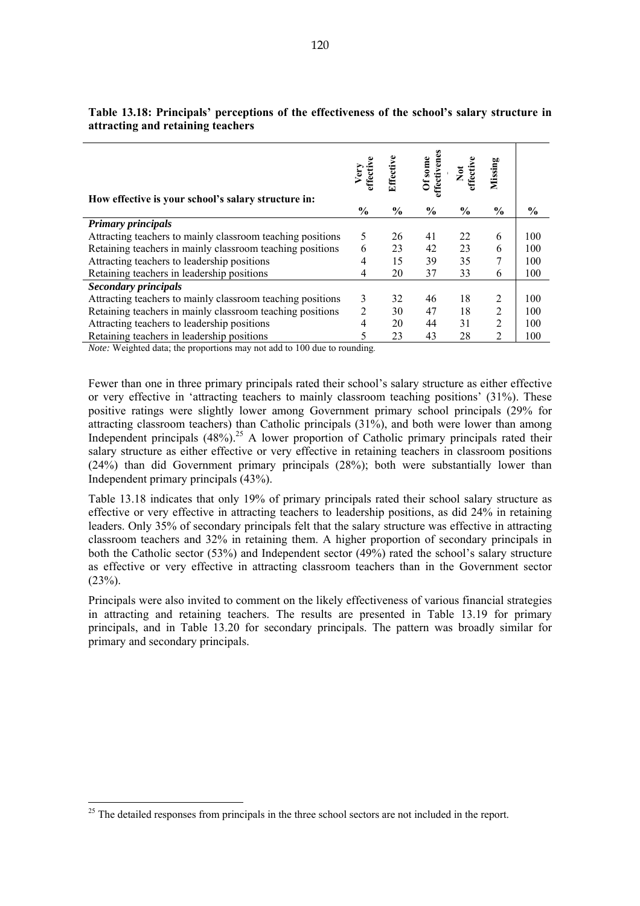| How effective is your school's salary structure in:        | Very<br>Hecti  | Effective     | effectivenes<br>Of some | Not<br>ffectiv | Missing        |               |
|------------------------------------------------------------|----------------|---------------|-------------------------|----------------|----------------|---------------|
|                                                            | $\frac{0}{0}$  | $\frac{6}{9}$ | $\frac{0}{0}$           | $\frac{6}{9}$  | $\frac{0}{0}$  | $\frac{6}{9}$ |
| <b>Primary principals</b>                                  |                |               |                         |                |                |               |
| Attracting teachers to mainly classroom teaching positions | 5              | 26            | 41                      | 22             | 6              | 100           |
| Retaining teachers in mainly classroom teaching positions  | 6              | 23            | 42                      | 23             | 6              | 100           |
| Attracting teachers to leadership positions                | 4              | 15            | 39                      | 35             | 7              | 100           |
| Retaining teachers in leadership positions                 | 4              | 20            | 37                      | 33             | 6              | 100           |
| <b>Secondary principals</b>                                |                |               |                         |                |                |               |
| Attracting teachers to mainly classroom teaching positions | 3              | 32            | 46                      | 18             | 2              | 100           |
| Retaining teachers in mainly classroom teaching positions  | $\overline{2}$ | 30            | 47                      | 18             | $\overline{2}$ | 100           |
| Attracting teachers to leadership positions                | 4              | 20            | 44                      | 31             | $\overline{2}$ | 100           |
| Retaining teachers in leadership positions                 | 5              | 23            | 43                      | 28             | $\overline{2}$ | 100           |

# **Table 13.18: Principals' perceptions of the effectiveness of the school's salary structure in attracting and retaining teachers**

*Note:* Weighted data; the proportions may not add to 100 due to rounding.

Fewer than one in three primary principals rated their school's salary structure as either effective or very effective in 'attracting teachers to mainly classroom teaching positions' (31%). These positive ratings were slightly lower among Government primary school principals (29% for attracting classroom teachers) than Catholic principals (31%), and both were lower than among Independent principals  $(48\%)$ <sup>25</sup> A lower proportion of Catholic primary principals rated their salary structure as either effective or very effective in retaining teachers in classroom positions (24%) than did Government primary principals (28%); both were substantially lower than Independent primary principals (43%).

Table 13.18 indicates that only 19% of primary principals rated their school salary structure as effective or very effective in attracting teachers to leadership positions, as did 24% in retaining leaders. Only 35% of secondary principals felt that the salary structure was effective in attracting classroom teachers and 32% in retaining them. A higher proportion of secondary principals in both the Catholic sector (53%) and Independent sector (49%) rated the school's salary structure as effective or very effective in attracting classroom teachers than in the Government sector  $(23%)$ .

Principals were also invited to comment on the likely effectiveness of various financial strategies in attracting and retaining teachers. The results are presented in Table 13.19 for primary principals, and in Table 13.20 for secondary principals. The pattern was broadly similar for primary and secondary principals.

 $\overline{a}$ 

<sup>&</sup>lt;sup>25</sup> The detailed responses from principals in the three school sectors are not included in the report.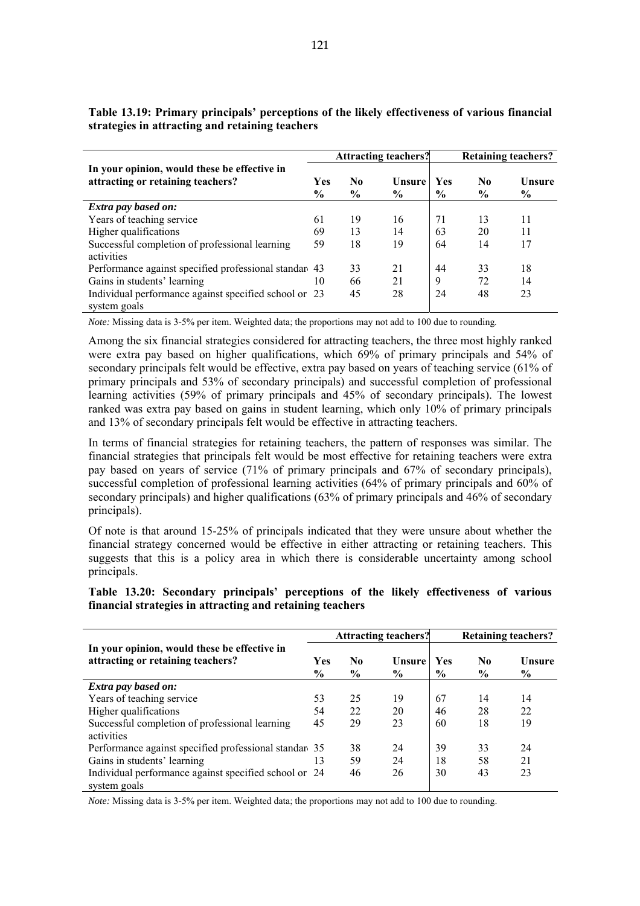|                                                                                   | <b>Attracting teachers?</b> |                      |                | <b>Retaining teachers?</b>  |                      |                         |  |
|-----------------------------------------------------------------------------------|-----------------------------|----------------------|----------------|-----------------------------|----------------------|-------------------------|--|
| In your opinion, would these be effective in<br>attracting or retaining teachers? | Yes<br>$\frac{6}{6}$        | No.<br>$\frac{6}{6}$ | Unsure<br>$\%$ | <b>Yes</b><br>$\frac{6}{9}$ | No.<br>$\frac{6}{9}$ | Unsure<br>$\frac{6}{9}$ |  |
| Extra pay based on:                                                               |                             |                      |                |                             |                      |                         |  |
| Years of teaching service                                                         | 61                          | 19                   | 16             | 71                          | 13                   | 11                      |  |
| Higher qualifications                                                             | 69                          | 13                   | 14             | 63                          | 20                   | 11                      |  |
| Successful completion of professional learning<br>activities                      | 59                          | 18                   | 19             | 64                          | 14                   | 17                      |  |
| Performance against specified professional standar 43                             |                             | 33                   | 21             | 44                          | 33                   | 18                      |  |
| Gains in students' learning                                                       | 10                          | 66                   | 21             | 9                           | 72                   | 14                      |  |
| Individual performance against specified school or 23<br>system goals             |                             | 45                   | 28             | 24                          | 48                   | 23                      |  |

**Table 13.19: Primary principals' perceptions of the likely effectiveness of various financial strategies in attracting and retaining teachers** 

*Note:* Missing data is 3-5% per item. Weighted data; the proportions may not add to 100 due to rounding.

Among the six financial strategies considered for attracting teachers, the three most highly ranked were extra pay based on higher qualifications, which 69% of primary principals and 54% of secondary principals felt would be effective, extra pay based on years of teaching service (61% of primary principals and 53% of secondary principals) and successful completion of professional learning activities (59% of primary principals and 45% of secondary principals). The lowest ranked was extra pay based on gains in student learning, which only 10% of primary principals and 13% of secondary principals felt would be effective in attracting teachers.

In terms of financial strategies for retaining teachers, the pattern of responses was similar. The financial strategies that principals felt would be most effective for retaining teachers were extra pay based on years of service (71% of primary principals and 67% of secondary principals), successful completion of professional learning activities (64% of primary principals and 60% of secondary principals) and higher qualifications (63% of primary principals and 46% of secondary principals).

Of note is that around 15-25% of principals indicated that they were unsure about whether the financial strategy concerned would be effective in either attracting or retaining teachers. This suggests that this is a policy area in which there is considerable uncertainty among school principals.

**Table 13.20: Secondary principals' perceptions of the likely effectiveness of various financial strategies in attracting and retaining teachers** 

|                                                                                   | <b>Attracting teachers?</b> |                                 |                       |                             | <b>Retaining teachers?</b>      |                         |  |  |
|-----------------------------------------------------------------------------------|-----------------------------|---------------------------------|-----------------------|-----------------------------|---------------------------------|-------------------------|--|--|
| In your opinion, would these be effective in<br>attracting or retaining teachers? | <b>Yes</b><br>$\frac{6}{9}$ | N <sub>0</sub><br>$\frac{0}{0}$ | <b>Unsure</b><br>$\%$ | <b>Yes</b><br>$\frac{6}{9}$ | N <sub>0</sub><br>$\frac{6}{9}$ | Unsure<br>$\frac{6}{9}$ |  |  |
| <b>Extra pay based on:</b>                                                        |                             |                                 |                       |                             |                                 |                         |  |  |
| Years of teaching service                                                         | 53                          | 25                              | 19                    | 67                          | 14                              | 14                      |  |  |
| Higher qualifications                                                             | 54                          | 22                              | 20                    | 46                          | 28                              | 22                      |  |  |
| Successful completion of professional learning                                    | 45                          | 29                              | 23                    | 60                          | 18                              | 19                      |  |  |
| activities                                                                        |                             |                                 |                       |                             |                                 |                         |  |  |
| Performance against specified professional standare 35                            |                             | 38                              | 24                    | 39                          | 33                              | 24                      |  |  |
| Gains in students' learning                                                       | 13                          | 59                              | 24                    | 18                          | 58                              | 21                      |  |  |
| Individual performance against specified school or 24<br>system goals             |                             | 46                              | 26                    | 30                          | 43                              | 23                      |  |  |

*Note:* Missing data is 3-5% per item. Weighted data; the proportions may not add to 100 due to rounding.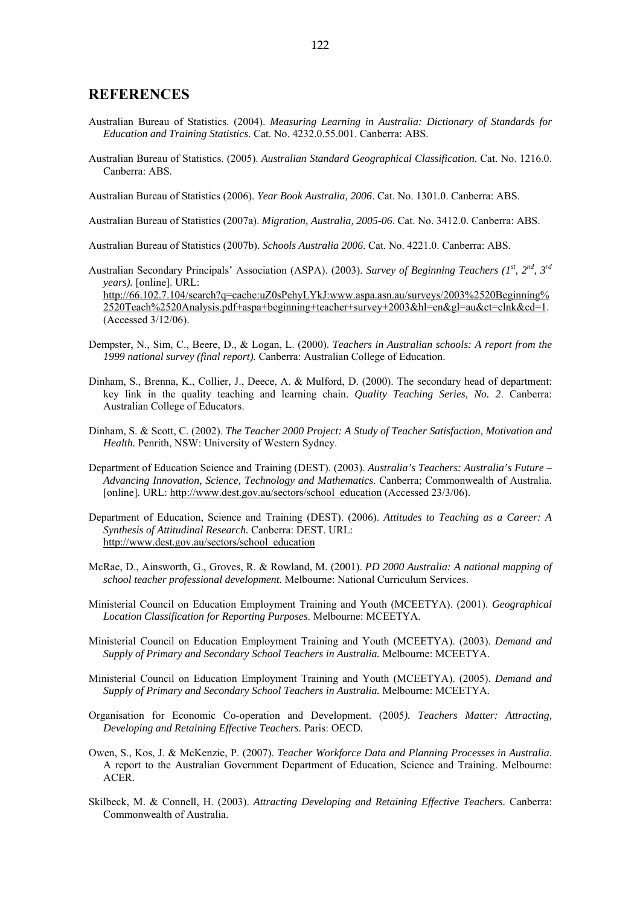#### **REFERENCES**

(Accessed 3/12/06).

- Australian Bureau of Statistics. (2004). *Measuring Learning in Australia: Dictionary of Standards for Education and Training Statistics*. Cat. No. 4232.0.55.001. Canberra: ABS.
- Australian Bureau of Statistics. (2005). *Australian Standard Geographical Classification*. Cat. No. 1216.0. Canberra: ABS.

Australian Bureau of Statistics (2006). *Year Book Australia, 2006*. Cat. No. 1301.0. Canberra: ABS.

Australian Bureau of Statistics (2007a). *Migration, Australia, 2005-06*. Cat. No. 3412.0. Canberra: ABS.

Australian Bureau of Statistics (2007b). *Schools Australia 2006*. Cat. No. 4221.0. Canberra: ABS.

Australian Secondary Principals' Association (ASPA). (2003). *Survey of Beginning Teachers (1st, 2nd, 3rd years).* [online]. URL: http://66.102.7.104/search?q=cache:uZ0sPehyLYkJ:www.aspa.asn.au/surveys/2003%2520Beginning% 2520Teach%2520Analysis.pdf+aspa+beginning+teacher+survey+2003&hl=en&gl=au&ct=clnk&cd=1.

- Dempster, N., Sim, C., Beere, D., & Logan, L. (2000). *Teachers in Australian schools: A report from the 1999 national survey (final report).* Canberra: Australian College of Education.
- Dinham, S., Brenna, K., Collier, J., Deece, A. & Mulford, D. (2000). The secondary head of department: key link in the quality teaching and learning chain. *Quality Teaching Series, No. 2*. Canberra: Australian College of Educators.
- Dinham, S. & Scott, C. (2002). *The Teacher 2000 Project: A Study of Teacher Satisfaction, Motivation and Health.* Penrith, NSW: University of Western Sydney.
- Department of Education Science and Training (DEST). (2003). *Australia's Teachers: Australia's Future Advancing Innovation, Science, Technology and Mathematics*. Canberra; Commonwealth of Australia. [online]. URL: http://www.dest.gov.au/sectors/school\_education (Accessed 23/3/06).
- Department of Education, Science and Training (DEST). (2006). *Attitudes to Teaching as a Career: A Synthesis of Attitudinal Research.* Canberra: DEST. URL: http://www.dest.gov.au/sectors/school\_education
- McRae, D., Ainsworth, G., Groves, R. & Rowland, M. (2001). *PD 2000 Australia: A national mapping of school teacher professional development.* Melbourne: National Curriculum Services.
- Ministerial Council on Education Employment Training and Youth (MCEETYA). (2001). *Geographical Location Classification for Reporting Purposes*. Melbourne: MCEETYA.
- Ministerial Council on Education Employment Training and Youth (MCEETYA). (2003). *Demand and Supply of Primary and Secondary School Teachers in Australia.* Melbourne: MCEETYA.
- Ministerial Council on Education Employment Training and Youth (MCEETYA). (2005). *Demand and Supply of Primary and Secondary School Teachers in Australia.* Melbourne: MCEETYA.
- Organisation for Economic Co-operation and Development. (2005*). Teachers Matter: Attracting, Developing and Retaining Effective Teachers.* Paris: OECD*.*
- Owen, S., Kos, J. & McKenzie, P. (2007). *Teacher Workforce Data and Planning Processes in Australia*. A report to the Australian Government Department of Education, Science and Training. Melbourne: ACER.
- Skilbeck, M. & Connell, H. (2003). *Attracting Developing and Retaining Effective Teachers.* Canberra: Commonwealth of Australia.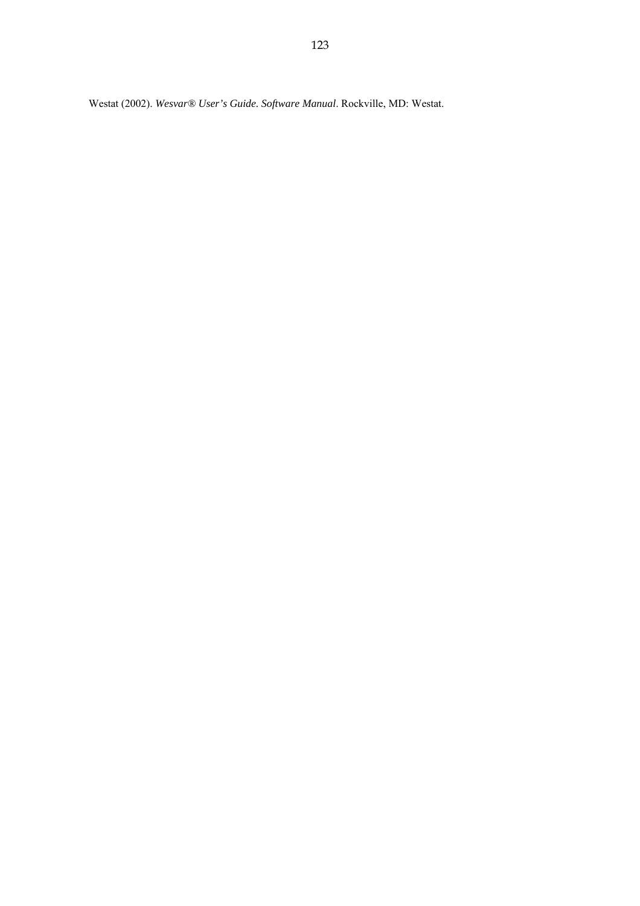Westat (2002). *Wesvar® User's Guide. Software Manual*. Rockville, MD: Westat.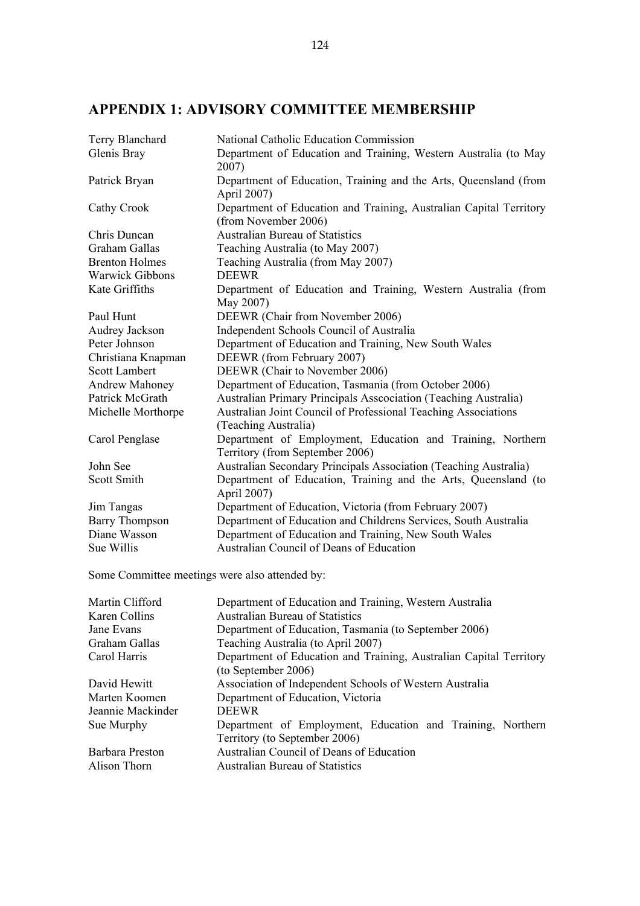# **APPENDIX 1: ADVISORY COMMITTEE MEMBERSHIP**

| Terry Blanchard        | National Catholic Education Commission                                                        |  |  |  |  |  |
|------------------------|-----------------------------------------------------------------------------------------------|--|--|--|--|--|
| Glenis Bray            | Department of Education and Training, Western Australia (to May<br>2007)                      |  |  |  |  |  |
| Patrick Bryan          | Department of Education, Training and the Arts, Queensland (from<br>April 2007)               |  |  |  |  |  |
| Cathy Crook            | Department of Education and Training, Australian Capital Territory<br>(from November 2006)    |  |  |  |  |  |
| Chris Duncan           | <b>Australian Bureau of Statistics</b>                                                        |  |  |  |  |  |
| Graham Gallas          | Teaching Australia (to May 2007)                                                              |  |  |  |  |  |
| <b>Brenton Holmes</b>  | Teaching Australia (from May 2007)                                                            |  |  |  |  |  |
| <b>Warwick Gibbons</b> | <b>DEEWR</b>                                                                                  |  |  |  |  |  |
| Kate Griffiths         | Department of Education and Training, Western Australia (from<br>May 2007)                    |  |  |  |  |  |
| Paul Hunt              | DEEWR (Chair from November 2006)                                                              |  |  |  |  |  |
| Audrey Jackson         | Independent Schools Council of Australia                                                      |  |  |  |  |  |
| Peter Johnson          | Department of Education and Training, New South Wales                                         |  |  |  |  |  |
| Christiana Knapman     | DEEWR (from February 2007)                                                                    |  |  |  |  |  |
| <b>Scott Lambert</b>   | DEEWR (Chair to November 2006)                                                                |  |  |  |  |  |
| <b>Andrew Mahoney</b>  | Department of Education, Tasmania (from October 2006)                                         |  |  |  |  |  |
| Patrick McGrath        | Australian Primary Principals Assocciation (Teaching Australia)                               |  |  |  |  |  |
| Michelle Morthorpe     | Australian Joint Council of Professional Teaching Associations<br>(Teaching Australia)        |  |  |  |  |  |
| Carol Penglase         | Department of Employment, Education and Training, Northern<br>Territory (from September 2006) |  |  |  |  |  |
| John See               | Australian Secondary Principals Association (Teaching Australia)                              |  |  |  |  |  |
| Scott Smith            | Department of Education, Training and the Arts, Queensland (to<br>April 2007)                 |  |  |  |  |  |
| Jim Tangas             | Department of Education, Victoria (from February 2007)                                        |  |  |  |  |  |
| <b>Barry Thompson</b>  | Department of Education and Childrens Services, South Australia                               |  |  |  |  |  |
| Diane Wasson           | Department of Education and Training, New South Wales                                         |  |  |  |  |  |
| Sue Willis             | Australian Council of Deans of Education                                                      |  |  |  |  |  |

Some Committee meetings were also attended by:

| Martin Clifford   | Department of Education and Training, Western Australia            |  |  |  |  |
|-------------------|--------------------------------------------------------------------|--|--|--|--|
| Karen Collins     | <b>Australian Bureau of Statistics</b>                             |  |  |  |  |
| Jane Evans        | Department of Education, Tasmania (to September 2006)              |  |  |  |  |
| Graham Gallas     | Teaching Australia (to April 2007)                                 |  |  |  |  |
| Carol Harris      | Department of Education and Training, Australian Capital Territory |  |  |  |  |
|                   | (to September 2006)                                                |  |  |  |  |
| David Hewitt      | Association of Independent Schools of Western Australia            |  |  |  |  |
| Marten Koomen     | Department of Education, Victoria                                  |  |  |  |  |
| Jeannie Mackinder | <b>DEEWR</b>                                                       |  |  |  |  |
| Sue Murphy        | Department of Employment, Education and Training, Northern         |  |  |  |  |
|                   | Territory (to September 2006)                                      |  |  |  |  |
| Barbara Preston   | Australian Council of Deans of Education                           |  |  |  |  |
| Alison Thorn      | <b>Australian Bureau of Statistics</b>                             |  |  |  |  |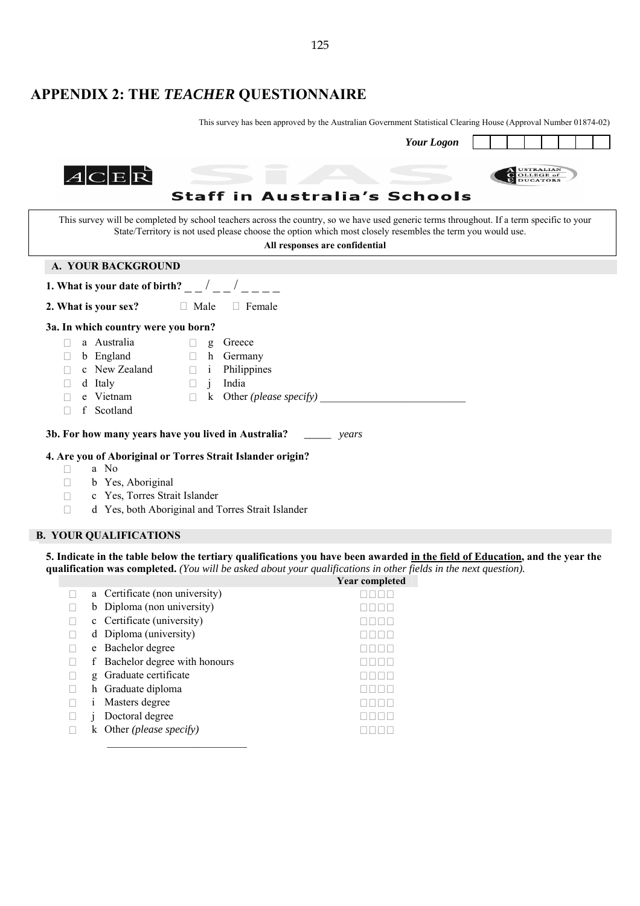# **APPENDIX 2: THE** *TEACHER* **QUESTIONNAIRE**

This survey has been approved by the Australian Government Statistical Clearing House (Approval Number 01874-02)

 $\blacksquare$ 

| <b>Your Logon</b>                                                                                                                                                                                                                                                                        |  |  |  |  |  |  |  |
|------------------------------------------------------------------------------------------------------------------------------------------------------------------------------------------------------------------------------------------------------------------------------------------|--|--|--|--|--|--|--|
| USTRALIAN<br>OLLEGE of<br>$A$ C $\mathbb{E} \mathcal{R}$<br><b>Staff in Australia's Schools</b>                                                                                                                                                                                          |  |  |  |  |  |  |  |
| This survey will be completed by school teachers across the country, so we have used generic terms throughout. If a term specific to your<br>State/Territory is not used please choose the option which most closely resembles the term you would use.<br>All responses are confidential |  |  |  |  |  |  |  |
| A. YOUR BACKGROUND                                                                                                                                                                                                                                                                       |  |  |  |  |  |  |  |
| 1. What is your date of birth? $\frac{\ }{\ }$ / /                                                                                                                                                                                                                                       |  |  |  |  |  |  |  |
| 2. What is your sex?<br>$\Box$ Male<br>$\Box$ Female                                                                                                                                                                                                                                     |  |  |  |  |  |  |  |
| 3a. In which country were you born?                                                                                                                                                                                                                                                      |  |  |  |  |  |  |  |
| a Australia<br>Greece<br>$\Box$<br>g                                                                                                                                                                                                                                                     |  |  |  |  |  |  |  |
| b England<br>Germany<br>h<br>$\Box$<br>П                                                                                                                                                                                                                                                 |  |  |  |  |  |  |  |
| c New Zealand<br>Philippines<br>$\Box$ i<br>India<br>d Italy<br>$\Box$<br>$\mathbf{1}$                                                                                                                                                                                                   |  |  |  |  |  |  |  |
| Other ( <i>please specify</i> ) $\qquad \qquad$<br>e Vietnam<br>$\bf k$<br>$\Box$                                                                                                                                                                                                        |  |  |  |  |  |  |  |
| f Scotland                                                                                                                                                                                                                                                                               |  |  |  |  |  |  |  |
| 3b. For how many years have you lived in Australia? ______<br>years                                                                                                                                                                                                                      |  |  |  |  |  |  |  |
| 4. Are you of Aboriginal or Torres Strait Islander origin?                                                                                                                                                                                                                               |  |  |  |  |  |  |  |
| a No<br>П                                                                                                                                                                                                                                                                                |  |  |  |  |  |  |  |
| b Yes, Aboriginal                                                                                                                                                                                                                                                                        |  |  |  |  |  |  |  |
| c Yes, Torres Strait Islander                                                                                                                                                                                                                                                            |  |  |  |  |  |  |  |
| d Yes, both Aboriginal and Torres Strait Islander<br>П                                                                                                                                                                                                                                   |  |  |  |  |  |  |  |

#### **B. YOUR QUALIFICATIONS**

**5. Indicate in the table below the tertiary qualifications you have been awarded in the field of Education, and the year the qualification was completed.** *(You will be asked about your qualifications in other fields in the next question).*

|    |                                 | <b>Year completed</b> |
|----|---------------------------------|-----------------------|
|    | a Certificate (non university)  |                       |
| b  | Diploma (non university)        |                       |
|    | c Certificate (university)      |                       |
|    | d Diploma (university)          |                       |
|    | e Bachelor degree               |                       |
|    | f Bachelor degree with honours  |                       |
| g  | Graduate certificate            |                       |
|    | h Graduate diploma              |                       |
|    | Masters degree                  |                       |
|    | Doctoral degree                 |                       |
| k. | Other ( <i>please specify</i> ) |                       |
|    |                                 |                       |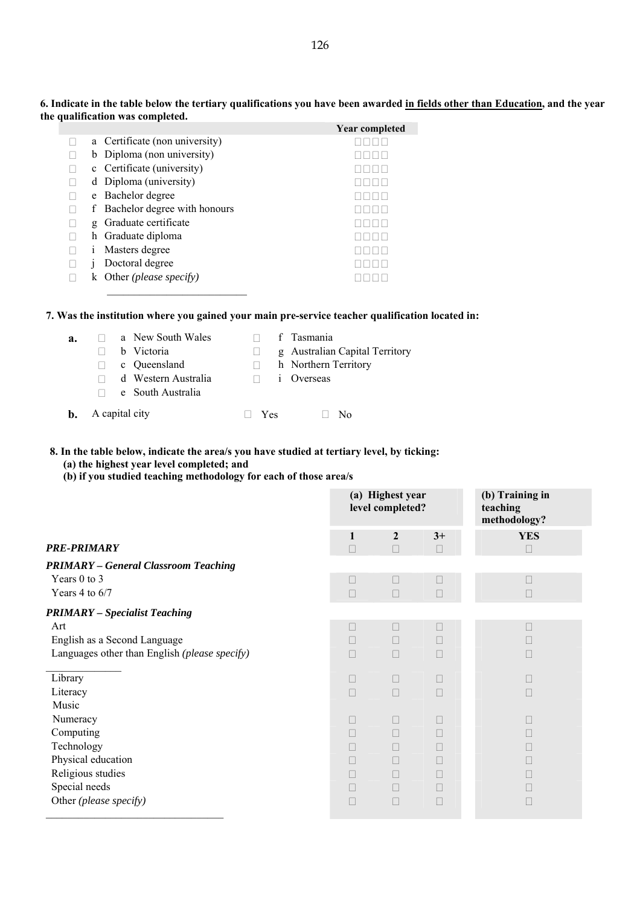|   |                                 | <b>Year completed</b> |
|---|---------------------------------|-----------------------|
|   | a Certificate (non university)  |                       |
|   | b Diploma (non university)      |                       |
|   | c Certificate (university)      |                       |
|   | d Diploma (university)          |                       |
|   | e Bachelor degree               |                       |
| f | Bachelor degree with honours    |                       |
| g | Graduate certificate            |                       |
|   | h Graduate diploma              |                       |
|   | Masters degree                  |                       |
|   | Doctoral degree                 |                       |
|   | Other ( <i>please specify</i> ) |                       |

**6. Indicate in the table below the tertiary qualifications you have been awarded in fields other than Education, and the year the qualification was completed.** 

## **7. Was the institution where you gained your main pre-service teacher qualification located in:**

| а. | a New Sout    |  |
|----|---------------|--|
|    | b Victoria    |  |
|    | c Oueenslar   |  |
|    | d Western $A$ |  |
|    | e South Aus   |  |

| a. |                          | a New South Wales<br>b Victoria<br>c Oueensland |     | f Tasmania<br>g Australian Capital Territory<br>h Northern Territory |
|----|--------------------------|-------------------------------------------------|-----|----------------------------------------------------------------------|
|    |                          | d Western Australia<br>e South Australia        |     | <i>i</i> Overseas                                                    |
|    | <b>b.</b> A capital city |                                                 | Yes | Nο                                                                   |

**8. In the table below, indicate the area/s you have studied at tertiary level, by ticking:** 

 **(a) the highest year level completed; and** 

 $\overline{\phantom{a}}$  , where  $\overline{\phantom{a}}$  , where  $\overline{\phantom{a}}$  , where  $\overline{\phantom{a}}$ 

 **(b) if you studied teaching methodology for each of those area/s** 

|                                               | (a) Highest year<br>level completed? |              |        | (b) Training in<br>teaching<br>methodology? |  |  |
|-----------------------------------------------|--------------------------------------|--------------|--------|---------------------------------------------|--|--|
|                                               | 1                                    | $\mathbf{2}$ | $3+$   | <b>YES</b>                                  |  |  |
| PRE-PRIMARY                                   | П                                    | $\Box$       | $\Box$ | $\Box$                                      |  |  |
| <b>PRIMARY - General Classroom Teaching</b>   |                                      |              |        |                                             |  |  |
| Years 0 to 3                                  | $\Box$                               | H            | П      |                                             |  |  |
| Years 4 to $6/7$                              | $\Box$                               | $\Box$       | $\Box$ |                                             |  |  |
| <b>PRIMARY</b> - Specialist Teaching          |                                      |              |        |                                             |  |  |
| Art                                           | П                                    | H            | П      |                                             |  |  |
| English as a Second Language                  | П                                    | П            | П      |                                             |  |  |
| Languages other than English (please specify) | П                                    | П            | П      |                                             |  |  |
| Library                                       | $\Box$                               | П            | П      |                                             |  |  |
| Literacy                                      | $\Box$                               | П            | $\Box$ |                                             |  |  |
| Music                                         |                                      |              |        |                                             |  |  |
| Numeracy                                      | Ш                                    | Ш            | П      |                                             |  |  |
| Computing                                     | П                                    |              | m.     |                                             |  |  |
| Technology                                    |                                      |              | m.     |                                             |  |  |
| Physical education                            |                                      |              | П      |                                             |  |  |
| Religious studies                             | П                                    | п            | П      |                                             |  |  |
| Special needs                                 | П                                    | П            | П      |                                             |  |  |
| Other (please specify)                        | П                                    | П            | $\Box$ |                                             |  |  |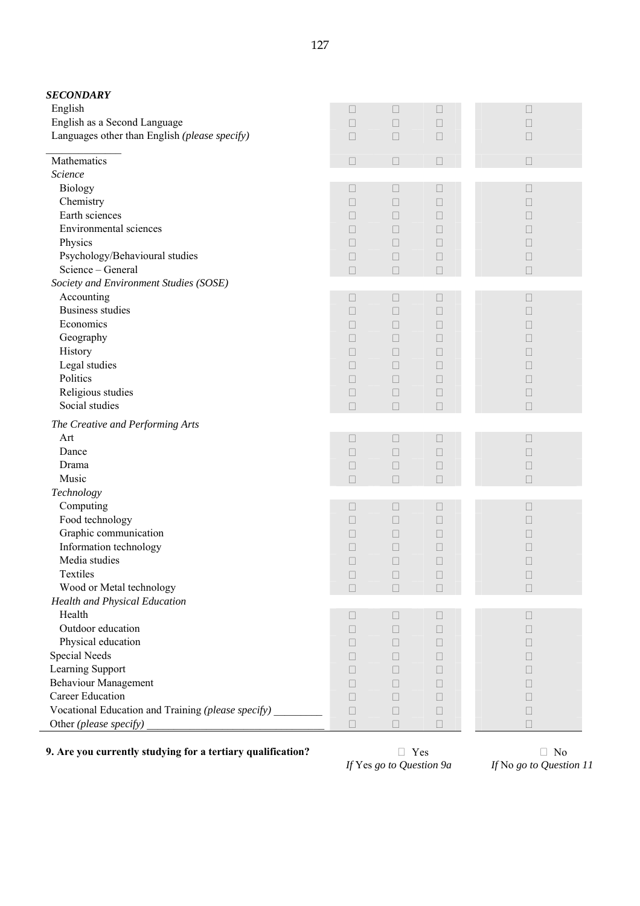| <b>SECONDARY</b>                                            |              |                |                |              |
|-------------------------------------------------------------|--------------|----------------|----------------|--------------|
| English                                                     | $\Box$       | П              | $\Box$         | $\Box$       |
| English as a Second Language                                | $\Box$       | $\Box$         | $\Box$         | $\Box$       |
| Languages other than English (please specify)               | $\Box$       | $\Box$         | $\Box$         | $\Box$       |
| Mathematics                                                 | $\Box$       | П              | $\Box$         | $\Box$       |
| Science                                                     |              |                |                |              |
| <b>Biology</b>                                              | $\Box$       | $\Box$         | $\Box$         | $\Box$       |
| Chemistry                                                   | П            | $\mathbf{L}$   | $\mathbb{R}^n$ | $\Box$       |
| Earth sciences                                              | П            | $\Box$         | $\Box$         | П            |
| Environmental sciences                                      | П            | П              | $\Box$         | П            |
| Physics                                                     | $\Box$       | $\Box$         | $\Box$         | П            |
| Psychology/Behavioural studies                              | $\Box$       | $\Box$         | $\Box$         | П            |
| Science - General                                           | $\Box$       | $\Box$         | $\Box$         | $\Box$       |
| Society and Environment Studies (SOSE)                      |              |                |                |              |
| Accounting                                                  | $\Box$       | $\Box$         | $\Box$         | $\Box$       |
| <b>Business studies</b>                                     | П            | П              | $\Box$         | П            |
| Economics                                                   | $\mathbf{L}$ | $\mathbf{L}$   | $\mathbb{R}^n$ | П            |
| Geography                                                   | П            | П              | П              | П            |
| History                                                     | П            | П              | $\Box$         | П            |
| Legal studies                                               | П            | $\Box$         | $\Box$         | П            |
| Politics                                                    | П            | $\Box$         | $\Box$         | П            |
| Religious studies                                           | $\Box$       | $\Box$         | $\Box$         | □            |
| Social studies                                              | $\Box$       | $\Box$         | $\Box$         | $\Box$       |
| The Creative and Performing Arts                            |              |                |                |              |
| Art                                                         | $\Box$       | $\Box$         | $\Box$         | $\Box$       |
| Dance                                                       | $\Box$       | $\Box$         | $\Box$         | $\Box$       |
| Drama                                                       | $\Box$       | П              | $\Box$         | П            |
| Music                                                       | $\Box$       | $\Box$         | $\Box$         | $\Box$       |
| Technology                                                  |              |                |                |              |
| Computing                                                   | $\Box$       | $\Box$         | $\Box$         | П            |
| Food technology                                             | П            | $\Box$         | $\Box$         | П            |
| Graphic communication                                       | П            | П              | $\Box$         | П            |
| Information technology                                      | $\Box$       | Ш              | Ш              | П            |
| Media studies                                               | $\Box$       | П              | $\Box$         | П            |
| Textiles                                                    | $\Box$       | $\Box$         | $\Box$         | $\Box$       |
| Wood or Metal technology                                    | $\Box$       | $\Box$         | $\Box$         | $\Box$       |
| Health and Physical Education                               |              |                |                |              |
| Health                                                      | Ш            | Ш              | $\mathbf{L}$   | $\mathbf{L}$ |
| Outdoor education                                           | П            | П              | $\Box$         | П            |
| Physical education                                          | П            | П              | $\Box$         | П            |
| Special Needs                                               | П            | П              | $\Box$         | П            |
| Learning Support                                            | П            | Ш              | Ш              | $\mathbf{L}$ |
| <b>Behaviour Management</b>                                 | П            | Ш              | Ш              | Ш            |
| Career Education                                            | $\Box$       | $\mathbb{R}^n$ | $\Box$         | П            |
| Vocational Education and Training (please specify) ________ | $\Box$       | $\Box$         | $\Box$         | $\Box$       |
| Other (please specify)                                      | $\Box$       | $\Box$         | $\Box$         | П            |

**9. Are you currently studying for a tertiary qualification?** <br>*If Yes go to Question 9a If* No *go to Question 11* 

*If* Yes go to Question 9a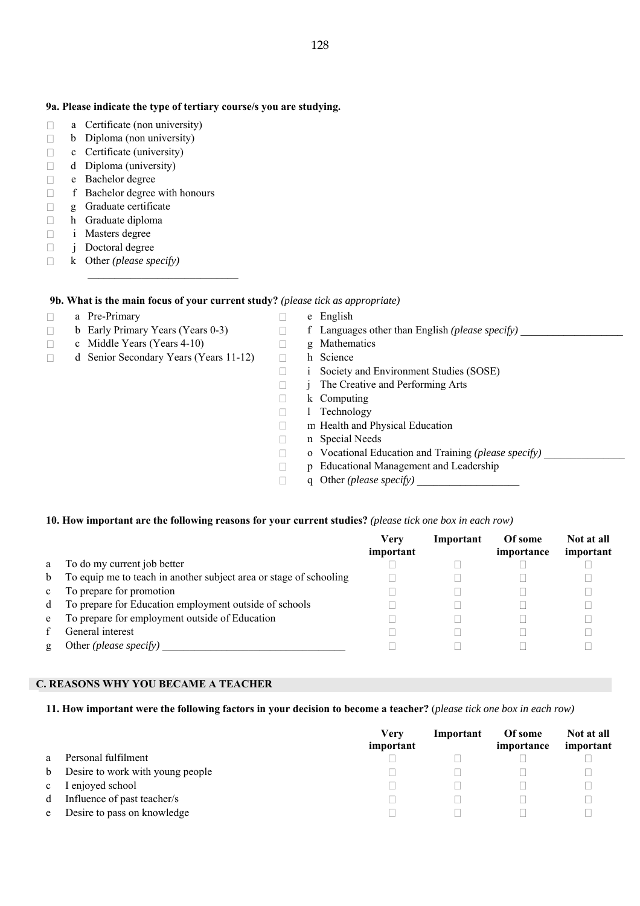#### **9a. Please indicate the type of tertiary course/s you are studying.**

- $\Box$  a Certificate (non university)
- $\Box$  b Diploma (non university)
- $\Box$  c Certificate (university)
- $\Box$  d Diploma (university)
- e Bachelor degree
- f Bachelor degree with honours
- g Graduate certificate
- $\Box$  h Graduate diploma
- i Masters degree
- $\Box$  j Doctoral degree
- k Other *(please specify)*

#### **9b. What is the main focus of your current study?** *(please tick as appropriate)*

- $\Box$  a Pre-Primary  $\Box$  e English
	-
- $\Box$  c Middle Years (Years 4-10)  $\Box$  g Mathematics
- 
- □ d Senior Secondary Years (Years 11-12) h Science

 $\overline{\phantom{a}}$  ,  $\overline{\phantom{a}}$  ,  $\overline{\phantom{a}}$  ,  $\overline{\phantom{a}}$  ,  $\overline{\phantom{a}}$  ,  $\overline{\phantom{a}}$  ,  $\overline{\phantom{a}}$  ,  $\overline{\phantom{a}}$  ,  $\overline{\phantom{a}}$  ,  $\overline{\phantom{a}}$  ,  $\overline{\phantom{a}}$  ,  $\overline{\phantom{a}}$  ,  $\overline{\phantom{a}}$  ,  $\overline{\phantom{a}}$  ,  $\overline{\phantom{a}}$  ,  $\overline{\phantom{a}}$ 

- b Early Primary Years (Years 0-3) f Languages other than English *(please specify)* \_\_\_\_\_\_\_\_\_\_\_\_\_\_\_\_\_\_\_
	-
	-
	- i Society and Environment Studies (SOSE)
	- j The Creative and Performing Arts
	- $\Box$  k Computing
	- □ 1 Technology
	- m Health and Physical Education
	- n Special Needs
	- $\Box$  o Vocational Education and Training *(please specify)*
	- p Educational Management and Leadership
	- $\Box$  **q** Other *(please specify)*

#### **10. How important are the following reasons for your current studies?** *(please tick one box in each row)*

|              |                                                                    | Verv<br>important | Important | Of some<br>importance | Not at all<br>important |
|--------------|--------------------------------------------------------------------|-------------------|-----------|-----------------------|-------------------------|
| a            | To do my current job better                                        |                   |           |                       |                         |
| b            | To equip me to teach in another subject area or stage of schooling |                   |           |                       |                         |
| $\mathbf{c}$ | To prepare for promotion                                           |                   |           |                       |                         |
| d            | To prepare for Education employment outside of schools             |                   |           |                       |                         |
| e            | To prepare for employment outside of Education                     |                   |           |                       |                         |
|              | General interest                                                   |                   |           |                       |                         |
| g            | Other <i>(please specify)</i>                                      |                   |           |                       |                         |

#### **C. REASONS WHY YOU BECAME A TEACHER**

#### **11. How important were the following factors in your decision to become a teacher?** (*please tick one box in each row)*

|              |                                  | Verv      | Important | Of some    | Not at all |
|--------------|----------------------------------|-----------|-----------|------------|------------|
|              |                                  | important |           | importance | important  |
| a            | Personal fulfilment              |           |           |            |            |
| b            | Desire to work with young people |           |           |            |            |
| $\mathbf{c}$ | I enjoyed school                 |           |           |            |            |
| d            | Influence of past teacher/s      |           |           |            |            |
| e            | Desire to pass on knowledge      |           |           |            |            |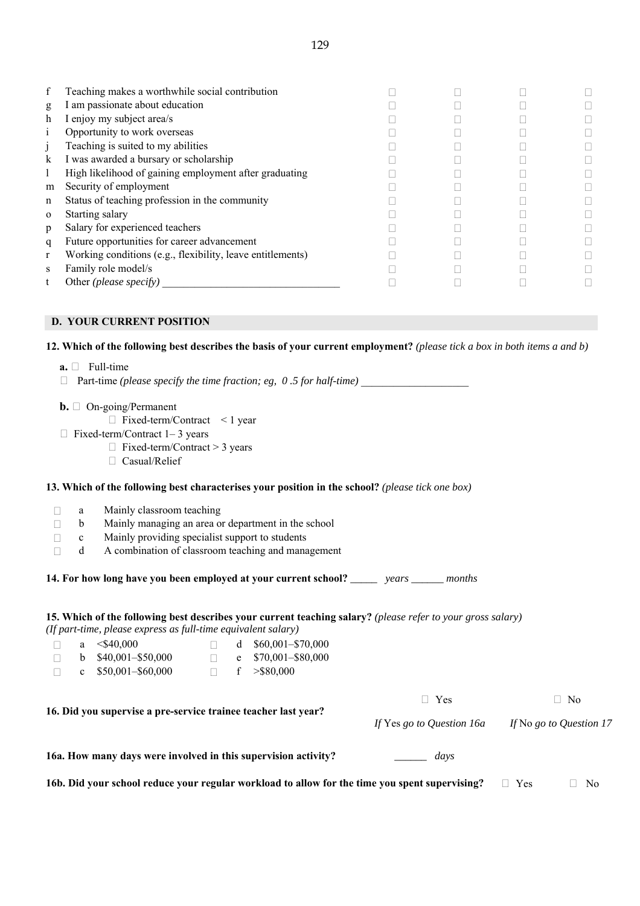| f        | Teaching makes a worthwhile social contribution            |  |  |
|----------|------------------------------------------------------------|--|--|
| g        | I am passionate about education                            |  |  |
| h        | I enjoy my subject area/s                                  |  |  |
|          | Opportunity to work overseas                               |  |  |
|          | Teaching is suited to my abilities                         |  |  |
| k        | I was awarded a bursary or scholarship                     |  |  |
|          | High likelihood of gaining employment after graduating     |  |  |
| m        | Security of employment                                     |  |  |
| n        | Status of teaching profession in the community             |  |  |
| $\Omega$ | Starting salary                                            |  |  |
| p        | Salary for experienced teachers                            |  |  |
| q        | Future opportunities for career advancement                |  |  |
| r        | Working conditions (e.g., flexibility, leave entitlements) |  |  |
| S        | Family role model/s                                        |  |  |
|          | Other ( <i>please specify</i> )                            |  |  |

# **D. YOUR CURRENT POSITION**

#### **12. Which of the following best describes the basis of your current employment?** *(please tick a box in both items a and b)*

- $\mathbf{a.} \Box$  Full-time
- $\Box$  Part-time *(please specify the time fraction; eg, 0.5 for half-time)*
- **b.** □ On-going/Permanent
	- Fixed-term/Contract < 1 year
- Fixed-term/Contract 1– 3 years
	- Fixed-term/Contract > 3 years
	- Casual/Relief

#### **13. Which of the following best characterises your position in the school?** *(please tick one box)*

- **a** Mainly classroom teaching
- $\Box$  b Mainly managing an area or department in the school
- $\Box$  c Mainly providing specialist support to students
- $\Box$  d A combination of classroom teaching and management

**14. For how long have you been employed at your current school?** *\_\_\_\_\_ years \_\_\_\_\_\_ months*

#### **15. Which of the following best describes your current teaching salary?** *(please refer to your gross salary) (If part-time, please express as full-time equivalent salary)*

|  | a $\leq$ \$40.000     |  | d $$60,001 - $70,000$ |
|--|-----------------------|--|-----------------------|
|  | b $$40,001 - $50,000$ |  | e $$70,001 - $80,000$ |
|  | c $$50,001 - $60,000$ |  | f $>$ \$80.000        |

|                                                                | ⊤ Yes                     | - No                    |
|----------------------------------------------------------------|---------------------------|-------------------------|
| 16. Did you supervise a pre-service trainee teacher last year? | If Yes go to Question 16a | If No go to Question 17 |
| 16a. How many days were involved in this supervision activity? | days                      |                         |

**16b. Did your school reduce your regular workload to allow for the time you spent supervising?**  $\Box$  **Yes**  $\Box$  **No**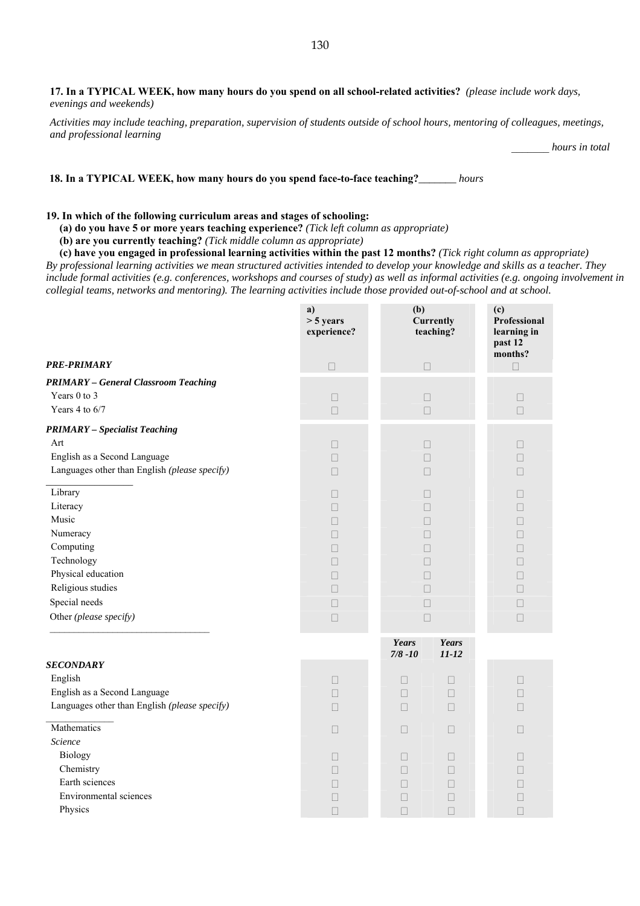**17. In a TYPICAL WEEK, how many hours do you spend on all school-related activities?** *(please include work days, evenings and weekends)* 

*Activities may include teaching, preparation, supervision of students outside of school hours, mentoring of colleagues, meetings, and professional learning* 

\_\_\_\_\_\_\_ *hours in total* 

 **18. In a TYPICAL WEEK, how many hours do you spend face-to-face teaching?***\_\_\_\_\_\_\_ hours*

#### **19. In which of the following curriculum areas and stages of schooling:**

**(a) do you have 5 or more years teaching experience?** *(Tick left column as appropriate)*

**(b) are you currently teaching?** *(Tick middle column as appropriate)*

**(c) have you engaged in professional learning activities within the past 12 months?** *(Tick right column as appropriate) By professional learning activities we mean structured activities intended to develop your knowledge and skills as a teacher. They include formal activities (e.g. conferences, workshops and courses of study) as well as informal activities (e.g. ongoing involvement in collegial teams, networks and mentoring). The learning activities include those provided out-of-school and at school.*

|                                                                                                                                                           | a)<br>$> 5$ years<br>experience?                    | (b)<br><b>Currently</b><br>teaching? |                                      | (c)<br>Professional<br>learning in<br>past 12<br>months? |  |                  |
|-----------------------------------------------------------------------------------------------------------------------------------------------------------|-----------------------------------------------------|--------------------------------------|--------------------------------------|----------------------------------------------------------|--|------------------|
| PRE-PRIMARY                                                                                                                                               | $\Box$                                              | $\Box$                               |                                      | П                                                        |  |                  |
| <b>PRIMARY</b> - General Classroom Teaching<br>Years 0 to 3<br>Years 4 to 6/7                                                                             | $\Box$<br>$\Box$                                    | П<br>$\Box$                          |                                      | П<br>$\Box$                                              |  |                  |
| <b>PRIMARY</b> - Specialist Teaching<br>Art<br>English as a Second Language<br>Languages other than English (please specify)                              | П<br>П<br>П                                         | П<br>П<br>П                          |                                      |                                                          |  | П<br>П<br>$\Box$ |
| Library<br>Literacy<br>Music<br>Numeracy<br>Computing<br>Technology<br>Physical education<br>Religious studies<br>Special needs<br>Other (please specify) | П<br>П<br>П<br>П<br>П<br>П<br>$\Box$<br>П<br>$\Box$ | п<br>ш<br>$\Box$                     |                                      | □                                                        |  |                  |
|                                                                                                                                                           |                                                     | Years<br>$7/8 - 10$                  | Years<br>$11 - 12$                   |                                                          |  |                  |
| <b>SECONDARY</b><br>English<br>English as a Second Language<br>Languages other than English (please specify)                                              | $\Box$<br>П<br>$\Box$                               | $\Box$<br>П<br>П                     | $\Box$<br>$\Box$<br>$\Box$           | П<br>П                                                   |  |                  |
| Mathematics<br>Science                                                                                                                                    | П                                                   | П                                    | П                                    | $\mathbf{L}$                                             |  |                  |
| Biology<br>Chemistry<br>Earth sciences<br>Environmental sciences<br>Physics                                                                               | П<br>П<br>П<br>□<br>$\Box$                          | П<br>П<br>□<br>$\Box$<br>П           | П<br>П<br>$\Box$<br>$\Box$<br>$\Box$ | П<br>П                                                   |  |                  |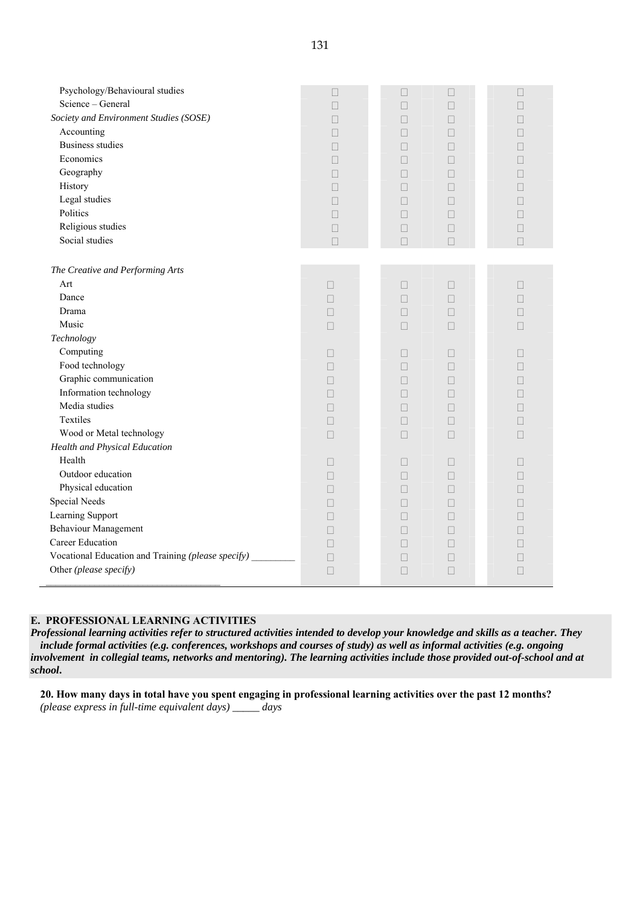| Psychology/Behavioural studies<br>Science - General<br>Society and Environment Studies (SOSE)<br>Accounting<br><b>Business studies</b><br>Economics<br>Geography<br>History<br>Legal studies<br>Politics<br>Religious studies<br>Social studies            | П<br>$\Box$<br>П<br>П<br>П<br>□<br>П<br>П<br>П<br>П<br>П<br>$\Box$ | П<br>П | П<br>П<br>П<br>П<br>П<br>П<br>П<br>П<br>П<br>П<br>П<br>П<br>Ш<br>П<br>Ш<br>П<br>П<br>П<br>П<br>$\Box$<br>$\Box$                               | П<br>П<br>П<br>П                                     |
|------------------------------------------------------------------------------------------------------------------------------------------------------------------------------------------------------------------------------------------------------------|--------------------------------------------------------------------|--------|-----------------------------------------------------------------------------------------------------------------------------------------------|------------------------------------------------------|
| The Creative and Performing Arts<br>Art<br>Dance<br>Drama<br>Music<br>Technology<br>Computing<br>Food technology<br>Graphic communication<br>Information technology<br>Media studies<br>Textiles<br>Wood or Metal technology                               | П<br>П<br>П<br>$\Box$<br>П<br>П<br>П<br>П<br>П<br>$\Box$<br>$\Box$ |        | П<br>$\Box$<br>П<br>П<br>П<br>П<br>$\Box$<br>$\Box$<br>П<br>П<br>П<br>П<br>$\Box$<br>П<br>П<br>П<br>П<br>П<br>$\Box$<br>$\Box$<br>П<br>$\Box$ | $\mathbf{L}$<br>П<br>П<br>$\Box$<br>П<br>$\Box$<br>П |
| Health and Physical Education<br>Health<br>Outdoor education<br>Physical education<br>Special Needs<br>Learning Support<br><b>Behaviour Management</b><br>Career Education<br>Vocational Education and Training (please specify)<br>Other (please specify) | П<br>П<br>П<br>П<br>П<br>П<br>П<br>$\Box$<br>П                     | П<br>П | П<br>П<br>П<br>П<br>П<br>П<br>П<br>П<br>П<br>П<br>П<br>П<br>П<br>П<br>П<br>П                                                                  | П                                                    |

### **E. PROFESSIONAL LEARNING ACTIVITIES**

*Professional learning activities refer to structured activities intended to develop your knowledge and skills as a teacher. They include formal activities (e.g. conferences, workshops and courses of study) as well as informal activities (e.g. ongoing involvement in collegial teams, networks and mentoring). The learning activities include those provided out-of-school and at school***.** 

**20. How many days in total have you spent engaging in professional learning activities over the past 12 months?** *(please express in full-time equivalent days) \_\_\_\_\_ days*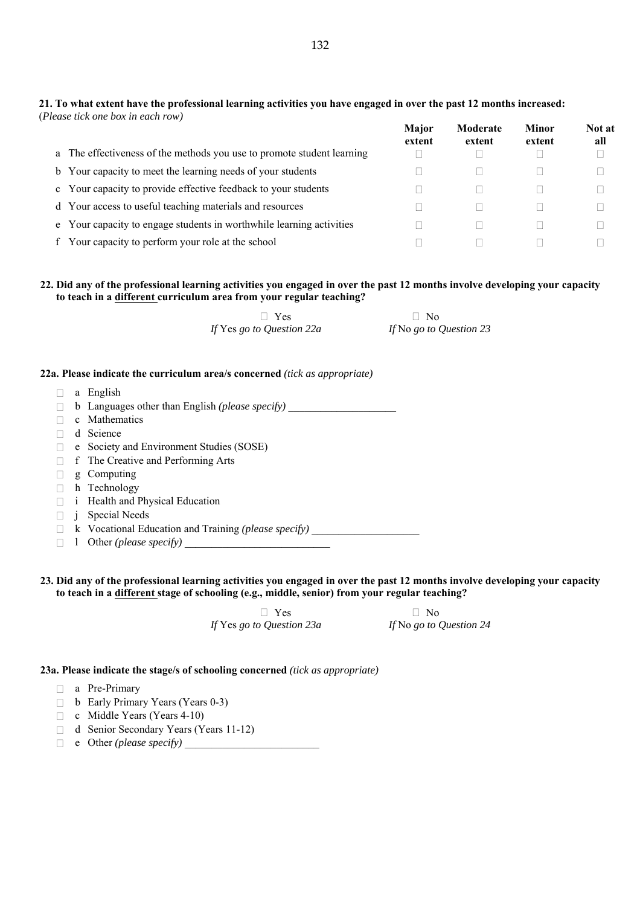#### **21. To what extent have the professional learning activities you have engaged in over the past 12 months increased:**  (*Please tick one box in each row)*

|    |                                                                        | Major<br>extent | Moderate<br>extent | Minor<br>extent | Not at<br>all |
|----|------------------------------------------------------------------------|-----------------|--------------------|-----------------|---------------|
|    | a The effectiveness of the methods you use to promote student learning |                 |                    |                 |               |
|    | b Your capacity to meet the learning needs of your students            |                 |                    |                 |               |
|    | c Your capacity to provide effective feedback to your students         |                 |                    |                 |               |
|    | d Your access to useful teaching materials and resources               |                 |                    |                 |               |
|    | e Your capacity to engage students in worthwhile learning activities   |                 |                    |                 |               |
| f. | Your capacity to perform your role at the school                       |                 |                    |                 |               |

# **22. Did any of the professional learning activities you engaged in over the past 12 months involve developing your capacity to teach in a different curriculum area from your regular teaching?**

| $\Box$ Yes                | $\Box$ No               |
|---------------------------|-------------------------|
| If Yes go to Question 22a | If No go to Question 23 |

#### **22a. Please indicate the curriculum area/s concerned** *(tick as appropriate)*

 $\Box$  a English  $\Box$  b Languages other than English *(please specify)*  $\Box$  c Mathematics d Science e Society and Environment Studies (SOSE) □ f The Creative and Performing Arts  $\Box$  g Computing □ h Technology i Health and Physical Education j Special Needs □ k Vocational Education and Training *(please specify)*  $\Box$  1 Other *(please specify)* 

#### **23. Did any of the professional learning activities you engaged in over the past 12 months involve developing your capacity to teach in a different stage of schooling (e.g., middle, senior) from your regular teaching?**

**D** Yes **D** No *If* Yes *go to Question 23a If* No *go to Question 24*

#### **23a. Please indicate the stage/s of schooling concerned** *(tick as appropriate)*

- a Pre-Primary
- □ b Early Primary Years (Years 0-3)
- $\Box$  c Middle Years (Years 4-10)
- d Senior Secondary Years (Years 11-12)
- e Other *(please specify)* \_\_\_\_\_\_\_\_\_\_\_\_\_\_\_\_\_\_\_\_\_\_\_\_\_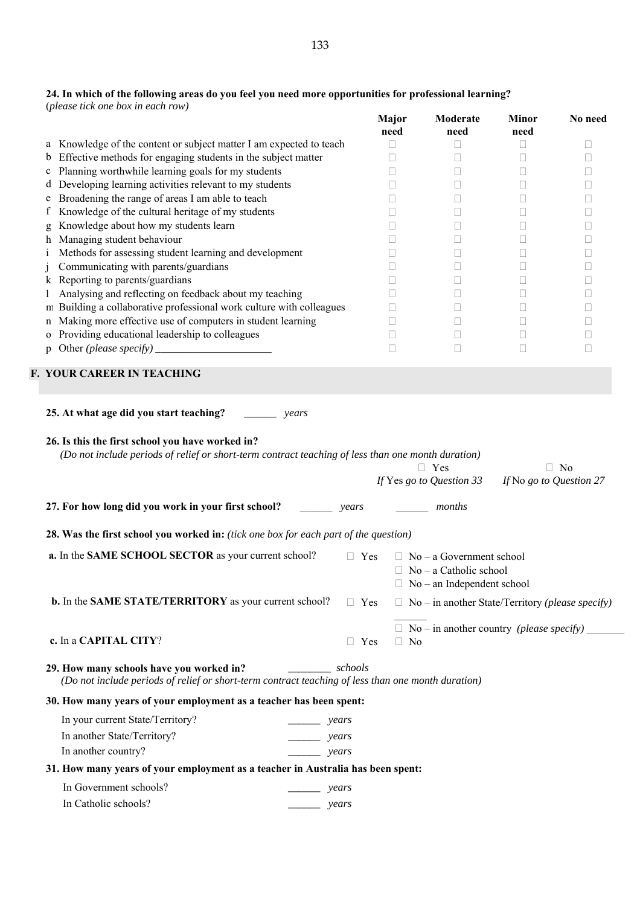#### **24. In which of the following areas do you feel you need more opportunities for professional learning?**  (*please tick one box in each row)*

 **Major need Moderate need Minor need No need** a Knowledge of the content or subject matter I am expected to teach  $\Box$ b Effective methods for engaging students in the subject matter  $\Box$ c Planning worthwhile learning goals for my students d Developing learning activities relevant to my students  $\Box$ e Broadening the range of areas I am able to teach  $\Box$ f Knowledge of the cultural heritage of my students  $\Box$ g Knowledge about how my students learn  $\Box$ h Managing student behaviour i Methods for assessing student learning and development j Communicating with parents/guardians k Reporting to parents/guardians and the contract of the contract of the contract of the contract of the contract of the contract of the contract of the contract of the contract of the contract of the contract of the contr l Analysing and reflecting on feedback about my teaching m Building a collaborative professional work culture with colleagues  $\Box$ n Making more effective use of computers in student learning o Providing educational leadership to colleagues p Other *(please specify) \_\_\_\_\_\_\_\_\_\_\_\_\_\_\_\_\_\_\_\_\_\_\_\_* **F. YOUR CAREER IN TEACHING 25. At what age did you start teaching?** *\_\_\_\_\_\_ years*  **26. Is this the first school you have worked in?**  *(Do not include periods of relief or short-term contract teaching of less than one month duration)*  $\Box$  Yes  $\Box$  No *If* Yes *go to Question 33 If* No *go to Question 27*  **27. For how long did you work in your first school?** \_\_\_\_\_\_ *years* \_\_\_\_\_\_ *months*  **28. Was the first school you worked in:** *(tick one box for each part of the question)* **a.** In the **SAME SCHOOL SECTOR** as your current school?  $\Box$  Yes  $\Box$  No – a Government school  $\Box$  No – a Catholic school  $\Box$  No – an Independent school **b.** In the **SAME STATE/TERRITORY** as your current school?  $\Box$  Yes  $\Box$  No – in another State/Territory *(please specify)*  $\mathcal{L}_\text{max}$  $\Box$  No – in another country *(please specify)* **c.** In a **CAPITAL CITY**?  $\Box$  Yes  $\Box$  No **29. How many schools have you worked in?** *\_\_\_\_\_\_\_\_ schools (Do not include periods of relief or short-term contract teaching of less than one month duration)*  **30. How many years of your employment as a teacher has been spent:** In your current State/Territory? *\_\_\_\_\_\_ years* In another State/Territory? *\_\_\_\_\_\_ years*  In another country? *years* **31. How many years of your employment as a teacher in Australia has been spent:** In Government schools? *\_\_\_\_\_\_ years* In Catholic schools? *\_\_\_\_\_\_ years*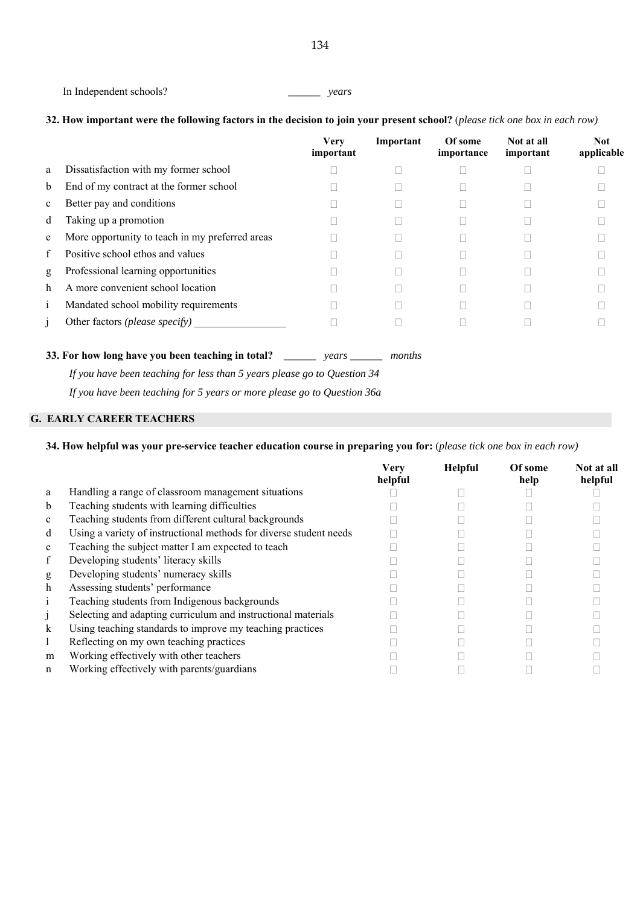```
 In Independent schools? ______ years
```
# **32. How important were the following factors in the decision to join your present school?** (*please tick one box in each row)*

|             |                                                 | <b>Very</b><br>important | Important | Of some<br>importance | Not at all<br>important | <b>Not</b><br>applicable |
|-------------|-------------------------------------------------|--------------------------|-----------|-----------------------|-------------------------|--------------------------|
| a           | Dissatisfaction with my former school           |                          |           |                       |                         |                          |
| b           | End of my contract at the former school         |                          |           |                       |                         |                          |
| $\mathbf c$ | Better pay and conditions                       |                          |           |                       |                         |                          |
| d           | Taking up a promotion                           |                          |           |                       |                         |                          |
| e           | More opportunity to teach in my preferred areas |                          |           |                       |                         |                          |
| f           | Positive school ethos and values                |                          |           |                       |                         |                          |
| g           | Professional learning opportunities             |                          |           |                       |                         |                          |
| h           | A more convenient school location               |                          |           |                       |                         |                          |
| 1           | Mandated school mobility requirements           |                          |           |                       |                         |                          |
|             | Other factors <i>(please specify)</i>           |                          |           |                       |                         |                          |

**33. For how long have you been teaching in total?** *\_\_\_\_\_\_ years \_\_\_\_\_\_ months* 

*If you have been teaching for less than 5 years please go to Question 34* 

 *If you have been teaching for 5 years or more please go to Question 36a* 

# **G. EARLY CAREER TEACHERS**

# **34. How helpful was your pre-service teacher education course in preparing you for:** (*please tick one box in each row)*

|              |                                                                    | <b>Verv</b><br>helpful | <b>Helpful</b> | Of some<br>help | Not at all<br>helpful |
|--------------|--------------------------------------------------------------------|------------------------|----------------|-----------------|-----------------------|
| a            | Handling a range of classroom management situations                |                        |                |                 |                       |
| b            | Teaching students with learning difficulties                       |                        |                |                 |                       |
| $\mathbf{c}$ | Teaching students from different cultural backgrounds              |                        |                |                 |                       |
| d            | Using a variety of instructional methods for diverse student needs |                        |                |                 |                       |
| e            | Teaching the subject matter I am expected to teach                 |                        |                |                 |                       |
| f            | Developing students' literacy skills                               |                        |                |                 |                       |
| g            | Developing students' numeracy skills                               |                        |                |                 |                       |
| h            | Assessing students' performance                                    |                        |                |                 |                       |
|              | Teaching students from Indigenous backgrounds                      |                        |                |                 |                       |
|              | Selecting and adapting curriculum and instructional materials      |                        |                |                 |                       |
| $\bf k$      | Using teaching standards to improve my teaching practices          |                        |                |                 |                       |
|              | Reflecting on my own teaching practices                            |                        |                |                 |                       |
| m            | Working effectively with other teachers                            |                        |                |                 |                       |
| $\mathbf n$  | Working effectively with parents/guardians                         |                        |                |                 |                       |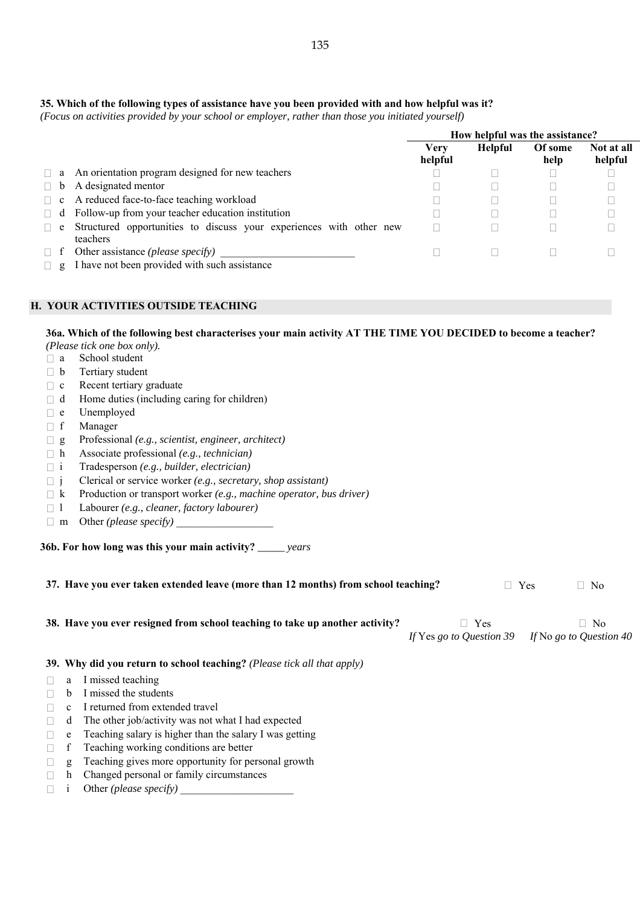## **35. Which of the following types of assistance have you been provided with and how helpful was it?**

*(Focus on activities provided by your school or employer, rather than those you initiated yourself)* 

|          |                                                                                 | How helpful was the assistance? |                |                 |                       |
|----------|---------------------------------------------------------------------------------|---------------------------------|----------------|-----------------|-----------------------|
|          |                                                                                 | Verv<br>helpful                 | <b>Helpful</b> | Of some<br>help | Not at all<br>helpful |
|          | $\Box$ a An orientation program designed for new teachers                       |                                 |                |                 |                       |
| $\Box$ b | A designated mentor                                                             |                                 |                |                 |                       |
|          | $\Box$ c A reduced face-to-face teaching workload                               |                                 |                |                 |                       |
|          | $\Box$ d Follow-up from your teacher education institution                      |                                 |                |                 |                       |
| $\Box$ e | Structured opportunities to discuss your experiences with other new<br>teachers |                                 |                |                 |                       |
| $\Box$ f | Other assistance ( <i>please specify</i> )                                      |                                 |                |                 |                       |
| $\Box$ g | I have not been provided with such assistance                                   |                                 |                |                 |                       |

# **H. YOUR ACTIVITIES OUTSIDE TEACHING**

#### **36a. Which of the following best characterises your main activity AT THE TIME YOU DECIDED to become a teacher?**

*(Please tick one box only).*

- a School student
- $\neg$  b Tertiary student
- $\Box$  c Recent tertiary graduate
- $\Box$  d Home duties (including caring for children)
- e Unemployed
- f Manager
- g Professional *(e.g., scientist, engineer, architect)*
- h Associate professional *(e.g., technician)*
- i Tradesperson *(e.g., builder, electrician)*
- j Clerical or service worker *(e.g., secretary, shop assistant)*
- k Production or transport worker *(e.g., machine operator, bus driver)*
- l Labourer *(e.g., cleaner, factory labourer)*
- $\Box$  m Other *(please specify)*

**36b. For how long was this your main activity?** *\_\_\_\_\_ years*

| 37. Have you ever taken extended leave (more than 12 months) from school teaching? |                                                                              |                                 | Yes | N <sub>0</sub>                       |  |
|------------------------------------------------------------------------------------|------------------------------------------------------------------------------|---------------------------------|-----|--------------------------------------|--|
|                                                                                    | 38. Have you ever resigned from school teaching to take up another activity? | Yes<br>If Yes go to Question 39 |     | $\Box$ No<br>If No go to Question 40 |  |
|                                                                                    | 39. Why did you return to school teaching? (Please tick all that apply)      |                                 |     |                                      |  |
| a                                                                                  | I missed teaching                                                            |                                 |     |                                      |  |
| h                                                                                  | I missed the students                                                        |                                 |     |                                      |  |
| C.                                                                                 | I returned from extended travel                                              |                                 |     |                                      |  |
| d                                                                                  | The other job/activity was not what I had expected                           |                                 |     |                                      |  |

- $\Box$  e Teaching salary is higher than the salary I was getting
- $\Box$  f Teaching working conditions are better
- $\Box$  g Teaching gives more opportunity for personal growth
- $\Box$  h Changed personal or family circumstances
- $\Box$  i Other *(please specify)*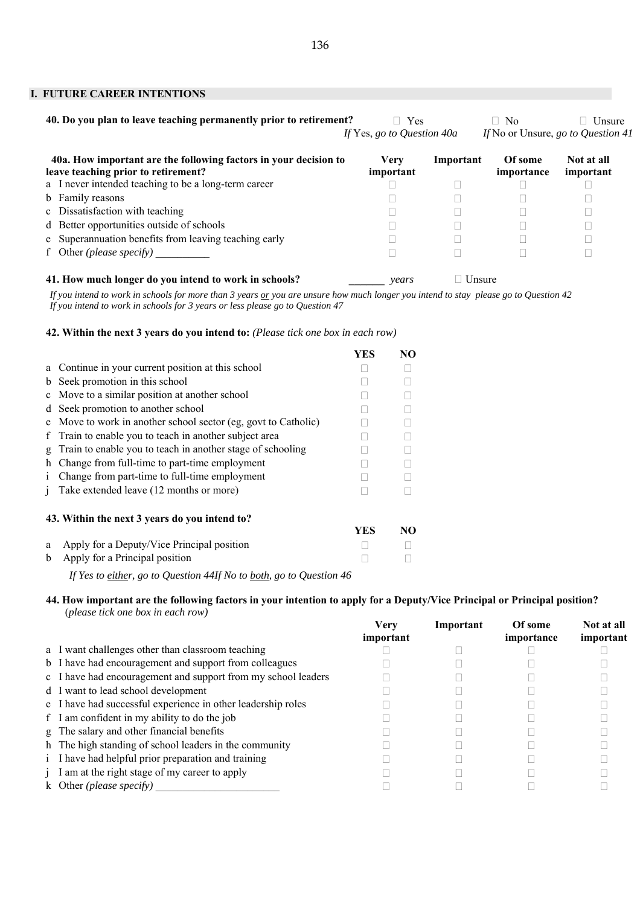#### **I. FUTURE CAREER INTENTIONS**

| 40. Do you plan to leave teaching permanently prior to retirement?                                      | $\Box$ Yes<br>If Yes, go to Question 40a |           | N <sub>0</sub><br>$\mathbf{L}$ | Unsure<br>If No or Unsure, go to Question 41 |
|---------------------------------------------------------------------------------------------------------|------------------------------------------|-----------|--------------------------------|----------------------------------------------|
| 40a. How important are the following factors in your decision to<br>leave teaching prior to retirement? | <b>Very</b><br>important                 | Important | Of some<br>importance          | Not at all<br>important                      |
| a I never intended teaching to be a long-term career                                                    |                                          |           |                                |                                              |
| b Family reasons                                                                                        |                                          |           |                                |                                              |
| c Dissatisfaction with teaching                                                                         |                                          |           |                                |                                              |
| d Better opportunities outside of schools                                                               |                                          |           |                                |                                              |
| e Superannuation benefits from leaving teaching early                                                   |                                          |           |                                |                                              |
| f Other ( <i>please specify</i> )                                                                       |                                          |           |                                |                                              |
| 41. How much longer do you intend to work in schools?                                                   | years                                    | Unsure    |                                |                                              |

*If you intend to work in schools for more than 3 years or you are unsure how much longer you intend to stay please go to Question 42 If you intend to work in schools for 3 years or less please go to Question 47*

#### **42. Within the next 3 years do you intend to:** *(Please tick one box in each row)*

|              |                                                                | YES | NO. |
|--------------|----------------------------------------------------------------|-----|-----|
|              | a Continue in your current position at this school             |     |     |
| b            | Seek promotion in this school                                  |     |     |
|              | c Move to a similar position at another school                 |     |     |
| d            | Seek promotion to another school                               |     |     |
|              | e Move to work in another school sector (eg, govt to Catholic) |     |     |
| f.           | Train to enable you to teach in another subject area           |     |     |
| g            | Train to enable you to teach in another stage of schooling     |     |     |
| h            | Change from full-time to part-time employment                  |     |     |
| $\mathbf{1}$ | Change from part-time to full-time employment                  |     |     |
| 1            | Take extended leave (12 months or more)                        |     |     |
|              | 43. Within the next 3 years do you intend to?                  |     |     |
|              |                                                                | YES | NO  |
| a            | Apply for a Deputy/Vice Principal position                     |     |     |
| b            | Apply for a Principal position                                 |     |     |

*If Yes to either, go to Question 44 If No to both, go to Question 46*

#### **44. How important are the following factors in your intention to apply for a Deputy/Vice Principal or Principal position?**  (*please tick one box in each row)*

|                                                               | <b>Very</b><br>important | Important | Of some<br>importance | Not at all<br>important |
|---------------------------------------------------------------|--------------------------|-----------|-----------------------|-------------------------|
| a I want challenges other than classroom teaching             |                          |           |                       |                         |
| b I have had encouragement and support from colleagues        |                          |           |                       |                         |
| c I have had encouragement and support from my school leaders |                          |           |                       |                         |
| d I want to lead school development                           |                          |           |                       |                         |
| e I have had successful experience in other leadership roles  |                          |           |                       |                         |
| f I am confident in my ability to do the job                  |                          |           |                       |                         |
| g The salary and other financial benefits                     |                          |           |                       |                         |
| h The high standing of school leaders in the community        |                          |           |                       |                         |
| i I have had helpful prior preparation and training           |                          |           |                       |                         |
| j I am at the right stage of my career to apply               |                          |           |                       |                         |
| k Other ( <i>please specify</i> )                             |                          |           |                       |                         |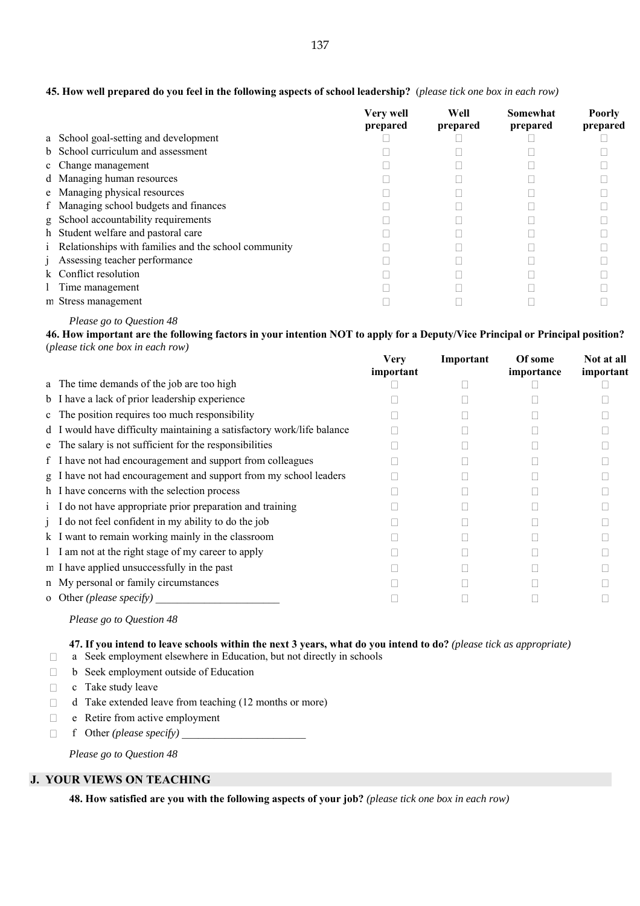|                                                               | <b>Very well</b><br>prepared | Well<br>prepared | Somewhat<br>prepared | <b>Poorly</b><br>prepared |
|---------------------------------------------------------------|------------------------------|------------------|----------------------|---------------------------|
| a School goal-setting and development                         |                              |                  |                      |                           |
| b School curriculum and assessment                            |                              |                  |                      |                           |
| c Change management                                           |                              |                  |                      |                           |
| d Managing human resources                                    |                              |                  |                      |                           |
| e Managing physical resources                                 |                              |                  |                      |                           |
| f Managing school budgets and finances                        |                              |                  |                      |                           |
| g School accountability requirements                          |                              |                  |                      |                           |
| h Student welfare and pastoral care                           |                              |                  |                      |                           |
| <i>i</i> Relationships with families and the school community |                              |                  |                      |                           |
| <i>i</i> Assessing teacher performance                        |                              |                  |                      |                           |
| k Conflict resolution                                         |                              |                  |                      |                           |
| 1 Time management                                             |                              |                  |                      |                           |
| m Stress management                                           |                              |                  |                      |                           |

### **45. How well prepared do you feel in the following aspects of school leadership?** (*please tick one box in each row)*

# *Please go to Question 48*

**46. How important are the following factors in your intention NOT to apply for a Deputy/Vice Principal or Principal position?**  (*please tick one box in each row)* 

|                                                                        | <b>Very</b><br>important | Important | Of some<br>importance | Not at all<br>important |
|------------------------------------------------------------------------|--------------------------|-----------|-----------------------|-------------------------|
| a The time demands of the job are too high                             |                          |           |                       |                         |
| b I have a lack of prior leadership experience                         |                          |           |                       |                         |
| c The position requires too much responsibility                        |                          |           |                       |                         |
| d I would have difficulty maintaining a satisfactory work/life balance |                          |           |                       |                         |
| e The salary is not sufficient for the responsibilities                |                          |           |                       |                         |
| f I have not had encouragement and support from colleagues             |                          |           |                       |                         |
| g I have not had encouragement and support from my school leaders      |                          |           |                       |                         |
| h I have concerns with the selection process                           |                          |           |                       |                         |
| i I do not have appropriate prior preparation and training             |                          |           |                       |                         |
| j I do not feel confident in my ability to do the job                  |                          |           |                       |                         |
| k I want to remain working mainly in the classroom                     |                          |           |                       |                         |
| 1 I am not at the right stage of my career to apply                    |                          |           |                       |                         |
| m I have applied unsuccessfully in the past                            |                          |           |                       |                         |
| n My personal or family circumstances                                  |                          |           |                       |                         |
| o Other ( <i>please specify</i> )                                      |                          |           |                       |                         |

#### *Please go to Question 48*

# **47. If you intend to leave schools within the next 3 years, what do you intend to do?** *(please tick as appropriate)*

a Seek employment elsewhere in Education, but not directly in schools

- □ b Seek employment outside of Education
- $\Box$  c Take study leave
- $\Box$  d Take extended leave from teaching (12 months or more)
- $\Box$  e Retire from active employment
- f Other *(please specify)* \_\_\_\_\_\_\_\_\_\_\_\_\_\_\_\_\_\_\_\_\_\_\_

*Please go to Question 48* 

#### **J. YOUR VIEWS ON TEACHING**

**48. How satisfied are you with the following aspects of your job?** *(please tick one box in each row)*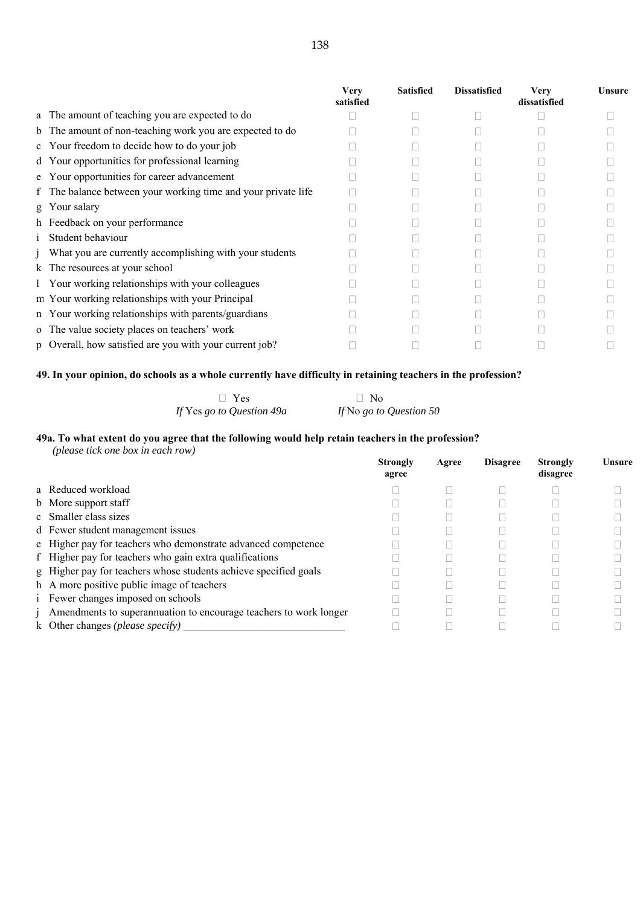|                                                               | <b>Very</b><br>satisfied | <b>Satisfied</b> | <b>Dissatisfied</b> | Very<br>dissatisfied | Unsure |
|---------------------------------------------------------------|--------------------------|------------------|---------------------|----------------------|--------|
| a The amount of teaching you are expected to do               |                          |                  |                     |                      |        |
| b The amount of non-teaching work you are expected to do      |                          |                  |                     |                      |        |
| c Your freedom to decide how to do your job                   |                          |                  |                     |                      |        |
| d Your opportunities for professional learning                |                          |                  |                     |                      |        |
| e Your opportunities for career advancement                   |                          |                  |                     |                      |        |
| f The balance between your working time and your private life |                          |                  |                     |                      |        |
| g Your salary                                                 |                          |                  |                     |                      |        |
| h Feedback on your performance                                |                          |                  |                     |                      |        |
| Student behaviour                                             |                          |                  |                     |                      |        |
| j What you are currently accomplishing with your students     |                          |                  |                     |                      |        |
| k The resources at your school                                |                          |                  |                     |                      |        |
| 1 Your working relationships with your colleagues             |                          |                  |                     |                      |        |
| m Your working relationships with your Principal              |                          |                  |                     |                      |        |
| n Your working relationships with parents/guardians           |                          |                  |                     |                      |        |
| o The value society places on teachers' work                  |                          |                  |                     |                      |        |
| p Overall, how satisfied are you with your current job?       |                          |                  |                     |                      |        |

# **49. In your opinion, do schools as a whole currently have difficulty in retaining teachers in the profession?**

| $\Box$ Yes                | $\Box$ No               |
|---------------------------|-------------------------|
| If Yes go to Question 49a | If No go to Question 50 |

#### **49a. To what extent do you agree that the following would help retain teachers in the profession?**

| (please tick one box in each row)                                          |                          |       |                 |                             |        |
|----------------------------------------------------------------------------|--------------------------|-------|-----------------|-----------------------------|--------|
|                                                                            | <b>Strongly</b><br>agree | Agree | <b>Disagree</b> | <b>Strongly</b><br>disagree | Unsure |
| a Reduced workload                                                         |                          |       |                 |                             |        |
| b More support staff                                                       |                          |       |                 |                             |        |
| c Smaller class sizes                                                      |                          |       |                 |                             |        |
| d Fewer student management issues                                          |                          |       |                 |                             |        |
| e Higher pay for teachers who demonstrate advanced competence              |                          |       |                 |                             |        |
| f Higher pay for teachers who gain extra qualifications                    |                          |       |                 |                             |        |
| g Higher pay for teachers whose students achieve specified goals           |                          |       |                 |                             |        |
| h A more positive public image of teachers                                 |                          |       |                 |                             |        |
| <i>i</i> Fewer changes imposed on schools                                  |                          |       |                 |                             |        |
| <i>i</i> Amendments to superannuation to encourage teachers to work longer |                          |       |                 |                             |        |
| k Other changes ( <i>please specify</i> )                                  |                          |       |                 |                             |        |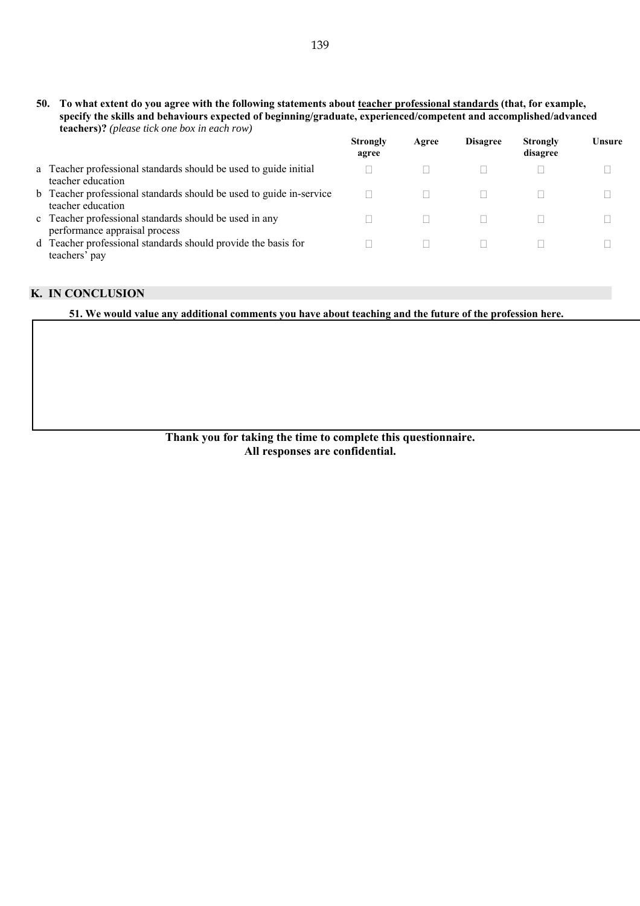**50. To what extent do you agree with the following statements about teacher professional standards (that, for example, specify the skills and behaviours expected of beginning/graduate, experienced/competent and accomplished/advanced teachers)?** *(please tick one box in each row)* 

|                                                                                          | <b>Strongly</b><br>agree | Agree | <b>Disagree</b> | <b>Strongly</b><br>disagree | Unsure |
|------------------------------------------------------------------------------------------|--------------------------|-------|-----------------|-----------------------------|--------|
| a Teacher professional standards should be used to guide initial<br>teacher education    |                          |       |                 |                             |        |
| b Teacher professional standards should be used to guide in-service<br>teacher education |                          |       |                 |                             |        |
| c Teacher professional standards should be used in any<br>performance appraisal process  |                          |       |                 |                             |        |
| d Teacher professional standards should provide the basis for<br>teachers' pay           |                          |       |                 |                             |        |

# **K. IN CONCLUSION**

**51. We would value any additional comments you have about teaching and the future of the profession here.**

**Thank you for taking the time to complete this questionnaire. All responses are confidential.**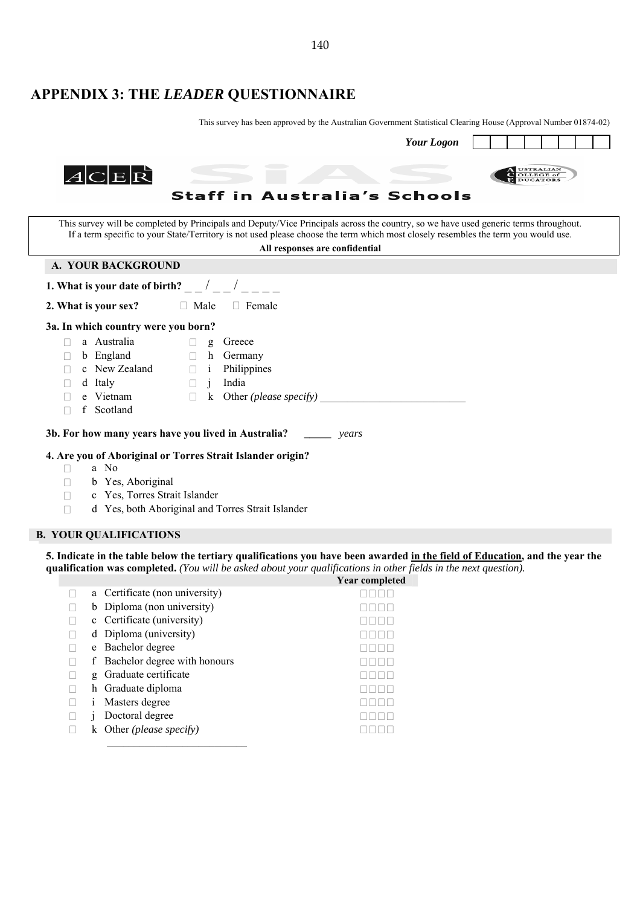# **APPENDIX 3: THE** *LEADER* **QUESTIONNAIRE**

This survey has been approved by the Australian Government Statistical Clearing House (Approval Number 01874-02)

| <b>Your Logon</b>                                                                                                                                                                                                                                                                                            |
|--------------------------------------------------------------------------------------------------------------------------------------------------------------------------------------------------------------------------------------------------------------------------------------------------------------|
| USTRALIAN<br>OLLEGE of<br>$ A C E \vec{R}$<br><b>Staff in Australia's Schools</b>                                                                                                                                                                                                                            |
| This survey will be completed by Principals and Deputy/Vice Principals across the country, so we have used generic terms throughout.<br>If a term specific to your State/Territory is not used please choose the term which most closely resembles the term you would use.<br>All responses are confidential |
| A. YOUR BACKGROUND                                                                                                                                                                                                                                                                                           |
| 1. What is your date of birth? $\sqrt{ }$                                                                                                                                                                                                                                                                    |
| 2. What is your sex?<br>$\Box$ Male<br>$\Box$ Female                                                                                                                                                                                                                                                         |
| 3a. In which country were you born?                                                                                                                                                                                                                                                                          |
| a Australia<br>Greece<br>g<br>b England<br>h<br>Germany<br>$\Box$<br>c New Zealand<br>Philippines<br>$\mathbf{i}$<br>$\Box$<br>India<br>d Italy<br>$\Box$<br>$\mathbf{1}$<br>Other ( <i>please specify</i> ) $\qquad$<br>e Vietnam<br>$\bf k$<br>$\Box$<br>f<br>Scotland<br>П                                |
| 3b. For how many years have you lived in Australia?<br>years                                                                                                                                                                                                                                                 |
| 4. Are you of Aboriginal or Torres Strait Islander origin?<br>a No<br>$\mathbf{L}$<br>b Yes, Aboriginal<br>$\Box$<br>c Yes, Torres Strait Islander<br>$\mathbf{L}$<br>d Yes, both Aboriginal and Torres Strait Islander                                                                                      |

## **B. YOUR QUALIFICATIONS**

**5. Indicate in the table below the tertiary qualifications you have been awarded in the field of Education, and the year the qualification was completed.** *(You will be asked about your qualifications in other fields in the next question).*

|   |                                 | Year completed |
|---|---------------------------------|----------------|
|   | a Certificate (non university)  |                |
| b | Diploma (non university)        |                |
|   | c Certificate (university)      |                |
|   | d Diploma (university)          |                |
| e | Bachelor degree                 |                |
|   | f Bachelor degree with honours  |                |
| g | Graduate certificate            |                |
|   | h Graduate diploma              |                |
|   | Masters degree                  |                |
|   | Doctoral degree                 |                |
| k | Other ( <i>please specify</i> ) |                |
|   |                                 |                |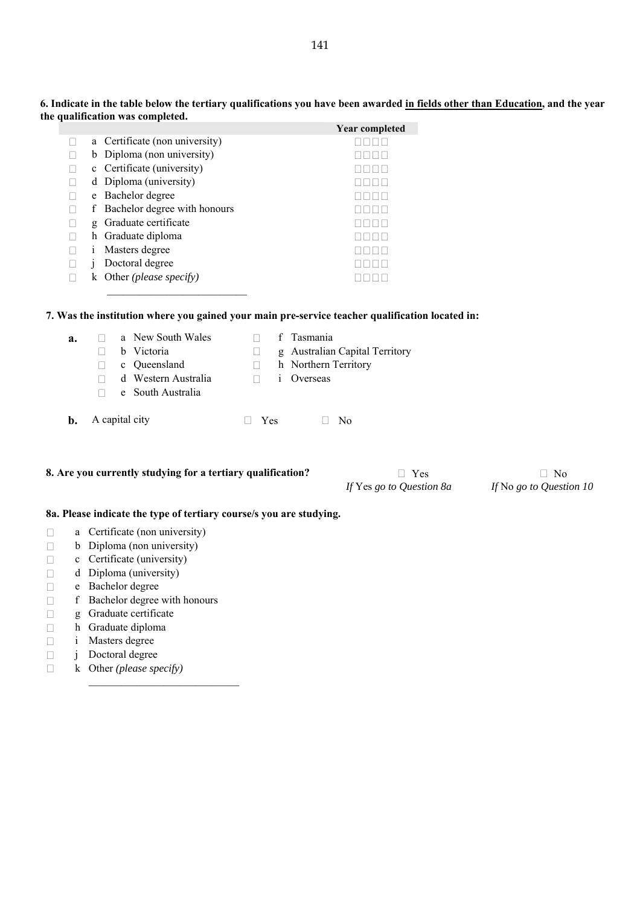|   |                                | <b>Year completed</b> |
|---|--------------------------------|-----------------------|
|   | a Certificate (non university) |                       |
|   | b Diploma (non university)     |                       |
|   | c Certificate (university)     |                       |
|   | d Diploma (university)         |                       |
|   | e Bachelor degree              |                       |
| f | Bachelor degree with honours   |                       |
| g | Graduate certificate           |                       |
|   | h Graduate diploma             |                       |
|   | Masters degree                 |                       |
|   | Doctoral degree                |                       |
|   | Other (please specify)         |                       |

**6. Indicate in the table below the tertiary qualifications you have been awarded in fields other than Education, and the year the qualification was completed.** 

# **7. Was the institution where you gained your main pre-service teacher qualification located in:**

| a.             |                | a New South Wales   |     | f Tasmania                     |
|----------------|----------------|---------------------|-----|--------------------------------|
|                |                | b Victoria          |     | g Australian Capital Territory |
|                |                | c Queensland        |     | h Northern Territory           |
|                |                | d Western Australia |     | <i>i</i> Overseas              |
|                |                | e South Australia   |     |                                |
|                |                |                     |     |                                |
| $\mathbf{b}$ . | A capital city |                     | Yes | No                             |

#### **8.** Are you currently studying for a tertiary qualification?  $\Box$  Yes  $\Box$  No

 $\overline{\phantom{a}}$  , where  $\overline{\phantom{a}}$  , where  $\overline{\phantom{a}}$  , where  $\overline{\phantom{a}}$ 

*If* Yes *go to Question 8a If* No *go to Question 10*

#### **8a. Please indicate the type of tertiary course/s you are studying.**

- a Certificate (non university)
- $\Box$  b Diploma (non university)
- $\Box$  c Certificate (university)
- $\Box$  d Diploma (university)
- e Bachelor degree
- $\Box$  f Bachelor degree with honours

\_\_\_\_\_\_\_\_\_\_\_\_\_\_\_\_\_\_\_\_\_\_\_\_\_\_\_\_

- $\Box$  g Graduate certificate<br> $\Box$  h Graduate diploma
- 
- □ h Graduate diploma<br>□ i Masters degree i Masters degree
- j Doctoral degree
- k Other *(please specify)*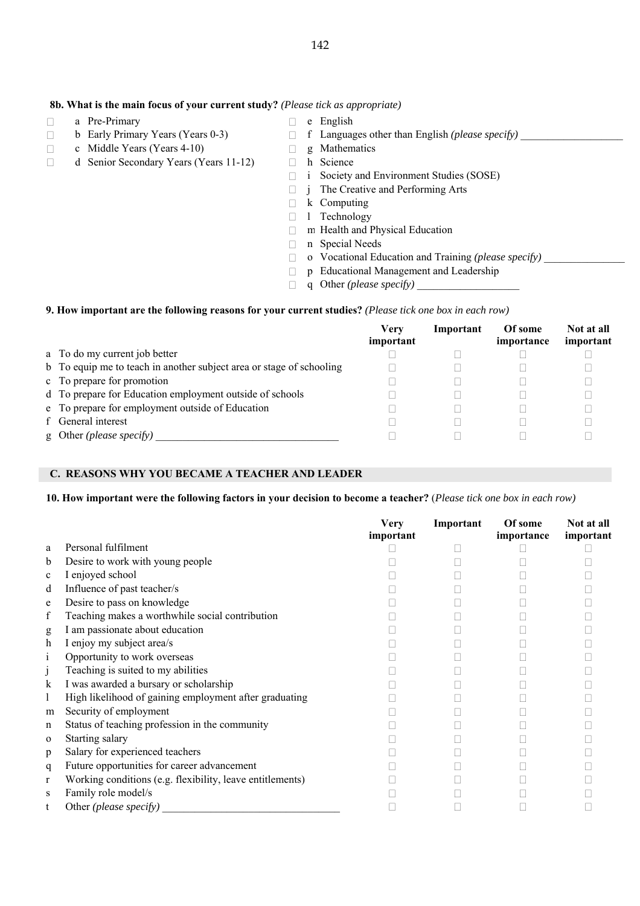#### **8b. What is the main focus of your current study?** *(Please tick as appropriate)*

- a Pre-Primary and Pre-Primary and Pre-Primary and Pre-Primary and Pre-Primary
- 
- $\Box$  c Middle Years (Years 4-10)
- d Senior Secondary Years (Years 11-12) h Science
- 
- **b Early Primary Years (Years 0-3) f Languages other than English** *(please specify)* **<br>
<b>c** Middle Years (Years 4-10) **p** Mathematics
	-
	-
	- i Society and Environment Studies (SOSE)
	- j The Creative and Performing Arts
	- k Computing
	- $\Box$  1 Technology
	- m Health and Physical Education
	- n Special Needs
	- □ o Vocational Education and Training *(please specify)*
	- p Educational Management and Leadership
	- q Other *(please specify)* \_\_\_\_\_\_\_\_\_\_\_\_\_\_\_\_\_\_\_

#### **9. How important are the following reasons for your current studies?** *(Please tick one box in each row)*

|                                                                      | Verv<br>important | Important | Of some<br>importance | Not at all<br>important |
|----------------------------------------------------------------------|-------------------|-----------|-----------------------|-------------------------|
| a To do my current job better                                        |                   |           |                       |                         |
| b To equip me to teach in another subject area or stage of schooling |                   |           |                       |                         |
| c To prepare for promotion                                           |                   |           |                       |                         |
| d To prepare for Education employment outside of schools             |                   |           |                       |                         |
| e To prepare for employment outside of Education                     |                   |           |                       |                         |
| f General interest                                                   |                   |           |                       |                         |
| g Other (please specify)                                             |                   |           |                       |                         |

#### **C. REASONS WHY YOU BECAME A TEACHER AND LEADER**

#### **10. How important were the following factors in your decision to become a teacher?** (*Please tick one box in each row)*

|              |                                                           | <b>Very</b><br>important | Important | Of some<br>importance | Not at all<br>important |
|--------------|-----------------------------------------------------------|--------------------------|-----------|-----------------------|-------------------------|
| a            | Personal fulfilment                                       |                          |           |                       |                         |
| b            | Desire to work with young people                          |                          |           |                       |                         |
| $\mathbf c$  | I enjoyed school                                          |                          |           |                       |                         |
| d            | Influence of past teacher/s                               |                          |           |                       |                         |
| e            | Desire to pass on knowledge                               |                          |           |                       |                         |
| f            | Teaching makes a worthwhile social contribution           |                          |           |                       |                         |
| g            | I am passionate about education                           |                          |           |                       |                         |
| h            | I enjoy my subject area/s                                 |                          |           |                       |                         |
| 1            | Opportunity to work overseas                              |                          |           |                       |                         |
|              | Teaching is suited to my abilities                        |                          |           |                       |                         |
| k            | I was awarded a bursary or scholarship                    |                          |           |                       |                         |
|              | High likelihood of gaining employment after graduating    |                          |           |                       |                         |
| m            | Security of employment                                    |                          |           |                       |                         |
| n            | Status of teaching profession in the community            |                          |           |                       |                         |
| $\mathbf 0$  | Starting salary                                           |                          |           |                       |                         |
| p            | Salary for experienced teachers                           |                          |           |                       |                         |
| q            | Future opportunities for career advancement               |                          |           |                       |                         |
| $\mathbf{r}$ | Working conditions (e.g. flexibility, leave entitlements) |                          |           |                       |                         |
| S            | Family role model/s                                       |                          |           |                       |                         |
| t            | Other ( <i>please specify</i> )                           |                          |           |                       |                         |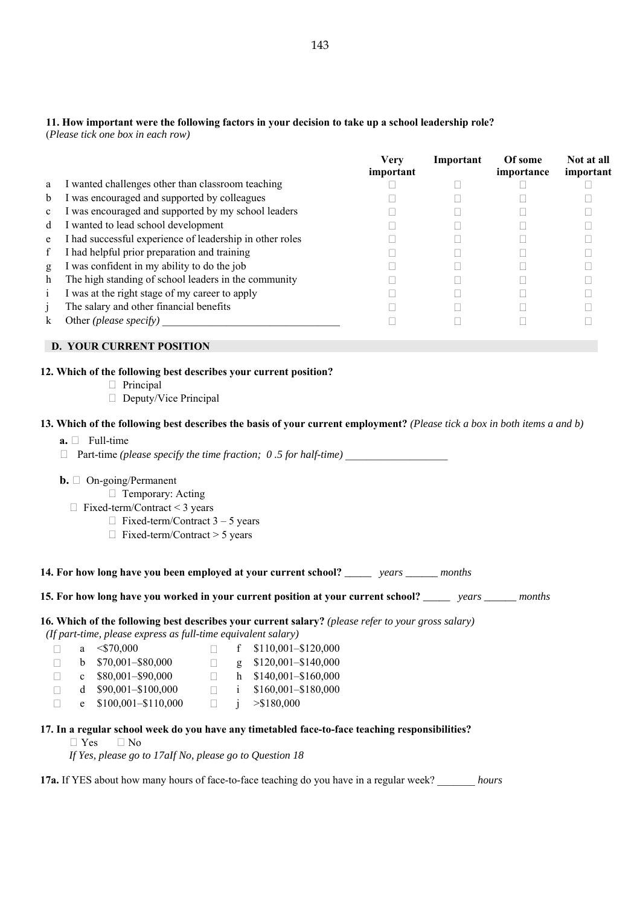# **11. How important were the following factors in your decision to take up a school leadership role?**

(*Please tick one box in each row)* 

|              |                                                          | Verv<br>important | Important | Of some<br>importance | Not at all<br>important |
|--------------|----------------------------------------------------------|-------------------|-----------|-----------------------|-------------------------|
| a            | I wanted challenges other than classroom teaching        |                   |           |                       |                         |
| b            | I was encouraged and supported by colleagues             |                   |           |                       |                         |
| $\mathbf{c}$ | I was encouraged and supported by my school leaders      |                   |           |                       |                         |
| d            | I wanted to lead school development                      |                   |           |                       |                         |
| e            | I had successful experience of leadership in other roles |                   |           |                       |                         |
|              | I had helpful prior preparation and training             |                   |           |                       |                         |
| g            | I was confident in my ability to do the job              |                   |           |                       |                         |
| h            | The high standing of school leaders in the community     |                   |           |                       |                         |
| 1            | I was at the right stage of my career to apply           |                   |           |                       |                         |
|              | The salary and other financial benefits                  |                   |           |                       |                         |
| k            | Other <i>(please specify)</i>                            |                   |           |                       |                         |

# **D. YOUR CURRENT POSITION**

#### **12. Which of the following best describes your current position?**

- Principal
- □ Deputy/Vice Principal

#### **13. Which of the following best describes the basis of your current employment?** *(Please tick a box in both items a and b)*

#### $a. \Box$  Full-time

□ Part-time *(please specify the time fraction; 0.5 for half-time)* 

#### **b.** □ On-going/Permanent

- □ Temporary: Acting
- Fixed-term/Contract < 3 years
	- $\Box$  Fixed-term/Contract 3 5 years
	- Fixed-term/Contract > 5 years

### **14. For how long have you been employed at your current school?** *\_\_\_\_\_ years \_\_\_\_\_\_ months*

### **15. For how long have you worked in your current position at your current school?** *\_\_\_\_\_ years \_\_\_\_\_\_ months*

**16. Which of the following best describes your current salary?** *(please refer to your gross salary) (If part-time, please express as full-time equivalent salary)* 

|  | y part tane, prease empress as jain tane equivalem saidi y |  |                              |
|--|------------------------------------------------------------|--|------------------------------|
|  | a $\leq$ 570.000                                           |  | f $$110,001 - $120,000$      |
|  | $h = $70.001 - $80.000$                                    |  | $\sigma$ \$120,001-\$140,000 |

|  | $0 \rightarrow 10,001 - 300,000$ |  | $2 \cdot 3120,001 - 3140,000$ |
|--|----------------------------------|--|-------------------------------|
|  | c $$80,001 - $90,000$            |  | h $$140,001 - $160,000$       |
|  | d $$90,001 - $100,000$           |  | i $$160,001 - $180,000$       |
|  | e $$100,001 - $110,000$          |  | > \$180.000                   |

#### **17. In a regular school week do you have any timetabled face-to-face teaching responsibilities?**

Yes No

*If Yes, please go to 17aIf No, please go to Question 18* 

**17a.** If YES about how many hours of face-to-face teaching do you have in a regular week? \_\_\_\_\_\_\_ *hours*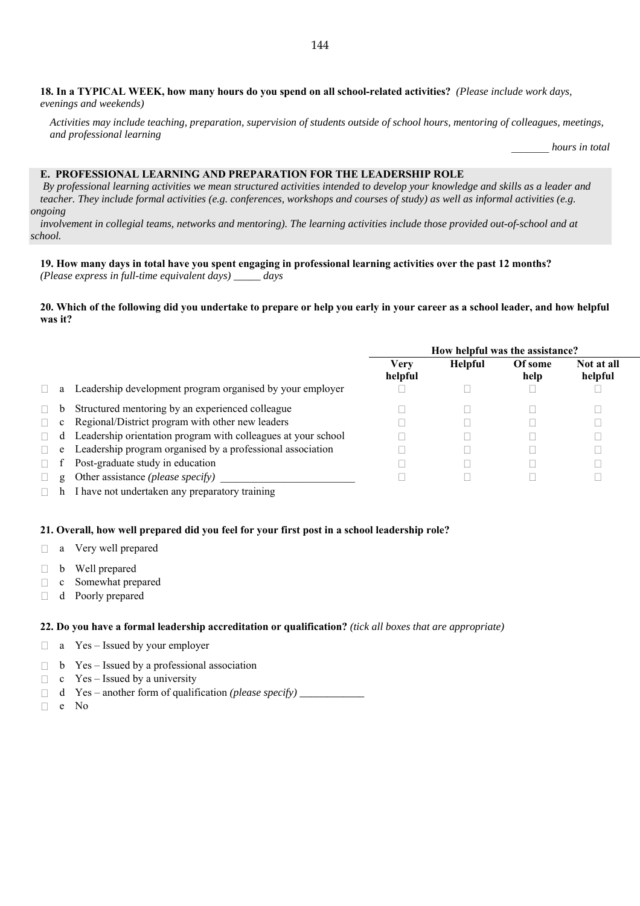**18. In a TYPICAL WEEK, how many hours do you spend on all school-related activities?** *(Please include work days, evenings and weekends)* 

*Activities may include teaching, preparation, supervision of students outside of school hours, mentoring of colleagues, meetings, and professional learning* 

\_\_\_\_\_\_\_ *hours in total* 

#### **E. PROFESSIONAL LEARNING AND PREPARATION FOR THE LEADERSHIP ROLE**

 *By professional learning activities we mean structured activities intended to develop your knowledge and skills as a leader and teacher. They include formal activities (e.g. conferences, workshops and courses of study) as well as informal activities (e.g. ongoing* 

*involvement in collegial teams, networks and mentoring). The learning activities include those provided out-of-school and at school.* 

# **19. How many days in total have you spent engaging in professional learning activities over the past 12 months?**

*(Please express in full-time equivalent days) \_\_\_\_\_ days*

**20. Which of the following did you undertake to prepare or help you early in your career as a school leader, and how helpful was it?** 

|              |                                                                 | How helpful was the assistance? |                |                 |                       |  |
|--------------|-----------------------------------------------------------------|---------------------------------|----------------|-----------------|-----------------------|--|
|              |                                                                 | Verv<br>helpful                 | <b>Helpful</b> | Of some<br>help | Not at all<br>helpful |  |
|              | a Leadership development program organised by your employer     |                                 |                |                 |                       |  |
|              | Structured mentoring by an experienced colleague                |                                 |                |                 |                       |  |
| $\mathbf{c}$ | Regional/District program with other new leaders                |                                 |                |                 |                       |  |
|              | d Leadership orientation program with colleagues at your school |                                 |                |                 |                       |  |
|              | e Leadership program organised by a professional association    |                                 |                |                 |                       |  |
|              | Post-graduate study in education                                |                                 |                |                 |                       |  |
| g            | Other assistance (please specify)                               |                                 |                |                 |                       |  |
|              |                                                                 |                                 |                |                 |                       |  |

 $\Box$  h I have not undertaken any preparatory training

#### **21. Overall, how well prepared did you feel for your first post in a school leadership role?**

- a Very well prepared
- $\Box$  b Well prepared
- c Somewhat prepared
- d Poorly prepared

#### **22. Do you have a formal leadership accreditation or qualification?** *(tick all boxes that are appropriate)*

- $\Box$  a Yes Issued by your employer
- $\Box$  b Yes Issued by a professional association
- $\Box$  c Yes Issued by a university
- d Yes another form of qualification *(please specify) \_\_\_\_\_\_\_\_\_\_\_\_*
- e No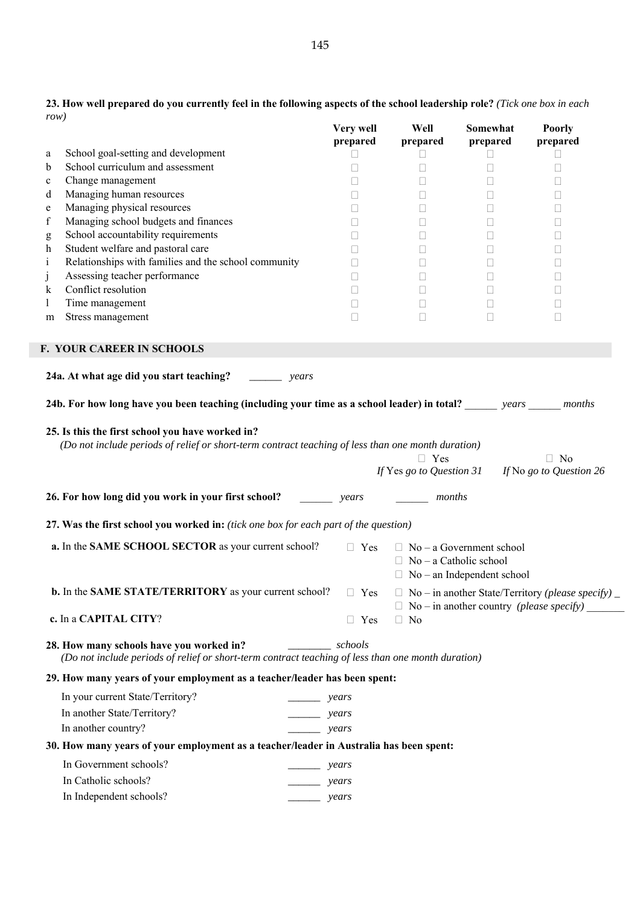|                  | row)                                                                                                                                                   | Very well<br>prepared | Well<br>prepared              | Somewhat<br>prepared                                                 | <b>Poorly</b><br>prepared                                      |
|------------------|--------------------------------------------------------------------------------------------------------------------------------------------------------|-----------------------|-------------------------------|----------------------------------------------------------------------|----------------------------------------------------------------|
| a                | School goal-setting and development                                                                                                                    | $\Box$                | Ш                             | $\Box$                                                               | $\Box$                                                         |
| $\mathbf b$      | School curriculum and assessment                                                                                                                       | П                     | □                             | $\Box$                                                               | $\Box$                                                         |
| $\mathbf c$      | Change management                                                                                                                                      |                       | Ш                             | $\mathcal{L}_{\mathcal{A}}$                                          | ⊔                                                              |
| d                | Managing human resources                                                                                                                               | $\Box$                | Ш                             | Ш                                                                    | Ш                                                              |
| e<br>$\mathbf f$ | Managing physical resources<br>Managing school budgets and finances                                                                                    | П<br>П                | П<br>П                        | □<br>$\Box$                                                          | $\Box$<br>□                                                    |
| $\mathbf g$      | School accountability requirements                                                                                                                     |                       | П                             | П                                                                    | $\Box$                                                         |
| h                | Student welfare and pastoral care                                                                                                                      |                       | Ш                             | $\Box$                                                               | Ш                                                              |
| $\mathbf{i}$     | Relationships with families and the school community                                                                                                   |                       | П                             | $\Box$                                                               | Ш                                                              |
| $\mathbf{J}$     | Assessing teacher performance                                                                                                                          | П                     | $\Box$                        | □                                                                    | □                                                              |
| k                | Conflict resolution                                                                                                                                    | П                     | $\Box$                        | $\Box$                                                               | $\Box$                                                         |
| $\perp$          | Time management                                                                                                                                        |                       | Ш                             | $\Box$                                                               | Ш                                                              |
| m                | Stress management                                                                                                                                      | $\mathbf{L}$          | $\mathbf{L}$                  | П                                                                    | Ш                                                              |
|                  | <b>F. YOUR CAREER IN SCHOOLS</b>                                                                                                                       |                       |                               |                                                                      |                                                                |
|                  | 24a. At what age did you start teaching?<br>years                                                                                                      |                       |                               |                                                                      |                                                                |
|                  |                                                                                                                                                        |                       |                               |                                                                      |                                                                |
|                  | 24b. For how long have you been teaching (including your time as a school leader) in total? ______ years _____ months                                  |                       |                               |                                                                      |                                                                |
|                  | 25. Is this the first school you have worked in?<br>(Do not include periods of relief or short-term contract teaching of less than one month duration) |                       | $\Box$ Yes                    |                                                                      | $\Box$ No<br>If Yes go to Question 31 If No go to Question 26  |
|                  | 26. For how long did you work in your first school?                                                                                                    | years                 | months                        |                                                                      |                                                                |
|                  | 27. Was the first school you worked in: (tick one box for each part of the question)                                                                   |                       |                               |                                                                      |                                                                |
|                  | a. In the SAME SCHOOL SECTOR as your current school?                                                                                                   | $\Box$ Yes            | $\Box$ No – a Catholic school | $\Box$ No – a Government school<br>$\Box$ No – an Independent school |                                                                |
|                  |                                                                                                                                                        |                       |                               |                                                                      |                                                                |
|                  | b. In the SAME STATE/TERRITORY as your current school?                                                                                                 | $\Box$ Yes            |                               |                                                                      |                                                                |
|                  | c. In a CAPITAL CITY?                                                                                                                                  | $\Box$ Yes            | $\Box$ No                     | $\Box$ No – in another country <i>(please specify)</i>               | $\Box$ No – in another State/Territory (please specify) $\Box$ |
|                  | 28. How many schools have you worked in?<br>(Do not include periods of relief or short-term contract teaching of less than one month duration)         | schools               |                               |                                                                      |                                                                |
|                  | 29. How many years of your employment as a teacher/leader has been spent:                                                                              |                       |                               |                                                                      |                                                                |
|                  | In your current State/Territory?<br>$\rightharpoonup$ years                                                                                            |                       |                               |                                                                      |                                                                |
|                  | In another State/Territory?<br>$\overline{\phantom{a}}$                                                                                                | years                 |                               |                                                                      |                                                                |
|                  | In another country?                                                                                                                                    | years                 |                               |                                                                      |                                                                |
|                  | 30. How many years of your employment as a teacher/leader in Australia has been spent:                                                                 |                       |                               |                                                                      |                                                                |
|                  | In Government schools?                                                                                                                                 |                       |                               |                                                                      |                                                                |
|                  |                                                                                                                                                        | <sub>-</sub> years    |                               |                                                                      |                                                                |
|                  | In Catholic schools?<br>In Independent schools?                                                                                                        | years<br>years        |                               |                                                                      |                                                                |

**23. How well prepared do you currently feel in the following aspects of the school leadership role?** *(Tick one box in each row)*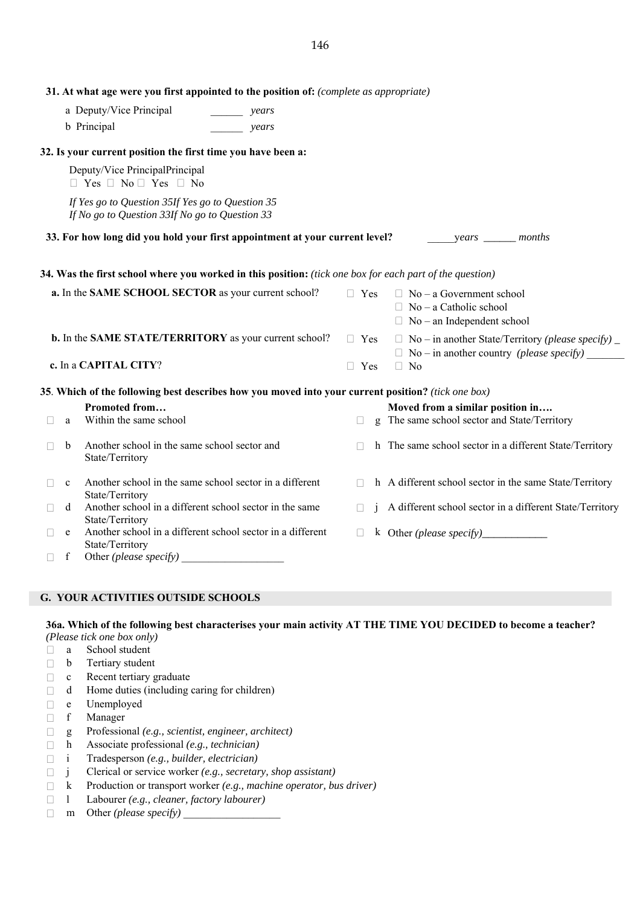|                       | a Deputy/Vice Principal                                                                            | years                                                                                                    |              |                                                                                                       |
|-----------------------|----------------------------------------------------------------------------------------------------|----------------------------------------------------------------------------------------------------------|--------------|-------------------------------------------------------------------------------------------------------|
|                       | b Principal                                                                                        | years                                                                                                    |              |                                                                                                       |
|                       | 32. Is your current position the first time you have been a:                                       |                                                                                                          |              |                                                                                                       |
|                       | Deputy/Vice PrincipalPrincipal<br>$\Box$ Yes $\Box$ No $\Box$ Yes $\Box$ No                        |                                                                                                          |              |                                                                                                       |
|                       | If Yes go to Question 35If Yes go to Question 35<br>If No go to Question 33If No go to Question 33 |                                                                                                          |              |                                                                                                       |
|                       |                                                                                                    | 33. For how long did you hold your first appointment at your current level?                              |              | years _______ months                                                                                  |
|                       |                                                                                                    | 34. Was the first school where you worked in this position: (tick one box for each part of the question) |              |                                                                                                       |
|                       |                                                                                                    | a. In the SAME SCHOOL SECTOR as your current school?                                                     | $\Box$ Yes   | $\Box$ No – a Government school<br>$\Box$ No – a Catholic school<br>$\Box$ No – an Independent school |
|                       |                                                                                                    | b. In the SAME STATE/TERRITORY as your current school?                                                   | $\Box$ Yes   | $\Box$ No – in another State/Territory (please specify) $\Box$                                        |
|                       | c. In a CAPITAL CITY?                                                                              |                                                                                                          | $\Box$ Yes   | $\Box$ No                                                                                             |
|                       |                                                                                                    | 35. Which of the following best describes how you moved into your current position? (tick one box)       |              |                                                                                                       |
| a                     | Promoted from<br>Within the same school                                                            |                                                                                                          | $\Box$       | Moved from a similar position in<br>g The same school sector and State/Territory                      |
| $\mathbf b$<br>$\Box$ | Another school in the same school sector and<br>State/Territory                                    |                                                                                                          | $\Box$       | h The same school sector in a different State/Territory                                               |
| $\mathbf c$           | State/Territory                                                                                    | Another school in the same school sector in a different                                                  | $\mathbf{L}$ | h A different school sector in the same State/Territory                                               |
| d<br>H                | State/Territory                                                                                    | Another school in a different school sector in the same                                                  | $\Box$       | A different school sector in a different State/Territory                                              |
| e                     | State/Territory                                                                                    | Another school in a different school sector in a different                                               | $\mathbf{L}$ |                                                                                                       |

**G. YOUR ACTIVITIES OUTSIDE SCHOOLS** 

**36a. Which of the following best characterises your main activity AT THE TIME YOU DECIDED to become a teacher?** *(Please tick one box only)*

- a School student
- $\Box$  b Tertiary student
- 
- $\Box$  c Recent tertiary graduate<br> $\Box$  d Home duties (including  $\Box$  d Home duties (including caring for children)
- $\Box$  e Unemployed<br> $\Box$  f Manager
- f Manager
- g Professional *(e.g., scientist, engineer, architect)*
- h Associate professional *(e.g., technician)*
- i Tradesperson *(e.g., builder, electrician)*
- j Clerical or service worker *(e.g., secretary, shop assistant)*
- k Production or transport worker *(e.g., machine operator, bus driver)*
- l Labourer *(e.g., cleaner, factory labourer)*
- m Other *(please specify)* \_\_\_\_\_\_\_\_\_\_\_\_\_\_\_\_\_\_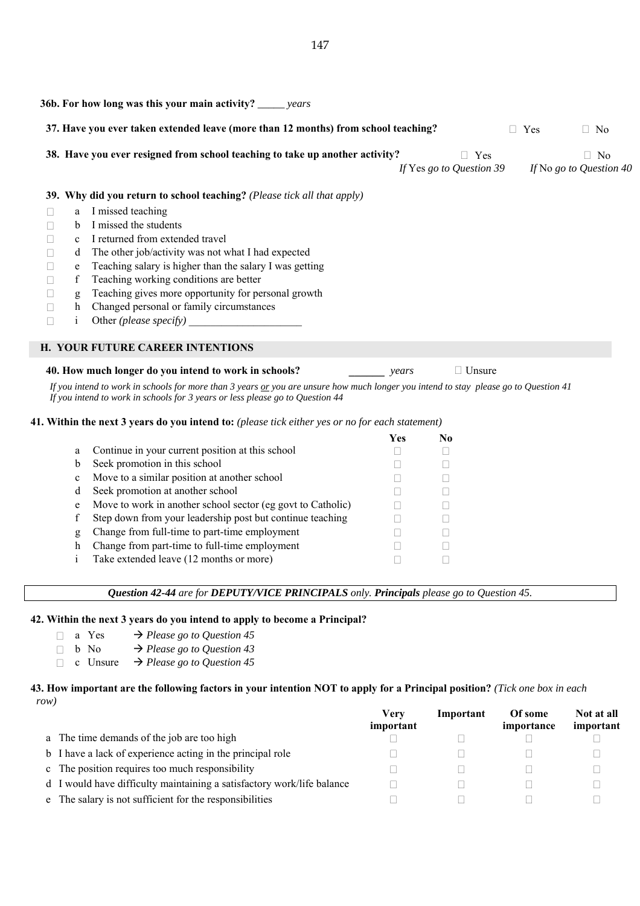|   |              | <b>36b.</b> For how long was this your main activity? _____ years                  |                        |                                                               |
|---|--------------|------------------------------------------------------------------------------------|------------------------|---------------------------------------------------------------|
|   |              | 37. Have you ever taken extended leave (more than 12 months) from school teaching? |                        | Yes<br>$\Box$ No                                              |
|   |              | 38. Have you ever resigned from school teaching to take up another activity?       | $\Box$ Yes             | $\Box$ No<br>If Yes go to Question 39 If No go to Question 40 |
|   |              | 39. Why did you return to school teaching? (Please tick all that apply)            |                        |                                                               |
|   | a            | I missed teaching                                                                  |                        |                                                               |
|   | <sub>b</sub> | I missed the students                                                              |                        |                                                               |
|   | $\mathbf{c}$ | I returned from extended travel                                                    |                        |                                                               |
| П | d            | The other job/activity was not what I had expected                                 |                        |                                                               |
| □ | e            | Teaching salary is higher than the salary I was getting                            |                        |                                                               |
|   | f            | Teaching working conditions are better                                             |                        |                                                               |
|   | g            | Teaching gives more opportunity for personal growth                                |                        |                                                               |
|   | h            | Changed personal or family circumstances                                           |                        |                                                               |
|   | 1            | Other (please specify)                                                             |                        |                                                               |
|   |              | <b>H. YOUR FUTURE CAREER INTENTIONS</b>                                            |                        |                                                               |
|   |              | 40. How much longer do you intend to work in schools?                              | $\Box$ Unsure<br>years |                                                               |

*If you intend to work in schools for more than 3 years or you are unsure how much longer you intend to stay please go to Question 41 If you intend to work in schools for 3 years or less please go to Question 44*

# **41. Within the next 3 years do you intend to:** *(please tick either yes or no for each statement)*

|              |                                                             | Yes | No |
|--------------|-------------------------------------------------------------|-----|----|
| a            | Continue in your current position at this school            |     |    |
| b            | Seek promotion in this school                               |     |    |
| $\mathbf{c}$ | Move to a similar position at another school                |     |    |
| d            | Seek promotion at another school                            |     |    |
| e            | Move to work in another school sector (eg govt to Catholic) |     |    |
| f            | Step down from your leadership post but continue teaching   |     |    |
| g            | Change from full-time to part-time employment               |     |    |
| h            | Change from part-time to full-time employment               |     |    |
|              | Take extended leave (12 months or more)                     |     |    |
|              |                                                             |     |    |

## *Question 42-44 are for DEPUTY/VICE PRINCIPALS only. Principals please go to Question 45.*

#### **42. Within the next 3 years do you intend to apply to become a Principal?**

- $\Box$  a Yes  $\rightarrow$  *Please go to Question 45*
- $\Box$  b No  $\rightarrow$  *Please go to Question 43*
- $\Box$  c Unsure  $\rightarrow$  *Please go to Question 45*

#### **43. How important are the following factors in your intention NOT to apply for a Principal position?** *(Tick one box in each row)*

|                                                                        | Verv<br>important | Important | Of some<br>importance | Not at all<br>important |
|------------------------------------------------------------------------|-------------------|-----------|-----------------------|-------------------------|
| a The time demands of the job are too high                             |                   |           |                       |                         |
| b I have a lack of experience acting in the principal role             |                   |           |                       |                         |
| c The position requires too much responsibility                        |                   |           |                       |                         |
| d I would have difficulty maintaining a satisfactory work/life balance |                   |           |                       |                         |
| e The salary is not sufficient for the responsibilities                |                   |           |                       |                         |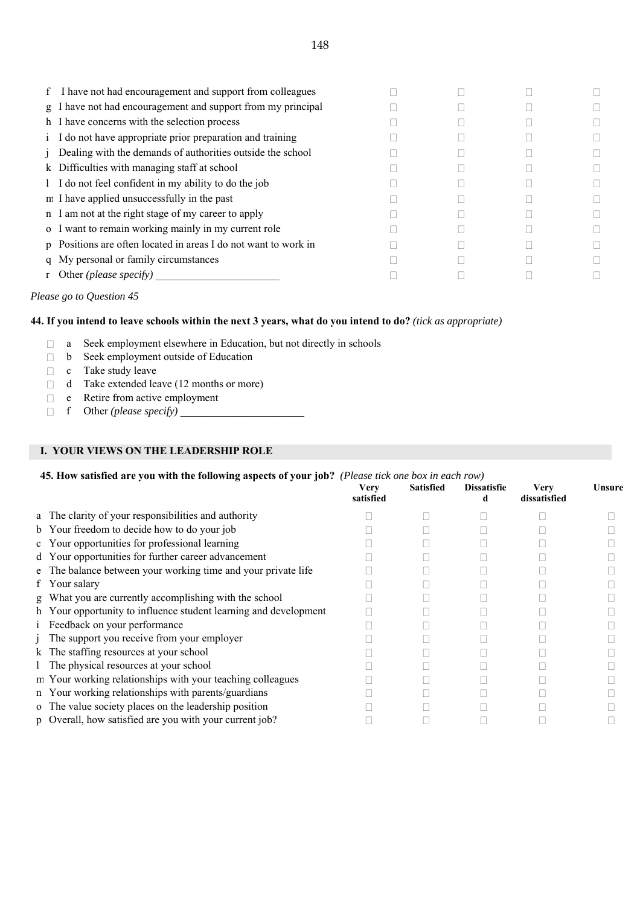| f. | I have not had encouragement and support from colleagues        |  |  |
|----|-----------------------------------------------------------------|--|--|
|    | g I have not had encouragement and support from my principal    |  |  |
|    | h I have concerns with the selection process                    |  |  |
|    | i I do not have appropriate prior preparation and training      |  |  |
|    | Dealing with the demands of authorities outside the school      |  |  |
|    | k Difficulties with managing staff at school                    |  |  |
|    | 1 I do not feel confident in my ability to do the job           |  |  |
|    | m I have applied unsuccessfully in the past                     |  |  |
|    | n I am not at the right stage of my career to apply             |  |  |
|    | o I want to remain working mainly in my current role            |  |  |
|    | p Positions are often located in areas I do not want to work in |  |  |
|    | q My personal or family circumstances                           |  |  |
|    | r Other ( <i>please specify</i> )                               |  |  |

# *Please go to Question 45*

#### **44. If you intend to leave schools within the next 3 years, what do you intend to do?** *(tick as appropriate)*

- a Seek employment elsewhere in Education, but not directly in schools
- b Seek employment outside of Education
- $\Box$  c Take study leave
- $\Box$  d Take extended leave (12 months or more)
- $\Box$  e Retire from active employment
- $\Box$  f Other *(please specify)*

# **I. YOUR VIEWS ON THE LEADERSHIP ROLE**

#### **45. How satisfied are you with the following aspects of your job?** *(Please tick one box in each row)*

|                                                                  | <b>Very</b><br>satisfied | <b>Satisfied</b> | <b>Dissatisfie</b> | <b>Very</b><br>dissatisfied | Unsure |
|------------------------------------------------------------------|--------------------------|------------------|--------------------|-----------------------------|--------|
| a The clarity of your responsibilities and authority             |                          |                  |                    |                             |        |
| b Your freedom to decide how to do your job                      |                          |                  |                    |                             |        |
| c Your opportunities for professional learning                   |                          |                  |                    |                             |        |
| d Your opportunities for further career advancement              |                          |                  |                    |                             |        |
| e The balance between your working time and your private life    |                          |                  |                    |                             |        |
| f Your salary                                                    |                          |                  |                    |                             |        |
| g What you are currently accomplishing with the school           |                          |                  |                    |                             |        |
| h Your opportunity to influence student learning and development |                          |                  |                    |                             |        |
| i Feedback on your performance                                   |                          |                  |                    |                             |        |
| The support you receive from your employer                       |                          |                  |                    |                             |        |
| k The staffing resources at your school                          |                          |                  |                    |                             |        |
| 1 The physical resources at your school                          |                          |                  |                    |                             |        |
| m Your working relationships with your teaching colleagues       |                          |                  |                    |                             |        |
| n Your working relationships with parents/guardians              |                          |                  |                    |                             |        |
| o The value society places on the leadership position            |                          |                  |                    |                             |        |
| p Overall, how satisfied are you with your current job?          |                          |                  |                    |                             |        |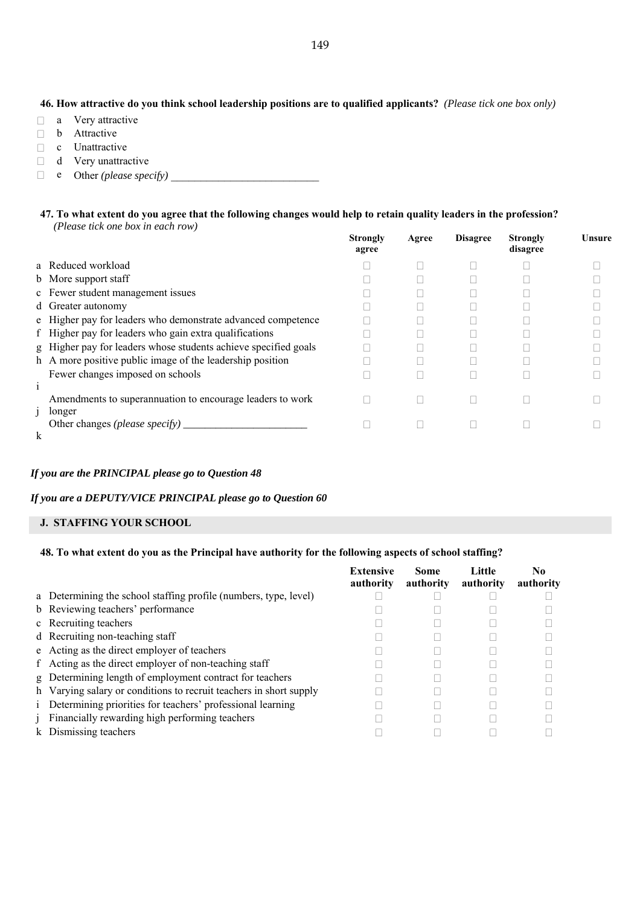## **46. How attractive do you think school leadership positions are to qualified applicants?** *(Please tick one box only)*

- $\Box$  a Very attractive
- **b** Attractive
- c Unattractive
- $\Box$  d Very unattractive
- $\Box$  e Other *(please specify)*  $\Box$

#### **47. To what extent do you agree that the following changes would help to retain quality leaders in the profession?** *(Please tick one box in each row)*

|              |                                                                 | <b>Strongly</b><br>agree | Agree | <b>Disagree</b> | <b>Strongly</b><br>disagree | Unsure |
|--------------|-----------------------------------------------------------------|--------------------------|-------|-----------------|-----------------------------|--------|
|              | a Reduced workload                                              |                          |       |                 |                             |        |
|              | b More support staff                                            |                          |       |                 |                             |        |
|              | c Fewer student management issues                               |                          |       |                 |                             |        |
|              | d Greater autonomy                                              |                          |       |                 |                             |        |
|              | e Higher pay for leaders who demonstrate advanced competence    |                          |       |                 |                             |        |
|              | f Higher pay for leaders who gain extra qualifications          |                          |       |                 |                             |        |
|              | g Higher pay for leaders whose students achieve specified goals |                          |       |                 |                             |        |
|              | h A more positive public image of the leadership position       |                          |       |                 |                             |        |
|              | Fewer changes imposed on schools                                |                          |       |                 |                             |        |
| $\mathbf{1}$ |                                                                 |                          |       |                 |                             |        |
|              | Amendments to superannuation to encourage leaders to work       |                          |       |                 |                             |        |
|              | longer<br>Other changes <i>(please specify)</i> $\Box$          |                          |       |                 |                             |        |
| $\bf k$      |                                                                 |                          |       |                 |                             |        |

#### *If you are the PRINCIPAL please go to Question 48*

#### *If you are a DEPUTY/VICE PRINCIPAL please go to Question 60*

#### **J. STAFFING YOUR SCHOOL**

#### **48. To what extent do you as the Principal have authority for the following aspects of school staffing?**

|                                                                    | <b>Extensive</b><br>authority | <b>Some</b><br>authority | <b>Little</b><br>authority | No<br>authority |
|--------------------------------------------------------------------|-------------------------------|--------------------------|----------------------------|-----------------|
| a Determining the school staffing profile (numbers, type, level)   |                               |                          |                            |                 |
| b Reviewing teachers' performance                                  |                               |                          |                            |                 |
| c Recruiting teachers                                              |                               |                          |                            |                 |
| d Recruiting non-teaching staff                                    |                               |                          |                            |                 |
| e Acting as the direct employer of teachers                        |                               |                          |                            |                 |
| f Acting as the direct employer of non-teaching staff              |                               |                          |                            |                 |
| g Determining length of employment contract for teachers           |                               |                          |                            |                 |
| h Varying salary or conditions to recruit teachers in short supply |                               |                          |                            |                 |
| i Determining priorities for teachers' professional learning       |                               |                          |                            |                 |
| j Financially rewarding high performing teachers                   |                               |                          |                            |                 |
| k Dismissing teachers                                              |                               |                          |                            |                 |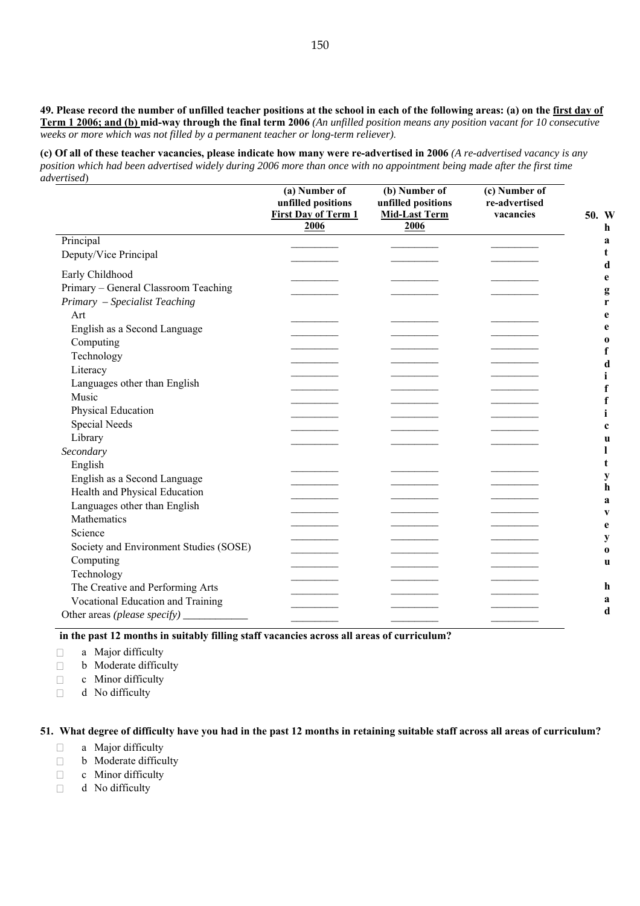**49. Please record the number of unfilled teacher positions at the school in each of the following areas: (a) on the first day of Term 1 2006; and (b) mid-way through the final term 2006** *(An unfilled position means any position vacant for 10 consecutive weeks or more which was not filled by a permanent teacher or long-term reliever)*.

**(c) Of all of these teacher vacancies, please indicate how many were re-advertised in 2006** *(A re-advertised vacancy is any position which had been advertised widely during 2006 more than once with no appointment being made after the first time advertised*)

|                                        | (a) Number of<br>unfilled positions<br><b>First Day of Term 1</b> | (b) Number of<br>unfilled positions<br><b>Mid-Last Term</b> | (c) Number of<br>re-advertised<br>vacancies | 50. W         |
|----------------------------------------|-------------------------------------------------------------------|-------------------------------------------------------------|---------------------------------------------|---------------|
|                                        | 2006                                                              | 2006                                                        |                                             | h             |
| Principal                              |                                                                   |                                                             |                                             | a             |
| Deputy/Vice Principal                  |                                                                   |                                                             |                                             | t             |
| Early Childhood                        |                                                                   |                                                             |                                             | d             |
| Primary - General Classroom Teaching   |                                                                   |                                                             |                                             | e<br>g        |
| Primary - Specialist Teaching          |                                                                   |                                                             |                                             | r             |
| Art                                    |                                                                   |                                                             |                                             | e             |
| English as a Second Language           |                                                                   |                                                             |                                             | e             |
| Computing                              |                                                                   |                                                             |                                             | $\bf{o}$      |
| Technology                             |                                                                   |                                                             |                                             | $\mathbf f$   |
| Literacy                               |                                                                   |                                                             |                                             | d             |
| Languages other than English           |                                                                   |                                                             |                                             | i             |
| Music                                  |                                                                   |                                                             |                                             | $\mathbf f$   |
| Physical Education                     |                                                                   |                                                             |                                             | f<br>i        |
| Special Needs                          |                                                                   |                                                             |                                             | $\mathbf c$   |
| Library                                |                                                                   |                                                             |                                             | u             |
| Secondary                              |                                                                   |                                                             |                                             | 1             |
| English                                |                                                                   |                                                             |                                             | t             |
| English as a Second Language           |                                                                   |                                                             |                                             | y             |
| Health and Physical Education          |                                                                   |                                                             |                                             | h             |
| Languages other than English           |                                                                   |                                                             |                                             | a             |
| Mathematics                            |                                                                   |                                                             |                                             | V             |
| Science                                |                                                                   |                                                             |                                             | e             |
| Society and Environment Studies (SOSE) |                                                                   |                                                             |                                             | $\mathbf y$   |
| Computing                              |                                                                   |                                                             |                                             | $\bf{0}$<br>u |
| Technology                             |                                                                   |                                                             |                                             |               |
| The Creative and Performing Arts       |                                                                   |                                                             |                                             | h             |
| Vocational Education and Training      |                                                                   |                                                             |                                             | a             |
|                                        |                                                                   |                                                             |                                             | d             |
|                                        |                                                                   |                                                             |                                             |               |

**in the past 12 months in suitably filling staff vacancies across all areas of curriculum?** 

- $\Box$  a Major difficulty
- $\Box$  b Moderate difficulty
- $\Box$  c Minor difficulty
- $\Box$  d No difficulty

### **51. What degree of difficulty have you had in the past 12 months in retaining suitable staff across all areas of curriculum?**

- $\Box$  a Major difficulty
- $\Box$  b Moderate difficulty
- $\Box$  c Minor difficulty
- $\Box$  d No difficulty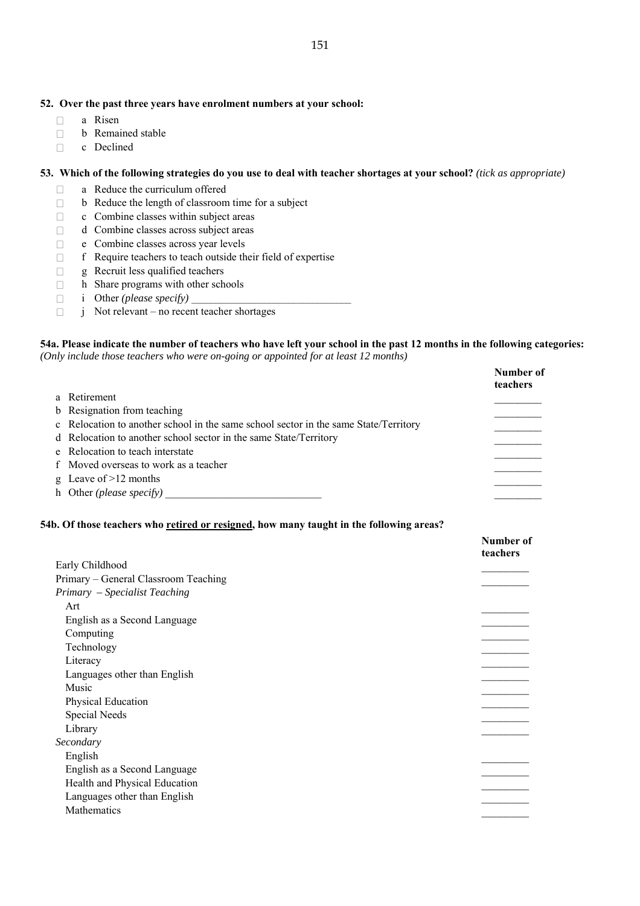#### **52. Over the past three years have enrolment numbers at your school:**

- $\Box$  a Risen
- $\Box$  b Remained stable
- □ c Declined

## **53. Which of the following strategies do you use to deal with teacher shortages at your school?** *(tick as appropriate)*

- a Reduce the curriculum offered
- $\Box$  b Reduce the length of classroom time for a subject
- $\Box$  c Combine classes within subject areas
- d Combine classes across subject areas
- e Combine classes across year levels
- $\Box$  f Require teachers to teach outside their field of expertise
- $\Box$  g Recruit less qualified teachers
- $\Box$  h Share programs with other schools
- $\Box$  i Other *(please specify)*
- $\Box$  j Not relevant no recent teacher shortages

#### **54a. Please indicate the number of teachers who have left your school in the past 12 months in the following categories:**  *(Only include those teachers who were on-going or appointed for at least 12 months)*

| nty include mose leachers who were on going or appointed for all least 12 months)    |                       |
|--------------------------------------------------------------------------------------|-----------------------|
|                                                                                      | Number of<br>teachers |
| a Retirement                                                                         |                       |
| b Resignation from teaching                                                          |                       |
| c Relocation to another school in the same school sector in the same State/Territory |                       |
| d Relocation to another school sector in the same State/Territory                    |                       |
| e Relocation to teach interstate                                                     |                       |
| f Moved overseas to work as a teacher                                                |                       |
|                                                                                      |                       |

- g Leave of  $>12$  months
- h Other *(please specify)* \_\_\_\_\_\_\_\_\_\_\_\_\_\_\_\_\_\_\_\_\_\_\_\_\_\_\_\_\_ \_\_\_\_\_\_\_\_

#### **54b. Of those teachers who retired or resigned, how many taught in the following areas?**

|                                      | Number of<br>teachers |
|--------------------------------------|-----------------------|
| Early Childhood                      |                       |
| Primary – General Classroom Teaching |                       |
| Primary - Specialist Teaching        |                       |
| Art                                  |                       |
| English as a Second Language         |                       |
| Computing                            |                       |
| Technology                           |                       |
| Literacy                             |                       |
| Languages other than English         |                       |
| Music                                |                       |
| Physical Education                   |                       |
| Special Needs                        |                       |
| Library                              |                       |
| Secondary                            |                       |
| English                              |                       |
| English as a Second Language         |                       |
| Health and Physical Education        |                       |
| Languages other than English         |                       |
| Mathematics                          |                       |
|                                      |                       |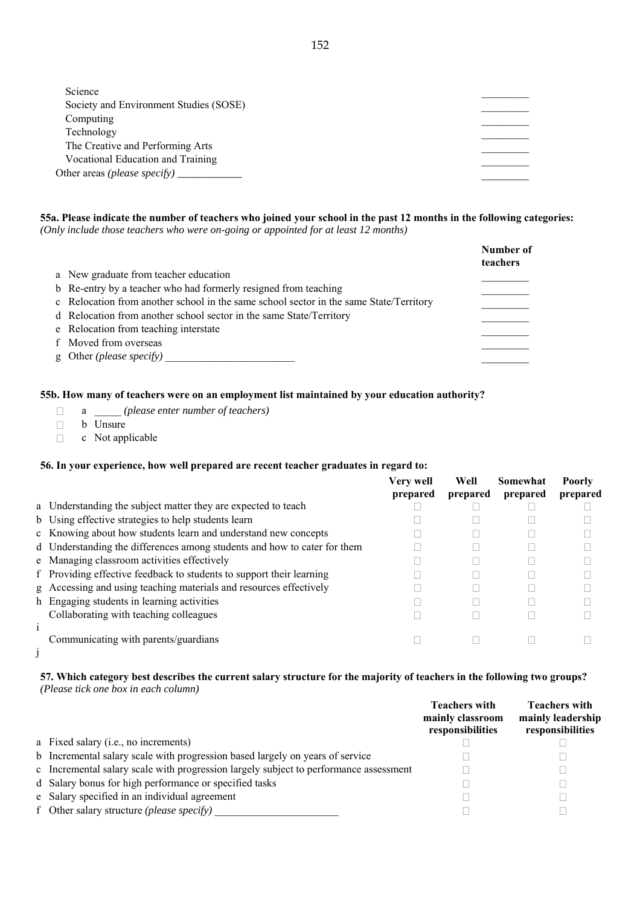# **55a. Please indicate the number of teachers who joined your school in the past 12 months in the following categories:**

*(Only include those teachers who were on-going or appointed for at least 12 months)* 

|                                                                                        | Number of<br>teachers |
|----------------------------------------------------------------------------------------|-----------------------|
| a New graduate from teacher education                                                  |                       |
| b Re-entry by a teacher who had formerly resigned from teaching                        |                       |
| c Relocation from another school in the same school sector in the same State/Territory |                       |
| d Relocation from another school sector in the same State/Territory                    |                       |
| e Relocation from teaching interstate                                                  |                       |
| f Moved from overseas                                                                  |                       |
| g Other ( <i>please specify</i> )                                                      |                       |

### **55b. How many of teachers were on an employment list maintained by your education authority?**

- a \_\_\_\_\_ *(please enter number of teachers)*
- **b** Unsure
- $\Box$  c Not applicable

# **56. In your experience, how well prepared are recent teacher graduates in regard to:**

|                                                                          | Very well | Well     | Somewhat | <b>Poorly</b> |
|--------------------------------------------------------------------------|-----------|----------|----------|---------------|
|                                                                          | prepared  | prepared | prepared | prepared      |
| a Understanding the subject matter they are expected to teach            |           |          |          |               |
| b Using effective strategies to help students learn                      |           |          |          |               |
| c Knowing about how students learn and understand new concepts           |           |          |          |               |
| d Understanding the differences among students and how to cater for them |           |          |          |               |
| e Managing classroom activities effectively                              |           |          |          |               |
| f Providing effective feedback to students to support their learning     |           |          |          |               |
| g Accessing and using teaching materials and resources effectively       |           |          |          |               |
| h Engaging students in learning activities                               |           |          |          |               |
| Collaborating with teaching colleagues                                   |           |          |          |               |
|                                                                          |           |          |          |               |
| Communicating with parents/guardians                                     |           |          |          |               |
|                                                                          |           |          |          |               |

j

### **57. Which category best describes the current salary structure for the majority of teachers in the following two groups?**  *(Please tick one box in each column)*

|                                                                                       | <b>Teachers with</b><br>mainly classroom<br>responsibilities | <b>Teachers with</b><br>mainly leadership<br>responsibilities |
|---------------------------------------------------------------------------------------|--------------------------------------------------------------|---------------------------------------------------------------|
| a Fixed salary (i.e., no increments)                                                  |                                                              |                                                               |
| b Incremental salary scale with progression based largely on years of service         |                                                              |                                                               |
| c Incremental salary scale with progression largely subject to performance assessment |                                                              |                                                               |
| d Salary bonus for high performance or specified tasks                                |                                                              |                                                               |
| e Salary specified in an individual agreement                                         |                                                              |                                                               |
| f Other salary structure ( <i>please specify</i> )                                    |                                                              |                                                               |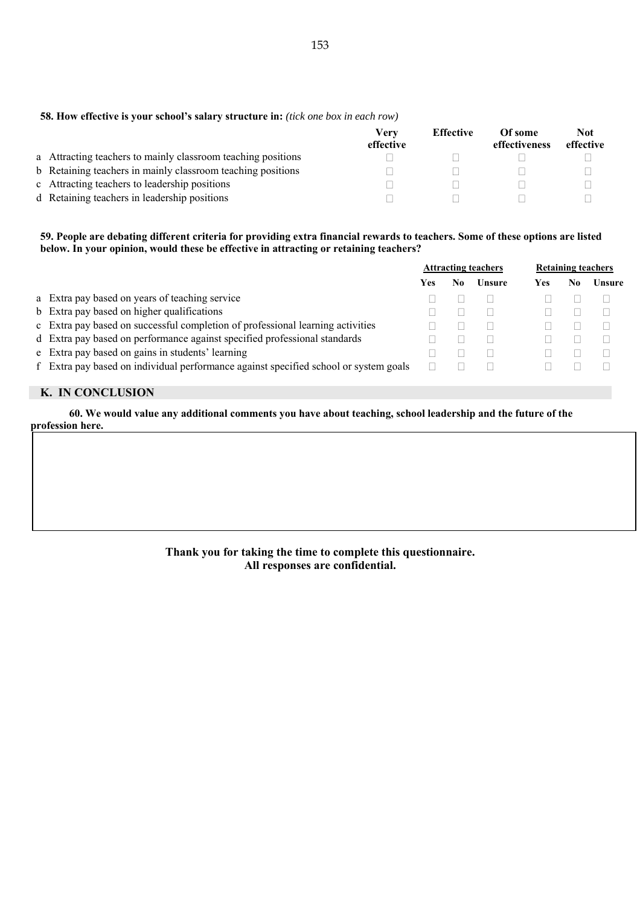|                                                              | <b>Verv</b><br>effective | <b>Effective</b> | Of some<br>effectiveness | <b>Not</b><br>effective |
|--------------------------------------------------------------|--------------------------|------------------|--------------------------|-------------------------|
| a Attracting teachers to mainly classroom teaching positions |                          |                  |                          |                         |
| b Retaining teachers in mainly classroom teaching positions  |                          |                  |                          |                         |
| c Attracting teachers to leadership positions                |                          |                  |                          |                         |
| d Retaining teachers in leadership positions                 |                          |                  |                          |                         |

## **59. People are debating different criteria for providing extra financial rewards to teachers. Some of these options are listed below. In your opinion, would these be effective in attracting or retaining teachers?**

|                                                                                      | <b>Attracting teachers</b> |    | <b>Retaining teachers</b> |     |    |        |
|--------------------------------------------------------------------------------------|----------------------------|----|---------------------------|-----|----|--------|
|                                                                                      | Yes                        | N0 | Unsure                    | Yes | No | Unsure |
| a Extra pay based on years of teaching service                                       |                            |    |                           |     |    |        |
| b Extra pay based on higher qualifications                                           |                            |    |                           |     |    |        |
| c Extra pay based on successful completion of professional learning activities       |                            |    |                           |     |    |        |
| d Extra pay based on performance against specified professional standards            |                            |    |                           |     |    |        |
| e Extra pay based on gains in students' learning                                     |                            |    |                           |     |    |        |
| f Extra pay based on individual performance against specified school or system goals |                            |    |                           |     |    |        |
|                                                                                      |                            |    |                           |     |    |        |

# **K. IN CONCLUSION**

**60. We would value any additional comments you have about teaching, school leadership and the future of the profession here.** 

> **Thank you for taking the time to complete this questionnaire. All responses are confidential.**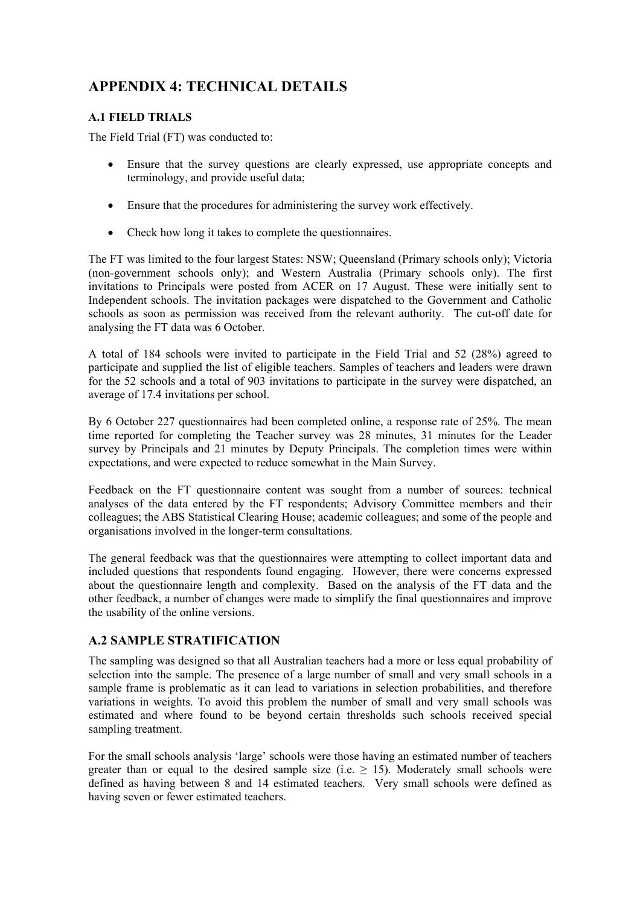# **APPENDIX 4: TECHNICAL DETAILS**

# **A.1 FIELD TRIALS**

The Field Trial (FT) was conducted to:

- Ensure that the survey questions are clearly expressed, use appropriate concepts and terminology, and provide useful data;
- Ensure that the procedures for administering the survey work effectively.
- Check how long it takes to complete the questionnaires.

The FT was limited to the four largest States: NSW; Queensland (Primary schools only); Victoria (non-government schools only); and Western Australia (Primary schools only). The first invitations to Principals were posted from ACER on 17 August. These were initially sent to Independent schools. The invitation packages were dispatched to the Government and Catholic schools as soon as permission was received from the relevant authority. The cut-off date for analysing the FT data was 6 October.

A total of 184 schools were invited to participate in the Field Trial and 52 (28%) agreed to participate and supplied the list of eligible teachers. Samples of teachers and leaders were drawn for the 52 schools and a total of 903 invitations to participate in the survey were dispatched, an average of 17.4 invitations per school.

By 6 October 227 questionnaires had been completed online, a response rate of 25%. The mean time reported for completing the Teacher survey was 28 minutes, 31 minutes for the Leader survey by Principals and 21 minutes by Deputy Principals. The completion times were within expectations, and were expected to reduce somewhat in the Main Survey.

Feedback on the FT questionnaire content was sought from a number of sources: technical analyses of the data entered by the FT respondents; Advisory Committee members and their colleagues; the ABS Statistical Clearing House; academic colleagues; and some of the people and organisations involved in the longer-term consultations.

The general feedback was that the questionnaires were attempting to collect important data and included questions that respondents found engaging. However, there were concerns expressed about the questionnaire length and complexity. Based on the analysis of the FT data and the other feedback, a number of changes were made to simplify the final questionnaires and improve the usability of the online versions.

# **A.2 SAMPLE STRATIFICATION**

The sampling was designed so that all Australian teachers had a more or less equal probability of selection into the sample. The presence of a large number of small and very small schools in a sample frame is problematic as it can lead to variations in selection probabilities, and therefore variations in weights. To avoid this problem the number of small and very small schools was estimated and where found to be beyond certain thresholds such schools received special sampling treatment.

For the small schools analysis 'large' schools were those having an estimated number of teachers greater than or equal to the desired sample size (i.e.  $\geq$  15). Moderately small schools were defined as having between 8 and 14 estimated teachers. Very small schools were defined as having seven or fewer estimated teachers.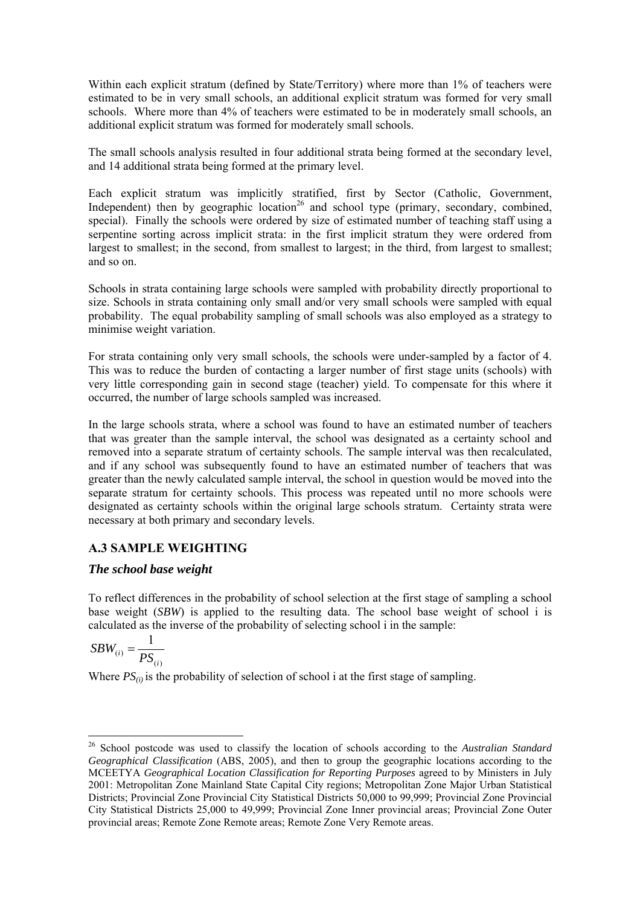Within each explicit stratum (defined by State/Territory) where more than 1% of teachers were estimated to be in very small schools, an additional explicit stratum was formed for very small schools. Where more than 4% of teachers were estimated to be in moderately small schools, an additional explicit stratum was formed for moderately small schools.

The small schools analysis resulted in four additional strata being formed at the secondary level, and 14 additional strata being formed at the primary level.

Each explicit stratum was implicitly stratified, first by Sector (Catholic, Government, Independent) then by geographic location<sup>26</sup> and school type (primary, secondary, combined, special). Finally the schools were ordered by size of estimated number of teaching staff using a serpentine sorting across implicit strata: in the first implicit stratum they were ordered from largest to smallest; in the second, from smallest to largest; in the third, from largest to smallest; and so on.

Schools in strata containing large schools were sampled with probability directly proportional to size. Schools in strata containing only small and/or very small schools were sampled with equal probability. The equal probability sampling of small schools was also employed as a strategy to minimise weight variation.

For strata containing only very small schools, the schools were under-sampled by a factor of 4. This was to reduce the burden of contacting a larger number of first stage units (schools) with very little corresponding gain in second stage (teacher) yield. To compensate for this where it occurred, the number of large schools sampled was increased.

In the large schools strata, where a school was found to have an estimated number of teachers that was greater than the sample interval, the school was designated as a certainty school and removed into a separate stratum of certainty schools. The sample interval was then recalculated, and if any school was subsequently found to have an estimated number of teachers that was greater than the newly calculated sample interval, the school in question would be moved into the separate stratum for certainty schools. This process was repeated until no more schools were designated as certainty schools within the original large schools stratum. Certainty strata were necessary at both primary and secondary levels.

# **A.3 SAMPLE WEIGHTING**

# *The school base weight*

To reflect differences in the probability of school selection at the first stage of sampling a school base weight (*SBW*) is applied to the resulting data. The school base weight of school i is calculated as the inverse of the probability of selecting school i in the sample:

$$
SBW_{(i)} = \frac{1}{PS_{(i)}}
$$

 $\overline{a}$ 

Where  $PS_{(i)}$  is the probability of selection of school i at the first stage of sampling.

<sup>26</sup> School postcode was used to classify the location of schools according to the *Australian Standard Geographical Classification* (ABS, 2005), and then to group the geographic locations according to the MCEETYA *Geographical Location Classification for Reporting Purposes* agreed to by Ministers in July 2001: Metropolitan Zone Mainland State Capital City regions; Metropolitan Zone Major Urban Statistical Districts; Provincial Zone Provincial City Statistical Districts 50,000 to 99,999; Provincial Zone Provincial City Statistical Districts 25,000 to 49,999; Provincial Zone Inner provincial areas; Provincial Zone Outer provincial areas; Remote Zone Remote areas; Remote Zone Very Remote areas.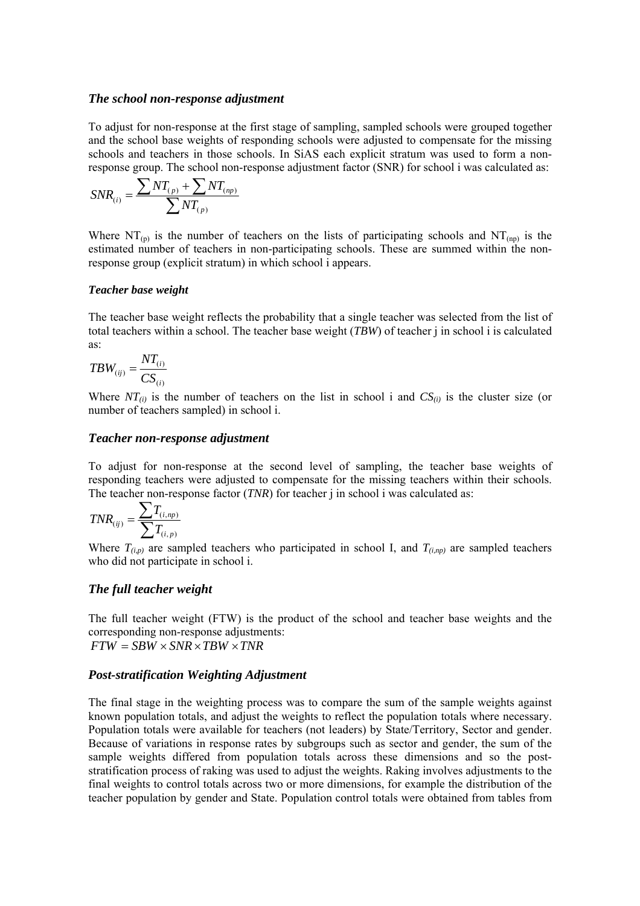### *The school non-response adjustment*

To adjust for non-response at the first stage of sampling, sampled schools were grouped together and the school base weights of responding schools were adjusted to compensate for the missing schools and teachers in those schools. In SiAS each explicit stratum was used to form a nonresponse group. The school non-response adjustment factor (SNR) for school i was calculated as:

$$
SNR_{(i)} = \frac{\sum NT_{(p)} + \sum NT_{(np)}}{\sum NT_{(p)}}
$$

Where  $NT_{(p)}$  is the number of teachers on the lists of participating schools and  $NT_{(np)}$  is the estimated number of teachers in non-participating schools. These are summed within the nonresponse group (explicit stratum) in which school i appears.

#### *Teacher base weight*

The teacher base weight reflects the probability that a single teacher was selected from the list of total teachers within a school. The teacher base weight (*TBW*) of teacher j in school i is calculated as:

$$
TBW_{(ij)} = \frac{NT_{(i)}}{CS_{(i)}}
$$

Where  $NT_{(i)}$  is the number of teachers on the list in school i and  $CS_{(i)}$  is the cluster size (or number of teachers sampled) in school i.

#### *Teacher non-response adjustment*

To adjust for non-response at the second level of sampling, the teacher base weights of responding teachers were adjusted to compensate for the missing teachers within their schools. The teacher non-response factor (*TNR*) for teacher *j* in school *i* was calculated as:

$$
TNR_{(ij)} = \frac{\sum T_{(i, np)}}{\sum T_{(i, p)}}
$$

Where  $T_{(i,p)}$  are sampled teachers who participated in school I, and  $T_{(i,np)}$  are sampled teachers who did not participate in school i.

## *The full teacher weight*

The full teacher weight (FTW) is the product of the school and teacher base weights and the corresponding non-response adjustments:  $FTW = SBW \times SNR \times TBW \times TNR$ 

#### *Post-stratification Weighting Adjustment*

The final stage in the weighting process was to compare the sum of the sample weights against known population totals, and adjust the weights to reflect the population totals where necessary. Population totals were available for teachers (not leaders) by State/Territory, Sector and gender. Because of variations in response rates by subgroups such as sector and gender, the sum of the sample weights differed from population totals across these dimensions and so the poststratification process of raking was used to adjust the weights. Raking involves adjustments to the final weights to control totals across two or more dimensions, for example the distribution of the teacher population by gender and State. Population control totals were obtained from tables from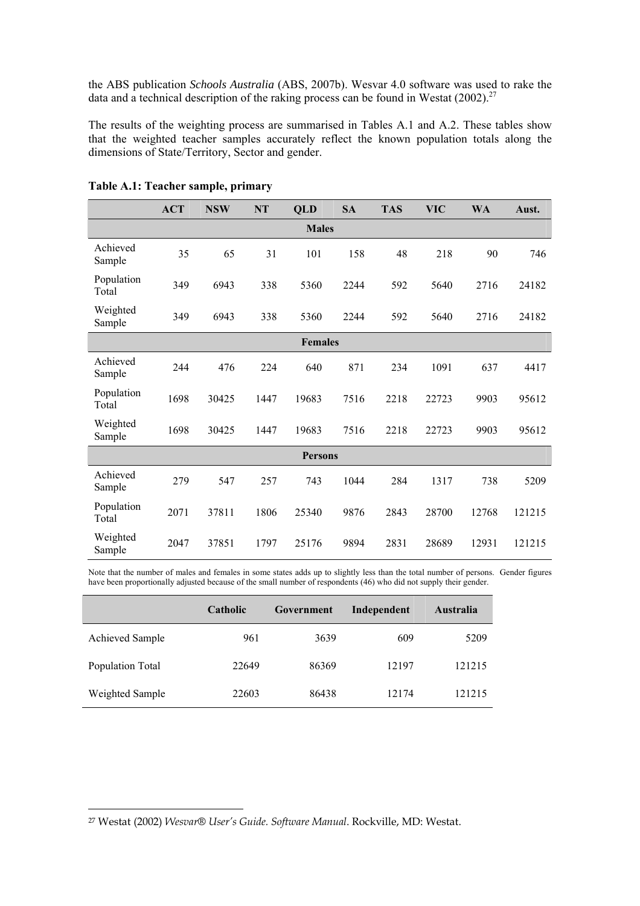the ABS publication *Schools Australia* (ABS, 2007b). Wesvar 4.0 software was used to rake the data and a technical description of the raking process can be found in Westat  $(2002)^{27}$ 

The results of the weighting process are summarised in Tables A.1 and A.2. These tables show that the weighted teacher samples accurately reflect the known population totals along the dimensions of State/Territory, Sector and gender.

|                     | <b>ACT</b> | <b>NSW</b> | NT   | <b>QLD</b>     | <b>SA</b> | <b>TAS</b> | <b>VIC</b> | <b>WA</b> | Aust.  |
|---------------------|------------|------------|------|----------------|-----------|------------|------------|-----------|--------|
|                     |            |            |      | <b>Males</b>   |           |            |            |           |        |
| Achieved<br>Sample  | 35         | 65         | 31   | 101            | 158       | 48         | 218        | 90        | 746    |
| Population<br>Total | 349        | 6943       | 338  | 5360           | 2244      | 592        | 5640       | 2716      | 24182  |
| Weighted<br>Sample  | 349        | 6943       | 338  | 5360           | 2244      | 592        | 5640       | 2716      | 24182  |
|                     |            |            |      | <b>Females</b> |           |            |            |           |        |
| Achieved<br>Sample  | 244        | 476        | 224  | 640            | 871       | 234        | 1091       | 637       | 4417   |
| Population<br>Total | 1698       | 30425      | 1447 | 19683          | 7516      | 2218       | 22723      | 9903      | 95612  |
| Weighted<br>Sample  | 1698       | 30425      | 1447 | 19683          | 7516      | 2218       | 22723      | 9903      | 95612  |
|                     |            |            |      | <b>Persons</b> |           |            |            |           |        |
| Achieved<br>Sample  | 279        | 547        | 257  | 743            | 1044      | 284        | 1317       | 738       | 5209   |
| Population<br>Total | 2071       | 37811      | 1806 | 25340          | 9876      | 2843       | 28700      | 12768     | 121215 |
| Weighted<br>Sample  | 2047       | 37851      | 1797 | 25176          | 9894      | 2831       | 28689      | 12931     | 121215 |

**Table A.1: Teacher sample, primary** 

Note that the number of males and females in some states adds up to slightly less than the total number of persons. Gender figures have been proportionally adjusted because of the small number of respondents (46) who did not supply their gender.

|                        | <b>Catholic</b> | Government | Independent | Australia |
|------------------------|-----------------|------------|-------------|-----------|
| <b>Achieved Sample</b> | 961             | 3639       | 609         | 5209      |
| Population Total       | 22649           | 86369      | 12197       | 121215    |
| Weighted Sample        | 22603           | 86438      | 12174       | 121215    |

 $\overline{a}$ 

<sup>27</sup> Westat (2002) *Wesvar® User's Guide. Software Manual*. Rockville, MD: Westat.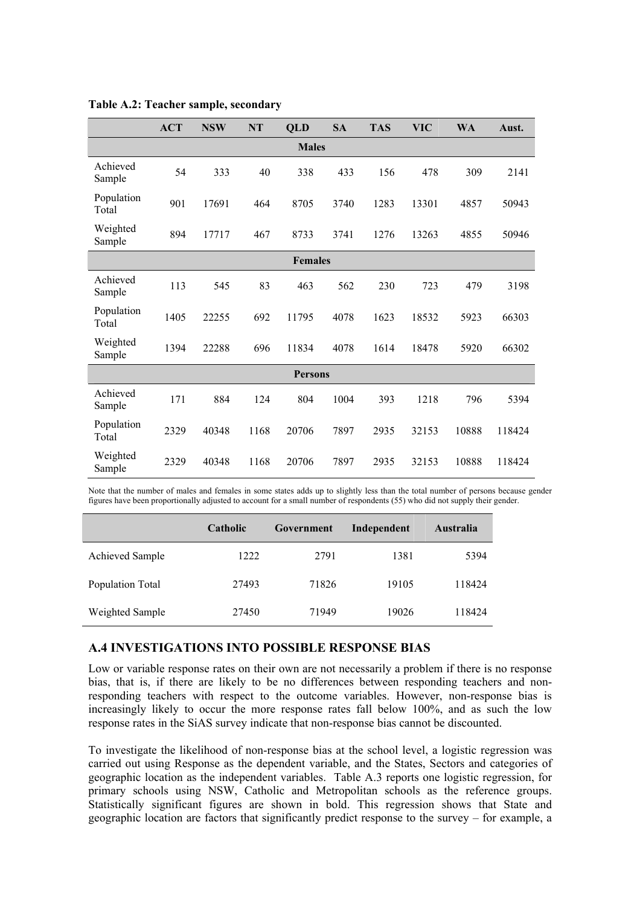|                     | <b>ACT</b> | <b>NSW</b> | NT   | <b>QLD</b> | <b>SA</b> | <b>TAS</b> | <b>VIC</b> | <b>WA</b> | Aust.  |
|---------------------|------------|------------|------|------------|-----------|------------|------------|-----------|--------|
| <b>Males</b>        |            |            |      |            |           |            |            |           |        |
| Achieved<br>Sample  | 54         | 333        | 40   | 338        | 433       | 156        | 478        | 309       | 2141   |
| Population<br>Total | 901        | 17691      | 464  | 8705       | 3740      | 1283       | 13301      | 4857      | 50943  |
| Weighted<br>Sample  | 894        | 17717      | 467  | 8733       | 3741      | 1276       | 13263      | 4855      | 50946  |
| <b>Females</b>      |            |            |      |            |           |            |            |           |        |
| Achieved<br>Sample  | 113        | 545        | 83   | 463        | 562       | 230        | 723        | 479       | 3198   |
| Population<br>Total | 1405       | 22255      | 692  | 11795      | 4078      | 1623       | 18532      | 5923      | 66303  |
| Weighted<br>Sample  | 1394       | 22288      | 696  | 11834      | 4078      | 1614       | 18478      | 5920      | 66302  |
| <b>Persons</b>      |            |            |      |            |           |            |            |           |        |
| Achieved<br>Sample  | 171        | 884        | 124  | 804        | 1004      | 393        | 1218       | 796       | 5394   |
| Population<br>Total | 2329       | 40348      | 1168 | 20706      | 7897      | 2935       | 32153      | 10888     | 118424 |
| Weighted<br>Sample  | 2329       | 40348      | 1168 | 20706      | 7897      | 2935       | 32153      | 10888     | 118424 |

**Table A.2: Teacher sample, secondary** 

Note that the number of males and females in some states adds up to slightly less than the total number of persons because gender figures have been proportionally adjusted to account for a small number of respondents (55) who did not supply their gender.

|                        | Catholic | Government | Independent | <b>Australia</b> |
|------------------------|----------|------------|-------------|------------------|
| <b>Achieved Sample</b> | 1222     | 2791       | 1381        | 5394             |
| Population Total       | 27493    | 71826      | 19105       | 118424           |
| Weighted Sample        | 27450    | 71949      | 19026       | 118424           |

# **A.4 INVESTIGATIONS INTO POSSIBLE RESPONSE BIAS**

Low or variable response rates on their own are not necessarily a problem if there is no response bias, that is, if there are likely to be no differences between responding teachers and nonresponding teachers with respect to the outcome variables. However, non-response bias is increasingly likely to occur the more response rates fall below 100%, and as such the low response rates in the SiAS survey indicate that non-response bias cannot be discounted.

To investigate the likelihood of non-response bias at the school level, a logistic regression was carried out using Response as the dependent variable, and the States, Sectors and categories of geographic location as the independent variables. Table A.3 reports one logistic regression, for primary schools using NSW, Catholic and Metropolitan schools as the reference groups. Statistically significant figures are shown in bold. This regression shows that State and geographic location are factors that significantly predict response to the survey – for example, a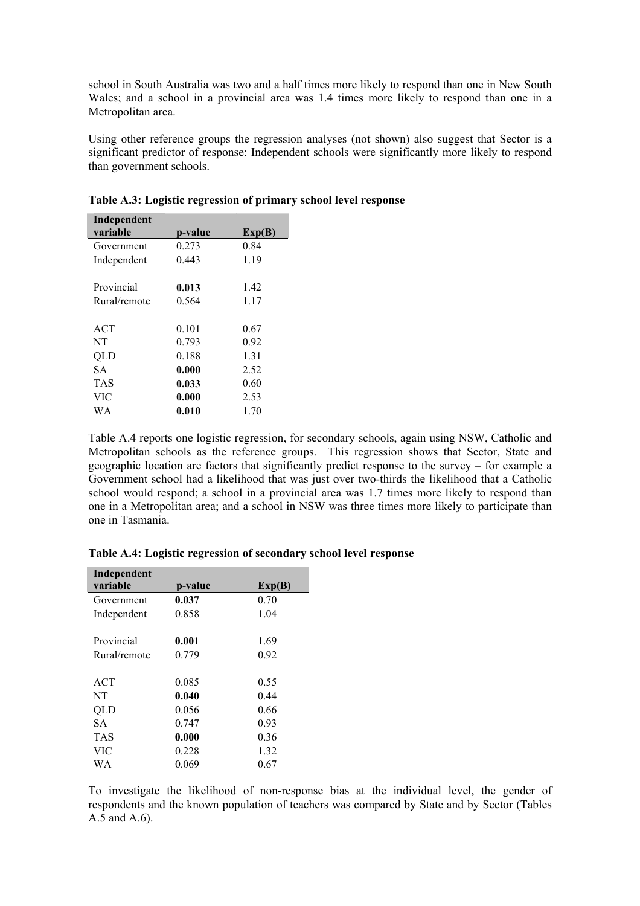school in South Australia was two and a half times more likely to respond than one in New South Wales; and a school in a provincial area was 1.4 times more likely to respond than one in a Metropolitan area.

Using other reference groups the regression analyses (not shown) also suggest that Sector is a significant predictor of response: Independent schools were significantly more likely to respond than government schools.

| Independent  |         |        |
|--------------|---------|--------|
| variable     | p-value | Exp(B) |
| Government   | 0.273   | 0.84   |
| Independent  | 0.443   | 1.19   |
|              |         |        |
| Provincial   | 0.013   | 1.42   |
| Rural/remote | 0.564   | 1.17   |
|              |         |        |
| <b>ACT</b>   | 0.101   | 0.67   |
| NT           | 0.793   | 0.92   |
| OLD          | 0.188   | 1.31   |
| <b>SA</b>    | 0.000   | 2.52   |
| TAS          | 0.033   | 0.60   |
| VIC          | 0.000   | 2.53   |
| WA           | 0.010   | 1.70   |
|              |         |        |

**Table A.3: Logistic regression of primary school level response** 

Table A.4 reports one logistic regression, for secondary schools, again using NSW, Catholic and Metropolitan schools as the reference groups. This regression shows that Sector, State and geographic location are factors that significantly predict response to the survey – for example a Government school had a likelihood that was just over two-thirds the likelihood that a Catholic school would respond; a school in a provincial area was 1.7 times more likely to respond than one in a Metropolitan area; and a school in NSW was three times more likely to participate than one in Tasmania.

| Independent  |         |        |
|--------------|---------|--------|
| variable     | p-value | Exp(B) |
| Government   | 0.037   | 0.70   |
| Independent  | 0.858   | 1.04   |
|              |         |        |
| Provincial   | 0.001   | 1.69   |
| Rural/remote | 0.779   | 0.92   |
|              |         |        |
| <b>ACT</b>   | 0.085   | 0.55   |
| NT           | 0.040   | 0.44   |
| QLD          | 0.056   | 0.66   |
| SА           | 0.747   | 0.93   |
| <b>TAS</b>   | 0.000   | 0.36   |
| VIC          | 0.228   | 1.32   |
| WΑ           | 0.069   | 0.67   |

**Table A.4: Logistic regression of secondary school level response** 

To investigate the likelihood of non-response bias at the individual level, the gender of respondents and the known population of teachers was compared by State and by Sector (Tables A.5 and A.6).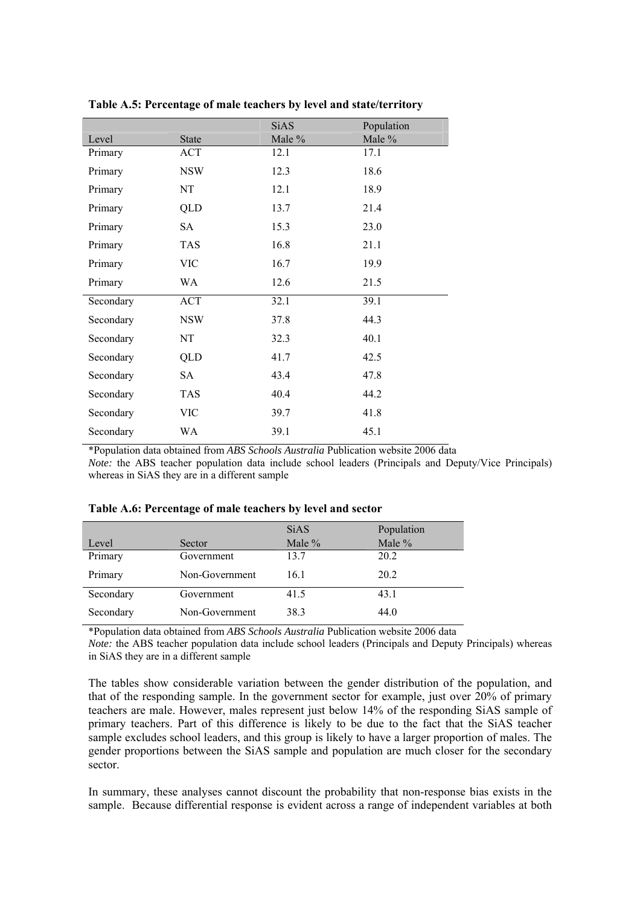|           |              | <b>SiAS</b> | Population |
|-----------|--------------|-------------|------------|
| Level     | <b>State</b> | Male %      | Male %     |
| Primary   | ACT          | 12.1        | 17.1       |
| Primary   | <b>NSW</b>   | 12.3        | 18.6       |
| Primary   | NT           | 12.1        | 18.9       |
| Primary   | QLD          | 13.7        | 21.4       |
| Primary   | SA           | 15.3        | 23.0       |
| Primary   | <b>TAS</b>   | 16.8        | 21.1       |
| Primary   | <b>VIC</b>   | 16.7        | 19.9       |
| Primary   | WA           | 12.6        | 21.5       |
| Secondary | <b>ACT</b>   | 32.1        | 39.1       |
| Secondary | <b>NSW</b>   | 37.8        | 44.3       |
| Secondary | NT           | 32.3        | 40.1       |
| Secondary | QLD          | 41.7        | 42.5       |
| Secondary | <b>SA</b>    | 43.4        | 47.8       |
| Secondary | <b>TAS</b>   | 40.4        | 44.2       |
| Secondary | VIC          | 39.7        | 41.8       |
| Secondary | WA           | 39.1        | 45.1       |

**Table A.5: Percentage of male teachers by level and state/territory** 

\*Population data obtained from *ABS Schools Australia* Publication website 2006 data

*Note:* the ABS teacher population data include school leaders (Principals and Deputy/Vice Principals) whereas in SiAS they are in a different sample

|           |                | <b>SiAS</b> | Population |
|-----------|----------------|-------------|------------|
| Level     | Sector         | Male %      | Male %     |
| Primary   | Government     | 13.7        | 20.2       |
| Primary   | Non-Government | 16.1        | 20.2       |
| Secondary | Government     | 41.5        | 43.1       |
| Secondary | Non-Government | 38.3        | 44.0       |

## **Table A.6: Percentage of male teachers by level and sector**

\*Population data obtained from *ABS Schools Australia* Publication website 2006 data

*Note:* the ABS teacher population data include school leaders (Principals and Deputy Principals) whereas in SiAS they are in a different sample

The tables show considerable variation between the gender distribution of the population, and that of the responding sample. In the government sector for example, just over 20% of primary teachers are male. However, males represent just below 14% of the responding SiAS sample of primary teachers. Part of this difference is likely to be due to the fact that the SiAS teacher sample excludes school leaders, and this group is likely to have a larger proportion of males. The gender proportions between the SiAS sample and population are much closer for the secondary sector.

In summary, these analyses cannot discount the probability that non-response bias exists in the sample. Because differential response is evident across a range of independent variables at both